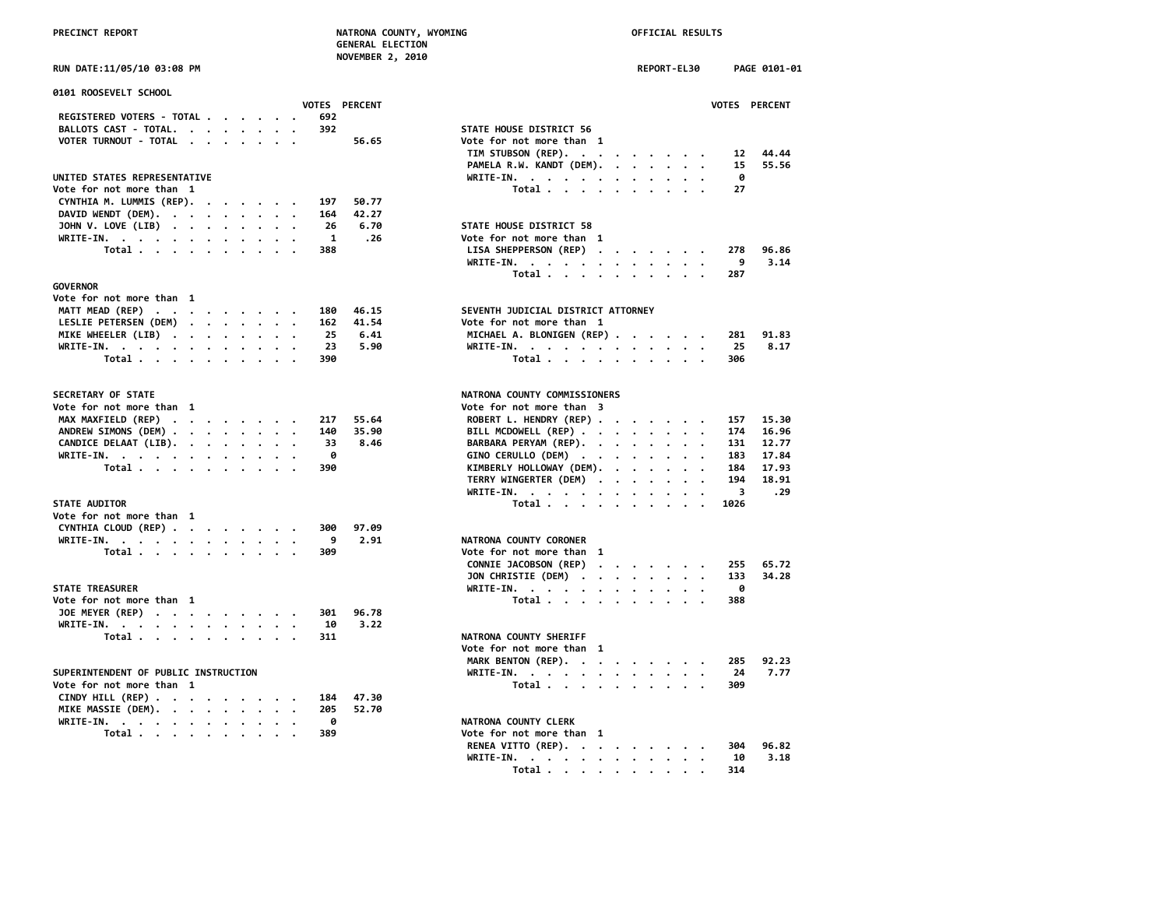**NOVEMBER 2, 2010**

| 0101 ROOSEVELT SCHOOL                                                                          |               |                                                                  |      |
|------------------------------------------------------------------------------------------------|---------------|------------------------------------------------------------------|------|
|                                                                                                | VOTES PERCENT | <b>VOTES</b>                                                     |      |
| REGISTERED VOTERS - TOTAL<br>692                                                               |               |                                                                  |      |
| BALLOTS CAST - TOTAL.<br>392                                                                   |               | STATE HOUSE DISTRICT 56                                          |      |
| VOTER TURNOUT - TOTAL<br>$\mathbf{r}$ . The set of $\mathbf{r}$                                | 56.65         | Vote for not more than 1                                         |      |
|                                                                                                |               | TIM STUBSON (REP).                                               | 12   |
|                                                                                                |               | PAMELA R.W. KANDT (DEM).                                         | 15   |
| UNITED STATES REPRESENTATIVE                                                                   |               | WRITE-IN.<br>$\cdots$                                            | 0    |
| Vote for not more than 1                                                                       |               | Total                                                            | 27   |
| CYNTHIA M. LUMMIS (REP).<br>197<br>$\cdot$ $\cdot$ $\cdot$ $\cdot$                             | 50.77         |                                                                  |      |
| DAVID WENDT (DEM).<br>164                                                                      | 42.27         |                                                                  |      |
| JOHN V. LOVE (LIB)<br>26                                                                       | 6.70          | STATE HOUSE DISTRICT 58                                          |      |
| WRITE-IN.<br>$\overline{1}$                                                                    | .26           | Vote for not more than 1                                         |      |
| Total<br>388                                                                                   |               | LISA SHEPPERSON (REP)<br>$\cdots$                                | 278  |
|                                                                                                |               | WRITE-IN.                                                        | 9    |
|                                                                                                |               | Total                                                            | 287  |
| <b>GOVERNOR</b>                                                                                |               |                                                                  |      |
| Vote for not more than 1                                                                       |               |                                                                  |      |
| MATT MEAD (REP)<br>180<br>$\mathcal{L}(\mathbf{z})$ . The set of the $\mathcal{L}(\mathbf{z})$ | 46.15         | SEVENTH JUDICIAL DISTRICT ATTORNEY                               |      |
| LESLIE PETERSEN (DEM)<br>162                                                                   | 41.54         | Vote for not more than 1                                         |      |
| MIKE WHEELER (LIB)<br>25                                                                       | 6.41          | MICHAEL A. BLONIGEN (REP)                                        | 281  |
| WRITE-IN.<br>23                                                                                | 5.90          | WRITE-IN.                                                        | 25   |
| Total<br>390                                                                                   |               | Total                                                            | 306  |
|                                                                                                |               |                                                                  |      |
| <b>SECRETARY OF STATE</b>                                                                      |               | NATRONA COUNTY COMMISSIONERS                                     |      |
| Vote for not more than 1                                                                       |               | Vote for not more than 3                                         |      |
| MAX MAXFIELD (REP)<br>217                                                                      | 55.64         | ROBERT L. HENDRY (REP)                                           | 157  |
| ANDREW SIMONS (DEM)<br>140                                                                     | 35.90         | BILL MCDOWELL (REP)<br>$\bullet$<br>$\bullet$                    | 174  |
| CANDICE DELAAT (LIB).<br>33                                                                    | 8.46          | BARBARA PERYAM (REP).                                            | 131  |
| WRITE-IN.<br>0                                                                                 |               | GINO CERULLO (DEM)                                               | 183  |
| Total<br>390                                                                                   |               | KIMBERLY HOLLOWAY (DEM).                                         | 184  |
|                                                                                                |               | TERRY WINGERTER (DEM)                                            | 194  |
|                                                                                                |               | WRITE-IN.                                                        | 3    |
| <b>STATE AUDITOR</b>                                                                           |               | Total                                                            | 1026 |
| Vote for not more than 1                                                                       |               |                                                                  |      |
| CYNTHIA CLOUD (REP)<br>300                                                                     | 97.09         |                                                                  |      |
| WRITE-IN.<br>9                                                                                 | 2.91          | NATRONA COUNTY CORONER                                           |      |
| Total<br>309                                                                                   |               | Vote for not more than 1                                         |      |
|                                                                                                |               | CONNIE JACOBSON (REP)<br>$\cdot$ $\cdot$ $\cdot$ $\cdot$ $\cdot$ | 255  |
|                                                                                                |               | JON CHRISTIE (DEM)                                               | 133  |
| <b>STATE TREASURER</b>                                                                         |               | WRITE-IN.<br>$\cdot$                                             | ø    |
| Vote for not more than 1                                                                       |               | Total                                                            | 388  |
| JOE MEYER (REP) $\cdot \cdot \cdot \cdot \cdot \cdot \cdot \cdot$<br>301                       | 96.78         |                                                                  |      |
| WRITE-IN.<br>10                                                                                | 3.22          |                                                                  |      |
| Total<br>311                                                                                   |               | NATRONA COUNTY SHERIFF                                           |      |
|                                                                                                |               | Vote for not more than 1                                         |      |
|                                                                                                |               | MARK BENTON (REP).                                               | 285  |
| SUPERINTENDENT OF PUBLIC INSTRUCTION                                                           |               | WRITE-IN.                                                        | 24   |
| Vote for not more than 1                                                                       |               | Total                                                            | 309  |
| CINDY HILL (REP)<br>184                                                                        | 47.30         |                                                                  |      |
| MIKE MASSIE (DEM).<br>205                                                                      | 52.70         |                                                                  |      |
| WRITE-IN.<br>0                                                                                 |               | NATRONA COUNTY CLERK                                             |      |
| Total<br>389                                                                                   |               | Vote for not more than 1                                         |      |
|                                                                                                |               |                                                                  |      |

| RUN DATE:11/05/10 03:08 PM                           |                      | REPORT-EL30<br>PAGE 0101-01               |
|------------------------------------------------------|----------------------|-------------------------------------------|
| 0101 ROOSEVELT SCHOOL                                | <b>VOTES PERCENT</b> | <b>VOTES PERCENT</b>                      |
| REGISTERED VOTERS - TOTAL<br>692                     |                      |                                           |
| BALLOTS CAST - TOTAL.<br>392                         |                      | STATE HOUSE DISTRICT 56                   |
| VOTER TURNOUT - TOTAL                                | 56.65                | Vote for not more than 1                  |
|                                                      |                      | TIM STUBSON (REP).<br>44.44<br>12         |
|                                                      |                      | PAMELA R.W. KANDT (DEM).<br>55.56<br>15   |
| UNITED STATES REPRESENTATIVE                         |                      | WRITE-IN.<br>ø                            |
| Vote for not more than 1                             |                      | Total<br>27                               |
| CYNTHIA M. LUMMIS (REP).<br>197                      | 50.77                |                                           |
| DAVID WENDT (DEM).<br>164                            | 42.27                |                                           |
| JOHN V. LOVE (LIB)                                   | 26<br>6.70           | STATE HOUSE DISTRICT 58                   |
|                                                      | $\mathbf{1}$<br>.26  | Vote for not more than 1                  |
| WRITE-IN.<br>Total $\cdots$ $\cdots$ $\cdots$<br>388 |                      | LISA SHEPPERSON (REP)<br>278<br>96.86     |
|                                                      |                      | 9                                         |
|                                                      |                      | 3.14<br>WRITE-IN.                         |
|                                                      |                      | Total<br>287                              |
| <b>GOVERNOR</b>                                      |                      |                                           |
| Vote for not more than 1                             |                      |                                           |
| MATT MEAD (REP)<br>180                               | 46.15                | SEVENTH JUDICIAL DISTRICT ATTORNEY        |
| LESLIE PETERSEN (DEM)<br>162                         | 41.54                | Vote for not more than 1                  |
| MIKE WHEELER (LIB)<br>25                             | 6.41                 | MICHAEL A. BLONIGEN (REP)<br>91.83<br>281 |
| WRITE-IN.                                            | 23<br>5.90           | WRITE-IN.<br>25<br>8.17                   |
| Total<br>390                                         |                      | Total<br>306                              |
| <b>SECRETARY OF STATE</b>                            |                      | NATRONA COUNTY COMMISSIONERS              |
| Vote for not more than 1                             |                      | Vote for not more than 3                  |
| MAX MAXFIELD (REP)<br>217                            | 55.64                | ROBERT L. HENDRY (REP)<br>15.30<br>157    |
| ANDREW SIMONS (DEM)<br>140                           | 35.90                | BILL MCDOWELL (REP)<br>16.96<br>174       |
| CANDICE DELAAT (LIB).                                | 33<br>8.46           | BARBARA PERYAM (REP).<br>12.77<br>131     |
| WRITE-IN.                                            | 0                    | GINO CERULLO (DEM)<br>17.84<br>183        |
| 390<br>Total                                         |                      | KIMBERLY HOLLOWAY (DEM).<br>184<br>17.93  |
|                                                      |                      | TERRY WINGERTER (DEM)<br>194<br>18.91     |
|                                                      |                      | 3<br>.29<br>WRITE-IN.                     |
| <b>STATE AUDITOR</b>                                 |                      | Total<br>1026                             |
| Vote for not more than 1                             |                      |                                           |
| CYNTHIA CLOUD (REP)<br>300                           | 97.09                |                                           |
| WRITE-IN.                                            | 9<br>2.91            | NATRONA COUNTY CORONER                    |
| Total<br>309                                         |                      | Vote for not more than 1                  |
|                                                      |                      | CONNIE JACOBSON (REP)<br>255<br>65.72     |
|                                                      |                      | JON CHRISTIE (DEM)<br>133<br>34.28        |
| <b>STATE TREASURER</b>                               |                      | WRITE-IN.<br>ø                            |
| Vote for not more than 1                             |                      | Total<br>388                              |
| JOE MEYER (REP)<br>301                               | 96.78                |                                           |
| 10                                                   | 3.22                 |                                           |
| WRITE-IN.<br>Total<br>311                            |                      | NATRONA COUNTY SHERIFF                    |
|                                                      |                      |                                           |
|                                                      |                      | Vote for not more than 1                  |
|                                                      |                      | MARK BENTON (REP).<br>92.23<br>285        |
| SUPERINTENDENT OF PUBLIC INSTRUCTION                 |                      | 24<br>7.77<br>WRITE-IN.                   |
| Vote for not more than 1                             |                      | Total<br>309                              |
| CINDY HILL (REP)<br>184                              | 47.30                |                                           |
| MIKE MASSIE (DEM).<br>205                            | 52.70                |                                           |
| WRITE-IN.                                            | 0                    | NATRONA COUNTY CLERK                      |
| Total $\cdots$ $\cdots$ $\cdots$<br>389              |                      | Vote for not more than 1                  |
|                                                      |                      | RENEA VITTO (REP).<br>304<br>96.82        |
|                                                      |                      | WRITE-IN.<br>10<br>3.18                   |
|                                                      |                      | Total<br>314                              |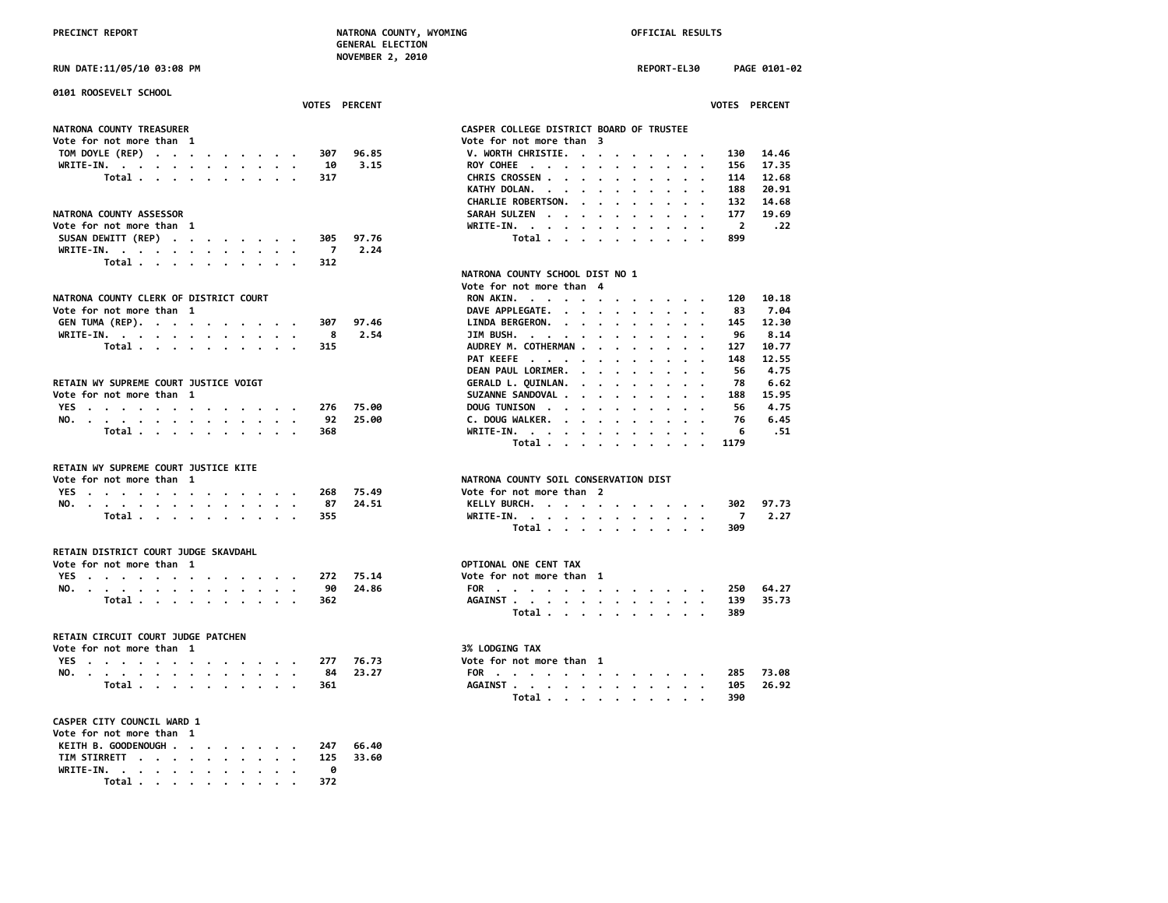|                                        | <b>NUVLINDLA 4, ZUID</b> |                                                                                                                                                    |
|----------------------------------------|--------------------------|----------------------------------------------------------------------------------------------------------------------------------------------------|
| RUN DATE:11/05/10 03:08 PM             |                          | REPORT-EL30<br>PAGE 0101-02                                                                                                                        |
| 0101 ROOSEVELT SCHOOL                  |                          |                                                                                                                                                    |
|                                        | VOTES PERCENT            | VOTES PERCENT                                                                                                                                      |
|                                        |                          |                                                                                                                                                    |
| NATRONA COUNTY TREASURER               |                          | CASPER COLLEGE DISTRICT BOARD OF TRUSTEE                                                                                                           |
| Vote for not more than 1               |                          | Vote for not more than 3                                                                                                                           |
| TOM DOYLE (REP)                        | 307<br>96.85             | V. WORTH CHRISTIE.<br>130<br>14.46                                                                                                                 |
| WRITE-IN.                              | 3.15<br>10               | ROY COHEE<br>17.35<br>156                                                                                                                          |
| Total                                  | 317                      | CHRIS CROSSEN<br>114<br>12.68<br>$\bullet$<br>$\bullet$<br>$\overline{\phantom{a}}$                                                                |
|                                        |                          | KATHY DOLAN.<br>188<br>20.91<br>$\cdots$<br>$\cdot$                                                                                                |
|                                        |                          | CHARLIE ROBERTSON.<br>132<br>14.68<br>$\sim$ $\sim$<br>$\ddot{\phantom{a}}$                                                                        |
| NATRONA COUNTY ASSESSOR                |                          | 177<br>19.69<br>SARAH SULZEN<br>$\sim$                                                                                                             |
| Vote for not more than 1               |                          | $\overline{2}$<br>WRITE-IN.<br>.22                                                                                                                 |
| SUSAN DEWITT (REP)                     | 97.76<br>305             | Total<br>899<br>$\cdot$                                                                                                                            |
| WRITE-IN.                              | $\overline{7}$<br>2.24   |                                                                                                                                                    |
| Total                                  | 312                      |                                                                                                                                                    |
|                                        |                          |                                                                                                                                                    |
|                                        |                          | NATRONA COUNTY SCHOOL DIST NO 1                                                                                                                    |
|                                        |                          | Vote for not more than 4                                                                                                                           |
| NATRONA COUNTY CLERK OF DISTRICT COURT |                          | RON AKIN.<br>10.18<br>120                                                                                                                          |
| Vote for not more than 1               |                          | DAVE APPLEGATE.<br>7.04<br>83                                                                                                                      |
| GEN TUMA (REP).                        | 307<br>97.46             | 12.30<br>LINDA BERGERON.<br>145                                                                                                                    |
| WRITE-IN.                              | 8<br>2.54                | JIM BUSH.<br>96<br>8.14<br>$\ddot{\phantom{a}}$<br>$\overline{\phantom{a}}$                                                                        |
| Total.<br>$\cdot$ $\cdot$              | 315                      | AUDREY M. COTHERMAN<br>127<br>10.77<br>$\cdot$                                                                                                     |
|                                        |                          | PAT KEEFE<br>148<br>12.55<br>$\sim$<br>$\ddot{\phantom{a}}$<br>$\ddot{\phantom{a}}$<br>$\sim$<br>$\ddot{\phantom{a}}$<br>$\overline{\phantom{a}}$  |
|                                        |                          | DEAN PAUL LORIMER.<br>56<br>4.75                                                                                                                   |
| RETAIN WY SUPREME COURT JUSTICE VOIGT  |                          | GERALD L. QUINLAN.<br>78<br>6.62<br>$\ddot{\phantom{a}}$<br>$\sim$ $\sim$<br>$\cdots$                                                              |
| Vote for not more than 1               |                          | SUZANNE SANDOVAL<br>15.95<br>188                                                                                                                   |
|                                        | 276<br>75.00             | 56<br>4.75                                                                                                                                         |
| YES                                    |                          | DOUG TUNISON<br>$\bullet$<br>$\cdot$                                                                                                               |
| NO.                                    | 92<br>25.00              | C. DOUG WALKER.<br>76<br>6.45<br>$\cdot$<br>$\cdot$                                                                                                |
| Total                                  | 368                      | $WRITE-IN.$<br>6<br>. 51<br>$\bullet$<br>$\sim$<br>Total<br>1179<br>$\ddot{\phantom{a}}$<br>$\ddot{\phantom{a}}$<br>$\sim$<br>$\cdot$<br>$\cdot$ . |
|                                        |                          |                                                                                                                                                    |
| RETAIN WY SUPREME COURT JUSTICE KITE   |                          |                                                                                                                                                    |
| Vote for not more than 1               |                          | NATRONA COUNTY SOIL CONSERVATION DIST                                                                                                              |
| YES                                    | 75.49<br>268             | Vote for not more than 2                                                                                                                           |
| NO.                                    | 24.51<br>87              | 97.73<br>KELLY BURCH.<br>302                                                                                                                       |
| Total                                  | 355                      | WRITE-IN.<br>7<br>2.27                                                                                                                             |
|                                        |                          | Total<br>309                                                                                                                                       |
| RETAIN DISTRICT COURT JUDGE SKAVDAHL   |                          |                                                                                                                                                    |
| Vote for not more than 1               |                          | OPTIONAL ONE CENT TAX                                                                                                                              |
| YES                                    | 272<br>75.14             | Vote for not more than 1                                                                                                                           |
| NO.                                    | 90<br>24.86              | FOR<br>250<br>64.27                                                                                                                                |
| Total                                  | 362                      | AGAINST<br>139<br>35.73                                                                                                                            |
|                                        |                          | 389                                                                                                                                                |
|                                        |                          | Total                                                                                                                                              |
| RETAIN CIRCUIT COURT JUDGE PATCHEN     |                          |                                                                                                                                                    |
| Vote for not more than 1               |                          | 3% LODGING TAX                                                                                                                                     |
|                                        | 277<br>76.73             | Vote for not more than 1                                                                                                                           |
| YES                                    |                          |                                                                                                                                                    |
| NO.                                    | 23.27<br>84              | FOR<br>73.08<br>285                                                                                                                                |
| Total                                  | 361                      | 26.92<br>AGAINST<br>105                                                                                                                            |
|                                        |                          | Total<br>390                                                                                                                                       |
| CASPER CITY COUNCIL WARD 1             |                          |                                                                                                                                                    |
| Vote for not more than 1               |                          |                                                                                                                                                    |
| KEITH B. GOODENOUGH                    | 247<br>66.40             |                                                                                                                                                    |
| TIM STIRRETT                           | 125<br>33.60             |                                                                                                                                                    |
| WRITE-IN.                              | ø                        |                                                                                                                                                    |
|                                        |                          |                                                                                                                                                    |

 **Total . . . . . . . . . . 372**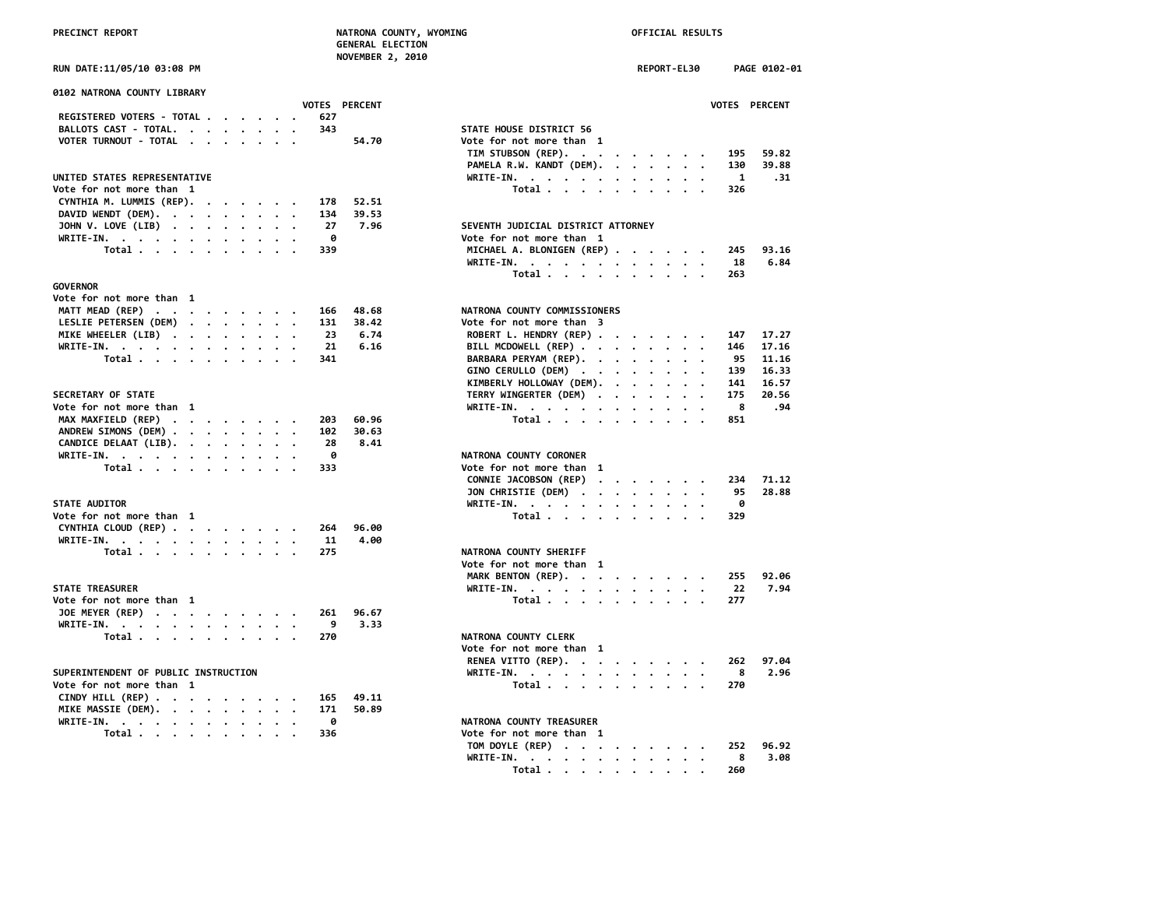# **PRECINCT REPORT NATRONA COUNTY, WYOMING OFFICIAL RESULTS**

 **GENERAL ELECTION NOVEMBER 2, 2010**

| 0102 NATRONA COUNTY LIBRARY                                        |  |  |     |                      |                                    |                |
|--------------------------------------------------------------------|--|--|-----|----------------------|------------------------------------|----------------|
|                                                                    |  |  |     | <b>VOTES PERCENT</b> |                                    | <b>VOTES</b>   |
| REGISTERED VOTERS - TOTAL                                          |  |  | 627 |                      |                                    |                |
| BALLOTS CAST - TOTAL.                                              |  |  | 343 |                      | STATE HOUSE DISTRICT 56            |                |
| VOTER TURNOUT - TOTAL                                              |  |  |     | 54.70                | Vote for not more than 1           |                |
|                                                                    |  |  |     |                      | TIM STUBSON (REP).                 | 195            |
|                                                                    |  |  |     |                      | PAMELA R.W. KANDT (DEM).           | 130            |
| UNITED STATES REPRESENTATIVE                                       |  |  |     |                      | WRITE-IN.                          | $\blacksquare$ |
| Vote for not more than 1                                           |  |  |     |                      | Total                              | 326            |
| CYNTHIA M. LUMMIS (REP).                                           |  |  | 178 | 52.51                |                                    |                |
| DAVID WENDT (DEM).                                                 |  |  | 134 | 39.53                |                                    |                |
| JOHN V. LOVE (LIB)                                                 |  |  | 27  | 7.96                 | SEVENTH JUDICIAL DISTRICT ATTORNEY |                |
| WRITE-IN.                                                          |  |  | 0   |                      | Vote for not more than 1           |                |
| Total                                                              |  |  | 339 |                      | MICHAEL A. BLONIGEN (REP)          | 245            |
|                                                                    |  |  |     |                      | WRITE-IN.                          | 18             |
|                                                                    |  |  |     |                      | Total                              | 263            |
| <b>GOVERNOR</b>                                                    |  |  |     |                      |                                    |                |
| Vote for not more than 1                                           |  |  |     |                      |                                    |                |
| MATT MEAD (REP)                                                    |  |  | 166 | 48.68                | NATRONA COUNTY COMMISSIONERS       |                |
| LESLIE PETERSEN (DEM)                                              |  |  | 131 | 38.42                | Vote for not more than 3           |                |
| MIKE WHEELER (LIB)                                                 |  |  | 23  | 6.74                 | ROBERT L. HENDRY (REP)             | 147            |
| WRITE-IN.                                                          |  |  | 21  | 6.16                 | BILL MCDOWELL (REP)                | 146            |
| Total                                                              |  |  | 341 |                      | BARBARA PERYAM (REP).              | 95             |
|                                                                    |  |  |     |                      | GINO CERULLO (DEM)                 | 139            |
|                                                                    |  |  |     |                      | KIMBERLY HOLLOWAY (DEM).           | 141            |
| <b>SECRETARY OF STATE</b>                                          |  |  |     |                      | TERRY WINGERTER (DEM)              | 175            |
| Vote for not more than 1                                           |  |  |     |                      | WRITE-IN.                          | - 8            |
| MAX MAXFIELD (REP)                                                 |  |  | 203 | 60.96                | Total                              | 851            |
| ANDREW SIMONS (DEM)                                                |  |  | 102 | 30.63                |                                    |                |
| CANDICE DELAAT (LIB).                                              |  |  | 28  | 8.41                 |                                    |                |
| WRITE-IN.                                                          |  |  | 0   |                      | NATRONA COUNTY CORONER             |                |
| Total                                                              |  |  | 333 |                      | Vote for not more than 1           |                |
|                                                                    |  |  |     |                      | CONNIE JACOBSON (REP)              | 234            |
|                                                                    |  |  |     |                      | JON CHRISTIE (DEM)                 | 95             |
| <b>STATE AUDITOR</b>                                               |  |  |     |                      | WRITE-IN.                          | ø              |
| Vote for not more than 1                                           |  |  |     |                      | Total                              | 329            |
| CYNTHIA CLOUD (REP)                                                |  |  | 264 | 96.00                |                                    |                |
| WRITE-IN.                                                          |  |  | 11  | 4.00                 |                                    |                |
| Total                                                              |  |  | 275 |                      | NATRONA COUNTY SHERIFF             |                |
|                                                                    |  |  |     |                      | Vote for not more than 1           |                |
|                                                                    |  |  |     |                      | MARK BENTON (REP).                 | 255            |
| <b>STATE TREASURER</b>                                             |  |  |     |                      | WRITE-IN.                          | 22             |
| Vote for not more than  1                                          |  |  |     |                      | Total                              | 277            |
| JOE MEYER (REP)                                                    |  |  | 261 | 96.67                |                                    |                |
| WRITE-IN.                                                          |  |  | 9   | 3.33                 |                                    |                |
| Total                                                              |  |  | 270 |                      | NATRONA COUNTY CLERK               |                |
|                                                                    |  |  |     |                      | Vote for not more than 1           |                |
|                                                                    |  |  |     |                      | RENEA VITTO (REP).                 | 262            |
| SUPERINTENDENT OF PUBLIC INSTRUCTION                               |  |  |     |                      | WRITE-IN.                          | 8              |
| Vote for not more than 1                                           |  |  |     |                      | Total                              | 270            |
| CINDY HILL (REP) $\cdot \cdot \cdot \cdot \cdot \cdot \cdot \cdot$ |  |  | 165 | 49.11                |                                    |                |
| MIKE MASSIE (DEM).                                                 |  |  | 171 | 50.89                |                                    |                |
| WRITE-IN.                                                          |  |  | ø   |                      | NATRONA COUNTY TREASURER           |                |

| RUN DATE:11/05/10 03:08 PM                                                                            |                      | REPORT-EL30<br>PAGE 0102-01               |
|-------------------------------------------------------------------------------------------------------|----------------------|-------------------------------------------|
| 0102 NATRONA COUNTY LIBRARY                                                                           | <b>VOTES PERCENT</b> | VOTES PERCENT                             |
| REGISTERED VOTERS - TOTAL                                                                             | 627                  |                                           |
| BALLOTS CAST - TOTAL.                                                                                 | 343                  | STATE HOUSE DISTRICT 56                   |
| VOTER TURNOUT - TOTAL<br>$\cdot$ .                                                                    | 54.70                | Vote for not more than 1                  |
|                                                                                                       |                      | TIM STUBSON (REP).<br>195<br>59.82        |
|                                                                                                       |                      | PAMELA R.W. KANDT (DEM).<br>130<br>39.88  |
| UNITED STATES REPRESENTATIVE                                                                          |                      | WRITE-IN.<br>.31<br>1                     |
| Vote for not more than 1                                                                              |                      | Total<br>326                              |
| CYNTHIA M. LUMMIS (REP).<br>$\mathcal{A}$ , and $\mathcal{A}$ , and $\mathcal{A}$ , and $\mathcal{A}$ | 52.51<br>178         |                                           |
| DAVID WENDT (DEM).                                                                                    | 39.53<br>134         |                                           |
|                                                                                                       | 27<br>7.96           | SEVENTH JUDICIAL DISTRICT ATTORNEY        |
| JOHN V. LOVE (LIB)                                                                                    | 0                    | Vote for not more than 1                  |
| WRITE-IN.<br>Total                                                                                    | 339                  | MICHAEL A. BLONIGEN (REP)<br>245<br>93.16 |
|                                                                                                       |                      | 6.84                                      |
|                                                                                                       |                      | WRITE-IN.<br>18                           |
| <b>GOVERNOR</b>                                                                                       |                      | Total<br>263                              |
|                                                                                                       |                      |                                           |
| Vote for not more than 1                                                                              |                      |                                           |
| MATT MEAD (REP)                                                                                       | 48.68<br>166         | NATRONA COUNTY COMMISSIONERS              |
| LESLIE PETERSEN (DEM)                                                                                 | 131<br>38.42         | Vote for not more than 3                  |
| MIKE WHEELER (LIB)                                                                                    | 23<br>6.74           | ROBERT L. HENDRY (REP)<br>147<br>17.27    |
| WRITE-IN.                                                                                             | 21<br>6.16           | BILL MCDOWELL (REP)<br>146<br>17.16       |
| Total                                                                                                 | 341                  | BARBARA PERYAM (REP).<br>95<br>11.16      |
|                                                                                                       |                      | GINO CERULLO (DEM)<br>139<br>16.33        |
|                                                                                                       |                      | KIMBERLY HOLLOWAY (DEM).<br>141<br>16.57  |
| SECRETARY OF STATE                                                                                    |                      | TERRY WINGERTER (DEM)<br>175<br>20.56     |
| Vote for not more than 1                                                                              |                      | 8<br>.94<br>WRITE-IN.<br>$\cdot$ $\cdot$  |
| MAX MAXFIELD (REP)                                                                                    | 60.96<br>203         | 851<br>Total                              |
| ANDREW SIMONS (DEM)                                                                                   | 30.63<br>102         |                                           |
| CANDICE DELAAT (LIB).                                                                                 | 28<br>8.41           |                                           |
| WRITE-IN.                                                                                             | 0                    | NATRONA COUNTY CORONER                    |
| Total                                                                                                 | 333                  | Vote for not more than 1                  |
|                                                                                                       |                      | CONNIE JACOBSON (REP)<br>234<br>71.12     |
|                                                                                                       |                      | JON CHRISTIE (DEM)<br>95<br>28.88         |
| <b>STATE AUDITOR</b>                                                                                  |                      | 0<br>WRITE-IN.                            |
| Vote for not more than 1                                                                              |                      | Total<br>329                              |
| CYNTHIA CLOUD (REP)                                                                                   | 96.00<br>264         |                                           |
| WRITE-IN.                                                                                             | 11<br>4.00           |                                           |
| Total                                                                                                 | 275                  | NATRONA COUNTY SHERIFF                    |
|                                                                                                       |                      | Vote for not more than 1                  |
|                                                                                                       |                      | MARK BENTON (REP).<br>92.06<br>255        |
| <b>STATE TREASURER</b>                                                                                |                      | 7.94<br>WRITE-IN.<br>22                   |
| Vote for not more than 1                                                                              |                      | Total<br>277                              |
| JOE MEYER (REP)                                                                                       | 261<br>96.67         |                                           |
| WRITE-IN.                                                                                             | 9<br>3.33            |                                           |
| Total                                                                                                 | 270                  | NATRONA COUNTY CLERK                      |
|                                                                                                       |                      | Vote for not more than 1                  |
|                                                                                                       |                      | RENEA VITTO (REP).<br>97.04<br>262        |
| SUPERINTENDENT OF PUBLIC INSTRUCTION                                                                  |                      | WRITE-IN.<br>8<br>2.96                    |
| Vote for not more than 1                                                                              |                      | Total<br>270                              |
| CINDY HILL (REP) $\cdot \cdot \cdot \cdot \cdot \cdot \cdot \cdot$                                    | 165<br>49.11         |                                           |
| MIKE MASSIE (DEM).<br>$\cdot$ .                                                                       | 171<br>50.89         |                                           |
| WRITE-IN.                                                                                             | 0                    | NATRONA COUNTY TREASURER                  |
|                                                                                                       | 336                  | Vote for not more than 1                  |
| Total                                                                                                 |                      | 96.92                                     |
|                                                                                                       |                      | TOM DOYLE (REP)<br>252                    |
|                                                                                                       |                      | WRITE-IN.<br>8<br>3.08                    |
|                                                                                                       |                      | Total<br>260<br>$\sim$ $\sim$             |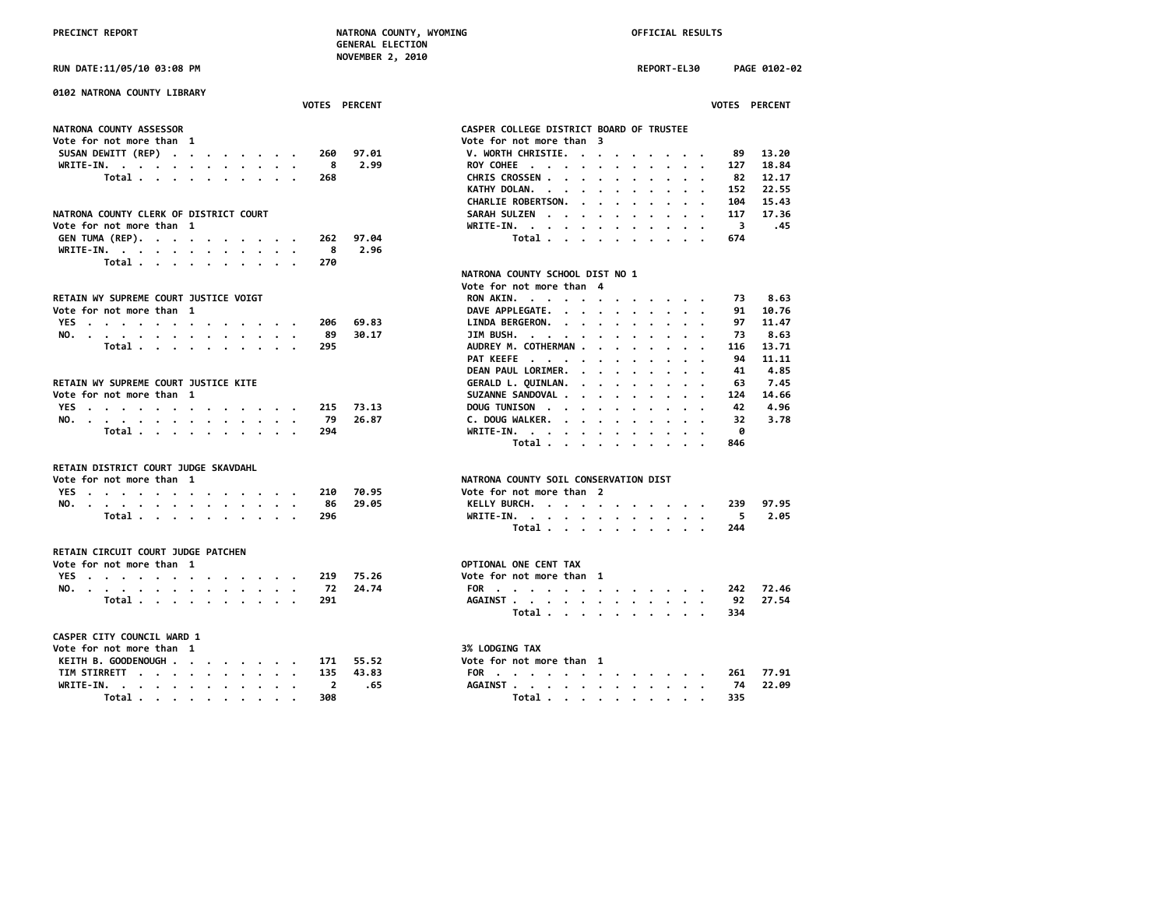**RUN DATE:11/05/10 03:08 PM REPORT-EL30 PAGE 0102-02**

| 0102 NATRONA COUNTY LIBRARY<br><b>VOTES PERCENT</b>            |                                                                                                                                                                                                                                                  | <b>VOTES PERCENT</b> |
|----------------------------------------------------------------|--------------------------------------------------------------------------------------------------------------------------------------------------------------------------------------------------------------------------------------------------|----------------------|
| NATRONA COUNTY ASSESSOR                                        | CASPER COLLEGE DISTRICT BOARD OF TRUSTEE                                                                                                                                                                                                         |                      |
| Vote for not more than 1                                       | Vote for not more than 3                                                                                                                                                                                                                         |                      |
| SUSAN DEWITT (REP)<br>260                                      | V. WORTH CHRISTIE.<br>97.01<br>89                                                                                                                                                                                                                | 13.20                |
| WRITE-IN.<br>8                                                 | 2.99<br>ROY COHEE<br>127                                                                                                                                                                                                                         | 18.84                |
| Total<br>268                                                   | CHRIS CROSSEN<br>82                                                                                                                                                                                                                              | 12,17                |
|                                                                |                                                                                                                                                                                                                                                  |                      |
|                                                                | KATHY DOLAN.<br>152                                                                                                                                                                                                                              | 22.55                |
|                                                                | CHARLIE ROBERTSON.<br>104                                                                                                                                                                                                                        | 15.43                |
| NATRONA COUNTY CLERK OF DISTRICT COURT                         | SARAH SULZEN<br>117<br>$\mathbf{r}$ , $\mathbf{r}$ , $\mathbf{r}$ , $\mathbf{r}$ , $\mathbf{r}$                                                                                                                                                  | 17.36                |
| Vote for not more than 1                                       | -3<br>WRITE-IN.                                                                                                                                                                                                                                  | .45                  |
| GEN TUMA (REP).<br>262                                         | 97.04<br>Total<br>674                                                                                                                                                                                                                            |                      |
| 8<br>WRITE-IN.                                                 | 2.96                                                                                                                                                                                                                                             |                      |
| Total<br>270                                                   |                                                                                                                                                                                                                                                  |                      |
|                                                                | NATRONA COUNTY SCHOOL DIST NO 1                                                                                                                                                                                                                  |                      |
|                                                                | Vote for not more than 4                                                                                                                                                                                                                         |                      |
| RETAIN WY SUPREME COURT JUSTICE VOIGT                          | RON AKIN.<br>73                                                                                                                                                                                                                                  | 8.63                 |
| Vote for not more than 1                                       | DAVE APPLEGATE.<br>91                                                                                                                                                                                                                            | 10.76                |
| YES<br>206                                                     | 69.83<br>LINDA BERGERON.<br>97                                                                                                                                                                                                                   | 11.47                |
| NO.<br>89                                                      | 30.17<br>JIM BUSH.<br>73<br>$\mathbf{r}$ , $\mathbf{r}$ , $\mathbf{r}$ , $\mathbf{r}$ , $\mathbf{r}$ , $\mathbf{r}$                                                                                                                              | 8.63                 |
| Total<br>295                                                   | AUDREY M. COTHERMAN<br>116                                                                                                                                                                                                                       | 13.71                |
|                                                                | PAT KEEFE<br>94<br>$\cdot$ $\cdot$ $\cdot$ $\cdot$                                                                                                                                                                                               | 11.11                |
|                                                                | DEAN PAUL LORIMER.<br>41<br>$\mathbf{r}$ , and $\mathbf{r}$ , and $\mathbf{r}$ , and $\mathbf{r}$                                                                                                                                                | 4.85                 |
| RETAIN WY SUPREME COURT JUSTICE KITE                           | GERALD L. QUINLAN.<br>63<br>$\cdots$                                                                                                                                                                                                             | 7.45                 |
| Vote for not more than 1                                       | SUZANNE SANDOVAL<br>124                                                                                                                                                                                                                          | 14.66                |
| YES<br>215                                                     | 73.13<br>DOUG TUNISON<br>42                                                                                                                                                                                                                      | 4.96                 |
| NO.<br>79                                                      | 26.87<br>32<br>C. DOUG WALKER.                                                                                                                                                                                                                   | 3.78                 |
| Total<br>294                                                   | ø<br>WRITE-IN.<br>the contract of the contract of the contract of the contract of the contract of the contract of the contract of the contract of the contract of the contract of the contract of the contract of the contract of the contract o |                      |
|                                                                | Total<br>846                                                                                                                                                                                                                                     |                      |
| RETAIN DISTRICT COURT JUDGE SKAVDAHL                           |                                                                                                                                                                                                                                                  |                      |
| Vote for not more than 1                                       | NATRONA COUNTY SOIL CONSERVATION DIST                                                                                                                                                                                                            |                      |
| YES<br>210                                                     | Vote for not more than 2<br>70.95                                                                                                                                                                                                                |                      |
| NO.<br>86                                                      | 29.05<br>KELLY BURCH.<br>239                                                                                                                                                                                                                     | 97.95                |
| Total<br>296                                                   | WRITE-IN.<br>5                                                                                                                                                                                                                                   | 2.05                 |
|                                                                | Total<br>244                                                                                                                                                                                                                                     |                      |
|                                                                |                                                                                                                                                                                                                                                  |                      |
| RETAIN CIRCUIT COURT JUDGE PATCHEN<br>Vote for not more than 1 | OPTIONAL ONE CENT TAX                                                                                                                                                                                                                            |                      |
|                                                                |                                                                                                                                                                                                                                                  |                      |
| YES<br>219                                                     | 75.26<br>Vote for not more than 1                                                                                                                                                                                                                |                      |
| NO.<br>72                                                      | 24.74<br>FOR<br>242                                                                                                                                                                                                                              | 72.46                |
| Total<br>291                                                   | AGAINST<br>92<br>Total<br>334                                                                                                                                                                                                                    | 27.54                |
|                                                                |                                                                                                                                                                                                                                                  |                      |
| CASPER CITY COUNCIL WARD 1                                     |                                                                                                                                                                                                                                                  |                      |
| Vote for not more than 1                                       | 3% LODGING TAX                                                                                                                                                                                                                                   |                      |
| KEITH B. GOODENOUGH<br>171                                     | 55.52<br>Vote for not more than 1                                                                                                                                                                                                                |                      |
| TIM STIRRETT<br>135                                            | 43.83<br>FOR<br>261                                                                                                                                                                                                                              | 77.91                |
| <b>WRTTE-TN</b>                                                | <b>AGATNST</b>                                                                                                                                                                                                                                   | 04 הק                |

| Total<br>268                                                                              | CHRIS CROSSEN<br>12.17<br>82                                                                                                                                                                                                                                      |
|-------------------------------------------------------------------------------------------|-------------------------------------------------------------------------------------------------------------------------------------------------------------------------------------------------------------------------------------------------------------------|
|                                                                                           | KATHY DOLAN.<br>22.55<br>152<br>$\mathbf{r}$ . The set of the set of the set of the set of the set of the set of the set of the set of the set of the set of the set of the set of the set of the set of the set of the set of the set of the set of the set of t |
|                                                                                           | 15.43<br><b>CHARLIE ROBERTSON.</b><br>104<br>$\mathbf{r}$ , $\mathbf{r}$ , $\mathbf{r}$ , $\mathbf{r}$ , $\mathbf{r}$ , $\mathbf{r}$                                                                                                                              |
| <b>NATRONA COUNTY CLERK OF DISTRICT COURT</b>                                             | 17.36<br><b>SARAH SULZEN</b><br>117<br>$\cdots$                                                                                                                                                                                                                   |
| Ote for not more than 1                                                                   | WRITE-IN.<br>3<br>.45                                                                                                                                                                                                                                             |
| GEN TUMA (REP).<br>97.04<br>262                                                           | Total<br>674                                                                                                                                                                                                                                                      |
| 8<br>2.96<br>WRITE-IN.                                                                    |                                                                                                                                                                                                                                                                   |
| Total $\cdots$ $\cdots$ $\cdots$ $\cdots$<br>270                                          |                                                                                                                                                                                                                                                                   |
|                                                                                           | NATRONA COUNTY SCHOOL DIST NO 1                                                                                                                                                                                                                                   |
|                                                                                           | Vote for not more than 4                                                                                                                                                                                                                                          |
| RETAIN WY SUPREME COURT JUSTICE VOIGT                                                     | RON AKIN.<br>8.63<br>73                                                                                                                                                                                                                                           |
| Vote for not more than 1                                                                  | DAVE APPLEGATE.<br>91<br>10.76                                                                                                                                                                                                                                    |
| 69.83<br>YES<br>206                                                                       | 11.47<br>LINDA BERGERON.<br>97                                                                                                                                                                                                                                    |
| 30.17<br>NO.<br>89                                                                        | 8.63<br>JIM BUSH.<br>73<br>$\mathbf{r}$ , and $\mathbf{r}$ , and $\mathbf{r}$ , and $\mathbf{r}$ , and $\mathbf{r}$                                                                                                                                               |
| Total<br>295                                                                              | AUDREY M. COTHERMAN<br>13.71<br>116                                                                                                                                                                                                                               |
|                                                                                           | PAT KEEFE<br>11.11<br>94                                                                                                                                                                                                                                          |
|                                                                                           | 4.85<br>DEAN PAUL LORIMER.<br>41                                                                                                                                                                                                                                  |
| <b>RETAIN WY SUPREME COURT JUSTICE KITE</b>                                               | GERALD L. QUINLAN.<br>7.45<br>63<br>.                                                                                                                                                                                                                             |
| Ote for not more than 1                                                                   | SUZANNE SANDOVAL<br>14.66<br>124                                                                                                                                                                                                                                  |
| YES<br>73.13<br>215                                                                       | 4.96<br>DOUG TUNISON<br>42                                                                                                                                                                                                                                        |
| 79<br>26.87<br>NO.                                                                        | C. DOUG WALKER.<br>32<br>3.78                                                                                                                                                                                                                                     |
| Total<br>294                                                                              | A<br>WRITE-IN.                                                                                                                                                                                                                                                    |
|                                                                                           | Total<br>846                                                                                                                                                                                                                                                      |
|                                                                                           |                                                                                                                                                                                                                                                                   |
| RETAIN DISTRICT COURT JUDGE SKAVDAHL                                                      |                                                                                                                                                                                                                                                                   |
| Vote for not more than 1                                                                  | NATRONA COUNTY SOIL CONSERVATION DIST                                                                                                                                                                                                                             |
| 70.95<br>YES.<br>210                                                                      | Vote for not more than 2                                                                                                                                                                                                                                          |
| 86<br>29.05<br>NO.                                                                        | KELLY BURCH.<br>239<br>97.95                                                                                                                                                                                                                                      |
| Total<br>296                                                                              | 2.05<br>WRITE-IN.<br>5<br>$\cdot$ $\cdot$                                                                                                                                                                                                                         |
|                                                                                           | Total<br>244                                                                                                                                                                                                                                                      |
|                                                                                           |                                                                                                                                                                                                                                                                   |
| RETAIN CIRCUIT COURT JUDGE PATCHEN                                                        |                                                                                                                                                                                                                                                                   |
| Ote for not more than 1                                                                   | OPTIONAL ONE CENT TAX                                                                                                                                                                                                                                             |
| 75.26<br>YES<br>219                                                                       | Vote for not more than 1                                                                                                                                                                                                                                          |
| 72<br>24.74<br>NO.                                                                        | FOR<br>72.46<br>242                                                                                                                                                                                                                                               |
| Total<br>291                                                                              | 27.54<br>AGAINST<br>92<br>$\cdot$ $\cdot$                                                                                                                                                                                                                         |
|                                                                                           | Total<br>334                                                                                                                                                                                                                                                      |
|                                                                                           |                                                                                                                                                                                                                                                                   |
| <b>CASPER CITY COUNCIL WARD 1</b>                                                         |                                                                                                                                                                                                                                                                   |
| Ote for not more than 1                                                                   | <b>3% LODGING TAX</b>                                                                                                                                                                                                                                             |
| KEITH B. GOODENOUGH<br>55.52<br>171                                                       | Vote for not more than 1                                                                                                                                                                                                                                          |
| TIM STIRRETT<br>135<br>43.83                                                              | 77.91<br>FOR<br>261<br>$\sim$ $\sim$                                                                                                                                                                                                                              |
| WRITE-IN.<br>-2<br>.65<br>$\mathbf{r}$ . The state of the state of the state $\mathbf{r}$ | 22.09<br>AGAINST<br>74                                                                                                                                                                                                                                            |
| Total<br>308                                                                              | Total<br>335                                                                                                                                                                                                                                                      |
|                                                                                           |                                                                                                                                                                                                                                                                   |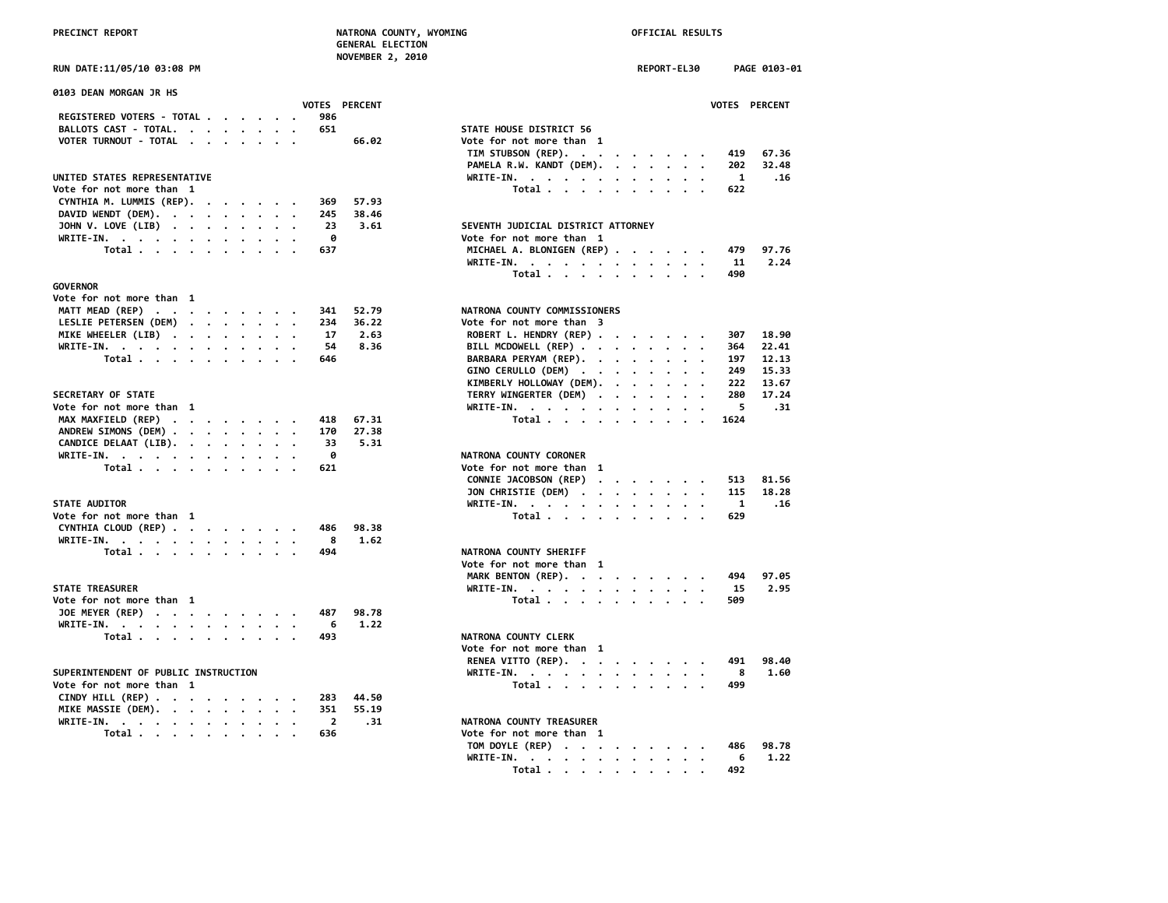# **NOVEMBER 2, 2010**

| 0103 DEAN MORGAN JR HS                                                                                                                                                                                                                        |                                                                                                                                   |
|-----------------------------------------------------------------------------------------------------------------------------------------------------------------------------------------------------------------------------------------------|-----------------------------------------------------------------------------------------------------------------------------------|
| VOTES PERCENT                                                                                                                                                                                                                                 | <b>VOTES</b>                                                                                                                      |
| REGISTERED VOTERS - TOTAL<br>986                                                                                                                                                                                                              |                                                                                                                                   |
| 651<br>BALLOTS CAST - TOTAL.                                                                                                                                                                                                                  | STATE HOUSE DISTRICT 56                                                                                                           |
| VOTER TURNOUT - TOTAL<br>66.02                                                                                                                                                                                                                | Vote for not more than 1                                                                                                          |
|                                                                                                                                                                                                                                               | 419<br>TIM STUBSON (REP).                                                                                                         |
|                                                                                                                                                                                                                                               | PAMELA R.W. KANDT (DEM).<br>202                                                                                                   |
| UNITED STATES REPRESENTATIVE                                                                                                                                                                                                                  | WRITE-IN.<br>$\blacksquare$                                                                                                       |
| Vote for not more than 1                                                                                                                                                                                                                      | Total<br>622                                                                                                                      |
| CYNTHIA M. LUMMIS (REP).<br>57.93<br>369                                                                                                                                                                                                      |                                                                                                                                   |
| DAVID WENDT (DEM).<br>38.46<br>245                                                                                                                                                                                                            |                                                                                                                                   |
| JOHN V. LOVE (LIB)<br>3.61<br>23                                                                                                                                                                                                              | SEVENTH JUDICIAL DISTRICT ATTORNEY                                                                                                |
| ø<br>WRITE-IN.                                                                                                                                                                                                                                | Vote for not more than 1                                                                                                          |
| 637                                                                                                                                                                                                                                           | 479<br>MICHAEL A. BLONIGEN (REP)                                                                                                  |
| Total                                                                                                                                                                                                                                         |                                                                                                                                   |
|                                                                                                                                                                                                                                               | WRITE-IN.<br>11                                                                                                                   |
|                                                                                                                                                                                                                                               | Total<br>490                                                                                                                      |
| GOVERNOR                                                                                                                                                                                                                                      |                                                                                                                                   |
| Vote for not more than 1                                                                                                                                                                                                                      |                                                                                                                                   |
| MATT MEAD (REP)<br>341<br>52.79                                                                                                                                                                                                               | NATRONA COUNTY COMMISSIONERS                                                                                                      |
| LESLIE PETERSEN (DEM)<br>36.22<br>234                                                                                                                                                                                                         | Vote for not more than 3                                                                                                          |
| MIKE WHEELER (LIB)<br>17<br>2.63                                                                                                                                                                                                              | ROBERT L. HENDRY (REP)<br>307                                                                                                     |
| WRITE-IN.<br>54<br>8.36                                                                                                                                                                                                                       | BILL MCDOWELL (REP)<br>364                                                                                                        |
| Total<br>646                                                                                                                                                                                                                                  | 197<br>BARBARA PERYAM (REP).                                                                                                      |
|                                                                                                                                                                                                                                               | 249<br>GINO CERULLO (DEM)                                                                                                         |
|                                                                                                                                                                                                                                               | KIMBERLY HOLLOWAY (DEM).<br>222                                                                                                   |
| <b>SECRETARY OF STATE</b>                                                                                                                                                                                                                     | TERRY WINGERTER (DEM)<br>280                                                                                                      |
| Vote for not more than 1                                                                                                                                                                                                                      | WRITE-IN.<br>5                                                                                                                    |
| MAX MAXFIELD (REP)<br>67.31<br>418                                                                                                                                                                                                            | Total<br>1624                                                                                                                     |
| ANDREW SIMONS (DEM)<br>170<br>27.38                                                                                                                                                                                                           |                                                                                                                                   |
| 5.31<br>33                                                                                                                                                                                                                                    |                                                                                                                                   |
| CANDICE DELAAT (LIB).                                                                                                                                                                                                                         |                                                                                                                                   |
| WRITE-IN.<br>ø                                                                                                                                                                                                                                | NATRONA COUNTY CORONER                                                                                                            |
| Total<br>621                                                                                                                                                                                                                                  | Vote for not more than 1                                                                                                          |
|                                                                                                                                                                                                                                               | CONNIE JACOBSON (REP)<br>513                                                                                                      |
|                                                                                                                                                                                                                                               | JON CHRISTIE (DEM)<br>115                                                                                                         |
| <b>STATE AUDITOR</b>                                                                                                                                                                                                                          | WRITE-IN.<br>$\mathbf{1}$                                                                                                         |
| Vote for not more than 1                                                                                                                                                                                                                      | 629<br>Total                                                                                                                      |
| CYNTHIA CLOUD (REP)<br>98.38<br>486                                                                                                                                                                                                           |                                                                                                                                   |
| WRITE-IN.<br>1.62<br>- 8                                                                                                                                                                                                                      |                                                                                                                                   |
| Total $\cdots$ $\cdots$ $\cdots$<br>494                                                                                                                                                                                                       | NATRONA COUNTY SHERIFF                                                                                                            |
|                                                                                                                                                                                                                                               | Vote for not more than 1                                                                                                          |
|                                                                                                                                                                                                                                               | MARK BENTON (REP).<br>494                                                                                                         |
| <b>STATE TREASURER</b>                                                                                                                                                                                                                        | WRITE-IN.<br>-15                                                                                                                  |
| Vote for not more than 1                                                                                                                                                                                                                      | 509<br>Total                                                                                                                      |
| JOE MEYER (REP)<br>487<br>98.78                                                                                                                                                                                                               |                                                                                                                                   |
| 1.22<br>6                                                                                                                                                                                                                                     |                                                                                                                                   |
| WRITE-IN.                                                                                                                                                                                                                                     |                                                                                                                                   |
| Total<br>493                                                                                                                                                                                                                                  | NATRONA COUNTY CLERK                                                                                                              |
|                                                                                                                                                                                                                                               | Vote for not more than 1                                                                                                          |
|                                                                                                                                                                                                                                               | RENEA VITTO (REP).<br>491                                                                                                         |
| SUPERINTENDENT OF PUBLIC INSTRUCTION                                                                                                                                                                                                          | WRITE-IN.<br>8<br>the contract of the contract of the contract of the contract of the contract of the contract of the contract of |
| Vote for not more than 1                                                                                                                                                                                                                      | Total<br>499                                                                                                                      |
| CINDY HILL (REP)<br>44.50<br>283                                                                                                                                                                                                              |                                                                                                                                   |
| 55.19<br>MIKE MASSIE (DEM).<br>351                                                                                                                                                                                                            |                                                                                                                                   |
| WRITE-IN.<br>$\overline{2}$<br>.31                                                                                                                                                                                                            | NATRONA COUNTY TREASURER                                                                                                          |
| Total<br>636<br>. The contract of the contract of the contract of the contract of the contract of the contract of the contract of the contract of the contract of the contract of the contract of the contract of the contract of the contrac | Vote for not more than 1                                                                                                          |
|                                                                                                                                                                                                                                               |                                                                                                                                   |

| RUN DATE:11/05/10 03:08 PM                                         |                      |       |                                                                                                       | REPORT-EL30 |               |              | PAGE 0103-01  |
|--------------------------------------------------------------------|----------------------|-------|-------------------------------------------------------------------------------------------------------|-------------|---------------|--------------|---------------|
| 0103 DEAN MORGAN JR HS                                             | <b>VOTES PERCENT</b> |       |                                                                                                       |             |               |              | VOTES PERCENT |
| REGISTERED VOTERS - TOTAL                                          | 986                  |       |                                                                                                       |             |               |              |               |
| BALLOTS CAST - TOTAL.                                              | 651                  |       | STATE HOUSE DISTRICT 56                                                                               |             |               |              |               |
| VOTER TURNOUT - TOTAL                                              |                      | 66.02 | Vote for not more than 1                                                                              |             |               |              |               |
|                                                                    |                      |       | TIM STUBSON (REP).                                                                                    |             |               | 419          | 67.36         |
|                                                                    |                      |       | PAMELA R.W. KANDT (DEM).                                                                              |             |               | 202          | 32.48         |
| UNITED STATES REPRESENTATIVE                                       |                      |       |                                                                                                       |             |               | $\mathbf{1}$ | . 16          |
| Vote for not more than 1                                           |                      |       | WRITE-IN.                                                                                             |             |               | 622          |               |
|                                                                    |                      |       | Total                                                                                                 |             |               |              |               |
| CYNTHIA M. LUMMIS (REP).<br>$\cdots$                               | 369                  | 57.93 |                                                                                                       |             |               |              |               |
| DAVID WENDT (DEM).                                                 | 245                  | 38.46 |                                                                                                       |             |               |              |               |
| JOHN V. LOVE (LIB)                                                 | 23                   | 3.61  | SEVENTH JUDICIAL DISTRICT ATTORNEY                                                                    |             |               |              |               |
| WRITE-IN.                                                          | ø                    |       | Vote for not more than 1                                                                              |             |               |              |               |
| Total                                                              | 637                  |       | MICHAEL A. BLONIGEN (REP)                                                                             |             |               | 479          | 97.76         |
|                                                                    |                      |       | WRITE-IN.                                                                                             |             |               | 11           | 2.24          |
|                                                                    |                      |       | Total                                                                                                 |             |               | 490          |               |
| <b>GOVERNOR</b>                                                    |                      |       |                                                                                                       |             |               |              |               |
| Vote for not more than 1                                           |                      |       |                                                                                                       |             |               |              |               |
| MATT MEAD (REP)                                                    | 341                  | 52.79 | NATRONA COUNTY COMMISSIONERS                                                                          |             |               |              |               |
| LESLIE PETERSEN (DEM)                                              | 234                  | 36.22 | Vote for not more than 3                                                                              |             |               |              |               |
| MIKE WHEELER (LIB)                                                 | 17                   | 2.63  | ROBERT L. HENDRY (REP)                                                                                |             |               | 307          | 18.90         |
| WRITE-IN.<br>$\cdot$ .                                             | 54                   | 8.36  | BILL MCDOWELL (REP)                                                                                   |             |               | 364          | 22.41         |
| Total                                                              | 646                  |       | BARBARA PERYAM (REP).                                                                                 |             |               | 197          | 12.13         |
|                                                                    |                      |       | GINO CERULLO (DEM)                                                                                    |             |               | 249          | 15.33         |
|                                                                    |                      |       | KIMBERLY HOLLOWAY (DEM).                                                                              |             |               | 222          | 13.67         |
| SECRETARY OF STATE                                                 |                      |       | TERRY WINGERTER (DEM)                                                                                 |             |               | 280          | 17.24         |
| Vote for not more than 1                                           |                      |       | WRITE-IN.                                                                                             |             |               | 5            | .31           |
| MAX MAXFIELD (REP)                                                 | 418                  | 67.31 | Total $\cdots$ $\cdots$ $\cdots$                                                                      |             | $\sim$ $\sim$ | 1624         |               |
| ANDREW SIMONS (DEM)                                                | 170                  | 27.38 |                                                                                                       |             |               |              |               |
| CANDICE DELAAT (LIB).                                              | 33                   | 5.31  |                                                                                                       |             |               |              |               |
| WRITE-IN.                                                          | ø                    |       | NATRONA COUNTY CORONER                                                                                |             |               |              |               |
| Total                                                              | 621                  |       | Vote for not more than 1                                                                              |             |               |              |               |
|                                                                    |                      |       | CONNIE JACOBSON (REP)                                                                                 |             |               | 513          | 81.56         |
|                                                                    |                      |       | JON CHRISTIE (DEM)                                                                                    |             |               | 115          | 18.28         |
| <b>STATE AUDITOR</b>                                               |                      |       | WRITE-IN.                                                                                             |             |               | -1           | .16           |
| Vote for not more than 1                                           |                      |       | Total $\cdots$ $\cdots$ $\cdots$                                                                      |             |               | 629          |               |
| CYNTHIA CLOUD (REP)                                                | 486                  | 98.38 |                                                                                                       |             |               |              |               |
| WRITE-IN.                                                          | 8                    | 1.62  |                                                                                                       |             |               |              |               |
| Total                                                              | 494                  |       | NATRONA COUNTY SHERIFF                                                                                |             |               |              |               |
|                                                                    |                      |       | Vote for not more than 1                                                                              |             |               |              |               |
|                                                                    |                      |       | MARK BENTON (REP).                                                                                    |             |               | 494          | 97.05         |
| <b>STATE TREASURER</b>                                             |                      |       |                                                                                                       |             |               |              | 2.95          |
| Vote for not more than 1                                           |                      |       | WRITE-IN.                                                                                             |             |               | 15<br>509    |               |
|                                                                    |                      |       | Total                                                                                                 |             |               |              |               |
| JOE MEYER (REP)                                                    | 487                  | 98.78 |                                                                                                       |             |               |              |               |
| WRITE-IN.                                                          | 6                    | 1.22  |                                                                                                       |             |               |              |               |
| Total                                                              | 493                  |       | NATRONA COUNTY CLERK                                                                                  |             |               |              |               |
|                                                                    |                      |       | Vote for not more than 1                                                                              |             |               |              |               |
|                                                                    |                      |       | RENEA VITTO (REP).                                                                                    |             |               | 491          | 98.40         |
| SUPERINTENDENT OF PUBLIC INSTRUCTION                               |                      |       | WRITE-IN.                                                                                             |             |               | 8            | 1.60          |
| Vote for not more than 1                                           |                      |       | Total $\cdots$ $\cdots$ $\cdots$                                                                      |             |               | 499          |               |
| CINDY HILL (REP) $\cdot \cdot \cdot \cdot \cdot \cdot \cdot \cdot$ | 283                  | 44.50 |                                                                                                       |             |               |              |               |
| MIKE MASSIE (DEM).                                                 | 351                  | 55.19 |                                                                                                       |             |               |              |               |
| WRITE-IN.                                                          | $\overline{2}$       | .31   | NATRONA COUNTY TREASURER                                                                              |             |               |              |               |
| Total                                                              | 636                  |       | Vote for not more than 1                                                                              |             |               |              |               |
|                                                                    |                      |       | TOM DOYLE (REP)                                                                                       |             |               | 486          | 98.78         |
|                                                                    |                      |       | WRITE-IN.<br>$\mathbf{r}$ , and $\mathbf{r}$ , and $\mathbf{r}$ , and $\mathbf{r}$ , and $\mathbf{r}$ |             |               | 6            | 1.22          |

 **Total . . . . . . . . . . 492**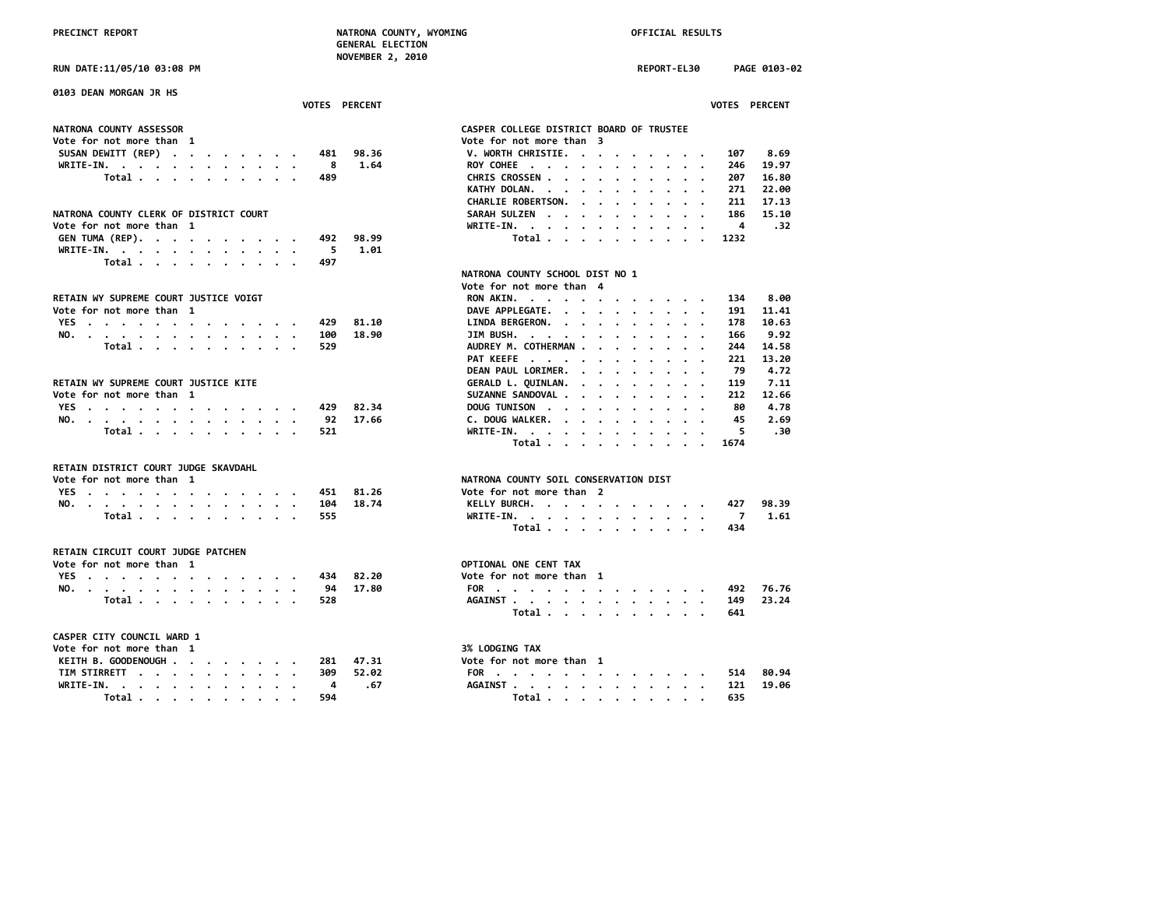**RUN DATE:11/05/10 03:08 PM REPORT-EL30 PAGE 0103-02 0103 DEAN MORGAN JR HS** NATRONA COUNTY ASSESSOR<br>
Vote for not more than 1 **Vote for not more than 1 Vote for not more than 3 SUSAN DEWITT (REP) . . . . . . . . 481 98.36 WRITE-IN.** . . . . . . . . . . . . 8 1.64  **Total . . . . . . . . . . 489 NATRONA COUNTY CLERK OF DISTRICT COURT** Vote for not more than 1 **GEN TUMA (REP). . . . . . . . . . 492 98.99 WRITE-IN. . . . . . . . . . . . 5 1.01 Total . . . . . . . . . . 497 NATRONA COUNTY SCHOOL DIST NO 1** *Vote for not more than* 4 RETAIN WY SUPREME COURT JUSTICE VOIGT Vote for not more than 1 **YES** . . . . . . . . . . . . . . 429 81.10 **NO.** . . . . . . . . . . . . . . 100 18.90  **Total . . . . . . . . . . . 529** RETAIN WY SUPREME COURT JUSTICE KITE Vote for not more than 1 **YES** . . . . . . . . . . . . . 429 82.34 **NO.** . . . . . . . . . . . . . . 92 17.66  **Total . . . . . . . . . . 521 Total . . . . . . . . . . 1674 RETAIN DISTRICT COURT JUDGE SKAVDAHL Vote for not more than 1** NATRONA CONSERVATION NATRONAL CONSERVATION NATRONAL CONSERVATION NATRONA CONSERVATION NATRONAL CONSERVATION NATRONA CONSERVATION NATRONAL CONSERVATION NATRONAL CONSERVATION NATRONAL CONSERVATION **YES** . . . . . . . . . . . . . 451 81.26 **NO.** . . . . . . . . . . . . . . 104 18.74  **Total** . . . . . . . . . . . 555  **Total . . . . . . . . . . 434 RETAIN CIRCUIT COURT JUDGE PATCHEN Vote for not more than 1** OPTION<br> **VES YES** . . . . . . . . . . . . . . **NO.** . . . . . . . . . . . . . . 94 17.80  **Total . . . . . . . . . . . 528 Total . . . . . . . . . . 641 CASPER CITY COUNCIL WARD 1 Vote for not more than 1** 3% Vote for not more than 1 3% LODGING TAXABLE 100 Vote 12 13 14 231 Vote 13 14 231 Vo **KEITH B. GOODENOUGH . . . . . . . . 281 47.31 TIM STIRRETT . . . . . . . . . . . 309 52.02 WRITE-IN.** . . . . . . . . . . . . . 4 .67<br>Total . . . . . . . . . . 594

| VOTES PERCENT                                                     |                                          | VOTES PERCENT |
|-------------------------------------------------------------------|------------------------------------------|---------------|
| <b>NATRONA COUNTY ASSESSOR</b>                                    | CASPER COLLEGE DISTRICT BOARD OF TRUSTEE |               |
| Vote for not more than  1                                         | Vote for not more than 3                 |               |
| 98.36<br>SUSAN DEWITT (REP)<br>481                                | V. WORTH CHRISTIE.<br>107                | 8.69          |
| WRITE-IN.<br>- 8<br>1.64                                          | ROY COHEE<br>246                         | 19.97         |
| Total<br>489                                                      | CHRIS CROSSEN<br>207                     | 16.80         |
|                                                                   | KATHY DOLAN.<br>271                      | 22.00         |
|                                                                   | CHARLIE ROBERTSON.<br>211                | 17.13         |
| NATRONA COUNTY CLERK OF DISTRICT COURT                            | SARAH SULZEN<br>186                      | 15.10         |
| Vote for not more than 1                                          | WRITE-IN.<br>4                           | .32           |
| GEN TUMA (REP).<br>98.99<br>492                                   | Total<br>1232                            |               |
| WRITE-IN.<br>5<br>1.01                                            |                                          |               |
| Total<br>497                                                      |                                          |               |
|                                                                   | NATRONA COUNTY SCHOOL DIST NO 1          |               |
|                                                                   | Vote for not more than 4                 |               |
| RETAIN WY SUPREME COURT JUSTICE VOIGT                             | RON AKIN.<br>134                         | 8.00          |
| Vote for not more than  1                                         | DAVE APPLEGATE.<br>191                   | 11.41         |
| YES<br>429<br>81.10                                               | LINDA BERGERON.<br>178                   | 10.63         |
| 18.90<br>NO.<br>100                                               | JIM BUSH.<br>166                         | 9.92          |
| Total<br>529                                                      | AUDREY M. COTHERMAN<br>244               | 14.58         |
|                                                                   | PAT KEEFE<br>221                         | 13.20         |
|                                                                   | DEAN PAUL LORIMER.<br>79                 | 4.72          |
| RETAIN WY SUPREME COURT JUSTICE KITE                              | GERALD L. QUINLAN.<br>119                | 7.11          |
| Vote for not more than 1                                          | SUZANNE SANDOVAL<br>212                  | 12.66         |
| 82.34<br>YES<br>429                                               | DOUG TUNISON<br>80                       | 4.78          |
| 92<br>17.66<br>NO.                                                | 45<br>C. DOUG WALKER.                    | 2.69          |
| Total<br>521                                                      | 5<br>WRITE-IN.                           | .30           |
|                                                                   | Total<br>1674                            |               |
|                                                                   |                                          |               |
| RETAIN DISTRICT COURT JUDGE SKAVDAHL<br>Vote for not more than  1 | NATRONA COUNTY SOIL CONSERVATION DIST    |               |
| YES<br>451<br>81.26                                               | Vote for not more than 2                 |               |
| 18.74<br>104                                                      | KELLY BURCH.<br>427                      | 98.39         |
| NO.<br>Total<br>555                                               | WRITE-IN.<br>7                           | 1.61          |
|                                                                   | Total<br>434                             |               |
|                                                                   |                                          |               |
| RETAIN CIRCUIT COURT JUDGE PATCHEN                                |                                          |               |
| Vote for not more than  1                                         | OPTIONAL ONE CENT TAX                    |               |
| YES<br>82.20<br>434                                               | Vote for not more than 1                 |               |
| 94<br>17.80<br>NO.                                                | FOR<br>492                               | 76.76         |
| Total<br>528                                                      | AGAINST<br>149                           | 23.24         |
|                                                                   | Total<br>641                             |               |
| <b>CASPER CITY COUNCIL WARD 1</b>                                 |                                          |               |
| Vote for not more than 1                                          | <b>3% LODGING TAX</b>                    |               |
| KEITH B. GOODENOUGH<br>47.31<br>281                               | Vote for not more than 1                 |               |
| TIM STIRRETT<br>309<br>52.02                                      | FOR<br>514                               | 80.94         |
| WRITE-IN.<br>4<br>.67                                             | AGAINST<br>121                           | 19.06         |
| Total<br>594                                                      | Total<br>635                             |               |
|                                                                   |                                          |               |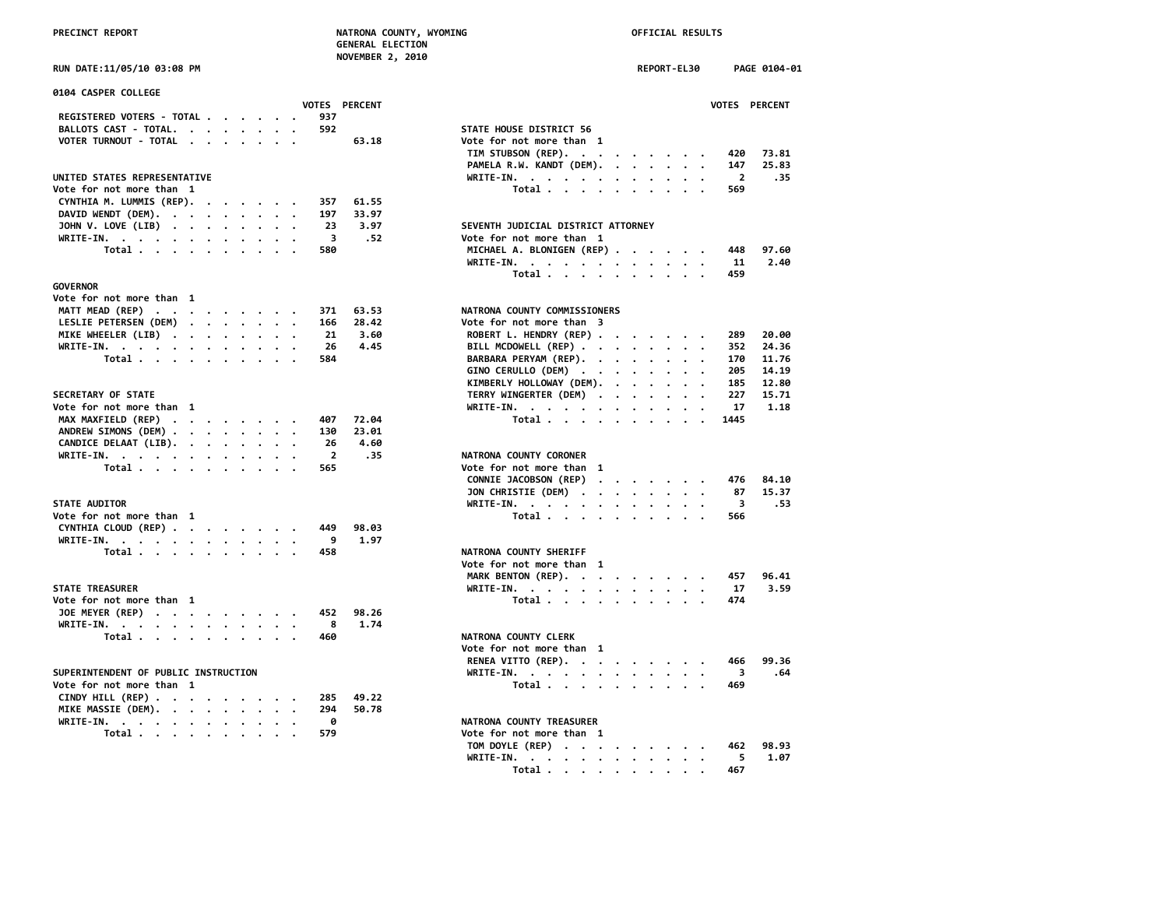| 0104 CASPER COLLEGE                  |  |  |                |                      |                                                                                                                                                                                                                                             |                         |
|--------------------------------------|--|--|----------------|----------------------|---------------------------------------------------------------------------------------------------------------------------------------------------------------------------------------------------------------------------------------------|-------------------------|
|                                      |  |  |                | <b>VOTES PERCENT</b> |                                                                                                                                                                                                                                             | <b>VOTES</b>            |
| REGISTERED VOTERS - TOTAL            |  |  | 937            |                      |                                                                                                                                                                                                                                             |                         |
| BALLOTS CAST - TOTAL.                |  |  | 592            |                      | STATE HOUSE DISTRICT 56                                                                                                                                                                                                                     |                         |
| VOTER TURNOUT - TOTAL                |  |  |                | 63.18                | Vote for not more than 1                                                                                                                                                                                                                    |                         |
|                                      |  |  |                |                      | TIM STUBSON (REP).                                                                                                                                                                                                                          | 420                     |
|                                      |  |  |                |                      | PAMELA R.W. KANDT (DEM).                                                                                                                                                                                                                    | 147                     |
| UNITED STATES REPRESENTATIVE         |  |  |                |                      | WRITE-IN.                                                                                                                                                                                                                                   | $\overline{\mathbf{2}}$ |
| Vote for not more than 1             |  |  |                |                      | Total.                                                                                                                                                                                                                                      | 569                     |
| CYNTHIA M. LUMMIS (REP).             |  |  | 357            | 61.55                |                                                                                                                                                                                                                                             |                         |
| DAVID WENDT (DEM).                   |  |  | 197            | 33.97                |                                                                                                                                                                                                                                             |                         |
| JOHN V. LOVE (LIB)                   |  |  | 23             | 3.97                 | SEVENTH JUDICIAL DISTRICT ATTORNEY                                                                                                                                                                                                          |                         |
|                                      |  |  | 3              | .52                  | Vote for not more than 1                                                                                                                                                                                                                    |                         |
| WRITE-IN.<br>Total                   |  |  | 580            |                      | MICHAEL A. BLONIGEN (REP)                                                                                                                                                                                                                   | 448                     |
|                                      |  |  |                |                      |                                                                                                                                                                                                                                             |                         |
|                                      |  |  |                |                      | WRITE-IN.                                                                                                                                                                                                                                   | -11                     |
|                                      |  |  |                |                      | Total                                                                                                                                                                                                                                       | 459                     |
| <b>GOVERNOR</b>                      |  |  |                |                      |                                                                                                                                                                                                                                             |                         |
| Vote for not more than 1             |  |  |                |                      |                                                                                                                                                                                                                                             |                         |
| MATT MEAD (REP)                      |  |  | 371            | 63.53                | NATRONA COUNTY COMMISSIONERS                                                                                                                                                                                                                |                         |
| LESLIE PETERSEN (DEM)                |  |  | 166            | 28.42                | Vote for not more than 3                                                                                                                                                                                                                    |                         |
| MIKE WHEELER (LIB)                   |  |  | 21             | 3.60                 | ROBERT L. HENDRY (REP)                                                                                                                                                                                                                      | 289                     |
| WRITE-IN.                            |  |  | 26             | 4.45                 | BILL MCDOWELL (REP)                                                                                                                                                                                                                         | 352                     |
| Total                                |  |  | 584            |                      | BARBARA PERYAM (REP).                                                                                                                                                                                                                       | 170                     |
|                                      |  |  |                |                      | GINO CERULLO (DEM)                                                                                                                                                                                                                          | 205                     |
|                                      |  |  |                |                      | KIMBERLY HOLLOWAY (DEM).                                                                                                                                                                                                                    | 185                     |
| <b>SECRETARY OF STATE</b>            |  |  |                |                      | TERRY WINGERTER (DEM)                                                                                                                                                                                                                       | 227                     |
| Vote for not more than 1             |  |  |                |                      | WRITE-IN.                                                                                                                                                                                                                                   | 17                      |
| MAX MAXFIELD (REP)                   |  |  | 407            | 72.04                | Total                                                                                                                                                                                                                                       | 1445                    |
| ANDREW SIMONS (DEM)                  |  |  | 130            | 23.01                |                                                                                                                                                                                                                                             |                         |
| CANDICE DELAAT (LIB).                |  |  | 26             | 4.60                 |                                                                                                                                                                                                                                             |                         |
| WRITE-IN.                            |  |  | $\overline{2}$ | .35                  | NATRONA COUNTY CORONER                                                                                                                                                                                                                      |                         |
| Total                                |  |  | 565            |                      | Vote for not more than 1                                                                                                                                                                                                                    |                         |
|                                      |  |  |                |                      | CONNIE JACOBSON (REP)                                                                                                                                                                                                                       | 476                     |
|                                      |  |  |                |                      | $\mathbf{u} = \mathbf{u} + \mathbf{u} + \mathbf{u} + \mathbf{u} + \mathbf{u} + \mathbf{u}$                                                                                                                                                  |                         |
|                                      |  |  |                |                      | JON CHRISTIE (DEM)                                                                                                                                                                                                                          | 87                      |
| <b>STATE AUDITOR</b>                 |  |  |                |                      | WRITE-IN.                                                                                                                                                                                                                                   | 3                       |
| Vote for not more than 1             |  |  |                |                      | Total $\ldots$ $\ldots$ $\ldots$                                                                                                                                                                                                            | 566                     |
| CYNTHIA CLOUD (REP)                  |  |  | 449            | 98.03                |                                                                                                                                                                                                                                             |                         |
| WRITE-IN.                            |  |  | 9              | 1.97                 |                                                                                                                                                                                                                                             |                         |
| Total                                |  |  | 458            |                      | NATRONA COUNTY SHERIFF                                                                                                                                                                                                                      |                         |
|                                      |  |  |                |                      | Vote for not more than 1                                                                                                                                                                                                                    |                         |
|                                      |  |  |                |                      | MARK BENTON (REP).                                                                                                                                                                                                                          | 457                     |
| <b>STATE TREASURER</b>               |  |  |                |                      | WRITE-IN.                                                                                                                                                                                                                                   | 17                      |
| Vote for not more than 1             |  |  |                |                      | Total $\cdots$ $\cdots$ $\cdots$                                                                                                                                                                                                            | 474                     |
| JOE MEYER (REP)                      |  |  | 452            | 98.26                |                                                                                                                                                                                                                                             |                         |
| WRITE-IN.                            |  |  | 8              | 1.74                 |                                                                                                                                                                                                                                             |                         |
| Total                                |  |  | 460            |                      | NATRONA COUNTY CLERK                                                                                                                                                                                                                        |                         |
|                                      |  |  |                |                      | Vote for not more than 1                                                                                                                                                                                                                    |                         |
|                                      |  |  |                |                      | RENEA VITTO (REP).                                                                                                                                                                                                                          | 466                     |
| SUPERINTENDENT OF PUBLIC INSTRUCTION |  |  |                |                      | WRITE-IN.<br>the contract of the contract of the contract of the contract of the contract of the contract of the contract of the contract of the contract of the contract of the contract of the contract of the contract of the contract o | 3                       |
| Vote for not more than 1             |  |  |                |                      | Total                                                                                                                                                                                                                                       | 469                     |
| CINDY HILL (REP)                     |  |  | 285            | 49.22                |                                                                                                                                                                                                                                             |                         |
| MIKE MASSIE (DEM).                   |  |  | 294            | 50.78                |                                                                                                                                                                                                                                             |                         |
|                                      |  |  | 0              |                      | NATRONA COUNTY TREASURER                                                                                                                                                                                                                    |                         |
| WRITE-IN.<br>Total                   |  |  | 579            |                      | Vote for not more than 1                                                                                                                                                                                                                    |                         |
|                                      |  |  |                |                      |                                                                                                                                                                                                                                             |                         |

| RUN DATE:11/05/10 03:08 PM                               | REPORT-EL30<br>PAGE 0104-01                 |
|----------------------------------------------------------|---------------------------------------------|
| 0104 CASPER COLLEGE                                      |                                             |
| <b>VOTES PERCENT</b><br>REGISTERED VOTERS - TOTAL<br>937 | VOTES PERCENT                               |
| BALLOTS CAST - TOTAL.<br>592                             | STATE HOUSE DISTRICT 56                     |
| VOTER TURNOUT - TOTAL<br>63.18                           | Vote for not more than 1                    |
|                                                          | TIM STUBSON (REP).<br>73.81<br>420          |
|                                                          | PAMELA R.W. KANDT (DEM).<br>147<br>25.83    |
| UNITED STATES REPRESENTATIVE                             | $\overline{2}$<br>WRITE-IN.<br>.35          |
| Vote for not more than 1                                 | Total<br>569                                |
| CYNTHIA M. LUMMIS (REP).<br>61.55<br>357                 |                                             |
| 197<br>33.97                                             |                                             |
| DAVID WENDT (DEM).                                       |                                             |
| JOHN V. LOVE (LIB)<br>23<br>3.97                         | SEVENTH JUDICIAL DISTRICT ATTORNEY          |
| $\overline{\mathbf{3}}$<br>.52<br>WRITE-IN.              | Vote for not more than 1                    |
| Total<br>580                                             | MICHAEL A. BLONIGEN (REP)<br>97.60<br>448   |
|                                                          | WRITE-IN.<br>2.40<br>11                     |
|                                                          | Total<br>459                                |
| <b>GOVERNOR</b>                                          |                                             |
| Vote for not more than 1                                 |                                             |
| MATT MEAD (REP)<br>371<br>63.53                          | NATRONA COUNTY COMMISSIONERS                |
| LESLIE PETERSEN (DEM)<br>166<br>28.42                    | Vote for not more than 3                    |
| MIKE WHEELER (LIB)<br>21<br>3.60                         | ROBERT L. HENDRY (REP)<br>289<br>20.00      |
| 26<br>4.45<br>WRITE-IN.                                  | BILL MCDOWELL (REP)<br>352<br>24.36         |
| Total<br>584                                             | 11.76<br>BARBARA PERYAM (REP).<br>170       |
|                                                          | GINO CERULLO (DEM)<br>14.19<br>205          |
|                                                          | KIMBERLY HOLLOWAY (DEM).<br>185<br>12.80    |
| SECRETARY OF STATE                                       | TERRY WINGERTER (DEM)<br>227<br>15.71       |
| Vote for not more than 1                                 | 17<br>1.18                                  |
|                                                          | WRITE-IN.<br>1445                           |
| MAX MAXFIELD (REP)<br>407<br>72.04                       | Total<br>$\cdot$ .                          |
| ANDREW SIMONS (DEM)<br>130<br>23.01                      |                                             |
| CANDICE DELAAT (LIB).<br>26<br>4.60                      |                                             |
| $\overline{2}$<br>.35<br>WRITE-IN.                       | NATRONA COUNTY CORONER                      |
| Total<br>565                                             | Vote for not more than 1                    |
|                                                          | CONNIE JACOBSON (REP)<br>84.10<br>476       |
|                                                          | JON CHRISTIE (DEM)<br>87<br>15.37           |
| <b>STATE AUDITOR</b>                                     | $\overline{\mathbf{3}}$<br>.53<br>WRITE-IN. |
| Vote for not more than 1                                 | Total<br>566                                |
| CYNTHIA CLOUD (REP)<br>449<br>98.03                      |                                             |
| 9<br>1.97<br>WRITE-IN.                                   |                                             |
| Total<br>458                                             | NATRONA COUNTY SHERIFF                      |
|                                                          | Vote for not more than 1                    |
|                                                          | MARK BENTON (REP).<br>457<br>96.41          |
| STATE TREASURER                                          | WRITE-IN.<br>17<br>3.59                     |
| Vote for not more than 1                                 | Total<br>474                                |
| JOE MEYER (REP)<br>452<br>98.26                          |                                             |
| 8<br>1.74                                                |                                             |
| WRITE-IN.                                                |                                             |
| Total<br>460                                             | NATRONA COUNTY CLERK                        |
|                                                          | Vote for not more than 1                    |
|                                                          | RENEA VITTO (REP).<br>99.36<br>466          |
| SUPERINTENDENT OF PUBLIC INSTRUCTION                     | WRITE-IN.<br>$\overline{\mathbf{3}}$<br>.64 |
| Vote for not more than 1                                 | Total<br>469                                |
| CINDY HILL (REP)<br>285<br>49.22                         |                                             |
| MIKE MASSIE (DEM).<br>294<br>50.78                       |                                             |
| 0<br>WRITE-IN.<br>$\cdot$                                | NATRONA COUNTY TREASURER                    |
| Total<br>579                                             | Vote for not more than 1                    |
|                                                          | TOM DOYLE (REP)<br>462<br>98.93             |
|                                                          | 5<br>WRITE-IN.<br>1.07                      |
|                                                          |                                             |

 **Total . . . . . . . . . . 467**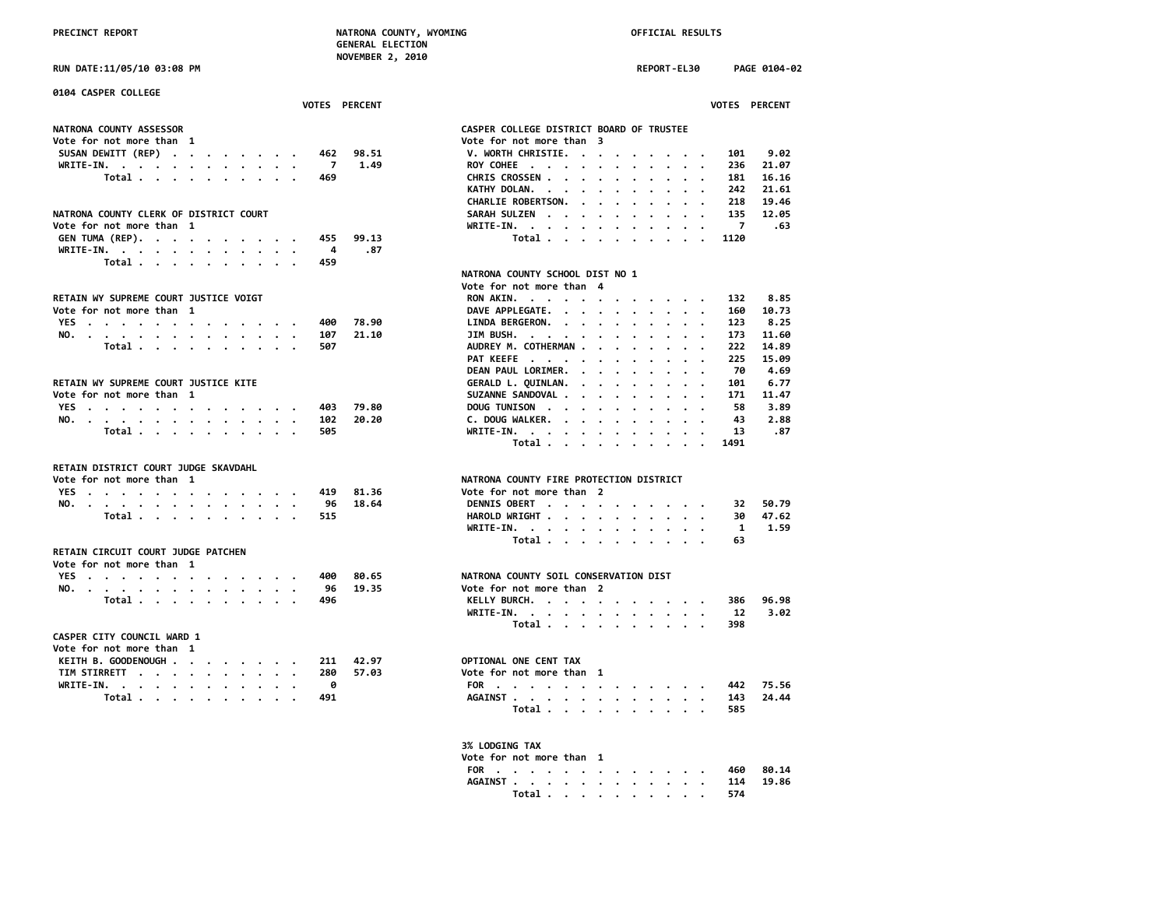**RUN DATE:11/05/10 03:08 PM REPORT-EL30 PAGE 0104-02**

| 0104 CASPER COLLEGE                                            |                |               |                                          |                |                      |
|----------------------------------------------------------------|----------------|---------------|------------------------------------------|----------------|----------------------|
|                                                                |                | VOTES PERCENT |                                          |                | <b>VOTES PERCENT</b> |
| NATRONA COUNTY ASSESSOR                                        |                |               | CASPER COLLEGE DISTRICT BOARD OF TRUSTEE |                |                      |
| Vote for not more than 1                                       |                |               | Vote for not more than 3                 |                |                      |
| SUSAN DEWITT (REP)                                             |                | 462 98.51     | V. WORTH CHRISTIE.                       | 101            | 9.02                 |
| WRITE-IN.                                                      | $\overline{7}$ | 1.49          | ROY COHEE                                | 236            | 21.07                |
| Total                                                          | 469            |               | CHRIS CROSSEN                            | 181            | 16.16                |
|                                                                |                |               | KATHY DOLAN.                             | 242            | 21.61                |
|                                                                |                |               | CHARLIE ROBERTSON.                       | 218            | 19.46                |
| NATRONA COUNTY CLERK OF DISTRICT COURT                         |                |               |                                          | 135            | 12.05                |
|                                                                |                |               | SARAH SULZEN                             | $\overline{7}$ | .63                  |
| Vote for not more than 1                                       |                |               | WRITE-IN.                                |                |                      |
| GEN TUMA (REP).                                                | 455            | 99.13         | Total                                    | 1120           |                      |
| WRITE-IN.                                                      | -4             | .87           |                                          |                |                      |
| Total                                                          | 459            |               |                                          |                |                      |
|                                                                |                |               | NATRONA COUNTY SCHOOL DIST NO 1          |                |                      |
|                                                                |                |               | Vote for not more than 4                 |                |                      |
| RETAIN WY SUPREME COURT JUSTICE VOIGT                          |                |               | RON AKIN.                                | 132            | 8.85                 |
| Vote for not more than 1                                       |                |               | DAVE APPLEGATE.                          | 160            | 10.73                |
| YES                                                            | 400            | 78.90         | LINDA BERGERON.                          | 123            | 8.25                 |
| NO.                                                            | 107            | 21.10         | JIM BUSH.                                | 173            | 11.60                |
| Total                                                          | 507            |               | AUDREY M. COTHERMAN                      | 222            | 14.89                |
|                                                                |                |               | PAT KEEFE                                | 225            | 15.09                |
|                                                                |                |               | DEAN PAUL LORIMER.                       | 70             | 4.69                 |
| RETAIN WY SUPREME COURT JUSTICE KITE                           |                |               | GERALD L. QUINLAN.                       | 101            | 6.77                 |
| Vote for not more than 1                                       |                |               | SUZANNE SANDOVAL                         | 171            | 11.47                |
| YES                                                            | 403            | 79.80         | DOUG TUNISON                             | 58             | 3.89                 |
| NO.                                                            | 102            | 20.20         | C. DOUG WALKER.                          | 43             | 2.88                 |
| Total                                                          | 505            |               | WRITE-IN.                                | 13             | .87                  |
|                                                                |                |               | Total                                    | 1491           |                      |
|                                                                |                |               |                                          |                |                      |
| RETAIN DISTRICT COURT JUDGE SKAVDAHL                           |                |               |                                          |                |                      |
| Vote for not more than 1                                       |                |               | NATRONA COUNTY FIRE PROTECTION DISTRICT  |                |                      |
| YES                                                            | 419            | 81.36         | Vote for not more than 2                 |                |                      |
| NO.                                                            | 96             | 18.64         | DENNIS OBERT                             | 32             | 50.79                |
| Total                                                          | 515            |               | HAROLD WRIGHT                            | 30             | 47.62                |
|                                                                |                |               | WRITE-IN.                                | 1              | 1.59                 |
|                                                                |                |               | Total                                    | 63             |                      |
| RETAIN CIRCUIT COURT JUDGE PATCHEN<br>Vote for not more than 1 |                |               |                                          |                |                      |
| YES                                                            | 400            | 80.65         | NATRONA COUNTY SOIL CONSERVATION DIST    |                |                      |
| NO.                                                            | 96             | 19.35         | Vote for not more than 2                 |                |                      |
| Total                                                          | 496            |               | KELLY BURCH.                             | 386            | 96.98                |
|                                                                |                |               | WRITE-IN.                                | 12             | 3.02                 |
|                                                                |                |               |                                          | 398            |                      |
|                                                                |                |               | Total                                    |                |                      |
| CASPER CITY COUNCIL WARD 1                                     |                |               |                                          |                |                      |
| Vote for not more than 1                                       |                |               |                                          |                |                      |
| KEITH B. GOODENOUGH                                            | 211            | 42.97         | OPTIONAL ONE CENT TAX                    |                |                      |
| TIM STIRRETT                                                   | 280            | 57.03         | Vote for not more than 1                 |                |                      |
| WRITE-IN.                                                      | 0              |               | FOR                                      | 442            | 75.56                |
| Total                                                          | 491            |               | AGAINST                                  | 143            | 24.44                |
|                                                                |                |               | Total                                    | 585            |                      |
|                                                                |                |               |                                          |                |                      |

|                                                           |         |                                                       |                                                                       |                                                             |                                   |                      |                                                                                                                                                                                                                               |                      |                                                                                                    | <b>VOTES PERCENT</b> |  |
|-----------------------------------------------------------|---------|-------------------------------------------------------|-----------------------------------------------------------------------|-------------------------------------------------------------|-----------------------------------|----------------------|-------------------------------------------------------------------------------------------------------------------------------------------------------------------------------------------------------------------------------|----------------------|----------------------------------------------------------------------------------------------------|----------------------|--|
|                                                           |         |                                                       |                                                                       |                                                             |                                   |                      |                                                                                                                                                                                                                               |                      |                                                                                                    |                      |  |
| <b>ASPER COLLEGE DISTRICT BOARD OF TRUSTEE</b>            |         |                                                       |                                                                       |                                                             |                                   |                      |                                                                                                                                                                                                                               |                      |                                                                                                    |                      |  |
| ote for not more than 3                                   |         |                                                       |                                                                       |                                                             |                                   |                      |                                                                                                                                                                                                                               |                      |                                                                                                    |                      |  |
| V. WORTH CHRISTIE.                                        |         |                                                       |                                                                       | $\bullet$ .                                                 | $\bullet$ , $\bullet$ , $\bullet$ |                      |                                                                                                                                                                                                                               |                      | 101                                                                                                | 9.02                 |  |
| ROY COHEE                                                 |         | $\cdot$                                               | $\ddot{\phantom{a}}$                                                  | $\bullet$ .<br><br><br><br><br><br><br><br><br><br><br><br> |                                   |                      | $\mathbf{r} = \mathbf{r} + \mathbf{r}$ .                                                                                                                                                                                      |                      |                                                                                                    | $236$ $21.07$        |  |
| CHRIS CROSSEN                                             |         |                                                       |                                                                       | $\bullet$                                                   | $\bullet$                         | $\sim$               |                                                                                                                                                                                                                               |                      | 181                                                                                                | 16.16                |  |
|                                                           |         |                                                       |                                                                       |                                                             |                                   |                      | $\cdots$                                                                                                                                                                                                                      |                      | 242                                                                                                | 21.61                |  |
| KATHY DOLAN.<br>CHARLIE ROBERTSON.                        |         |                                                       |                                                                       |                                                             |                                   |                      | $\mathbf{r} = \mathbf{r} + \mathbf{r} + \mathbf{r} + \mathbf{r}$ .                                                                                                                                                            |                      | 218                                                                                                | 19.46                |  |
| SARAH SULZEN                                              |         |                                                       | $\bullet$                                                             |                                                             |                                   |                      | $\mathbf{r}=\mathbf{r}=\mathbf{r}=\mathbf{r}=\mathbf{r}=\mathbf{r}=\mathbf{r}$                                                                                                                                                |                      |                                                                                                    | 135 12.05            |  |
| WRITE-IN. .                                               |         | $\mathbf{r} = \mathbf{r} + \mathbf{r} + \mathbf{r}$ . |                                                                       | $\sim$                                                      |                                   |                      | $\bullet$ .<br><br><br><br><br><br><br><br><br><br><br><br><br><br><br>                                                                                                                                                       |                      | $\overline{7}$<br>$\begin{array}{ccc}\n\cdot & \cdot & & 7 \\ \cdot & \cdot & & 1120\n\end{array}$ | .63                  |  |
| Total                                                     |         |                                                       |                                                                       | $\ddot{\phantom{a}}$                                        |                                   |                      | $\cdot$ $\cdot$ $\cdot$                                                                                                                                                                                                       |                      |                                                                                                    |                      |  |
|                                                           |         |                                                       |                                                                       |                                                             |                                   |                      |                                                                                                                                                                                                                               |                      |                                                                                                    |                      |  |
| <b>ATRONA COUNTY SCHOOL DIST NO 1</b>                     |         |                                                       |                                                                       |                                                             |                                   |                      |                                                                                                                                                                                                                               |                      |                                                                                                    |                      |  |
| ote for not more than                                     |         |                                                       | 4                                                                     |                                                             |                                   |                      |                                                                                                                                                                                                                               |                      |                                                                                                    |                      |  |
| <b>RON AKIN.</b>                                          |         |                                                       |                                                                       |                                                             |                                   |                      |                                                                                                                                                                                                                               |                      | 132                                                                                                | 8.85                 |  |
| DAVE APPLEGATE. .                                         |         |                                                       | $\bullet$                                                             |                                                             | $\bullet$                         |                      | $\mathbf{r}=\mathbf{r}+\mathbf{r}+\mathbf{r}+\mathbf{r}$                                                                                                                                                                      |                      | 160                                                                                                | 10.73                |  |
| LINDA BERGERON.                                           |         | $\ddot{\phantom{0}}$                                  | $\sim$                                                                | $\cdot$ $\cdot$ $\cdot$                                     |                                   |                      | $\sim$ $\sim$                                                                                                                                                                                                                 | $\ddot{\phantom{0}}$ | 123                                                                                                | 8.25                 |  |
| JIM BUSH.                                                 |         |                                                       | $\sim$                                                                | $\cdot$                                                     | $\bullet$                         | $\ddot{\phantom{0}}$ | $\sim$ $\sim$                                                                                                                                                                                                                 | $\ddot{\phantom{0}}$ |                                                                                                    |                      |  |
|                                                           | $\cdot$ | $\langle \cdot \rangle$                               |                                                                       |                                                             |                                   |                      |                                                                                                                                                                                                                               |                      | 173                                                                                                | 11.60                |  |
| AUDREY M. COTHERMAN                                       |         |                                                       |                                                                       | $\sim 100$ km s $^{-1}$                                     |                                   |                      | $\mathbf{r}=\mathbf{r}+\mathbf{r}+\mathbf{r}+\mathbf{r}$                                                                                                                                                                      |                      | 222                                                                                                | 14.89                |  |
| PAT KEEFE                                                 |         |                                                       |                                                                       | $\cdots$                                                    |                                   |                      | $\mathbf{r}=\mathbf{r}+\mathbf{r}+\mathbf{r}+\mathbf{r}$                                                                                                                                                                      |                      | 225                                                                                                | 15.09                |  |
| DEAN PAUL LORIMER.                                        |         |                                                       |                                                                       |                                                             |                                   |                      | $\mathbf{r}$ , and $\mathbf{r}$ , and $\mathbf{r}$ , and $\mathbf{r}$                                                                                                                                                         |                      | 70                                                                                                 | 4.69                 |  |
| GERALD L. QUINLAN.                                        |         |                                                       |                                                                       |                                                             |                                   |                      | $\begin{array}{cccccccccccccc} \bullet & \bullet & \bullet & \bullet & \bullet & \bullet & \bullet & \bullet & \bullet \end{array}$                                                                                           |                      | 101                                                                                                | 6.77                 |  |
| SUZANNE SANDOVAL                                          |         |                                                       |                                                                       | $\sim$                                                      |                                   |                      | $\bullet$ .<br><br><br><br><br><br><br><br><br><br><br><br><br><br><br>                                                                                                                                                       |                      | 171                                                                                                | 11.47                |  |
| DOUG TUNISON                                              |         |                                                       |                                                                       | $\ddot{\phantom{0}}$                                        | $\ddot{\phantom{0}}$              |                      | $\cdot$ $\cdot$ $\cdot$ $\cdot$                                                                                                                                                                                               |                      | 58                                                                                                 | 3.89                 |  |
| C. DOUG WALKER.                                           |         |                                                       |                                                                       | $\sim$                                                      |                                   |                      | $\bullet \qquad \bullet \qquad \bullet \qquad \bullet \qquad \bullet \qquad \bullet \qquad$                                                                                                                                   |                      | 43                                                                                                 | 2.88                 |  |
| WRITE-IN.                                                 |         | $\mathbf{r}=\mathbf{r}+\mathbf{r}+\mathbf{r}$         |                                                                       |                                                             |                                   |                      | $\mathbf{r}=\mathbf{r}=\mathbf{r}=\mathbf{r}=\mathbf{r}=\mathbf{r}$ .                                                                                                                                                         |                      | 13                                                                                                 | .87                  |  |
| Total                                                     |         |                                                       |                                                                       |                                                             |                                   |                      | $\mathbf{r}=\mathbf{r}=\mathbf{r}=\mathbf{r}=\mathbf{r}$ .                                                                                                                                                                    |                      | 1491                                                                                               |                      |  |
|                                                           |         |                                                       |                                                                       |                                                             |                                   |                      |                                                                                                                                                                                                                               |                      |                                                                                                    |                      |  |
| ATRONA COUNTY FIRE PROTECTION DISTRICT                    |         |                                                       |                                                                       |                                                             |                                   |                      |                                                                                                                                                                                                                               |                      |                                                                                                    |                      |  |
| ote for not more than 2                                   |         |                                                       |                                                                       |                                                             |                                   |                      |                                                                                                                                                                                                                               |                      |                                                                                                    |                      |  |
| <b>DENNIS OBERT .</b>                                     |         |                                                       | $\bullet$ , $\bullet$ , $\bullet$ , $\bullet$ , $\bullet$ , $\bullet$ |                                                             |                                   |                      |                                                                                                                                                                                                                               |                      | 32                                                                                                 | 50.79                |  |
| <b>HAROLD WRIGHT</b>                                      |         |                                                       |                                                                       |                                                             |                                   |                      | $\begin{array}{cccccccccc} 1 & 1 & 1 & 1 & 1 & 1 & 1 & 1 \\ 1 & 1 & 1 & 1 & 1 & 1 & 1 & 1 \\ \end{array}$                                                                                                                     |                      |                                                                                                    | 30 47.62             |  |
| WRITE-IN.                                                 |         |                                                       |                                                                       |                                                             |                                   |                      |                                                                                                                                                                                                                               |                      | $\mathbf{1}$                                                                                       | 1.59                 |  |
| Total $\ldots$ $\ldots$ $\ldots$ $\ldots$                 |         |                                                       |                                                                       |                                                             |                                   |                      |                                                                                                                                                                                                                               |                      | 63                                                                                                 |                      |  |
|                                                           |         |                                                       |                                                                       |                                                             |                                   |                      |                                                                                                                                                                                                                               |                      |                                                                                                    |                      |  |
|                                                           |         |                                                       |                                                                       |                                                             |                                   |                      |                                                                                                                                                                                                                               |                      |                                                                                                    |                      |  |
| ATRONA COUNTY SOIL CONSERVATION DIST                      |         |                                                       |                                                                       |                                                             |                                   |                      |                                                                                                                                                                                                                               |                      |                                                                                                    |                      |  |
| ote for not more than 2                                   |         |                                                       |                                                                       |                                                             |                                   |                      |                                                                                                                                                                                                                               |                      |                                                                                                    |                      |  |
| KELLY BURCH.                                              |         |                                                       | $\ddot{\phantom{0}}$                                                  | $\bullet$                                                   |                                   |                      |                                                                                                                                                                                                                               |                      |                                                                                                    | $\cdot$ 386 96.98    |  |
| WRITE-IN. .                                               |         |                                                       |                                                                       |                                                             |                                   |                      | a companies and a companies of the companies of the companies of the companies of the companies of the companies of the companies of the companies of the companies of the companies of the companies of the companies of the | $\sim$               | 12                                                                                                 | 3.02                 |  |
| Total                                                     |         |                                                       |                                                                       |                                                             |                                   |                      | $\begin{array}{cccccccccccccc} \bullet & \bullet & \bullet & \bullet & \bullet & \bullet & \bullet & \bullet & \bullet & \bullet \end{array}$                                                                                 |                      | 398                                                                                                |                      |  |
|                                                           |         |                                                       |                                                                       |                                                             |                                   |                      |                                                                                                                                                                                                                               |                      |                                                                                                    |                      |  |
|                                                           |         |                                                       |                                                                       |                                                             |                                   |                      |                                                                                                                                                                                                                               |                      |                                                                                                    |                      |  |
| <b>PTIONAL ONE CENT TAX</b>                               |         |                                                       |                                                                       |                                                             |                                   |                      |                                                                                                                                                                                                                               |                      |                                                                                                    |                      |  |
| ote for not more than                                     |         |                                                       | 1                                                                     |                                                             |                                   |                      |                                                                                                                                                                                                                               |                      |                                                                                                    |                      |  |
| FOR<br>$\mathbf{r}$ , and $\mathbf{r}$ , and $\mathbf{r}$ |         |                                                       | $\bullet$                                                             |                                                             |                                   |                      |                                                                                                                                                                                                                               |                      |                                                                                                    | $\cdot$ 442 75.56    |  |
| <b>AGAINST</b>                                            |         | $\cdot$ $\cdot$ $\cdot$                               | $\bullet$                                                             |                                                             |                                   |                      | $\mathbf{r} = \mathbf{r} + \mathbf{r}$ .                                                                                                                                                                                      | $\cdot$              | 143                                                                                                | 24.44                |  |
| Total                                                     |         |                                                       |                                                                       |                                                             |                                   |                      | $\cdot$ $\cdot$ $\cdot$ $\cdot$                                                                                                                                                                                               |                      | 585                                                                                                |                      |  |
|                                                           |         |                                                       |                                                                       |                                                             |                                   |                      |                                                                                                                                                                                                                               |                      |                                                                                                    |                      |  |

### **3% LODGING TAX Vote for not more than 1**

| vote for not more than |     |       |
|------------------------|-----|-------|
| FOR                    | 460 | 80.14 |
| AGAINST 114            |     | 19.86 |
| Total 574              |     |       |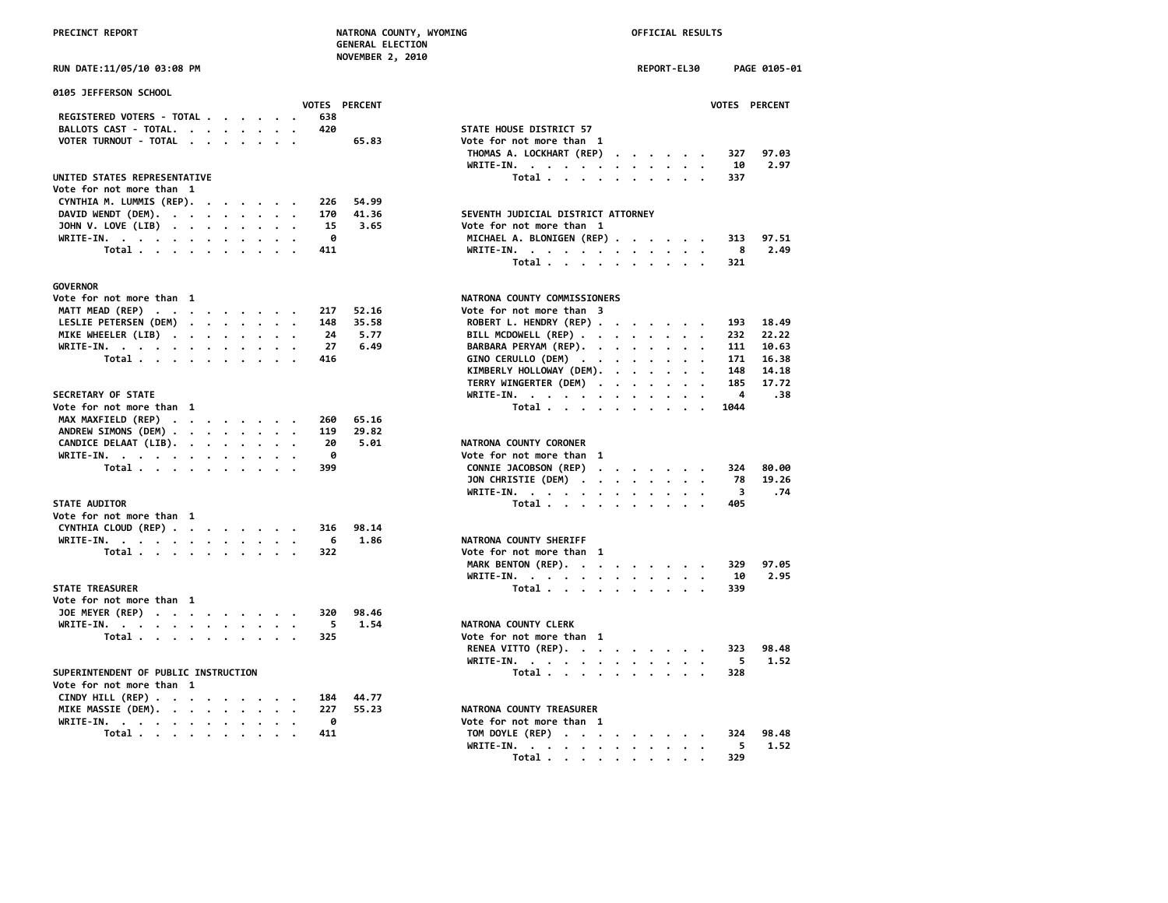|                             | <b>NOVEMBER 2, 2010</b> |  |
|-----------------------------|-------------------------|--|
| RIIN DATE∙11/05/10 03∙08 DM |                         |  |

| 0105 JEFFERSON SCHOOL                                                              |                                    |
|------------------------------------------------------------------------------------|------------------------------------|
| VOTES PERCENT                                                                      | <b>VOTES</b>                       |
| REGISTERED VOTERS - TOTAL<br>638                                                   |                                    |
| BALLOTS CAST - TOTAL.<br>420                                                       | STATE HOUSE DISTRICT 57            |
| VOTER TURNOUT - TOTAL<br>65.83                                                     | Vote for not more than 1           |
|                                                                                    | THOMAS A. LOCKHART (REP)<br>327    |
|                                                                                    | WRITE-IN.<br>-10                   |
| UNITED STATES REPRESENTATIVE                                                       | Total<br>337                       |
| Vote for not more than 1                                                           |                                    |
| CYNTHIA M. LUMMIS (REP).<br>54.99<br>226                                           |                                    |
| DAVID WENDT (DEM).<br>41.36<br>170                                                 | SEVENTH JUDICIAL DISTRICT ATTORNEY |
| JOHN V. LOVE (LIB)<br>3.65<br>15                                                   | Vote for not more than 1           |
| ø<br>WRITE-IN.                                                                     | MICHAEL A. BLONIGEN (REP)<br>313   |
| Total<br>411                                                                       | WRITE-IN.<br>-8                    |
|                                                                                    | Total<br>321                       |
|                                                                                    |                                    |
| GOVERNOR                                                                           |                                    |
| Vote for not more than 1                                                           | NATRONA COUNTY COMMISSIONERS       |
| MATT MEAD (REP)<br>217<br>52.16                                                    | Vote for not more than 3           |
| LESLIE PETERSEN (DEM)<br>35.58<br>148                                              | ROBERT L. HENDRY (REP)<br>193      |
| MIKE WHEELER (LIB)<br>24<br>5.77                                                   | BILL MCDOWELL (REP)<br>232         |
| 6.49<br>WRITE-IN.<br>27                                                            | BARBARA PERYAM (REP).<br>111       |
| Total<br>416                                                                       | 171<br>GINO CERULLO (DEM)          |
|                                                                                    | KIMBERLY HOLLOWAY (DEM).<br>148    |
|                                                                                    | TERRY WINGERTER (DEM)<br>185       |
| <b>SECRETARY OF STATE</b>                                                          | WRITE-IN.<br>4                     |
|                                                                                    |                                    |
| Vote for not more than 1                                                           | Total<br>1044                      |
| MAX MAXFIELD (REP)<br>65.16<br>260                                                 |                                    |
| ANDREW SIMONS (DEM)<br>29.82<br>119                                                |                                    |
| CANDICE DELAAT (LIB).<br>20<br>5.01                                                | NATRONA COUNTY CORONER             |
| WRITE-IN.<br>- 0                                                                   | Vote for not more than 1           |
| Total<br>399                                                                       | CONNIE JACOBSON (REP)<br>324       |
|                                                                                    | JON CHRISTIE (DEM)<br>- 78         |
|                                                                                    | - 3<br>WRITE-IN.                   |
| <b>STATE AUDITOR</b>                                                               | Total<br>405                       |
| Vote for not more than 1                                                           |                                    |
| CYNTHIA CLOUD (REP)<br>98.14<br>316                                                |                                    |
| WRITE-IN.<br>1.86<br>6                                                             | NATRONA COUNTY SHERIFF             |
| Total<br>322                                                                       | Vote for not more than 1           |
|                                                                                    | MARK BENTON (REP).<br>329          |
|                                                                                    | WRITE-IN.<br>-10                   |
| <b>STATE TREASURER</b>                                                             | Total<br>339                       |
| Vote for not more than 1                                                           |                                    |
| JOE MEYER (REP)<br>98.46<br>320                                                    |                                    |
| WRITE-IN.<br>5<br>1.54                                                             | NATRONA COUNTY CLERK               |
| Total<br>325                                                                       | Vote for not more than 1           |
|                                                                                    | RENEA VITTO (REP).<br>323          |
|                                                                                    | WRITE-IN.<br>5                     |
| SUPERINTENDENT OF PUBLIC INSTRUCTION                                               | Total<br>328                       |
| Vote for not more than 1                                                           |                                    |
| CINDY HILL (REP) $\cdot \cdot \cdot \cdot \cdot \cdot \cdot \cdot$<br>184<br>44.77 |                                    |
|                                                                                    |                                    |
| MIKE MASSIE (DEM).<br>55.23<br>227                                                 | NATRONA COUNTY TREASURER           |
| WRITE-IN.<br>- 0                                                                   | Vote for not more than 1           |
| Total<br>411                                                                       | TOM DOYLE (REP)<br>324             |

|                                      | <b>NOVEMBER 2, 2010</b> |                                    |             |               |
|--------------------------------------|-------------------------|------------------------------------|-------------|---------------|
| RUN DATE:11/05/10 03:08 PM           |                         |                                    | REPORT-EL30 | PAGE 0105-01  |
|                                      |                         |                                    |             |               |
| 0105 JEFFERSON SCHOOL                |                         |                                    |             |               |
|                                      | <b>VOTES PERCENT</b>    |                                    |             | VOTES PERCENT |
| REGISTERED VOTERS - TOTAL<br>638     |                         |                                    |             |               |
| BALLOTS CAST - TOTAL.<br>420         |                         | STATE HOUSE DISTRICT 57            |             |               |
| VOTER TURNOUT - TOTAL                | 65.83                   | Vote for not more than 1           |             |               |
|                                      |                         | THOMAS A. LOCKHART (REP)           |             | 327<br>97.03  |
|                                      |                         | WRITE-IN.                          |             | 10<br>2.97    |
| UNITED STATES REPRESENTATIVE         |                         | Total                              |             | 337           |
| Vote for not more than 1             |                         |                                    |             |               |
|                                      |                         |                                    |             |               |
| CYNTHIA M. LUMMIS (REP).<br>226      | 54.99                   |                                    |             |               |
| DAVID WENDT (DEM).<br>170            | 41.36                   | SEVENTH JUDICIAL DISTRICT ATTORNEY |             |               |
| JOHN V. LOVE (LIB)<br>15             | 3.65                    | Vote for not more than 1           |             |               |
| WRITE-IN.<br>ø                       |                         | MICHAEL A. BLONIGEN (REP)          |             | 313<br>97.51  |
| Total<br>411                         |                         | WRITE-IN.                          |             | 8<br>2.49     |
|                                      |                         | Total                              |             | 321           |
|                                      |                         |                                    |             |               |
| <b>GOVERNOR</b>                      |                         |                                    |             |               |
| Vote for not more than 1             |                         | NATRONA COUNTY COMMISSIONERS       |             |               |
| MATT MEAD (REP)<br>217               | 52.16                   | Vote for not more than 3           |             |               |
| LESLIE PETERSEN (DEM)<br>148         | 35.58                   | ROBERT L. HENDRY (REP)             |             | 18.49<br>193  |
|                                      |                         |                                    |             |               |
| 24<br>MIKE WHEELER (LIB)             | 5.77                    | BILL MCDOWELL (REP)                |             | 232<br>22.22  |
| WRITE-IN.<br>27                      | 6.49                    | BARBARA PERYAM (REP).              |             | 111<br>10.63  |
| Total<br>416                         |                         | GINO CERULLO (DEM)                 |             | 171<br>16.38  |
|                                      |                         | KIMBERLY HOLLOWAY (DEM).           |             | 14.18<br>148  |
|                                      |                         | TERRY WINGERTER (DEM)              |             | 185<br>17.72  |
| SECRETARY OF STATE                   |                         | WRITE-IN.                          |             | 4<br>.38      |
| Vote for not more than 1             |                         | Total                              |             | 1044          |
| MAX MAXFIELD (REP)<br>260            | 65.16                   |                                    |             |               |
| 119<br>ANDREW SIMONS (DEM)           | 29.82                   |                                    |             |               |
| CANDICE DELAAT (LIB).<br>20          | 5.01                    | NATRONA COUNTY CORONER             |             |               |
| 0<br>WRITE-IN.                       |                         | Vote for not more than 1           |             |               |
| Total<br>399                         |                         | CONNIE JACOBSON (REP)              |             | 324<br>80.00  |
|                                      |                         |                                    |             | 78<br>19.26   |
|                                      |                         | JON CHRISTIE (DEM)                 |             |               |
|                                      |                         | WRITE-IN.                          |             | - 3<br>.74    |
| <b>STATE AUDITOR</b>                 |                         | Total                              |             | 405           |
| Vote for not more than 1             |                         |                                    |             |               |
| CYNTHIA CLOUD (REP)<br>316           | 98.14                   |                                    |             |               |
| WRITE-IN.<br>6                       | 1.86                    | NATRONA COUNTY SHERIFF             |             |               |
| Total<br>322                         |                         | Vote for not more than 1           |             |               |
|                                      |                         | MARK BENTON (REP).                 |             | 329<br>97.05  |
|                                      |                         | WRITE-IN.                          |             | 2.95<br>10    |
| STATE TREASURER                      |                         | Total                              |             | 339           |
| Vote for not more than 1             |                         |                                    |             |               |
| JOE MEYER (REP)<br>320               | 98.46                   |                                    |             |               |
| 5<br>WRITE-IN.                       | 1.54                    | NATRONA COUNTY CLERK               |             |               |
| 325                                  |                         | Vote for not more than 1           |             |               |
| Total                                |                         |                                    |             |               |
|                                      |                         | RENEA VITTO (REP).                 |             | 323<br>98.48  |
|                                      |                         | WRITE-IN.                          |             | -5<br>1.52    |
| SUPERINTENDENT OF PUBLIC INSTRUCTION |                         | Total                              |             | 328           |
| Vote for not more than 1             |                         |                                    |             |               |
| CINDY HILL (REP)<br>184              | 44.77                   |                                    |             |               |
| MIKE MASSIE (DEM).<br>227            | 55.23                   | NATRONA COUNTY TREASURER           |             |               |
| WRITE-IN.<br>0                       |                         | Vote for not more than 1           |             |               |
| Total<br>411                         |                         | TOM DOYLE (REP)                    |             | 98.48<br>324  |
|                                      |                         | WRITE-IN.                          |             | 5<br>1.52     |
|                                      |                         |                                    |             | 329           |
|                                      |                         | Total                              |             |               |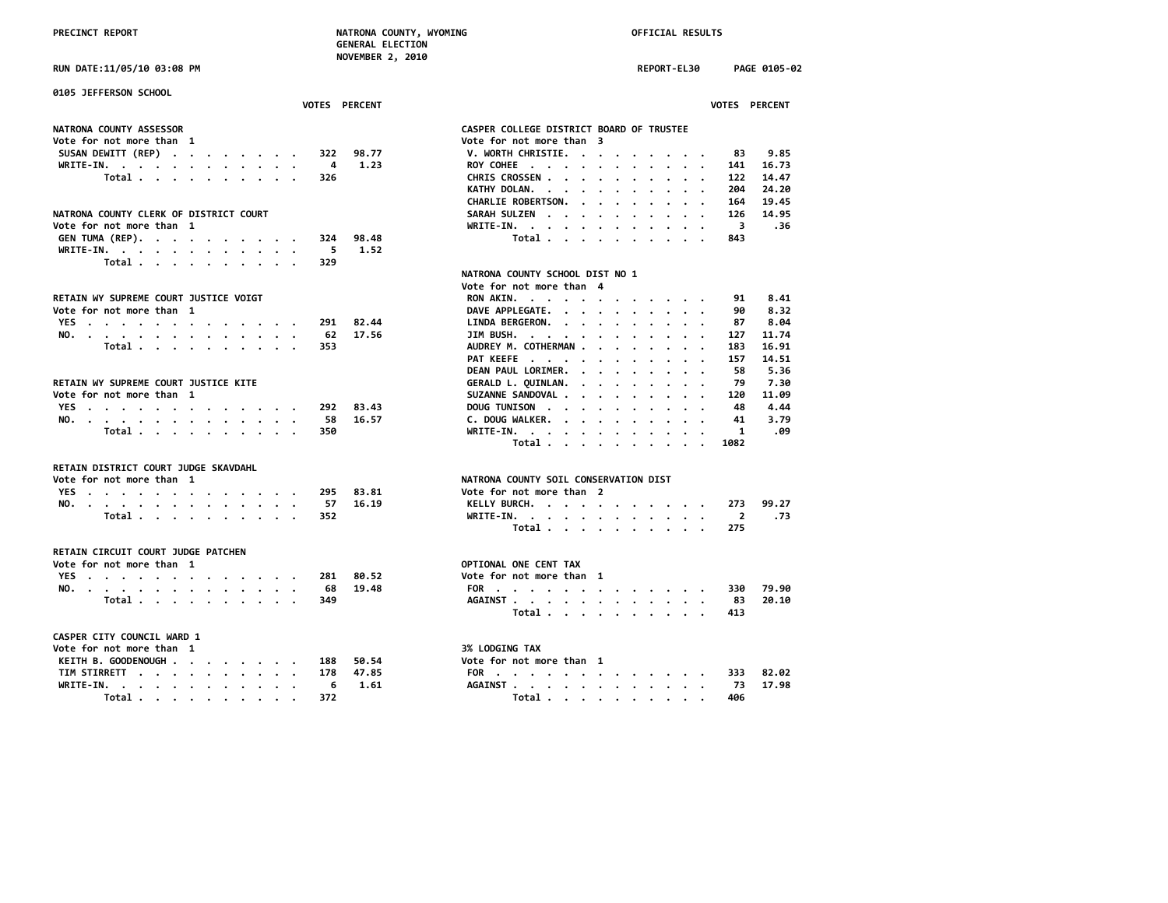**RUN DATE:11/05/10 03:08 PM REPORT-EL30 PAGE 0105-02**

| 0105 JEFFERSON SCHOOL                  |                                                                                                                                                                                                                                                                          |
|----------------------------------------|--------------------------------------------------------------------------------------------------------------------------------------------------------------------------------------------------------------------------------------------------------------------------|
| <b>VOTES PERCENT</b>                   | <b>VOTES PERCENT</b>                                                                                                                                                                                                                                                     |
| NATRONA COUNTY ASSESSOR                | CASPER COLLEGE DISTRICT BOARD OF TRUSTEE                                                                                                                                                                                                                                 |
| Vote for not more than 1               | Vote for not more than 3                                                                                                                                                                                                                                                 |
| SUSAN DEWITT (REP)<br>98.77<br>322     | 9.85<br>V. WORTH CHRISTIE.<br>83                                                                                                                                                                                                                                         |
| 1.23<br>WRITE-IN.<br>4                 | ROY COHEE<br>141<br>16.73                                                                                                                                                                                                                                                |
| Total<br>326                           | 14.47<br>CHRIS CROSSEN<br>122                                                                                                                                                                                                                                            |
|                                        | KATHY DOLAN.<br>24.20<br>204<br>$\bullet$<br>$\sim$ $\sim$ $\sim$ $\sim$ $\sim$                                                                                                                                                                                          |
|                                        | 19.45<br>CHARLIE ROBERTSON.<br>164<br>$\mathbf{r}$ , $\mathbf{r}$ , $\mathbf{r}$ , $\mathbf{r}$ , $\mathbf{r}$ , $\mathbf{r}$                                                                                                                                            |
| NATRONA COUNTY CLERK OF DISTRICT COURT | 14.95<br><b>SARAH SULZEN</b><br>126<br>$\mathbf{r}$ . The set of the set of the set of the set of the set of the set of the set of the set of the set of the set of the set of the set of the set of the set of the set of the set of the set of the set of the set of t |
| Vote for not more than 1               | WRITE-IN.<br>3<br>36.                                                                                                                                                                                                                                                    |
| GEN TUMA (REP).<br>98.48<br>324        | Total<br>843                                                                                                                                                                                                                                                             |
| 1.52<br>WRITE-IN.<br>5                 |                                                                                                                                                                                                                                                                          |
| Total<br>329                           |                                                                                                                                                                                                                                                                          |
|                                        | NATRONA COUNTY SCHOOL DIST NO 1                                                                                                                                                                                                                                          |
|                                        | Vote for not more than 4                                                                                                                                                                                                                                                 |
| RETAIN WY SUPREME COURT JUSTICE VOIGT  | 8.41<br><b>RON AKIN.</b><br>91<br>the contract of the contract of the                                                                                                                                                                                                    |
| Vote for not more than 1               | DAVE APPLEGATE.<br>8.32<br>90                                                                                                                                                                                                                                            |
| YES<br>82.44<br>291                    | LINDA BERGERON.<br>8.04<br>87<br>$\cdots$                                                                                                                                                                                                                                |
| NO.<br>62<br>17.56                     | 11,74<br>JIM BUSH.<br>127<br>$\mathbf{r}$ , and $\mathbf{r}$ , and $\mathbf{r}$ , and $\mathbf{r}$                                                                                                                                                                       |
| Total<br>353                           | AUDREY M. COTHERMAN<br>16.91<br>183                                                                                                                                                                                                                                      |
|                                        | 14.51<br>PAT KEEFE<br>157                                                                                                                                                                                                                                                |
|                                        | DEAN PAUL LORIMER.<br>58<br>5.36<br>$\cdots$                                                                                                                                                                                                                             |
| RETAIN WY SUPREME COURT JUSTICE KITE   | 79<br>7.30<br>GERALD L. QUINLAN.                                                                                                                                                                                                                                         |
| Vote for not more than 1               | the contract of the contract of the<br>SUZANNE SANDOVAL<br>120<br>11.09                                                                                                                                                                                                  |
| 83.43<br>292                           | 4.44<br>48                                                                                                                                                                                                                                                               |
| YES                                    | DOUG TUNISON<br>41                                                                                                                                                                                                                                                       |
| 16.57<br>NO.<br>58                     | C. DOUG WALKER.<br>3.79<br>1                                                                                                                                                                                                                                             |
| Total<br>350                           | WRITE-IN.<br>.09                                                                                                                                                                                                                                                         |
|                                        | Total<br>1082                                                                                                                                                                                                                                                            |
| RETAIN DISTRICT COURT JUDGE SKAVDAHL   |                                                                                                                                                                                                                                                                          |
| Vote for not more than 1               | NATRONA COUNTY SOIL CONSERVATION DIST                                                                                                                                                                                                                                    |
| YES<br>295<br>83.81                    | Vote for not more than 2                                                                                                                                                                                                                                                 |
| 16.19<br>NO.<br>57                     | 273<br>99.27<br>KELLY BURCH.                                                                                                                                                                                                                                             |
| Total<br>352                           | WRITE-IN.<br>$\overline{2}$<br>.73                                                                                                                                                                                                                                       |
|                                        | Total<br>275                                                                                                                                                                                                                                                             |
|                                        |                                                                                                                                                                                                                                                                          |
| RETAIN CIRCUIT COURT JUDGE PATCHEN     |                                                                                                                                                                                                                                                                          |
| Vote for not more than 1               | OPTIONAL ONE CENT TAX                                                                                                                                                                                                                                                    |
| YES<br>80.52<br>281                    | Vote for not more than 1                                                                                                                                                                                                                                                 |
| 19.48<br>NO.<br>68                     | 79.90<br>FOR<br>330                                                                                                                                                                                                                                                      |
| Total<br>349                           | AGAINST<br>20.10<br>83<br>$\ddotsc$<br>$\cdot$                                                                                                                                                                                                                           |
|                                        | Total<br>413                                                                                                                                                                                                                                                             |
|                                        |                                                                                                                                                                                                                                                                          |
| CASPER CITY COUNCIL WARD 1             |                                                                                                                                                                                                                                                                          |
| Vote for not more than 1               | <b>3% LODGING TAX</b>                                                                                                                                                                                                                                                    |
| KEITH B. GOODENOUGH<br>50.54<br>188    | Vote for not more than 1                                                                                                                                                                                                                                                 |
| 47.85<br>TIM STIRRETT<br>178           | 82.02<br>FOR<br>333                                                                                                                                                                                                                                                      |
| WRITE-IN.<br>6<br>1.61                 | AGAINST<br>17.98<br>73                                                                                                                                                                                                                                                   |
| Total<br>372                           | Total<br>406                                                                                                                                                                                                                                                             |

| CASPER COLLEGE DISTRICT BOARD OF TRUSTEE          |       |                      |                      |           |                                                                    |                      |                      |                      |                                               |                                                                                                                                                 |                        |  |
|---------------------------------------------------|-------|----------------------|----------------------|-----------|--------------------------------------------------------------------|----------------------|----------------------|----------------------|-----------------------------------------------|-------------------------------------------------------------------------------------------------------------------------------------------------|------------------------|--|
| Vote for not more than 3                          |       |                      |                      |           |                                                                    |                      |                      |                      |                                               |                                                                                                                                                 |                        |  |
| V. WORTH CHRISTIE. .                              |       |                      |                      | $\bullet$ |                                                                    |                      |                      |                      |                                               | $\cdot$ 83 9.85                                                                                                                                 |                        |  |
| ROY COHEE                                         |       |                      |                      |           | $\mathbf{r}=\mathbf{r}+\mathbf{r}+\mathbf{r}+\mathbf{r}$ .         |                      |                      |                      | $\sim$ $\sim$ $\sim$ $\sim$                   |                                                                                                                                                 |                        |  |
| CHRIS CROSSEN                                     |       |                      |                      |           | $\mathbf{u} = \mathbf{u} + \mathbf{u} + \mathbf{u} + \mathbf{u}$ . |                      |                      |                      | $\mathbf{r}=\mathbf{r}+\mathbf{r}$ .          |                                                                                                                                                 | 141 16.73<br>122 14.47 |  |
|                                                   |       |                      |                      |           |                                                                    |                      |                      |                      | $\mathbf{r}=\mathbf{r}+\mathbf{r}+\mathbf{r}$ | 204 24.20                                                                                                                                       |                        |  |
| KATHY DOLAN.<br>CHARLIE ROBERTSON.                |       |                      |                      |           |                                                                    |                      |                      |                      |                                               | 164                                                                                                                                             | 19.45                  |  |
| SARAH SULZEN                                      |       |                      |                      |           |                                                                    |                      |                      |                      | $\mathbf{r}$ . $\mathbf{r}$                   |                                                                                                                                                 | 126 14.95              |  |
| WRITE-IN.                                         |       |                      |                      |           |                                                                    |                      |                      |                      |                                               | $\overline{\mathbf{3}}$                                                                                                                         | .36                    |  |
|                                                   | Total |                      |                      |           |                                                                    | $\ddot{\phantom{a}}$ | $\ddot{\phantom{0}}$ |                      | $\cdot$ $\cdot$ $\cdot$                       | 843                                                                                                                                             |                        |  |
|                                                   |       |                      |                      |           |                                                                    |                      |                      |                      |                                               |                                                                                                                                                 |                        |  |
| <b>NATRONA COUNTY SCHOOL DIST NO 1</b>            |       |                      |                      |           |                                                                    |                      |                      |                      |                                               |                                                                                                                                                 |                        |  |
|                                                   |       |                      |                      |           |                                                                    |                      |                      |                      |                                               |                                                                                                                                                 |                        |  |
| Vote for not more than 4                          |       |                      |                      |           |                                                                    |                      |                      |                      |                                               |                                                                                                                                                 |                        |  |
| RON AKIN.                                         |       |                      |                      |           |                                                                    |                      |                      |                      |                                               |                                                                                                                                                 | 91 8.41                |  |
| DAVE APPLEGATE.                                   |       |                      |                      |           | $\mathbf{r}=\mathbf{r}+\mathbf{r}+\mathbf{r}+\mathbf{r}$           |                      |                      |                      | $\sim$ $\sim$ $\sim$ $\sim$                   | 90                                                                                                                                              | 8.32<br>$87$ $8.04$    |  |
| LINDA BERGERON.                                   |       |                      |                      |           | $\cdot$ $\cdot$                                                    | $\ddot{\phantom{a}}$ | $\ddot{\phantom{0}}$ |                      | $\cdots$                                      |                                                                                                                                                 |                        |  |
| JIM BUSH.                                         |       |                      |                      |           | $\ddot{\phantom{0}}$                                               | $\cdot$ $\cdot$      |                      |                      | $\mathbf{u} = \mathbf{u} + \mathbf{u}$ .      |                                                                                                                                                 | 127 11.74              |  |
| AUDREY M. COTHERMAN                               |       |                      |                      |           |                                                                    |                      |                      |                      | $\cdots$                                      | 183                                                                                                                                             | 16.91                  |  |
| PAT KEEFE                                         |       |                      |                      |           |                                                                    |                      |                      |                      | $\mathbf{r} = \mathbf{r} + \mathbf{r}$ .      | 157                                                                                                                                             | 14.51                  |  |
| DEAN PAUL LORIMER.                                |       |                      |                      |           |                                                                    |                      |                      |                      | $\mathbf{r} = \mathbf{r} + \mathbf{r}$ .      | 58                                                                                                                                              | 5.36                   |  |
| GERALD L. QUINLAN.                                |       |                      |                      |           |                                                                    |                      |                      |                      | $\cdot$ $\cdot$ $\cdot$                       | 79                                                                                                                                              | 7.30                   |  |
| SUZANNE SANDOVAL                                  |       |                      |                      |           |                                                                    |                      |                      |                      | $\mathbf{r}=\mathbf{r}+\mathbf{r}+\mathbf{r}$ |                                                                                                                                                 | ں۔ ,<br>11.09 120      |  |
| DOUG TUNISON                                      |       |                      |                      |           |                                                                    |                      |                      |                      | $\cdots$                                      | 48                                                                                                                                              | 4.44                   |  |
| C. DOUG WALKER.                                   |       |                      |                      |           | $\mathbf{r}=\mathbf{r}+\mathbf{r}+\mathbf{r}+\mathbf{r}$           |                      |                      |                      | $\mathbf{r}$ , and $\mathbf{r}$               |                                                                                                                                                 |                        |  |
| WRITE-IN.                                         |       |                      |                      |           |                                                                    |                      |                      | $\sim$ $\sim$ $\sim$ |                                               |                                                                                                                                                 | 41 3.79<br>1 .09       |  |
|                                                   | Total |                      |                      |           |                                                                    |                      |                      |                      |                                               | 1082                                                                                                                                            |                        |  |
|                                                   |       |                      |                      |           |                                                                    |                      |                      |                      |                                               |                                                                                                                                                 |                        |  |
| <b>NATRONA COUNTY SOIL CONSERVATION DIST</b>      |       |                      |                      |           |                                                                    |                      |                      |                      |                                               |                                                                                                                                                 |                        |  |
| Vote for not more than 2                          |       |                      |                      |           |                                                                    |                      |                      |                      |                                               |                                                                                                                                                 |                        |  |
| KELLY BURCH.                                      |       |                      |                      |           |                                                                    |                      |                      |                      |                                               |                                                                                                                                                 |                        |  |
| WRITE-IN. .                                       |       | $\ddot{\phantom{0}}$ | $\ddot{\phantom{0}}$ |           | $\mathbf{r}=\mathbf{r}+\mathbf{r}+\mathbf{r}+\mathbf{r}$           |                      |                      |                      | $\sim$ $\sim$ $\sim$                          | $\begin{array}{ccccccccc}\n\cdot & \cdot & \cdot & \cdot & \cdot & 273 & 99.27 \\ \cdot & \cdot & \cdot & \cdot & \cdot & 2 & .73\n\end{array}$ |                        |  |
|                                                   | Total |                      |                      |           |                                                                    |                      |                      |                      |                                               | $\cdot$ $\cdot$ $\cdot$ 275                                                                                                                     |                        |  |
|                                                   |       |                      |                      |           |                                                                    |                      |                      |                      |                                               |                                                                                                                                                 |                        |  |
| <b>OPTIONAL ONE CENT TAX</b>                      |       |                      |                      |           |                                                                    |                      |                      |                      |                                               |                                                                                                                                                 |                        |  |
|                                                   |       |                      |                      |           |                                                                    |                      |                      |                      |                                               |                                                                                                                                                 |                        |  |
| Vote for not more than 1                          |       |                      |                      |           |                                                                    |                      |                      |                      |                                               |                                                                                                                                                 |                        |  |
| FOR 330 79.90                                     |       |                      |                      |           |                                                                    |                      |                      |                      |                                               |                                                                                                                                                 |                        |  |
| AGAINST                                           |       | $\sim$               |                      |           | $\mathbf{r}$ , and $\mathbf{r}$ , and $\mathbf{r}$                 |                      |                      |                      | $\mathbf{r}=\mathbf{r}+\mathbf{r}$ .          | 83                                                                                                                                              | 20.10                  |  |
|                                                   | Total |                      |                      |           |                                                                    | $\sim$               | $\ddot{\phantom{0}}$ |                      |                                               | $\cdot \cdot \cdot$ 413                                                                                                                         |                        |  |
|                                                   |       |                      |                      |           |                                                                    |                      |                      |                      |                                               |                                                                                                                                                 |                        |  |
| <b>3% LODGING TAX</b><br>Vote for not more than 1 |       |                      |                      |           |                                                                    |                      |                      |                      |                                               |                                                                                                                                                 |                        |  |
|                                                   |       |                      |                      |           |                                                                    |                      |                      |                      |                                               |                                                                                                                                                 |                        |  |
| FOR 333 82.02<br>AGAINST 73 17.98                 |       |                      |                      |           |                                                                    |                      |                      |                      |                                               |                                                                                                                                                 |                        |  |
|                                                   |       |                      |                      |           |                                                                    |                      |                      |                      |                                               |                                                                                                                                                 |                        |  |
| Total 406                                         |       |                      |                      |           |                                                                    |                      |                      |                      |                                               |                                                                                                                                                 |                        |  |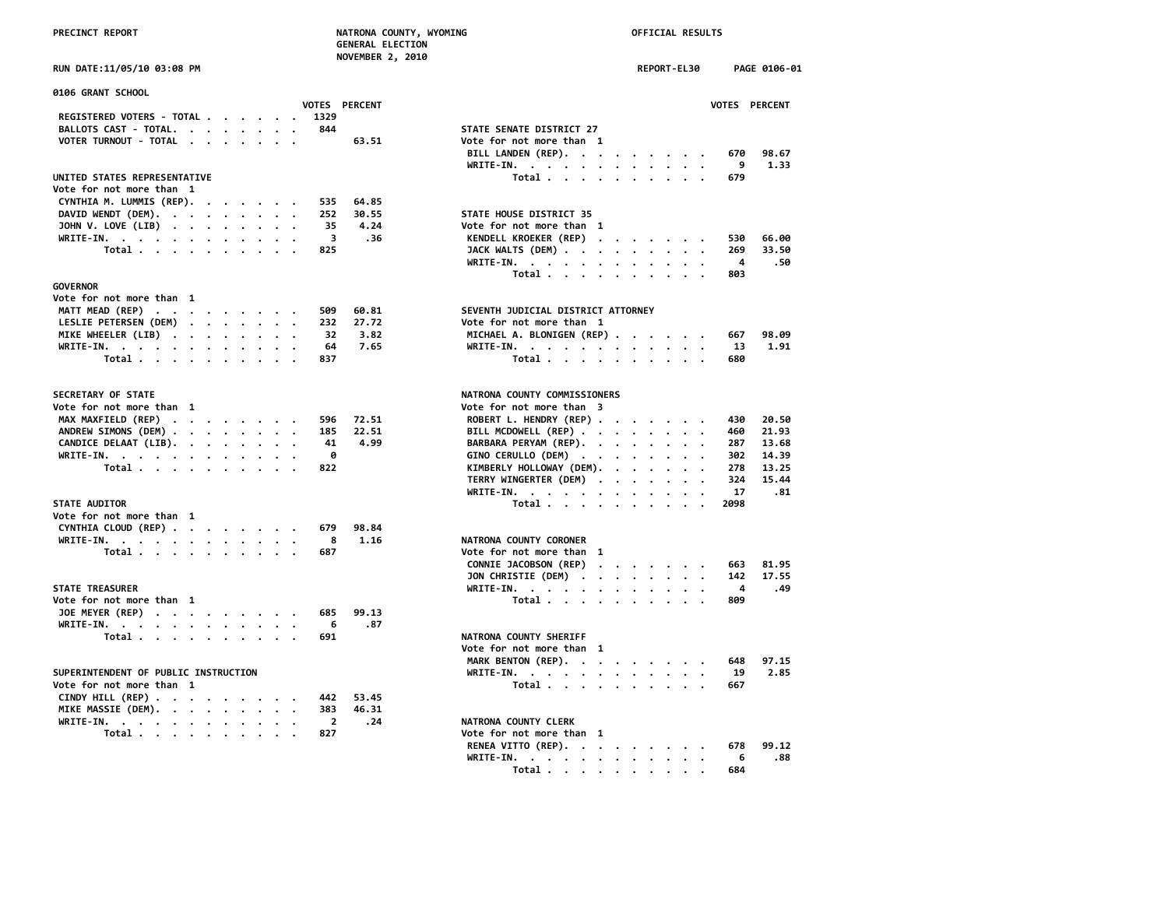**NOVEMBER 2, 2010**

| 0106 GRANT SCHOOL                                                                  |                                                                                                       |
|------------------------------------------------------------------------------------|-------------------------------------------------------------------------------------------------------|
| <b>VOTES PERCENT</b>                                                               | <b>VOTES</b>                                                                                          |
| REGISTERED VOTERS - TOTAL<br>1329                                                  |                                                                                                       |
| BALLOTS CAST - TOTAL.<br>844                                                       | STATE SENATE DISTRICT 27                                                                              |
| VOTER TURNOUT - TOTAL<br>63.51                                                     | Vote for not more than 1                                                                              |
|                                                                                    | BILL LANDEN (REP).<br>670                                                                             |
|                                                                                    | 9<br>WRITE-IN.                                                                                        |
| UNITED STATES REPRESENTATIVE                                                       | Total<br>679<br>$\cdot$                                                                               |
| Vote for not more than 1                                                           |                                                                                                       |
| CYNTHIA M. LUMMIS (REP).<br>64.85<br>535                                           |                                                                                                       |
| DAVID WENDT (DEM).<br>252<br>30.55                                                 | STATE HOUSE DISTRICT 35                                                                               |
| JOHN V. LOVE (LIB)<br>35<br>4.24                                                   | Vote for not more than 1                                                                              |
| WRITE-IN.<br>3<br>.36                                                              | KENDELL KROEKER (REP)<br>530                                                                          |
| Total<br>825                                                                       | JACK WALTS (DEM)<br>269                                                                               |
|                                                                                    | WRITE-IN.<br>- 4                                                                                      |
|                                                                                    | Total<br>803                                                                                          |
| <b>GOVERNOR</b>                                                                    |                                                                                                       |
| Vote for not more than 1                                                           |                                                                                                       |
| MATT MEAD (REP)<br>60.81<br>509                                                    | SEVENTH JUDICIAL DISTRICT ATTORNEY                                                                    |
|                                                                                    |                                                                                                       |
| LESLIE PETERSEN (DEM)<br>27.72<br>232                                              | Vote for not more than 1                                                                              |
| MIKE WHEELER (LIB)<br>32<br>3.82                                                   | MICHAEL A. BLONIGEN (REP)<br>667                                                                      |
| 7.65<br>WRITE-IN.<br>64                                                            | 13<br>WRITE-IN.                                                                                       |
| Total<br>837                                                                       | Total<br>680                                                                                          |
| SECRETARY OF STATE                                                                 | NATRONA COUNTY COMMISSIONERS                                                                          |
| Vote for not more than 1                                                           | Vote for not more than 3                                                                              |
| MAX MAXFIELD (REP)<br>72.51<br>596                                                 | ROBERT L. HENDRY (REP)<br>430                                                                         |
| ANDREW SIMONS (DEM)<br>22.51<br>185                                                | BILL MCDOWELL (REP)<br>460                                                                            |
| 4.99<br>CANDICE DELAAT (LIB).<br>41                                                | BARBARA PERYAM (REP).<br>287                                                                          |
| 0                                                                                  |                                                                                                       |
| WRITE-IN.                                                                          | GINO CERULLO (DEM)<br>302                                                                             |
| Total<br>822                                                                       | KIMBERLY HOLLOWAY (DEM).<br>278<br>$\cdots$                                                           |
|                                                                                    | TERRY WINGERTER (DEM)<br>324                                                                          |
|                                                                                    | 17<br>WRITE-IN.                                                                                       |
| <b>STATE AUDITOR</b>                                                               | Total<br>2098                                                                                         |
| Vote for not more than 1                                                           |                                                                                                       |
| CYNTHIA CLOUD (REP)<br>98.84<br>679                                                |                                                                                                       |
| WRITE-IN.<br>1.16<br>8                                                             | NATRONA COUNTY CORONER                                                                                |
| Total<br>687                                                                       | Vote for not more than 1                                                                              |
|                                                                                    | CONNIE JACOBSON (REP)<br>663<br>$\mathbf{a}$ , and $\mathbf{a}$ , and $\mathbf{a}$ , and $\mathbf{a}$ |
|                                                                                    | JON CHRISTIE (DEM)<br>142                                                                             |
| <b>STATE TREASURER</b>                                                             | 4<br>$WRITE-IN.$<br>$\cdot$ $\cdot$ $\cdot$ $\cdot$                                                   |
| Vote for not more than 1                                                           | Total<br>809                                                                                          |
| JOE MEYER (REP)<br>685<br>99.13                                                    |                                                                                                       |
| WRITE-IN.<br>6<br>.87                                                              |                                                                                                       |
| $\mathcal{A}$ . The state of the state of the state $\mathcal{A}$                  |                                                                                                       |
| Total $\cdots$ $\cdots$ $\cdots$<br>691                                            | NATRONA COUNTY SHERIFF                                                                                |
|                                                                                    | Vote for not more than 1                                                                              |
|                                                                                    | MARK BENTON (REP).<br>648                                                                             |
| SUPERINTENDENT OF PUBLIC INSTRUCTION                                               | WRITE-IN.<br>-19                                                                                      |
| Vote for not more than 1                                                           | Total<br>667                                                                                          |
| CINDY HILL (REP) $\cdot \cdot \cdot \cdot \cdot \cdot \cdot \cdot$<br>442<br>53.45 |                                                                                                       |
| MIKE MASSIE (DEM).<br>46.31<br>383                                                 |                                                                                                       |
| WRITE-IN.<br>$\overline{2}$<br>.24                                                 | NATRONA COUNTY CLERK                                                                                  |
| 827<br>Total                                                                       | Vote for not more than 1                                                                              |
|                                                                                    |                                                                                                       |

| RUN DATE:11/05/10 03:08 PM                                                |                                             | REPORT-EL30 | PAGE 0106-01          |
|---------------------------------------------------------------------------|---------------------------------------------|-------------|-----------------------|
| 0106 GRANT SCHOOL<br><b>VOTES PERCENT</b>                                 |                                             |             | VOTES PERCENT         |
| REGISTERED VOTERS - TOTAL<br>1329                                         |                                             |             |                       |
| 844<br>BALLOTS CAST - TOTAL.                                              | STATE SENATE DISTRICT 27                    |             |                       |
| VOTER TURNOUT - TOTAL<br>$\cdot$ .                                        | 63.51<br>Vote for not more than 1           |             |                       |
|                                                                           | BILL LANDEN (REP).                          |             | 98.67<br>670          |
|                                                                           | WRITE-IN.                                   | $\sim$      | 9<br>1.33             |
| UNITED STATES REPRESENTATIVE                                              | Total                                       |             | 679                   |
| Vote for not more than 1                                                  |                                             |             |                       |
| CYNTHIA M. LUMMIS (REP).<br>535<br>$\cdots$                               | 64.85                                       |             |                       |
| DAVID WENDT (DEM).<br>252                                                 | STATE HOUSE DISTRICT 35<br>30.55            |             |                       |
|                                                                           | 4.24                                        |             |                       |
| JOHN V. LOVE (LIB)<br>35                                                  | Vote for not more than 1                    |             |                       |
| 3<br>WRITE-IN.                                                            | KENDELL KROEKER (REP)<br>.36                |             | 66.00<br>530<br>33.50 |
| Total<br>825                                                              | JACK WALTS (DEM)                            |             | 269                   |
|                                                                           | WRITE-IN.                                   |             | 4<br>.50              |
|                                                                           | Total $\cdots$ $\cdots$ $\cdots$            |             | 803                   |
| <b>GOVERNOR</b>                                                           |                                             |             |                       |
| Vote for not more than 1                                                  |                                             |             |                       |
| MATT MEAD (REP)<br>509                                                    | SEVENTH JUDICIAL DISTRICT ATTORNEY<br>60.81 |             |                       |
| LESLIE PETERSEN (DEM)<br>232                                              | 27.72<br>Vote for not more than 1           |             |                       |
| 32<br>MIKE WHEELER (LIB)                                                  | 3.82<br>MICHAEL A. BLONIGEN (REP)           |             | 98.09<br>667          |
| WRITE-IN.<br>64                                                           | 7.65<br>WRITE-IN.                           |             | 13<br>1.91            |
| Total<br>837                                                              | Total                                       |             | 680                   |
| SECRETARY OF STATE                                                        | NATRONA COUNTY COMMISSIONERS                |             |                       |
| Vote for not more than 1                                                  | Vote for not more than 3                    |             |                       |
| MAX MAXFIELD (REP)<br>596                                                 | 72.51<br>ROBERT L. HENDRY (REP)             |             | 20.50<br>430          |
| ANDREW SIMONS (DEM)<br>185                                                | 22.51<br>BILL MCDOWELL (REP)                |             | 21.93<br>460          |
| CANDICE DELAAT (LIB).<br>41                                               | 4.99<br>BARBARA PERYAM (REP).               |             | 287<br>13.68          |
| 0<br>WRITE-IN.                                                            | GINO CERULLO (DEM)                          |             | 302<br>14.39          |
| Total<br>822                                                              | KIMBERLY HOLLOWAY (DEM).                    |             | 13.25<br>278          |
|                                                                           | TERRY WINGERTER (DEM)                       |             | 324<br>15.44          |
|                                                                           | WRITE-IN.                                   | $\cdot$     | 17<br>.81             |
| <b>STATE AUDITOR</b>                                                      | Total $\cdots$ $\cdots$ $\cdots$            |             | 2098                  |
| Vote for not more than 1                                                  |                                             |             |                       |
| CYNTHIA CLOUD (REP)<br>679                                                | 98.84                                       |             |                       |
| WRITE-IN.<br>8                                                            | 1.16<br>NATRONA COUNTY CORONER              |             |                       |
| 687<br>Total $\cdots$ $\cdots$ $\cdots$ $\cdots$                          | Vote for not more than 1                    |             |                       |
|                                                                           | CONNIE JACOBSON (REP)                       |             | 81.95<br>663          |
|                                                                           | JON CHRISTIE (DEM)                          |             | 17.55<br>142          |
| <b>STATE TREASURER</b>                                                    | WRITE-IN.                                   |             | 4<br>.49              |
| Vote for not more than 1                                                  |                                             | $\cdot$     | 809                   |
| 685                                                                       | Total<br>99.13                              |             |                       |
| JOE MEYER (REP)                                                           |                                             |             |                       |
| WRITE-IN, , , , , , , , , , , ,<br>6                                      | .87                                         |             |                       |
| Total<br>691                                                              | NATRONA COUNTY SHERIFF                      |             |                       |
|                                                                           | Vote for not more than 1                    |             |                       |
|                                                                           | MARK BENTON (REP).                          |             | 97.15<br>648          |
| SUPERINTENDENT OF PUBLIC INSTRUCTION<br>Vote for not more than 1          | WRITE-IN.<br>Total                          |             | 19<br>2.85<br>667     |
| CINDY HILL (REP) $\cdot \cdot \cdot \cdot \cdot \cdot \cdot \cdot$<br>442 | 53.45                                       |             |                       |
| MIKE MASSIE (DEM).<br>383<br>$\cdot$ .                                    | 46.31                                       |             |                       |
| WRITE-IN.<br>$\overline{2}$<br>$\ddot{\phantom{0}}$                       | .24<br>NATRONA COUNTY CLERK                 |             |                       |
| 827<br>Total $\cdots$ $\cdots$ $\cdots$                                   | Vote for not more than 1                    |             |                       |
|                                                                           | RENEA VITTO (REP).                          |             | 99.12<br>678          |
|                                                                           | WRITE-IN.                                   |             | .88<br>6              |
|                                                                           | Total<br>$\bullet$                          | $\bullet$   | 684                   |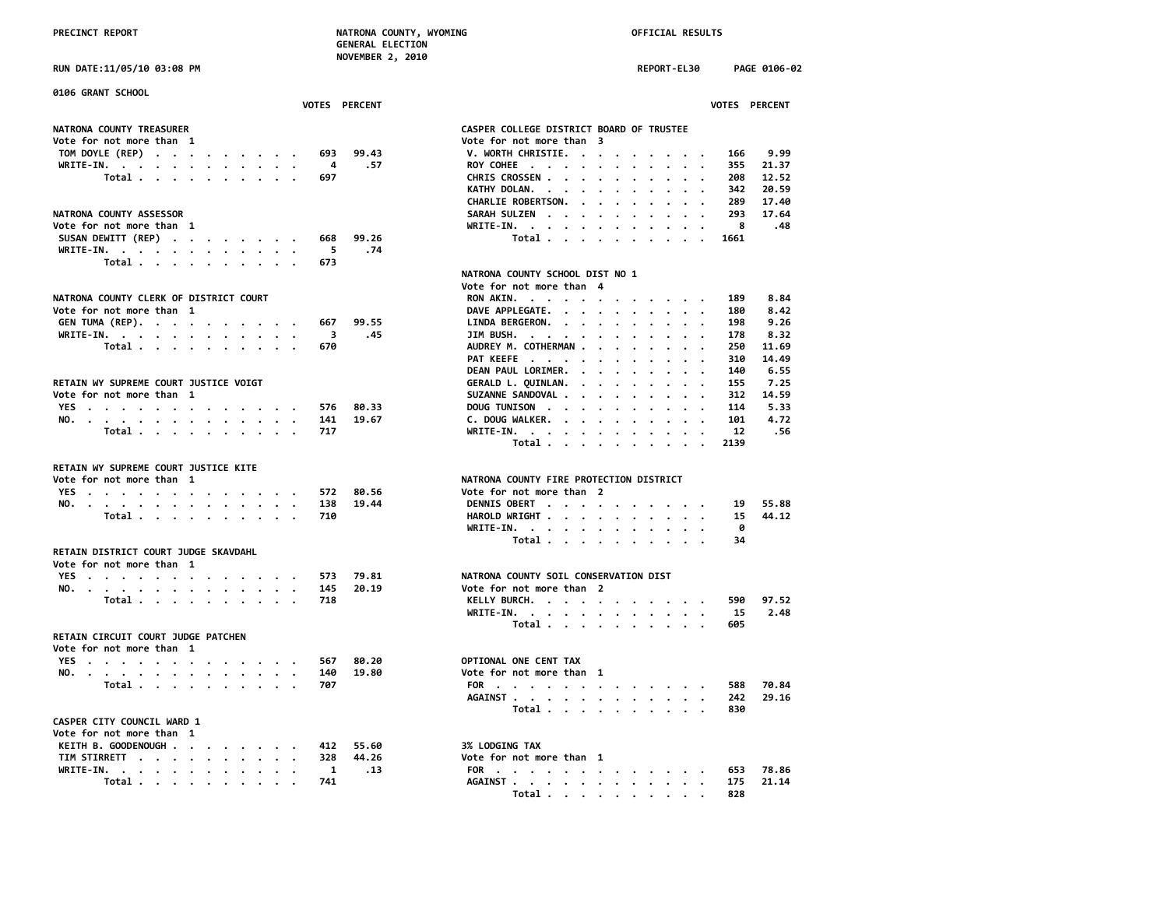**NOVEMBER 2, 2010**

**RUN DATE:11/05/10 03:08 PM REPORT-EL30 PAGE 0106-02**

| 0106 GRANT SCHOOL                      |                                                |
|----------------------------------------|------------------------------------------------|
| VOTES PERCENT                          | VOTES PERCENT                                  |
| NATRONA COUNTY TREASURER               | CASPER COLLEGE DISTRICT BOARD OF TRUSTEE       |
| Vote for not more than 1               | Vote for not more than 3                       |
| TOM DOYLE (REP)<br>99.43<br>693        | 9.99<br>V. WORTH CHRISTIE.<br>166              |
| WRITE-IN.<br>.57<br>4                  | ROY COHEE<br>355<br>21.37                      |
| 697                                    | 12.52<br>208                                   |
| Total                                  | CHRIS CROSSEN                                  |
|                                        | KATHY DOLAN.<br>342<br>20.59                   |
|                                        | 17.40<br>CHARLIE ROBERTSON.<br>289<br>$\cdots$ |
| NATRONA COUNTY ASSESSOR                | 17.64<br>SARAH SULZEN<br>293                   |
| Vote for not more than 1               | .48<br>WRITE-IN.<br>- 8                        |
| SUSAN DEWITT (REP)<br>99.26<br>668     | Total<br>1661                                  |
| WRITE-IN.<br>5<br>.74                  |                                                |
| Total<br>673                           |                                                |
|                                        | NATRONA COUNTY SCHOOL DIST NO 1                |
|                                        | Vote for not more than 4                       |
| NATRONA COUNTY CLERK OF DISTRICT COURT | 8.84<br>RON AKIN.<br>189                       |
| Vote for not more than 1               | DAVE APPLEGATE.<br>8.42<br>180                 |
| GEN TUMA (REP).<br>99.55<br>667        | 9.26<br>LINDA BERGERON.<br>198                 |
| WRITE-IN.<br>3<br>.45                  | 8.32<br>JIM BUSH.<br>178                       |
| Total<br>670                           | AUDREY M. COTHERMAN<br>11.69<br>250            |
|                                        | PAT KEEFE<br>310<br>14,49                      |
|                                        | DEAN PAUL LORIMER.<br>6.55<br>140              |
|                                        | 7.25                                           |
| RETAIN WY SUPREME COURT JUSTICE VOIGT  | GERALD L. QUINLAN.<br>155                      |
| Vote for not more than 1               | SUZANNE SANDOVAL<br>14.59<br>312               |
| YES<br>80.33<br>576                    | DOUG TUNISON<br>114<br>5.33                    |
| NO.<br>141<br>19.67                    | C. DOUG WALKER.<br>4.72<br>101                 |
| Total<br>717                           | WRITE-IN.<br>12<br>.56                         |
|                                        | Total<br>2139                                  |
|                                        |                                                |
| RETAIN WY SUPREME COURT JUSTICE KITE   |                                                |
| Vote for not more than 1               | NATRONA COUNTY FIRE PROTECTION DISTRICT        |
| YES<br>80.56<br>572                    | Vote for not more than 2                       |
| 19.44<br>NO.<br>138                    | DENNIS OBERT<br>55.88<br>19                    |
| Total<br>710                           | HAROLD WRIGHT<br>15<br>44.12                   |
|                                        | WRITE-IN.<br>0                                 |
|                                        | Total<br>34                                    |
| RETAIN DISTRICT COURT JUDGE SKAVDAHL   |                                                |
| Vote for not more than 1               |                                                |
| YES<br>79.81<br>573                    | NATRONA COUNTY SOIL CONSERVATION DIST          |
| 20.19<br>NO.<br>145                    | Vote for not more than 2                       |
| Total<br>718                           | 97.52<br>KELLY BURCH.<br>590                   |
|                                        | 2.48<br>WRITE-IN.<br>15                        |
|                                        | 605<br>Total                                   |
| RETAIN CIRCUIT COURT JUDGE PATCHEN     |                                                |
|                                        |                                                |
| Vote for not more than 1               |                                                |
| YES<br>80.20<br>567                    | OPTIONAL ONE CENT TAX                          |
| 19.80<br>NO.<br>140                    | Vote for not more than 1                       |
| Total<br>707                           | 70.84<br>FOR<br>588                            |
|                                        | 29.16<br>AGAINST<br>242                        |
|                                        | 830<br>Total                                   |
| CASPER CITY COUNCIL WARD 1             |                                                |
| Vote for not more than 1               |                                                |
| KEITH B. GOODENOUGH<br>55.60<br>412    | 3% LODGING TAX                                 |
| TIM STIRRETT<br>44.26<br>328           | Vote for not more than 1                       |
| WRITE-IN.<br>.13<br>1                  | FOR<br>78.86<br>653                            |
| Total<br>741                           | AGAINST<br>175<br>21.14                        |
|                                        |                                                |

|                                                                                                                                                                                                                                                 |     | <b>VOTES PERCENT</b> | <b>VOTES PERCENT</b>                                                                 |  |
|-------------------------------------------------------------------------------------------------------------------------------------------------------------------------------------------------------------------------------------------------|-----|----------------------|--------------------------------------------------------------------------------------|--|
| NATRONA COUNTY TREASURER                                                                                                                                                                                                                        |     |                      | CASPER COLLEGE DISTRICT BOARD OF TRUSTEE                                             |  |
| Vote for not more than 1                                                                                                                                                                                                                        |     |                      | Vote for not more than 3                                                             |  |
| TOM DOYLE (REP)                                                                                                                                                                                                                                 | 693 | 99.43                | V. WORTH CHRISTIE.<br>9.99<br>166                                                    |  |
| WRITE-IN.                                                                                                                                                                                                                                       | 4   | .57                  | ROY COHEE<br>355<br>21.37                                                            |  |
| Total                                                                                                                                                                                                                                           | 697 |                      | CHRIS CROSSEN<br>208<br>12.52                                                        |  |
|                                                                                                                                                                                                                                                 |     |                      | KATHY DOLAN.<br>342<br>20.59<br>$\cdot$<br>$\ddot{\phantom{a}}$<br>$\sim$            |  |
|                                                                                                                                                                                                                                                 |     |                      | $\cdot$<br>$\cdot$<br>$\cdot$ .<br>17.40                                             |  |
|                                                                                                                                                                                                                                                 |     |                      | CHARLIE ROBERTSON.<br>289<br>$\sim$                                                  |  |
| <b>NATRONA COUNTY ASSESSOR</b>                                                                                                                                                                                                                  |     |                      | 293<br>17.64<br>SARAH SULZEN                                                         |  |
| Vote for not more than 1                                                                                                                                                                                                                        |     |                      | 8<br>$WRITE-IN.$<br>.48<br>$\sim$<br>$\cdot$ $\cdot$ $\cdot$<br>$\cdot$ .<br>$\cdot$ |  |
| SUSAN DEWITT (REP)                                                                                                                                                                                                                              | 668 | 99.26                | Total<br>1661                                                                        |  |
| WRITE-IN.                                                                                                                                                                                                                                       | 5   | .74                  |                                                                                      |  |
| Total                                                                                                                                                                                                                                           | 673 |                      |                                                                                      |  |
|                                                                                                                                                                                                                                                 |     |                      | NATRONA COUNTY SCHOOL DIST NO 1                                                      |  |
|                                                                                                                                                                                                                                                 |     |                      | Vote for not more than 4                                                             |  |
| <b>NATRONA COUNTY CLERK OF DISTRICT COURT</b>                                                                                                                                                                                                   |     |                      | RON AKIN.<br>189<br>8.84                                                             |  |
| Vote for not more than 1                                                                                                                                                                                                                        |     |                      | DAVE APPLEGATE.<br>180<br>8.42                                                       |  |
| GEN TUMA (REP).                                                                                                                                                                                                                                 | 667 | 99.55                | LINDA BERGERON.<br>9.26<br>198                                                       |  |
| WRITE-IN.                                                                                                                                                                                                                                       | -3  | .45                  | JIM BUSH. $\cdots$ $\cdots$ $\cdots$<br>178<br>8.32                                  |  |
| Total                                                                                                                                                                                                                                           | 670 |                      | AUDREY M. COTHERMAN<br>250<br>11.69                                                  |  |
|                                                                                                                                                                                                                                                 |     |                      | PAT KEEFE<br>14.49<br>310                                                            |  |
|                                                                                                                                                                                                                                                 |     |                      |                                                                                      |  |
|                                                                                                                                                                                                                                                 |     |                      | DEAN PAUL LORIMER.<br>6.55<br>140<br>$\sim$ $\sim$                                   |  |
| RETAIN WY SUPREME COURT JUSTICE VOIGT                                                                                                                                                                                                           |     |                      | GERALD L. QUINLAN.<br>155<br>7.25                                                    |  |
| Vote for not more than 1                                                                                                                                                                                                                        |     |                      | SUZANNE SANDOVAL<br>312<br>14.59                                                     |  |
| YES                                                                                                                                                                                                                                             | 576 | 80.33                | DOUG TUNISON<br>114<br>5.33                                                          |  |
| NO.                                                                                                                                                                                                                                             | 141 | 19.67                | C. DOUG WALKER.<br>101<br>4.72<br>$\cdot$ $\cdot$ $\cdot$ $\cdot$ $\cdot$            |  |
| Total                                                                                                                                                                                                                                           | 717 |                      | $WRITE-IN.$<br>.56<br>12<br>$\cdot$<br>$\cdot$ $\cdot$<br>$\cdot$                    |  |
|                                                                                                                                                                                                                                                 |     |                      | Total<br>2139                                                                        |  |
| RETAIN WY SUPREME COURT JUSTICE KITE                                                                                                                                                                                                            |     |                      |                                                                                      |  |
| Vote for not more than 1                                                                                                                                                                                                                        |     |                      | NATRONA COUNTY FIRE PROTECTION DISTRICT                                              |  |
|                                                                                                                                                                                                                                                 |     | 80.56                | Vote for not more than 2                                                             |  |
| YES.                                                                                                                                                                                                                                            | 572 |                      |                                                                                      |  |
| NO.                                                                                                                                                                                                                                             | 138 | 19.44                | DENNIS OBERT<br>55.88<br>19                                                          |  |
| Total                                                                                                                                                                                                                                           | 710 |                      | HAROLD WRIGHT<br>44.12<br>15                                                         |  |
|                                                                                                                                                                                                                                                 |     |                      | WRITE-IN.<br>0                                                                       |  |
|                                                                                                                                                                                                                                                 |     |                      | Total<br>34                                                                          |  |
| RETAIN DISTRICT COURT JUDGE SKAVDAHL                                                                                                                                                                                                            |     |                      |                                                                                      |  |
| Vote for not more than 1                                                                                                                                                                                                                        |     |                      |                                                                                      |  |
| YES                                                                                                                                                                                                                                             | 573 | 79.81                | NATRONA COUNTY SOIL CONSERVATION DIST                                                |  |
| NO.                                                                                                                                                                                                                                             | 145 | 20.19                | Vote for not more than 2                                                             |  |
| Total                                                                                                                                                                                                                                           | 718 |                      | KELLY BURCH.<br>590<br>97.52                                                         |  |
|                                                                                                                                                                                                                                                 |     |                      | WRITE-IN.<br>15<br>2.48                                                              |  |
|                                                                                                                                                                                                                                                 |     |                      | Total<br>605                                                                         |  |
| RETAIN CIRCUIT COURT JUDGE PATCHEN                                                                                                                                                                                                              |     |                      |                                                                                      |  |
| Vote for not more than 1                                                                                                                                                                                                                        |     |                      |                                                                                      |  |
| <b>YES</b><br>$\mathbf{r}$ . The contract of the contract of the contract of the contract of the contract of the contract of the contract of the contract of the contract of the contract of the contract of the contract of the contract of th | 567 | 80.20                | OPTIONAL ONE CENT TAX                                                                |  |
| NO.                                                                                                                                                                                                                                             | 140 | 19.80                | Vote for not more than 1                                                             |  |
| Total                                                                                                                                                                                                                                           | 707 |                      | 70.84<br>FOR<br>588                                                                  |  |
|                                                                                                                                                                                                                                                 |     |                      | AGAINST<br>29.16<br>242                                                              |  |
|                                                                                                                                                                                                                                                 |     |                      | Total<br>830                                                                         |  |
| CASPER CITY COUNCIL WARD 1                                                                                                                                                                                                                      |     |                      |                                                                                      |  |
| Vote for not more than 1                                                                                                                                                                                                                        |     |                      |                                                                                      |  |
|                                                                                                                                                                                                                                                 |     | 55.60                | <b>3% LODGING TAX</b>                                                                |  |
| KEITH B. GOODENOUGH                                                                                                                                                                                                                             | 412 |                      |                                                                                      |  |
| TIM STIRRETT                                                                                                                                                                                                                                    | 328 | 44.26                | Vote for not more than 1                                                             |  |
| WRITE-IN.<br>$\bullet$                                                                                                                                                                                                                          | 1   | .13                  | 78.86<br>FOR<br>653                                                                  |  |
| Total                                                                                                                                                                                                                                           | 741 |                      | AGAINST<br>175<br>21.14                                                              |  |
|                                                                                                                                                                                                                                                 |     |                      | 828<br>Total                                                                         |  |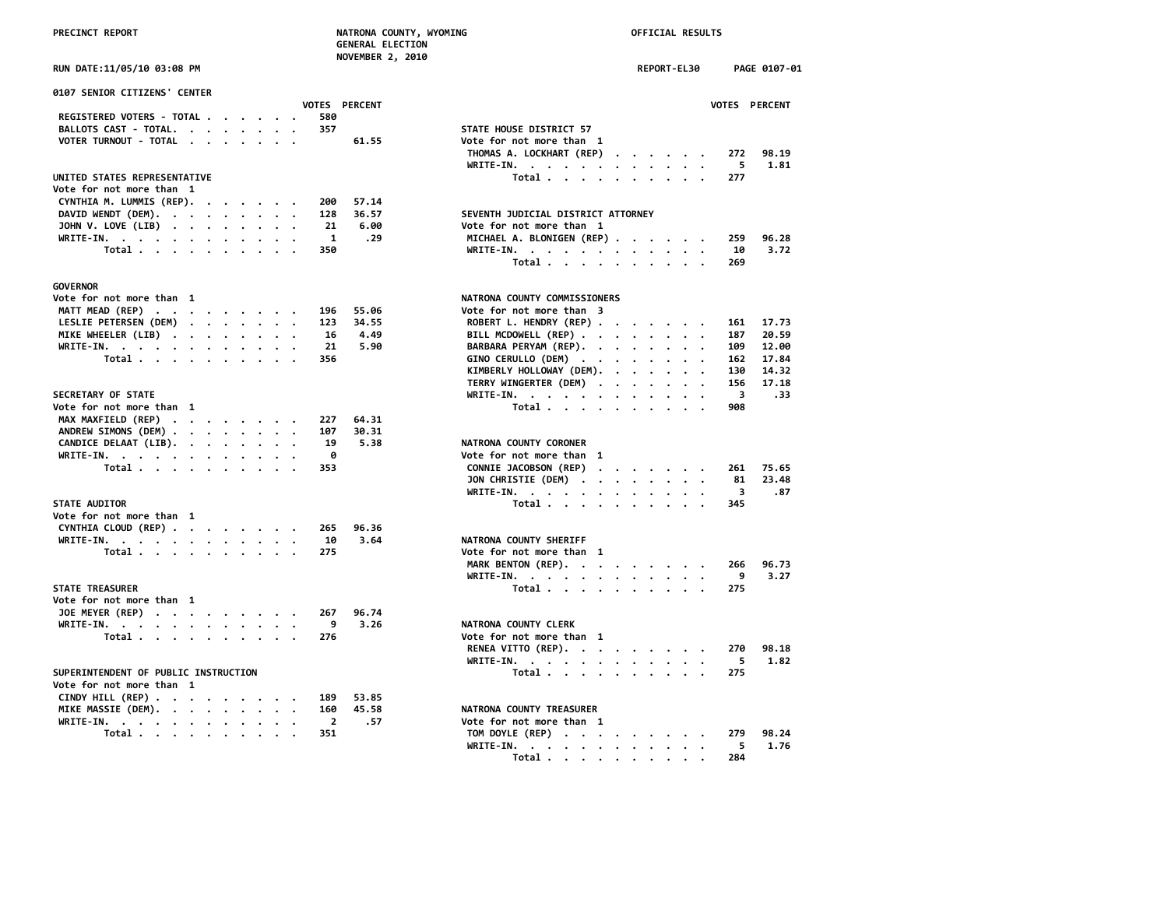| PRECINCT REPORT                                   | <b>GENERAL ELECTION</b>        | NATRONA COUNTY, WYOMING<br>OFFICIAL RESULTS                         |
|---------------------------------------------------|--------------------------------|---------------------------------------------------------------------|
| RUN DATE:11/05/10 03:08 PM                        | <b>NOVEMBER 2, 2010</b>        | <b>REPORT-EL30</b><br>PAGE 0107-01                                  |
| 0107 SENIOR CITIZENS' CENTER                      |                                |                                                                     |
| REGISTERED VOTERS - TOTAL                         | <b>VOTES PERCENT</b><br>580    | <b>VOTES PERCENT</b>                                                |
| BALLOTS CAST - TOTAL.                             | 357                            | STATE HOUSE DISTRICT 57                                             |
| VOTER TURNOUT - TOTAL                             | 61.55                          | Vote for not more than 1                                            |
|                                                   |                                | THOMAS A. LOCKHART (REP)<br>272<br>98.19<br>$\cdots$<br>1.81        |
|                                                   |                                | 5<br>$WRITE-IN.$<br>$\cdot$ $\cdot$ $\cdot$<br>$\cdots$<br>$\sim$   |
| UNITED STATES REPRESENTATIVE                      |                                | Total<br>277                                                        |
| Vote for not more than 1                          |                                |                                                                     |
| CYNTHIA M. LUMMIS (REP).                          | 200<br>57.14                   |                                                                     |
| DAVID WENDT (DEM).                                | 36.57<br>128                   | SEVENTH JUDICIAL DISTRICT ATTORNEY                                  |
| JOHN V. LOVE (LIB)                                | 21<br>6.00                     | Vote for not more than 1                                            |
| WRITE-IN.                                         | $\overline{\mathbf{1}}$<br>.29 | MICHAEL A. BLONIGEN (REP)<br>259<br>96.28                           |
| Total                                             | 350                            | WRITE-IN.<br>3.72<br>10                                             |
|                                                   |                                | Total<br>269                                                        |
| <b>GOVERNOR</b>                                   |                                |                                                                     |
| Vote for not more than 1                          |                                | NATRONA COUNTY COMMISSIONERS                                        |
| MATT MEAD (REP)                                   | 196<br>55.06                   | Vote for not more than 3                                            |
| LESLIE PETERSEN (DEM)                             | 123<br>34.55                   | ROBERT L. HENDRY (REP)<br>17.73<br>161                              |
| MIKE WHEELER (LIB)                                | 4.49<br>16                     | BILL MCDOWELL (REP)<br>20.59<br>187                                 |
| WRITE-IN.                                         | 21<br>5.90                     | BARBARA PERYAM (REP).<br>109<br>12.00                               |
| Total                                             | 356                            | GINO CERULLO (DEM)<br>162<br>17.84                                  |
|                                                   |                                | KIMBERLY HOLLOWAY (DEM).<br>130<br>14.32<br>$\cdot$ $\cdot$ $\cdot$ |
|                                                   |                                | TERRY WINGERTER (DEM)<br>156<br>17.18                               |
| SECRETARY OF STATE                                |                                | WRITE-IN.<br>3<br>.33                                               |
| Vote for not more than 1                          |                                | Total<br>908                                                        |
| MAX MAXFIELD (REP)                                | 227<br>64.31                   |                                                                     |
| ANDREW SIMONS (DEM)                               | 107<br>30.31                   |                                                                     |
| CANDICE DELAAT (LIB).<br>$\overline{\phantom{a}}$ | 19<br>5.38                     | NATRONA COUNTY CORONER                                              |
| WRITE-IN.                                         | 0                              | Vote for not more than 1                                            |
| Total                                             | 353                            | CONNIE JACOBSON (REP)<br>261<br>75.65                               |
|                                                   |                                | JON CHRISTIE (DEM)<br>81<br>23.48                                   |
|                                                   |                                | WRITE-IN.<br>3<br>.87                                               |
| <b>STATE AUDITOR</b>                              |                                | Total<br>345                                                        |
| Vote for not more than 1                          |                                |                                                                     |
| CYNTHIA CLOUD (REP)                               | 265<br>96.36                   |                                                                     |
| WRITE-IN.                                         | 3.64<br>10                     | NATRONA COUNTY SHERIFF                                              |
| Total                                             | 275                            | Vote for not more than 1                                            |
|                                                   |                                | MARK BENTON (REP).<br>96.73<br>266                                  |
|                                                   |                                | 9<br>3.27<br>WRITE-IN.                                              |
| <b>STATE TREASURER</b>                            |                                | Total<br>275                                                        |
| Vote for not more than 1                          |                                |                                                                     |
| JOE MEYER (REP)                                   | 96.74<br>267                   |                                                                     |
| WRITE-IN.                                         | 9<br>3.26                      | NATRONA COUNTY CLERK                                                |
| Total                                             | 276                            | Vote for not more than 1                                            |
|                                                   |                                | RENEA VITTO (REP).<br>270<br>98.18                                  |
|                                                   |                                | 5<br>1.82<br>WRITE-IN.                                              |
| SUPERINTENDENT OF PUBLIC INSTRUCTION              |                                | 275                                                                 |
| Vote for not more than 1                          |                                | Total $\cdots$ $\cdots$ $\cdots$                                    |
|                                                   | 189<br>53.85                   |                                                                     |
| CINDY HILL (REP)<br>MIKE MASSIE (DEM).            | 45.58<br>160                   | NATRONA COUNTY TREASURER                                            |
|                                                   | $\overline{2}$<br>.57          | Vote for not more than 1                                            |
| WRITE-IN.<br>$\bullet$                            | 351                            | 279<br>98.24                                                        |
| Total                                             |                                | TOM DOYLE (REP)                                                     |

| 0107 SENIOR CITIZENS' CENTER                     |                                                  |
|--------------------------------------------------|--------------------------------------------------|
| VOTES PERCENT                                    | VOTES PERCENT                                    |
| REGISTERED VOTERS - TOTAL<br>580                 |                                                  |
| BALLOTS CAST - TOTAL.<br>357                     | STATE HOUSE DISTRICT 57                          |
| VOTER TURNOUT - TOTAL                            | 61.55<br>Vote for not more than 1                |
|                                                  | THOMAS A. LOCKHART (REP)<br>272<br>98.19         |
|                                                  | 5<br>1.81<br>WRITE-IN.                           |
| UNITED STATES REPRESENTATIVE                     | Total<br>277                                     |
| Vote for not more than 1                         |                                                  |
| CYNTHIA M. LUMMIS (REP).<br>200                  | 57.14                                            |
| DAVID WENDT (DEM).<br>128                        | SEVENTH JUDICIAL DISTRICT ATTORNEY<br>36.57      |
| JOHN V. LOVE (LIB)<br>21                         | 6.00<br>Vote for not more than 1                 |
| WRITE-IN.<br>1                                   | MICHAEL A. BLONIGEN (REP)<br>96.28<br>.29<br>259 |
| Total<br>350                                     | 3.72<br>WRITE-IN.<br>10                          |
|                                                  | Total<br>269                                     |
|                                                  |                                                  |
| GOVERNOR                                         |                                                  |
| Vote for not more than 1                         | NATRONA COUNTY COMMISSIONERS                     |
| MATT MEAD (REP)<br>196                           | Vote for not more than 3<br>55.06                |
| LESLIE PETERSEN (DEM)<br>123                     | ROBERT L. HENDRY (REP)<br>34.55<br>17.73<br>161  |
| 16                                               | BILL MCDOWELL (REP)<br>20.59<br>4.49<br>187      |
| MIKE WHEELER (LIB)<br>21                         | 5.90<br>BARBARA PERYAM (REP).<br>109<br>12.00    |
| WRITE-IN.<br>356                                 | GINO CERULLO (DEM)<br>17.84<br>162               |
| Total                                            |                                                  |
|                                                  | KIMBERLY HOLLOWAY (DEM).<br>14.32<br>130         |
|                                                  | TERRY WINGERTER (DEM)<br>17.18<br>156            |
| <b>SECRETARY OF STATE</b>                        | WRITE-IN.<br>3<br>.33                            |
| Vote for not more than 1                         | 908<br>Total                                     |
| MAX MAXFIELD (REP)<br>227                        | 64.31                                            |
| ANDREW SIMONS (DEM)<br>107                       | 30.31                                            |
| CANDICE DELAAT (LIB).<br>19                      | NATRONA COUNTY CORONER<br>5.38                   |
| WRITE-IN.<br>0                                   | Vote for not more than 1                         |
| Total<br>353                                     | CONNIE JACOBSON (REP)<br>75.65<br>261            |
|                                                  | JON CHRISTIE (DEM)<br>81<br>23.48                |
|                                                  | 3<br>.87<br>WRITE-IN.                            |
| <b>STATE AUDITOR</b>                             | Total<br>345                                     |
| Vote for not more than 1                         |                                                  |
| CYNTHIA CLOUD (REP)<br>265                       | 96.36                                            |
| WRITE-IN.<br>10                                  | 3.64<br>NATRONA COUNTY SHERIFF                   |
| 275<br>Total $\cdots$ $\cdots$ $\cdots$ $\cdots$ | Vote for not more than 1                         |
|                                                  | MARK BENTON (REP).<br>96.73<br>266               |
|                                                  | WRITE-IN.<br>9<br>3.27                           |
| <b>STATE TREASURER</b>                           | Total<br>275                                     |
| Vote for not more than 1                         |                                                  |
| JOE MEYER (REP)<br>267                           | 96.74                                            |
| WRITE-IN.<br>9                                   | NATRONA COUNTY CLERK<br>3.26                     |
| Total $\cdots$ $\cdots$ $\cdots$ $\cdots$<br>276 | Vote for not more than 1                         |
|                                                  | 98.18<br>RENEA VITTO (REP).<br>270               |
|                                                  | 5<br>WRITE-IN.<br>1.82                           |
| SUPERINTENDENT OF PUBLIC INSTRUCTION             | Total<br>275                                     |
| Vote for not more than 1                         |                                                  |
| CINDY HILL (REP)<br>189                          | 53.85                                            |
| MIKE MASSIE (DEM).<br>160                        | 45.58<br>NATRONA COUNTY TREASURER                |
| $\overline{2}$                                   | .57<br>Vote for not more than 1                  |
| WRITE-IN.                                        |                                                  |
| Total<br>351                                     | TOM DOYLE (REP)<br>279<br>98.24                  |
|                                                  | 5<br>1.76<br>WRITE-IN.                           |
|                                                  | Total<br>284                                     |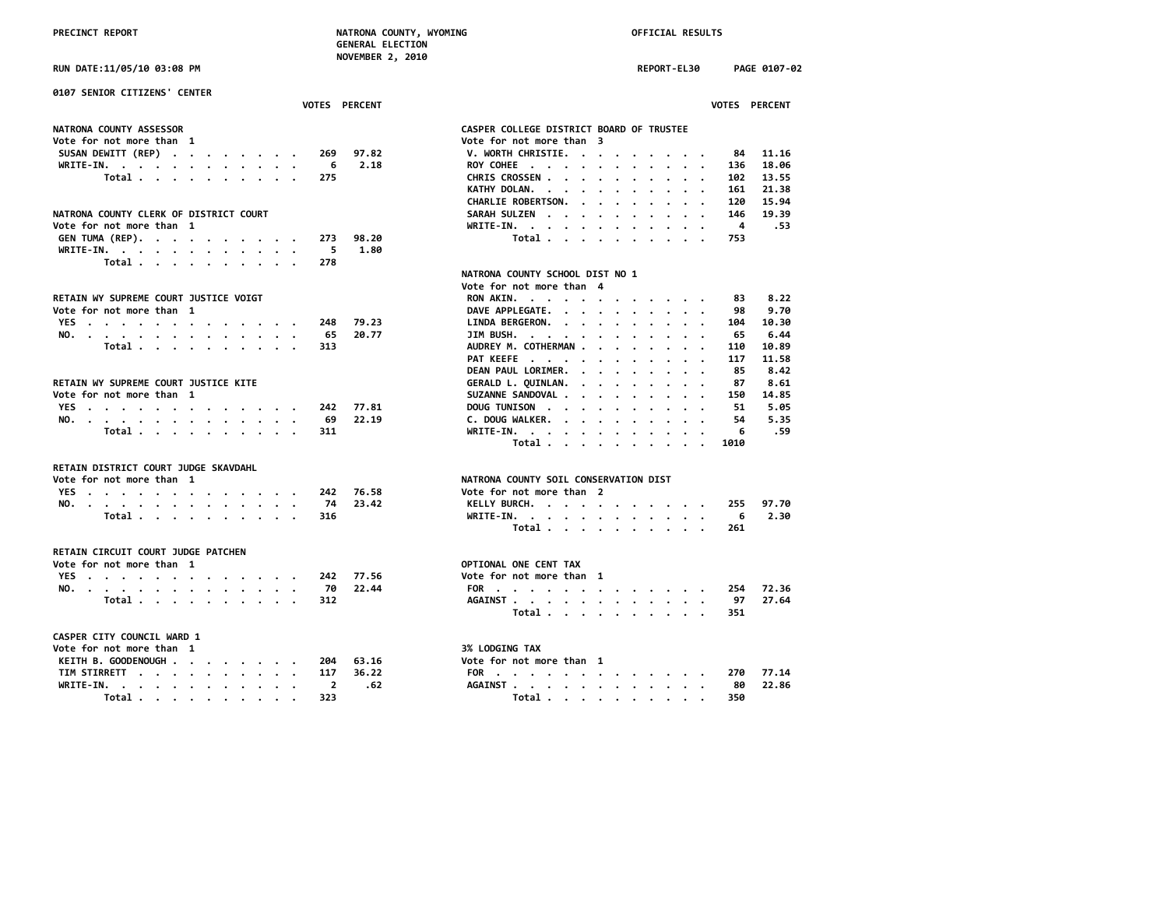**Total . . . . . . . . . . 323 Total . . . . . . . . . . 350**

**RUN DATE:11/05/10 03:08 PM REPORT-EL30 PAGE 0107-02 0107 SENIOR CITIZENS' CENTER VOTES PERCENT VOTES PERCENT NATRONA COUNTY ASSESSOR CASPER COLLEGE DISTRICT BOARD OF TRUSTEE Vote for not more than 3**<br>**V. WORTH CHRISTIE. . . . . . . . . SUSAN DEWITT (REP) . . . . . . . . 269 97.82 V. WORTH CHRISTIE. . . . . . . . . 84 11.16 WRITE-IN. . . . . . . . . . . . 6 2.18 ROY COHEE . . . . . . . . . . . 136 18.06 Total . . . . . . . . . . 275 CHRIS CROSSEN . . . . . . . . . . 102 13.55 KATHY DOLAN. . . . . . . . . . . CHARLIE ROBERTSON. . . . . . . . . 120 15.94** NATRONA COUNTY CLERK OF DISTRICT COURT<br>Vote for not more than 1 and 19.39<br>WRITE-IN. . . . . . . . . . . . . . . . 4 .53 **WRITE-IN. . . . . . . . . . . 4** .53<br>98.20 **Total** . . . . . . . . . . . 753 **GEN TUMA (REP). . . . . . . . . . 273 98.20 Total . . . . . . . . . . 753 WRITE-IN. . . . . . . . . . . . 5 1.80 Total . . . . . . . . . . 278 NATRONA COUNTY SCHOOL DIST NO 1 Vote for not more than 4 RETAIN WY SUPREME COURT JUSTICE VOIGT RON AKIN. . . . . . . . . . . . 83 8.22 DAVE APPLEGATE. . . . . . . . . . 98 9.70**<br>104.30 LINDA BERGERON. . . . . . . . . . . 104 10.30 **YES . . . . . . . . . . . . . 248 79.23 LINDA BERGERON. . . . . . . . . . 104 10.30 NO. . . . . . . . . . . . . . 65 20.77 JIM BUSH. . . . . . . . . . . . 65 6.44 Total . . . . . . . . . . . 313**<br>**PAT KEEFE** . . . . . . . . . . . . . 117 11.58 **PAT KEEFE** . . . . . . . . . . .  **DEAN PAUL LORIMER. . . . . . . . . 85 8.42 RETAIN WY SUPREME COURT JUSTICE KITE GERALD L. QUINLAN. . . . . . . . . 87 8.61 VOUGHANNE SANDOVAL . . . . . . . . . 150 14.85**<br>DOUGHANTSON . . . . . . . . . . . 51 5.05 **YES . . . . . . . . . . . . . 242 77.81 DOUG TUNISON . . . . . . . . . . 51 5.05 NO. . . . . . . . . . . . . . 69 22.19 C. DOUG WALKER. . . . . . . . . . 54 5.35 Total . . . . . . . . . . 311 WRITE-IN. . . . . . . . . . . . 6 .59 Total . . . . . . . . . . 1010 RETAIN DISTRICT COURT JUDGE SKAVDAHL NATRONA COUNTY SOIL CONSERVATION DIST**<br>Vote for not more than 2 **YES** . . . . . . . . . . . . . 242 76.58 **NO. . . . . . . . . . . . . . 74 23.42 KELLY BURCH. . . . . . . . . . . 255 97.70 Total . . . . . . . . . . 316 WRITE-IN. . . . . . . . . . . . 6 2.30 Total . . . . . . . . . . 261 RETAIN CIRCUIT COURT JUDGE PATCHEN Vote for not more than 1** OPTIONAL ONE CENT TAX<br>
YES . . . . . . . . . . . . . . . . 242 77.56 Vote for not more than 1 **YES** . . . . . . . . . . . . . . 242 77.56<br>NO<sub>t</sub> more than 1 and 1 and 1, 1 and 1 and 22.44 **NO. . . . . . . . . . . . . . 70 22.44 FOR . . . . . . . . . . . . . 254 72.36 Total . . . . . . . . . . 312 AGAINST . . . . . . . . . . . . 97 27.64 Total . . . . . . . . . . 351 CASPER CITY COUNCIL WARD 1 Vote for not more than 1 3% LODGING TAX KEITH B. GOODENOUGH . . . . . . . . 204 63.16 Vote for not more than 1 TIM STIRRETT . . . . . . . . . . 117 36.22 FOR . . . . . . . . . . . . . 270 77.14 WRITE-IN. . . . . . . . . . . . 2 .62 AGAINST . . . . . . . . . . . . 80 22.86**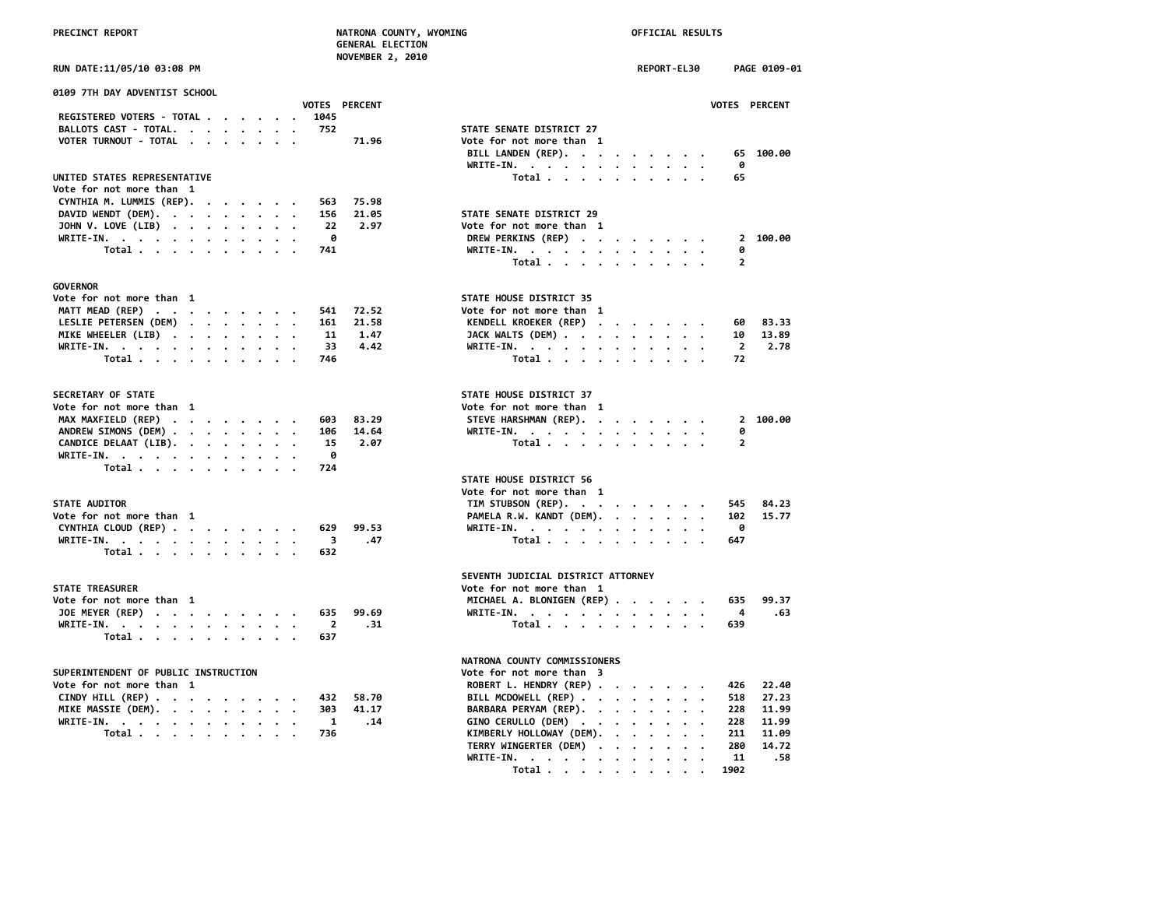|  | <b>PRECTNCT REPORT</b> |
|--|------------------------|
|  |                        |

# **PRECINCT REPORT NATRONA COUNTY, WYOMING OFFICIAL RESULTS**

 **GENERAL ELECTION NOVEMBER 2, 2010**

| VOTER TURNOUT - TOTAL 71.96        | Vote for not more than 1 |
|------------------------------------|--------------------------|
|                                    | BILL LANDEN (REP). 65    |
|                                    | - 0<br>WRITE-IN.         |
| UNITED STATES REPRESENTATIVE       | Total 65                 |
| Vote for not more than 1           |                          |
| CYNTHIA M. LUMMIS (REP). 563 75.98 |                          |
| DAVID WENDT (DEM). 156 21.05       | STATE SENATE DISTRICT 29 |
| JOHN V. LOVE (LIB) 22 2.97         | Vote for not more than 1 |
| WRITE-IN. 0                        | DREW PERKINS (REP) 2     |
| Total 741                          | WRITE-IN. 0              |
|                                    | Total 2                  |
|                                    |                          |

# **GOVERNOR**

| Vote for not more than  1       |  |  |  |  | STATE HOUSE DISTRICT 35  |  |
|---------------------------------|--|--|--|--|--------------------------|--|
| MATT MEAD (REP) 541 72.52       |  |  |  |  | Vote for not more than 1 |  |
| LESLIE PETERSEN (DEM) 161 21.58 |  |  |  |  | KENDELL KROEKER (REP) .  |  |
| MIKE WHEELER (LIB) 11 1.47      |  |  |  |  | JACK WALTS (DEM)         |  |
| WRITE-IN. 33 4.42               |  |  |  |  | $WRITE-IN.$ , , , , ,    |  |
| Total 746                       |  |  |  |  | Total                    |  |

## **SECRETARY OF STATE**

| Vote for not more than 1      |  |  |  |  | Vote for not more than 1 |  |  |  |        |
|-------------------------------|--|--|--|--|--------------------------|--|--|--|--------|
| MAX MAXFIELD (REP) 603 83.29  |  |  |  |  | STEVE HARSHMAN (REP). 2  |  |  |  |        |
| ANDREW SIMONS (DEM) 106 14.64 |  |  |  |  | WRITE-IN. 0              |  |  |  |        |
| CANDICE DELAAT (LIB). 15 2.07 |  |  |  |  | Total. 2                 |  |  |  |        |
| WRITE-IN. 0                   |  |  |  |  |                          |  |  |  |        |
| Total 724                     |  |  |  |  |                          |  |  |  |        |
|                               |  |  |  |  | STATE HOUSE DISTRICT 56  |  |  |  |        |
|                               |  |  |  |  | Vote for not more than 1 |  |  |  |        |
| <b>STATE AUDITOR</b>          |  |  |  |  | TIM STUBSON (REP).       |  |  |  | 545    |
| Mata Can nat wang than 1      |  |  |  |  | DAMELA D.U. KANDT (DEM)  |  |  |  | $\sim$ |

| vote for not more than 1      |  |  |  |  | PAMELA K.W. KANDI (DEM). 102 |  |  |  |  |
|-------------------------------|--|--|--|--|------------------------------|--|--|--|--|
| CYNTHIA CLOUD (REP) 629 99.53 |  |  |  |  | WRITE-IN. 0                  |  |  |  |  |
| WRITE-IN. 3 .47               |  |  |  |  | Total 647                    |  |  |  |  |
| Total 632                     |  |  |  |  |                              |  |  |  |  |

# **STATE TREASURER**

| Vote for not more than 1  |  |  |  |  |  | MICHAEL A. BLONIGEN (REP) 635 |  |
|---------------------------|--|--|--|--|--|-------------------------------|--|
| JOE MEYER (REP) 635 99.69 |  |  |  |  |  | WRITE-IN. 4                   |  |
| WRITE-IN. 2 .31           |  |  |  |  |  | Total 639                     |  |
| Total 637                 |  |  |  |  |  |                               |  |

# **SUPERINTENDENT OF PUBLIC INSTRUCTION VOTE FOR DETAIL ASSESSED ASSESSED ASSESSED FOR A SET OF THE SET OF THE SET OF THE SET OF THE SET OF THE SET OF THE SET OF THE SET OF THE SET OF THE SET OF THE SET OF THE SET OF THE SET**

| Vote for not more than  1    |  |  |  |  |  |
|------------------------------|--|--|--|--|--|
| CINDY HILL (REP) 432 58.70   |  |  |  |  |  |
| MIKE MASSIE (DEM). 303 41.17 |  |  |  |  |  |
| WRITE-IN. 1 .14              |  |  |  |  |  |
| Total 736                    |  |  |  |  |  |

| RUN DATE:11/05/10 03:08 PM       |                | NUVEMBER 4, 2010     |                                                | <b>REPORT-EL30</b> |                 |                | PAGE 0109-01         |
|----------------------------------|----------------|----------------------|------------------------------------------------|--------------------|-----------------|----------------|----------------------|
| 0109 7TH DAY ADVENTIST SCHOOL    |                | <b>VOTES PERCENT</b> |                                                |                    |                 |                | <b>VOTES PERCENT</b> |
| REGISTERED VOTERS - TOTAL        | 1045           |                      |                                                |                    |                 |                |                      |
| BALLOTS CAST - TOTAL.            | 752            |                      | STATE SENATE DISTRICT 27                       |                    |                 |                |                      |
| VOTER TURNOUT - TOTAL            |                | 71.96                | Vote for not more than 1                       |                    |                 |                |                      |
|                                  |                |                      | BILL LANDEN (REP).                             |                    |                 | 65             | 100.00               |
|                                  |                |                      | WRITE-IN.                                      |                    |                 | 0              |                      |
| UNITED STATES REPRESENTATIVE     |                |                      | Total                                          |                    |                 | 65             |                      |
| Vote for not more than 1         |                |                      |                                                |                    |                 |                |                      |
| CYNTHIA M. LUMMIS (REP).         | 563            | 75.98                |                                                |                    |                 |                |                      |
| DAVID WENDT (DEM).               | 156            | 21.05                | STATE SENATE DISTRICT 29                       |                    |                 |                |                      |
| JOHN V. LOVE (LIB)               | 22             | 2.97                 | Vote for not more than 1                       |                    |                 |                |                      |
| WRITE-IN.                        | 0              |                      | DREW PERKINS (REP)                             |                    |                 |                | 2 100.00             |
| Total $\ldots$ $\ldots$ $\ldots$ | 741            |                      | WRITE-IN.                                      |                    |                 | 0              |                      |
|                                  |                |                      | Total                                          |                    |                 | $\overline{2}$ |                      |
|                                  |                |                      |                                                |                    |                 |                |                      |
| <b>GOVERNOR</b>                  |                |                      |                                                |                    |                 |                |                      |
| Vote for not more than 1         |                |                      | STATE HOUSE DISTRICT 35                        |                    |                 |                |                      |
| MATT MEAD (REP)                  | 541            | 72.52                | Vote for not more than 1                       |                    |                 |                |                      |
| LESLIE PETERSEN (DEM)            | 161            | 21.58                | KENDELL KROEKER (REP)                          |                    |                 | 60             | 83.33                |
| MIKE WHEELER (LIB)               | 11             | 1.47                 | JACK WALTS (DEM)                               |                    |                 | 10             | 13.89                |
| WRITE-IN.                        | 33             | 4.42                 | WRITE-IN.                                      |                    |                 | $\overline{2}$ | 2.78                 |
| Total                            | 746            |                      |                                                |                    | $\,$ .          | 72             |                      |
|                                  |                |                      | Total                                          |                    |                 |                |                      |
| SECRETARY OF STATE               |                |                      | STATE HOUSE DISTRICT 37                        |                    |                 |                |                      |
| Vote for not more than 1         |                |                      | Vote for not more than 1                       |                    |                 |                |                      |
| MAX MAXFIELD (REP)               | 603            | 83.29                | STEVE HARSHMAN (REP).                          |                    |                 |                | 2 100.00             |
| ANDREW SIMONS (DEM)              | 106            | 14.64                | WRITE-IN.                                      |                    |                 | 0              |                      |
| CANDICE DELAAT (LIB).            | 15             | 2.07                 | Total                                          |                    |                 | $\overline{2}$ |                      |
| WRITE-IN.                        | ø              |                      |                                                |                    |                 |                |                      |
| Total                            | 724            |                      |                                                |                    |                 |                |                      |
|                                  |                |                      | STATE HOUSE DISTRICT 56                        |                    |                 |                |                      |
|                                  |                |                      | Vote for not more than 1                       |                    |                 |                |                      |
| <b>STATE AUDITOR</b>             |                |                      |                                                |                    |                 |                | 84.23                |
| Vote for not more than 1         |                |                      | TIM STUBSON (REP).<br>PAMELA R.W. KANDT (DEM). |                    |                 | 545<br>102     | 15.77                |
|                                  |                |                      |                                                |                    | $\cdot$         |                |                      |
| CYNTHIA CLOUD (REP)              | 629            | 99.53                | WRITE-IN.                                      |                    |                 | 0              |                      |
| WRITE-IN.                        | 3              | .47                  | Total                                          |                    |                 | 647            |                      |
| Total                            | 632            |                      |                                                |                    |                 |                |                      |
|                                  |                |                      | SEVENTH JUDICIAL DISTRICT ATTORNEY             |                    |                 |                |                      |
| <b>STATE TREASURER</b>           |                |                      | Vote for not more than 1                       |                    |                 |                |                      |
| Vote for not more than 1         |                |                      | MICHAEL A. BLONIGEN (REP)                      |                    |                 | 635            | 99.37                |
|                                  |                |                      |                                                |                    |                 |                |                      |
| JOE MEYER (REP)                  | 635            | 99.69                | WRITE-IN.                                      |                    | $\cdot$ $\cdot$ | 4              | .63                  |
| WRITE-IN.                        | $\overline{2}$ | .31                  | Total                                          |                    |                 | 639            |                      |
| Total                            | 637            |                      |                                                |                    |                 |                |                      |
|                                  |                |                      | NATRONA COUNTY COMMISSIONERS                   |                    |                 |                |                      |

| <b>SUPERINTENDENT OF PUBLIC INSTRUCTION</b> | Vote for not more than 3           |
|---------------------------------------------|------------------------------------|
| Vote for not more than  1                   | ROBERT L. HENDRY (REP) 426 22.40   |
| CINDY HILL (REP) 432 58.70                  | BILL MCDOWELL (REP) 518 27.23      |
| MIKE MASSIE (DEM). 303 41.17                | BARBARA PERYAM (REP). 228 11.99    |
| WRITE-IN. 1 .14                             | GINO CERULLO (DEM) 228 11.99       |
| Total 736                                   | KIMBERLY HOLLOWAY (DEM). 211 11.09 |
|                                             | TERRY WINGERTER (DEM) 280 14.72    |
|                                             | WRITE-IN. 11 .58                   |
|                                             | Total 1902                         |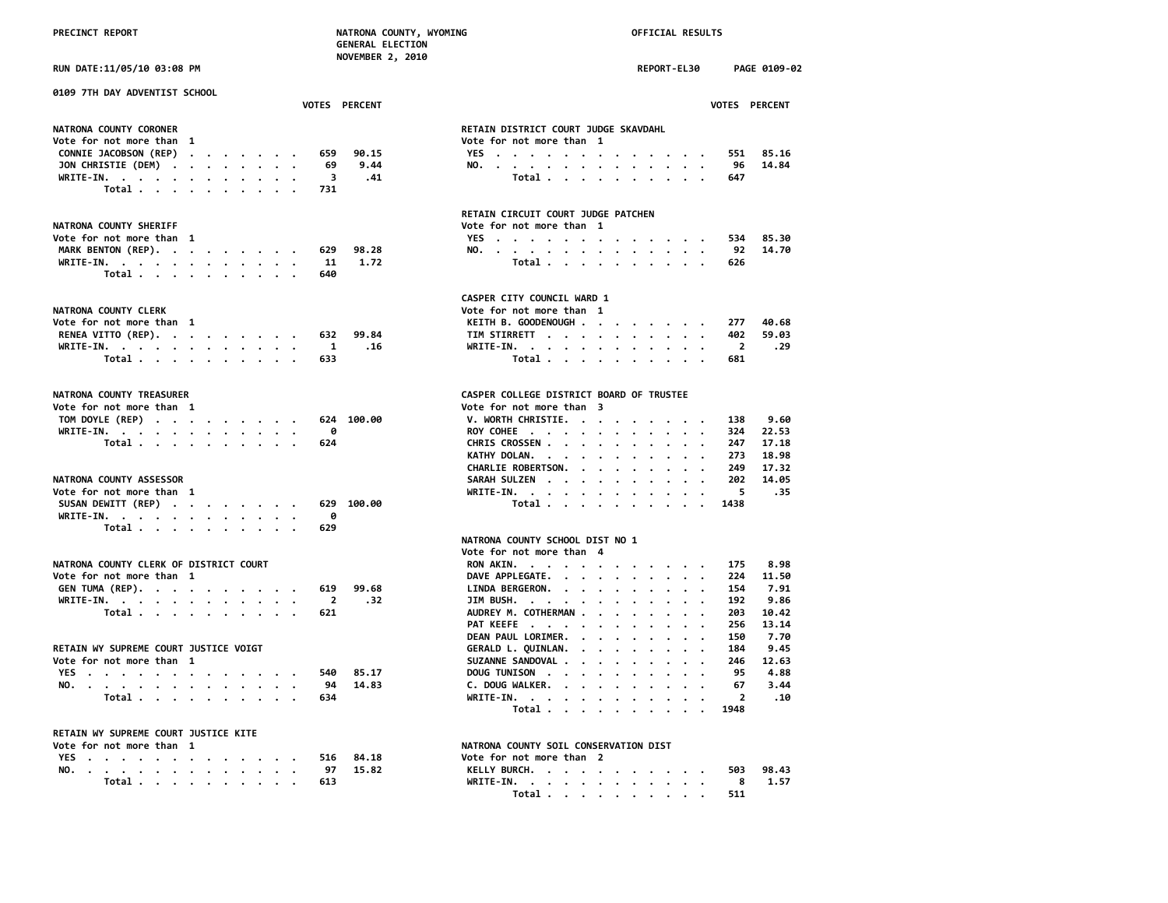|                                                                                                                                                                                               | <b>NOVEMBER 2, 2010</b>                                                                                                                                                        |
|-----------------------------------------------------------------------------------------------------------------------------------------------------------------------------------------------|--------------------------------------------------------------------------------------------------------------------------------------------------------------------------------|
| RUN DATE:11/05/10 03:08 PM                                                                                                                                                                    | REPORT-EL30<br>PAGE 0109-02                                                                                                                                                    |
| 0109 7TH DAY ADVENTIST SCHOOL<br><b>VOTES PERCENT</b>                                                                                                                                         | <b>VOTES PERCENT</b>                                                                                                                                                           |
| NATRONA COUNTY CORONER<br>Vote for not more than 1<br>CONNIE JACOBSON (REP)<br>90.15<br>659<br>JON CHRISTIE (DEM)<br>9.44<br>69<br>WRITE-IN.<br>3                                             | RETAIN DISTRICT COURT JUDGE SKAVDAHL<br>Vote for not more than 1<br>YES.<br>551 85.16<br>14.84<br>NO.<br>96<br>Total<br>.41<br>647                                             |
| Total<br>731                                                                                                                                                                                  | RETAIN CIRCUIT COURT JUDGE PATCHEN                                                                                                                                             |
| NATRONA COUNTY SHERIFF<br>Vote for not more than 1<br>MARK BENTON (REP).<br>98.28<br>629<br>1.72<br>WRITE-IN, $\cdot$ , $\cdot$ , $\cdot$ , $\cdot$ , $\cdot$ , $\cdot$<br>11<br>Total<br>640 | Vote for not more than 1<br>YES<br>534 85.30<br>14.70<br>NO.<br>92<br>Total<br>626                                                                                             |
| NATRONA COUNTY CLERK<br>Vote for not more than 1<br>RENEA VITTO (REP).<br>99.84<br>632<br>WRITE-IN.<br>1<br>Total<br>633                                                                      | CASPER CITY COUNCIL WARD 1<br>Vote for not more than 1<br>KEITH B. GOODENOUGH<br>40.68<br>277<br>TIM STIRRETT<br>402<br>59.03<br>.16<br>.29<br>WRITE-IN.<br>-2<br>Total<br>681 |
| NATRONA COUNTY TREASURER<br>Vote for not more than 1<br>TOM DOYLE (REP)<br>624 100.00<br>WRITE-IN, $\cdots$ , $\cdots$ , $\cdots$<br>ø<br>Total $\cdots$ $\cdots$ $\cdots$ $\cdots$<br>624    | CASPER COLLEGE DISTRICT BOARD OF TRUSTEE<br>Vote for not more than 3<br>V. WORTH CHRISTIE.<br>9.60<br>138<br>ROY COHEE<br>22.53<br>324<br>CHRIS CROSSEN<br>17.18<br>247        |

# **NATRONA COUNTY ASSESSOR**

| Vote for not more than 1      |  |  |  |  | WRITE-IN. 5 |  |  |  |  |  |            |
|-------------------------------|--|--|--|--|-------------|--|--|--|--|--|------------|
| SUSAN DEWITT (REP) 629 100.00 |  |  |  |  |             |  |  |  |  |  | Total 1438 |
| WRITE-IN. 0                   |  |  |  |  |             |  |  |  |  |  |            |
| Total 629                     |  |  |  |  |             |  |  |  |  |  |            |

# **NATRONA COUNTY CLERK OF DISTRICT COURT**

| Vote for not more than 1  |  |  |  |  |  | DAVE APPLEGATE. 224 11.50     |      |
|---------------------------|--|--|--|--|--|-------------------------------|------|
| GEN TUMA (REP). 619 99.68 |  |  |  |  |  | LINDA BERGERON. 154 7.91      |      |
| WRITE-IN. 2 .32           |  |  |  |  |  | JIM BUSH. 192 9.86            |      |
| Total 621                 |  |  |  |  |  | AUDREY M. COTHERMAN 203 10.42 |      |
|                           |  |  |  |  |  | PAT KEEFE 256 13.14           |      |
|                           |  |  |  |  |  | DEAN PAUL LORIMER. 150        | 7.70 |

# RETAIN WY SUPREME COURT JUSTICE VOIGT

|  |  | BLIAIN MI JULBER CUURI JUL |  |
|--|--|----------------------------|--|
|  |  | Vote for not more than 1   |  |

| <b>VE</b> |  |       |  |  |  |  |  | 540 | <b>OL</b> 1 | <b>TUNISON</b><br>DOUG                                                                                                                      | ᅂ   | .88   |
|-----------|--|-------|--|--|--|--|--|-----|-------------|---------------------------------------------------------------------------------------------------------------------------------------------|-----|-------|
| <b>NO</b> |  |       |  |  |  |  |  | 94  | 7 Л         | <b>WALKER.</b><br>DOLIG.<br>and the state of the state of the state of the state of the state of the state of the state of the state of the | -67 | 44. ج |
|           |  | rota. |  |  |  |  |  |     |             |                                                                                                                                             |     | . 10  |

# **RETAIN WY SUPREME COURT JUSTICE KITE**

| vote for not more than |  |  |  |  |  |  |           |               | NAIRUNA CUUNIY SUIL CUNSERVAIIUN DISI |  |
|------------------------|--|--|--|--|--|--|-----------|---------------|---------------------------------------|--|
|                        |  |  |  |  |  |  |           | YES 516 84.18 | Vote for not more than 2              |  |
|                        |  |  |  |  |  |  |           | NO. 97 15.82  | KELLY BURCH. 503 98.43                |  |
|                        |  |  |  |  |  |  | Total 613 |               | WRITE-IN. 8 1.57                      |  |

|                                                               |  |  |  |  | <b>VOTES PERCENT</b> |  |                                                                  |  |  |  |  |  |  | <b>VOTES PERCENT</b> |           |  |
|---------------------------------------------------------------|--|--|--|--|----------------------|--|------------------------------------------------------------------|--|--|--|--|--|--|----------------------|-----------|--|
| ATRONA COUNTY CORONER<br>ote for not more than  1             |  |  |  |  |                      |  | RETAIN DISTRICT COURT JUDGE SKAVDAHL<br>Vote for not more than 1 |  |  |  |  |  |  |                      |           |  |
| CONNIE JACOBSON (REP) 659 90.15<br>JON CHRISTIE (DEM) 69 9.44 |  |  |  |  |                      |  | YES.                                                             |  |  |  |  |  |  | NO. 96 14.84         | 551 85.16 |  |
| WRITE-IN. 3 .41<br>Total 731                                  |  |  |  |  |                      |  |                                                                  |  |  |  |  |  |  | Total 647            |           |  |
|                                                               |  |  |  |  |                      |  |                                                                  |  |  |  |  |  |  |                      |           |  |

### **RETAIN CIRCUIT COURT JUDGE PATCHEN NATRONA COUNTY SHERIFF Vote for not more than 1**

| NAIKUNA LUUNIY SHEKIFF       | vote for not more than 1 |
|------------------------------|--------------------------|
| Vote for not more than  1    | YES 534 85.30            |
| MARK BENTON (REP). 629 98.28 | NO. 92 14.70             |
| WRITE-IN. 11 1.72            | Total 626                |

# **CASPER CITY COUNCIL WARD 1**

| ATRONA COUNTY CLERK          |  |  |  |  | Vote for not more than 1 |  |  |  |  |       |
|------------------------------|--|--|--|--|--------------------------|--|--|--|--|-------|
| ote for not more than 1      |  |  |  |  | KEITH B. GOODENOUGH 277  |  |  |  |  | 40.68 |
| RENEA VITTO (REP). 632 99.84 |  |  |  |  | TIM STIRRETT 402 59.03   |  |  |  |  |       |
| WRITE-IN. 1 .16              |  |  |  |  | WRITE-IN. 2 .29          |  |  |  |  |       |
| Total 633                    |  |  |  |  | Total 681                |  |  |  |  |       |

## CASPER COLLEGE DISTRICT BOARD OF TRUSTEE

| Vote for not more than  1      | Vote for not more than 3     |  |  |  |  |      |
|--------------------------------|------------------------------|--|--|--|--|------|
| TOM DOYLE (REP) 624 100.00     | V. WORTH CHRISTIE. 138       |  |  |  |  | 9.60 |
| WRITE-IN. 0                    | ROY COHEE 324 22.53          |  |  |  |  |      |
| Total 624                      | CHRIS CROSSEN 247 17.18      |  |  |  |  |      |
|                                | KATHY DOLAN. 273 18.98       |  |  |  |  |      |
|                                | CHARLIE ROBERTSON. 249 17.32 |  |  |  |  |      |
| <b>NATRONA COUNTY ASSESSOR</b> | SARAH SULZEN 202 14.05       |  |  |  |  |      |
| Vote for not more than 1       | WRITE-IN. 5 .35              |  |  |  |  |      |
| SUSAN DEWITT (REP) 629 100.00  | Total 1438                   |  |  |  |  |      |
|                                |                              |  |  |  |  |      |

# **NATRONA COUNTY SCHOOL DIST NO 1**

|                                        |  |  |       |  |  |  |             |                           | Vote for not more than 4   |       |
|----------------------------------------|--|--|-------|--|--|--|-------------|---------------------------|----------------------------|-------|
| NATRONA COUNTY CLERK OF DISTRICT COURT |  |  |       |  |  |  |             |                           | RON AKIN.<br>175           | 8.98  |
| Vote for not more than  1              |  |  |       |  |  |  |             |                           | DAVE APPLEGATE.<br>224     | 11.50 |
|                                        |  |  |       |  |  |  |             | GEN TUMA (REP). 619 99.68 | LINDA BERGERON.<br>154     | 7.91  |
|                                        |  |  |       |  |  |  | WRITE-IN. 2 | .32                       | $JIM$ BUSH.<br>192         | 9.86  |
|                                        |  |  |       |  |  |  | Total 621   |                           | AUDREY M. COTHERMAN<br>203 | 10.42 |
|                                        |  |  |       |  |  |  |             |                           | PAT KEEFE<br>256           | 13.14 |
|                                        |  |  |       |  |  |  |             |                           | DEAN PAUL LORIMER.<br>150  | 7.70  |
| RETAIN WY SUPREME COURT JUSTICE VOIGT  |  |  |       |  |  |  |             |                           | GERALD L. QUINLAN.<br>184  | 9.45  |
| Vote for not more than  1              |  |  |       |  |  |  |             |                           | SUZANNE SANDOVAL<br>246    | 12.63 |
| YES.                                   |  |  |       |  |  |  |             | 540 85.17                 | DOUG TUNISON<br>95         | 4.88  |
|                                        |  |  |       |  |  |  |             | NO. 94 14.83              | C. DOUG WALKER.<br>67      | 3.44  |
|                                        |  |  | Total |  |  |  | 634         |                           | WRITE-IN.                  | . 10  |
|                                        |  |  |       |  |  |  |             |                           | Total 1948                 |       |
|                                        |  |  |       |  |  |  |             |                           |                            |       |

# **NATRONA COUNTY SOIL CONSERVATION DIST**

| INAINUNA COUNTI JUIL CUNJENVAIIUN PIJI    |  |  |  |  |  |                         |     |
|-------------------------------------------|--|--|--|--|--|-------------------------|-----|
| Vote for not more than 2                  |  |  |  |  |  |                         |     |
| KELLY BURCH.                              |  |  |  |  |  | 503 98.                 |     |
|                                           |  |  |  |  |  | $\overline{\mathbf{8}}$ | -1. |
| Total $\ldots$ $\ldots$ $\ldots$ $\ldots$ |  |  |  |  |  | 511                     |     |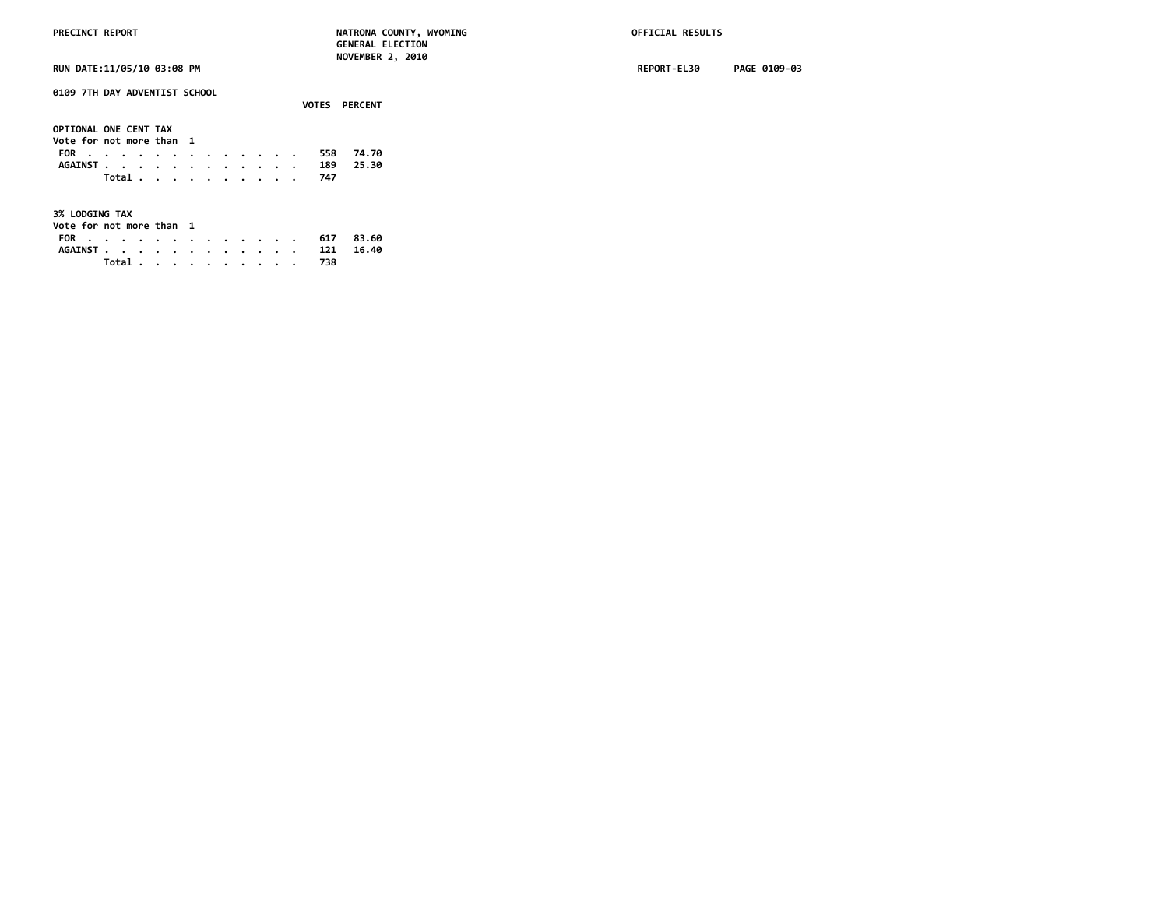**VOTES PERCENT**

**0109 7TH DAY ADVENTIST SCHOOL**

| OPTIONAL ONE CENT TAX<br>Vote for not more than 1 |  |  |  |  |  |           |  |
|---------------------------------------------------|--|--|--|--|--|-----------|--|
| FOR 558 74.70                                     |  |  |  |  |  |           |  |
| AGAINST 189 25.30                                 |  |  |  |  |  |           |  |
|                                                   |  |  |  |  |  | Total 747 |  |

**3% LODGING TAX**

| Vote for not more than  1 |  |  |  |  |  |  |       |     |                   |  |
|---------------------------|--|--|--|--|--|--|-------|-----|-------------------|--|
|                           |  |  |  |  |  |  |       |     | FOR 617 83.60     |  |
|                           |  |  |  |  |  |  |       |     | AGAINST 121 16.40 |  |
|                           |  |  |  |  |  |  | Total | 738 |                   |  |

**RUN DATE:11/05/10 03:08 PM REPORT-EL30 PAGE 0109-03**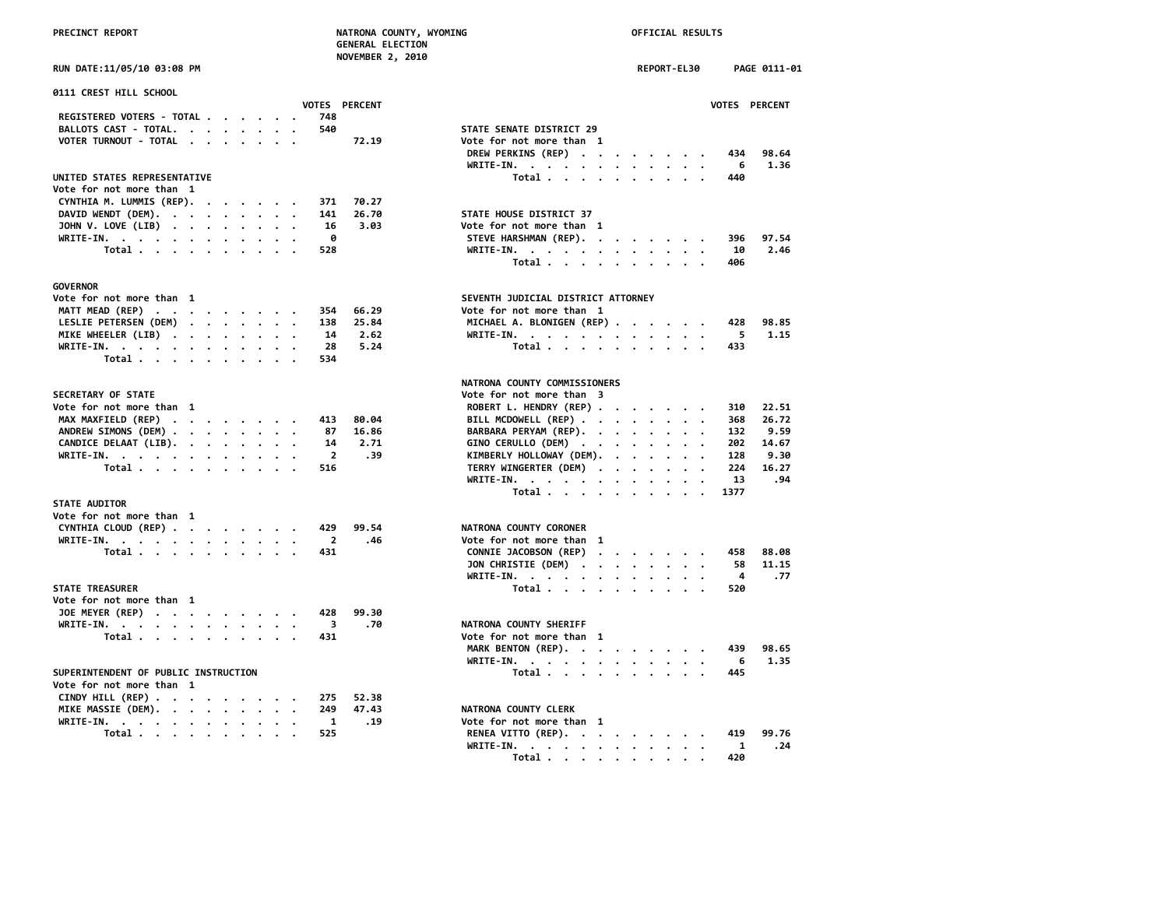|  | <b>PRECINCT REPORT</b> |  |  |
|--|------------------------|--|--|
|  |                        |  |  |

# **OFFICIAL RESULTS**

| PRECINCT REPORT                                                  |                       | NATRONA COUNTY, WYOMING<br><b>GENERAL ELECTION</b><br>NOVEMBER 2, 2010 |  | OFFICIAL RESULTS |           |      |               |
|------------------------------------------------------------------|-----------------------|------------------------------------------------------------------------|--|------------------|-----------|------|---------------|
| RUN DATE:11/05/10 03:08 PM                                       |                       |                                                                        |  | REPORT-EL30      |           |      | PAGE 0111-01  |
| 0111 CREST HILL SCHOOL                                           |                       |                                                                        |  |                  |           |      |               |
| REGISTERED VOTERS - TOTAL                                        | VOTES PERCENT<br>748  |                                                                        |  |                  |           |      | VOTES PERCENT |
| BALLOTS CAST - TOTAL.                                            | 540                   | STATE SENATE DISTRICT 29                                               |  |                  |           |      |               |
| VOTER TURNOUT - TOTAL<br>$\cdot$ $\cdot$ $\cdot$ $\cdot$ $\cdot$ | 72.19                 | Vote for not more than 1                                               |  |                  |           |      |               |
|                                                                  |                       | DREW PERKINS (REP)                                                     |  |                  |           | 434  | 98.64         |
|                                                                  |                       | WRITE-IN.                                                              |  |                  |           | 6    | 1.36          |
| UNITED STATES REPRESENTATIVE                                     |                       | Total                                                                  |  |                  |           | 440  |               |
| Vote for not more than 1                                         |                       |                                                                        |  |                  |           |      |               |
| CYNTHIA M. LUMMIS (REP).                                         | 70.27<br>371          |                                                                        |  |                  |           |      |               |
| DAVID WENDT (DEM).                                               | 141<br>26.70          | STATE HOUSE DISTRICT 37                                                |  |                  |           |      |               |
| JOHN V. LOVE (LIB)                                               | 16<br>3.03            | Vote for not more than 1                                               |  |                  |           |      |               |
| WRITE-IN.                                                        | - 0                   | STEVE HARSHMAN (REP).                                                  |  |                  |           | 396  | 97.54         |
| $\cdot$ $\cdot$                                                  | 528                   |                                                                        |  |                  |           | 10   | 2.46          |
| Total                                                            |                       | WRITE-IN.                                                              |  |                  |           | 406  |               |
|                                                                  |                       | Total                                                                  |  |                  |           |      |               |
|                                                                  |                       |                                                                        |  |                  |           |      |               |
| <b>GOVERNOR</b>                                                  |                       |                                                                        |  |                  |           |      |               |
| Vote for not more than 1                                         |                       | SEVENTH JUDICIAL DISTRICT ATTORNEY                                     |  |                  |           |      |               |
| MATT MEAD (REP)                                                  | 354<br>66.29          | Vote for not more than 1                                               |  |                  |           |      |               |
| LESLIE PETERSEN (DEM)<br>$\ddot{\phantom{1}}$                    | 25.84<br>138          | MICHAEL A. BLONIGEN (REP)                                              |  |                  |           | 428  | 98.85         |
| MIKE WHEELER (LIB)                                               | 14<br>2.62            | WRITE-IN.                                                              |  |                  |           | 5    | 1.15          |
| WRITE-IN.                                                        | 28<br>5.24            | Total                                                                  |  |                  |           | 433  |               |
| Total                                                            | 534                   |                                                                        |  |                  |           |      |               |
|                                                                  |                       |                                                                        |  |                  |           |      |               |
|                                                                  |                       | NATRONA COUNTY COMMISSIONERS                                           |  |                  |           |      |               |
| SECRETARY OF STATE                                               |                       | Vote for not more than 3                                               |  |                  |           |      |               |
| Vote for not more than 1                                         |                       | ROBERT L. HENDRY (REP)                                                 |  |                  |           | 310  | 22.51         |
| MAX MAXFIELD (REP)                                               | 80.04<br>413          | BILL MCDOWELL (REP)                                                    |  |                  |           | 368  | 26.72         |
| ANDREW SIMONS (DEM)                                              | 16.86<br>87           | BARBARA PERYAM (REP).                                                  |  |                  |           | 132  | 9.59          |
| CANDICE DELAAT (LIB).                                            | 14<br>2.71            | GINO CERULLO (DEM)                                                     |  |                  |           | 202  | 14.67         |
| WRITE-IN.                                                        | $\overline{2}$<br>.39 | KIMBERLY HOLLOWAY (DEM).                                               |  |                  |           | 128  | 9.30          |
| Total                                                            | 516                   | TERRY WINGERTER (DEM)                                                  |  |                  | $\cdot$ . | 224  | 16.27         |
|                                                                  |                       | WRITE-IN.                                                              |  |                  |           | 13   | .94           |
|                                                                  |                       | Total                                                                  |  |                  |           | 1377 |               |
| <b>STATE AUDITOR</b>                                             |                       |                                                                        |  |                  |           |      |               |
| Vote for not more than 1                                         |                       |                                                                        |  |                  |           |      |               |
|                                                                  | 429<br>99.54          | NATRONA COUNTY CORONER                                                 |  |                  |           |      |               |
| CYNTHIA CLOUD (REP)                                              | $\overline{2}$<br>.46 | Vote for not more than 1                                               |  |                  |           |      |               |
| WRITE-IN.                                                        |                       |                                                                        |  |                  |           |      |               |
| Total                                                            | 431                   | CONNIE JACOBSON (REP)                                                  |  |                  |           | 458  | 88.08         |
|                                                                  |                       | JON CHRISTIE (DEM)                                                     |  |                  |           | 58   | 11.15         |
|                                                                  |                       | WRITE-IN.                                                              |  |                  |           | 4    | .77           |
| <b>STATE TREASURER</b>                                           |                       | Total                                                                  |  |                  |           | 520  |               |
| Vote for not more than 1                                         |                       |                                                                        |  |                  |           |      |               |
| JOE MEYER (REP)                                                  | 99.30<br>428          |                                                                        |  |                  |           |      |               |
| WRITE-IN.                                                        | 3<br>.70              | NATRONA COUNTY SHERIFF                                                 |  |                  |           |      |               |
| Total $\cdots$ $\cdots$ $\cdots$                                 | 431                   | Vote for not more than 1                                               |  |                  |           |      |               |
|                                                                  |                       | MARK BENTON (REP).                                                     |  |                  |           | 439  | 98.65         |
|                                                                  |                       | WRITE-IN.                                                              |  |                  |           | 6    | 1.35          |
| SUPERINTENDENT OF PUBLIC INSTRUCTION                             |                       | Total                                                                  |  |                  |           | 445  |               |
| Vote for not more than 1                                         |                       |                                                                        |  |                  |           |      |               |
|                                                                  | 275<br>52.38          |                                                                        |  |                  |           |      |               |
| CINDY HILL (REP)                                                 |                       |                                                                        |  |                  |           |      |               |
| MIKE MASSIE (DEM).                                               | 249<br>47.43          | NATRONA COUNTY CLERK                                                   |  |                  |           |      |               |
| WRITE-IN.<br>$\cdot$                                             | .19<br>1              | Vote for not more than 1                                               |  |                  |           |      |               |
| Total $\cdots$ $\cdots$ $\cdots$                                 | 525                   | RENEA VITTO (REP).                                                     |  |                  |           | 419  | 99.76         |

| <b>RUN DATE:11/05/10 03:08 PM</b>              | REPORT-EL30                        | PAGE 0111-0   |
|------------------------------------------------|------------------------------------|---------------|
| 0111 CREST HILL SCHOOL<br><b>VOTES PERCENT</b> | <b>VOTES PERCENT</b>               |               |
| REGISTERED VOTERS - TOTAL<br>748               |                                    |               |
| BALLOTS CAST - TOTAL.<br>540                   | STATE SENATE DISTRICT 29           |               |
| VOTER TURNOUT - TOTAL<br>72.19                 | Vote for not more than 1           |               |
|                                                | DREW PERKINS (REP)<br>434<br>-6    | 98.64<br>1.36 |
| UNITED STATES REPRESENTATIVE                   | WRITE-IN.<br>Total.<br>440         |               |
| Vote for not more than 1                       |                                    |               |
| CYNTHIA M. LUMMIS (REP).<br>70.27<br>371       |                                    |               |
| 26.70<br>141                                   | STATE HOUSE DISTRICT 37            |               |
| DAVID WENDT (DEM).<br>16<br>3.03               | Vote for not more than 1           |               |
| JOHN V. LOVE (LIB)<br>0                        | 396                                | 97.54         |
| WRITE-IN.<br>Total<br>528                      | STEVE HARSHMAN (REP).<br>10        | 2.46          |
|                                                | WRITE-IN.                          |               |
|                                                | Total<br>406                       |               |
| GOVERNOR                                       | SEVENTH JUDICIAL DISTRICT ATTORNEY |               |
| Vote for not more than 1                       |                                    |               |
| MATT MEAD (REP)<br>66.29<br>354                | Vote for not more than 1           |               |
| LESLIE PETERSEN (DEM)<br>138<br>25.84          | MICHAEL A. BLONIGEN (REP)<br>428   | 98.85         |
| MIKE WHEELER (LIB)<br>14<br>2.62               | WRITE-IN.<br>-5                    | 1.15          |
| 28<br>5.24<br>WRITE-IN.<br>Total<br>534        | Total<br>433                       |               |
|                                                |                                    |               |
|                                                | NATRONA COUNTY COMMISSIONERS       |               |
| <b>SECRETARY OF STATE</b>                      | Vote for not more than 3           |               |
| Vote for not more than 1                       | ROBERT L. HENDRY (REP)<br>310      | 22.51         |
| MAX MAXFIELD (REP)<br>80.04<br>413             | BILL MCDOWELL (REP)<br>368         | 26.72         |
| ANDREW SIMONS (DEM)<br>87<br>16.86             | BARBARA PERYAM (REP).<br>132       | 9.59          |
| CANDICE DELAAT (LIB).<br>14<br>2.71            | GINO CERULLO (DEM)<br>202          | 14.67         |
| WRITE-IN.<br>$\mathbf{2}$<br>.39               | KIMBERLY HOLLOWAY (DEM).<br>128    | 9.30          |
| Total<br>516                                   | TERRY WINGERTER (DEM)<br>224       | 16.27         |
|                                                | WRITE-IN.<br>13                    | .94           |
|                                                | Total<br>1377                      |               |
| <b>STATE AUDITOR</b>                           |                                    |               |
| Vote for not more than 1                       |                                    |               |
| CYNTHIA CLOUD (REP)<br>99.54<br>429            | NATRONA COUNTY CORONER             |               |
| WRITE-IN.<br>$\mathbf{2}$<br>.46               | Vote for not more than 1           |               |
| Total<br>431                                   | CONNIE JACOBSON (REP)<br>458       | 88.08         |
|                                                | JON CHRISTIE (DEM)<br>58           | 11.15         |
|                                                | WRITE-IN.<br>4                     | .77           |
| <b>STATE TREASURER</b>                         | Total<br>520                       |               |
| Vote for not more than 1                       |                                    |               |
| JOE MEYER (REP)<br>428<br>99.30                |                                    |               |
| WRITE-IN.<br>3<br>.70                          | NATRONA COUNTY SHERIFF             |               |
| Total<br>431                                   | Vote for not more than 1           |               |
|                                                | MARK BENTON (REP).<br>439          | 98.65         |
|                                                | WRITE-IN.<br>6                     | 1.35          |
| SUPERINTENDENT OF PUBLIC INSTRUCTION           | Total<br>445                       |               |
| Vote for not more than 1                       |                                    |               |
| 275<br>52.38                                   |                                    |               |
| CINDY HILL (REP)<br>249<br>47.43               | NATRONA COUNTY CLERK               |               |
| MIKE MASSIE (DEM).                             |                                    |               |
| WRITE-IN.<br>1<br>.19                          | Vote for not more than 1           |               |
| Total<br>525                                   | RENEA VITTO (REP).<br>419          | 99.76         |
|                                                | WRITE-IN.<br>1                     | . 24          |
|                                                | Total<br>420                       |               |
|                                                |                                    |               |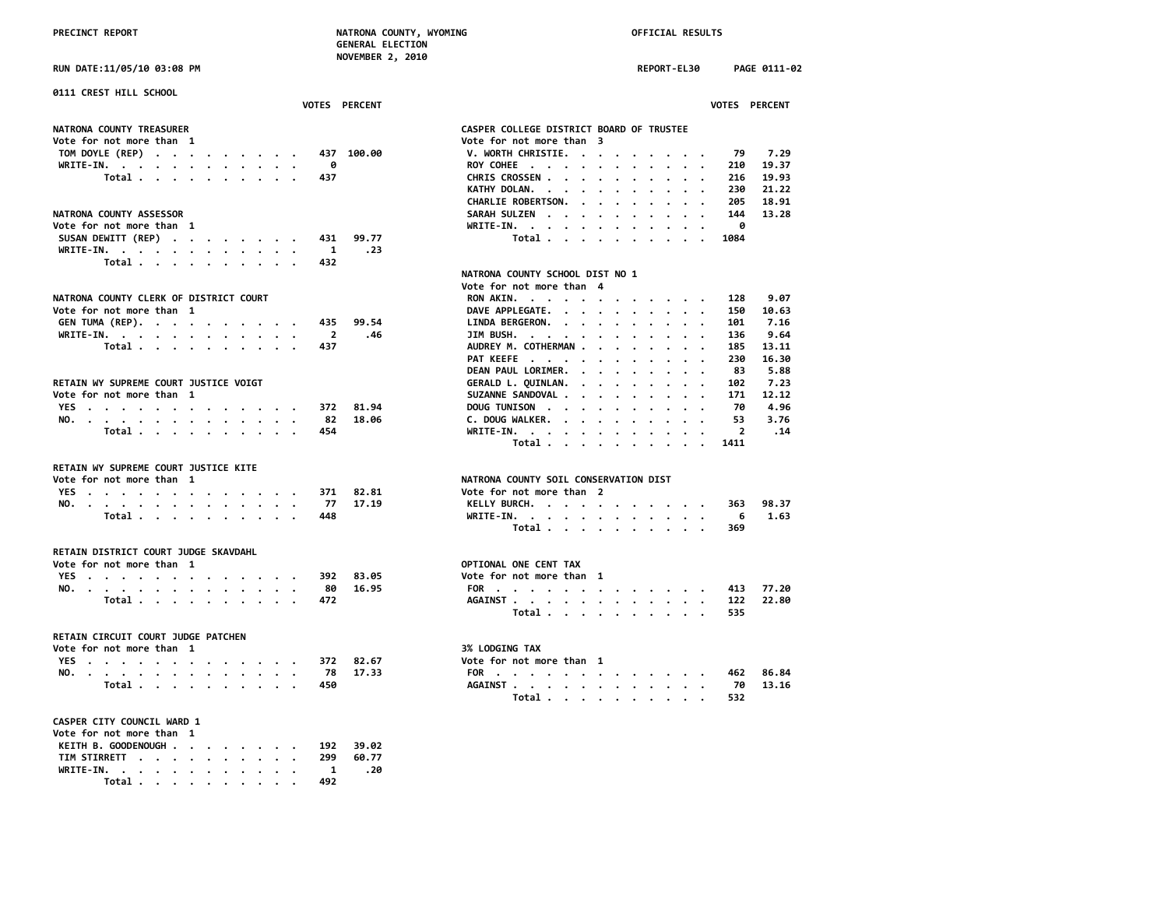**RUN DATE:11/05/10 03:08 PM REPORT-EL30 PAGE 0111-02**

| 0111 CREST HILL SCHOOL<br>VOTES PERCENT          | VOTES PERCENT                                  |
|--------------------------------------------------|------------------------------------------------|
|                                                  |                                                |
| <b>NATRONA COUNTY TREASURER</b>                  | CASPER COLLEGE DISTRICT BOARD OF TRUSTEE       |
| Vote for not more than 1                         | Vote for not more than 3                       |
| TOM DOYLE (REP)<br>437 100.00                    | V. WORTH CHRISTIE.<br>79<br>7.29               |
| WRITE-IN.<br>0                                   | ROY COHEE<br>19.37<br>210                      |
| Total<br>437                                     | 19.93<br>CHRIS CROSSEN<br>216                  |
|                                                  | KATHY DOLAN.<br>230<br>21.22<br>$\cdots$       |
|                                                  | CHARLIE ROBERTSON.<br>205<br>18.91<br>$\cdots$ |
| <b>NATRONA COUNTY ASSESSOR</b>                   | SARAH SULZEN<br>144<br>13.28                   |
| Vote for not more than 1                         | 0<br>WRITE-IN.                                 |
| SUSAN DEWITT (REP)<br>99.77<br>431               | Total<br>1084                                  |
| WRITE-IN.<br>.23<br>$\mathbf{1}$                 |                                                |
| Total<br>432                                     |                                                |
|                                                  | NATRONA COUNTY SCHOOL DIST NO 1                |
|                                                  | Vote for not more than 4                       |
| NATRONA COUNTY CLERK OF DISTRICT COURT           | 9.07<br>RON AKIN.<br>128                       |
| Vote for not more than 1                         | DAVE APPLEGATE.<br>10.63<br>150                |
| GEN TUMA (REP).<br>99.54<br>435                  | 7.16<br>LINDA BERGERON.<br>101                 |
| WRITE-IN.<br>$\overline{\mathbf{2}}$<br>.46      | JIM BUSH.<br>136<br>9.64                       |
| Total<br>437                                     | AUDREY M. COTHERMAN<br>185<br>13.11            |
|                                                  | PAT KEEFE<br>230<br>16.30                      |
|                                                  | DEAN PAUL LORIMER.<br>83<br>5.88               |
| RETAIN WY SUPREME COURT JUSTICE VOIGT            | GERALD L. QUINLAN.<br>102<br>7.23<br>$\cdots$  |
| Vote for not more than 1                         | 12.12<br>SUZANNE SANDOVAL<br>171               |
| YES<br>81.94<br>372                              | 4.96<br>DOUG TUNISON<br>70                     |
| NO.<br>82<br>18.06                               | C. DOUG WALKER.<br>3.76<br>53                  |
| Total $\cdots$ $\cdots$ $\cdots$<br>454          | .14<br>WRITE-IN.<br>$\overline{2}$             |
|                                                  | Total<br>1411                                  |
| RETAIN WY SUPREME COURT JUSTICE KITE             |                                                |
| Vote for not more than 1                         | NATRONA COUNTY SOIL CONSERVATION DIST          |
| YES<br>371<br>82.81                              | Vote for not more than 2                       |
| -77<br>17.19<br>NO.                              | KELLY BURCH.<br>98.37<br>363                   |
| Total $\cdots$ $\cdots$ $\cdots$ $\cdots$<br>448 | 1.63<br>WRITE-IN.<br>- 6                       |
|                                                  | Total<br>369                                   |
| RETAIN DISTRICT COURT JUDGE SKAVDAHL             |                                                |
| Vote for not more than 1                         | OPTIONAL ONE CENT TAX                          |
| YES<br>83.05<br>392                              | Vote for not more than 1                       |
| 16.95<br>NO.<br>- 80                             | 77.20<br>FOR<br>413                            |
| Total<br>472                                     | 22.80<br>AGAINST<br>122                        |
|                                                  | Total<br>535                                   |
| RETAIN CIRCUIT COURT JUDGE PATCHEN               |                                                |
| Vote for not more than  1                        | <b>3% LODGING TAX</b>                          |
| YES<br>372<br>82.67                              | Vote for not more than 1                       |
| 17.33<br>NO.<br>- 78                             | FOR<br>86.84<br>462                            |
| Total<br>450                                     | AGAINST<br>70<br>13.16                         |
|                                                  | Total<br>532                                   |
| CASPER CITY COUNCIL WARD 1                       |                                                |
| Vote for not more than  1                        |                                                |
| KEITH B. GOODENOUGH<br>39.02<br>192              |                                                |
| TIM STIRRETT<br>60.77<br>299                     |                                                |
| WRITE-IN.<br>1<br>.20                            |                                                |
| Total<br>492                                     |                                                |
|                                                  |                                                |

|                                                                               |                      |                       |                      |                      |                      |                      |                      |                      |                      |                | <b>VOTES PERCENT</b> |
|-------------------------------------------------------------------------------|----------------------|-----------------------|----------------------|----------------------|----------------------|----------------------|----------------------|----------------------|----------------------|----------------|----------------------|
|                                                                               |                      |                       |                      |                      |                      |                      |                      |                      |                      |                |                      |
| CASPER COLLEGE DISTRICT BOARD OF TRUSTEE                                      |                      |                       |                      |                      |                      |                      |                      |                      |                      |                |                      |
| Vote for not more than 3                                                      |                      |                       |                      |                      |                      |                      |                      |                      |                      |                |                      |
| V. WORTH CHRISTIE.                                                            |                      |                       | $\cdot$              | $\bullet$            |                      |                      |                      |                      |                      | 79             | 7.29                 |
| ROY COHEE .<br>$\ddot{\phantom{0}}$                                           |                      | $\ddot{\phantom{0}}$  | $\bullet$            | $\bullet$            | $\bullet$            | $\bullet$            | $\bullet$            | $\ddot{\phantom{0}}$ | $\cdot$              |                | 210 19.37            |
| CHRIS CROSSEN .                                                               | $\ddot{\phantom{0}}$ |                       | $\ddot{\phantom{0}}$ |                      |                      |                      |                      |                      |                      | 216            | 19.93                |
| KATHY DOLAN.<br>$\overline{\phantom{a}}$                                      |                      | $\ddot{\phantom{0}}$  | $\ddot{\phantom{0}}$ | $\cdot$              | $\cdot$              | $\cdot$              | $\ddot{\phantom{0}}$ | $\ddot{\phantom{0}}$ | $\cdot$              | 230            | 21.22                |
| <b>CHARLIE ROBERTSON.</b>                                                     |                      | $\ddot{\phantom{0}}$  | $\blacksquare$       | $\cdot$              | $\cdot$              | $\ddot{\phantom{0}}$ | $\ddot{\phantom{0}}$ | $\sim$               | $\ddot{\phantom{0}}$ | 205            | 18.91                |
| SARAH SULZEN                                                                  |                      | $\bullet$             |                      |                      |                      |                      |                      | $\ddot{\phantom{0}}$ | $\cdot$              | 144            | 13.28                |
| WRITE-IN. .                                                                   |                      | $\ddot{\phantom{0}}$  | $\ddot{\phantom{0}}$ | $\bullet$            | $\ddot{\phantom{0}}$ | $\ddot{\phantom{0}}$ | $\ddot{\phantom{0}}$ | $\ddot{\phantom{0}}$ |                      | - 0            |                      |
| Total .                                                                       | $\sim$               | $\ddot{\phantom{0}}$  | $\ddot{\phantom{0}}$ | $\bullet$            | $\ddot{\phantom{0}}$ | $\ddot{\phantom{0}}$ | $\ddot{\phantom{0}}$ | $\cdot$              |                      | 1084           |                      |
| NATRONA COUNTY SCHOOL DIST NO 1<br>Vote for not more than 4                   |                      |                       |                      |                      |                      |                      |                      |                      |                      |                |                      |
|                                                                               |                      |                       |                      |                      |                      |                      |                      |                      |                      |                |                      |
| RON AKIN.                                                                     |                      |                       | $\bullet$            |                      |                      |                      |                      |                      |                      | 128            | 9.07                 |
| DAVE APPLEGATE.                                                               |                      | $\ddot{\phantom{a}}$  | $\ddot{\phantom{a}}$ | $\bullet$            | $\bullet$            | $\cdot$              | $\bullet$            | $\cdot$              |                      |                | 150 10.63            |
| <b>LINDA BERGERON.</b>                                                        | $\sim$               | $\cdot$               | $\bullet$            | $\bullet$            | $\bullet$            | $\cdot$              | $\bullet$            | $\cdot$              |                      | 101            | 7.16                 |
| JIM BUSH.                                                                     |                      |                       | $\ddot{\phantom{0}}$ | $\bullet$            | $\ddot{\phantom{0}}$ | $\ddot{\phantom{0}}$ |                      | $\ddot{\phantom{0}}$ |                      | 136            | 9.64                 |
| AUDREY M. COTHERMAN                                                           |                      |                       |                      |                      | $\cdot$              | $\cdot$              |                      | $\ddot{\phantom{0}}$ |                      | 185            | 13.11                |
| PAT KEEFE                                                                     |                      | $\bullet$             | $\ddot{\phantom{0}}$ | $\bullet$            | $\bullet$            | $\cdot$              | $\ddot{\phantom{0}}$ | $\cdot$              |                      | 230            | 16.30                |
| DEAN PAUL LORIMER.                                                            |                      | $\ddot{\phantom{0}}$  | $\ddot{\phantom{a}}$ | $\bullet$            | $\ddot{\phantom{0}}$ | $\ddot{\phantom{0}}$ | $\ddot{\phantom{0}}$ | $\ddot{\phantom{0}}$ |                      | 83             | 5.88                 |
| GERALD L. QUINLAN.                                                            |                      | $\ddot{\phantom{a}}$  | $\ddot{\phantom{0}}$ | $\ddot{\phantom{a}}$ | $\overline{a}$       | $\ddot{\phantom{0}}$ | $\ddot{\phantom{0}}$ | $\ddot{\phantom{0}}$ | $\ddot{\phantom{0}}$ | 102            | 7.23                 |
| SUZANNE SANDOVAL .                                                            |                      | $\ddot{\phantom{0}}$  | $\ddot{\phantom{0}}$ | $\bullet$            | $\bullet$            | $\cdot$              | $\ddot{\phantom{0}}$ | $\cdot$              | $\cdot$              | 171            | 12.12                |
| DOUG TUNISON .                                                                | $\sim$               | $\ddot{\phantom{0}}$  | $\ddot{\phantom{0}}$ | $\bullet$            | $\bullet$            | $\ddot{\phantom{0}}$ | $\ddot{\phantom{0}}$ | $\bullet$            | $\bullet$            | 70             | 4.96                 |
| C. DOUG WALKER.                                                               | $\ddot{\phantom{0}}$ | $\ddot{\phantom{a}}$  | $\overline{a}$       | $\overline{a}$       | $\overline{a}$       | $\bullet$            | $\cdot$              | $\ddot{\phantom{0}}$ | $\ddot{\phantom{0}}$ | 53             | 3.76                 |
| WRITE-IN. .                                                                   |                      | $\cdot$               | $\bullet$ .          | $\ddot{\phantom{0}}$ | $\bullet$            | $\ddot{\phantom{0}}$ | $\ddot{\phantom{0}}$ | $\ddot{\phantom{0}}$ |                      | $\overline{2}$ | .14                  |
| Total                                                                         |                      | $\ddot{\phantom{0}}$  | $\ddot{\phantom{0}}$ |                      |                      |                      | $\bullet$            |                      |                      | 1411           |                      |
|                                                                               |                      |                       |                      |                      |                      |                      |                      |                      |                      |                |                      |
| NATRONA COUNTY SOIL CONSERVATION DIST                                         |                      |                       |                      |                      |                      |                      |                      |                      |                      |                |                      |
| Vote for not more than 2                                                      |                      |                       |                      |                      |                      |                      |                      |                      |                      |                |                      |
| KELLY BURCH. .                                                                |                      |                       | $\ddot{\phantom{0}}$ | $\bullet$            |                      | $\ddot{\phantom{0}}$ | $\ddot{\phantom{0}}$ | $\bullet$            | $\sim$               |                | 363 98.37            |
| WRITE-IN. .<br>$\bullet$                                                      | $\ddot{\phantom{0}}$ | $\bullet$             | $\ddot{\phantom{a}}$ | $\bullet$            | $\sim$               | $\bullet$            |                      | $\sim$ $\sim$        | $\cdot$              | 6              | 1.63                 |
| Total                                                                         |                      | $\cdot$               | $\overline{a}$       | $\mathbf{r}$         | $\blacksquare$       | $\ddot{\phantom{0}}$ |                      |                      |                      | 6<br>369       |                      |
|                                                                               |                      |                       |                      |                      |                      |                      |                      |                      |                      |                |                      |
|                                                                               |                      |                       |                      |                      |                      |                      |                      |                      |                      |                |                      |
| OPTIONAL ONE CENT TAX                                                         |                      |                       |                      |                      |                      |                      |                      |                      |                      |                |                      |
| Vote for not more than                                                        |                      |                       | 1                    |                      |                      |                      |                      |                      |                      |                |                      |
| FOR .<br>$\ddot{\phantom{a}}$<br>$\ddot{\phantom{0}}$<br>$\ddot{\phantom{a}}$ |                      | $\bullet$ . $\bullet$ | $\bullet$            | $\cdot$              |                      |                      |                      |                      |                      |                | 413 77.20            |
| <b>AGAINST</b><br>$\sim$                                                      | $\ddot{\phantom{0}}$ | $\ddot{\phantom{0}}$  | $\bullet$            | $\sim$ 100 $\sim$    | $\sim$               | $\bullet$ .          | $\ddot{\phantom{0}}$ |                      |                      | 122            | 22.80                |
| Total                                                                         |                      | $\ddot{\phantom{0}}$  | $\bullet$            | $\overline{a}$       | $\overline{a}$       | $\ddot{\phantom{a}}$ |                      |                      |                      | 535            |                      |
|                                                                               |                      |                       |                      |                      |                      |                      |                      |                      |                      |                |                      |
| 3% LODGING TAX<br>Vote for not more than                                      |                      |                       | 1                    |                      |                      |                      |                      |                      |                      |                |                      |
| FOR<br>$\ddot{\phantom{a}}$<br>$\ddot{\phantom{0}}$<br>$\cdot$<br>$\cdot$     |                      |                       | $\bullet$            |                      |                      |                      |                      |                      |                      |                | 462 86.84            |
| <b>AGAINST .</b><br>$\sim$                                                    |                      | $\ddot{\phantom{0}}$  | $\bullet$            | $\bullet$            | $\bullet$ .          | $\bullet$            |                      | $\cdot$ $\cdot$      |                      | 70             | 13.16                |
| Total .                                                                       | $\ddot{\phantom{0}}$ | $\cdot$               | $\ddot{\phantom{0}}$ | $\ddot{\phantom{0}}$ | $\ddot{\phantom{0}}$ | $\ddot{\phantom{0}}$ |                      |                      |                      | 532            |                      |
|                                                                               |                      |                       |                      |                      |                      |                      |                      |                      |                      |                |                      |
|                                                                               |                      |                       |                      |                      |                      |                      |                      |                      |                      |                |                      |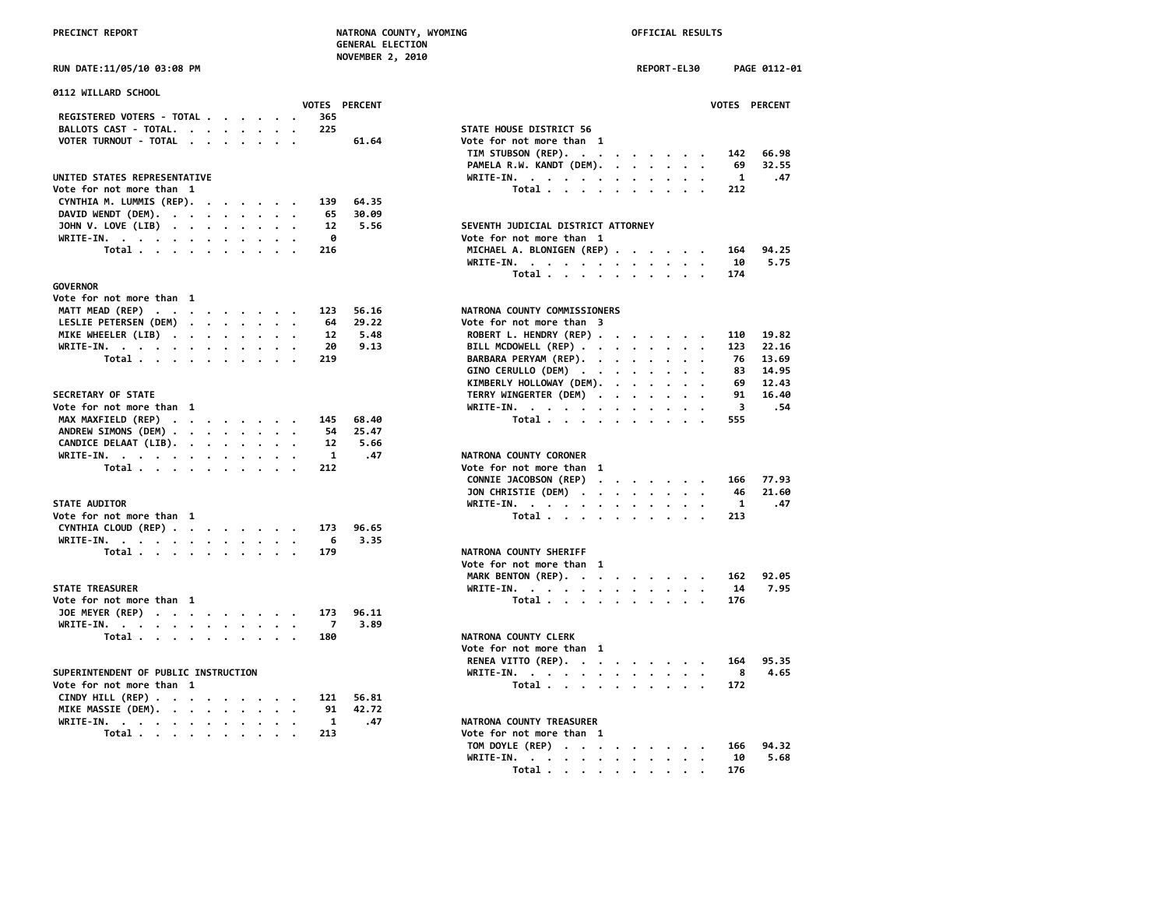| 0112 WILLARD SCHOOL                                                                |                                                                                                                |
|------------------------------------------------------------------------------------|----------------------------------------------------------------------------------------------------------------|
| VOTES PERCENT                                                                      | <b>VOTES PERCENT</b>                                                                                           |
| REGISTERED VOTERS - TOTAL<br>365                                                   |                                                                                                                |
| BALLOTS CAST - TOTAL.<br>225                                                       | STATE HOUSE DISTRICT 56                                                                                        |
| VOTER TURNOUT - TOTAL<br>61.64                                                     | Vote for not more than 1                                                                                       |
|                                                                                    | TIM STUBSON (REP).<br>66.98<br>142                                                                             |
|                                                                                    | PAMELA R.W. KANDT (DEM).<br>32.55<br>69<br>$\sim$ $\sim$                                                       |
| UNITED STATES REPRESENTATIVE                                                       | $\mathbf{1}$<br>WRITE-IN.<br>.47                                                                               |
| Vote for not more than 1                                                           | Total<br>212                                                                                                   |
| CYNTHIA M. LUMMIS (REP).<br>64.35<br>139                                           |                                                                                                                |
| DAVID WENDT (DEM).<br>30.09<br>65                                                  |                                                                                                                |
| JOHN V. LOVE (LIB)<br>5.56<br>12                                                   | SEVENTH JUDICIAL DISTRICT ATTORNEY                                                                             |
| 0<br>WRITE-IN.                                                                     | Vote for not more than 1                                                                                       |
| Total<br>216                                                                       | 94.25<br>MICHAEL A. BLONIGEN (REP)<br>164                                                                      |
|                                                                                    | 10<br>WRITE-IN.<br>5.75<br>$\sim$ $\sim$                                                                       |
|                                                                                    | 174                                                                                                            |
|                                                                                    | Total                                                                                                          |
| <b>GOVERNOR</b>                                                                    |                                                                                                                |
| Vote for not more than 1                                                           |                                                                                                                |
| MATT MEAD (REP)<br>56.16<br>123                                                    | NATRONA COUNTY COMMISSIONERS                                                                                   |
| LESLIE PETERSEN (DEM)<br>29.22<br>64                                               | Vote for not more than 3                                                                                       |
| 5.48<br>MIKE WHEELER (LIB)<br>12                                                   | ROBERT L. HENDRY (REP)<br>19.82<br>110                                                                         |
| 20<br>9.13<br>WRITE-IN.                                                            | BILL MCDOWELL (REP)<br>123<br>22.16                                                                            |
| Total<br>219                                                                       | BARBARA PERYAM (REP).<br>76<br>13.69                                                                           |
|                                                                                    | GINO CERULLO (DEM)<br>14.95<br>83                                                                              |
|                                                                                    | KIMBERLY HOLLOWAY (DEM).<br>69<br>12.43<br>$\cdot$<br>$\cdot$ .                                                |
| SECRETARY OF STATE                                                                 | TERRY WINGERTER (DEM)<br>16.40<br>91                                                                           |
| Vote for not more than 1                                                           | 3<br>. 54<br>WRITE-IN.                                                                                         |
| MAX MAXFIELD (REP)<br>68.40<br>145                                                 | Total.<br>555                                                                                                  |
| ANDREW SIMONS (DEM)<br>25.47<br>54                                                 |                                                                                                                |
| CANDICE DELAAT (LIB).<br>5.66<br>12                                                |                                                                                                                |
|                                                                                    |                                                                                                                |
| WRITE-IN.<br>1<br>.47                                                              | NATRONA COUNTY CORONER                                                                                         |
| Total<br>212                                                                       | Vote for not more than 1                                                                                       |
|                                                                                    | CONNIE JACOBSON (REP)<br>77.93<br>166<br>$\mathbf{r}$ , and $\mathbf{r}$ , and $\mathbf{r}$ , and $\mathbf{r}$ |
|                                                                                    | 21.60<br>JON CHRISTIE (DEM)<br>46                                                                              |
| <b>STATE AUDITOR</b>                                                               | $\mathbf{1}$<br>WRITE-IN.<br>.47                                                                               |
| Vote for not more than 1                                                           | 213<br>Total                                                                                                   |
| CYNTHIA CLOUD (REP)<br>96.65<br>173                                                |                                                                                                                |
| 3.35<br>WRITE-IN.<br>6                                                             |                                                                                                                |
| Total<br>179                                                                       | NATRONA COUNTY SHERIFF                                                                                         |
|                                                                                    | Vote for not more than 1                                                                                       |
|                                                                                    | MARK BENTON (REP).<br>92.05<br>162                                                                             |
| <b>STATE TREASURER</b>                                                             | 7.95<br>WRITE-IN.<br>14                                                                                        |
| Vote for not more than 1                                                           | Total<br>176                                                                                                   |
| 96.11<br>173                                                                       |                                                                                                                |
| JOE MEYER (REP)                                                                    |                                                                                                                |
| 7<br>3.89<br>WRITE-IN.                                                             |                                                                                                                |
| Total<br>180                                                                       | NATRONA COUNTY CLERK                                                                                           |
|                                                                                    | Vote for not more than 1                                                                                       |
|                                                                                    | 95.35<br>RENEA VITTO (REP).<br>164                                                                             |
| SUPERINTENDENT OF PUBLIC INSTRUCTION                                               | 8<br>4.65<br>WRITE-IN.<br>$\cdot$ .                                                                            |
| Vote for not more than 1                                                           | Total<br>172                                                                                                   |
| CINDY HILL (REP) $\cdot \cdot \cdot \cdot \cdot \cdot \cdot \cdot$<br>121<br>56.81 |                                                                                                                |
| MIKE MASSIE (DEM).<br>42.72<br>91                                                  |                                                                                                                |
| WRITE-IN.<br>1<br>.47                                                              | NATRONA COUNTY TREASURER                                                                                       |
| Total<br>213                                                                       | Vote for not more than 1                                                                                       |
|                                                                                    |                                                                                                                |

|                                                                           | NUVEMBER 4, 2010     |                                           |             |               |
|---------------------------------------------------------------------------|----------------------|-------------------------------------------|-------------|---------------|
| <b>RUN DATE:11/05/10 03:08 PM</b>                                         |                      |                                           | REPORT-EL30 | PAGE 0112-01  |
| 0112 WILLARD SCHOOL                                                       |                      |                                           |             |               |
| REGISTERED VOTERS - TOTAL<br>365                                          | <b>VOTES PERCENT</b> |                                           |             | VOTES PERCENT |
| 225                                                                       |                      | STATE HOUSE DISTRICT 56                   |             |               |
| BALLOTS CAST - TOTAL.                                                     |                      |                                           |             |               |
| VOTER TURNOUT - TOTAL                                                     | 61.64                | Vote for not more than 1                  |             |               |
|                                                                           |                      | TIM STUBSON (REP).                        |             | 142<br>66.98  |
|                                                                           |                      | PAMELA R.W. KANDT (DEM).                  |             | 32.55<br>69   |
| UNITED STATES REPRESENTATIVE                                              |                      | WRITE-IN.                                 |             | .47<br>1      |
| Vote for not more than 1                                                  |                      | Total                                     |             | 212           |
| CYNTHIA M. LUMMIS (REP).<br>139                                           | 64.35                |                                           |             |               |
| DAVID WENDT (DEM).<br>65                                                  | 30.09                |                                           |             |               |
| JOHN V. LOVE (LIB)<br>12                                                  | 5.56                 | SEVENTH JUDICIAL DISTRICT ATTORNEY        |             |               |
| 0<br>WRITE-IN.                                                            |                      | Vote for not more than 1                  |             |               |
| Total<br>216                                                              |                      | MICHAEL A. BLONIGEN (REP)                 |             | 94.25<br>164  |
|                                                                           |                      | WRITE-IN.                                 |             | 5.75<br>10    |
|                                                                           |                      | Total                                     |             | 174           |
| GOVERNOR                                                                  |                      |                                           |             |               |
| Vote for not more than  1                                                 |                      |                                           |             |               |
| MATT MEAD (REP)<br>123                                                    | 56.16                | NATRONA COUNTY COMMISSIONERS              |             |               |
| LESLIE PETERSEN (DEM)<br>64                                               | 29.22                | Vote for not more than 3                  |             |               |
| MIKE WHEELER (LIB)<br>12                                                  | 5.48                 | ROBERT L. HENDRY (REP)                    |             | 19.82<br>110  |
| WRITE-IN.<br>20                                                           | 9.13                 | BILL MCDOWELL (REP)                       |             | 123<br>22.16  |
| Total<br>219                                                              |                      | BARBARA PERYAM (REP).                     |             | 76<br>13.69   |
|                                                                           |                      | GINO CERULLO (DEM)                        |             | 14.95<br>83   |
|                                                                           |                      | KIMBERLY HOLLOWAY (DEM).                  |             | 69<br>12.43   |
| <b>SECRETARY OF STATE</b>                                                 |                      | TERRY WINGERTER (DEM)                     |             | 91<br>16.40   |
| Vote for not more than 1                                                  |                      | WRITE-IN.                                 |             | 3<br>.54      |
| MAX MAXFIELD (REP)<br>145                                                 | 68.40                | Total                                     |             | 555           |
| ANDREW SIMONS (DEM)<br>54                                                 | 25.47                |                                           |             |               |
| CANDICE DELAAT (LIB).<br>12                                               | 5.66                 |                                           |             |               |
| WRITE-IN.<br>$\mathbf{1}$                                                 | .47                  | NATRONA COUNTY CORONER                    |             |               |
| Total<br>212                                                              |                      | Vote for not more than 1                  |             |               |
|                                                                           |                      | CONNIE JACOBSON (REP)                     |             | 77.93<br>166  |
|                                                                           |                      | JON CHRISTIE (DEM)                        |             | 21.60<br>46   |
| <b>STATE AUDITOR</b>                                                      |                      | WRITE-IN.                                 |             | 1<br>.47      |
| Vote for not more than 1                                                  |                      | Total                                     |             | 213           |
| CYNTHIA CLOUD (REP)<br>173                                                | 96.65                |                                           |             |               |
| WRITE-IN.<br>6                                                            | 3.35                 |                                           |             |               |
| Total<br>179                                                              |                      | NATRONA COUNTY SHERIFF                    |             |               |
|                                                                           |                      | Vote for not more than 1                  |             |               |
|                                                                           |                      |                                           |             | 92.05<br>162  |
| <b>STATE TREASURER</b>                                                    |                      | MARK BENTON (REP).                        |             | 7.95          |
| Vote for not more than 1                                                  |                      | WRITE-IN.                                 |             | 14            |
|                                                                           |                      | Total                                     |             | 176           |
| JOE MEYER (REP)<br>173                                                    | 96.11                |                                           |             |               |
| WRITE-IN.<br>$\overline{7}$                                               | 3.89                 |                                           |             |               |
| Total<br>180                                                              |                      | NATRONA COUNTY CLERK                      |             |               |
|                                                                           |                      | Vote for not more than 1                  |             |               |
|                                                                           |                      | RENEA VITTO (REP).                        |             | 95.35<br>164  |
| SUPERINTENDENT OF PUBLIC INSTRUCTION                                      |                      | WRITE-IN.                                 |             | 8<br>4.65     |
| Vote for not more than 1                                                  |                      | Total $\cdots$ $\cdots$ $\cdots$ $\cdots$ |             | 172           |
| CINDY HILL (REP) $\cdot \cdot \cdot \cdot \cdot \cdot \cdot \cdot$<br>121 | 56.81                |                                           |             |               |
| MIKE MASSIE (DEM).<br>91                                                  | 42.72                |                                           |             |               |
| WRITE-IN.<br>1                                                            | .47                  | NATRONA COUNTY TREASURER                  |             |               |
| 213<br>Total                                                              |                      | Vote for not more than 1                  |             |               |
|                                                                           |                      | TOM DOYLE (REP)                           |             | 94.32<br>166  |
|                                                                           |                      | WRITE-IN.                                 |             | 5.68<br>10    |
|                                                                           |                      | Total                                     |             | 176           |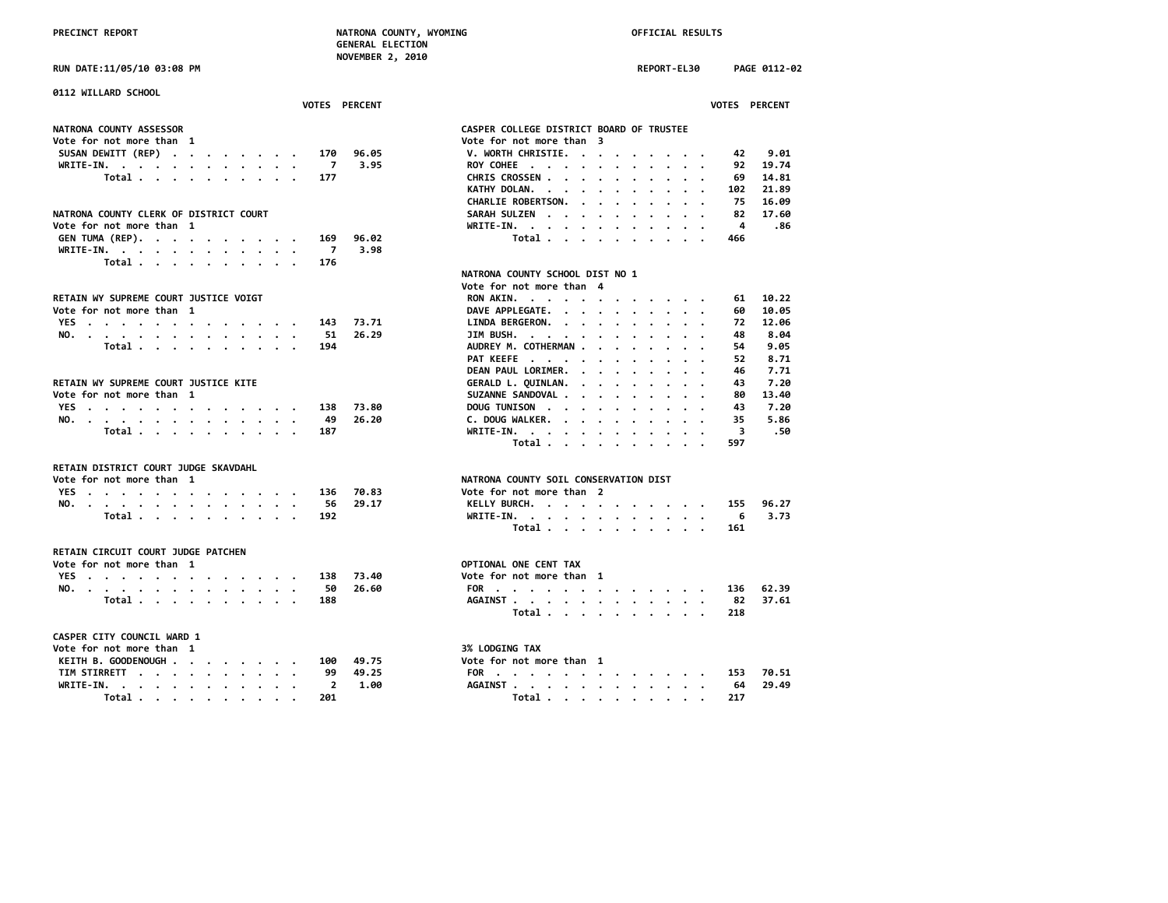**NOVEMBER 2, 2010**

**RUN DATE:11/05/10 03:08 PM REPORT-EL30 PAGE 0112-02**

| 0112 WILLARD SCHOOL                    |               |                                                                                                                                                                                                                                                                       |
|----------------------------------------|---------------|-----------------------------------------------------------------------------------------------------------------------------------------------------------------------------------------------------------------------------------------------------------------------|
|                                        | VOTES PERCENT | <b>VOTES PERCENT</b>                                                                                                                                                                                                                                                  |
| NATRONA COUNTY ASSESSOR                |               | CASPER COLLEGE DISTRICT BOARD OF TRUSTEE                                                                                                                                                                                                                              |
| Vote for not more than 1               |               | Vote for not more than 3                                                                                                                                                                                                                                              |
| SUSAN DEWITT (REP)<br>170              | 96.05         | 9.01<br>V. WORTH CHRISTIE.<br>42                                                                                                                                                                                                                                      |
| 7<br>WRITE-IN.                         | 3.95          | 19.74<br>ROY COHEE<br>92                                                                                                                                                                                                                                              |
| Total<br>177                           |               | 14,81<br>CHRIS CROSSEN<br>69                                                                                                                                                                                                                                          |
|                                        |               | KATHY DOLAN.<br>102<br>21.89<br>$\mathbf{a}$ and $\mathbf{a}$ are a set of the set of the set of the set of the set of the set of the set of the set of the set of the set of the set of the set of the set of the set of the set of the set of the set of the set of |
|                                        |               | 16.09<br><b>CHARLIE ROBERTSON.</b><br>75<br>$\cdots$                                                                                                                                                                                                                  |
| NATRONA COUNTY CLERK OF DISTRICT COURT |               | <b>SARAH SULZEN</b><br>82<br>17.60<br>the contract of the contract of the contract of the contract of the contract of the contract of the contract of                                                                                                                 |
| Vote for not more than 1               |               | WRITE-IN.<br>4<br>.86                                                                                                                                                                                                                                                 |
| GEN TUMA (REP).<br>169                 | 96.02         | Total<br>466                                                                                                                                                                                                                                                          |
| WRITE-IN.<br>7                         | 3.98          |                                                                                                                                                                                                                                                                       |
| Total<br>176                           |               |                                                                                                                                                                                                                                                                       |
|                                        |               | NATRONA COUNTY SCHOOL DIST NO 1                                                                                                                                                                                                                                       |
|                                        |               | Vote for not more than 4                                                                                                                                                                                                                                              |
| RETAIN WY SUPREME COURT JUSTICE VOIGT  |               | 10.22<br>RON AKIN.<br>61                                                                                                                                                                                                                                              |
| Vote for not more than 1               |               | DAVE APPLEGATE.<br>10.05<br>60                                                                                                                                                                                                                                        |
| YES<br>143                             | 73.71         | 12.06<br>LINDA BERGERON.<br>72                                                                                                                                                                                                                                        |
| NO.<br>51                              | 26.29         | 48<br>8.04<br>JIM BUSH.<br>the contract of the contract of the contract of                                                                                                                                                                                            |
| Total<br>194                           |               | AUDREY M. COTHERMAN<br>9.05<br>54                                                                                                                                                                                                                                     |
|                                        |               | PAT KEEFE<br>8.71<br>52                                                                                                                                                                                                                                               |
|                                        |               | DEAN PAUL LORIMER.<br>7.71<br>46                                                                                                                                                                                                                                      |
| RETAIN WY SUPREME COURT JUSTICE KITE   |               | GERALD L. QUINLAN.<br>43<br>7.20<br>$\cdots$                                                                                                                                                                                                                          |
| Vote for not more than 1               |               | SUZANNE SANDOVAL<br>13.40<br>80                                                                                                                                                                                                                                       |
| YES<br>138                             | 73.80         | 7.20<br>DOUG TUNISON<br>43                                                                                                                                                                                                                                            |
| NO.<br>49                              | 26.20         | C. DOUG WALKER.<br>35<br>5.86                                                                                                                                                                                                                                         |
| Total<br>187                           |               | WRITE-IN.<br>3<br>.50                                                                                                                                                                                                                                                 |
|                                        |               | Total<br>597                                                                                                                                                                                                                                                          |
|                                        |               |                                                                                                                                                                                                                                                                       |
| RETAIN DISTRICT COURT JUDGE SKAVDAHL   |               |                                                                                                                                                                                                                                                                       |
| Vote for not more than 1               |               | NATRONA COUNTY SOIL CONSERVATION DIST                                                                                                                                                                                                                                 |
| YES<br>136                             | 70.83         | Vote for not more than 2                                                                                                                                                                                                                                              |
| NO.<br>56                              | 29.17         | 96.27<br>KELLY BURCH.<br>155                                                                                                                                                                                                                                          |
| Total<br>192                           |               | WRITE-IN.<br>3.73<br>6<br>$\cdot$ $\cdot$                                                                                                                                                                                                                             |
|                                        |               | Total<br>161                                                                                                                                                                                                                                                          |
| RETAIN CIRCUIT COURT JUDGE PATCHEN     |               |                                                                                                                                                                                                                                                                       |
| Vote for not more than 1               |               | OPTIONAL ONE CENT TAX                                                                                                                                                                                                                                                 |
| YES<br>138                             | 73.40         | Vote for not more than 1                                                                                                                                                                                                                                              |
| NO.<br>50                              | 26.60         | 62.39<br>FOR<br>136                                                                                                                                                                                                                                                   |
| Total<br>188                           |               | AGAINST<br>82<br>37.61<br>$\sim$ $\sim$                                                                                                                                                                                                                               |
|                                        |               | Total<br>218                                                                                                                                                                                                                                                          |
|                                        |               |                                                                                                                                                                                                                                                                       |
| CASPER CITY COUNCIL WARD 1             |               |                                                                                                                                                                                                                                                                       |
| Vote for not more than 1               |               | 3% LODGING TAX                                                                                                                                                                                                                                                        |
| KEITH B. GOODENOUGH<br>100             | 49.75         | Vote for not more than 1                                                                                                                                                                                                                                              |
| TIM STIRRETT<br>99                     | 49.25         | 70.51<br>FOR<br>153                                                                                                                                                                                                                                                   |
| WRITE-IN.<br>$\overline{2}$            | 1.00          | AGAINST<br>29.49<br>64                                                                                                                                                                                                                                                |
| Total<br>201                           |               | Total<br>217                                                                                                                                                                                                                                                          |

|                                          |                                   |                      |                                   |                      |                      |                      |                                                           |                      |                      |                                                           |                      |                         | <b>VOTES PERCENT</b> |
|------------------------------------------|-----------------------------------|----------------------|-----------------------------------|----------------------|----------------------|----------------------|-----------------------------------------------------------|----------------------|----------------------|-----------------------------------------------------------|----------------------|-------------------------|----------------------|
| CASPER COLLEGE DISTRICT BOARD OF TRUSTEE |                                   |                      |                                   |                      |                      |                      |                                                           |                      |                      |                                                           |                      |                         |                      |
| Vote for not more than                   |                                   |                      |                                   |                      | 3                    |                      |                                                           |                      |                      |                                                           |                      |                         |                      |
| V. WORTH CHRISTIE.                       |                                   |                      |                                   |                      | $\bullet$            |                      |                                                           |                      |                      |                                                           |                      | 42                      | 9.01                 |
| ROY COHEE                                |                                   |                      |                                   | $\ddot{\phantom{0}}$ | $\ddot{\phantom{0}}$ | $\bullet$            | $\bullet$                                                 |                      |                      |                                                           | $\bullet$            | 92                      | 19.74                |
| CHRIS CROSSEN .                          |                                   |                      | $\ddot{\phantom{a}}$              | $\ddot{\phantom{0}}$ | $\bullet$            | $\ddot{\phantom{0}}$ | $\cdot$                                                   | $\bullet$            | $\cdot$              | $\bullet$                                                 | $\bullet$            | 69                      | 14.81                |
| KATHY DOLAN. .                           |                                   |                      |                                   | $\ddot{\phantom{0}}$ | $\cdot$              | $\ddot{\phantom{0}}$ |                                                           | $\bullet$            |                      |                                                           |                      | 102                     | 21.89                |
| CHARLIE ROBERTSON. .                     |                                   |                      |                                   |                      | $\cdot$              | $\ddot{\phantom{0}}$ | $\ddot{\phantom{0}}$                                      | $\cdot$              | $\ddot{\phantom{0}}$ | $\cdot$ $\cdot$                                           |                      | 75                      | 16.09                |
| SARAH SULZEN .                           |                                   |                      |                                   | $\ddot{\phantom{0}}$ | $\ddot{\phantom{0}}$ |                      |                                                           |                      |                      |                                                           |                      | 82                      | 17.60                |
| WRITE-IN. .                              |                                   |                      |                                   | $\ddot{\phantom{0}}$ | $\bullet$            | $\bullet$            | $\sim$                                                    | $\bullet$            |                      | $\bullet$ . $\bullet$                                     |                      | $\overline{4}$          | .86                  |
|                                          | Total .                           | $\bullet$            | $\cdot$<br>$\ddot{\phantom{0}}$   |                      |                      |                      |                                                           |                      | $\cdot$              |                                                           |                      | - 466                   |                      |
|                                          |                                   |                      |                                   |                      |                      |                      |                                                           |                      |                      |                                                           |                      |                         |                      |
| NATRONA COUNTY SCHOOL DIST NO 1          |                                   |                      |                                   |                      |                      |                      |                                                           |                      |                      |                                                           |                      |                         |                      |
| Vote for not more than                   |                                   |                      |                                   |                      | 4                    |                      |                                                           |                      |                      |                                                           |                      |                         |                      |
| RON AKIN.                                |                                   |                      |                                   |                      | $\bullet$            |                      |                                                           |                      |                      |                                                           |                      | 61                      | 10.22                |
| DAVE APPLEGATE.                          |                                   |                      | $\cdot$                           | $\ddot{\phantom{a}}$ | $\ddot{\phantom{a}}$ | $\ddot{\phantom{0}}$ |                                                           | $\ddot{\phantom{a}}$ |                      |                                                           |                      | 60                      | 10.05                |
| <b>LINDA BERGERON.</b>                   |                                   |                      | $\bullet$                         | $\ddot{\phantom{0}}$ | $\ddot{\phantom{0}}$ | $\ddot{\phantom{0}}$ | $\bullet$                                                 | $\bullet$            |                      |                                                           |                      | 72                      | 12.06                |
| JIM BUSH.                                |                                   |                      | $\cdot$                           | $\bullet$            | $\bullet$            | $\bullet$            | $\ddot{\phantom{0}}$                                      | $\overline{a}$       |                      |                                                           |                      | 48                      | 8.04                 |
| AUDREY M. COTHERMAN .                    |                                   |                      |                                   |                      | $\ddot{\phantom{0}}$ | $\ddot{\phantom{0}}$ | $\ddot{\phantom{0}}$                                      | $\ddot{\phantom{0}}$ | $\cdot$              |                                                           | $\ddot{\phantom{0}}$ | 54                      | 9.05                 |
| PAT KEEFE                                |                                   |                      |                                   | $\sim$               | $\ddot{\phantom{0}}$ | $\ddot{\phantom{0}}$ |                                                           | $\ddot{\phantom{0}}$ | $\ddot{\phantom{0}}$ | $\cdot$                                                   | $\ddot{\phantom{0}}$ | 52                      | 8.71                 |
| DEAN PAUL LORIMER. .                     |                                   |                      |                                   |                      | $\ddot{\phantom{0}}$ | $\ddot{\phantom{0}}$ | $\bullet$                                                 | $\cdot$              | $\ddot{\phantom{0}}$ | $\ddot{\phantom{0}}$                                      | $\bullet$            | -46                     | 7.71                 |
| GERALD L. QUINLAN.                       |                                   |                      |                                   |                      |                      | $\ddot{\phantom{0}}$ | $\ddot{\phantom{0}}$                                      | $\bullet$            | $\bullet$            |                                                           |                      | -43                     | 7.20                 |
| SUZANNE SANDOVAL                         |                                   |                      |                                   |                      |                      | $\ddot{\phantom{0}}$ | $\ddot{\phantom{0}}$                                      | $\cdot$              | $\ddot{\phantom{0}}$ |                                                           |                      | 80                      | 13.40                |
| DOUG TUNISON .                           |                                   |                      | $\cdot$                           | $\bullet$            | $\ddot{\phantom{a}}$ | $\ddot{\phantom{0}}$ | $\cdot$                                                   | $\ddot{\phantom{0}}$ | $\ddot{\phantom{0}}$ | $\bullet$                                                 | $\,$ .               | 43                      | 7.20                 |
| C. DOUG WALKER.                          |                                   |                      | $\ddot{\phantom{0}}$              |                      |                      |                      |                                                           |                      |                      |                                                           |                      | 35                      | 5.86                 |
| WRITE-IN.                                |                                   |                      |                                   | $\bullet$            | $\bullet$            | $\ddot{\phantom{0}}$ | $\ddot{\phantom{0}}$                                      | $\bullet$            |                      |                                                           |                      | $\overline{\mathbf{3}}$ | .50                  |
|                                          | Total .                           |                      | $\bullet$<br>$\ddot{\phantom{0}}$ | $\bullet$            | $\blacksquare$       | $\bullet$            | $\cdot$                                                   | $\ddot{\phantom{0}}$ | $\bullet$            | $\ddot{\phantom{0}}$                                      | $\bullet$            | 597                     |                      |
|                                          |                                   |                      |                                   |                      |                      |                      |                                                           |                      |                      |                                                           |                      |                         |                      |
| NATRONA COUNTY SOIL CONSERVATION DIST    |                                   |                      |                                   |                      |                      |                      |                                                           |                      |                      |                                                           |                      |                         |                      |
| Vote for not more than 2                 |                                   |                      |                                   |                      |                      |                      |                                                           |                      |                      |                                                           |                      |                         |                      |
| <b>KELLY BURCH.</b>                      |                                   | $\bullet$            | $\ddot{\phantom{0}}$              | $\bullet$            | $\ddot{\phantom{0}}$ | $\bullet$            | $\bullet$                                                 | $\bullet$            |                      | $\bullet$ , $\bullet$ , $\bullet$ , $\bullet$ , $\bullet$ |                      |                         | 155 96.27            |
| WRITE-IN. .                              |                                   |                      | $\bullet$                         | $\bullet$            | $\ddot{\phantom{0}}$ | $\bullet$            | $\cdot$                                                   | $\cdot$              | $\ddot{\phantom{0}}$ |                                                           |                      | $6^{\circ}$             | 3.73                 |
|                                          | Total                             |                      |                                   |                      | $\bullet$            | $\bullet$            | $\ddot{\phantom{0}}$                                      | $\ddot{\phantom{a}}$ | $\cdot$              | $\ddot{\phantom{0}}$                                      |                      | 161                     |                      |
|                                          |                                   |                      |                                   |                      |                      |                      |                                                           |                      |                      |                                                           |                      |                         |                      |
| OPTIONAL ONE CENT TAX                    |                                   |                      |                                   |                      |                      |                      |                                                           |                      |                      |                                                           |                      |                         |                      |
| Vote for not more than                   |                                   |                      |                                   |                      | 1                    |                      |                                                           |                      |                      |                                                           |                      |                         |                      |
| FOR .                                    | $\ddotsc$<br>$\ddot{\phantom{0}}$ |                      | $\ddotsc$                         |                      | $\ddot{\phantom{0}}$ | $\bullet$            | $\sim$ $\sim$ $\sim$                                      |                      |                      | $\cdots$                                                  |                      |                         | 136 62.39            |
| AGAINST                                  |                                   |                      | $\cdot$                           | $\bullet$            | $\ddot{\phantom{0}}$ | $\ddot{\phantom{0}}$ | $\bullet$                                                 | $\ddot{\phantom{0}}$ | $\bullet$            | $\cdot$                                                   |                      | 82                      | 37.61                |
|                                          | Total                             |                      |                                   | $\cdot$              | $\ddot{\phantom{a}}$ | $\cdot$              | $\ddot{\phantom{0}}$                                      | $\ddot{\phantom{a}}$ | $\ddot{\phantom{a}}$ | $\ddot{\phantom{0}}$                                      |                      | 218                     |                      |
|                                          |                                   |                      |                                   |                      |                      |                      |                                                           |                      |                      |                                                           |                      |                         |                      |
| 3% LODGING TAX                           |                                   |                      |                                   |                      |                      |                      |                                                           |                      |                      |                                                           |                      |                         |                      |
| Vote for not more than                   |                                   |                      |                                   |                      | 1                    |                      |                                                           |                      |                      |                                                           |                      |                         |                      |
| FOR .                                    | $\ddot{\phantom{a}}$              | $\ddot{\phantom{a}}$ |                                   |                      | $\bullet$            |                      |                                                           |                      |                      |                                                           |                      |                         | 153 70.51            |
| <b>AGAINST.</b>                          | $\ddot{\phantom{0}}$              | $\bullet$            | $\bullet$                         | $\bullet$            | $\sim$               |                      | $\bullet$ , $\bullet$ , $\bullet$ , $\bullet$ , $\bullet$ |                      | $\sim$ $\sim$ $\sim$ |                                                           |                      | 64                      | 29.49                |
|                                          | Total.                            |                      |                                   | $\ddot{\phantom{0}}$ | $\overline{a}$       | $\overline{a}$       |                                                           |                      |                      |                                                           |                      | 217                     |                      |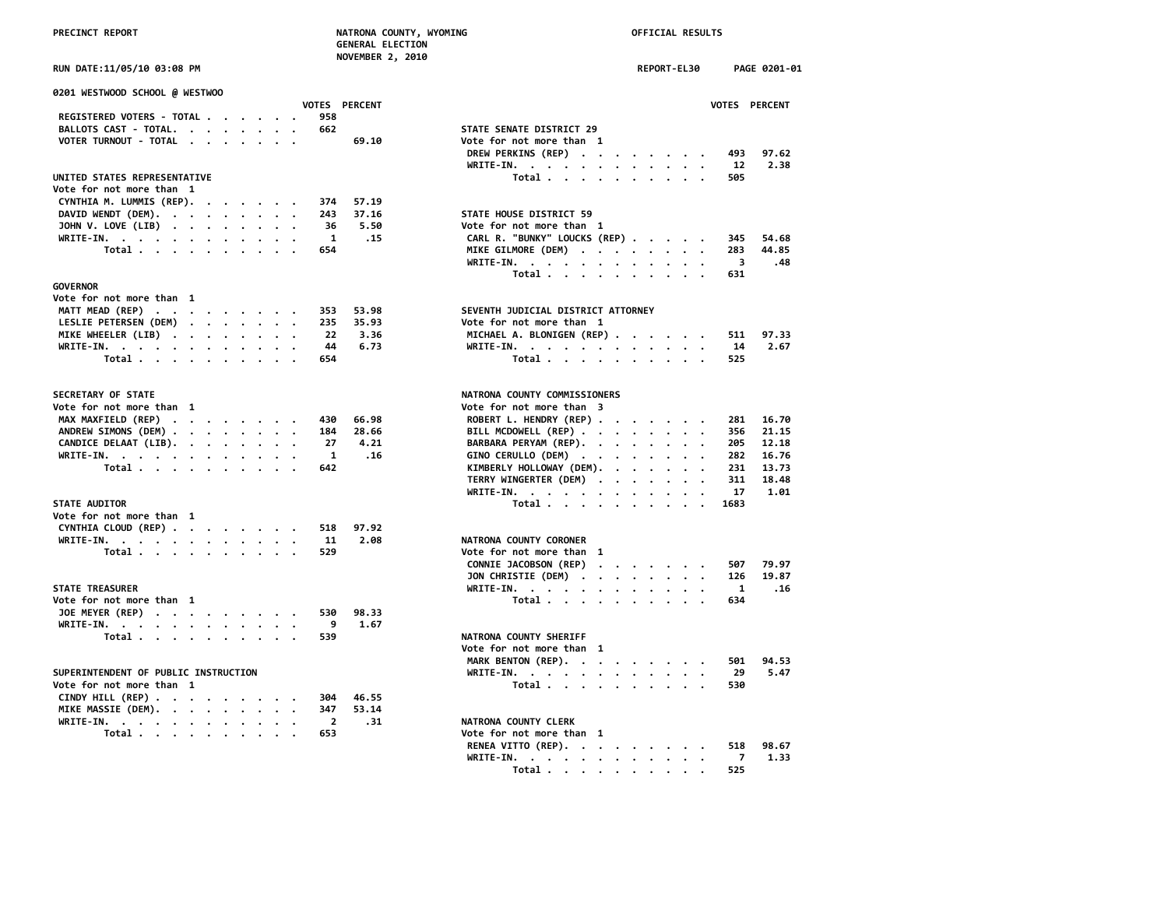|  | <b>PRECTNCT REPORT</b> |  |
|--|------------------------|--|

# **OFFICIAL RESULTS**

| PRECINCT REPORT                      |               | NATRONA COUNTY, WYOMING<br><b>GENERAL ELECTION</b><br><b>NOVEMBER 2, 2010</b> | OFFICIAL RESULTS |                      |              |               |
|--------------------------------------|---------------|-------------------------------------------------------------------------------|------------------|----------------------|--------------|---------------|
| RUN DATE:11/05/10 03:08 PM           |               |                                                                               | REPORT-EL30      |                      |              | PAGE 0201-01  |
| 0201 WESTWOOD SCHOOL @ WESTWOO       |               |                                                                               |                  |                      |              |               |
|                                      | VOTES PERCENT |                                                                               |                  |                      |              | VOTES PERCENT |
| REGISTERED VOTERS - TOTAL            | 958           |                                                                               |                  |                      |              |               |
| BALLOTS CAST - TOTAL.                | 662           | STATE SENATE DISTRICT 29                                                      |                  |                      |              |               |
| VOTER TURNOUT - TOTAL                | 69.10         | Vote for not more than 1                                                      |                  |                      |              |               |
|                                      |               | DREW PERKINS (REP)                                                            |                  |                      | 493          | 97.62         |
|                                      |               | WRITE-IN.                                                                     |                  |                      | 12           | 2.38          |
| UNITED STATES REPRESENTATIVE         |               | Total                                                                         |                  |                      | 505          |               |
| Vote for not more than 1             |               |                                                                               |                  |                      |              |               |
| CYNTHIA M. LUMMIS (REP).             | 57.19<br>374  |                                                                               |                  |                      |              |               |
| DAVID WENDT (DEM).                   | 243<br>37.16  | STATE HOUSE DISTRICT 59                                                       |                  |                      |              |               |
| JOHN V. LOVE (LIB)                   | 5.50<br>36    | Vote for not more than 1                                                      |                  |                      |              |               |
| WRITE-IN.                            | .15<br>1      | CARL R. "BUNKY" LOUCKS (REP)                                                  |                  |                      | 345          | 54.68         |
| Total<br>$\cdot$                     | 654           | MIKE GILMORE (DEM)                                                            |                  |                      | 283          | 44.85         |
|                                      |               | WRITE-IN.                                                                     |                  |                      | 3            | .48           |
|                                      |               | Total                                                                         |                  |                      | 631          |               |
| <b>GOVERNOR</b>                      |               |                                                                               |                  |                      |              |               |
| Vote for not more than 1             |               |                                                                               |                  |                      |              |               |
| MATT MEAD (REP)                      | 353<br>53.98  | SEVENTH JUDICIAL DISTRICT ATTORNEY                                            |                  |                      |              |               |
| LESLIE PETERSEN (DEM)                | 35.93<br>235  | Vote for not more than 1                                                      |                  |                      |              |               |
| MIKE WHEELER (LIB)                   | 22<br>3.36    | MICHAEL A. BLONIGEN (REP)                                                     |                  |                      | 511          | 97.33         |
| WRITE-IN.                            | 44<br>6.73    | WRITE-IN.                                                                     |                  |                      | 14           | 2.67          |
| Total                                | 654           | Total                                                                         |                  |                      | 525          |               |
|                                      |               |                                                                               |                  |                      |              |               |
| SECRETARY OF STATE                   |               | NATRONA COUNTY COMMISSIONERS                                                  |                  |                      |              |               |
| Vote for not more than 1             |               | Vote for not more than 3                                                      |                  |                      |              |               |
| MAX MAXFIELD (REP)                   | 66.98<br>430  | ROBERT L. HENDRY (REP)                                                        |                  |                      | 281          | 16.70         |
| ANDREW SIMONS (DEM)                  | 28.66<br>184  | BILL MCDOWELL (REP)                                                           |                  |                      | 356          | 21.15         |
| CANDICE DELAAT (LIB).                | 4.21<br>27    | BARBARA PERYAM (REP).                                                         |                  |                      | 205          | 12.18         |
| WRITE-IN.                            | 1<br>.16      | GINO CERULLO (DEM)                                                            |                  |                      | 282          | 16.76         |
| Total $\cdots$ $\cdots$ $\cdots$     | 642           | KIMBERLY HOLLOWAY (DEM).                                                      |                  |                      | 231          | 13.73         |
|                                      |               | TERRY WINGERTER (DEM)                                                         |                  |                      | 311          | 18.48         |
|                                      |               | WRITE-IN.                                                                     |                  |                      | 17           | 1.01          |
| <b>STATE AUDITOR</b>                 |               |                                                                               |                  |                      | 1683         |               |
| Vote for not more than 1             |               | Total $\ldots$ $\ldots$ $\ldots$ $\ldots$                                     |                  |                      |              |               |
| CYNTHIA CLOUD (REP)                  | 97.92<br>518  |                                                                               |                  |                      |              |               |
|                                      | 11<br>2.08    | NATRONA COUNTY CORONER                                                        |                  |                      |              |               |
| WRITE-IN.                            |               |                                                                               |                  |                      |              |               |
| Total                                | 529           | Vote for not more than 1                                                      |                  |                      |              |               |
|                                      |               | CONNIE JACOBSON (REP)                                                         |                  |                      | 507          | 79.97         |
|                                      |               | JON CHRISTIE (DEM)                                                            |                  |                      | 126          | 19.87         |
| <b>STATE TREASURER</b>               |               | WRITE-IN.                                                                     |                  |                      | $\mathbf{1}$ | .16           |
| Vote for not more than 1             |               | Total $\cdots$ $\cdots$ $\cdots$                                              |                  | $\ddot{\phantom{0}}$ | 634          |               |
| JOE MEYER (REP)                      | 530<br>98.33  |                                                                               |                  |                      |              |               |
| WRITE-IN.                            | 9<br>1.67     |                                                                               |                  |                      |              |               |
| Total                                | 539           | NATRONA COUNTY SHERIFF                                                        |                  |                      |              |               |
|                                      |               | Vote for not more than 1                                                      |                  |                      |              |               |
|                                      |               | MARK BENTON (REP).                                                            |                  |                      | 501          | 94.53         |
| SUPERINTENDENT OF PUBLIC INSTRUCTION |               | WRITE-IN.                                                                     |                  |                      | 29           | 5.47          |
| Vote for not more than 1             |               | Total                                                                         |                  |                      | 530          |               |
| CINDY HILL (REP)                     | 304<br>46.55  |                                                                               |                  |                      |              |               |
| MIKE MASSIE (DEM).                   | 347<br>53.14  |                                                                               |                  |                      |              |               |
| WRITE-IN.                            | 2<br>.31      | NATRONA COUNTY CLERK                                                          |                  |                      |              |               |
| Total $\cdots$ $\cdots$ $\cdots$     | 653           | Vote for not more than 1                                                      |                  |                      |              |               |
|                                      |               |                                                                               |                  |                      |              |               |

| 0201 WESTWOOD SCHOOL @ WESTWOO                       |                                                                  |
|------------------------------------------------------|------------------------------------------------------------------|
| <b>VOTES PERCENT</b>                                 | <b>VOTES PERCENT</b>                                             |
| REGISTERED VOTERS - TOTAL<br>958                     |                                                                  |
| BALLOTS CAST - TOTAL.<br>662                         | STATE SENATE DISTRICT 29                                         |
| VOTER TURNOUT - TOTAL<br>69.10                       | Vote for not more than 1                                         |
|                                                      | DREW PERKINS (REP)<br>97.62<br>493                               |
|                                                      | 2.38<br>WRITE-IN.<br>12                                          |
| UNITED STATES REPRESENTATIVE                         | Total<br>505                                                     |
| Vote for not more than 1                             |                                                                  |
| CYNTHIA M. LUMMIS (REP).<br>374<br>57.19<br>$\cdots$ |                                                                  |
| DAVID WENDT (DEM).<br>37.16<br>243                   | STATE HOUSE DISTRICT 59                                          |
| JOHN V. LOVE (LIB)<br>36<br>5.50                     | Vote for not more than 1                                         |
| WRITE-IN.<br>$\mathbf{1}$<br>.15                     | CARL R. "BUNKY" LOUCKS (REP)<br>54.68<br>345                     |
| Total<br>654                                         | MIKE GILMORE (DEM)<br>283<br>44.85                               |
|                                                      | WRITE-IN.<br>-3<br>.48                                           |
|                                                      | Total<br>631                                                     |
| <b>GOVERNOR</b>                                      |                                                                  |
| Vote for not more than 1                             |                                                                  |
| MATT MEAD (REP)<br>53.98<br>353                      | SEVENTH JUDICIAL DISTRICT ATTORNEY                               |
| LESLIE PETERSEN (DEM)<br>35.93<br>235                | Vote for not more than 1                                         |
| MIKE WHEELER (LIB)<br>3.36<br>-22                    | MICHAEL A. BLONIGEN (REP)<br>97.33<br>511                        |
| WRITE-IN.<br>44<br>6.73                              | WRITE-IN.<br>14<br>2.67                                          |
| Total<br>654                                         | Total<br>525                                                     |
|                                                      |                                                                  |
| <b>SECRETARY OF STATE</b>                            | NATRONA COUNTY COMMISSIONERS                                     |
| Vote for not more than 1                             | Vote for not more than 3                                         |
| MAX MAXFIELD (REP)<br>66.98<br>430                   | ROBERT L. HENDRY (REP)<br>16.70<br>281                           |
| ANDREW SIMONS (DEM)<br>184<br>28.66                  | BILL MCDOWELL (REP)<br>21.15<br>356                              |
| CANDICE DELAAT (LIB).<br>27<br>4.21                  | BARBARA PERYAM (REP).<br>205<br>12.18                            |
| WRITE-IN.<br>.16<br>$\mathbf{1}$                     | GINO CERULLO (DEM)<br>282<br>16.76                               |
| Total<br>642                                         | KIMBERLY HOLLOWAY (DEM).<br>231<br>13.73                         |
|                                                      | TERRY WINGERTER (DEM)<br>18.48<br>311                            |
|                                                      | 1.01<br>WRITE-IN.<br>17                                          |
| <b>STATE AUDITOR</b>                                 | Total<br>1683                                                    |
| Vote for not more than 1                             |                                                                  |
| CYNTHIA CLOUD (REP)<br>97.92<br>518                  |                                                                  |
| WRITE-IN.<br>2.08<br>11                              | NATRONA COUNTY CORONER                                           |
| Total<br>529                                         | Vote for not more than 1                                         |
|                                                      | 79.97<br>CONNIE JACOBSON (REP)<br>507                            |
|                                                      | 19.87<br>JON CHRISTIE (DEM)<br>126                               |
| <b>STATE TREASURER</b>                               | WRITE-IN.<br>$\mathbf{1}$<br>.16                                 |
| Vote for not more than 1                             | Total<br>634                                                     |
| JOE MEYER (REP)<br>98.33<br>530                      |                                                                  |
| WRITE-IN.<br>1.67<br>- 9                             |                                                                  |
| Total<br>539                                         | NATRONA COUNTY SHERIFF                                           |
|                                                      | Vote for not more than 1                                         |
|                                                      | MARK BENTON (REP).<br>94.53<br>501                               |
| SUPERINTENDENT OF PUBLIC INSTRUCTION                 | 5.47                                                             |
| Vote for not more than 1                             | WRITE-IN.<br>29                                                  |
|                                                      | Total<br>530                                                     |
| CINDY HILL (REP)<br>46.55<br>304                     |                                                                  |
| MIKE MASSIE (DEM).<br>53.14<br>347                   |                                                                  |
| WRITE-IN.<br>$\overline{\mathbf{2}}$<br>.31          | NATRONA COUNTY CLERK                                             |
| Total $\cdots$ $\cdots$ $\cdots$<br>653              | Vote for not more than 1                                         |
|                                                      | RENEA VITTO (REP).<br>98.67<br>518                               |
|                                                      | WRITE-IN.<br>1.33<br>7                                           |
|                                                      | Total .<br>525<br>$\sim$ $\sim$ $\sim$ $\sim$ $\sim$<br>$\cdots$ |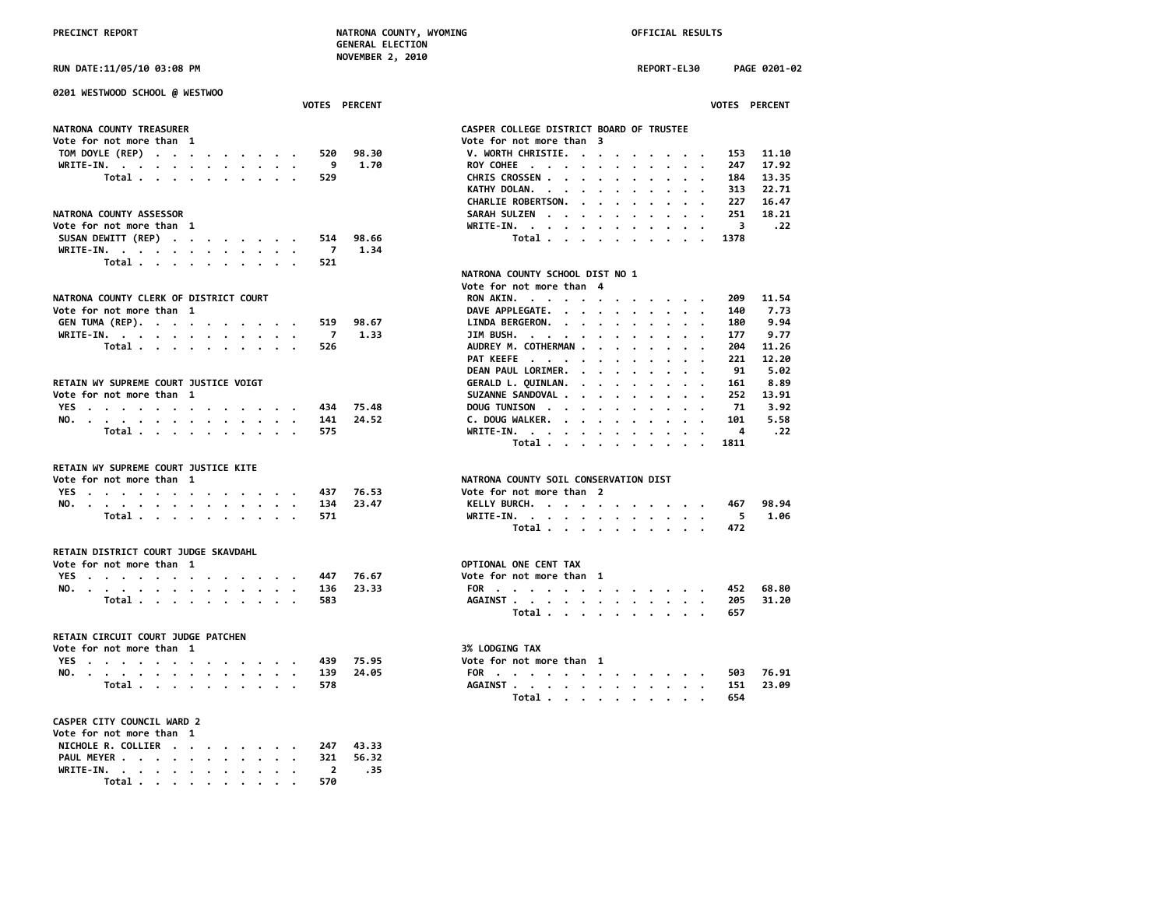| 0201 WESTWOOD SCHOOL @ WESTWOO               |                                                                                                           |
|----------------------------------------------|-----------------------------------------------------------------------------------------------------------|
| VOTES PERCENT                                | VOTES PERCENT                                                                                             |
| NATRONA COUNTY TREASURER                     | CASPER COLLEGE DISTRICT BOARD OF TRUSTEE                                                                  |
| Vote for not more than 1                     | Vote for not more than 3                                                                                  |
| TOM DOYLE (REP)<br>520<br>98.30              | V. WORTH CHRISTIE.<br>11.10<br>153                                                                        |
| 1.70<br>WRITE-IN.<br>- 9                     | ROY COHEE<br>17.92<br>247<br>$\sim$ $\sim$                                                                |
| Total<br>529                                 | CHRIS CROSSEN<br>13.35<br>184                                                                             |
|                                              | 22,71<br>KATHY DOLAN.<br>313<br>$\cdot$<br>$\cdot$ $\cdot$ $\cdot$<br>$\cdot$                             |
|                                              | <b>CHARLIE ROBERTSON.</b><br>227<br>16.47<br><u>in a serie a serie d</u>                                  |
| <b>NATRONA COUNTY ASSESSOR</b>               | SARAH SULZEN<br>251<br>18.21                                                                              |
| Vote for not more than 1                     | WRITE-IN.<br>$\overline{\mathbf{3}}$<br>.22                                                               |
| 98.66<br>514                                 | 1378                                                                                                      |
| SUSAN DEWITT (REP)<br>1.34<br>$\overline{7}$ | Total                                                                                                     |
| WRITE-IN.                                    |                                                                                                           |
| Total<br>521                                 |                                                                                                           |
|                                              | NATRONA COUNTY SCHOOL DIST NO 1                                                                           |
|                                              | Vote for not more than 4                                                                                  |
| NATRONA COUNTY CLERK OF DISTRICT COURT       | 11.54<br>RON AKIN.<br>209                                                                                 |
| Vote for not more than 1                     | DAVE APPLEGATE.<br>7.73<br>140                                                                            |
| GEN TUMA (REP).<br>519<br>98.67              | 9.94<br>LINDA BERGERON.<br>180                                                                            |
| WRITE-IN.<br>1.33<br>$\overline{z}$          | JIM BUSH. $\cdots$ $\cdots$ $\cdots$ $\cdots$<br>9.77<br>177                                              |
| Total<br>526                                 | AUDREY M. COTHERMAN.<br>204<br>11.26<br><b>Contract Contract Contract</b>                                 |
|                                              | PAT KEEFE<br>12.20<br>221                                                                                 |
|                                              | DEAN PAUL LORIMER.<br>91<br>5.02<br>$\mathbf{a}$ , and $\mathbf{a}$ , and $\mathbf{a}$ , and $\mathbf{a}$ |
| RETAIN WY SUPREME COURT JUSTICE VOIGT        | 8.89<br>GERALD L. QUINLAN.<br>161                                                                         |
| Vote for not more than  1                    | SUZANNE SANDOVAL<br>252<br>13.91                                                                          |
| YES<br>75.48<br>434                          | DOUG TUNISON<br>71<br>3.92                                                                                |
| NO.<br>141<br>24.52                          | C. DOUG WALKER.<br>101<br>5.58                                                                            |
| 575                                          | 4<br>. 22                                                                                                 |
| Total                                        | WRITE-IN.<br>Total<br>1811                                                                                |
|                                              |                                                                                                           |
| RETAIN WY SUPREME COURT JUSTICE KITE         |                                                                                                           |
| Vote for not more than 1                     | NATRONA COUNTY SOIL CONSERVATION DIST                                                                     |
| YES<br>76.53<br>437                          | Vote for not more than 2                                                                                  |
| NO.<br>134<br>23.47                          | KELLY BURCH.<br>98.94<br>467                                                                              |
| Total<br>571                                 | - 5<br>1.06                                                                                               |
|                                              | WRITE-IN.<br>Total<br>472                                                                                 |
|                                              |                                                                                                           |
| RETAIN DISTRICT COURT JUDGE SKAVDAHL         |                                                                                                           |
| Vote for not more than 1                     | OPTIONAL ONE CENT TAX                                                                                     |
| YES<br>76.67<br>447                          | Vote for not more than 1                                                                                  |
| NO.<br>136<br>23.33                          | FOR<br>452<br>68.80                                                                                       |
| Total<br>583                                 | AGAINST<br>205<br>31.20                                                                                   |
|                                              | Total<br>657                                                                                              |
|                                              |                                                                                                           |
| RETAIN CIRCUIT COURT JUDGE PATCHEN           |                                                                                                           |
| Vote for not more than 1                     | 3% LODGING TAX                                                                                            |
| YES<br>75.95<br>439                          | Vote for not more than 1                                                                                  |
| NO.<br>139<br>24.05                          | 76.91<br>FOR<br>503                                                                                       |
| Total<br>578                                 | AGAINST<br>151<br>23.09                                                                                   |
|                                              | Total<br>654                                                                                              |
|                                              |                                                                                                           |
| <b>CASPER CITY COUNCIL WARD 2</b>            |                                                                                                           |
| Vote for not more than 1                     |                                                                                                           |
| NICHOLE R. COLLIER<br>43.33<br>247           |                                                                                                           |
| PAUL MEYER<br>321<br>56.32                   |                                                                                                           |
| WRITE-IN.<br>.35<br>$\overline{2}$           |                                                                                                           |
| Total<br>570                                 |                                                                                                           |

| RUN DATE:11/05/10 03:08 PM                |                |       | REPORT-EL30<br>PAGE 0201-02                                                                          |
|-------------------------------------------|----------------|-------|------------------------------------------------------------------------------------------------------|
| 0201 WESTWOOD SCHOOL @ WESTWOO            |                |       |                                                                                                      |
|                                           | VOTES PERCENT  |       | VOTES PERCENT                                                                                        |
| NATRONA COUNTY TREASURER                  |                |       | CASPER COLLEGE DISTRICT BOARD OF TRUSTEE                                                             |
| Vote for not more than 1                  |                |       | Vote for not more than 3                                                                             |
| TOM DOYLE (REP)                           | 520            | 98.30 | V. WORTH CHRISTIE.<br>11.10<br>153                                                                   |
| WRITE-IN.                                 | و.             | 1.70  | ROY COHEE<br>247<br>17.92<br>$\overline{\phantom{a}}$                                                |
| Total                                     | 529            |       | CHRIS CROSSEN<br>184<br>13.35<br>$\cdot$ $\cdot$ $\cdot$                                             |
|                                           |                |       | KATHY DOLAN.<br>22.71<br>313                                                                         |
|                                           |                |       | CHARLIE ROBERTSON.<br>227<br>16.47                                                                   |
| NATRONA COUNTY ASSESSOR                   |                |       | 18.21<br>SARAH SULZEN<br>251<br>$\cdot$ $\cdot$<br>$\overline{\phantom{a}}$                          |
| Vote for not more than 1                  |                |       | WRITE-IN.<br>3<br>.22                                                                                |
| SUSAN DEWITT (REP)                        | 514            | 98.66 | 1378                                                                                                 |
| WRITE-IN.                                 | $\overline{7}$ | 1.34  | Total                                                                                                |
| Total $\cdots$ $\cdots$ $\cdots$ $\cdots$ | 521            |       |                                                                                                      |
|                                           |                |       | NATRONA COUNTY SCHOOL DIST NO 1                                                                      |
|                                           |                |       | Vote for not more than 4                                                                             |
| NATRONA COUNTY CLERK OF DISTRICT COURT    |                |       | 11.54<br>209                                                                                         |
|                                           |                |       | RON AKIN.<br>140<br>7.73                                                                             |
| Vote for not more than 1                  |                |       | DAVE APPLEGATE.                                                                                      |
| GEN TUMA (REP).                           | 519            | 98.67 | LINDA BERGERON.<br>9.94<br>180                                                                       |
| WRITE-IN.                                 | $\overline{7}$ | 1.33  | JIM BUSH.<br>177<br>9.77                                                                             |
| Total                                     | 526            |       | AUDREY M. COTHERMAN<br>204<br>11.26<br>$\sim$                                                        |
|                                           |                |       | PAT KEEFE<br>221<br>12.20                                                                            |
|                                           |                |       | DEAN PAUL LORIMER.<br>91<br>5.02                                                                     |
| RETAIN WY SUPREME COURT JUSTICE VOIGT     |                |       | 8.89<br>GERALD L. QUINLAN.<br>161<br>the contract of the contract of the<br>$\overline{\phantom{a}}$ |
| Vote for not more than 1                  |                |       | SUZANNE SANDOVAL<br>13.91<br>252                                                                     |
| YES                                       | 434            | 75.48 | DOUG TUNISON<br>71<br>3.92<br>$\sim$<br>$\cdot$ $\cdot$                                              |
| NO.                                       | 141            | 24.52 | C. DOUG WALKER.<br>101<br>5.58                                                                       |
| Total                                     | 575            |       | .22<br>WRITE-IN.<br>4                                                                                |
|                                           |                |       | Total<br>1811<br>$\cdot$ $\cdot$ $\cdot$ $\cdot$                                                     |
|                                           |                |       |                                                                                                      |
| RETAIN WY SUPREME COURT JUSTICE KITE      |                |       |                                                                                                      |
| Vote for not more than 1                  |                |       | NATRONA COUNTY SOIL CONSERVATION DIST                                                                |
| YES                                       | 437            | 76.53 | Vote for not more than 2                                                                             |
| NO.                                       | 134            | 23.47 | KELLY BURCH.<br>98.94<br>467                                                                         |
| Total                                     | 571            |       | WRITE-IN.<br>5<br>1.06                                                                               |
|                                           |                |       | Total<br>472                                                                                         |
| RETAIN DISTRICT COURT JUDGE SKAVDAHL      |                |       |                                                                                                      |
| Vote for not more than 1                  |                |       | OPTIONAL ONE CENT TAX                                                                                |
|                                           | 447            | 76.67 | Vote for not more than 1                                                                             |
| YES<br>NO.                                | 136            | 23.33 | FOR<br>68.80<br>452                                                                                  |
| Total                                     | 583            |       | AGAINST<br>31.20<br>205                                                                              |
|                                           |                |       | Total $\cdots$ $\cdots$ $\cdots$ $\cdots$<br>657                                                     |
|                                           |                |       |                                                                                                      |
| RETAIN CIRCUIT COURT JUDGE PATCHEN        |                |       |                                                                                                      |
| Vote for not more than 1                  |                |       | 3% LODGING TAX                                                                                       |
| YES                                       | 439            | 75.95 | Vote for not more than 1                                                                             |
| NO.                                       | 139            | 24.05 | FOR<br>76.91<br>503                                                                                  |
| Total                                     | 578            |       | AGAINST<br>23.09<br>151                                                                              |
|                                           |                |       | Total $\cdots$ $\cdots$ $\cdots$<br>654                                                              |
|                                           |                |       |                                                                                                      |
| CASPER CITY COUNCIL WARD 2                |                |       |                                                                                                      |
| Vote for not more than 1                  |                |       |                                                                                                      |
| NICHOLE R. COLLIER                        | 247            | 43.33 |                                                                                                      |
| PAUL MEYER                                | 321            | 56.32 |                                                                                                      |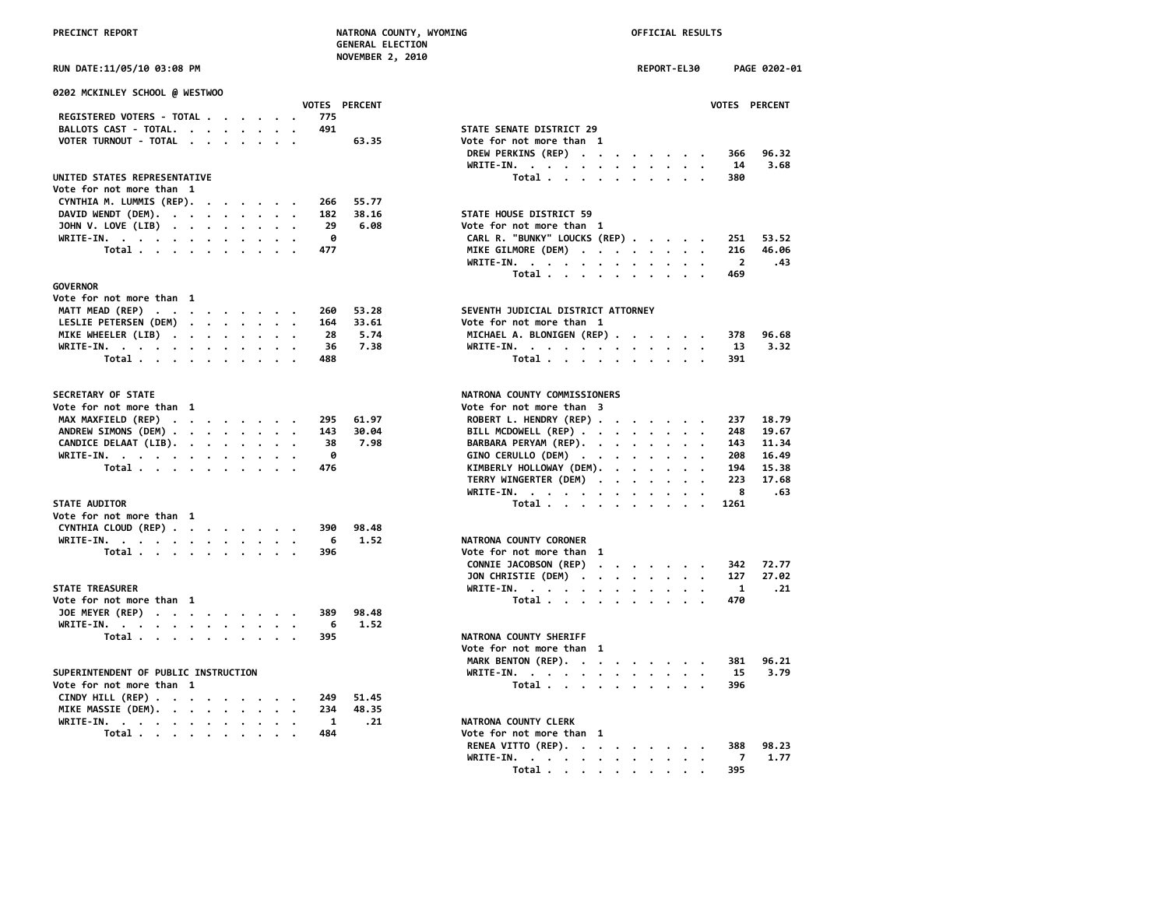|  | <b>PRECTNCT REPORT</b> |  |
|--|------------------------|--|

# **OFFICIAL RESULTS**

| PRECINCT REPORT                                |                   | NATRONA COUNTY, WYOMING                   | OFFICIAL RESULTS |         |         |                |               |
|------------------------------------------------|-------------------|-------------------------------------------|------------------|---------|---------|----------------|---------------|
|                                                |                   | <b>GENERAL ELECTION</b>                   |                  |         |         |                |               |
| RUN DATE:11/05/10 03:08 PM                     |                   | <b>NOVEMBER 2, 2010</b>                   | REPORT-EL30      |         |         |                | PAGE 0202-01  |
| 0202 MCKINLEY SCHOOL @ WESTWOO                 |                   |                                           |                  |         |         |                |               |
|                                                | VOTES PERCENT     |                                           |                  |         |         |                | VOTES PERCENT |
| REGISTERED VOTERS - TOTAL                      | 775               | STATE SENATE DISTRICT 29                  |                  |         |         |                |               |
| BALLOTS CAST - TOTAL.<br>VOTER TURNOUT - TOTAL | 491<br>63.35      | Vote for not more than 1                  |                  |         |         |                |               |
|                                                |                   | DREW PERKINS (REP)                        |                  |         |         | 366            | 96.32         |
|                                                |                   | WRITE-IN.                                 |                  |         |         | 14             | 3.68          |
| UNITED STATES REPRESENTATIVE                   |                   | Total $\ldots$ $\ldots$ $\ldots$ $\ldots$ |                  |         |         | 380            |               |
| Vote for not more than 1                       |                   |                                           |                  |         |         |                |               |
| CYNTHIA M. LUMMIS (REP).                       | 266<br>55.77      |                                           |                  |         |         |                |               |
| DAVID WENDT (DEM).                             | 38.16<br>182      | STATE HOUSE DISTRICT 59                   |                  |         |         |                |               |
| JOHN V. LOVE (LIB)                             | 29<br>6.08        | Vote for not more than 1                  |                  |         |         |                |               |
| WRITE-IN.                                      | 0                 | CARL R. "BUNKY" LOUCKS (REP)              |                  |         |         | 251            | 53.52         |
| Total<br>$\cdot$                               | 477               | MIKE GILMORE (DEM)                        |                  |         |         | 216            | 46.06         |
|                                                |                   | WRITE-IN.                                 |                  |         |         | $\overline{2}$ | .43           |
|                                                |                   | Total                                     |                  |         |         | 469            |               |
| <b>GOVERNOR</b>                                |                   |                                           |                  |         |         |                |               |
| Vote for not more than 1                       |                   |                                           |                  |         |         |                |               |
| MATT MEAD (REP)                                | 53.28<br>260      | SEVENTH JUDICIAL DISTRICT ATTORNEY        |                  |         |         |                |               |
| LESLIE PETERSEN (DEM)                          | 164<br>33.61      | Vote for not more than 1                  |                  |         |         |                |               |
| MIKE WHEELER (LIB)                             | 5.74<br>28        | MICHAEL A. BLONIGEN (REP)                 |                  |         |         | 378            | 96.68         |
| WRITE-IN.                                      | 36<br>7.38<br>488 | WRITE-IN.                                 |                  |         |         | 13<br>391      | 3.32          |
| Total                                          |                   | Total                                     |                  |         |         |                |               |
| SECRETARY OF STATE                             |                   | NATRONA COUNTY COMMISSIONERS              |                  |         |         |                |               |
| Vote for not more than 1                       |                   | Vote for not more than 3                  |                  |         |         |                |               |
| MAX MAXFIELD (REP)                             | 295<br>61.97      | ROBERT L. HENDRY (REP)                    |                  |         |         | 237            | 18.79         |
| ANDREW SIMONS (DEM)                            | 143<br>30.04      | BILL MCDOWELL (REP)                       |                  |         |         | 248            | 19.67         |
| CANDICE DELAAT (LIB).                          | 38<br>7.98        | BARBARA PERYAM (REP).                     |                  |         |         | 143            | 11.34         |
| WRITE-IN.                                      | - 0               | GINO CERULLO (DEM)                        |                  |         |         | 208            | 16.49         |
| Total                                          | 476               | KIMBERLY HOLLOWAY (DEM).                  |                  |         |         | 194            | 15.38         |
|                                                |                   | TERRY WINGERTER (DEM)                     | $\cdot$ $\cdot$  | $\cdot$ | $\cdot$ | 223            | 17.68         |
|                                                |                   | WRITE-IN.                                 |                  |         |         | 8              | .63           |
| <b>STATE AUDITOR</b>                           |                   | Total                                     |                  |         |         | 1261           |               |
| Vote for not more than 1                       |                   |                                           |                  |         |         |                |               |
| CYNTHIA CLOUD (REP)                            | 390<br>98.48      |                                           |                  |         |         |                |               |
| WRITE-IN.                                      | 1.52<br>-6        | NATRONA COUNTY CORONER                    |                  |         |         |                |               |
| Total                                          | 396               | Vote for not more than 1                  |                  |         |         |                |               |
|                                                |                   | CONNIE JACOBSON (REP)                     |                  |         |         | 342            | 72.77         |
|                                                |                   | JON CHRISTIE (DEM)                        |                  |         |         | 127            | 27.02         |
| <b>STATE TREASURER</b>                         |                   | WRITE-IN.                                 |                  |         |         | <sup>1</sup>   | .21           |
| Vote for not more than 1                       |                   | Total                                     |                  |         |         | 470            |               |
| JOE MEYER (REP)                                | 98.48<br>389      |                                           |                  |         |         |                |               |
| WRITE-IN.                                      | 1.52<br>-6        |                                           |                  |         |         |                |               |
| Total                                          | 395               | NATRONA COUNTY SHERIFF                    |                  |         |         |                |               |
|                                                |                   | Vote for not more than 1                  |                  |         |         |                |               |
|                                                |                   | MARK BENTON (REP).                        |                  |         |         |                | 381 96.21     |
| SUPERINTENDENT OF PUBLIC INSTRUCTION           |                   | WRITE-IN.                                 |                  |         |         | 15             | 3.79          |
| Vote for not more than 1                       |                   | Total $\ldots$ $\ldots$ $\ldots$ $\ldots$ |                  |         |         | 396            |               |
| CINDY HILL (REP)                               | 249<br>51.45      |                                           |                  |         |         |                |               |
| MIKE MASSIE (DEM).                             | 48.35<br>234      |                                           |                  |         |         |                |               |
| WRITE-IN.                                      | 1<br>.21          | NATRONA COUNTY CLERK                      |                  |         |         |                |               |
| Total<br>$\cdot$                               | 484               | Vote for not more than 1                  |                  |         |         |                |               |

| REGISTERED VOTERS - TOTAL<br>775<br>BALLOTS CAST - TOTAL.<br>STATE SENATE DISTRICT 29<br>491<br>VOTER TURNOUT - TOTAL<br>63.35<br>Vote for not more than 1<br>DREW PERKINS (REP)<br>96.32<br>366<br>3.68<br>WRITE-IN.<br>14<br>Total<br>380<br>CYNTHIA M. LUMMIS (REP).<br>55.77<br>266<br>DAVID WENDT (DEM).<br>38.16<br>STATE HOUSE DISTRICT 59<br>182<br>JOHN V. LOVE (LIB)<br>29<br>6.08<br>Vote for not more than 1<br>CARL R. "BUNKY" LOUCKS (REP)<br>WRITE-IN.<br>0<br>53.52<br>251<br>MIKE GILMORE (DEM)<br>46.06<br>Total<br>477<br>216<br>WRITE-IN.<br>$\overline{2}$<br>.43<br>Total<br>469<br>MATT MEAD (REP)<br>SEVENTH JUDICIAL DISTRICT ATTORNEY<br>53.28<br>260<br>LESLIE PETERSEN (DEM)<br>33.61<br>Vote for not more than 1<br>164<br>MIKE WHEELER (LIB)<br>28<br>5.74<br>MICHAEL A. BLONIGEN (REP)<br>378<br>96.68<br>WRITE-IN.<br>36<br>7.38<br>WRITE-IN.<br>13<br>3.32<br>Total<br>Total<br>488<br>391<br>NATRONA COUNTY COMMISSIONERS<br>Vote for not more than 3<br>MAX MAXFIELD (REP)<br>ROBERT L. HENDRY (REP)<br>18.79<br>295<br>61.97<br>237<br>ANDREW SIMONS (DEM)<br>BILL MCDOWELL (REP)<br>143<br>30.04<br>248<br>19.67<br>CANDICE DELAAT (LIB).<br>38<br>7.98<br>BARBARA PERYAM (REP).<br>11.34<br>143<br>GINO CERULLO (DEM)<br>WRITE-IN.<br>ø<br>208<br>16.49<br>Total<br>KIMBERLY HOLLOWAY (DEM).<br>15.38<br>476<br>194<br>TERRY WINGERTER (DEM)<br>223<br>17.68<br>WRITE-IN.<br>8<br>.63<br>Total<br>1261<br>CYNTHIA CLOUD (REP)<br>390<br>98.48<br>NATRONA COUNTY CORONER<br>WRITE-IN.<br>- 6<br>1.52<br>Total<br>396<br>Vote for not more than 1<br>CONNIE JACOBSON (REP)<br>72.77<br>342<br>JON CHRISTIE (DEM)<br>27.02<br>127<br>WRITE-IN.<br>1<br>. 21<br>Total<br>470<br>JOE MEYER (REP)<br>98.48<br>389<br>WRITE-IN.<br>6<br>1.52<br>NATRONA COUNTY SHERIFF<br>Total<br>395<br>Vote for not more than 1<br>MARK BENTON (REP).<br>96.21<br>381<br>WRITE-IN.<br>3.79<br>15<br>Total<br>396<br>CINDY HILL (REP) $\cdot \cdot \cdot \cdot \cdot \cdot \cdot \cdot$<br>51.45<br>249<br>MIKE MASSIE (DEM).<br>234<br>48.35<br>NATRONA COUNTY CLERK<br>WRITE-IN.<br>1<br>.21<br>Total $\cdots$ $\cdots$ $\cdots$<br>Vote for not more than 1<br>484<br>RENEA VITTO (REP).<br>98.23<br>388<br>WRITE-IN.<br>1.77<br>7 | 0202 MCKINLEY SCHOOL @ WESTWOO | <b>VOTES PERCENT</b> | VOTES PERCENT                           |
|--------------------------------------------------------------------------------------------------------------------------------------------------------------------------------------------------------------------------------------------------------------------------------------------------------------------------------------------------------------------------------------------------------------------------------------------------------------------------------------------------------------------------------------------------------------------------------------------------------------------------------------------------------------------------------------------------------------------------------------------------------------------------------------------------------------------------------------------------------------------------------------------------------------------------------------------------------------------------------------------------------------------------------------------------------------------------------------------------------------------------------------------------------------------------------------------------------------------------------------------------------------------------------------------------------------------------------------------------------------------------------------------------------------------------------------------------------------------------------------------------------------------------------------------------------------------------------------------------------------------------------------------------------------------------------------------------------------------------------------------------------------------------------------------------------------------------------------------------------------------------------------------------------------------------------------------------------------------------------------------------------------------------------------------------------------------------------------------------------------------------------------------------------------------------------------------------------------------------------------------------------|--------------------------------|----------------------|-----------------------------------------|
|                                                                                                                                                                                                                                                                                                                                                                                                                                                                                                                                                                                                                                                                                                                                                                                                                                                                                                                                                                                                                                                                                                                                                                                                                                                                                                                                                                                                                                                                                                                                                                                                                                                                                                                                                                                                                                                                                                                                                                                                                                                                                                                                                                                                                                                        |                                |                      |                                         |
|                                                                                                                                                                                                                                                                                                                                                                                                                                                                                                                                                                                                                                                                                                                                                                                                                                                                                                                                                                                                                                                                                                                                                                                                                                                                                                                                                                                                                                                                                                                                                                                                                                                                                                                                                                                                                                                                                                                                                                                                                                                                                                                                                                                                                                                        |                                |                      |                                         |
|                                                                                                                                                                                                                                                                                                                                                                                                                                                                                                                                                                                                                                                                                                                                                                                                                                                                                                                                                                                                                                                                                                                                                                                                                                                                                                                                                                                                                                                                                                                                                                                                                                                                                                                                                                                                                                                                                                                                                                                                                                                                                                                                                                                                                                                        |                                |                      |                                         |
| UNITED STATES REPRESENTATIVE<br>Vote for not more than 1<br>GOVERNOR<br>Vote for not more than 1<br>Vote for not more than 1<br><b>STATE AUDITOR</b><br>Vote for not more than 1<br><b>STATE TREASURER</b><br>Vote for not more than 1<br>SUPERINTENDENT OF PUBLIC INSTRUCTION<br>Vote for not more than 1                                                                                                                                                                                                                                                                                                                                                                                                                                                                                                                                                                                                                                                                                                                                                                                                                                                                                                                                                                                                                                                                                                                                                                                                                                                                                                                                                                                                                                                                                                                                                                                                                                                                                                                                                                                                                                                                                                                                             |                                |                      |                                         |
|                                                                                                                                                                                                                                                                                                                                                                                                                                                                                                                                                                                                                                                                                                                                                                                                                                                                                                                                                                                                                                                                                                                                                                                                                                                                                                                                                                                                                                                                                                                                                                                                                                                                                                                                                                                                                                                                                                                                                                                                                                                                                                                                                                                                                                                        |                                |                      |                                         |
|                                                                                                                                                                                                                                                                                                                                                                                                                                                                                                                                                                                                                                                                                                                                                                                                                                                                                                                                                                                                                                                                                                                                                                                                                                                                                                                                                                                                                                                                                                                                                                                                                                                                                                                                                                                                                                                                                                                                                                                                                                                                                                                                                                                                                                                        |                                |                      |                                         |
|                                                                                                                                                                                                                                                                                                                                                                                                                                                                                                                                                                                                                                                                                                                                                                                                                                                                                                                                                                                                                                                                                                                                                                                                                                                                                                                                                                                                                                                                                                                                                                                                                                                                                                                                                                                                                                                                                                                                                                                                                                                                                                                                                                                                                                                        |                                |                      |                                         |
|                                                                                                                                                                                                                                                                                                                                                                                                                                                                                                                                                                                                                                                                                                                                                                                                                                                                                                                                                                                                                                                                                                                                                                                                                                                                                                                                                                                                                                                                                                                                                                                                                                                                                                                                                                                                                                                                                                                                                                                                                                                                                                                                                                                                                                                        |                                |                      |                                         |
|                                                                                                                                                                                                                                                                                                                                                                                                                                                                                                                                                                                                                                                                                                                                                                                                                                                                                                                                                                                                                                                                                                                                                                                                                                                                                                                                                                                                                                                                                                                                                                                                                                                                                                                                                                                                                                                                                                                                                                                                                                                                                                                                                                                                                                                        |                                |                      |                                         |
|                                                                                                                                                                                                                                                                                                                                                                                                                                                                                                                                                                                                                                                                                                                                                                                                                                                                                                                                                                                                                                                                                                                                                                                                                                                                                                                                                                                                                                                                                                                                                                                                                                                                                                                                                                                                                                                                                                                                                                                                                                                                                                                                                                                                                                                        |                                |                      |                                         |
|                                                                                                                                                                                                                                                                                                                                                                                                                                                                                                                                                                                                                                                                                                                                                                                                                                                                                                                                                                                                                                                                                                                                                                                                                                                                                                                                                                                                                                                                                                                                                                                                                                                                                                                                                                                                                                                                                                                                                                                                                                                                                                                                                                                                                                                        |                                |                      |                                         |
|                                                                                                                                                                                                                                                                                                                                                                                                                                                                                                                                                                                                                                                                                                                                                                                                                                                                                                                                                                                                                                                                                                                                                                                                                                                                                                                                                                                                                                                                                                                                                                                                                                                                                                                                                                                                                                                                                                                                                                                                                                                                                                                                                                                                                                                        |                                |                      |                                         |
|                                                                                                                                                                                                                                                                                                                                                                                                                                                                                                                                                                                                                                                                                                                                                                                                                                                                                                                                                                                                                                                                                                                                                                                                                                                                                                                                                                                                                                                                                                                                                                                                                                                                                                                                                                                                                                                                                                                                                                                                                                                                                                                                                                                                                                                        |                                |                      |                                         |
|                                                                                                                                                                                                                                                                                                                                                                                                                                                                                                                                                                                                                                                                                                                                                                                                                                                                                                                                                                                                                                                                                                                                                                                                                                                                                                                                                                                                                                                                                                                                                                                                                                                                                                                                                                                                                                                                                                                                                                                                                                                                                                                                                                                                                                                        |                                |                      |                                         |
|                                                                                                                                                                                                                                                                                                                                                                                                                                                                                                                                                                                                                                                                                                                                                                                                                                                                                                                                                                                                                                                                                                                                                                                                                                                                                                                                                                                                                                                                                                                                                                                                                                                                                                                                                                                                                                                                                                                                                                                                                                                                                                                                                                                                                                                        |                                |                      |                                         |
|                                                                                                                                                                                                                                                                                                                                                                                                                                                                                                                                                                                                                                                                                                                                                                                                                                                                                                                                                                                                                                                                                                                                                                                                                                                                                                                                                                                                                                                                                                                                                                                                                                                                                                                                                                                                                                                                                                                                                                                                                                                                                                                                                                                                                                                        |                                |                      |                                         |
|                                                                                                                                                                                                                                                                                                                                                                                                                                                                                                                                                                                                                                                                                                                                                                                                                                                                                                                                                                                                                                                                                                                                                                                                                                                                                                                                                                                                                                                                                                                                                                                                                                                                                                                                                                                                                                                                                                                                                                                                                                                                                                                                                                                                                                                        |                                |                      |                                         |
|                                                                                                                                                                                                                                                                                                                                                                                                                                                                                                                                                                                                                                                                                                                                                                                                                                                                                                                                                                                                                                                                                                                                                                                                                                                                                                                                                                                                                                                                                                                                                                                                                                                                                                                                                                                                                                                                                                                                                                                                                                                                                                                                                                                                                                                        |                                |                      |                                         |
|                                                                                                                                                                                                                                                                                                                                                                                                                                                                                                                                                                                                                                                                                                                                                                                                                                                                                                                                                                                                                                                                                                                                                                                                                                                                                                                                                                                                                                                                                                                                                                                                                                                                                                                                                                                                                                                                                                                                                                                                                                                                                                                                                                                                                                                        |                                |                      |                                         |
|                                                                                                                                                                                                                                                                                                                                                                                                                                                                                                                                                                                                                                                                                                                                                                                                                                                                                                                                                                                                                                                                                                                                                                                                                                                                                                                                                                                                                                                                                                                                                                                                                                                                                                                                                                                                                                                                                                                                                                                                                                                                                                                                                                                                                                                        |                                |                      |                                         |
|                                                                                                                                                                                                                                                                                                                                                                                                                                                                                                                                                                                                                                                                                                                                                                                                                                                                                                                                                                                                                                                                                                                                                                                                                                                                                                                                                                                                                                                                                                                                                                                                                                                                                                                                                                                                                                                                                                                                                                                                                                                                                                                                                                                                                                                        |                                |                      |                                         |
|                                                                                                                                                                                                                                                                                                                                                                                                                                                                                                                                                                                                                                                                                                                                                                                                                                                                                                                                                                                                                                                                                                                                                                                                                                                                                                                                                                                                                                                                                                                                                                                                                                                                                                                                                                                                                                                                                                                                                                                                                                                                                                                                                                                                                                                        | <b>SECRETARY OF STATE</b>      |                      |                                         |
|                                                                                                                                                                                                                                                                                                                                                                                                                                                                                                                                                                                                                                                                                                                                                                                                                                                                                                                                                                                                                                                                                                                                                                                                                                                                                                                                                                                                                                                                                                                                                                                                                                                                                                                                                                                                                                                                                                                                                                                                                                                                                                                                                                                                                                                        |                                |                      |                                         |
|                                                                                                                                                                                                                                                                                                                                                                                                                                                                                                                                                                                                                                                                                                                                                                                                                                                                                                                                                                                                                                                                                                                                                                                                                                                                                                                                                                                                                                                                                                                                                                                                                                                                                                                                                                                                                                                                                                                                                                                                                                                                                                                                                                                                                                                        |                                |                      |                                         |
|                                                                                                                                                                                                                                                                                                                                                                                                                                                                                                                                                                                                                                                                                                                                                                                                                                                                                                                                                                                                                                                                                                                                                                                                                                                                                                                                                                                                                                                                                                                                                                                                                                                                                                                                                                                                                                                                                                                                                                                                                                                                                                                                                                                                                                                        |                                |                      |                                         |
|                                                                                                                                                                                                                                                                                                                                                                                                                                                                                                                                                                                                                                                                                                                                                                                                                                                                                                                                                                                                                                                                                                                                                                                                                                                                                                                                                                                                                                                                                                                                                                                                                                                                                                                                                                                                                                                                                                                                                                                                                                                                                                                                                                                                                                                        |                                |                      |                                         |
|                                                                                                                                                                                                                                                                                                                                                                                                                                                                                                                                                                                                                                                                                                                                                                                                                                                                                                                                                                                                                                                                                                                                                                                                                                                                                                                                                                                                                                                                                                                                                                                                                                                                                                                                                                                                                                                                                                                                                                                                                                                                                                                                                                                                                                                        |                                |                      |                                         |
|                                                                                                                                                                                                                                                                                                                                                                                                                                                                                                                                                                                                                                                                                                                                                                                                                                                                                                                                                                                                                                                                                                                                                                                                                                                                                                                                                                                                                                                                                                                                                                                                                                                                                                                                                                                                                                                                                                                                                                                                                                                                                                                                                                                                                                                        |                                |                      |                                         |
|                                                                                                                                                                                                                                                                                                                                                                                                                                                                                                                                                                                                                                                                                                                                                                                                                                                                                                                                                                                                                                                                                                                                                                                                                                                                                                                                                                                                                                                                                                                                                                                                                                                                                                                                                                                                                                                                                                                                                                                                                                                                                                                                                                                                                                                        |                                |                      |                                         |
|                                                                                                                                                                                                                                                                                                                                                                                                                                                                                                                                                                                                                                                                                                                                                                                                                                                                                                                                                                                                                                                                                                                                                                                                                                                                                                                                                                                                                                                                                                                                                                                                                                                                                                                                                                                                                                                                                                                                                                                                                                                                                                                                                                                                                                                        |                                |                      |                                         |
|                                                                                                                                                                                                                                                                                                                                                                                                                                                                                                                                                                                                                                                                                                                                                                                                                                                                                                                                                                                                                                                                                                                                                                                                                                                                                                                                                                                                                                                                                                                                                                                                                                                                                                                                                                                                                                                                                                                                                                                                                                                                                                                                                                                                                                                        |                                |                      |                                         |
|                                                                                                                                                                                                                                                                                                                                                                                                                                                                                                                                                                                                                                                                                                                                                                                                                                                                                                                                                                                                                                                                                                                                                                                                                                                                                                                                                                                                                                                                                                                                                                                                                                                                                                                                                                                                                                                                                                                                                                                                                                                                                                                                                                                                                                                        |                                |                      |                                         |
|                                                                                                                                                                                                                                                                                                                                                                                                                                                                                                                                                                                                                                                                                                                                                                                                                                                                                                                                                                                                                                                                                                                                                                                                                                                                                                                                                                                                                                                                                                                                                                                                                                                                                                                                                                                                                                                                                                                                                                                                                                                                                                                                                                                                                                                        |                                |                      |                                         |
|                                                                                                                                                                                                                                                                                                                                                                                                                                                                                                                                                                                                                                                                                                                                                                                                                                                                                                                                                                                                                                                                                                                                                                                                                                                                                                                                                                                                                                                                                                                                                                                                                                                                                                                                                                                                                                                                                                                                                                                                                                                                                                                                                                                                                                                        |                                |                      |                                         |
|                                                                                                                                                                                                                                                                                                                                                                                                                                                                                                                                                                                                                                                                                                                                                                                                                                                                                                                                                                                                                                                                                                                                                                                                                                                                                                                                                                                                                                                                                                                                                                                                                                                                                                                                                                                                                                                                                                                                                                                                                                                                                                                                                                                                                                                        |                                |                      |                                         |
|                                                                                                                                                                                                                                                                                                                                                                                                                                                                                                                                                                                                                                                                                                                                                                                                                                                                                                                                                                                                                                                                                                                                                                                                                                                                                                                                                                                                                                                                                                                                                                                                                                                                                                                                                                                                                                                                                                                                                                                                                                                                                                                                                                                                                                                        |                                |                      |                                         |
|                                                                                                                                                                                                                                                                                                                                                                                                                                                                                                                                                                                                                                                                                                                                                                                                                                                                                                                                                                                                                                                                                                                                                                                                                                                                                                                                                                                                                                                                                                                                                                                                                                                                                                                                                                                                                                                                                                                                                                                                                                                                                                                                                                                                                                                        |                                |                      |                                         |
|                                                                                                                                                                                                                                                                                                                                                                                                                                                                                                                                                                                                                                                                                                                                                                                                                                                                                                                                                                                                                                                                                                                                                                                                                                                                                                                                                                                                                                                                                                                                                                                                                                                                                                                                                                                                                                                                                                                                                                                                                                                                                                                                                                                                                                                        |                                |                      |                                         |
|                                                                                                                                                                                                                                                                                                                                                                                                                                                                                                                                                                                                                                                                                                                                                                                                                                                                                                                                                                                                                                                                                                                                                                                                                                                                                                                                                                                                                                                                                                                                                                                                                                                                                                                                                                                                                                                                                                                                                                                                                                                                                                                                                                                                                                                        |                                |                      |                                         |
|                                                                                                                                                                                                                                                                                                                                                                                                                                                                                                                                                                                                                                                                                                                                                                                                                                                                                                                                                                                                                                                                                                                                                                                                                                                                                                                                                                                                                                                                                                                                                                                                                                                                                                                                                                                                                                                                                                                                                                                                                                                                                                                                                                                                                                                        |                                |                      |                                         |
|                                                                                                                                                                                                                                                                                                                                                                                                                                                                                                                                                                                                                                                                                                                                                                                                                                                                                                                                                                                                                                                                                                                                                                                                                                                                                                                                                                                                                                                                                                                                                                                                                                                                                                                                                                                                                                                                                                                                                                                                                                                                                                                                                                                                                                                        |                                |                      |                                         |
|                                                                                                                                                                                                                                                                                                                                                                                                                                                                                                                                                                                                                                                                                                                                                                                                                                                                                                                                                                                                                                                                                                                                                                                                                                                                                                                                                                                                                                                                                                                                                                                                                                                                                                                                                                                                                                                                                                                                                                                                                                                                                                                                                                                                                                                        |                                |                      |                                         |
|                                                                                                                                                                                                                                                                                                                                                                                                                                                                                                                                                                                                                                                                                                                                                                                                                                                                                                                                                                                                                                                                                                                                                                                                                                                                                                                                                                                                                                                                                                                                                                                                                                                                                                                                                                                                                                                                                                                                                                                                                                                                                                                                                                                                                                                        |                                |                      |                                         |
|                                                                                                                                                                                                                                                                                                                                                                                                                                                                                                                                                                                                                                                                                                                                                                                                                                                                                                                                                                                                                                                                                                                                                                                                                                                                                                                                                                                                                                                                                                                                                                                                                                                                                                                                                                                                                                                                                                                                                                                                                                                                                                                                                                                                                                                        |                                |                      |                                         |
|                                                                                                                                                                                                                                                                                                                                                                                                                                                                                                                                                                                                                                                                                                                                                                                                                                                                                                                                                                                                                                                                                                                                                                                                                                                                                                                                                                                                                                                                                                                                                                                                                                                                                                                                                                                                                                                                                                                                                                                                                                                                                                                                                                                                                                                        |                                |                      |                                         |
|                                                                                                                                                                                                                                                                                                                                                                                                                                                                                                                                                                                                                                                                                                                                                                                                                                                                                                                                                                                                                                                                                                                                                                                                                                                                                                                                                                                                                                                                                                                                                                                                                                                                                                                                                                                                                                                                                                                                                                                                                                                                                                                                                                                                                                                        |                                |                      |                                         |
|                                                                                                                                                                                                                                                                                                                                                                                                                                                                                                                                                                                                                                                                                                                                                                                                                                                                                                                                                                                                                                                                                                                                                                                                                                                                                                                                                                                                                                                                                                                                                                                                                                                                                                                                                                                                                                                                                                                                                                                                                                                                                                                                                                                                                                                        |                                |                      |                                         |
|                                                                                                                                                                                                                                                                                                                                                                                                                                                                                                                                                                                                                                                                                                                                                                                                                                                                                                                                                                                                                                                                                                                                                                                                                                                                                                                                                                                                                                                                                                                                                                                                                                                                                                                                                                                                                                                                                                                                                                                                                                                                                                                                                                                                                                                        |                                |                      |                                         |
|                                                                                                                                                                                                                                                                                                                                                                                                                                                                                                                                                                                                                                                                                                                                                                                                                                                                                                                                                                                                                                                                                                                                                                                                                                                                                                                                                                                                                                                                                                                                                                                                                                                                                                                                                                                                                                                                                                                                                                                                                                                                                                                                                                                                                                                        |                                |                      |                                         |
|                                                                                                                                                                                                                                                                                                                                                                                                                                                                                                                                                                                                                                                                                                                                                                                                                                                                                                                                                                                                                                                                                                                                                                                                                                                                                                                                                                                                                                                                                                                                                                                                                                                                                                                                                                                                                                                                                                                                                                                                                                                                                                                                                                                                                                                        |                                |                      |                                         |
|                                                                                                                                                                                                                                                                                                                                                                                                                                                                                                                                                                                                                                                                                                                                                                                                                                                                                                                                                                                                                                                                                                                                                                                                                                                                                                                                                                                                                                                                                                                                                                                                                                                                                                                                                                                                                                                                                                                                                                                                                                                                                                                                                                                                                                                        |                                |                      |                                         |
|                                                                                                                                                                                                                                                                                                                                                                                                                                                                                                                                                                                                                                                                                                                                                                                                                                                                                                                                                                                                                                                                                                                                                                                                                                                                                                                                                                                                                                                                                                                                                                                                                                                                                                                                                                                                                                                                                                                                                                                                                                                                                                                                                                                                                                                        |                                |                      | Total $\cdots$ $\cdots$ $\cdots$<br>395 |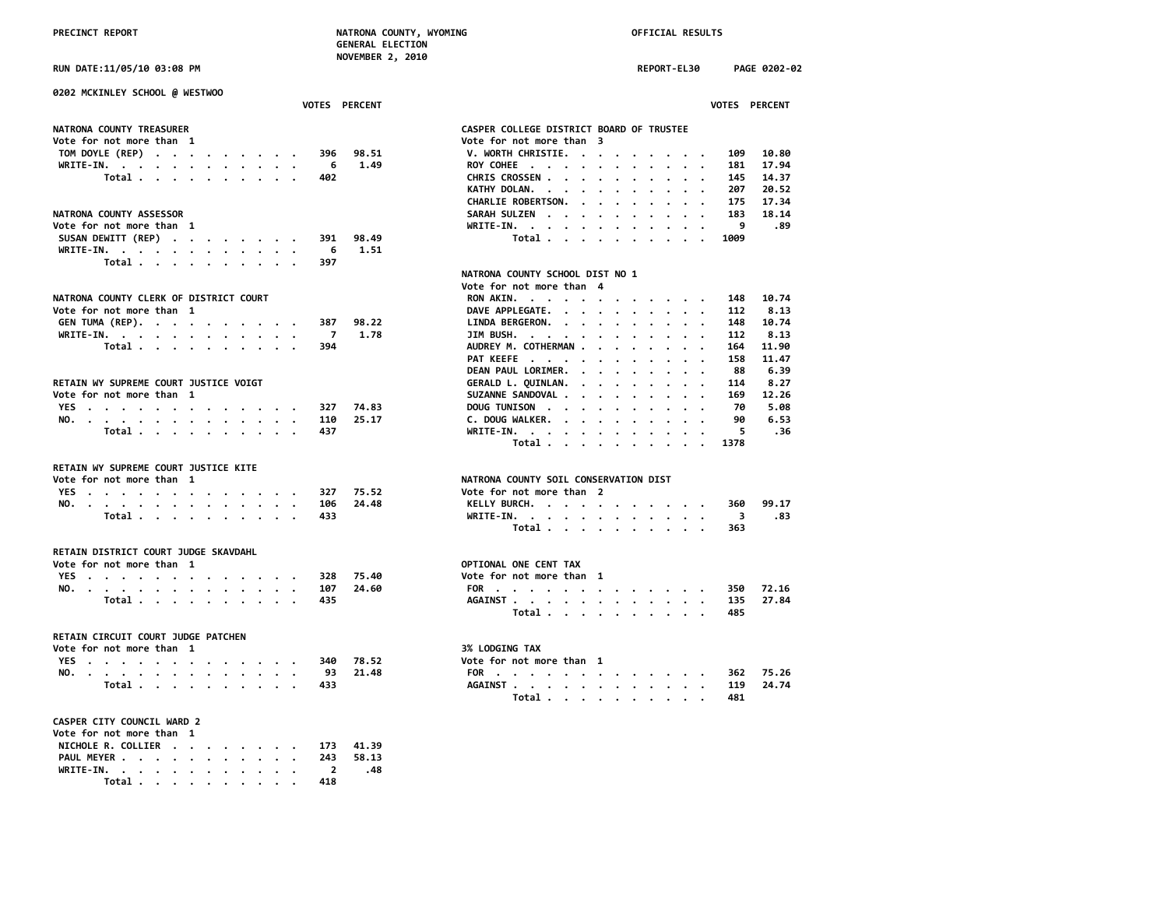## **RUN DATE:11/05/10 03:08 PM REPORT-EL30 PAGE 0202-02**

**0202 MCKINLEY SCHOOL @ WESTWOO VOTES PERCENT VOTES PERCENT**

| Vote for not more than  1 |  |  |  |  | Vote for not more than 3     |  |
|---------------------------|--|--|--|--|------------------------------|--|
| TOM DOYLE (REP) 396 98.51 |  |  |  |  | V. WORTH CHRISTIE. 109 10.80 |  |
| WRITE-IN. 6 1.49          |  |  |  |  | ROY COHEE 181 17.94          |  |
| Total 402                 |  |  |  |  | CHRIS CROSSEN 145 14.37      |  |

| NATRONA COUNTY ASSESSOR      | SARAH SULZEN 183 18.14 |
|------------------------------|------------------------|
| Vote for not more than 1     |                        |
| SUSAN DEWITT (REP) 391 98.49 | Total 1009             |
| WRITE-IN. 6 1.51             |                        |
| Total 397                    |                        |

### NATRONA COUNTY CLERK OF DISTRICT COURT

| Vote for not more than 1 |  |  |  |  |       | DAVE APPLEGATE. 112 8.13      |  |  |  |  |  |
|--------------------------|--|--|--|--|-------|-------------------------------|--|--|--|--|--|
| GEN TUMA (REP). 387      |  |  |  |  | 98.22 | LINDA BERGERON. 148 10.74     |  |  |  |  |  |
| WRITE-IN. 7 1.78         |  |  |  |  |       | JIM BUSH. 112 8.13            |  |  |  |  |  |
| Total 394                |  |  |  |  |       | AUDREY M. COTHERMAN 164 11.90 |  |  |  |  |  |

## RETAIN WY SUPREME COURT JUSTICE VOIGT

| Vote for not more than |  |       |  |  |  |  |         |       | SUZANNE SANDOVAL     |  |  |  |  | 169 | 12.26 |
|------------------------|--|-------|--|--|--|--|---------|-------|----------------------|--|--|--|--|-----|-------|
|                        |  |       |  |  |  |  | YES 327 | 74 R3 | DOUG TUNISON 70 5.08 |  |  |  |  |     |       |
|                        |  |       |  |  |  |  | NO. 110 |       | DOUGWALKER.          |  |  |  |  | 90  | 6.53  |
|                        |  | Total |  |  |  |  | 437     |       | WRITE-IN. 5 .36      |  |  |  |  |     |       |

# **RETAIN WY SUPREME COURT JUSTICE KITE**

| Vote for not more than |       |                                                                                                                                                                                                                                                                                                                                                                                                                                                            |  |  |  |   |     |       | NATRONA COUNTY SOIL CONSERVATION DIST |       |
|------------------------|-------|------------------------------------------------------------------------------------------------------------------------------------------------------------------------------------------------------------------------------------------------------------------------------------------------------------------------------------------------------------------------------------------------------------------------------------------------------------|--|--|--|---|-----|-------|---------------------------------------|-------|
|                        |       | YES.                                                                                                                                                                                                                                                                                                                                                                                                                                                       |  |  |  |   |     |       | Vote for not more than                |       |
| <b>NO</b>              |       | $\mathbf{1} \qquad \mathbf{1} \qquad \mathbf{1} \qquad \mathbf{1} \qquad \mathbf{1} \qquad \mathbf{1} \qquad \mathbf{1} \qquad \mathbf{1} \qquad \mathbf{1} \qquad \mathbf{1} \qquad \mathbf{1} \qquad \mathbf{1} \qquad \mathbf{1} \qquad \mathbf{1} \qquad \mathbf{1} \qquad \mathbf{1} \qquad \mathbf{1} \qquad \mathbf{1} \qquad \mathbf{1} \qquad \mathbf{1} \qquad \mathbf{1} \qquad \mathbf{1} \qquad \mathbf{1} \qquad \mathbf{1} \qquad \mathbf{$ |  |  |  |   | 106 | 24.48 | 360<br>KELLY BURCH.                   | 99.17 |
|                        | ⊤otal |                                                                                                                                                                                                                                                                                                                                                                                                                                                            |  |  |  | . |     |       | WRITE-IN. 3                           | . 83  |

## **RETAIN DISTRICT COURT JUDGE SKAVDAHL**

|  | Vote for not more than 1 |  |  |  |  |                  |               | OPTIONAL ONE CENT TAX    |       |
|--|--------------------------|--|--|--|--|------------------|---------------|--------------------------|-------|
|  |                          |  |  |  |  | YES. 328         | 75.40         | Vote for not more than 1 |       |
|  |                          |  |  |  |  |                  | NO. 107 24.60 | FOR 350                  | 72.16 |
|  |                          |  |  |  |  | $Total \t\t 435$ |               | AGATNST 135 27.84        |       |

## **RETAIN CIRCUIT COURT JUDGE PATCHEN**

| Vote for not more than |  |       |  |  |  |  |  |          |         | <b>3% LODGING TAX</b>  |       |
|------------------------|--|-------|--|--|--|--|--|----------|---------|------------------------|-------|
|                        |  |       |  |  |  |  |  | YES. 340 | 78.52   | Vote for not more than |       |
|                        |  |       |  |  |  |  |  | NO. 93   | - 21.48 | -362<br>FOR            | 75.26 |
|                        |  | Total |  |  |  |  |  |          |         | 24.74<br>AGAINST 119   |       |

# **CASPER CITY COUNCIL WARD 2**

| Vote for not more than 1     |  |  |  |     |  |
|------------------------------|--|--|--|-----|--|
| NICHOLE R. COLLIER 173 41.39 |  |  |  |     |  |
| PAUL MEYER 243 58.13         |  |  |  |     |  |
| WRITE-IN. 2 .48              |  |  |  |     |  |
| Total                        |  |  |  | 418 |  |

| CASPER COLLEGE DISTRICT BOARD OF TRUSTEE |
|------------------------------------------|
| Vote for not more than 3                 |
| V. WORTH CHRISTIE.<br>10.80<br>109       |
| 17.94<br>ROY COHEE<br>181                |
| 14.37<br>CHRIS CROSSEN<br>145            |
| 20.52<br>KATHY DOLAN.<br>207             |
| 17.34<br>CHARLIE ROBERTSON.<br>175       |
| 18.14<br>SARAH SULZEN<br>183             |
| WRITE-IN.<br>- 89                        |
| Total<br>1009                            |
|                                          |
|                                          |
| NATRONA COUNTY SCHOOL DIST NO 1          |
| Vote for not more than 4                 |
|                                          |

| NATRONA COUNTY CLERK OF DISTRICT COURT |       |  |  |  |  |  |     |                           | RON AKIN.           |  |  |  |  | 148 | 10.74 |
|----------------------------------------|-------|--|--|--|--|--|-----|---------------------------|---------------------|--|--|--|--|-----|-------|
| Vote for not more than  1              |       |  |  |  |  |  |     |                           | DAVE APPLEGATE.     |  |  |  |  | 112 | 8.13  |
|                                        |       |  |  |  |  |  |     | GEN TUMA (REP). 387 98.22 | LINDA BERGERON.     |  |  |  |  | 148 | 10.74 |
| WRITE-IN.                              |       |  |  |  |  |  |     | 1.78                      | JIM BUSH.           |  |  |  |  | 112 | 8.13  |
|                                        | Total |  |  |  |  |  | 394 |                           | AUDREY M. COTHERMAN |  |  |  |  | 164 | 11.90 |
|                                        |       |  |  |  |  |  |     |                           | PAT KEEFE           |  |  |  |  | 158 | 11.47 |
|                                        |       |  |  |  |  |  |     |                           | DEAN PAUL LORIMER.  |  |  |  |  | 88  | 6.39  |
| RETAIN WY SUPREME COURT JUSTICE VOIGT  |       |  |  |  |  |  |     |                           | GERALD L. QUINLAN.  |  |  |  |  | 114 | 8.27  |
| Vote for not more than  1              |       |  |  |  |  |  |     |                           | SUZANNE SANDOVAL    |  |  |  |  | 169 | 12.26 |
| YES.                                   |       |  |  |  |  |  |     | 327 74.83                 | DOUG TUNISON        |  |  |  |  | 70  | 5.08  |
| NO.                                    |       |  |  |  |  |  |     | 110 25.17                 | C. DOUG WALKER.     |  |  |  |  | 90  | 6.53  |
|                                        | Total |  |  |  |  |  | 437 |                           |                     |  |  |  |  |     | . 36  |
|                                        |       |  |  |  |  |  |     |                           | Total 1378          |  |  |  |  |     |       |
|                                        |       |  |  |  |  |  |     |                           |                     |  |  |  |  |     |       |

# **NATRONA COUNTY SOIL CONSERVATION DIST**<br>Vote for not more than 2

|  |  |  |  |  |  |           | YES 327 75.52 | Vote for not more than 2 |  |
|--|--|--|--|--|--|-----------|---------------|--------------------------|--|
|  |  |  |  |  |  |           | NO. 106 24.48 | KELLY BURCH. 360 99.17   |  |
|  |  |  |  |  |  | Total 433 |               | WRITE-IN. 3 .83          |  |
|  |  |  |  |  |  |           |               | Total. 363               |  |

# **Vote for not more than 1 OPTIONAL ONE CENT TAX**

|  |  |  |  |  |  |           | YES 328 75.40 | Vote for not more than 1 |  |
|--|--|--|--|--|--|-----------|---------------|--------------------------|--|
|  |  |  |  |  |  |           | NO. 107 24.60 | FOR 350 72.16            |  |
|  |  |  |  |  |  | Total 435 |               | AGAINST 135 27.84        |  |
|  |  |  |  |  |  |           |               | Total. 485               |  |

### **Vote for not more than 1 3% LODGING TAX**

|  | VOLE TUI NUL MUIE LIIAN 1 |  |  |  |  |  |           |               | <b>DALLUULING IAA</b>    |
|--|---------------------------|--|--|--|--|--|-----------|---------------|--------------------------|
|  |                           |  |  |  |  |  |           | YES 340 78.52 | Vote for not more than 1 |
|  |                           |  |  |  |  |  |           | NO. 93 21.48  | FOR 362 75.26            |
|  |                           |  |  |  |  |  | Total 433 |               | AGAINST 119 24.74        |
|  |                           |  |  |  |  |  |           |               | Total 481                |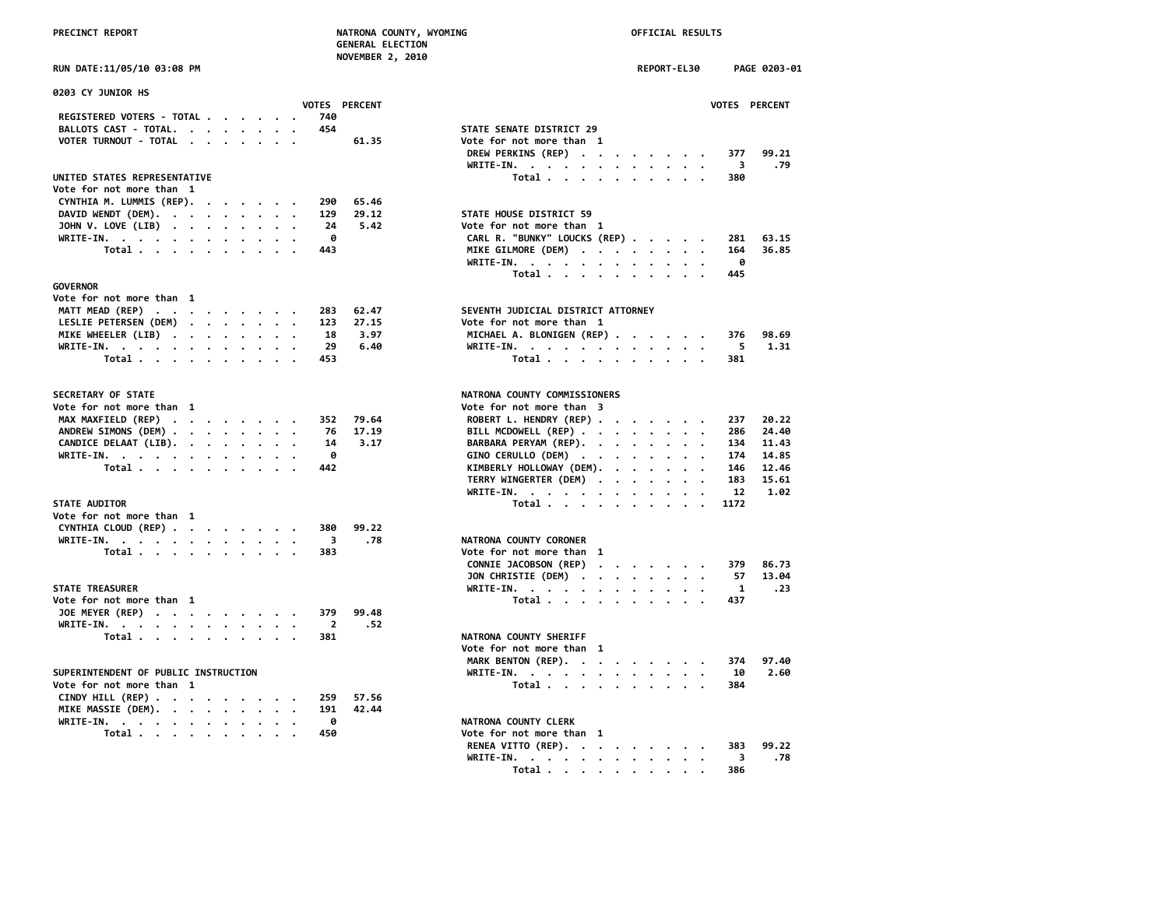# PRECINCT REPORT **NATRONA COUNTY, WYOMING NATRONA COUNTY, WYOMING OFFICIAL RESULTS**

| <b>GENERAL ELECTION</b> |  |
|-------------------------|--|
| <b>NOVEMBER 2, 2010</b> |  |

| 0203 CY JUNIOR HS                    |  |  |                         |                      |                                                                                                                |              |
|--------------------------------------|--|--|-------------------------|----------------------|----------------------------------------------------------------------------------------------------------------|--------------|
|                                      |  |  |                         | <b>VOTES PERCENT</b> |                                                                                                                | <b>VOTES</b> |
| REGISTERED VOTERS - TOTAL            |  |  | 740                     |                      |                                                                                                                |              |
| BALLOTS CAST - TOTAL.                |  |  | 454                     |                      | STATE SENATE DISTRICT 29                                                                                       |              |
| VOTER TURNOUT - TOTAL                |  |  |                         | 61.35                | Vote for not more than 1                                                                                       |              |
|                                      |  |  |                         |                      | DREW PERKINS (REP)<br>WRITE-IN.<br>$\cdot$ .                                                                   | 377<br>3     |
| UNITED STATES REPRESENTATIVE         |  |  |                         |                      | Total                                                                                                          | 380          |
| Vote for not more than 1             |  |  |                         |                      |                                                                                                                |              |
| CYNTHIA M. LUMMIS (REP).             |  |  | 290                     | 65.46                |                                                                                                                |              |
| DAVID WENDT (DEM).                   |  |  | 129                     | 29.12                | STATE HOUSE DISTRICT 59                                                                                        |              |
| JOHN V. LOVE (LIB)                   |  |  | 24                      | 5.42                 | Vote for not more than 1                                                                                       |              |
| WRITE-IN.                            |  |  | 0                       |                      | CARL R. "BUNKY" LOUCKS (REP)                                                                                   | 281          |
| Total                                |  |  | 443                     |                      | MIKE GILMORE (DEM)                                                                                             | 164          |
|                                      |  |  |                         |                      | WRITE-IN.                                                                                                      | 0            |
|                                      |  |  |                         |                      | Total                                                                                                          | 445          |
| <b>GOVERNOR</b>                      |  |  |                         |                      |                                                                                                                |              |
| Vote for not more than 1             |  |  |                         |                      |                                                                                                                |              |
| MATT MEAD (REP)                      |  |  | 283                     | 62.47                | SEVENTH JUDICIAL DISTRICT ATTORNEY                                                                             |              |
| LESLIE PETERSEN (DEM)                |  |  | 123                     | 27.15                | Vote for not more than 1                                                                                       |              |
| MIKE WHEELER (LIB)                   |  |  | 18                      | 3.97                 | MICHAEL A. BLONIGEN (REP)                                                                                      | 376          |
| WRITE-IN.                            |  |  | 29                      | 6.40                 | WRITE-IN.                                                                                                      | 5            |
| Total                                |  |  | 453                     |                      | Total                                                                                                          | 381          |
|                                      |  |  |                         |                      |                                                                                                                |              |
| SECRETARY OF STATE                   |  |  |                         |                      | NATRONA COUNTY COMMISSIONERS                                                                                   |              |
| Vote for not more than 1             |  |  |                         |                      | Vote for not more than 3                                                                                       |              |
| MAX MAXFIELD (REP)                   |  |  | 352                     | 79.64                | ROBERT L. HENDRY (REP)                                                                                         | 237          |
| ANDREW SIMONS (DEM)                  |  |  | 76                      | 17.19                | BILL MCDOWELL (REP)                                                                                            | 286          |
| CANDICE DELAAT (LIB).                |  |  | 14                      | 3.17                 | BARBARA PERYAM (REP).                                                                                          | 134          |
| WRITE-IN.                            |  |  | ø                       |                      | GINO CERULLO (DEM)                                                                                             | 174          |
| Total                                |  |  | 442                     |                      | KIMBERLY HOLLOWAY (DEM).                                                                                       | 146          |
|                                      |  |  |                         |                      | TERRY WINGERTER (DEM)<br>$\bullet$                                                                             | 183          |
|                                      |  |  |                         |                      | WRITE-IN.                                                                                                      | 12           |
| STATE AUDITOR                        |  |  |                         |                      | Total                                                                                                          | 1172         |
| Vote for not more than 1             |  |  |                         |                      |                                                                                                                |              |
| CYNTHIA CLOUD (REP)                  |  |  | 380                     | 99.22                |                                                                                                                |              |
| WRITE-IN.                            |  |  | $\overline{\mathbf{3}}$ | .78                  | NATRONA COUNTY CORONER                                                                                         |              |
| Total                                |  |  | 383                     |                      | Vote for not more than 1                                                                                       |              |
|                                      |  |  |                         |                      | CONNIE JACOBSON (REP)<br>$\mathcal{A}=\mathcal{A}=\mathcal{A}=\mathcal{A}=\mathcal{A}=\mathcal{A}=\mathcal{A}$ | 379          |
|                                      |  |  |                         |                      | JON CHRISTIE (DEM)                                                                                             | 57           |
| <b>STATE TREASURER</b>               |  |  |                         |                      | WRITE-IN.                                                                                                      | $\mathbf{1}$ |
| Vote for not more than 1             |  |  |                         |                      | Total $\cdots$ $\cdots$ $\cdots$                                                                               | 437          |
| JOE MEYER (REP)                      |  |  | 379                     | 99.48                |                                                                                                                |              |
| WRITE-IN.                            |  |  | $\overline{2}$          | .52                  |                                                                                                                |              |
| Total                                |  |  | 381                     |                      | NATRONA COUNTY SHERIFF                                                                                         |              |
|                                      |  |  |                         |                      | Vote for not more than 1                                                                                       |              |
|                                      |  |  |                         |                      | MARK BENTON (REP).                                                                                             | 374          |
| SUPERINTENDENT OF PUBLIC INSTRUCTION |  |  |                         |                      | WRITE-IN.                                                                                                      | 10           |
| Vote for not more than 1             |  |  |                         |                      | Total                                                                                                          | 384          |
| CINDY HILL $(REP)$                   |  |  | 259                     | 57.56                |                                                                                                                |              |
|                                      |  |  |                         | 42.44                |                                                                                                                |              |
| MIKE MASSIE (DEM).                   |  |  | 191                     |                      |                                                                                                                |              |
| WRITE-IN.                            |  |  | 0                       |                      | NATRONA COUNTY CLERK                                                                                           |              |
| Total                                |  |  | 450                     |                      | Vote for not more than 1                                                                                       |              |

| RUN DATE:11/05/10 03:08 PM                                         |                      |       | REPORT-EL30<br>PAGE 0203-01                           |     |
|--------------------------------------------------------------------|----------------------|-------|-------------------------------------------------------|-----|
| 0203 CY JUNIOR HS                                                  | <b>VOTES PERCENT</b> |       | VOTES PERCENT                                         |     |
| REGISTERED VOTERS - TOTAL                                          | 740                  |       |                                                       |     |
| BALLOTS CAST - TOTAL.                                              | 454                  |       | STATE SENATE DISTRICT 29                              |     |
| VOTER TURNOUT - TOTAL                                              |                      | 61.35 | Vote for not more than 1                              |     |
|                                                                    |                      |       | DREW PERKINS (REP)<br>99.21<br>377                    |     |
|                                                                    |                      |       | WRITE-IN.<br>$\overline{\mathbf{3}}$                  | .79 |
| UNITED STATES REPRESENTATIVE                                       |                      |       | Total<br>380                                          |     |
| Vote for not more than 1                                           |                      |       |                                                       |     |
| CYNTHIA M. LUMMIS (REP).<br>$\cdots$                               | 290                  | 65.46 |                                                       |     |
| DAVID WENDT (DEM).                                                 | 129                  | 29.12 | STATE HOUSE DISTRICT 59                               |     |
| JOHN V. LOVE (LIB)                                                 | 24                   | 5.42  | Vote for not more than 1                              |     |
| WRITE-IN.                                                          | 0                    |       | CARL R. "BUNKY" LOUCKS (REP)<br>281<br>63.15          |     |
| Total                                                              | 443                  |       | MIKE GILMORE (DEM)<br>36.85<br>164                    |     |
|                                                                    |                      |       | WRITE-IN.<br>0                                        |     |
|                                                                    |                      |       | Total<br>445                                          |     |
| <b>GOVERNOR</b>                                                    |                      |       |                                                       |     |
| Vote for not more than 1                                           |                      |       |                                                       |     |
| MATT MEAD (REP)                                                    | 283                  | 62.47 | SEVENTH JUDICIAL DISTRICT ATTORNEY                    |     |
| LESLIE PETERSEN (DEM)                                              | 123                  | 27.15 | Vote for not more than 1                              |     |
| MIKE WHEELER (LIB)                                                 | 18                   | 3.97  | MICHAEL A. BLONIGEN (REP)<br>98.69<br>376             |     |
| WRITE-IN.                                                          | 29                   | 6.40  | WRITE-IN.<br>5<br>1.31                                |     |
| Total                                                              | 453                  |       | Total<br>381                                          |     |
|                                                                    |                      |       |                                                       |     |
| SECRETARY OF STATE                                                 |                      |       | NATRONA COUNTY COMMISSIONERS                          |     |
| Vote for not more than 1                                           |                      |       | Vote for not more than 3                              |     |
| MAX MAXFIELD (REP)                                                 | 352                  | 79.64 | ROBERT L. HENDRY (REP)<br>20.22<br>237                |     |
| ANDREW SIMONS (DEM)                                                | 76                   | 17.19 | BILL MCDOWELL (REP)<br>24.40<br>286                   |     |
| CANDICE DELAAT (LIB).                                              | 14                   | 3.17  | BARBARA PERYAM (REP).<br>134<br>11.43                 |     |
| WRITE-IN.                                                          | 0                    |       | GINO CERULLO (DEM)<br>174<br>14.85                    |     |
| Total                                                              | 442                  |       | KIMBERLY HOLLOWAY (DEM).<br>12.46<br>146              |     |
|                                                                    |                      |       | TERRY WINGERTER (DEM)<br>183<br>15.61                 |     |
|                                                                    |                      |       | WRITE-IN.<br>12<br>1.02                               |     |
| <b>STATE AUDITOR</b>                                               |                      |       | Total $\cdots$ $\cdots$ $\cdots$<br>1172<br>$\cdot$ . |     |
| Vote for not more than 1                                           |                      |       |                                                       |     |
| CYNTHIA CLOUD (REP)                                                | 380                  | 99.22 |                                                       |     |
| WRITE-IN.                                                          | 3                    | .78   | NATRONA COUNTY CORONER                                |     |
| Total                                                              | 383                  |       | Vote for not more than 1                              |     |
|                                                                    |                      |       | CONNIE JACOBSON (REP)<br>86.73<br>379                 |     |
|                                                                    |                      |       | JON CHRISTIE (DEM)<br>13.04<br>57                     |     |
| <b>STATE TREASURER</b>                                             |                      |       | WRITE-IN.<br>-1<br>$\cdot$ $\cdot$<br>$\cdot$         | .23 |
| Vote for not more than 1                                           |                      |       | Total<br>437                                          |     |
| JOE MEYER (REP)                                                    | 379                  | 99.48 |                                                       |     |
| WRITE-IN.                                                          | - 2                  | .52   |                                                       |     |
| Total                                                              | 381                  |       | NATRONA COUNTY SHERIFF                                |     |
|                                                                    |                      |       | Vote for not more than 1                              |     |
|                                                                    |                      |       | MARK BENTON (REP).<br>374<br>97.40                    |     |
| SUPERINTENDENT OF PUBLIC INSTRUCTION                               |                      |       | 2.60<br>WRITE-IN.<br>10                               |     |
| Vote for not more than 1                                           |                      |       | Total<br>384                                          |     |
| CINDY HILL (REP) $\cdot \cdot \cdot \cdot \cdot \cdot \cdot \cdot$ | 259                  | 57.56 |                                                       |     |
| MIKE MASSIE (DEM).                                                 | 191                  | 42.44 |                                                       |     |
| WRITE-IN.<br>$\sim$ $\sim$                                         | 0                    |       | NATRONA COUNTY CLERK                                  |     |
| Total                                                              | 450                  |       | Vote for not more than 1                              |     |
|                                                                    |                      |       | RENEA VITTO (REP).<br>99.22<br>383                    |     |
|                                                                    |                      |       | WRITE-IN.<br>$_{3}$                                   | .78 |
|                                                                    |                      |       | Total<br>386<br>$\bullet$ . $\bullet$                 |     |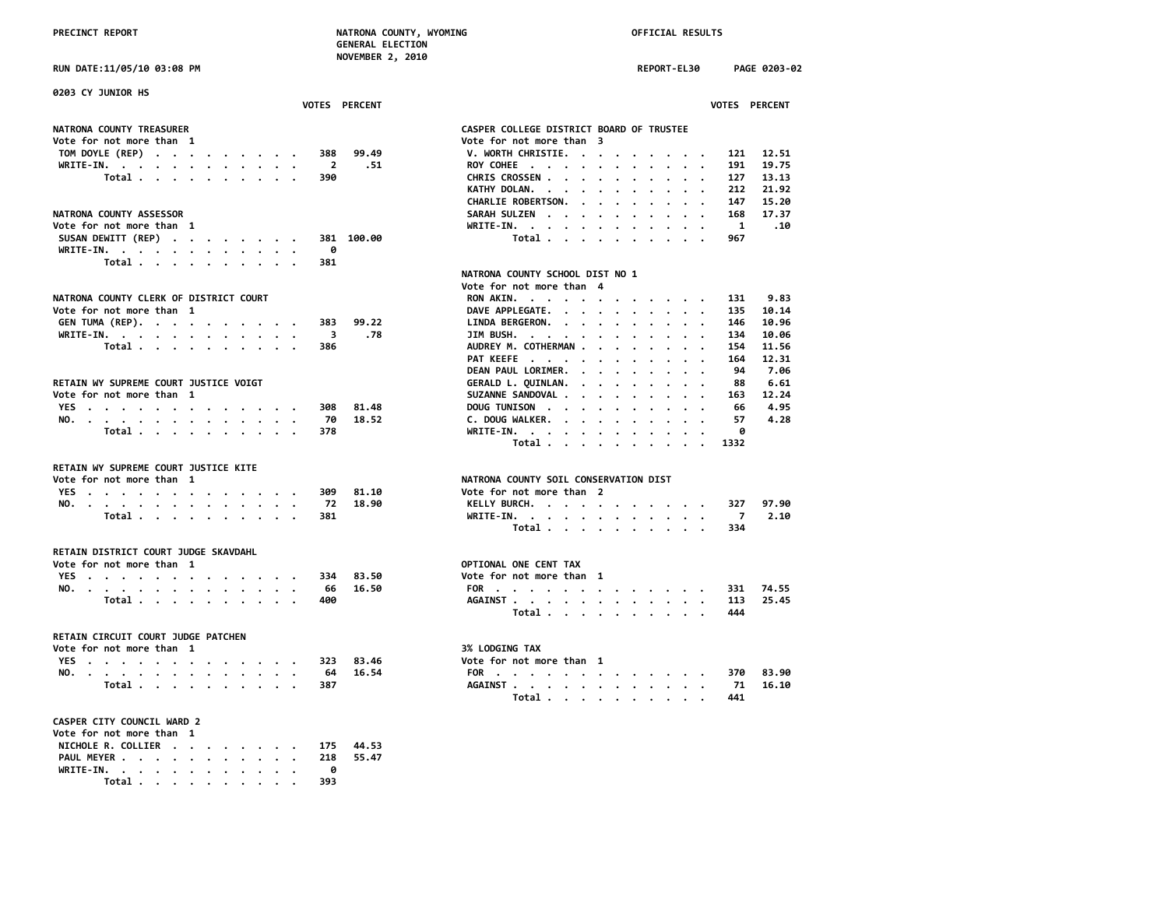**RUN DATE:11/05/10 03:08 PM REPORT-EL30 PAGE 0203-02**

| 0203 CY JUNIOR HS<br>VOTES PERCENT               | VOTES PERCENT                                                                                                                                                                                                                                                     |
|--------------------------------------------------|-------------------------------------------------------------------------------------------------------------------------------------------------------------------------------------------------------------------------------------------------------------------|
| <b>NATRONA COUNTY TREASURER</b>                  | CASPER COLLEGE DISTRICT BOARD OF TRUSTEE                                                                                                                                                                                                                          |
| Vote for not more than 1                         |                                                                                                                                                                                                                                                                   |
|                                                  | Vote for not more than 3                                                                                                                                                                                                                                          |
| TOM DOYLE (REP)<br>99.49<br>388                  | V. WORTH CHRISTIE.<br>12.51<br>121                                                                                                                                                                                                                                |
| WRITE-IN.<br>$\overline{\phantom{a}}$<br>.51     | ROY COHEE<br>191<br>19.75                                                                                                                                                                                                                                         |
| Total<br>390                                     | 13.13<br>CHRIS CROSSEN<br>127                                                                                                                                                                                                                                     |
|                                                  | KATHY DOLAN.<br>21,92<br>212<br>$\cdots$                                                                                                                                                                                                                          |
|                                                  | CHARLIE ROBERTSON.<br>147<br>15.20                                                                                                                                                                                                                                |
| <b>NATRONA COUNTY ASSESSOR</b>                   | 17.37<br>SARAH SULZEN<br>168                                                                                                                                                                                                                                      |
| Vote for not more than 1                         | WRITE-IN.<br>$\blacksquare$<br>.10                                                                                                                                                                                                                                |
| SUSAN DEWITT (REP)<br>381 100.00                 | Total<br>967                                                                                                                                                                                                                                                      |
| WRITE-IN.<br>0                                   |                                                                                                                                                                                                                                                                   |
| Total $\ldots$ $\ldots$ $\ldots$ $\ldots$<br>381 |                                                                                                                                                                                                                                                                   |
|                                                  | NATRONA COUNTY SCHOOL DIST NO 1                                                                                                                                                                                                                                   |
|                                                  | Vote for not more than 4                                                                                                                                                                                                                                          |
| NATRONA COUNTY CLERK OF DISTRICT COURT           | 9.83<br>RON AKIN.<br>131                                                                                                                                                                                                                                          |
| Vote for not more than 1                         | 135<br>10.14                                                                                                                                                                                                                                                      |
|                                                  | DAVE APPLEGATE.                                                                                                                                                                                                                                                   |
| GEN TUMA (REP).<br>99.22<br>383                  | LINDA BERGERON.<br>10.96<br>146                                                                                                                                                                                                                                   |
| .78<br>WRITE-IN.<br>$_{\rm 3}$                   | JIM BUSH.<br>10.06<br>134                                                                                                                                                                                                                                         |
| Total<br>386                                     | AUDREY M. COTHERMAN<br>11.56<br>154                                                                                                                                                                                                                               |
|                                                  | PAT KEEFE<br>164<br>12.31                                                                                                                                                                                                                                         |
|                                                  | DEAN PAUL LORIMER.<br>94<br>7.06                                                                                                                                                                                                                                  |
| RETAIN WY SUPREME COURT JUSTICE VOIGT            | GERALD L. QUINLAN.<br>6.61<br>88<br>. The contract of the contract of the contract of the contract of the contract of the contract of the contract of the contract of the contract of the contract of the contract of the contract of the contract of the contrac |
| Vote for not more than 1                         | SUZANNE SANDOVAL<br>12.24<br>163                                                                                                                                                                                                                                  |
| 81.48<br>YES<br>308                              | 4.95<br>DOUG TUNISON<br>66                                                                                                                                                                                                                                        |
| NO.<br>70<br>18.52                               | 4.28<br>C. DOUG WALKER.<br>57                                                                                                                                                                                                                                     |
| Total $\cdots$ $\cdots$ $\cdots$ $\cdots$<br>378 | WRITE-IN.<br>0                                                                                                                                                                                                                                                    |
|                                                  | Total<br>1332                                                                                                                                                                                                                                                     |
| RETAIN WY SUPREME COURT JUSTICE KITE             |                                                                                                                                                                                                                                                                   |
| Vote for not more than 1                         | NATRONA COUNTY SOIL CONSERVATION DIST                                                                                                                                                                                                                             |
| YES<br>309<br>81.10                              | Vote for not more than 2                                                                                                                                                                                                                                          |
| 18.90<br>NO.<br>-72                              | KELLY BURCH.<br>97.90<br>327                                                                                                                                                                                                                                      |
| Total<br>381                                     | 2.10<br>WRITE-IN.<br>$\overline{7}$                                                                                                                                                                                                                               |
|                                                  | Total<br>334                                                                                                                                                                                                                                                      |
| RETAIN DISTRICT COURT JUDGE SKAVDAHL             |                                                                                                                                                                                                                                                                   |
| Vote for not more than 1                         | OPTIONAL ONE CENT TAX                                                                                                                                                                                                                                             |
| 83.50<br>YES<br>334                              | Vote for not more than 1                                                                                                                                                                                                                                          |
| 16.50<br>NO.<br>66                               | FOR<br>74.55<br>331                                                                                                                                                                                                                                               |
| Total<br>400                                     | 25.45<br>AGAINST<br>113                                                                                                                                                                                                                                           |
|                                                  | 444<br>Total                                                                                                                                                                                                                                                      |
| RETAIN CIRCUIT COURT JUDGE PATCHEN               |                                                                                                                                                                                                                                                                   |
| Vote for not more than 1                         | <b>3% LODGING TAX</b>                                                                                                                                                                                                                                             |
| YES<br>83.46<br>323                              | Vote for not more than 1                                                                                                                                                                                                                                          |
| 16.54<br>NO.<br>- 64                             | FOR<br>370 83.90                                                                                                                                                                                                                                                  |
| Total<br>387                                     | AGAINST<br>71<br>16.10                                                                                                                                                                                                                                            |
|                                                  | Total<br>441                                                                                                                                                                                                                                                      |
| CASPER CITY COUNCIL WARD 2                       |                                                                                                                                                                                                                                                                   |
| Vote for not more than  1                        |                                                                                                                                                                                                                                                                   |
| NICHOLE R. COLLIER<br>175<br>44.53               |                                                                                                                                                                                                                                                                   |
| PAUL MEYER<br>218<br>55.47                       |                                                                                                                                                                                                                                                                   |
| 0                                                |                                                                                                                                                                                                                                                                   |
| WRITE-IN.<br>393                                 |                                                                                                                                                                                                                                                                   |
| Total                                            |                                                                                                                                                                                                                                                                   |

|                                                 |                                 |                      |                      |                      |                                                                                                                                                 |                                                                                                                                                                                                                                   |                                    |                      |                                                                    |                                                                             |           |                | VUIES PERLENI                                                                                                    |  |
|-------------------------------------------------|---------------------------------|----------------------|----------------------|----------------------|-------------------------------------------------------------------------------------------------------------------------------------------------|-----------------------------------------------------------------------------------------------------------------------------------------------------------------------------------------------------------------------------------|------------------------------------|----------------------|--------------------------------------------------------------------|-----------------------------------------------------------------------------|-----------|----------------|------------------------------------------------------------------------------------------------------------------|--|
| <b>CASPER COLLEGE DISTRICT BOARD OF TRUSTEE</b> |                                 |                      |                      |                      |                                                                                                                                                 |                                                                                                                                                                                                                                   |                                    |                      |                                                                    |                                                                             |           |                |                                                                                                                  |  |
| Vote for not more than 3                        |                                 |                      |                      |                      |                                                                                                                                                 |                                                                                                                                                                                                                                   |                                    |                      |                                                                    |                                                                             |           |                |                                                                                                                  |  |
| V. WORTH CHRISTIE.                              |                                 |                      |                      |                      |                                                                                                                                                 |                                                                                                                                                                                                                                   |                                    |                      |                                                                    |                                                                             |           |                | 121 12.51                                                                                                        |  |
| ROY COHEE                                       |                                 |                      |                      |                      |                                                                                                                                                 | $\mathbf{r}=\mathbf{r}+\mathbf{r}+\mathbf{r}+\mathbf{r}$                                                                                                                                                                          |                                    |                      |                                                                    | $\ddot{\phantom{0}}$                                                        | $\bullet$ |                | 191 19.75                                                                                                        |  |
| CHRIS CROSSEN                                   |                                 |                      |                      | $\ddot{\phantom{0}}$ |                                                                                                                                                 |                                                                                                                                                                                                                                   |                                    |                      | $\ddot{\phantom{0}}$                                               | $\cdot$ $\cdot$                                                             |           | 127            | 13.13                                                                                                            |  |
|                                                 |                                 |                      |                      |                      |                                                                                                                                                 |                                                                                                                                                                                                                                   |                                    |                      | $\ddot{\phantom{0}}$                                               | $\cdot$ $\cdot$                                                             |           |                | 212 21.92                                                                                                        |  |
| KATHY DOLAN.<br>CHARLIE ROBERTSON.              |                                 |                      |                      |                      |                                                                                                                                                 |                                                                                                                                                                                                                                   |                                    |                      |                                                                    | $\mathcal{L}^{\pm}$ , $\mathcal{L}^{\pm}$ , $\mathcal{L}^{\pm}$             |           |                | 15.20                                                                                                            |  |
|                                                 |                                 |                      |                      |                      |                                                                                                                                                 |                                                                                                                                                                                                                                   |                                    |                      |                                                                    | $\overline{1}$ , $\overline{1}$ , $\overline{1}$                            |           | 147            | SARAH SULZEN 168 17.37                                                                                           |  |
| WRITE-IN. .                                     |                                 |                      |                      |                      |                                                                                                                                                 |                                                                                                                                                                                                                                   |                                    |                      |                                                                    |                                                                             |           | $\blacksquare$ |                                                                                                                  |  |
|                                                 |                                 |                      |                      |                      |                                                                                                                                                 | and the contract of the contract of                                                                                                                                                                                               |                                    |                      |                                                                    |                                                                             |           | $\cdot$ 967    | .10                                                                                                              |  |
|                                                 | Total                           |                      |                      |                      |                                                                                                                                                 |                                                                                                                                                                                                                                   |                                    |                      |                                                                    |                                                                             |           |                |                                                                                                                  |  |
| <b>NATRONA COUNTY SCHOOL DIST NO 1</b>          |                                 |                      |                      |                      |                                                                                                                                                 |                                                                                                                                                                                                                                   |                                    |                      |                                                                    |                                                                             |           |                |                                                                                                                  |  |
| Vote for not more than                          |                                 |                      |                      |                      | $\overline{\mathbf{A}}$                                                                                                                         |                                                                                                                                                                                                                                   |                                    |                      |                                                                    |                                                                             |           |                |                                                                                                                  |  |
| RON AKIN.                                       |                                 |                      |                      |                      | $\bullet$ .                                                                                                                                     |                                                                                                                                                                                                                                   |                                    |                      |                                                                    | $\bullet$ .                                                                 |           |                | 131 9.83                                                                                                         |  |
| DAVE APPLEGATE.                                 |                                 |                      |                      |                      | $\sim$                                                                                                                                          | $\bullet$                                                                                                                                                                                                                         | $\sim$ $\sim$ $\sim$               |                      | $\bullet$                                                          | $\bullet$ .                                                                 |           |                | 135 10.14                                                                                                        |  |
| LINDA BERGERON. .                               |                                 |                      |                      |                      |                                                                                                                                                 | $\sim$ $\sim$ $\sim$ $\sim$                                                                                                                                                                                                       | $\bullet$                          | $\ddot{\phantom{0}}$ |                                                                    |                                                                             |           | 146            | 10.96                                                                                                            |  |
|                                                 |                                 |                      |                      |                      |                                                                                                                                                 |                                                                                                                                                                                                                                   |                                    |                      | $\sim$                                                             | $\sim$ $\sim$                                                               |           |                | 134 10.06                                                                                                        |  |
| JIM BUSH.<br>AUDREY M. COTHERMAN                |                                 |                      |                      |                      |                                                                                                                                                 |                                                                                                                                                                                                                                   |                                    |                      |                                                                    | $\mathbf{L}^{\text{max}}$ , $\mathbf{L}^{\text{max}}$                       |           | 154            | 11.56                                                                                                            |  |
| PAT KEEFE                                       |                                 |                      |                      |                      |                                                                                                                                                 |                                                                                                                                                                                                                                   | $\sim$                             | $\bullet$            | $\mathbf{1} \times \mathbf{1} \times \mathbf{1} \times \mathbf{1}$ |                                                                             |           |                | 164 12.31                                                                                                        |  |
| DEAN PAUL LORIMER.                              |                                 |                      |                      |                      |                                                                                                                                                 |                                                                                                                                                                                                                                   |                                    | $\ddot{\phantom{0}}$ |                                                                    | $\epsilon = \epsilon - \epsilon$ .                                          |           | 94             | 7.06                                                                                                             |  |
| GERALD L. QUINLAN.                              |                                 |                      |                      |                      |                                                                                                                                                 |                                                                                                                                                                                                                                   |                                    |                      | $\mathcal{A}=\mathcal{A}=\mathcal{A}$ .                            |                                                                             |           |                |                                                                                                                  |  |
| SUZANNE SANDOVAL                                |                                 |                      |                      |                      |                                                                                                                                                 |                                                                                                                                                                                                                                   | $\ddot{\phantom{0}}$               | $\ddot{\phantom{0}}$ |                                                                    |                                                                             |           |                |                                                                                                                  |  |
| DOUG TUNISON                                    |                                 |                      |                      |                      |                                                                                                                                                 |                                                                                                                                                                                                                                   | $\sim$                             | $\sim$               | $\begin{array}{cc} 1 & 1 & 1 \\ 1 & 1 & 1 \end{array}$             |                                                                             |           |                | 4.95                                                                                                             |  |
| C. DOUG WALKER.                                 |                                 |                      |                      |                      |                                                                                                                                                 |                                                                                                                                                                                                                                   |                                    |                      |                                                                    | $\bullet$ .<br><br><br><br><br><br><br><br><br><br><br><br><br><br><br><br> |           | 66<br>57       | 4.28                                                                                                             |  |
| WRITE-IN. $\cdot \cdot \cdot \cdot$             |                                 |                      |                      |                      |                                                                                                                                                 | $\sim$ $\sim$ $\sim$                                                                                                                                                                                                              |                                    |                      |                                                                    |                                                                             |           | - 0            |                                                                                                                  |  |
|                                                 |                                 |                      |                      |                      |                                                                                                                                                 |                                                                                                                                                                                                                                   | $\bullet$ .<br><br><br>$\bullet$ . |                      | $\ddot{\phantom{0}}$                                               | $\sim$ $\sim$                                                               |           | Total 1332     |                                                                                                                  |  |
|                                                 |                                 |                      |                      |                      |                                                                                                                                                 |                                                                                                                                                                                                                                   |                                    |                      |                                                                    |                                                                             |           |                |                                                                                                                  |  |
| <b>NATRONA COUNTY SOIL CONSERVATION DIST</b>    |                                 |                      |                      |                      |                                                                                                                                                 |                                                                                                                                                                                                                                   |                                    |                      |                                                                    |                                                                             |           |                |                                                                                                                  |  |
| Vote for not more than 2                        |                                 |                      |                      |                      |                                                                                                                                                 |                                                                                                                                                                                                                                   |                                    |                      |                                                                    |                                                                             |           |                |                                                                                                                  |  |
| KELLY BURCH.                                    |                                 |                      |                      |                      | $\bullet$ .<br><br><br><br><br><br><br><br><br><br><br><br><br><br><br><br><br><br><br><br><br><br><br><br><br><br><br><br><br><br><br><br><br> |                                                                                                                                                                                                                                   |                                    |                      |                                                                    |                                                                             |           |                |                                                                                                                  |  |
| WRITE-IN. .                                     |                                 |                      | $\cdot$              | $\ddot{\phantom{0}}$ |                                                                                                                                                 | $\mathbf{u} = \mathbf{u} + \mathbf{u} + \mathbf{u} + \mathbf{u} + \mathbf{u} + \mathbf{u}$ .                                                                                                                                      |                                    |                      |                                                                    |                                                                             |           |                |                                                                                                                  |  |
|                                                 | Total                           |                      |                      |                      |                                                                                                                                                 |                                                                                                                                                                                                                                   | $\sim$                             |                      |                                                                    |                                                                             |           |                | $\begin{array}{cccc} . & . & . & . & 327 & 97.90 \\ . & . & . & . & 7 & 2.10 \\ . & . & . & . & 334 \end{array}$ |  |
|                                                 |                                 |                      |                      |                      |                                                                                                                                                 |                                                                                                                                                                                                                                   |                                    |                      |                                                                    |                                                                             |           |                |                                                                                                                  |  |
| <b>OPTIONAL ONE CENT TAX</b>                    |                                 |                      |                      |                      |                                                                                                                                                 |                                                                                                                                                                                                                                   |                                    |                      |                                                                    |                                                                             |           |                |                                                                                                                  |  |
| Vote for not more than 1                        |                                 |                      |                      |                      |                                                                                                                                                 |                                                                                                                                                                                                                                   |                                    |                      |                                                                    |                                                                             |           |                |                                                                                                                  |  |
| FOR                                             |                                 |                      |                      |                      |                                                                                                                                                 |                                                                                                                                                                                                                                   |                                    |                      |                                                                    |                                                                             |           |                | $\cdot$ 331 74.55                                                                                                |  |
| AGAINST                                         |                                 |                      |                      |                      |                                                                                                                                                 | .                                                                                                                                                                                                                                 |                                    |                      |                                                                    |                                                                             |           |                | 113 25.45                                                                                                        |  |
|                                                 | Total                           |                      |                      |                      |                                                                                                                                                 |                                                                                                                                                                                                                                   | $\ddot{\phantom{0}}$               | $\ddot{\phantom{0}}$ | $\cdot$                                                            | $\sim$ $\sim$                                                               |           | 444            |                                                                                                                  |  |
| <b>3% LODGING TAX</b>                           |                                 |                      |                      |                      |                                                                                                                                                 |                                                                                                                                                                                                                                   |                                    |                      |                                                                    |                                                                             |           |                |                                                                                                                  |  |
| Vote for not more than 1                        |                                 |                      |                      |                      |                                                                                                                                                 |                                                                                                                                                                                                                                   |                                    |                      |                                                                    |                                                                             |           |                |                                                                                                                  |  |
| FOR .                                           | $\ddot{\phantom{0}}$<br>$\cdot$ | $\ddot{\phantom{0}}$ | $\ddot{\phantom{a}}$ |                      | $\sim$                                                                                                                                          |                                                                                                                                                                                                                                   |                                    |                      |                                                                    |                                                                             |           |                | $\cdot$ 370 83.90                                                                                                |  |
| AGAINST                                         |                                 | $\bullet$            |                      |                      |                                                                                                                                                 | $\mathbf{a}$ . The contribution of the contribution of the contribution of the contribution of the contribution of the contribution of the contribution of the contribution of the contribution of the contribution of the contri |                                    |                      |                                                                    |                                                                             |           | 71             | 16.10                                                                                                            |  |
|                                                 | Total                           |                      |                      |                      |                                                                                                                                                 |                                                                                                                                                                                                                                   |                                    |                      |                                                                    |                                                                             |           | . 441          |                                                                                                                  |  |
|                                                 |                                 |                      |                      |                      |                                                                                                                                                 |                                                                                                                                                                                                                                   |                                    |                      |                                                                    |                                                                             |           |                |                                                                                                                  |  |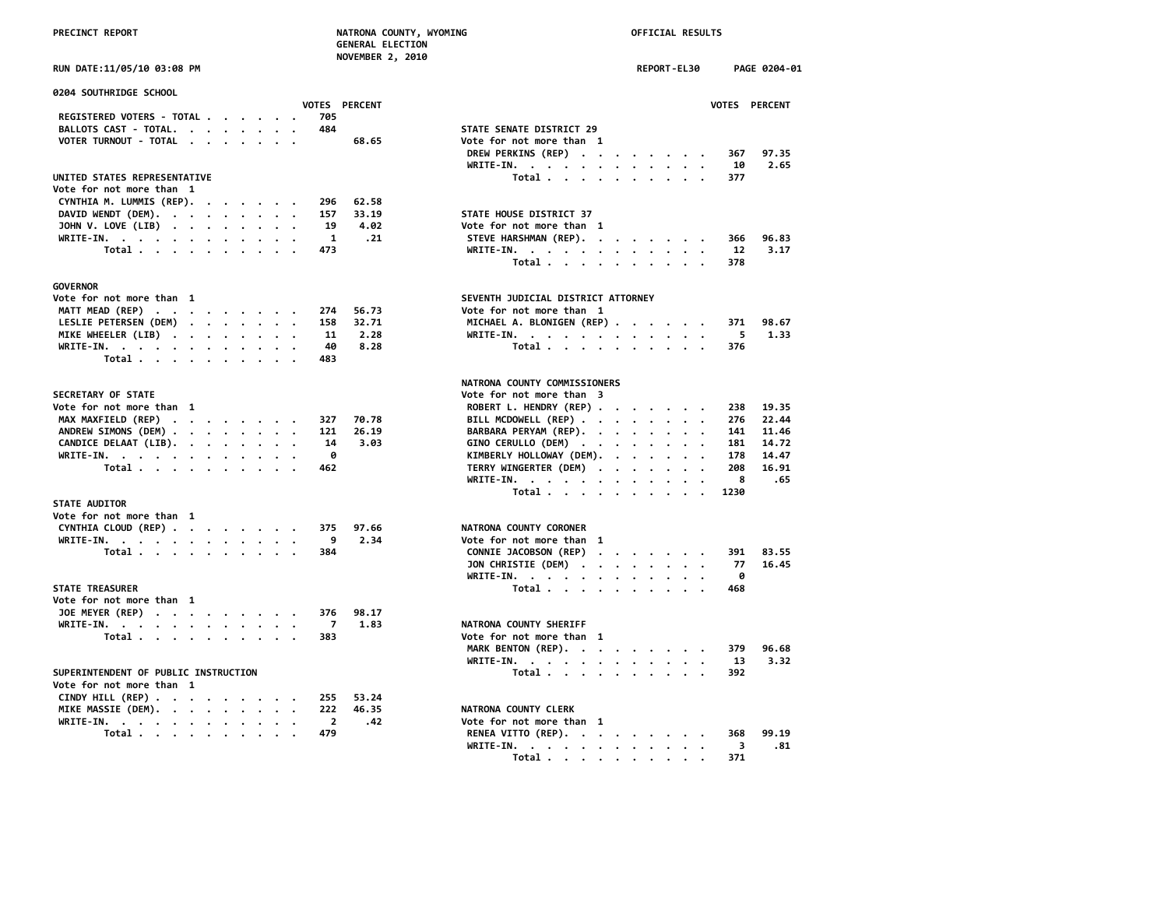|  |  | <b>PRECINCT REPORT</b> |
|--|--|------------------------|
|  |  |                        |

# **PRECIST REPORT OF A PRECIST AND REPORT OF A PRECIST REPORT OF FICIAL RESULTS**

|                                                                   | <b>GENERAL ELECTION</b> |                                    |             |           |      |               |
|-------------------------------------------------------------------|-------------------------|------------------------------------|-------------|-----------|------|---------------|
|                                                                   | <b>NOVEMBER 2, 2010</b> |                                    |             |           |      |               |
| RUN DATE:11/05/10 03:08 PM                                        |                         |                                    | REPORT-EL30 |           |      | PAGE 0204-01  |
| 0204 SOUTHRIDGE SCHOOL                                            |                         |                                    |             |           |      |               |
|                                                                   | <b>VOTES PERCENT</b>    |                                    |             |           |      | VOTES PERCENT |
| REGISTERED VOTERS - TOTAL                                         | 705                     |                                    |             |           |      |               |
| BALLOTS CAST - TOTAL.                                             | 484                     | STATE SENATE DISTRICT 29           |             |           |      |               |
| VOTER TURNOUT - TOTAL<br>$\cdot$ $\cdot$<br>$\sim$ $\sim$ $\sim$  | 68.65                   | Vote for not more than 1           |             |           |      |               |
|                                                                   |                         | DREW PERKINS (REP)                 |             |           | 367  | 97.35         |
|                                                                   |                         | WRITE-IN.                          |             |           | 10   | 2.65          |
| UNITED STATES REPRESENTATIVE                                      |                         | Total                              |             |           | 377  |               |
|                                                                   |                         |                                    |             |           |      |               |
| Vote for not more than 1                                          |                         |                                    |             |           |      |               |
| CYNTHIA M. LUMMIS (REP).                                          | 62.58<br>296            |                                    |             |           |      |               |
| DAVID WENDT (DEM).                                                | 33.19<br>157            | STATE HOUSE DISTRICT 37            |             |           |      |               |
| JOHN V. LOVE (LIB)                                                | 19<br>4.02              | Vote for not more than 1           |             |           |      |               |
| WRITE-IN.                                                         | .21<br>$\mathbf{1}$     | STEVE HARSHMAN (REP).              |             |           | 366  | 96.83         |
| Total                                                             | 473                     | WRITE-IN.                          |             |           | 12   | 3.17          |
|                                                                   |                         | Total                              |             |           | 378  |               |
| <b>GOVERNOR</b>                                                   |                         |                                    |             |           |      |               |
| Vote for not more than 1                                          |                         | SEVENTH JUDICIAL DISTRICT ATTORNEY |             |           |      |               |
| MATT MEAD (REP)                                                   | 274<br>56.73            | Vote for not more than 1           |             |           |      |               |
|                                                                   |                         |                                    |             |           |      |               |
| LESLIE PETERSEN (DEM)                                             | 32.71<br>158            | MICHAEL A. BLONIGEN (REP)          |             |           | 371  | 98.67         |
| MIKE WHEELER (LIB)                                                | 11<br>2.28              | WRITE-IN.                          |             |           | 5    | 1.33          |
| WRITE-IN.                                                         | 40<br>8.28              | Total                              |             |           | 376  |               |
| Total                                                             | 483                     |                                    |             |           |      |               |
|                                                                   |                         | NATRONA COUNTY COMMISSIONERS       |             |           |      |               |
| SECRETARY OF STATE                                                |                         | Vote for not more than 3           |             |           |      |               |
| Vote for not more than 1                                          |                         | ROBERT L. HENDRY (REP)             |             |           | 238  | 19.35         |
|                                                                   |                         |                                    |             |           |      | 22.44         |
| MAX MAXFIELD (REP)                                                | 70.78<br>327            | BILL MCDOWELL (REP)                |             |           | 276  |               |
| ANDREW SIMONS (DEM)                                               | 121<br>26.19            | BARBARA PERYAM (REP).              |             |           | 141  | 11.46         |
| CANDICE DELAAT (LIB).                                             | 14<br>3.03              | GINO CERULLO (DEM)                 |             |           | 181  | 14.72         |
| WRITE-IN.                                                         | 0                       | KIMBERLY HOLLOWAY (DEM).           |             |           | 178  | 14.47         |
| Total                                                             | 462                     | TERRY WINGERTER (DEM)              |             |           | 208  | 16.91         |
|                                                                   |                         | WRITE-IN.                          |             |           | 8    | .65           |
|                                                                   |                         | Total $\ldots$ $\ldots$ $\ldots$   |             | $\cdot$ . | 1230 |               |
| <b>STATE AUDITOR</b>                                              |                         |                                    |             |           |      |               |
| Vote for not more than 1                                          |                         |                                    |             |           |      |               |
| CYNTHIA CLOUD (REP)                                               | 97.66<br>375            | NATRONA COUNTY CORONER             |             |           |      |               |
| WRITE-IN.                                                         | 9<br>2.34               | Vote for not more than 1           |             |           |      |               |
| Total                                                             | 384                     | CONNIE JACOBSON (REP)              |             |           | 391  | 83.55         |
|                                                                   |                         |                                    |             |           | 77   | 16.45         |
|                                                                   |                         | JON CHRISTIE (DEM)                 |             |           |      |               |
|                                                                   |                         | WRITE-IN.                          |             | . .       | 0    |               |
| <b>STATE TREASURER</b>                                            |                         | Total                              |             |           | 468  |               |
| Vote for not more than 1                                          |                         |                                    |             |           |      |               |
| JOE MEYER (REP) $\cdot \cdot \cdot \cdot \cdot \cdot \cdot \cdot$ | 376<br>98.17            |                                    |             |           |      |               |
| WRITE-IN.                                                         | 1.83<br>7               | NATRONA COUNTY SHERIFF             |             |           |      |               |
| Total $\cdots$ $\cdots$ $\cdots$                                  | 383                     | Vote for not more than 1           |             |           |      |               |
|                                                                   |                         | MARK BENTON (REP).                 |             |           | 379  | 96.68         |
|                                                                   |                         | WRITE-IN.                          |             |           | 13   | 3.32          |
| SUPERINTENDENT OF PUBLIC INSTRUCTION                              |                         | Total                              |             |           | 392  |               |
| Vote for not more than 1                                          |                         |                                    |             |           |      |               |
|                                                                   |                         |                                    |             |           |      |               |
| CINDY HILL (REP)                                                  | 53.24<br>255            |                                    |             |           |      |               |
| MIKE MASSIE (DEM).                                                | 222<br>46.35            | NATRONA COUNTY CLERK               |             |           |      |               |
| WRITE-IN.<br>$\cdot$                                              | $\overline{2}$<br>.42   | Vote for not more than 1           |             |           |      |               |
| Total $\cdots$ $\cdots$ $\cdots$                                  | 479                     | RENEA VITTO (REP).                 |             |           | 368  | 99.19         |

| 0204 SOUTHRIDGE SCHOOL                                              |                       |                                                               |
|---------------------------------------------------------------------|-----------------------|---------------------------------------------------------------|
|                                                                     | VOTES PERCENT         | VOTES PERCENT                                                 |
| REGISTERED VOTERS - TOTAL<br>705<br>484                             |                       |                                                               |
| BALLOTS CAST - TOTAL.                                               |                       | STATE SENATE DISTRICT 29                                      |
| VOTER TURNOUT - TOTAL                                               | 68.65                 | Vote for not more than 1                                      |
|                                                                     |                       | DREW PERKINS (REP)<br>97.35<br>367<br>2.65<br>10              |
|                                                                     |                       | WRITE-IN.                                                     |
| UNITED STATES REPRESENTATIVE<br>Vote for not more than 1            |                       | Total<br>377                                                  |
| 296                                                                 | 62.58                 |                                                               |
| CYNTHIA M. LUMMIS (REP).                                            |                       |                                                               |
| DAVID WENDT (DEM).<br>157                                           | 33.19<br>19           | STATE HOUSE DISTRICT 37<br>Vote for not more than 1           |
| JOHN V. LOVE (LIB)                                                  | 4.02                  |                                                               |
| WRITE-IN.                                                           | -1<br>.21             | STEVE HARSHMAN (REP).<br>96.83<br>366                         |
| Total                                                               | 473                   | WRITE-IN.<br>12<br>3.17                                       |
|                                                                     |                       | Total<br>378                                                  |
| GOVERNOR                                                            |                       |                                                               |
| Vote for not more than 1                                            |                       | SEVENTH JUDICIAL DISTRICT ATTORNEY                            |
|                                                                     |                       | Vote for not more than 1                                      |
| MATT MEAD (REP)                                                     | 274<br>56.73          |                                                               |
| LESLIE PETERSEN (DEM)<br>158                                        | 32.71                 | MICHAEL A. BLONIGEN (REP)<br>371<br>98.67                     |
| MIKE WHEELER (LIB)                                                  | 11<br>2.28            | WRITE-IN.<br>5<br>1.33                                        |
| WRITE-IN.                                                           | 40<br>8.28            | Total<br>376                                                  |
| Total<br>483                                                        |                       |                                                               |
|                                                                     |                       | NATRONA COUNTY COMMISSIONERS                                  |
| <b>SECRETARY OF STATE</b>                                           |                       | Vote for not more than 3                                      |
| Vote for not more than 1                                            |                       | 19.35<br>238                                                  |
| MAX MAXFIELD (REP)<br>327                                           | 70.78                 | ROBERT L. HENDRY (REP)<br>BILL MCDOWELL (REP)<br>276<br>22.44 |
| ANDREW SIMONS (DEM)<br>121                                          | 26.19                 | BARBARA PERYAM (REP).<br>141<br>11.46                         |
| CANDICE DELAAT (LIB).                                               | 3.03<br>14            | GINO CERULLO (DEM)<br>14.72<br>181                            |
|                                                                     | 0                     |                                                               |
| WRITE-IN.                                                           |                       | KIMBERLY HOLLOWAY (DEM).<br>14.47<br>178                      |
| Total<br>462                                                        |                       | TERRY WINGERTER (DEM)<br>208<br>16.91                         |
|                                                                     |                       | WRITE-IN.<br>8<br>.65                                         |
| <b>STATE AUDITOR</b>                                                |                       | Total<br>1230                                                 |
| Vote for not more than 1                                            |                       |                                                               |
| CYNTHIA CLOUD (REP)<br>375                                          | 97.66                 | NATRONA COUNTY CORONER                                        |
|                                                                     | 9<br>2.34             | Vote for not more than 1                                      |
| WRITE-IN.<br>384                                                    |                       | CONNIE JACOBSON (REP)<br>83.55<br>391                         |
| Total                                                               |                       | 77<br>16.45                                                   |
|                                                                     |                       | JON CHRISTIE (DEM)<br>0                                       |
|                                                                     |                       | WRITE-IN.                                                     |
| <b>STATE TREASURER</b>                                              |                       | Total<br>468                                                  |
| Vote for not more than  1                                           | 98.17                 |                                                               |
| JOE MEYER (REP)                                                     | 376                   |                                                               |
| WRITE-IN, $\cdot$ , $\cdot$ , $\cdot$ , $\cdot$ , $\cdot$ , $\cdot$ | 7<br>1.83             | NATRONA COUNTY SHERIFF                                        |
| Total<br>383                                                        |                       | Vote for not more than 1                                      |
|                                                                     |                       | MARK BENTON (REP).<br>96.68<br>379                            |
|                                                                     |                       | WRITE-IN.<br>13<br>3.32                                       |
| SUPERINTENDENT OF PUBLIC INSTRUCTION                                |                       | Total<br>392                                                  |
| Vote for not more than 1                                            |                       |                                                               |
| CINDY HILL (REP) $\cdot \cdot \cdot \cdot \cdot \cdot \cdot \cdot$  | 53.24<br>255          |                                                               |
| MIKE MASSIE (DEM).<br>222                                           | 46.35                 | NATRONA COUNTY CLERK                                          |
| WRITE-IN.<br>$\cdot$ .                                              | $\overline{2}$<br>.42 | Vote for not more than 1                                      |
| 479<br>Total $\cdots$ $\cdots$ $\cdots$                             |                       | RENEA VITTO (REP).<br>99.19<br>368                            |
|                                                                     |                       | WRITE-IN.<br>.81<br>-3                                        |
|                                                                     |                       | Total<br>371                                                  |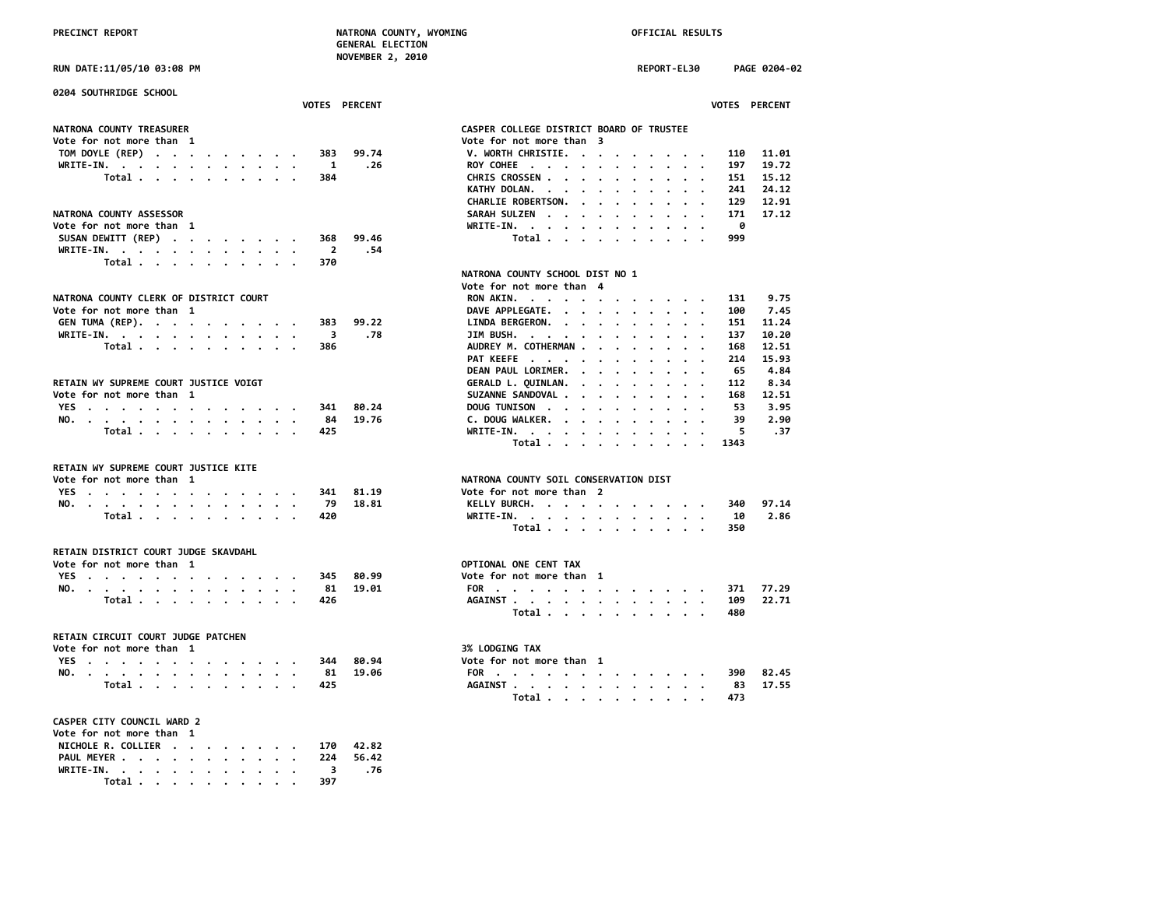**CHARLIE ROBERTSON. . . . . . . . . 129 12.91**

 **DEAN PAUL LORIMER. . . . . . . . . 65 4.84**

 **Total . . . . . . . . . . 1343**

 **Total . . . . . . . . . . 350**

 **Total . . . . . . . . . . 480**

 **Total . . . . . . . . . . 473**

**Vote for not more than 3**<br>**V. WORTH CHRISTIE. . . . . . . . .** 

 **KATHY DOLAN. . . . . . . . . .** 

**PAT KEEFE** . . . . . . . . . . .

**NATRONA COUNTY SOIL CONSERVATION DIST**<br>Vote for not more than 2

 **NATRONA COUNTY SCHOOL DIST NO 1**

PRECINCT REPORT **NATRONA COUNTY, WYOMING NATRONA COUNTY, WYOMING OFFICIAL RESULTS GENERAL ELECTION NOVEMBER 2, 2010 RUN DATE:11/05/10 03:08 PM REPORT-EL30 PAGE 0204-02 0204 SOUTHRIDGE SCHOOL VOTES PERCENT VOTES PERCENT NATRONA COUNTY TREASURER CASPER COLLEGE DISTRICT BOARD OF TRUSTEE TOM DOYLE (REP) . . . . . . . . . 383 99.74 V. WORTH CHRISTIE. . . . . . . . . 110 11.01 WRITE-IN. . . . . . . . . . . . 1 .26 ROY COHEE . . . . . . . . . . . 197 19.72 Total . . . . . . . . . . 384 CHRIS CROSSEN . . . . . . . . . . 151 15.12** NATRONA COUNTY ASSESSOR<br>
Vote for not more than 1 **Vote for not more than 1 WRITE-IN. . . . . . . . . . . . 0 SUSAN DEWITT (REP) . . . . . . . . 368 WRITE-IN. . . . . . . . . . . . 2 .54 Total . . . . . . . . . . 370 Vote for not more than 4** NATRONA COUNTY CLERK OF DISTRICT COURT<br>
Vote for not more than 1 and 100 and 2.45 **DAVE APPLEGATE. . . . . . . . . . 100 7.45**<br>P.22 **LINDA BERGERON. . . . . . . . . . . 151 11.24 GEN TUMA (REP). . . . . . . . . . 383 99.22 LINDA BERGERON. . . . . . . . . . 151 11.24 WRITE-IN. . . . . . . . . . . . 3 .78 JIM BUSH. . . . . . . . . . . . 137 10.20 TOTAL 2008 AUDREY M. COTHERMAN . . . . . . . . . . 168 12.51**<br>PAT KEEFE . . . . . . . . . . . . . . 214 15.93 RETAIN WY SUPREME COURT JUSTICE VOIGT<br>Vote for not more than 1 and 12.51 **Vote for not more than 1 SUZANNE SANDOVAL . . . . . . . . . 168 12.51 YES . . . . . . . . . . . . . 341 80.24 DOUG TUNISON . . . . . . . . . . 53 3.95 NO.** . . . . . . . . . . . . . . 84 19.76 C. DOUG WALKER. . . . . . . . . . . . . 39<br>Total . . . . . . . . . . 425 WRITE-IN. . . . . . . . . . . . . 5  **Total . . . . . . . . . . 425 WRITE-IN. . . . . . . . . . . . 5 .37 RETAIN WY SUPREME COURT JUSTICE KITE YES** . . . . . . . . . . . . . . 341 81.19 **NO. . . . . . . . . . . . . . 79 18.81 KELLY BURCH. . . . . . . . . . . 340 97.14 Total . . . . . . . . . . 420 WRITE-IN. . . . . . . . . . . . 10 2.86 RETAIN DISTRICT COURT JUDGE SKAVDAHL Vote for not more than 1 Vote for not more than 1 OPTIONAL ONE CENT TAX**<br> **YES** , , , , , , , , , , , , , , , , , , 345 80.99 **Vote for not more than 1 YES** . . . . . . . . . . . . . . 345 80.99<br>NO. . . . . . . . . . . . . . 81 19.01 **NO. . . . . . . . . . . . . . 81 19.01 FOR . . . . . . . . . . . . . 371 77.29 Total . . . . . . . . . . 426 AGAINST . . . . . . . . . . . . 109 22.71 RETAIN CIRCUIT COURT JUDGE PATCHEN** Vote for not more than 1 3% LODGING TAX **YES . . . . . . . . . . . . . 344 80.94 Vote for not more than 1 NO. . . . . . . . . . . . . . 81 19.06 FOR . . . . . . . . . . . . . 390 82.45 Total . . . . . . . . . . 425 AGAINST . . . . . . . . . . . . 83 17.55 CASPER CITY COUNCIL WARD 2 Vote for not more than 1 NICHOLE R. COLLIER . . . . . . . . 170 42.82 PAUL MEYER . . . . . . . . . . . 224 56.42**

**WRITE-IN. . . . . . . . . . . . 3 .76 Total . . . . . . . . . . 397**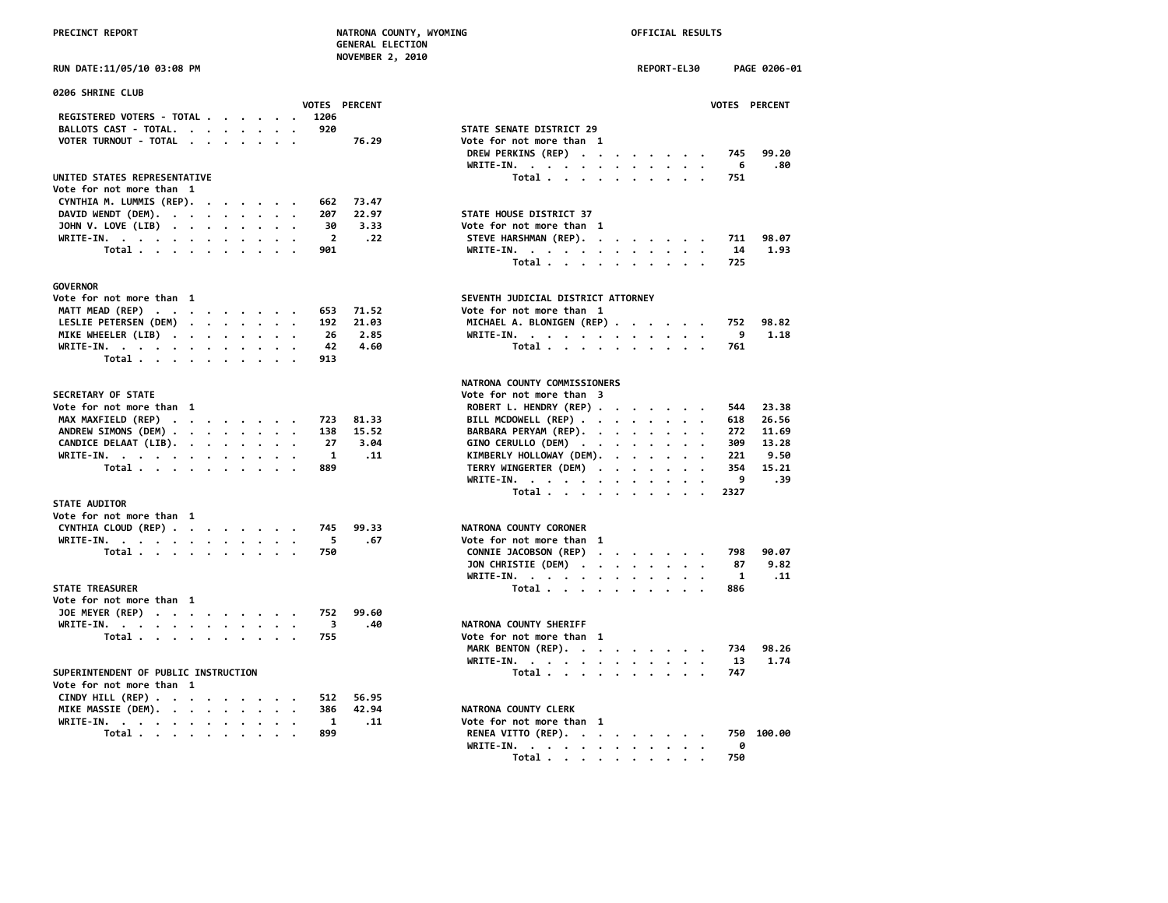| <b>RUN DATE:11/05/10 03:08 PM</b> |  |
|-----------------------------------|--|
|-----------------------------------|--|

| 0206 SHRINE CLUB                                     |                                                                           |
|------------------------------------------------------|---------------------------------------------------------------------------|
| VOTES PERCENT                                        | <b>VOTES</b>                                                              |
| REGISTERED VOTERS - TOTAL<br>1206                    |                                                                           |
| 920<br>BALLOTS CAST - TOTAL.                         | STATE SENATE DISTRICT 29                                                  |
| VOTER TURNOUT - TOTAL<br>76.29                       | Vote for not more than 1                                                  |
|                                                      | DREW PERKINS (REP)<br>745                                                 |
|                                                      | WRITE-IN.<br>- 6                                                          |
| UNITED STATES REPRESENTATIVE                         | Total<br>751                                                              |
| Vote for not more than 1                             |                                                                           |
| CYNTHIA M. LUMMIS (REP).<br>73.47<br>662<br>$\cdots$ |                                                                           |
| DAVID WENDT (DEM).<br>22.97<br>207                   | STATE HOUSE DISTRICT 37                                                   |
| JOHN V. LOVE (LIB)<br>3.33<br>30                     | Vote for not more than 1                                                  |
| $\overline{\mathbf{2}}$<br>.22<br>WRITE-IN.          | STEVE HARSHMAN (REP).<br>711                                              |
| Total<br>901                                         | WRITE-IN, $\cdot$ , $\cdot$ , $\cdot$ , $\cdot$ , $\cdot$ , $\cdot$<br>14 |
|                                                      | Total<br>725                                                              |
|                                                      |                                                                           |
| GOVERNOR                                             |                                                                           |
| Vote for not more than 1                             | SEVENTH JUDICIAL DISTRICT ATTORNEY                                        |
| MATT MEAD (REP)<br>71.52<br>653                      | Vote for not more than 1                                                  |
| LESLIE PETERSEN (DEM)<br>192<br>21.03                | MICHAEL A. BLONIGEN (REP)<br>752                                          |
| MIKE WHEELER (LIB)<br>2.85<br>26                     | 9<br>WRITE-IN.                                                            |
| 4.60<br>WRITE-IN.<br>42                              | Total<br>761                                                              |
| Total<br>913                                         |                                                                           |
|                                                      | NATRONA COUNTY COMMISSIONERS                                              |
| <b>SECRETARY OF STATE</b>                            | Vote for not more than 3                                                  |
| Vote for not more than 1                             | ROBERT L. HENDRY (REP)<br>544                                             |
| MAX MAXFIELD (REP)<br>81.33<br>723                   | BILL MCDOWELL (REP)<br>618                                                |
| ANDREW SIMONS (DEM)<br>15.52<br>138                  | BARBARA PERYAM (REP).<br>272                                              |
| CANDICE DELAAT (LIB).<br>27<br>3.04                  | 309<br>GINO CERULLO (DEM)                                                 |
| 1<br>.11                                             | KIMBERLY HOLLOWAY (DEM).<br>221                                           |
| WRITE-IN.<br>889<br>Total                            | TERRY WINGERTER (DEM)<br>354                                              |
|                                                      | 9<br>WRITE-IN.                                                            |
|                                                      | Total<br>2327                                                             |
| <b>STATE AUDITOR</b>                                 |                                                                           |
| Vote for not more than 1                             |                                                                           |
| CYNTHIA CLOUD (REP)<br>99.33<br>745                  | NATRONA COUNTY CORONER                                                    |
| WRITE-IN.<br>.67<br>5                                | Vote for not more than 1                                                  |
| Total<br>750                                         | CONNIE JACOBSON (REP)<br>798                                              |
|                                                      | JON CHRISTIE (DEM)<br>87                                                  |
|                                                      | $\overline{\mathbf{1}}$<br>WRITE-IN.                                      |
| <b>STATE TREASURER</b>                               | Total<br>886                                                              |
| Vote for not more than 1                             |                                                                           |
| JOE MEYER (REP)<br>99.60<br>752                      |                                                                           |
| .40<br>3                                             | NATRONA COUNTY SHERIFF                                                    |
| WRITE-IN.<br>755                                     | Vote for not more than 1                                                  |
| Total                                                |                                                                           |
|                                                      | MARK BENTON (REP).<br>734                                                 |
|                                                      | WRITE-IN.<br>13                                                           |
| SUPERINTENDENT OF PUBLIC INSTRUCTION                 | Total<br>747                                                              |
| Vote for not more than 1                             |                                                                           |
| CINDY HILL (REP)<br>512<br>56.95                     |                                                                           |
| MIKE MASSIE (DEM).<br>42.94<br>386                   | NATRONA COUNTY CLERK                                                      |
| WRITE-IN.<br>.11<br>1                                | Vote for not more than 1                                                  |
| Total<br>899                                         | RENEA VITTO (REP).<br>750                                                 |

| <b>NOVEMBER 2, 2010</b>                                                            |                                                        |             |      |                      |
|------------------------------------------------------------------------------------|--------------------------------------------------------|-------------|------|----------------------|
| RUN DATE:11/05/10 03:08 PM                                                         |                                                        | REPORT-EL30 |      | PAGE 0206-01         |
| 0206 SHRINE CLUB                                                                   |                                                        |             |      |                      |
| <b>VOTES PERCENT</b>                                                               |                                                        |             |      | <b>VOTES PERCENT</b> |
| REGISTERED VOTERS - TOTAL<br>1206<br>$\sim$                                        |                                                        |             |      |                      |
| BALLOTS CAST - TOTAL.<br>920                                                       | STATE SENATE DISTRICT 29                               |             |      |                      |
| VOTER TURNOUT - TOTAL<br>76.29                                                     | Vote for not more than 1                               |             |      |                      |
|                                                                                    | DREW PERKINS (REP)                                     |             | 745  | 99.20                |
|                                                                                    | WRITE-IN.                                              |             | 6    | .80                  |
| UNITED STATES REPRESENTATIVE                                                       | Total                                                  |             | 751  |                      |
| Vote for not more than 1                                                           |                                                        |             |      |                      |
| CYNTHIA M. LUMMIS (REP).<br>662<br>73.47                                           |                                                        |             |      |                      |
| DAVID WENDT (DEM).<br>207<br>22.97                                                 | STATE HOUSE DISTRICT 37                                |             |      |                      |
| JOHN V. LOVE (LIB)<br>30<br>3.33                                                   | Vote for not more than 1                               |             |      |                      |
| WRITE-IN.<br>$\overline{2}$<br>.22                                                 | STEVE HARSHMAN (REP).                                  |             | 711  | 98.07                |
| Total<br>901                                                                       | WRITE-IN.                                              |             | 14   | 1.93                 |
|                                                                                    | Total                                                  |             | 725  |                      |
|                                                                                    |                                                        |             |      |                      |
| <b>GOVERNOR</b><br>Vote for not more than 1                                        | SEVENTH JUDICIAL DISTRICT ATTORNEY                     |             |      |                      |
| MATT MEAD (REP)<br>71.52<br>653                                                    | Vote for not more than 1                               |             |      |                      |
| LESLIE PETERSEN (DEM)<br>192<br>21.03                                              | MICHAEL A. BLONIGEN (REP)                              |             | 752  | 98.82                |
| 26<br>2.85                                                                         |                                                        |             | 9    | 1.18                 |
| MIKE WHEELER (LIB)<br>42<br>4.60                                                   | WRITE-IN.<br>Total $\ldots$ $\ldots$ $\ldots$ $\ldots$ |             | 761  |                      |
| WRITE-IN.<br>Total<br>913                                                          |                                                        |             |      |                      |
|                                                                                    |                                                        |             |      |                      |
|                                                                                    | NATRONA COUNTY COMMISSIONERS                           |             |      |                      |
| <b>SECRETARY OF STATE</b>                                                          | Vote for not more than 3                               |             |      |                      |
| Vote for not more than  1                                                          | ROBERT L. HENDRY (REP)                                 |             | 544  | 23.38                |
| MAX MAXFIELD (REP)<br>81.33<br>723                                                 | BILL MCDOWELL (REP)                                    |             | 618  | 26.56                |
| ANDREW SIMONS (DEM)<br>138<br>15.52                                                | BARBARA PERYAM (REP).                                  |             | 272  | 11.69                |
| CANDICE DELAAT (LIB).<br>27<br>3.04                                                | GINO CERULLO (DEM)                                     |             | 309  | 13.28                |
| 1<br>WRITE-IN.<br>.11                                                              | KIMBERLY HOLLOWAY (DEM).                               |             | 221  | 9.50                 |
| Total<br>889                                                                       | TERRY WINGERTER (DEM)                                  |             | 354  | 15.21                |
|                                                                                    | WRITE-IN.                                              |             | 9    | .39                  |
|                                                                                    | Total                                                  |             | 2327 |                      |
| <b>STATE AUDITOR</b>                                                               |                                                        |             |      |                      |
| Vote for not more than 1                                                           |                                                        |             |      |                      |
| CYNTHIA CLOUD (REP)<br>745<br>99.33                                                | NATRONA COUNTY CORONER                                 |             |      |                      |
| 5<br>WRITE-IN.<br>.67                                                              | Vote for not more than 1                               |             |      |                      |
| Total<br>750                                                                       | CONNIE JACOBSON (REP)                                  |             | 798  | 90.07                |
|                                                                                    | JON CHRISTIE (DEM)                                     |             | 87   | 9.82                 |
|                                                                                    | WRITE-IN.                                              |             | 1    | .11                  |
| <b>STATE TREASURER</b>                                                             | Total                                                  |             | 886  |                      |
| Vote for not more than  1                                                          |                                                        |             |      |                      |
| JOE MEYER (REP)<br>752<br>99.60                                                    |                                                        |             |      |                      |
| WRITE-IN.<br>3<br>.40                                                              | NATRONA COUNTY SHERIFF                                 |             |      |                      |
| Total<br>755                                                                       | Vote for not more than 1                               |             |      |                      |
|                                                                                    | MARK BENTON (REP).                                     |             | 734  | 98.26                |
|                                                                                    | WRITE-IN.                                              |             | 13   | 1.74                 |
| SUPERINTENDENT OF PUBLIC INSTRUCTION                                               | Total                                                  |             | 747  |                      |
| Vote for not more than 1                                                           |                                                        |             |      |                      |
| CINDY HILL (REP) $\cdot \cdot \cdot \cdot \cdot \cdot \cdot \cdot$<br>56.95<br>512 |                                                        |             |      |                      |
| MIKE MASSIE (DEM).<br>386<br>42.94                                                 | NATRONA COUNTY CLERK                                   |             |      |                      |
| WRITE-IN.<br>1<br>.11                                                              | Vote for not more than 1                               |             |      |                      |
| 899                                                                                |                                                        |             | 750  | 100.00               |
| Total                                                                              | RENEA VITTO (REP).                                     |             | 0    |                      |
|                                                                                    | WRITE-IN.                                              |             | 750  |                      |
|                                                                                    | Total                                                  |             |      |                      |
|                                                                                    |                                                        |             |      |                      |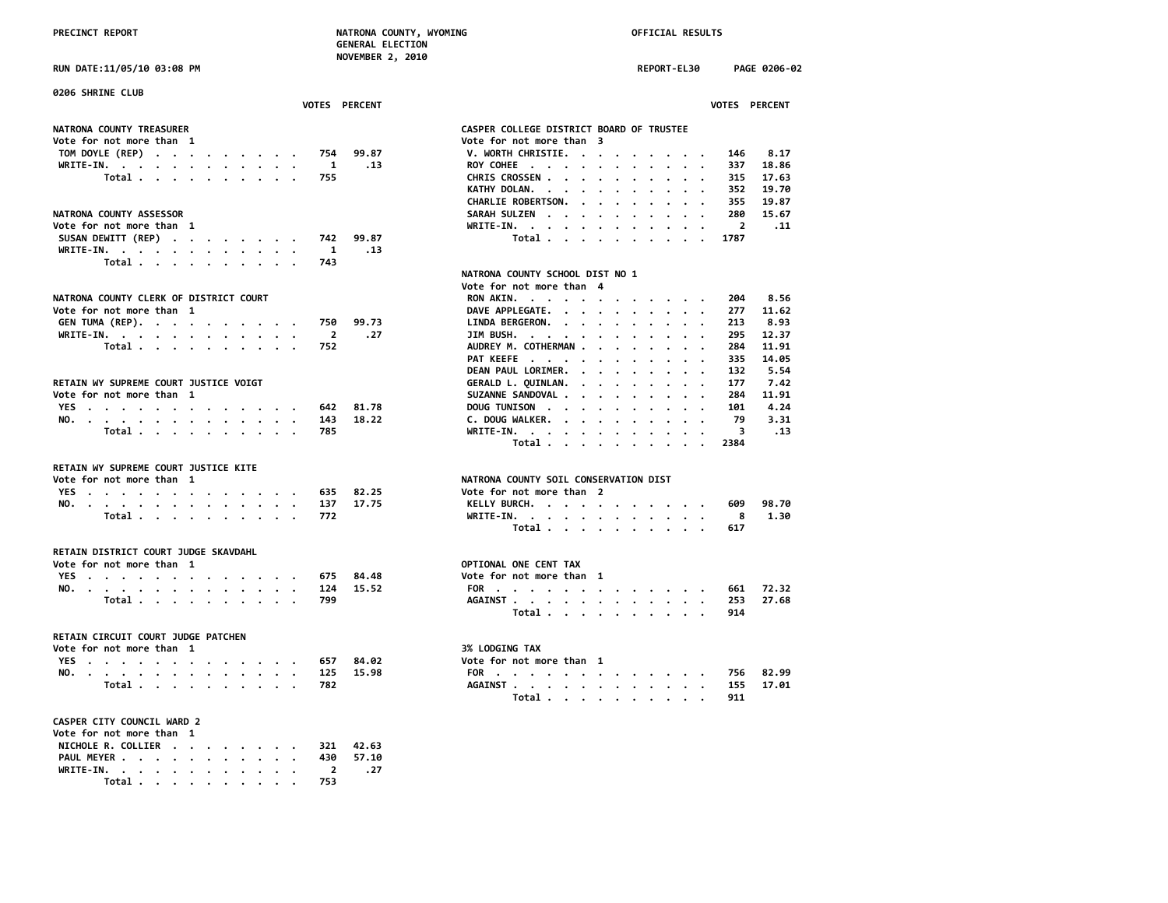**RUN DATE:11/05/10 03:08 PM REPORT-EL30 PAGE 0206-02**

| 0206 SHRINE CLUB<br>VOTES PERCENT                | VOTES PERCENT                                               |
|--------------------------------------------------|-------------------------------------------------------------|
|                                                  |                                                             |
| NATRONA COUNTY TREASURER                         | CASPER COLLEGE DISTRICT BOARD OF TRUSTEE                    |
| Vote for not more than 1                         | Vote for not more than 3                                    |
| TOM DOYLE (REP)<br>99.87<br>754                  | V. WORTH CHRISTIE.<br>8.17<br>146                           |
| WRITE-IN.<br>$\blacksquare$<br>.13               | ROY COHEE<br>337<br>18.86                                   |
| Total $\cdots$ $\cdots$ $\cdots$ $\cdots$<br>755 | 17.63<br>CHRIS CROSSEN<br>315                               |
|                                                  | KATHY DOLAN.<br>352<br>19.70                                |
|                                                  | CHARLIE ROBERTSON.<br>19.87<br>355                          |
| NATRONA COUNTY ASSESSOR                          | 15.67<br>SARAH SULZEN<br>280                                |
| Vote for not more than 1                         | WRITE-IN.<br>$\overline{2}$<br>.11                          |
| SUSAN DEWITT (REP)<br>99.87<br>742               | Total<br>1787                                               |
| WRITE-IN.<br>1<br>.13                            |                                                             |
| Total<br>743                                     |                                                             |
|                                                  | NATRONA COUNTY SCHOOL DIST NO 1                             |
|                                                  | Vote for not more than 4                                    |
| NATRONA COUNTY CLERK OF DISTRICT COURT           | 8.56<br>RON AKIN.<br>204                                    |
| Vote for not more than 1                         | DAVE APPLEGATE.<br>277<br>11.62                             |
| GEN TUMA (REP).<br>750<br>99.73                  | LINDA BERGERON.<br>213<br>8.93                              |
| WRITE-IN.<br>$\overline{\mathbf{2}}$<br>.27      | JIM BUSH.<br>295<br>12.37                                   |
| 752<br>Total $\cdots$ $\cdots$ $\cdots$ $\cdots$ | AUDREY M. COTHERMAN<br>284<br>11.91<br>$\cdot$<br>$\cdot$ . |
|                                                  | 14.05<br>PAT KEEFE<br>335                                   |
|                                                  | DEAN PAUL LORIMER.<br>132<br>5.54                           |
| RETAIN WY SUPREME COURT JUSTICE VOIGT            | GERALD L. QUINLAN.<br>7.42<br>177                           |
| Vote for not more than 1                         | 11.91<br>SUZANNE SANDOVAL<br>284                            |
| YES<br>81.78<br>642                              | 4.24<br>DOUG TUNISON<br>101                                 |
| 18.22<br>NO.<br>143                              | C. DOUG WALKER.<br>79<br>3.31                               |
| Total<br>785                                     | WRITE-IN.<br>-3<br>.13                                      |
|                                                  | Total<br>2384                                               |
|                                                  |                                                             |
| RETAIN WY SUPREME COURT JUSTICE KITE             | NATRONA COUNTY SOIL CONSERVATION DIST                       |
| Vote for not more than 1                         |                                                             |
| YES<br>82.25<br>635                              | Vote for not more than 2                                    |
| NO.<br>17.75<br>137                              | KELLY BURCH.<br>609<br>98.70                                |
| Total<br>772                                     | WRITE-IN.<br>- 8<br>1.30                                    |
|                                                  | Total<br>617                                                |
| RETAIN DISTRICT COURT JUDGE SKAVDAHL             |                                                             |
| Vote for not more than 1                         | OPTIONAL ONE CENT TAX                                       |
| YES<br>675<br>84.48                              | Vote for not more than 1                                    |
| NO.<br>124<br>15.52                              | 72.32<br>FOR<br>661                                         |
| Total<br>799                                     | 27.68<br>AGAINST<br>253                                     |
|                                                  | Total<br>914                                                |
| RETAIN CIRCUIT COURT JUDGE PATCHEN               |                                                             |
| Vote for not more than 1                         | 3% LODGING TAX                                              |
| YES<br>84.02<br>657                              | Vote for not more than 1                                    |
| 125<br>15.98                                     | 82.99<br>756                                                |
| NO.<br>Total<br>782                              | FOR<br>17.01<br>AGAINST<br>155                              |
|                                                  | Total<br>911                                                |
|                                                  |                                                             |
| CASPER CITY COUNCIL WARD 2                       |                                                             |
| Vote for not more than 1                         |                                                             |
| NICHOLE R. COLLIER<br>42.63<br>321               |                                                             |
| PAUL MEYER<br>430<br>57.10                       |                                                             |
| WRITE-IN.<br>2<br>. 27                           |                                                             |
| Total<br>753                                     |                                                             |

|                                                 |                 |                                  |                                                                  |                      |                      |                      |                      |                      |                      |                                         |           |                         | VOTES PERCENT      |  |
|-------------------------------------------------|-----------------|----------------------------------|------------------------------------------------------------------|----------------------|----------------------|----------------------|----------------------|----------------------|----------------------|-----------------------------------------|-----------|-------------------------|--------------------|--|
| <b>CASPER COLLEGE DISTRICT BOARD OF TRUSTEE</b> |                 |                                  |                                                                  |                      |                      |                      |                      |                      |                      |                                         |           |                         |                    |  |
| Vote for not more than                          |                 |                                  |                                                                  |                      | 3                    |                      |                      |                      |                      |                                         |           |                         |                    |  |
| V. WORTH CHRISTIE. .                            |                 |                                  |                                                                  |                      | $\cdot$              |                      |                      |                      |                      |                                         |           |                         | 146 8.17           |  |
| ROY COHEE                                       |                 |                                  |                                                                  | $\sim$               | $\bullet$            | $\ddot{\phantom{a}}$ | $\ddot{\phantom{0}}$ | $\bullet$            | $\ddot{\phantom{0}}$ | $\ddot{\phantom{0}}$                    | $\cdot$   | 337                     | 18.86              |  |
| CHRIS CROSSEN                                   |                 |                                  |                                                                  | $\mathbf{L}$         | $\ddot{\phantom{0}}$ |                      |                      |                      |                      |                                         | $\cdot$   | 315                     | 17.63              |  |
| KATHY DOLAN. .                                  |                 |                                  |                                                                  |                      | $\ddot{\phantom{0}}$ | $\ddot{\phantom{0}}$ | $\cdot$              | $\cdot$              | $\ddot{\phantom{0}}$ | $\cdot$ $\cdot$                         |           | 352                     | 19.70              |  |
| CHARLIE ROBERTSON. .                            |                 |                                  |                                                                  |                      | $\bullet$            | $\sim$ $\sim$        |                      | $\bullet$            |                      | $\cdots$                                |           |                         | 355 19.87          |  |
| SARAH SULZEN                                    |                 |                                  |                                                                  | $\sim$               | $\ddot{\phantom{0}}$ |                      |                      | $\ddot{\phantom{0}}$ |                      |                                         |           | 280                     | 15.67              |  |
| WRITE-IN. .                                     |                 |                                  |                                                                  | $\sim$               |                      | $\ddot{\phantom{0}}$ | $\ddot{\phantom{0}}$ | $\ddot{\phantom{0}}$ | $\ddot{\phantom{0}}$ | $\cdot$ $\cdot$<br>$\ddot{\phantom{0}}$ |           | $\overline{\mathbf{2}}$ | . 11               |  |
|                                                 | Total           |                                  |                                                                  |                      | $\bullet$            |                      |                      |                      |                      | $\cdot$ $\cdot$                         |           | 1787                    |                    |  |
|                                                 |                 |                                  |                                                                  |                      |                      |                      |                      |                      |                      |                                         |           |                         |                    |  |
| <b>NATRONA COUNTY SCHOOL DIST NO 1</b>          |                 |                                  |                                                                  |                      |                      |                      |                      |                      |                      |                                         |           |                         |                    |  |
| Vote for not more than                          |                 |                                  |                                                                  |                      | 4                    |                      |                      |                      |                      |                                         |           |                         |                    |  |
| RON AKIN.                                       |                 |                                  |                                                                  |                      |                      |                      |                      |                      |                      |                                         |           |                         | 204 8.56           |  |
| DAVE APPLEGATE. .                               |                 |                                  |                                                                  | $\ddot{\phantom{0}}$ | $\cdot$              | $\bullet$            | $\cdot$              | $\bullet$            | $\cdot$              |                                         | $\bullet$ | 277                     | 11.62              |  |
| LINDA BERGERON. .                               |                 |                                  |                                                                  | $\sim$               | $\ddot{\phantom{0}}$ | $\bullet$            | $\bullet$            | $\bullet$            | $\ddot{\phantom{0}}$ | $\ddot{\phantom{0}}$                    | $\bullet$ | 213                     | 8.93               |  |
| JIM BUSH.                                       |                 |                                  |                                                                  |                      |                      |                      |                      |                      |                      |                                         |           | 295                     | 12.37              |  |
| AUDREY M. COTHERMAN .                           |                 |                                  |                                                                  |                      | $\ddot{\phantom{0}}$ |                      | $\cdot$              | $\cdot$              | $\ddot{\phantom{0}}$ | $\cdot$ $\cdot$                         |           | 284                     | 11.91              |  |
| PAT KEEFE                                       |                 |                                  |                                                                  |                      | $\ddot{\phantom{0}}$ | $\sim$ $\sim$ $\sim$ |                      | $\ddot{\phantom{0}}$ | $\ddot{\phantom{0}}$ | $\bullet$ .<br><br><br>$\bullet$ .      |           | 335                     | 14.05              |  |
| DEAN PAUL LORIMER. .                            |                 |                                  |                                                                  |                      | $\ddot{\phantom{0}}$ |                      | $\cdot$              |                      |                      | $\cdot$ $\cdot$                         |           | 132                     | 5.54               |  |
| GERALD L. QUINLAN. .                            |                 |                                  |                                                                  |                      | $\ddot{\phantom{a}}$ | $\ddot{\phantom{0}}$ | $\bullet$            |                      |                      | $\cdot$ $\cdot$                         |           | 177                     | 7.42               |  |
| SUZANNE SANDOVAL                                |                 |                                  |                                                                  |                      |                      | $\ddot{\phantom{0}}$ | $\cdot$              | $\cdot$              |                      | $\cdots$                                |           |                         | 284 11.91          |  |
| DOUG TUNISON                                    |                 |                                  |                                                                  | $\sim$               | $\ddot{\phantom{0}}$ | $\cdot$              | $\cdot$              | $\cdot$              |                      | $\cdots$                                |           | 101                     | 4.24               |  |
| C. DOUG WALKER.                                 |                 |                                  |                                                                  |                      | $\bullet$            | $\bullet$            | $\ddot{\phantom{0}}$ | $\ddot{\phantom{0}}$ | $\ddot{\phantom{0}}$ | $\sim$ $\sim$ $\sim$                    |           |                         | 3.31               |  |
| $WRITE-IN.$                                     |                 |                                  |                                                                  |                      | $\cdot$              |                      |                      |                      |                      |                                         |           | 79<br>3                 | .13                |  |
|                                                 | Total           |                                  |                                                                  |                      | $\ddot{\phantom{0}}$ | $\ddot{\phantom{0}}$ | $\cdot$              | $\ddot{\phantom{0}}$ | $\ddot{\phantom{0}}$ | $\sim$ $\sim$                           |           | 2384                    |                    |  |
|                                                 |                 |                                  |                                                                  |                      |                      |                      |                      |                      |                      |                                         |           |                         |                    |  |
| NATRONA COUNTY SOIL CONSERVATION DIST           |                 |                                  |                                                                  |                      |                      |                      |                      |                      |                      |                                         |           |                         |                    |  |
| Vote for not more than 2                        |                 |                                  |                                                                  |                      |                      |                      |                      |                      |                      |                                         |           |                         |                    |  |
| KELLY BURCH. .                                  |                 |                                  |                                                                  |                      | $\bullet$            |                      |                      |                      |                      | $\bullet$ , $\bullet$ , $\bullet$       |           |                         | 609 98.70          |  |
| WRITE-IN. .                                     |                 |                                  | $\bullet$                                                        | $\sim$               | $\cdot$              | $\sim$ $\sim$ $\sim$ |                      | $\bullet$            | $\bullet$            | $\sim$ $\sim$                           |           | $\overline{\mathbf{8}}$ | 1.30               |  |
|                                                 | Total           |                                  |                                                                  |                      |                      |                      |                      |                      |                      |                                         |           | 617                     |                    |  |
| <b>OPTIONAL ONE CENT TAX</b>                    |                 |                                  |                                                                  |                      |                      |                      |                      |                      |                      |                                         |           |                         |                    |  |
| Vote for not more than                          |                 |                                  |                                                                  |                      | 1                    |                      |                      |                      |                      |                                         |           |                         |                    |  |
| FOR                                             |                 |                                  | $\mathbf{r} = \mathbf{r} + \mathbf{r} + \mathbf{r} + \mathbf{r}$ |                      | $\bullet$            |                      |                      |                      |                      |                                         |           |                         | 661 72.32          |  |
| AGAINST                                         |                 | $\bullet$ . The set of $\bullet$ | $\cdot$                                                          | $\sim$               | $\bullet$            | $\cdot$              | $\ddot{\phantom{0}}$ | $\sim$               |                      | $\cdots$                                |           |                         | 253 27.68          |  |
|                                                 | Total           |                                  |                                                                  | $\cdot$              | $\cdot$              | $\ddot{\phantom{0}}$ | $\cdot$              | $\ddot{\phantom{0}}$ | $\cdot$              | $\ddot{\phantom{a}}$                    | $\cdot$   | 914                     |                    |  |
| <b>3% LODGING TAX</b>                           |                 |                                  |                                                                  |                      |                      |                      |                      |                      |                      |                                         |           |                         |                    |  |
| Vote for not more than 1                        |                 |                                  |                                                                  |                      |                      |                      |                      |                      |                      |                                         |           |                         |                    |  |
|                                                 |                 |                                  |                                                                  |                      |                      |                      |                      |                      |                      |                                         |           |                         |                    |  |
| FOR<br><b>AGAINST</b>                           | $\cdot$ $\cdot$ |                                  | $\blacksquare$ .                                                 |                      |                      |                      |                      |                      |                      |                                         |           | 155                     | 756 82.99<br>17.01 |  |
|                                                 | $\cdot$ $\cdot$ |                                  |                                                                  |                      | $\sim$ $\sim$ $\sim$ | $\cdot$              |                      |                      |                      |                                         |           |                         |                    |  |
|                                                 | Total           |                                  |                                                                  | $\cdot$              | $\bullet$            |                      |                      |                      |                      |                                         |           | 911                     |                    |  |
|                                                 |                 |                                  |                                                                  |                      |                      |                      |                      |                      |                      |                                         |           |                         |                    |  |
|                                                 |                 |                                  |                                                                  |                      |                      |                      |                      |                      |                      |                                         |           |                         |                    |  |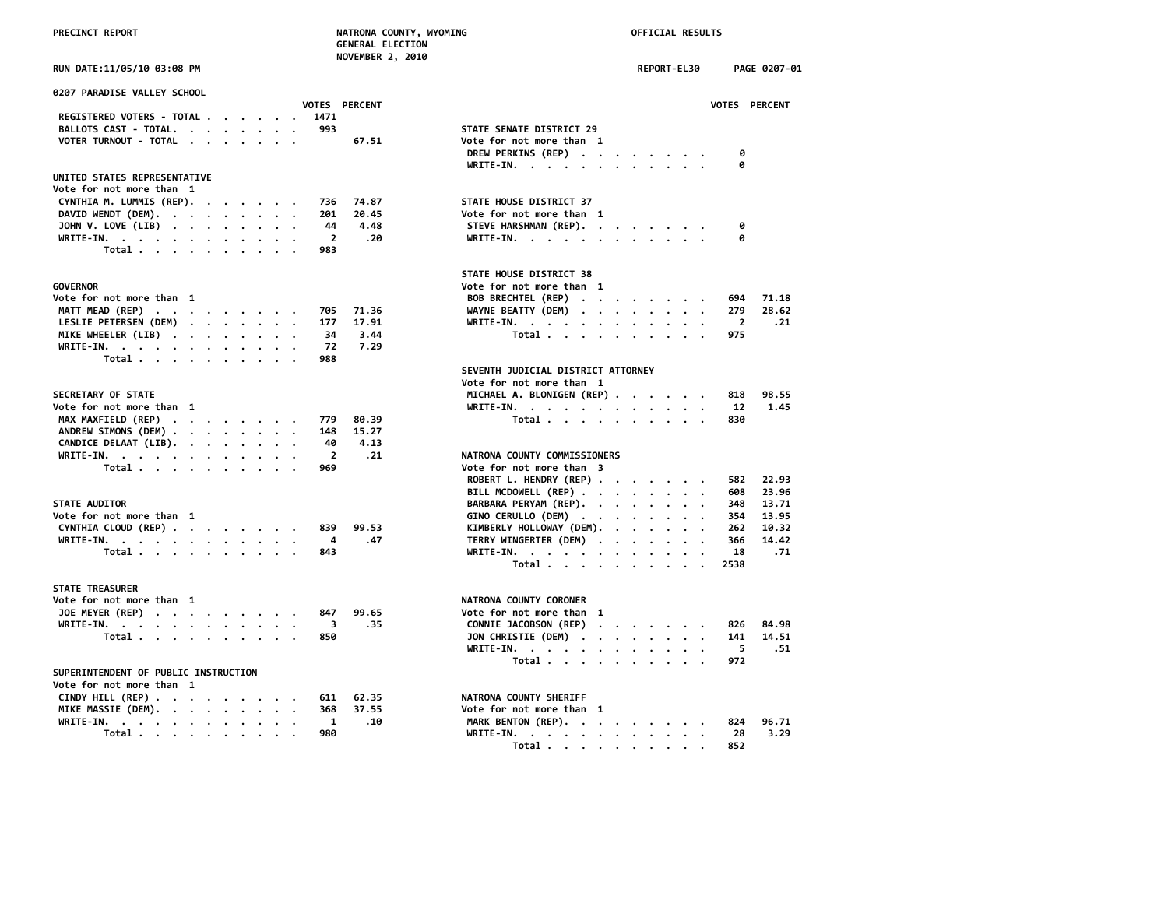|  |  | RIIN DATE∙11/A5/1A A3∙AR PM |  |
|--|--|-----------------------------|--|

| 0207 PARADISE VALLEY SCHOOL                      |                                      |
|--------------------------------------------------|--------------------------------------|
| VOTES PERCENT                                    | <b>VOTES</b>                         |
| REGISTERED VOTERS - TOTAL<br>1471                |                                      |
| BALLOTS CAST - TOTAL.<br>993                     | STATE SENATE DISTRICT 29             |
| VOTER TURNOUT - TOTAL<br>67.51                   | Vote for not more than 1             |
|                                                  | DREW PERKINS (REP)<br>0              |
|                                                  | WRITE-IN.<br>0                       |
| UNITED STATES REPRESENTATIVE                     |                                      |
| Vote for not more than 1                         |                                      |
| 74.87                                            | STATE HOUSE DISTRICT 37              |
| CYNTHIA M. LUMMIS (REP).<br>736<br>201<br>20.45  | Vote for not more than 1             |
| DAVID WENDT (DEM).<br>4.48<br>44                 |                                      |
| JOHN V. LOVE (LIB)                               | STEVE HARSHMAN (REP).<br>0           |
| WRITE-IN.<br>$\overline{2}$<br>.20               | WRITE-IN.<br>0                       |
| Total<br>983                                     |                                      |
|                                                  | STATE HOUSE DISTRICT 38              |
| GOVERNOR                                         |                                      |
|                                                  | Vote for not more than 1             |
| Vote for not more than 1                         | BOB BRECHTEL (REP)<br>694            |
| MATT MEAD (REP)<br>705<br>71.36                  | 279<br>WAYNE BEATTY (DEM)            |
| LESLIE PETERSEN (DEM)<br>177<br>17.91            | WRITE-IN.<br>$\overline{\mathbf{2}}$ |
| MIKE WHEELER (LIB)<br>34<br>3.44                 | Total<br>975                         |
| 72<br>7.29<br>WRITE-IN.                          |                                      |
| Total<br>988                                     |                                      |
|                                                  | SEVENTH JUDICIAL DISTRICT ATTORNEY   |
|                                                  | Vote for not more than 1             |
| <b>SECRETARY OF STATE</b>                        | MICHAEL A. BLONIGEN (REP)<br>818     |
| Vote for not more than 1                         | WRITE-IN.<br>12                      |
| MAX MAXFIELD (REP)<br>779<br>80.39               | Total<br>830                         |
| ANDREW SIMONS (DEM)<br>15.27<br>148              |                                      |
| CANDICE DELAAT (LIB).<br>4.13<br>40              |                                      |
| WRITE-IN.<br>$\overline{2}$<br>.21               | NATRONA COUNTY COMMISSIONERS         |
| Total<br>969                                     | Vote for not more than 3             |
|                                                  | ROBERT L. HENDRY (REP)<br>582        |
|                                                  | BILL MCDOWELL (REP)<br>608           |
| <b>STATE AUDITOR</b>                             | BARBARA PERYAM (REP).<br>348         |
| Vote for not more than  1                        | GINO CERULLO (DEM)<br>354            |
| CYNTHIA CLOUD (REP)<br>99.53<br>839              | KIMBERLY HOLLOWAY (DEM).<br>262      |
| WRITE-IN.<br>.47<br>4                            | TERRY WINGERTER (DEM)<br>366         |
| Total<br>843                                     | WRITE-IN.<br>18                      |
|                                                  | Total<br>2538                        |
|                                                  |                                      |
| <b>STATE TREASURER</b>                           |                                      |
| Vote for not more than 1                         | NATRONA COUNTY CORONER               |
| JOE MEYER (REP)<br>99.65<br>847                  | Vote for not more than 1             |
| .35<br>WRITE-IN.<br>3                            | CONNIE JACOBSON (REP)<br>826         |
| Total $\cdots$ $\cdots$ $\cdots$ $\cdots$<br>850 | JON CHRISTIE (DEM)<br>141            |
|                                                  | WRITE-IN.<br>5                       |
|                                                  | Total<br>972                         |
| SUPERINTENDENT OF PUBLIC INSTRUCTION             |                                      |
| Vote for not more than 1                         |                                      |
| CINDY HTLL (REP)<br>$611$ $62.35$                | NATRONA COUNTY SHERTEE               |

| Vote for not more than  1    |  |  |  |  |                              |  |  |  |  |  |
|------------------------------|--|--|--|--|------------------------------|--|--|--|--|--|
| CINDY HILL (REP) 611 62.35   |  |  |  |  | NATRONA COUNTY SHERIFF       |  |  |  |  |  |
| MIKE MASSIE (DEM). 368 37.55 |  |  |  |  | Vote for not more than 1     |  |  |  |  |  |
| WRITE-IN. 1 .10              |  |  |  |  | MARK BENTON (REP). 824 96.71 |  |  |  |  |  |
| Total. 980                   |  |  |  |  | WRITE-IN. 28 3.29            |  |  |  |  |  |
|                              |  |  |  |  |                              |  |  |  |  |  |

| RUN DATE:11/05/10 03:08 PM                                                                                                    | REPORT-EL30<br>PAGE 0207-01                          |
|-------------------------------------------------------------------------------------------------------------------------------|------------------------------------------------------|
| 0207 PARADISE VALLEY SCHOOL                                                                                                   |                                                      |
| <b>VOTES PERCENT</b>                                                                                                          | <b>VOTES PERCENT</b>                                 |
| REGISTERED VOTERS - TOTAL<br>1471                                                                                             |                                                      |
| BALLOTS CAST - TOTAL.<br>993                                                                                                  | STATE SENATE DISTRICT 29                             |
| VOTER TURNOUT - TOTAL<br>67.51                                                                                                | Vote for not more than 1                             |
|                                                                                                                               | DREW PERKINS (REP)<br>ø                              |
|                                                                                                                               | WRITE-IN.                                            |
| UNITED STATES REPRESENTATIVE                                                                                                  |                                                      |
| Vote for not more than 1                                                                                                      |                                                      |
| CYNTHIA M. LUMMIS (REP).<br>74.87<br>736                                                                                      | STATE HOUSE DISTRICT 37                              |
| 20.45<br>DAVID WENDT (DEM).<br>201                                                                                            | Vote for not more than 1                             |
| JOHN V. LOVE (LIB)<br>44<br>4.48                                                                                              | STEVE HARSHMAN (REP).<br>0                           |
| $\overline{2}$<br>WRITE-IN.<br>.20                                                                                            | WRITE-IN.<br>ø                                       |
| Total<br>983                                                                                                                  |                                                      |
|                                                                                                                               |                                                      |
|                                                                                                                               | STATE HOUSE DISTRICT 38                              |
| GOVERNOR                                                                                                                      | Vote for not more than 1                             |
| Vote for not more than  1                                                                                                     | BOB BRECHTEL (REP)<br>694<br>71.18                   |
| MATT MEAD (REP)<br>705<br>71.36<br>$\cdot$                                                                                    | WAYNE BEATTY (DEM)<br>279<br>28.62                   |
| LESLIE PETERSEN (DEM)<br>177<br>17.91                                                                                         | WRITE-IN.<br>2<br>. 21                               |
| MIKE WHEELER (LIB)<br>34<br>3.44                                                                                              | 975<br>Total                                         |
| 7.29<br>WRITE-IN.<br>72                                                                                                       |                                                      |
| Total<br>988                                                                                                                  |                                                      |
|                                                                                                                               | SEVENTH JUDICIAL DISTRICT ATTORNEY                   |
|                                                                                                                               | Vote for not more than 1                             |
| <b>SECRETARY OF STATE</b>                                                                                                     | MICHAEL A. BLONIGEN (REP)<br>98.55<br>818            |
| Vote for not more than 1                                                                                                      | 1.45<br>WRITE-IN.<br>12                              |
| MAX MAXFIELD (REP)<br>80.39<br>779                                                                                            | Total<br>830                                         |
| ANDREW SIMONS (DEM)<br>148<br>15.27                                                                                           |                                                      |
| CANDICE DELAAT (LIB).<br>40<br>4.13                                                                                           |                                                      |
| $\overline{2}$<br>WRITE-IN, , , , , , , , , , , ,<br>.21                                                                      | NATRONA COUNTY COMMISSIONERS                         |
| Total<br>969                                                                                                                  | Vote for not more than 3                             |
|                                                                                                                               | ROBERT L. HENDRY (REP)<br>22.93<br>582               |
|                                                                                                                               | BILL MCDOWELL (REP)<br>23.96<br>608                  |
| <b>STATE AUDITOR</b>                                                                                                          | BARBARA PERYAM (REP).<br>348<br>13.71                |
| Vote for not more than 1                                                                                                      | 13.95<br>GINO CERULLO (DEM)<br>354                   |
| CYNTHIA CLOUD (REP)<br>99.53<br>839                                                                                           | KIMBERLY HOLLOWAY (DEM).<br>10.32<br>262<br>$\cdots$ |
| WRITE-IN.<br>4<br>.47                                                                                                         | 14.42<br>TERRY WINGERTER (DEM)<br>366                |
| Total<br>843                                                                                                                  | 18<br>.71<br>WRITE-IN.                               |
|                                                                                                                               | Total<br>2538                                        |
|                                                                                                                               |                                                      |
| <b>STATE TREASURER</b>                                                                                                        |                                                      |
| Vote for not more than 1                                                                                                      | NATRONA COUNTY CORONER                               |
| JOE MEYER (REP)<br>847<br>99.65                                                                                               | Vote for not more than 1                             |
| WRITE-IN.<br>3<br>.35                                                                                                         | CONNIE JACOBSON (REP)<br>84.98<br>826                |
| Total<br>850                                                                                                                  | JON CHRISTIE (DEM)<br>14.51<br>141                   |
|                                                                                                                               | 5<br>WRITE-IN.<br>. 51                               |
|                                                                                                                               | Total<br>972                                         |
| SUPERINTENDENT OF PUBLIC INSTRUCTION                                                                                          |                                                      |
| Vote for not more than  1                                                                                                     |                                                      |
| CINDY HILL (REP) $\cdot \cdot \cdot \cdot \cdot \cdot \cdot \cdot \cdot$<br>611<br>62.35<br>MTUP MACCTP (BPM)<br><b>27 FF</b> | NATRONA COUNTY SHERIFF                               |
|                                                                                                                               |                                                      |

| MIKE MASSIE (DEM). 368 37.55 |  |  |  |  |  | Vote for not more than 1     |  |  |  |  |  |
|------------------------------|--|--|--|--|--|------------------------------|--|--|--|--|--|
| WRITE-IN. 1 .10              |  |  |  |  |  | MARK BENTON (REP). 824 96.71 |  |  |  |  |  |
| Total 980                    |  |  |  |  |  | WRITE-IN. 28 3.29            |  |  |  |  |  |
|                              |  |  |  |  |  | Total 852                    |  |  |  |  |  |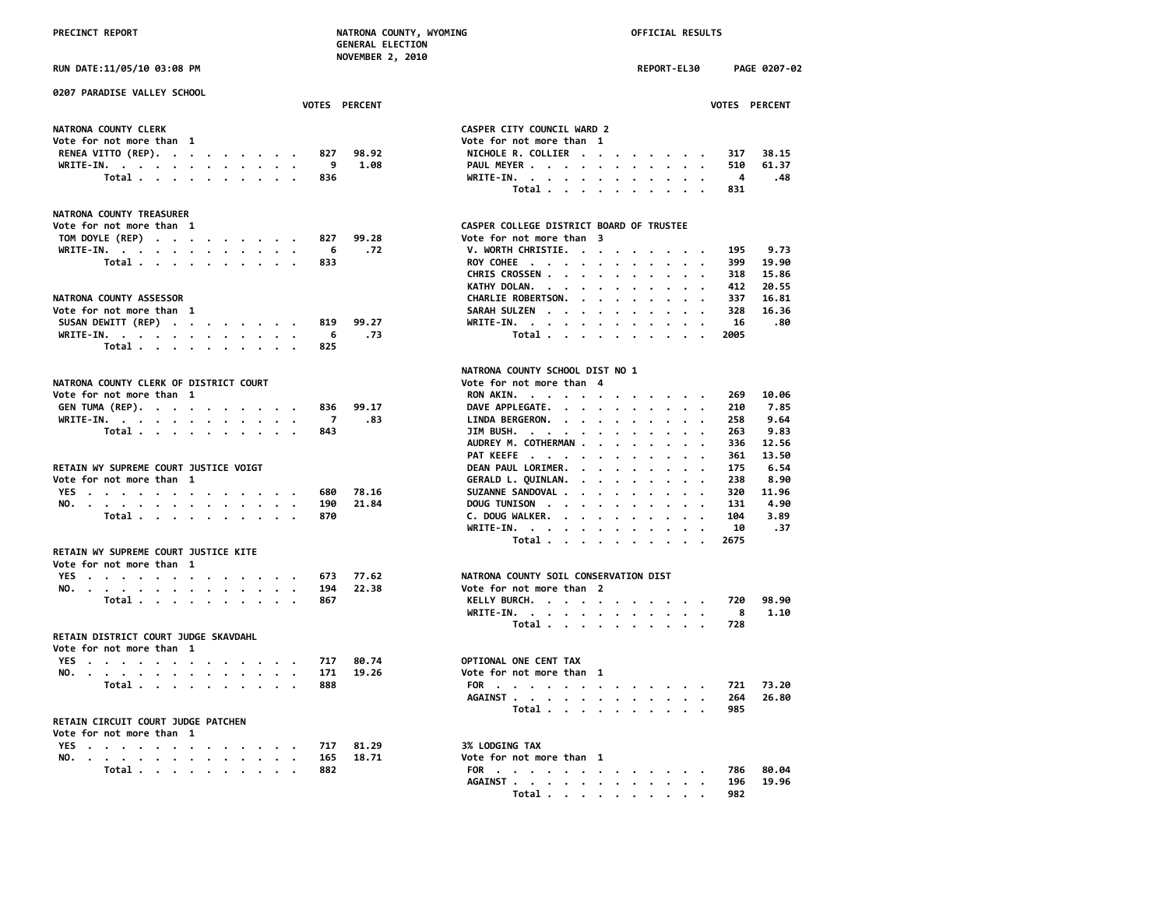**0207 PARADISE VALLEY SCHOOL**

**NATRONA COUNTY TREASURER**

**Vote for not more than 1**

**Vote for not more than 1**

**NATRONA COUNTY CLERK OF DISTRICT COURT** 

**RETAIN WY SUPREME COURT JUSTICE KITE**

# **PRECINCT REPORT NATRONA COUNTY, WYOMING OFFICIAL RESULTS**

**SUSAN DEWITT (REP) . . . . . . . . 819 99.27**<br>WRITE-IN. . . . . . . . . . . . . . 6 .73 **WRITE-IN.** . . . . . . . . . . . . 6 .73  **Total . . . . . . . . . . 825**

**NO.** . . . . . . . . . . . . . . 194 22.38

**NO.** . . . . . . . . . . . . . 171 19.26  **Total** . . . . . . . . . . . 888

 **GENERAL ELECTION NOVEMBER 2, 2010**

**RUN DATE:11/05/10 03:08 PM REPORT-EL30 PAGE 0207-02 VOTES PERCENT VOTES PERCENT**

| NATRONA COUNTY CLERK         |  |  |  |  | CASPER CITY COUNCIL WARD 2 |  |     |       |
|------------------------------|--|--|--|--|----------------------------|--|-----|-------|
| Vote for not more than 1     |  |  |  |  | Vote for not more than 1   |  |     |       |
| RENEA VITTO (REP). 827 98.92 |  |  |  |  | NICHOLE R. COLLIER         |  | 317 | 38.15 |
| WRITE-IN. 9 1.08             |  |  |  |  | PAUL MEYER 510 61.37       |  |     |       |
| Total836                     |  |  |  |  | WRITE-IN. 4 $.48$          |  |     |       |
|                              |  |  |  |  | Total. 831                 |  |     |       |
|                              |  |  |  |  |                            |  |     |       |
| NATRONA COUNTY TREASURER     |  |  |  |  |                            |  |     |       |

# CASPER COLLEGE DISTRICT BOARD OF TRUSTEE<br> **Vote for not more than 3**<br>
Vote for not more than 3

| TOM DOYLE (REP) 827 99.28      |  |  |  |  |  | Vote for not more than 3     |  |  |  |  |      |
|--------------------------------|--|--|--|--|--|------------------------------|--|--|--|--|------|
| WRITE-IN. 6 .72                |  |  |  |  |  | V. WORTH CHRISTIE. 195       |  |  |  |  | 9.73 |
| Total. 833                     |  |  |  |  |  | ROY COHEE 399 19.90          |  |  |  |  |      |
|                                |  |  |  |  |  | CHRIS CROSSEN 318 15.86      |  |  |  |  |      |
|                                |  |  |  |  |  | KATHY DOLAN. 412 20.55       |  |  |  |  |      |
| <b>NATRONA COUNTY ASSESSOR</b> |  |  |  |  |  | CHARLIE ROBERTSON. 337 16.81 |  |  |  |  |      |
| Vote for not more than  1      |  |  |  |  |  | SARAH SULZEN 328 16.36       |  |  |  |  |      |
| SUSAN DEWITT (REP) 819 99.27   |  |  |  |  |  | WRITE-IN. 16 .80             |  |  |  |  |      |
| WRITE-IN. 6 .73                |  |  |  |  |  | Total. 2005                  |  |  |  |  |      |

# **NATRONA COUNTY SCHOOL DIST NO 1**

| NAIRUNA CUUNIY CLERK UF DISIRICI CUURI |  |  |  |  |  |  |             |                           | vote for not more than 4 |  |  |  |      |       |
|----------------------------------------|--|--|--|--|--|--|-------------|---------------------------|--------------------------|--|--|--|------|-------|
| Vote for not more than  1              |  |  |  |  |  |  |             |                           | RON AKIN.                |  |  |  | -269 | 10.06 |
|                                        |  |  |  |  |  |  |             | GEN TUMA (REP). 836 99.17 | DAVE APPLEGATE.          |  |  |  | 210  | 7.85  |
|                                        |  |  |  |  |  |  | WRITE-IN. 7 | .83                       | LINDA BERGERON.          |  |  |  | 258  | 9.64  |
|                                        |  |  |  |  |  |  | Total 843   |                           | JIM BUSH.                |  |  |  | -263 | 9.83  |
|                                        |  |  |  |  |  |  |             |                           | AUDREY M. COTHERMAN      |  |  |  | 336  | 12.56 |
|                                        |  |  |  |  |  |  |             |                           | PAT KEEFE                |  |  |  | 361  | 13.50 |
| RETAIN WY SUPREME COURT JUSTICE VOIGT  |  |  |  |  |  |  |             |                           | DEAN PAUL LORIMER.       |  |  |  | 175  | 6.54  |
| Vote for not more than  1              |  |  |  |  |  |  |             |                           | GERALD L. QUINLAN.       |  |  |  | -238 | 8.90  |
| YES.                                   |  |  |  |  |  |  |             | 680 78.16                 | SUZANNE SANDOVAL         |  |  |  | 320  | 11.96 |
|                                        |  |  |  |  |  |  |             | NO. 190 21.84             | DOUG TUNISON 131         |  |  |  |      | 4.90  |
|                                        |  |  |  |  |  |  | Total 870   |                           | C. DOUG WALKER. 104      |  |  |  |      | 3.89  |
|                                        |  |  |  |  |  |  |             |                           | WRITE-IN. 10             |  |  |  |      | .37   |
|                                        |  |  |  |  |  |  |             |                           | Total 2675               |  |  |  |      |       |
|                                        |  |  |  |  |  |  |             |                           |                          |  |  |  |      |       |

# **YES** . . . . . . . . . . . . . . 673 77.62 NATRONA COUNTY SOIL CONSERVATION DIST<br>NO. . . . . . . . . . . . . . . . 194 22.38 Vote for not more than 2

| NO. | $\mathbf{r}$ , and $\mathbf{r}$ , and $\mathbf{r}$ , and $\mathbf{r}$ , and $\mathbf{r}$ , and $\mathbf{r}$ |  |  |  |  |  | 194       | Vote for not more than |  |  |  |  |  |            |       |
|-----|-------------------------------------------------------------------------------------------------------------|--|--|--|--|--|-----------|------------------------|--|--|--|--|--|------------|-------|
|     |                                                                                                             |  |  |  |  |  | Total 867 | KELLY BURCH. 720       |  |  |  |  |  |            | 98.90 |
|     |                                                                                                             |  |  |  |  |  |           | WRITE-IN. 8 1.10       |  |  |  |  |  |            |       |
|     |                                                                                                             |  |  |  |  |  |           |                        |  |  |  |  |  | Total. 728 |       |

## **YES . . . . . . . . . . . . . 717 80.74 OPTIONAL ONE CENT TAX**

|  |  |  |  |  |  |           | NO. 171 19.26 | Vote for not more than 1 |  |  |  |  |  |  |           |  |
|--|--|--|--|--|--|-----------|---------------|--------------------------|--|--|--|--|--|--|-----------|--|
|  |  |  |  |  |  | Total 888 |               | FOR 721 73.20            |  |  |  |  |  |  |           |  |
|  |  |  |  |  |  |           |               | AGAINST 264 26.80        |  |  |  |  |  |  |           |  |
|  |  |  |  |  |  |           |               |                          |  |  |  |  |  |  | Total 985 |  |

# **RETAIN CIRCUIT COURT JUDGE PATCHEN**

**RETAIN DISTRICT COURT JUDGE SKAVDAHL**

| Vote for not more than 1 |  |  |  |
|--------------------------|--|--|--|
|--------------------------|--|--|--|

| <b>YES</b> |  |      |  |  |  |  |  | 711 | າດ<br>$^{\circ}$<br>______ | 90/<br><b>LODGING TAX</b> |           |
|------------|--|------|--|--|--|--|--|-----|----------------------------|---------------------------|-----------|
| <b>NO</b>  |  |      |  |  |  |  |  | 165 | 10.7'                      | Vote for not more<br>than |           |
|            |  | fota |  |  |  |  |  | 882 |                            | <b>FOR</b><br>786         | .04<br>80 |

|  | NO. 165 |  |  |  |  |  |           | 18.ZT | vote for not more than |  |       |  |  |  |  |     |       |  |
|--|---------|--|--|--|--|--|-----------|-------|------------------------|--|-------|--|--|--|--|-----|-------|--|
|  |         |  |  |  |  |  | Total 882 |       | FOR 786                |  |       |  |  |  |  |     | 80.04 |  |
|  |         |  |  |  |  |  |           |       | AGAINST 196 19.96      |  |       |  |  |  |  |     |       |  |
|  |         |  |  |  |  |  |           |       |                        |  | Total |  |  |  |  | 982 |       |  |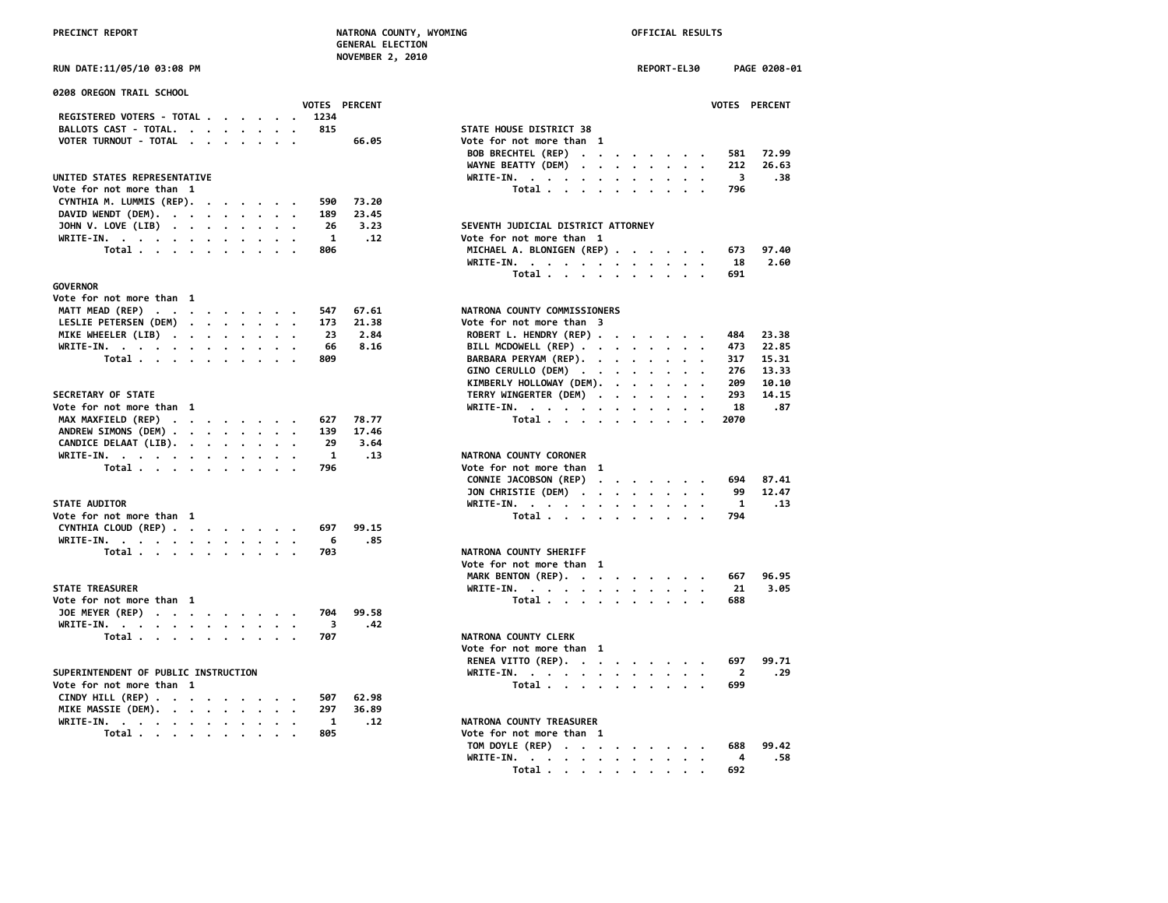| <b>0208 OREGON TRAIL SCHOOL</b>      |          |                                                                                                                 |      |                      |                                                                                                                                                           |              |
|--------------------------------------|----------|-----------------------------------------------------------------------------------------------------------------|------|----------------------|-----------------------------------------------------------------------------------------------------------------------------------------------------------|--------------|
|                                      |          |                                                                                                                 |      | <b>VOTES PERCENT</b> |                                                                                                                                                           | <b>VOTES</b> |
| REGISTERED VOTERS - TOTAL            |          |                                                                                                                 | 1234 |                      |                                                                                                                                                           |              |
| BALLOTS CAST - TOTAL.                |          |                                                                                                                 | 815  |                      | STATE HOUSE DISTRICT 38                                                                                                                                   |              |
| VOTER TURNOUT - TOTAL                |          |                                                                                                                 |      | 66.05                | Vote for not more than 1                                                                                                                                  |              |
|                                      |          |                                                                                                                 |      |                      | BOB BRECHTEL (REP)                                                                                                                                        | 581          |
|                                      |          |                                                                                                                 |      |                      | WAYNE BEATTY (DEM)<br>$\begin{array}{cccccccccccccc} \bullet & \bullet & \bullet & \bullet & \bullet & \bullet & \bullet & \bullet & \bullet \end{array}$ | 212          |
| UNITED STATES REPRESENTATIVE         |          |                                                                                                                 |      |                      | $WRITE-IN.$<br>$\cdot$ $\cdot$                                                                                                                            | 3            |
| Vote for not more than 1             |          |                                                                                                                 |      |                      | Total<br>$\sim$<br>$\cdot$                                                                                                                                | 796          |
| CYNTHIA M. LUMMIS (REP).             | $\cdots$ |                                                                                                                 | 590  | 73.20                |                                                                                                                                                           |              |
| DAVID WENDT (DEM).                   |          |                                                                                                                 | 189  | 23.45                |                                                                                                                                                           |              |
| JOHN V. LOVE (LIB)                   |          |                                                                                                                 | 26   | 3.23                 | SEVENTH JUDICIAL DISTRICT ATTORNEY                                                                                                                        |              |
| WRITE-IN.                            |          |                                                                                                                 | 1    | .12                  | Vote for not more than 1                                                                                                                                  |              |
| Total $\cdots$ $\cdots$              |          | $\begin{array}{cccccccccccccc} \bullet & \bullet & \bullet & \bullet & \bullet & \bullet & \bullet \end{array}$ | 806  |                      | MICHAEL A. BLONIGEN (REP)                                                                                                                                 | 673          |
|                                      |          |                                                                                                                 |      |                      | WRITE-IN.                                                                                                                                                 | 18           |
|                                      |          |                                                                                                                 |      |                      | Total                                                                                                                                                     | 691          |
| <b>GOVERNOR</b>                      |          |                                                                                                                 |      |                      |                                                                                                                                                           |              |
| Vote for not more than 1             |          |                                                                                                                 |      |                      |                                                                                                                                                           |              |
| MATT MEAD (REP)                      |          |                                                                                                                 | 547  | 67.61                | NATRONA COUNTY COMMISSIONERS                                                                                                                              |              |
| LESLIE PETERSEN (DEM)                |          |                                                                                                                 | 173  | 21.38                | Vote for not more than 3                                                                                                                                  |              |
| MIKE WHEELER (LIB)                   |          |                                                                                                                 | 23   | 2.84                 | ROBERT L. HENDRY (REP)                                                                                                                                    | 484          |
|                                      |          |                                                                                                                 | 66   | 8.16                 | BILL MCDOWELL (REP)                                                                                                                                       | 473          |
| WRITE-IN.                            |          |                                                                                                                 | 809  |                      |                                                                                                                                                           | 317          |
| Total                                |          |                                                                                                                 |      |                      | BARBARA PERYAM (REP).                                                                                                                                     |              |
|                                      |          |                                                                                                                 |      |                      | GINO CERULLO (DEM)                                                                                                                                        | 276          |
|                                      |          |                                                                                                                 |      |                      | KIMBERLY HOLLOWAY (DEM).<br>$\bullet$                                                                                                                     | 209          |
| SECRETARY OF STATE                   |          |                                                                                                                 |      |                      | TERRY WINGERTER (DEM)                                                                                                                                     | 293          |
| Vote for not more than 1             |          |                                                                                                                 |      |                      | WRITE-IN.                                                                                                                                                 | 18           |
| MAX MAXFIELD (REP)                   |          |                                                                                                                 | 627  | 78.77                | Total<br>$\cdot$ .                                                                                                                                        | 2070         |
| ANDREW SIMONS (DEM)                  |          |                                                                                                                 | 139  | 17.46                |                                                                                                                                                           |              |
| CANDICE DELAAT (LIB).                |          |                                                                                                                 | 29   | 3.64                 |                                                                                                                                                           |              |
| WRITE-IN.                            |          |                                                                                                                 | 1    | .13                  | NATRONA COUNTY CORONER                                                                                                                                    |              |
| Total                                |          |                                                                                                                 | 796  |                      | Vote for not more than 1                                                                                                                                  |              |
|                                      |          |                                                                                                                 |      |                      | CONNIE JACOBSON (REP)                                                                                                                                     | 694          |
|                                      |          |                                                                                                                 |      |                      | JON CHRISTIE (DEM)                                                                                                                                        | 99           |
| <b>STATE AUDITOR</b>                 |          |                                                                                                                 |      |                      | WRITE-IN.                                                                                                                                                 | 1            |
| Vote for not more than 1             |          |                                                                                                                 |      |                      | Total                                                                                                                                                     | 794          |
| CYNTHIA CLOUD (REP)                  |          |                                                                                                                 | 697  | 99.15                |                                                                                                                                                           |              |
|                                      |          |                                                                                                                 | 6    | .85                  |                                                                                                                                                           |              |
| WRITE-IN.                            |          |                                                                                                                 | 703  |                      | NATRONA COUNTY SHERIFF                                                                                                                                    |              |
| Total                                |          |                                                                                                                 |      |                      | Vote for not more than 1                                                                                                                                  |              |
|                                      |          |                                                                                                                 |      |                      |                                                                                                                                                           |              |
|                                      |          |                                                                                                                 |      |                      | MARK BENTON (REP).                                                                                                                                        | 667          |
| <b>STATE TREASURER</b>               |          |                                                                                                                 |      |                      | WRITE-IN.                                                                                                                                                 | 21           |
| Vote for not more than 1             |          |                                                                                                                 |      |                      | Total                                                                                                                                                     | 688          |
| JOE MEYER (REP)                      |          |                                                                                                                 | 704  | 99.58                |                                                                                                                                                           |              |
| WRITE-IN.                            |          |                                                                                                                 | 3    | .42                  |                                                                                                                                                           |              |
| Total                                |          |                                                                                                                 | 707  |                      | NATRONA COUNTY CLERK                                                                                                                                      |              |
|                                      |          |                                                                                                                 |      |                      | Vote for not more than 1                                                                                                                                  |              |
|                                      |          |                                                                                                                 |      |                      | RENEA VITTO (REP).                                                                                                                                        | 697          |
| SUPERINTENDENT OF PUBLIC INSTRUCTION |          |                                                                                                                 |      |                      | WRITE-IN.                                                                                                                                                 | 2            |
| Vote for not more than 1             |          |                                                                                                                 |      |                      | Total                                                                                                                                                     | 699          |
| CINDY HILL $(REP)$                   |          |                                                                                                                 | 507  | 62.98                |                                                                                                                                                           |              |
| MIKE MASSIE (DEM).                   |          |                                                                                                                 | 297  | 36.89                |                                                                                                                                                           |              |
| WRITE-IN.                            |          |                                                                                                                 | 1    | .12                  | NATRONA COUNTY TREASURER                                                                                                                                  |              |
| Total $\cdots$ $\cdots$ $\cdots$     |          |                                                                                                                 | 805  |                      | Vote for not more than 1                                                                                                                                  |              |
|                                      |          |                                                                                                                 |      |                      |                                                                                                                                                           |              |

| RUN DATE:11/05/10 03:08 PM                       | REPORT-EL30<br>PAGE 0208-01                           |
|--------------------------------------------------|-------------------------------------------------------|
| <b>0208 OREGON TRAIL SCHOOL</b><br>VOTES PERCENT | VOTES PERCENT                                         |
| REGISTERED VOTERS - TOTAL<br>1234                |                                                       |
| BALLOTS CAST - TOTAL.<br>815                     | STATE HOUSE DISTRICT 38                               |
| VOTER TURNOUT - TOTAL<br>66.05                   | Vote for not more than 1                              |
|                                                  | <b>BOB BRECHTEL (REP)</b><br>72.99<br>$\cdots$<br>581 |
|                                                  | WAYNE BEATTY (DEM)<br>212<br>26.63                    |
| UNITED STATES REPRESENTATIVE                     | WRITE-IN.<br>3<br>.38                                 |
| Vote for not more than 1                         | Total<br>796                                          |
| CYNTHIA M. LUMMIS (REP).<br>590<br>73.20         |                                                       |
| DAVID WENDT (DEM).<br>189<br>23.45               |                                                       |
| JOHN V. LOVE (LIB)<br>26<br>3.23                 | SEVENTH JUDICIAL DISTRICT ATTORNEY                    |
| WRITE-IN.<br>1<br>.12                            | Vote for not more than 1                              |
| Total<br>806                                     | MICHAEL A. BLONIGEN (REP)<br>97.40<br>673             |
|                                                  | 2.60<br>WRITE-IN.<br>18                               |
|                                                  | 691<br>Total                                          |
| <b>GOVERNOR</b>                                  |                                                       |
| Vote for not more than 1                         |                                                       |
| MATT MEAD (REP)<br>547<br>67.61                  | NATRONA COUNTY COMMISSIONERS                          |
| LESLIE PETERSEN (DEM)<br>173<br>21.38            | Vote for not more than 3                              |
| MIKE WHEELER (LIB)<br>23<br>2.84                 | ROBERT L. HENDRY (REP)<br>23.38<br>484                |
| WRITE-IN.<br>66<br>8.16                          | BILL MCDOWELL (REP)<br>473<br>22.85                   |
| Total<br>809                                     | BARBARA PERYAM (REP).<br>317<br>15.31                 |
|                                                  | GINO CERULLO (DEM)<br>276<br>13.33                    |
|                                                  | KIMBERLY HOLLOWAY (DEM).<br>209<br>10.10              |
| <b>SECRETARY OF STATE</b>                        | TERRY WINGERTER (DEM)<br>293<br>14.15                 |
| Vote for not more than 1                         | 18<br>.87                                             |
| MAX MAXFIELD (REP)<br>627<br>78.77               | WRITE-IN.<br>Total<br>2070                            |
| ANDREW SIMONS (DEM)<br>139<br>17.46              |                                                       |
| CANDICE DELAAT (LIB).<br>29<br>3.64              |                                                       |
| WRITE-IN.<br>1<br>.13                            | NATRONA COUNTY CORONER                                |
| Total<br>796                                     | Vote for not more than 1                              |
|                                                  | CONNIE JACOBSON (REP)<br>87.41<br>694                 |
|                                                  | JON CHRISTIE (DEM)<br>99<br>12.47                     |
| <b>STATE AUDITOR</b>                             | WRITE-IN.<br>1<br>.13                                 |
| Vote for not more than 1                         | Total<br>794                                          |
| CYNTHIA CLOUD (REP)<br>697<br>99.15              |                                                       |
| WRITE-IN.<br>6<br>.85                            |                                                       |
| Total<br>703                                     | NATRONA COUNTY SHERIFF                                |
|                                                  | Vote for not more than 1                              |
|                                                  | MARK BENTON (REP).<br>96.95<br>667                    |
| <b>STATE TREASURER</b>                           | 3.05<br>WRITE-IN.<br>21                               |
| Vote for not more than 1                         | Total<br>688                                          |
| JOE MEYER (REP)<br>704<br>99.58                  |                                                       |
| WRITE-IN.<br>-3<br>.42                           |                                                       |
| Total<br>707                                     | NATRONA COUNTY CLERK                                  |
|                                                  | Vote for not more than 1                              |
|                                                  | 99.71<br>697                                          |
| SUPERINTENDENT OF PUBLIC INSTRUCTION             | RENEA VITTO (REP).<br>$\overline{2}$<br>.29           |
| Vote for not more than 1                         | WRITE-IN.<br>699                                      |
| 507<br>62.98                                     | Total                                                 |
| CINDY HILL (REP)                                 |                                                       |
| MIKE MASSIE (DEM).<br>297<br>36.89               |                                                       |
| WRITE-IN.<br><b>1</b><br>.12                     | NATRONA COUNTY TREASURER                              |
| 805<br>Total                                     | Vote for not more than 1                              |
|                                                  | TOM DOYLE (REP)<br>99.42<br>688                       |
|                                                  | WRITE-IN.<br>4<br>.58                                 |
|                                                  | Total<br>692                                          |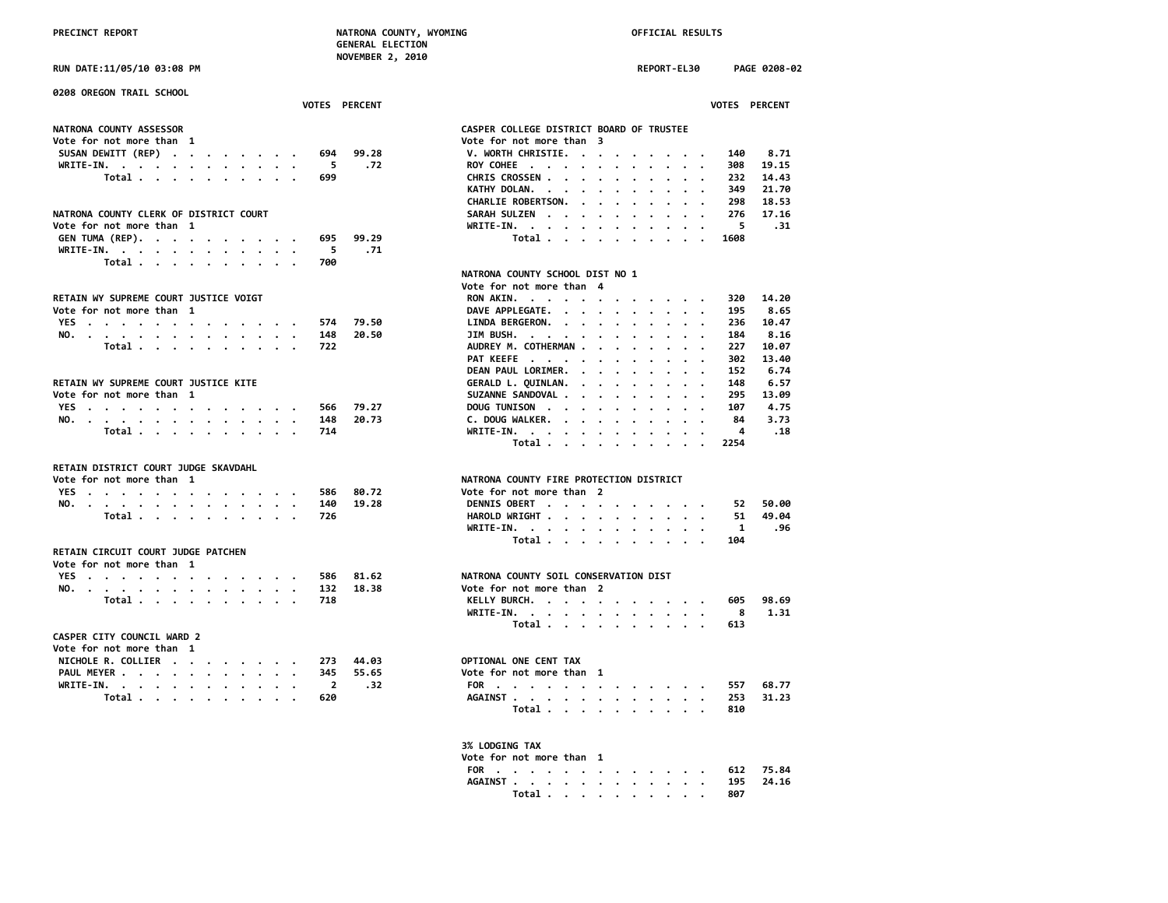**RUN DATE:11/05/10 03:08 PM REPORT-EL30 PAGE 0208-02**

| <b>0208 OREGON TRAIL SCHOOL</b>                                |                                                                                                       |
|----------------------------------------------------------------|-------------------------------------------------------------------------------------------------------|
| <b>VOTES PERCENT</b>                                           | <b>VOTES PERCENT</b>                                                                                  |
| <b>NATRONA COUNTY ASSESSOR</b>                                 | CASPER COLLEGE DISTRICT BOARD OF TRUSTEE                                                              |
| Vote for not more than 1                                       | Vote for not more than 3                                                                              |
| SUSAN DEWITT (REP)<br>99.28<br>694                             | V. WORTH CHRISTIE.<br>140<br>8.71                                                                     |
| WRITE-IN.<br>- 5<br>.72                                        | ROY COHEE<br>308<br>19.15                                                                             |
| Total<br>699                                                   | CHRIS CROSSEN<br>232<br>14.43                                                                         |
|                                                                | 21.70<br>KATHY DOLAN.<br>349                                                                          |
|                                                                | 18.53<br>CHARLIE ROBERTSON.<br>298                                                                    |
| NATRONA COUNTY CLERK OF DISTRICT COURT                         | 17.16<br>SARAH SULZEN<br>276                                                                          |
| Vote for not more than 1                                       | - 5<br>WRITE-IN.<br>. 31                                                                              |
| GEN TUMA (REP).<br>99.29<br>695                                | Total<br>1608                                                                                         |
| WRITE-IN.<br>.71<br>5                                          |                                                                                                       |
| Total<br>700                                                   |                                                                                                       |
|                                                                | NATRONA COUNTY SCHOOL DIST NO 1                                                                       |
|                                                                | Vote for not more than 4                                                                              |
| RETAIN WY SUPREME COURT JUSTICE VOIGT                          | 14.20<br>RON AKIN.<br>320                                                                             |
| Vote for not more than 1                                       | DAVE APPLEGATE.<br>8.65<br>195                                                                        |
| 79.50<br>YES<br>574                                            | LINDA BERGERON.<br>10.47<br>236                                                                       |
| 20.50<br>148                                                   | JIM BUSH.<br>8.16<br>184                                                                              |
| NO.<br>Total<br>722                                            | . The contract of the contract of the contract of the $\alpha$<br>AUDREY M. COTHERMAN<br>227<br>10.07 |
|                                                                | PAT KEEFE<br>302<br>13.40                                                                             |
|                                                                | DEAN PAUL LORIMER.<br>6.74<br>152                                                                     |
| RETAIN WY SUPREME COURT JUSTICE KITE                           | 6.57<br>GERALD L. QUINLAN.<br>148                                                                     |
|                                                                | $\cdots$<br>295<br>13.09                                                                              |
| Vote for not more than 1<br>79.27                              | SUZANNE SANDOVAL<br>4.75                                                                              |
| YES<br>566                                                     | DOUG TUNISON<br>107                                                                                   |
| 20.73<br>NO.<br>148                                            | C. DOUG WALKER.<br>3.73<br>84                                                                         |
| Total<br>714                                                   | WRITE-IN.<br>.18<br>4                                                                                 |
|                                                                | Total<br>2254                                                                                         |
| RETAIN DISTRICT COURT JUDGE SKAVDAHL                           |                                                                                                       |
| Vote for not more than 1                                       | NATRONA COUNTY FIRE PROTECTION DISTRICT                                                               |
| YES<br>80.72<br>586                                            | Vote for not more than 2                                                                              |
| 19.28<br>NO.<br>140                                            | 50.00<br>DENNIS OBERT<br>52.                                                                          |
| Total<br>726                                                   | HAROLD WRIGHT<br>49.04<br>51                                                                          |
|                                                                | .96<br>WRITE-IN.<br>$\mathbf{1}$                                                                      |
|                                                                | Total<br>104                                                                                          |
| RETAIN CIRCUIT COURT JUDGE PATCHEN<br>Vote for not more than 1 |                                                                                                       |
| YES<br>81.62<br>586                                            | NATRONA COUNTY SOIL CONSERVATION DIST                                                                 |
| 18.38<br>NO.<br>132                                            | Vote for not more than 2                                                                              |
| Total<br>718                                                   | 98.69<br>KELLY BURCH.<br>605                                                                          |
|                                                                | 1.31<br>WRITE-IN.<br>8                                                                                |
|                                                                | 613                                                                                                   |
| <b>CASPER CITY COUNCIL WARD 2</b>                              | Total                                                                                                 |
|                                                                |                                                                                                       |
| Vote for not more than 1                                       |                                                                                                       |
| NICHOLE R. COLLIER<br>44.03<br>273                             | OPTIONAL ONE CENT TAX                                                                                 |
| PAUL MEYER<br>345<br>55.65                                     | Vote for not more than 1                                                                              |
| WRITE-IN.<br>.32<br>$\overline{\mathbf{2}}$                    | 68.77<br>FOR<br>557                                                                                   |
| Total<br>620                                                   | 253<br>31.23<br>AGAINST                                                                               |
|                                                                | Total<br>810                                                                                          |
|                                                                |                                                                                                       |

| <b>NATRONA COUNTY ASSESSOR</b>         |                       | CASPER COLLEGE DISTRICT BOARD OF TRUSTEE                                                                                                                                                                 |
|----------------------------------------|-----------------------|----------------------------------------------------------------------------------------------------------------------------------------------------------------------------------------------------------|
| Vote for not more than 1               |                       | Vote for not more than 3                                                                                                                                                                                 |
| SUSAN DEWITT (REP)                     | 99.28<br>694          | V. WORTH CHRISTIE.<br>140<br>8.71                                                                                                                                                                        |
| WRITE-IN.                              | .72<br>5              | 19.15<br>ROY COHEE<br>308                                                                                                                                                                                |
| Total                                  | 699                   | CHRIS CROSSEN<br>14.43<br>232                                                                                                                                                                            |
|                                        |                       | KATHY DOLAN.<br>349<br>21.70<br>$\overline{\phantom{a}}$<br>$\sim$ $\sim$ $\sim$ $\sim$                                                                                                                  |
|                                        |                       | CHARLIE ROBERTSON.<br>298<br>18.53<br>$\cdots$                                                                                                                                                           |
| NATRONA COUNTY CLERK OF DISTRICT COURT |                       | SARAH SULZEN<br>276<br>17.16<br>$\cdots$                                                                                                                                                                 |
| Vote for not more than 1               |                       | 5<br>.31<br>WRITE-IN.<br>$\bullet$                                                                                                                                                                       |
| GEN TUMA (REP).                        | 695<br>99.29          | Total<br>1608                                                                                                                                                                                            |
| WRITE-IN.                              | 5<br>.71              |                                                                                                                                                                                                          |
| Total                                  | 700                   |                                                                                                                                                                                                          |
|                                        |                       | NATRONA COUNTY SCHOOL DIST NO 1                                                                                                                                                                          |
|                                        |                       | Vote for not more than 4                                                                                                                                                                                 |
| RETAIN WY SUPREME COURT JUSTICE VOIGT  |                       | RON AKIN.<br>320<br>14.20                                                                                                                                                                                |
| Vote for not more than 1               |                       | DAVE APPLEGATE.<br>8.65<br>195                                                                                                                                                                           |
| YES                                    | 79.50<br>574          | LINDA BERGERON.<br>10.47<br>236                                                                                                                                                                          |
|                                        | 20.50<br>148          | JIM BUSH. $\cdots$ $\cdots$ $\cdots$ $\cdots$<br>8.16<br>184                                                                                                                                             |
| NO.<br>Total                           | 722                   | AUDREY M. COTHERMAN<br>227<br>10.07                                                                                                                                                                      |
|                                        |                       | 302<br>13.40                                                                                                                                                                                             |
|                                        |                       | PAT KEEFE<br>6.74<br>152                                                                                                                                                                                 |
|                                        |                       | DEAN PAUL LORIMER.<br>$\begin{array}{cccccccccccccccccc} \bullet & \bullet & \bullet & \bullet & \bullet & \bullet & \bullet & \bullet & \bullet & \bullet & \bullet & \bullet \end{array}$<br>$\bullet$ |
| RETAIN WY SUPREME COURT JUSTICE KITE   |                       | GERALD L. QUINLAN.<br>148<br>6.57<br>$\cdot$ $\cdot$ $\cdot$ $\cdot$ $\cdot$ $\cdot$                                                                                                                     |
| Vote for not more than 1               |                       | SUZANNE SANDOVAL .<br>295<br>13.09<br>$\cdot$<br>$\cdot$<br>$\bullet$                                                                                                                                    |
| YES                                    | 79.27<br>566          | DOUG TUNISON<br>4.75<br>107                                                                                                                                                                              |
| NO.                                    | 148<br>20.73          | C. DOUG WALKER.<br>3.73<br>84<br>4                                                                                                                                                                       |
| Total                                  | 714                   | .18<br>WRITE-IN.<br>$\mathbf{r}$ . The state of the state $\mathbf{r}$                                                                                                                                   |
|                                        |                       | Total $\cdots$ $\cdots$ $\cdots$<br>2254                                                                                                                                                                 |
| RETAIN DISTRICT COURT JUDGE SKAVDAHL   |                       |                                                                                                                                                                                                          |
| Vote for not more than 1               |                       | NATRONA COUNTY FIRE PROTECTION DISTRICT                                                                                                                                                                  |
| YES                                    | 80.72<br>586          | Vote for not more than 2                                                                                                                                                                                 |
|                                        | 19.28<br>140          | DENNIS OBERT<br>50.00<br>52                                                                                                                                                                              |
| NO.<br>Total                           | 726                   | HAROLD WRIGHT<br>49.04<br>51                                                                                                                                                                             |
|                                        |                       | .96<br>1                                                                                                                                                                                                 |
|                                        |                       | WRITE-IN.<br>104                                                                                                                                                                                         |
| RETAIN CIRCUIT COURT JUDGE PATCHEN     |                       | Total                                                                                                                                                                                                    |
| Vote for not more than 1               |                       |                                                                                                                                                                                                          |
|                                        | 81.62                 | NATRONA COUNTY SOIL CONSERVATION DIST                                                                                                                                                                    |
| YES                                    | 586                   |                                                                                                                                                                                                          |
| NO.                                    | 132<br>18.38          | Vote for not more than 2<br>98.69                                                                                                                                                                        |
| Total                                  | 718                   | KELLY BURCH.<br>605                                                                                                                                                                                      |
|                                        |                       | 1.31<br>WRITE-IN.<br>8                                                                                                                                                                                   |
|                                        |                       | Total<br>613                                                                                                                                                                                             |
| <b>CASPER CITY COUNCIL WARD 2</b>      |                       |                                                                                                                                                                                                          |
| Vote for not more than 1               |                       |                                                                                                                                                                                                          |
| NICHOLE R. COLLIER                     | 44.03<br>273          | OPTIONAL ONE CENT TAX                                                                                                                                                                                    |
| PAUL MEYER                             | 345<br>55.65          | Vote for not more than 1                                                                                                                                                                                 |
| WRITE-IN.                              | $\overline{2}$<br>.32 | 68.77<br>FOR<br>557                                                                                                                                                                                      |
| Total                                  | 620                   | 253<br>31.23<br>AGAINST                                                                                                                                                                                  |
|                                        |                       | Total<br>810                                                                                                                                                                                             |
|                                        |                       |                                                                                                                                                                                                          |
|                                        |                       | 3% LODGING TAX                                                                                                                                                                                           |
|                                        |                       |                                                                                                                                                                                                          |

| Vote for not more than |  |  |  |  |
|------------------------|--|--|--|--|
| FOR 612 75.84          |  |  |  |  |
| AGAINST 195 24.16      |  |  |  |  |
| Total 807              |  |  |  |  |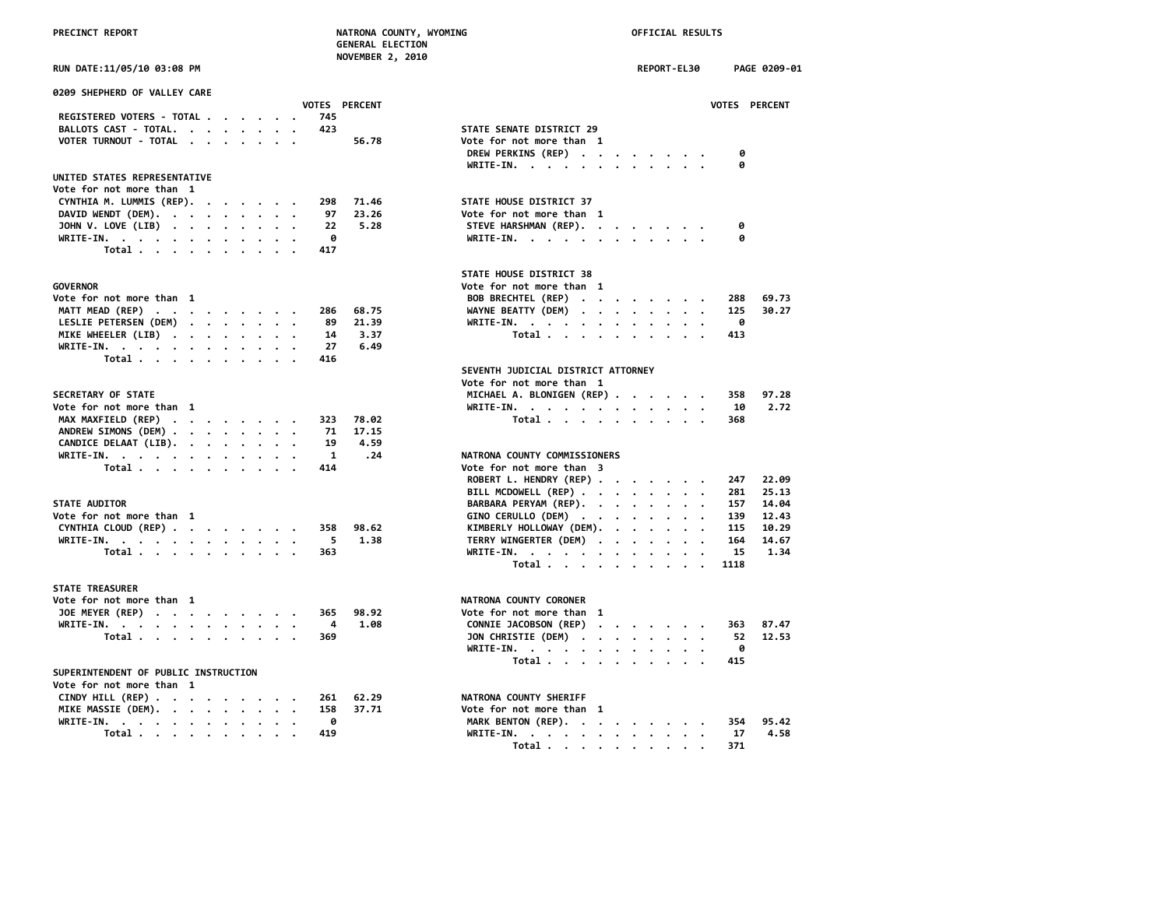| RUN DATE:11/05/10 03:08 PM                       | REPORT-EL30<br>PAGE 0209-01                     |
|--------------------------------------------------|-------------------------------------------------|
| 0209 SHEPHERD OF VALLEY CARE                     |                                                 |
| <b>VOTES PERCENT</b>                             | <b>VOTES PERCENT</b>                            |
| REGISTERED VOTERS - TOTAL<br>745                 |                                                 |
| BALLOTS CAST - TOTAL.<br>423                     | STATE SENATE DISTRICT 29                        |
| VOTER TURNOUT - TOTAL<br>56.78                   | Vote for not more than 1                        |
|                                                  | DREW PERKINS (REP)<br>0                         |
|                                                  | WRITE-IN.                                       |
| UNITED STATES REPRESENTATIVE                     |                                                 |
| Vote for not more than 1                         |                                                 |
| CYNTHIA M. LUMMIS (REP).<br>298 71.46            | STATE HOUSE DISTRICT 37                         |
| 23.26<br>DAVID WENDT (DEM).<br>97                | Vote for not more than 1                        |
| JOHN V. LOVE (LIB)<br>5.28<br>22                 | STEVE HARSHMAN (REP).                           |
| WRITE-IN.<br>0                                   | WRITE-IN.                                       |
| Total $\ldots$ $\ldots$ $\ldots$ $\ldots$<br>417 |                                                 |
|                                                  | STATE HOUSE DISTRICT 38                         |
| <b>GOVERNOR</b>                                  | Vote for not more than 1                        |
| Vote for not more than 1                         | BOB BRECHTEL (REP)<br>288 69.73                 |
| MATT MEAD (REP)<br>68.75<br>286                  | WAYNE BEATTY (DEM)<br>30.27<br>125              |
| LESLIE PETERSEN (DEM)<br>21.39<br>89             | WRITE-IN.<br>- 0                                |
| MIKE WHEELER (LIB)<br>3.37<br>14                 | Total<br>413                                    |
| 6.49<br>WRITE-IN.<br>27                          |                                                 |
| Total<br>416                                     |                                                 |
|                                                  | SEVENTH JUDICIAL DISTRICT ATTORNEY              |
|                                                  | Vote for not more than 1                        |
| <b>SECRETARY OF STATE</b>                        | MICHAEL A. BLONIGEN (REP)<br>97.28<br>358       |
| Vote for not more than 1                         | WRITE-IN, , , , , , , , , , , , ,<br>2.72<br>10 |
|                                                  |                                                 |

| JLLIANI UI JIAIL              |  |  |  |  | DILLING A. DEVINEDEN (ALF) JJO |  |
|-------------------------------|--|--|--|--|--------------------------------|--|
| Vote for not more than 1      |  |  |  |  | WRITE-IN. 10                   |  |
| MAX MAXFIELD (REP) 323 78.02  |  |  |  |  | Total 368                      |  |
| ANDREW SIMONS (DEM) 71 17.15  |  |  |  |  |                                |  |
| CANDICE DELAAT (LIB). 19 4.59 |  |  |  |  |                                |  |
| WRITE-IN. 1 .24               |  |  |  |  | NATRONA COUNTY COMMISSIONERS   |  |
| Total 414                     |  |  |  |  | Vote for not more than 3       |  |
|                               |  |  |  |  |                                |  |

# STATE AUDITOR

| Vote for not more than  1     |  |  |  |  | GINO CERULLO (DEM) 139 12.43       |  |
|-------------------------------|--|--|--|--|------------------------------------|--|
| CYNTHIA CLOUD (REP) 358 98.62 |  |  |  |  | KIMBERLY HOLLOWAY (DEM). 115 10.29 |  |
| WRITE-IN. 5 1.38              |  |  |  |  | TERRY WINGERTER (DEM) 164 14.67    |  |
| Total 363                     |  |  |  |  | WRITE-IN. 15 1.34                  |  |

# **STATE TREASURER**

| Vote for not more than 1  |  |  |  |  | NATRONA COUNTY CORONER          |  |  |  |  |  |
|---------------------------|--|--|--|--|---------------------------------|--|--|--|--|--|
| JOE MEYER (REP) 365 98.92 |  |  |  |  | Vote for not more than 1        |  |  |  |  |  |
| WRITE-IN. 4 1.08          |  |  |  |  | CONNIE JACOBSON (REP) 363 87.47 |  |  |  |  |  |
| Total 369                 |  |  |  |  | JON CHRISTIE (DEM) 52 12.53     |  |  |  |  |  |

### **SUPERINTENDENT OF PUBLIC INSTRUCTION**

| Vote for not more than  1    |  |  |  |  |                          |  |
|------------------------------|--|--|--|--|--------------------------|--|
| CINDY HILL (REP) 261 62.29   |  |  |  |  | NATRONA COUNTY SHERIFF   |  |
| MIKE MASSIE (DEM). 158 37.71 |  |  |  |  | Vote for not more than 1 |  |
| WRITE-IN. 0                  |  |  |  |  | MARK BENTON (REP).       |  |
| Total 419                    |  |  |  |  | $WRITE-IN.$              |  |

# **BALLOTS CAST - TOTAL. . . . . . . . 423 STATE SENATE DISTRICT 29** Vote for not more than 1  **DREW PERKINS (REP) . . . . . . . . 0 WRITE-IN. . . . . . . . . . . . 0 CYNTHIA M. 2018 TATE HOUSE DISTRICT 37 PAVID SEX 23.26**<br>19.28 **DAVID STEVE HARSHMAN (REP). JOHN V. LOVE HARSHMAN (REP).** . . . . . . . . . 0<br>WRITE-IN. . . . . . . . . . . . . . . . 0 **WRITE-IN. . . . . . . . . . . . STATE HOUSE DISTRICT 38**

| GOVERNOR                       |  |  |  |  | Vote for not more than 1     |  |  |  |  |  |
|--------------------------------|--|--|--|--|------------------------------|--|--|--|--|--|
| Vote for not more than  1      |  |  |  |  | BOB BRECHTEL (REP) 288 69.73 |  |  |  |  |  |
| MATT MEAD (REP) 286 68.75      |  |  |  |  | WAYNE BEATTY (DEM) 125 30.27 |  |  |  |  |  |
| LESLIE PETERSEN (DEM) 89 21.39 |  |  |  |  | WRITE-IN. 0                  |  |  |  |  |  |
| MIKE WHEELER (LIB) 14 3.37     |  |  |  |  | Total 413                    |  |  |  |  |  |

# **SEVENTH JUDICIAL DISTRICT ATTORNEY**

|                              | Vote for not more than 1            |  |
|------------------------------|-------------------------------------|--|
| <b>SECRETARY OF STATE</b>    | MICHAEL A. BLONIGEN (REP) 358 97.28 |  |
| Vote for not more than  1    | WRITE-IN. 10 2.72                   |  |
| MAX MAXFIELD (REP) 323 78.02 | Total 368                           |  |

# **EXAMPLE 24** MATRONA COUNTY COMMISSIONERS<br>Vote for not more than 3

| Total 414                     |  |  |  |  | Vote for not more than 3           |  |  |  |  |
|-------------------------------|--|--|--|--|------------------------------------|--|--|--|--|
|                               |  |  |  |  | ROBERT L. HENDRY (REP) 247 22.09   |  |  |  |  |
|                               |  |  |  |  | BILL MCDOWELL (REP) 281 25.13      |  |  |  |  |
| <b>STATE AUDITOR</b>          |  |  |  |  | BARBARA PERYAM (REP). 157 14.04    |  |  |  |  |
| Vote for not more than 1      |  |  |  |  | GINO CERULLO (DEM) 139 12.43       |  |  |  |  |
| CYNTHIA CLOUD (REP) 358 98.62 |  |  |  |  | KIMBERLY HOLLOWAY (DEM). 115 10.29 |  |  |  |  |
| WRITE-IN. 5 1.38              |  |  |  |  | TERRY WINGERTER (DEM) 164 14.67    |  |  |  |  |
| Total 363                     |  |  |  |  | WRITE-IN. 15 1.34                  |  |  |  |  |
|                               |  |  |  |  | Total 1118                         |  |  |  |  |
|                               |  |  |  |  |                                    |  |  |  |  |

# **NATRONA COUNTY CORONER**<br>Vote for not more than

| JOE MEYER (REP) 365 98.92 |  |  |  |  |  | Vote for not more than 1        |  |  |  |  |  |
|---------------------------|--|--|--|--|--|---------------------------------|--|--|--|--|--|
| WRITE-IN. 4 1.08          |  |  |  |  |  | CONNIE JACOBSON (REP) 363 87.47 |  |  |  |  |  |
| Total 369                 |  |  |  |  |  | JON CHRISTIE (DEM) 52 12.53     |  |  |  |  |  |
|                           |  |  |  |  |  | WRITE-IN. 0                     |  |  |  |  |  |
|                           |  |  |  |  |  | Total 415                       |  |  |  |  |  |

## **NATRONA COUNTY SHERIFF**

| MIKE MASSIE (DEM). 158 37.71 |  |  |  |  |  | Vote for not more than 1     |  |  |  |  |  |
|------------------------------|--|--|--|--|--|------------------------------|--|--|--|--|--|
| WRITE-IN. 0                  |  |  |  |  |  | MARK BENTON (REP). 354 95.42 |  |  |  |  |  |
| Total 419                    |  |  |  |  |  | WRITE-IN. 17 4.58            |  |  |  |  |  |
|                              |  |  |  |  |  | Total 371                    |  |  |  |  |  |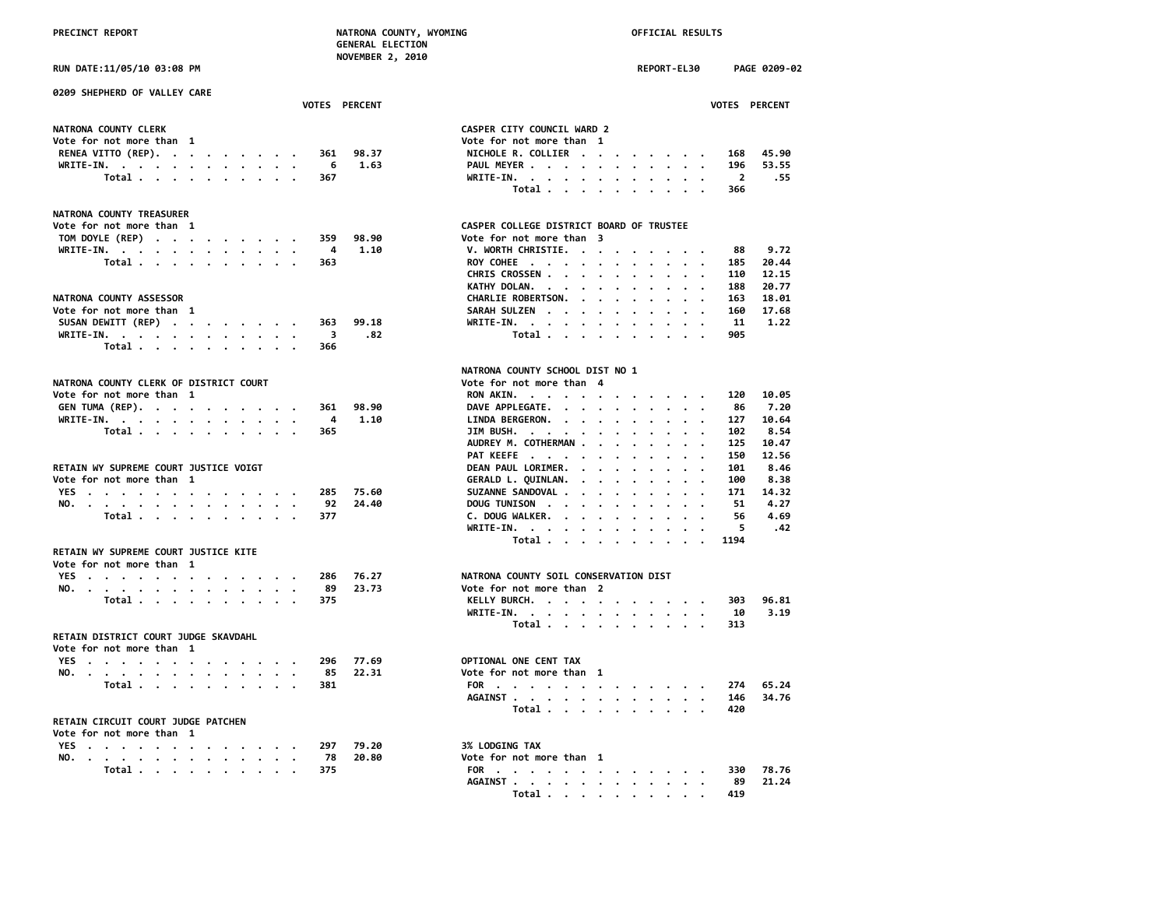| RUN DATE:11/05/10 03:08 PM                                                                                                                                                                                                                    | REPORT-EL30                                                                                                           | PAGE 0209-02 |
|-----------------------------------------------------------------------------------------------------------------------------------------------------------------------------------------------------------------------------------------------|-----------------------------------------------------------------------------------------------------------------------|--------------|
| 0209 SHEPHERD OF VALLEY CARE<br><b>VOTES PERCENT</b>                                                                                                                                                                                          | VOTES PERCENT                                                                                                         |              |
| NATRONA COUNTY CLERK                                                                                                                                                                                                                          | CASPER CITY COUNCIL WARD 2                                                                                            |              |
| Vote for not more than 1                                                                                                                                                                                                                      | Vote for not more than 1                                                                                              |              |
| RENEA VITTO (REP).<br>98.37<br>361                                                                                                                                                                                                            | NICHOLE R. COLLIER<br>168                                                                                             | 45.90        |
| 1.63<br>WRITE-IN.<br>- 6                                                                                                                                                                                                                      | PAUL MEYER<br>196                                                                                                     | 53.55        |
| Total<br>367                                                                                                                                                                                                                                  | WRITE-IN, $\cdot$ , $\cdot$ , $\cdot$ , $\cdot$ , $\cdot$ , $\cdot$<br>$\overline{2}$                                 | . 55         |
|                                                                                                                                                                                                                                               | Total<br>366                                                                                                          |              |
| NATRONA COUNTY TREASURER                                                                                                                                                                                                                      |                                                                                                                       |              |
| Vote for not more than 1                                                                                                                                                                                                                      | CASPER COLLEGE DISTRICT BOARD OF TRUSTEE                                                                              |              |
| TOM DOYLE (REP)<br>359<br>98.90                                                                                                                                                                                                               | Vote for not more than 3                                                                                              |              |
| 1.10<br>WRITE-IN.<br>4                                                                                                                                                                                                                        | V. WORTH CHRISTIE.<br>88                                                                                              | 9.72         |
| Total<br>363                                                                                                                                                                                                                                  | ROY COHEE<br>185                                                                                                      | 20.44        |
|                                                                                                                                                                                                                                               | CHRIS CROSSEN<br>110                                                                                                  | 12.15        |
|                                                                                                                                                                                                                                               | KATHY DOLAN.<br>188                                                                                                   | 20.77        |
| NATRONA COUNTY ASSESSOR                                                                                                                                                                                                                       | CHARLIE ROBERTSON.<br>163                                                                                             | 18.01        |
| Vote for not more than 1                                                                                                                                                                                                                      | SARAH SULZEN<br>160                                                                                                   | 17.68        |
| SUSAN DEWITT (REP)<br>99.18<br>363                                                                                                                                                                                                            | WRITE-IN.<br>11                                                                                                       | 1.22         |
| .82<br>WRITE-IN.<br>3                                                                                                                                                                                                                         | Total<br>905                                                                                                          |              |
| Total<br>366                                                                                                                                                                                                                                  |                                                                                                                       |              |
|                                                                                                                                                                                                                                               | NATRONA COUNTY SCHOOL DIST NO 1                                                                                       |              |
| NATRONA COUNTY CLERK OF DISTRICT COURT                                                                                                                                                                                                        | Vote for not more than 4                                                                                              |              |
| Vote for not more than 1                                                                                                                                                                                                                      | RON AKIN.<br>120                                                                                                      | 10.05        |
| GEN TUMA (REP).<br>98.90<br>361                                                                                                                                                                                                               | DAVE APPLEGATE.<br>86                                                                                                 | 7.20         |
| 1.10<br>WRITE-IN.<br>4                                                                                                                                                                                                                        | LINDA BERGERON.<br>127                                                                                                | 10.64        |
| Total<br>365                                                                                                                                                                                                                                  | JIM BUSH.<br>102                                                                                                      | 8.54         |
|                                                                                                                                                                                                                                               | AUDREY M. COTHERMAN<br>125                                                                                            | 10.47        |
|                                                                                                                                                                                                                                               | PAT KEEFE<br>150                                                                                                      | 12.56        |
| RETAIN WY SUPREME COURT JUSTICE VOIGT                                                                                                                                                                                                         | DEAN PAUL LORIMER.<br>101                                                                                             | 8.46         |
| Vote for not more than 1                                                                                                                                                                                                                      | GERALD L. QUINLAN.<br>100                                                                                             | 8.38         |
| YES<br>75.60<br>285                                                                                                                                                                                                                           | SUZANNE SANDOVAL<br>171                                                                                               | 14.32        |
| 92<br>24.40<br>NO. The contract of the contract of the contract of the contract of the contract of the contract of the contract of the contract of the contract of the contract of the contract of the contract of the contract of the contra | DOLIG TINTSON AND THE RESIDENCE OF A STATE OF A STATE OF A STATE OF A STATE OF A STATE OF A STATE OF A STATE O<br>51. | 4.27         |

### **RETAIN WY SUPREME COURT JUSTICE KITE**

| Vote for not more than 1 |  |  |  |  |  |  |           |               |                                       |
|--------------------------|--|--|--|--|--|--|-----------|---------------|---------------------------------------|
|                          |  |  |  |  |  |  |           | YES 286 76.27 | NATRONA COUNTY SOIL CONSERVATION DIST |
|                          |  |  |  |  |  |  |           | NO. 89 23.73  | Vote for not more than 2              |
|                          |  |  |  |  |  |  | Total 375 |               | KELLY BURCH.                          |

### **RETAIN DISTRICT COURT JUDGE SKAVDAHL**

| Vote for not more than 1 |  |  |  |  |  |  |               |                          |  |  |
|--------------------------|--|--|--|--|--|--|---------------|--------------------------|--|--|
|                          |  |  |  |  |  |  | YES 296 77.69 | OPTIONAL ONE CENT TAX    |  |  |
|                          |  |  |  |  |  |  | NO. 85 22.31  | Vote for not more than 1 |  |  |
|                          |  |  |  |  |  |  | Total 381     | FOR                      |  |  |

### **RETAIN CIRCUIT COURT JUDGE PATCHEN**

|  |  |  |  | Vote for not more than 1 |  |
|--|--|--|--|--------------------------|--|
|--|--|--|--|--------------------------|--|

|  |  |  |  |  |  |  |           | YES 297 79.20 | <b>3% LODGING TAX</b>    |  |
|--|--|--|--|--|--|--|-----------|---------------|--------------------------|--|
|  |  |  |  |  |  |  |           | NO. 78 20.80  | Vote for not more than 1 |  |
|  |  |  |  |  |  |  | Total 375 |               | FOR                      |  |

| <b>RUN DATE:11/05/10 03:08 PM</b>                                |       |                                |                      |                                                                     | REPORT-EL30                             | PAGE 0209-0             |       |
|------------------------------------------------------------------|-------|--------------------------------|----------------------|---------------------------------------------------------------------|-----------------------------------------|-------------------------|-------|
| 0209 SHEPHERD OF VALLEY CARE                                     |       |                                | <b>VOTES PERCENT</b> |                                                                     |                                         | VOTES PERCENT           |       |
|                                                                  |       |                                |                      |                                                                     |                                         |                         |       |
| NATRONA COUNTY CLERK                                             |       |                                |                      | CASPER CITY COUNCIL WARD 2                                          |                                         |                         |       |
| Vote for not more than 1                                         |       |                                |                      | Vote for not more than 1                                            |                                         |                         |       |
| RENEA VITTO (REP).                                               |       | 361                            | 98.37                | NICHOLE R. COLLIER                                                  |                                         | 168                     | 45.90 |
| WRITE-IN.                                                        |       | - 6                            | 1.63                 | PAUL MEYER                                                          |                                         | 196                     | 53.55 |
|                                                                  | Total | 367                            |                      | WRITE-IN.                                                           |                                         | $\overline{\mathbf{2}}$ | .55   |
|                                                                  |       |                                |                      | Total                                                               | $\cdot$ $\cdot$ $\cdot$ $\cdot$ $\cdot$ | 366                     |       |
| <b>NATRONA COUNTY TREASURER</b>                                  |       |                                |                      |                                                                     |                                         |                         |       |
| Vote for not more than 1                                         |       |                                |                      | CASPER COLLEGE DISTRICT BOARD OF TRUSTEE                            |                                         |                         |       |
| TOM DOYLE (REP)                                                  |       | 359                            | 98.90                | Vote for not more than 3                                            |                                         |                         |       |
| WRITE-IN.                                                        |       | - 4                            | 1.10                 | V. WORTH CHRISTIE.                                                  |                                         | 88                      | 9.72  |
|                                                                  | Total | 363                            |                      | ROY COHEE                                                           |                                         | 185                     | 20.44 |
|                                                                  |       |                                |                      | CHRIS CROSSEN                                                       |                                         | 110                     | 12.15 |
|                                                                  |       |                                |                      | KATHY DOLAN.                                                        |                                         | 188                     | 20.77 |
| <b>NATRONA COUNTY ASSESSOR</b>                                   |       |                                |                      | CHARLIE ROBERTSON.                                                  |                                         | 163                     | 18.01 |
|                                                                  |       |                                |                      |                                                                     |                                         |                         |       |
| Vote for not more than 1                                         |       |                                |                      | SARAH SULZEN                                                        |                                         | 160                     | 17.68 |
| SUSAN DEWITT (REP)                                               |       | 363                            | 99.18                | WRITE-IN.                                                           |                                         | 11                      | 1.22  |
| WRITE-IN.                                                        | Total | $\overline{\mathbf{3}}$<br>366 | .82                  | Total                                                               | $\cdots$                                | 905                     |       |
|                                                                  |       |                                |                      |                                                                     |                                         |                         |       |
|                                                                  |       |                                |                      | NATRONA COUNTY SCHOOL DIST NO 1                                     |                                         |                         |       |
| NATRONA COUNTY CLERK OF DISTRICT COURT                           |       |                                |                      | Vote for not more than 4                                            |                                         |                         |       |
| Vote for not more than 1                                         |       |                                |                      | RON AKIN.                                                           |                                         | 120                     | 10.05 |
| GEN TUMA (REP).                                                  |       | 361                            | 98.90                | DAVE APPLEGATE.                                                     |                                         | 86                      | 7.20  |
| WRITE-IN.                                                        |       | $\overline{4}$                 | 1.10                 | LINDA BERGERON.                                                     |                                         | 127                     | 10.64 |
|                                                                  | Total | 365                            |                      | JIM BUSH.                                                           |                                         | 102                     | 8.54  |
|                                                                  |       |                                |                      | AUDREY M. COTHERMAN                                                 |                                         | 125                     | 10.47 |
|                                                                  |       |                                |                      | PAT KEEFE                                                           |                                         | 150                     | 12.56 |
| RETAIN WY SUPREME COURT JUSTICE VOIGT                            |       |                                |                      | DEAN PAUL LORIMER.                                                  |                                         | 101                     | 8.46  |
|                                                                  |       |                                |                      |                                                                     |                                         |                         |       |
| Vote for not more than 1                                         |       |                                |                      | GERALD L. QUINLAN.                                                  |                                         | 100                     | 8.38  |
| YES                                                              |       | 285                            | 75.60                | SUZANNE SANDOVAL                                                    |                                         | 171                     | 14.32 |
| NO.                                                              |       | 92                             | 24.40                | DOUG TUNISON                                                        |                                         | 51                      | 4.27  |
|                                                                  | Total | 377                            |                      | C. DOUG WALKER.                                                     | $\cdot$ $\cdot$ $\cdot$                 | 56                      | 4.69  |
|                                                                  |       |                                |                      | WRITE-IN.                                                           |                                         | 5                       | .42   |
|                                                                  |       |                                |                      | Total                                                               |                                         | 1194                    |       |
| RETAIN WY SUPREME COURT JUSTICE KITE<br>Vote for not more than 1 |       |                                |                      |                                                                     |                                         |                         |       |
| YES                                                              |       | 286                            | 76.27                | NATRONA COUNTY SOIL CONSERVATION DIST                               |                                         |                         |       |
| NO.                                                              |       | 89                             | 23.73                | Vote for not more than 2                                            |                                         |                         |       |
|                                                                  | Total | 375                            |                      | KELLY BURCH.                                                        |                                         | 303                     | 96.81 |
|                                                                  |       |                                |                      |                                                                     |                                         |                         |       |
|                                                                  |       |                                |                      | WRITE-IN.                                                           |                                         | 10                      | 3.19  |
|                                                                  |       |                                |                      | Total                                                               |                                         | 313                     |       |
| RETAIN DISTRICT COURT JUDGE SKAVDAHL                             |       |                                |                      |                                                                     |                                         |                         |       |
| Vote for not more than 1                                         |       |                                |                      |                                                                     |                                         |                         |       |
| YES                                                              |       | 296                            | 77.69                | OPTIONAL ONE CENT TAX                                               |                                         |                         |       |
| NO.                                                              |       | 85                             | 22.31                | Vote for not more than 1                                            |                                         |                         |       |
|                                                                  | Total | 381                            |                      | FOR                                                                 |                                         | 274                     | 65.24 |
|                                                                  |       |                                |                      | AGAINST                                                             |                                         | 146                     | 34.76 |
| RETAIN CIRCUIT COURT JUDGE PATCHEN                               |       |                                |                      | Total                                                               |                                         | 420                     |       |
| Vote for not more than 1                                         |       |                                |                      |                                                                     |                                         |                         |       |
| YES                                                              |       | 297                            | 79.20                | 3% LODGING TAX                                                      |                                         |                         |       |
| NO.                                                              |       | 78                             | 20.80                | Vote for not more than 1                                            |                                         |                         |       |
|                                                                  | Total | 375                            |                      | FOR                                                                 |                                         | 330                     | 78.76 |
|                                                                  |       |                                |                      | <b>AGAINST .</b><br>the contract of the contract of the contract of |                                         | 89                      | 21.24 |
|                                                                  |       |                                |                      |                                                                     |                                         |                         |       |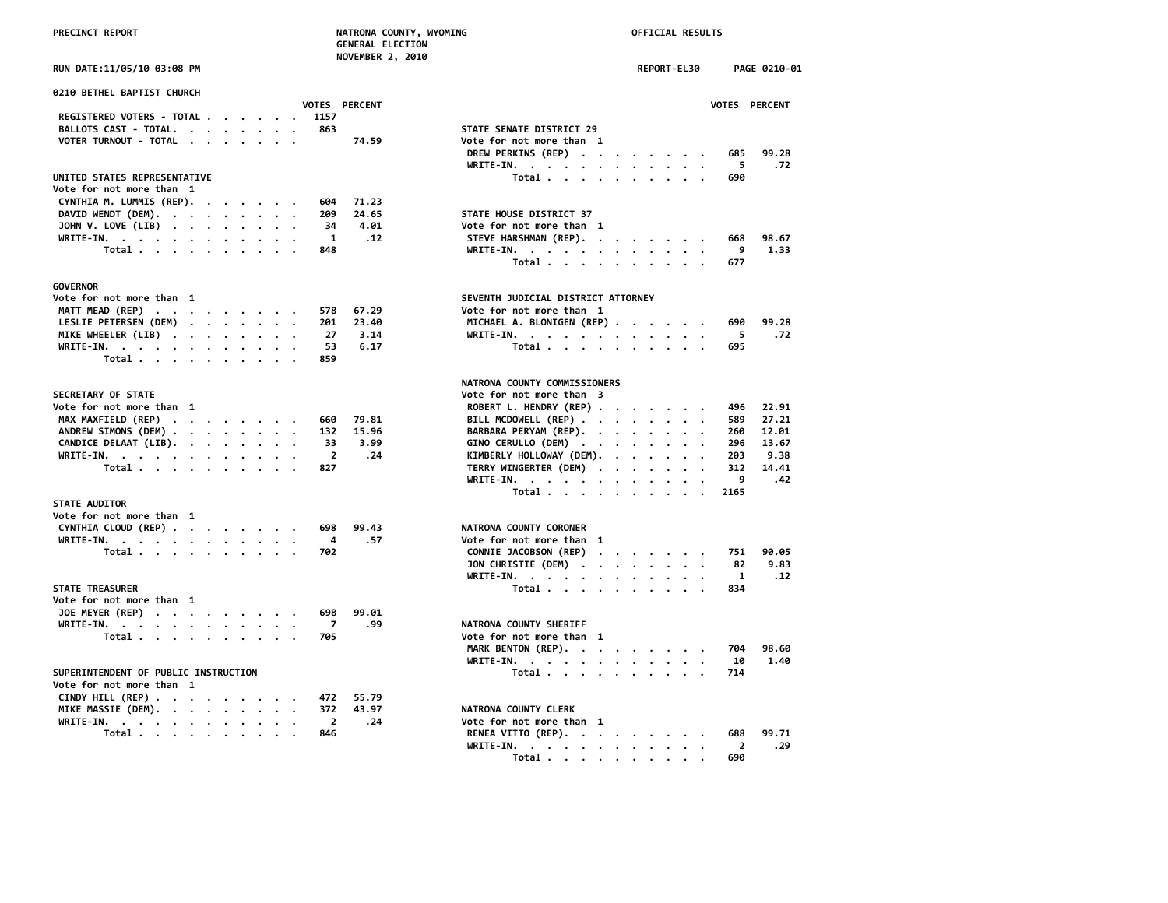| <b>PRECINCT REPORT</b> |  |
|------------------------|--|
|                        |  |

# **PRECINCT REPORT NATRONA COUNTY, WYOMING OFFICIAL RESULTS**

|                                                                    |                | <b>GENERAL ELECTION</b><br><b>NOVEMBER 2, 2010</b> |                                    |             |  |      |               |
|--------------------------------------------------------------------|----------------|----------------------------------------------------|------------------------------------|-------------|--|------|---------------|
| RUN DATE:11/05/10 03:08 PM                                         |                |                                                    |                                    | REPORT-EL30 |  |      | PAGE 0210-01  |
| 0210 BETHEL BAPTIST CHURCH                                         |                |                                                    |                                    |             |  |      |               |
|                                                                    |                | VOTES PERCENT                                      |                                    |             |  |      | VOTES PERCENT |
| REGISTERED VOTERS - TOTAL                                          | 1157           |                                                    |                                    |             |  |      |               |
| BALLOTS CAST - TOTAL.                                              | 863            |                                                    | STATE SENATE DISTRICT 29           |             |  |      |               |
| VOTER TURNOUT - TOTAL<br>$\cdot$ .                                 |                | 74.59                                              | Vote for not more than 1           |             |  |      |               |
|                                                                    |                |                                                    | DREW PERKINS (REP)                 |             |  | 685  | 99.28         |
|                                                                    |                |                                                    | WRITE-IN.                          |             |  | 5.   | .72           |
| UNITED STATES REPRESENTATIVE                                       |                |                                                    | Total                              |             |  | 690  |               |
| Vote for not more than 1                                           | 604            | 71.23                                              |                                    |             |  |      |               |
| CYNTHIA M. LUMMIS (REP).                                           | 209            | 24.65                                              | STATE HOUSE DISTRICT 37            |             |  |      |               |
| DAVID WENDT (DEM).<br>JOHN V. LOVE (LIB)                           | 34             | 4.01                                               | Vote for not more than 1           |             |  |      |               |
| WRITE-IN.                                                          | $\mathbf{1}$   | .12                                                | STEVE HARSHMAN (REP).              |             |  | 668  | 98.67         |
| Total                                                              | 848            |                                                    | WRITE-IN.                          |             |  | 9    | 1.33          |
|                                                                    |                |                                                    | Total                              |             |  | 677  |               |
|                                                                    |                |                                                    |                                    |             |  |      |               |
| <b>GOVERNOR</b>                                                    |                |                                                    |                                    |             |  |      |               |
| Vote for not more than 1                                           |                |                                                    | SEVENTH JUDICIAL DISTRICT ATTORNEY |             |  |      |               |
| MATT MEAD (REP)                                                    | 578            | 67.29                                              | Vote for not more than 1           |             |  |      |               |
| LESLIE PETERSEN (DEM)                                              | 201            | 23.40                                              | MICHAEL A. BLONIGEN (REP)          |             |  | 690  | 99.28         |
| MIKE WHEELER (LIB)                                                 | 27             | 3.14                                               | WRITE-IN.                          |             |  | 5    | .72           |
| WRITE-IN.                                                          | 53             | 6.17                                               | Total                              |             |  | 695  |               |
| Total                                                              | 859            |                                                    |                                    |             |  |      |               |
|                                                                    |                |                                                    |                                    |             |  |      |               |
|                                                                    |                |                                                    | NATRONA COUNTY COMMISSIONERS       |             |  |      |               |
| SECRETARY OF STATE                                                 |                |                                                    | Vote for not more than 3           |             |  |      |               |
| Vote for not more than 1                                           |                |                                                    | ROBERT L. HENDRY (REP)             |             |  | 496  | 22.91         |
| MAX MAXFIELD (REP)                                                 | 660            | 79.81                                              | BILL MCDOWELL (REP)                |             |  | 589  | 27.21         |
| ANDREW SIMONS (DEM)                                                | 132            | 15.96                                              | BARBARA PERYAM (REP).              |             |  | 260  | 12.01         |
| CANDICE DELAAT (LIB).<br>$\cdot$                                   | 33             | 3.99                                               | GINO CERULLO (DEM)                 |             |  | 296  | 13.67         |
| WRITE-IN.                                                          | 2              | .24                                                | KIMBERLY HOLLOWAY (DEM).           |             |  | 203  | 9.38          |
| Total                                                              | 827            |                                                    | TERRY WINGERTER (DEM)              |             |  | 312  | 14.41         |
|                                                                    |                |                                                    | WRITE-IN.                          |             |  | 9    | .42           |
|                                                                    |                |                                                    | Total                              |             |  | 2165 |               |
| <b>STATE AUDITOR</b>                                               |                |                                                    |                                    |             |  |      |               |
| Vote for not more than 1                                           |                |                                                    |                                    |             |  |      |               |
| CYNTHIA CLOUD (REP)                                                | 698            | 99.43                                              | NATRONA COUNTY CORONER             |             |  |      |               |
| WRITE-IN.                                                          | 4              | .57                                                | Vote for not more than 1           |             |  |      |               |
| Total                                                              | 702            |                                                    | CONNIE JACOBSON (REP)              |             |  | 751  | 90.05         |
|                                                                    |                |                                                    | JON CHRISTIE (DEM)                 |             |  | 82   | 9.83          |
|                                                                    |                |                                                    | WRITE-IN.                          |             |  | 1    | .12           |
| <b>STATE TREASURER</b>                                             |                |                                                    | Total                              |             |  | 834  |               |
| Vote for not more than 1                                           |                |                                                    |                                    |             |  |      |               |
| JOE MEYER (REP)                                                    | 698            | 99.01                                              |                                    |             |  |      |               |
| WRITE-IN.                                                          | $\overline{7}$ | .99                                                | NATRONA COUNTY SHERIFF             |             |  |      |               |
| Total                                                              | 705            |                                                    | Vote for not more than 1           |             |  |      |               |
|                                                                    |                |                                                    | MARK BENTON (REP).                 |             |  | 704  | 98.60         |
|                                                                    |                |                                                    | WRITE-IN.                          |             |  | 10   | 1.40          |
| SUPERINTENDENT OF PUBLIC INSTRUCTION                               |                |                                                    | Total                              |             |  | 714  |               |
| Vote for not more than 1                                           |                |                                                    |                                    |             |  |      |               |
| CINDY HILL (REP) $\cdot \cdot \cdot \cdot \cdot \cdot \cdot \cdot$ | 472            | 55.79                                              |                                    |             |  |      |               |
| MIKE MASSIE (DEM).                                                 | 372            | 43.97                                              | NATRONA COUNTY CLERK               |             |  |      |               |
| WRITE-IN.                                                          | $\overline{2}$ | .24                                                | Vote for not more than 1           |             |  |      |               |
| Total .<br>$\bullet$ .<br><br><br>$\bullet$                        | 846            |                                                    | RENEA VITTO (REP).                 |             |  | 688  | 99.71         |

| ITE-IN.<br>.                                                 |  |  |  | 9    | . 42  |
|--------------------------------------------------------------|--|--|--|------|-------|
| Total                                                        |  |  |  | 2165 |       |
| RONA COUNTY CORONER                                          |  |  |  |      |       |
| e for not more than 1                                        |  |  |  |      |       |
| NNIE JACOBSON (REP)                                          |  |  |  | 751  | 90.05 |
| N CHRISTIE (DEM) $\cdot \cdot \cdot \cdot \cdot \cdot \cdot$ |  |  |  | 82   | 9.83  |
| ITE-IN.                                                      |  |  |  | 1    | . 12  |
| Total                                                        |  |  |  | 834  |       |
| <b>RONA COUNTY SHERIFF</b>                                   |  |  |  |      |       |
| e for not more than 1                                        |  |  |  |      |       |
| RK BENTON (REP).                                             |  |  |  | 704  | 98.60 |
| ITE-IN.                                                      |  |  |  | 10   | 1.40  |
| Total                                                        |  |  |  | 714  |       |
| <b>RONA COUNTY CLERK</b>                                     |  |  |  |      |       |
| e for not more than 1                                        |  |  |  |      |       |

| WKIIE-IN. 2 .24 |  |  |  |  |  | Vote for not more than 1     |  |  |  |  |  |
|-----------------|--|--|--|--|--|------------------------------|--|--|--|--|--|
| Total 846       |  |  |  |  |  | RENEA VITTO (REP). 688 99.71 |  |  |  |  |  |
|                 |  |  |  |  |  | WRITE-IN. 2 .29              |  |  |  |  |  |
|                 |  |  |  |  |  | Total 690                    |  |  |  |  |  |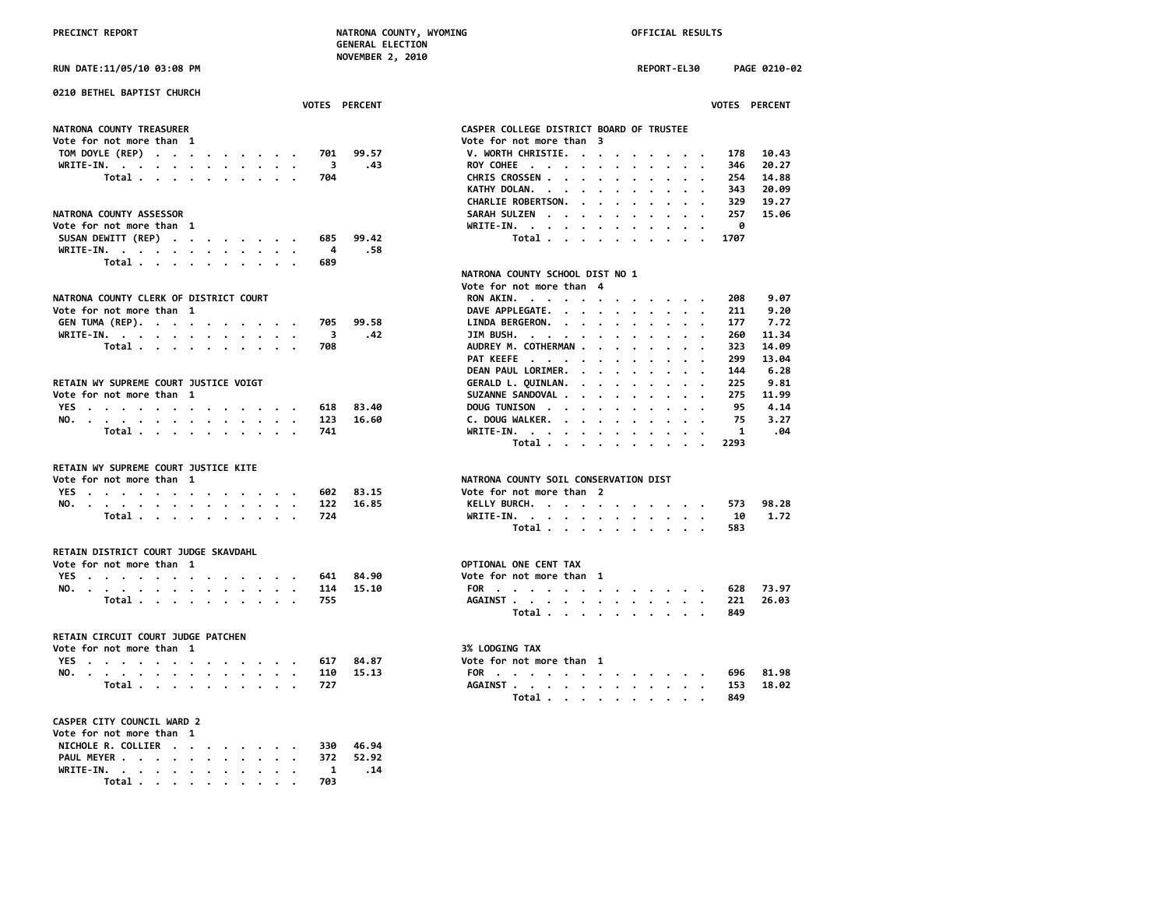**NOVEMBER 2, 2010**

**RUN DATE:11/05/10 03:08 PM REPORT-EL30 PAGE 0210-02**

| 0210 BETHEL BAPTIST CHURCH                                                   |                      |                                                                                                                                                |
|------------------------------------------------------------------------------|----------------------|------------------------------------------------------------------------------------------------------------------------------------------------|
|                                                                              | <b>VOTES PERCENT</b> | <b>VOTES PERCENT</b>                                                                                                                           |
| NATRONA COUNTY TREASURER                                                     |                      | CASPER COLLEGE DISTRICT BOARD OF TRUSTEE                                                                                                       |
|                                                                              |                      |                                                                                                                                                |
| Vote for not more than 1                                                     |                      | Vote for not more than 3                                                                                                                       |
| TOM DOYLE (REP)<br>701                                                       | 99.57                | V. WORTH CHRISTIE.<br>178<br>10.43                                                                                                             |
| WRITE-IN.<br>3                                                               | .43                  | 20.27<br>ROY COHEE<br>346                                                                                                                      |
| Total<br>704                                                                 |                      | CHRIS CROSSEN<br>254<br>14.88                                                                                                                  |
|                                                                              |                      | KATHY DOLAN.<br>343<br>20.09<br>$\cdot$<br>$\cdot$<br>$\cdot$<br>$\cdot$                                                                       |
|                                                                              |                      | CHARLIE ROBERTSON.<br>329<br>19.27<br>$\cdot$ $\cdot$ $\cdot$ $\cdot$                                                                          |
| NATRONA COUNTY ASSESSOR                                                      |                      | SARAH SULZEN<br>257<br>15.06<br>$\cdot$                                                                                                        |
| Vote for not more than 1                                                     |                      | WRITE-IN.<br>ø                                                                                                                                 |
| SUSAN DEWITT (REP)<br>685                                                    | 99.42                | Total<br>1707                                                                                                                                  |
| WRITE-IN.<br>4                                                               | .58                  |                                                                                                                                                |
| Total $\cdots$ $\cdots$ $\cdots$<br>689                                      |                      |                                                                                                                                                |
|                                                                              |                      | NATRONA COUNTY SCHOOL DIST NO 1                                                                                                                |
|                                                                              |                      |                                                                                                                                                |
|                                                                              |                      | Vote for not more than 4                                                                                                                       |
| NATRONA COUNTY CLERK OF DISTRICT COURT                                       |                      | RON AKIN.<br>208<br>9.07                                                                                                                       |
| Vote for not more than 1                                                     |                      | DAVE APPLEGATE.<br>211<br>9.20                                                                                                                 |
| GEN TUMA (REP).<br>705                                                       | 99.58                | LINDA BERGERON.<br>177<br>7.72                                                                                                                 |
| WRITE-IN.<br>3                                                               | .42                  | JIM BUSH.<br>260<br>11.34                                                                                                                      |
| Total $\cdots$ $\cdots$ $\cdots$<br>708                                      |                      | AUDREY M. COTHERMAN<br>14.09<br>323                                                                                                            |
|                                                                              |                      | 13.04<br>PAT KEEFE<br>299                                                                                                                      |
|                                                                              |                      | DEAN PAUL LORIMER.<br>6.28<br>144<br>$\bullet$ .<br><br><br><br><br><br><br><br><br><br><br><br><br>$\ddot{\phantom{a}}$<br>$\cdot$<br>$\cdot$ |
| RETAIN WY SUPREME COURT JUSTICE VOIGT                                        |                      | GERALD L. QUINLAN.<br>225<br>9.81<br>$\cdot$ $\cdot$ $\cdot$ $\cdot$<br>$\sim$ $\sim$                                                          |
| Vote for not more than 1                                                     |                      | SUZANNE SANDOVAL .<br>275<br>11.99<br>$\cdots$<br>$\cdot$<br>$\cdot$<br>$\ddot{\phantom{a}}$                                                   |
| YES<br>618                                                                   | 83.40                | 4.14<br>DOUG TUNISON<br>95<br>$\cdot$ $\cdot$ $\cdot$                                                                                          |
| 123                                                                          | 16.60                | 3.27<br>C. DOUG WALKER.<br>75                                                                                                                  |
| NO.<br>741                                                                   |                      | $\sim$<br>$\ddot{\phantom{a}}$<br>.04<br>1                                                                                                     |
| Total                                                                        |                      | WRITE-IN.<br>2293                                                                                                                              |
|                                                                              |                      | Total<br>$\cdot$ $\cdot$ $\cdot$ $\cdot$                                                                                                       |
| RETAIN WY SUPREME COURT JUSTICE KITE                                         |                      |                                                                                                                                                |
| Vote for not more than 1                                                     |                      | NATRONA COUNTY SOIL CONSERVATION DIST                                                                                                          |
| 602                                                                          | 83.15                | Vote for not more than 2                                                                                                                       |
| YES                                                                          |                      | 98.28                                                                                                                                          |
| NO.<br>122                                                                   | 16.85                | KELLY BURCH.<br>573                                                                                                                            |
| Total<br>724                                                                 |                      | WRITE-IN.<br>1.72<br>10<br>$\cdot$<br>$\blacksquare$ .                                                                                         |
|                                                                              |                      | Total $\cdots$ $\cdots$ $\cdots$<br>583                                                                                                        |
| RETAIN DISTRICT COURT JUDGE SKAVDAHL                                         |                      |                                                                                                                                                |
|                                                                              |                      | OPTIONAL ONE CENT TAX                                                                                                                          |
| Vote for not more than 1                                                     |                      |                                                                                                                                                |
| YES<br>641                                                                   | 84.90                | Vote for not more than 1                                                                                                                       |
| NO.<br>114                                                                   | 15.10                | 73.97<br>FOR<br>628                                                                                                                            |
| Total<br>755                                                                 |                      | AGAINST<br>221<br>26.03                                                                                                                        |
|                                                                              |                      | Total<br>849                                                                                                                                   |
|                                                                              |                      |                                                                                                                                                |
| RETAIN CIRCUIT COURT JUDGE PATCHEN                                           |                      |                                                                                                                                                |
| Vote for not more than 1                                                     |                      | 3% LODGING TAX                                                                                                                                 |
| YES<br>617                                                                   | 84.87                | Vote for not more than 1                                                                                                                       |
| NO.<br>110                                                                   | 15.13                | FOR<br>696<br>81.98                                                                                                                            |
| Total<br>727                                                                 |                      | AGAINST<br>153<br>18.02                                                                                                                        |
|                                                                              |                      | Total<br>849                                                                                                                                   |
|                                                                              |                      |                                                                                                                                                |
| CASPER CITY COUNCIL WARD 2                                                   |                      |                                                                                                                                                |
| Vote for not more than 1                                                     |                      |                                                                                                                                                |
| NICHOLE R. COLLIER<br>330                                                    | 46.94                |                                                                                                                                                |
| PAUL MEYER<br>372<br>$\sim$ $\sim$                                           | 52.92                |                                                                                                                                                |
| WRITE-IN, $\cdot$ , $\cdot$ , $\cdot$ , $\cdot$<br>1<br>$\ddot{\phantom{1}}$ | .14                  |                                                                                                                                                |
| Total .<br>703<br>$\blacksquare$<br>$\cdot$ .                                |                      |                                                                                                                                                |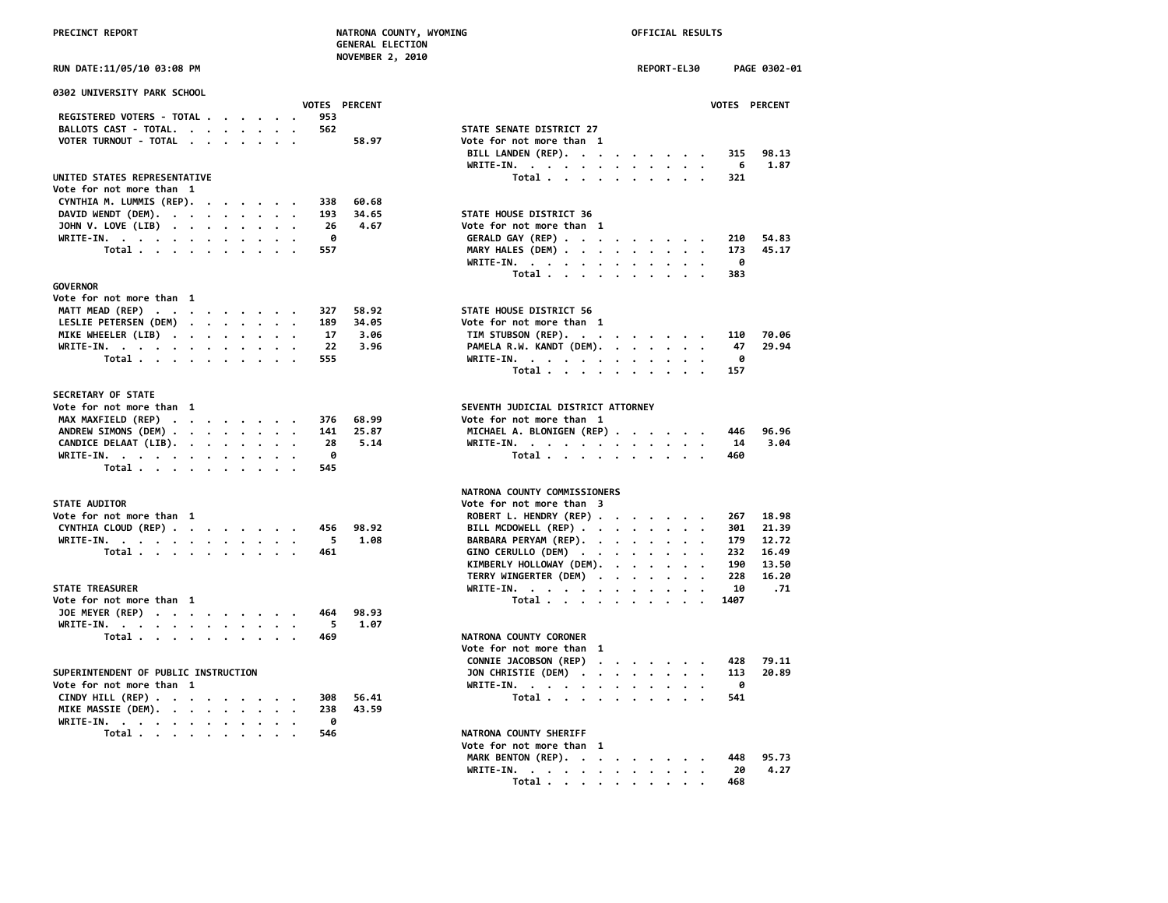| <b>PRECTNCT REPORT</b> |  |  |
|------------------------|--|--|
|                        |  |  |

# **PRECINCT REPORT NATRONA COUNTY, WYOMING OFFICIAL RESULTS**

|                                          | <b>GENERAL ELECTION</b> |                                                                                   |
|------------------------------------------|-------------------------|-----------------------------------------------------------------------------------|
|                                          | <b>NOVEMBER 2, 2010</b> |                                                                                   |
| RUN DATE:11/05/10 03:08 PM               |                         | REPORT-EL30<br>PAGE 0302-01                                                       |
| 0302 UNIVERSITY PARK SCHOOL              |                         |                                                                                   |
|                                          | <b>VOTES PERCENT</b>    | VOTES PERCENT                                                                     |
| REGISTERED VOTERS - TOTAL                | 953                     |                                                                                   |
| BALLOTS CAST - TOTAL.                    | 562                     | STATE SENATE DISTRICT 27                                                          |
| <b>VOTER TURNOUT - TOTAL</b><br>$\cdots$ | 58.97                   | Vote for not more than 1                                                          |
|                                          |                         | BILL LANDEN (REP).<br>98.13<br>315<br>1.87<br>WRITE-IN.<br>6                      |
| UNITED STATES REPRESENTATIVE             |                         | Total<br>321                                                                      |
| Vote for not more than 1                 |                         |                                                                                   |
| CYNTHIA M. LUMMIS (REP).<br>$\cdots$     | 60.68<br>338            |                                                                                   |
| DAVID WENDT (DEM).                       | 193<br>34.65            | STATE HOUSE DISTRICT 36                                                           |
| JOHN V. LOVE (LIB)                       | 26<br>4.67              | Vote for not more than 1                                                          |
|                                          | 0                       | 210<br>54.83                                                                      |
| WRITE-IN.                                |                         | GERALD GAY (REP)<br>45.17                                                         |
| Total                                    | 557                     | MARY HALES (DEM)<br>173                                                           |
|                                          |                         | WRITE-IN.<br>0                                                                    |
|                                          |                         | Total<br>383                                                                      |
| <b>GOVERNOR</b>                          |                         |                                                                                   |
| Vote for not more than 1                 |                         |                                                                                   |
| MATT MEAD (REP)                          | 58.92<br>327            | STATE HOUSE DISTRICT 56                                                           |
| LESLIE PETERSEN (DEM)                    | 189<br>34.05            | Vote for not more than 1                                                          |
| MIKE WHEELER (LIB)                       | 17<br>3.06              | TIM STUBSON (REP).<br>70.06<br>110                                                |
| WRITE-IN.                                | 22<br>3.96              | PAMELA R.W. KANDT (DEM).<br>29.94<br>47                                           |
| Total                                    | 555                     | WRITE-IN.<br>0<br>$\cdot$                                                         |
|                                          |                         | Total<br>157                                                                      |
|                                          |                         |                                                                                   |
| <b>SECRETARY OF STATE</b>                |                         |                                                                                   |
| Vote for not more than 1                 |                         | SEVENTH JUDICIAL DISTRICT ATTORNEY                                                |
| MAX MAXFIELD (REP)                       | 376<br>68.99            | Vote for not more than 1                                                          |
| ANDREW SIMONS (DEM)                      | 141<br>25.87            | MICHAEL A. BLONIGEN (REP)<br>96.96<br>446                                         |
|                                          |                         |                                                                                   |
| CANDICE DELAAT (LIB).                    | 28<br>5.14              | WRITE-IN.<br>14<br>3.04                                                           |
| WRITE-IN.                                | 0                       | Total<br>460                                                                      |
| Total                                    | 545                     |                                                                                   |
|                                          |                         | <b>NATRONA COUNTY COMMISSIONERS</b>                                               |
| <b>STATE AUDITOR</b>                     |                         | Vote for not more than 3                                                          |
| Vote for not more than 1                 |                         | ROBERT L. HENDRY (REP)<br>18.98<br>267                                            |
| CYNTHIA CLOUD (REP)                      | 456<br>98.92            | BILL MCDOWELL (REP)<br>301<br>21.39                                               |
| WRITE-IN.                                | -5<br>1.08              | BARBARA PERYAM (REP).<br>179<br>12.72                                             |
| Total                                    | 461                     | GINO CERULLO (DEM)<br>232<br>16.49                                                |
|                                          |                         | KIMBERLY HOLLOWAY (DEM).<br>190<br>13.50                                          |
|                                          |                         | TERRY WINGERTER (DEM)<br>228<br>16.20                                             |
| <b>STATE TREASURER</b>                   |                         | WRITE-IN.<br>10<br>.71                                                            |
| Vote for not more than 1                 |                         | 1407<br>Total $\cdots$ $\cdots$ $\cdots$                                          |
| JOE MEYER (REP)                          | 98.93<br>464            |                                                                                   |
| WRITE-IN.                                | 5<br>1.07               |                                                                                   |
|                                          |                         | NATRONA COUNTY CORONER                                                            |
| Total $\cdots$ $\cdots$ $\cdots$         | 469                     |                                                                                   |
|                                          |                         | Vote for not more than 1                                                          |
|                                          |                         | CONNIE JACOBSON (REP)<br>428<br>79.11                                             |
| SUPERINTENDENT OF PUBLIC INSTRUCTION     |                         | JON CHRISTIE (DEM)<br>113<br>20.89                                                |
| Vote for not more than 1                 |                         | WRITE-IN.<br>0<br>$\cdot$ $\cdot$<br>$\bullet$                                    |
| CINDY HILL (REP)                         | 56.41<br>308            | Total<br>541                                                                      |
| MIKE MASSIE (DEM).<br>$\cdot$            | 238<br>43.59            |                                                                                   |
| WRITE-IN.                                | 0                       |                                                                                   |
| Total $\cdots$ $\cdots$ $\cdots$         | 546                     | <b>NATRONA COUNTY SHERIFF</b>                                                     |
|                                          |                         | Vote for not more than 1<br>MADE DENTALL (DED)<br>$\overline{AB}$ $\overline{AB}$ |

| .     |
|-------|
|       |
|       |
|       |
|       |
|       |
| 79.11 |
| 20.89 |
|       |
|       |
|       |
|       |
|       |
|       |
| 95.73 |
| 4.27  |
|       |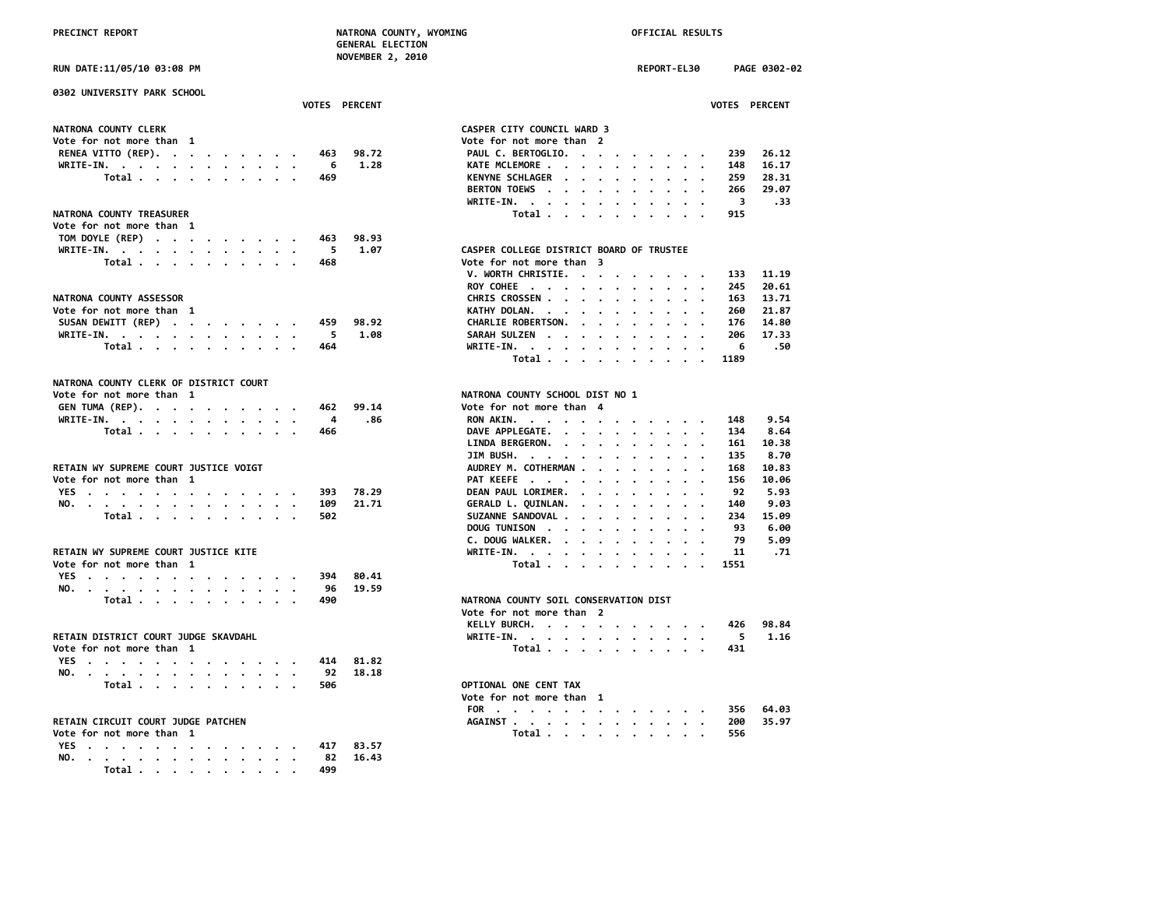| PRECINCT REPORT                        | NATRONA COUNTY, WYOMING<br><b>GENERAL ELECTION</b> |               | OFFICIAL RESULTS        |                                          |         |  |         |             |                          |                         |                |
|----------------------------------------|----------------------------------------------------|---------------|-------------------------|------------------------------------------|---------|--|---------|-------------|--------------------------|-------------------------|----------------|
| RUN DATE:11/05/10 03:08 PM             |                                                    |               | <b>NOVEMBER 2, 2010</b> |                                          |         |  |         | REPORT-EL30 |                          |                         | PAGE 0302-02   |
| 0302 UNIVERSITY PARK SCHOOL            |                                                    | VOTES PERCENT |                         |                                          |         |  |         |             |                          |                         | VOTES PERCENT  |
|                                        |                                                    |               |                         |                                          |         |  |         |             |                          |                         |                |
| NATRONA COUNTY CLERK                   |                                                    |               |                         | CASPER CITY COUNCIL WARD 3               |         |  |         |             |                          |                         |                |
| Vote for not more than 1               |                                                    |               |                         | Vote for not more than 2                 |         |  |         |             |                          |                         |                |
| RENEA VITTO (REP).                     | 463                                                | 98.72         |                         | PAUL C. BERTOGLIO.                       |         |  |         |             |                          | 239                     | 26.12<br>16.17 |
| WRITE-IN.<br>Total                     | - 6<br>469                                         | 1.28          |                         | KATE MCLEMORE<br>KENYNE SCHLAGER         |         |  |         |             |                          | 148<br>259              | 28.31          |
|                                        |                                                    |               |                         | BERTON TOEWS                             |         |  |         |             |                          | 266                     | 29.07          |
|                                        |                                                    |               |                         | WRITE-IN.                                |         |  |         |             |                          | $\overline{\mathbf{3}}$ | .33            |
| NATRONA COUNTY TREASURER               |                                                    |               |                         | Total                                    |         |  |         |             |                          | 915                     |                |
| Vote for not more than 1               |                                                    |               |                         |                                          |         |  |         |             |                          |                         |                |
| TOM DOYLE (REP)                        | 463                                                | 98.93         |                         |                                          |         |  |         |             |                          |                         |                |
| WRITE-IN.                              | 5                                                  | 1.07          |                         | CASPER COLLEGE DISTRICT BOARD OF TRUSTEE |         |  |         |             |                          |                         |                |
| Total                                  | 468                                                |               |                         | Vote for not more than 3                 |         |  |         |             |                          |                         |                |
|                                        |                                                    |               |                         | V. WORTH CHRISTIE.                       |         |  |         |             |                          | 133                     | 11.19          |
|                                        |                                                    |               |                         | ROY COHEE                                |         |  |         |             |                          | 245                     | 20.61          |
| NATRONA COUNTY ASSESSOR                |                                                    |               |                         | CHRIS CROSSEN                            |         |  |         |             |                          | 163                     | 13.71          |
| Vote for not more than 1               |                                                    |               |                         | KATHY DOLAN.                             |         |  |         |             |                          | 260                     | 21.87          |
| SUSAN DEWITT (REP)                     | 459                                                | 98.92         |                         | CHARLIE ROBERTSON.                       |         |  |         |             |                          | 176                     | 14.80          |
| WRITE-IN.                              | - 5                                                | 1.08          |                         | SARAH SULZEN                             |         |  |         |             |                          | 206                     | 17.33          |
| Total                                  | 464                                                |               |                         | WRITE-IN.                                |         |  |         |             |                          | 6                       | .50            |
|                                        |                                                    |               |                         | Total                                    |         |  |         |             |                          | 1189                    |                |
|                                        |                                                    |               |                         |                                          |         |  |         |             |                          |                         |                |
| NATRONA COUNTY CLERK OF DISTRICT COURT |                                                    |               |                         |                                          |         |  |         |             |                          |                         |                |
| Vote for not more than 1               |                                                    |               |                         | NATRONA COUNTY SCHOOL DIST NO 1          |         |  |         |             |                          |                         |                |
| GEN TUMA (REP).                        | 462                                                | 99.14         |                         | Vote for not more than 4                 |         |  |         |             |                          |                         |                |
| WRITE-IN.                              | 4<br>466                                           | .86           |                         | RON AKIN.                                |         |  |         |             |                          | 148                     | 9.54<br>8.64   |
| Total                                  |                                                    |               |                         | DAVE APPLEGATE.                          |         |  |         |             |                          | 134<br>161              | 10.38          |
|                                        |                                                    |               |                         | LINDA BERGERON.<br>JIM BUSH.             |         |  |         |             |                          | 135                     | 8.70           |
| RETAIN WY SUPREME COURT JUSTICE VOIGT  |                                                    |               |                         | AUDREY M. COTHERMAN                      |         |  |         |             |                          | 168                     | 10.83          |
| Vote for not more than 1               |                                                    |               |                         | PAT KEEFE                                |         |  |         |             |                          | 156                     | 10.06          |
| YES                                    | 393                                                | 78.29         |                         | DEAN PAUL LORIMER.                       |         |  |         |             | $\overline{\phantom{a}}$ | 92                      | 5.93           |
| NO.                                    | 109                                                | 21,71         |                         | GERALD L. QUINLAN.                       |         |  |         |             |                          | 140                     | 9.03           |
| Total                                  | 502                                                |               |                         | SUZANNE SANDOVAL<br>$\sim$               | $\cdot$ |  | $\cdot$ |             |                          | 234                     | 15.09          |
|                                        |                                                    |               |                         | DOUG TUNISON                             |         |  |         |             |                          | 93                      | 6.00           |
|                                        |                                                    |               |                         | C. DOUG WALKER.                          |         |  |         |             |                          | 79                      | 5.09           |
| RETAIN WY SUPREME COURT JUSTICE KITE   |                                                    |               |                         | WRITE-IN.                                |         |  |         |             |                          | 11                      | .71            |
| Vote for not more than 1               |                                                    |               |                         | Total                                    |         |  |         |             |                          | 1551                    |                |
| YES                                    | 394                                                | 80.41         |                         |                                          |         |  |         |             |                          |                         |                |
| NO.                                    | 96                                                 | 19.59         |                         |                                          |         |  |         |             |                          |                         |                |
| Total                                  | 490                                                |               |                         | NATRONA COUNTY SOIL CONSERVATION DIST    |         |  |         |             |                          |                         |                |
|                                        |                                                    |               |                         | Vote for not more than 2                 |         |  |         |             |                          |                         |                |
|                                        |                                                    |               |                         | KELLY BURCH.                             |         |  |         |             |                          | 426                     | 98.84          |
| RETAIN DISTRICT COURT JUDGE SKAVDAHL   |                                                    |               |                         | WRITE-IN.                                |         |  |         |             |                          | 5.                      | 1.16           |
| Vote for not more than 1               |                                                    |               |                         | Total                                    |         |  |         |             |                          | 431                     |                |
| YES                                    | 414                                                | 81.82         |                         |                                          |         |  |         |             |                          |                         |                |
| NO.                                    | 92                                                 | 18.18         |                         |                                          |         |  |         |             |                          |                         |                |
| Total                                  | 506                                                |               |                         | OPTIONAL ONE CENT TAX                    |         |  |         |             |                          |                         |                |
|                                        |                                                    |               |                         | Vote for not more than 1                 |         |  |         |             |                          |                         |                |
|                                        |                                                    |               |                         | FOR                                      |         |  |         |             |                          | 356                     | 64.03          |
| RETAIN CIRCUIT COURT JUDGE PATCHEN     |                                                    |               |                         | AGAINST                                  |         |  |         |             |                          | 200                     | 35.97          |
| Vote for not more than 1               |                                                    |               |                         | Total                                    |         |  |         |             |                          | 556                     |                |
| YES                                    | 417                                                | 83.57         |                         |                                          |         |  |         |             |                          |                         |                |
| NO.<br>.                               | 82                                                 | 16.43         |                         |                                          |         |  |         |             |                          |                         |                |

|                                                           |                      |                      |                          |                      |                      |                      |                      | <b>REPORT-EL30</b>                |                      |                         | <b>PAGE 0302-1</b>   |
|-----------------------------------------------------------|----------------------|----------------------|--------------------------|----------------------|----------------------|----------------------|----------------------|-----------------------------------|----------------------|-------------------------|----------------------|
|                                                           |                      |                      |                          |                      |                      |                      |                      |                                   |                      |                         | <b>VOTES PERCENT</b> |
| CASPER CITY COUNCIL WARD 3                                |                      |                      |                          |                      |                      |                      |                      |                                   |                      |                         |                      |
| Vote for not more than                                    |                      |                      | $\overline{\phantom{a}}$ |                      |                      |                      |                      |                                   |                      |                         |                      |
| PAUL C. BERTOGLIO.                                        |                      |                      | $\bullet$                |                      |                      | $\bullet$ .          |                      | $\bullet$ , $\bullet$ , $\bullet$ |                      | 239                     | 26.12                |
| KATE MCLEMORE .                                           | $\ddot{\phantom{0}}$ |                      |                          | $\ddot{\phantom{a}}$ | $\ddot{\phantom{0}}$ | $\ddot{\phantom{0}}$ | $\ddot{\phantom{0}}$ | $\cdot$                           |                      | 148                     | 16.17                |
| <b>KENYNE SCHLAGER</b>                                    | $\ddot{\phantom{0}}$ |                      | $\bullet$                | $\ddot{\phantom{0}}$ | $\bullet$            | $\bullet$            | $\ddot{\phantom{0}}$ | $\cdot$                           |                      | 259                     | 28.31                |
| <b>BERTON TOEWS</b>                                       |                      |                      |                          | $\ddot{\phantom{a}}$ | $\cdot$              |                      | $\ddot{\phantom{0}}$ | $\ddot{\phantom{0}}$              | $\cdot$              | 266                     | 29.07                |
| WRITE-IN.<br>$\bullet$                                    |                      | $\ddot{\phantom{0}}$ | $\ddot{\phantom{0}}$     | $\ddot{\phantom{0}}$ | $\bullet$            | $\ddot{\phantom{0}}$ |                      | $\cdot$ $\cdot$                   |                      | $\overline{\mathbf{3}}$ | .33                  |
| Total .                                                   | $\cdot$              | $\ddot{\phantom{0}}$ | $\cdot$                  |                      |                      | $\cdot$              | $\cdot$              |                                   |                      | 915                     |                      |
| CASPER COLLEGE DISTRICT BOARD OF TRUSTEE                  |                      |                      |                          |                      |                      |                      |                      |                                   |                      |                         |                      |
| Vote for not more than                                    |                      |                      | 3                        |                      |                      |                      |                      |                                   |                      |                         |                      |
| V. WORTH CHRISTIE.                                        |                      |                      | $\ddot{\phantom{0}}$     | $\bullet$            | $\bullet$            | $\bullet$            | $\ddot{\phantom{0}}$ |                                   | $\cdot$ $\cdot$      | 133                     | 11.19                |
| ROY COHEE.                                                |                      | $\cdot$ .            | $\bullet$                | $\ddot{\phantom{a}}$ | $\bullet$            | $\cdot$              |                      | $\ddot{\phantom{0}}$              |                      | 245                     | 20.61                |
| CHRIS CROSSEN .                                           |                      |                      | $\ddot{\phantom{a}}$     | $\ddot{\phantom{0}}$ | $\ddot{\phantom{0}}$ | $\ddot{\phantom{0}}$ | $\ddot{\phantom{a}}$ | $\bullet$                         | $\ddot{\phantom{0}}$ | 163                     | 13.71                |
| KATHY DOLAN.                                              |                      | $\ddot{\phantom{0}}$ | $\ddot{\phantom{0}}$     | $\ddot{\phantom{0}}$ | $\bullet$            | $\bullet$            | $\ddot{\phantom{0}}$ | $\ddot{\phantom{0}}$              |                      | 260                     | 21.87                |
| CHARLIE ROBERTSON.                                        |                      |                      | $\ddot{\phantom{0}}$     | $\ddot{\phantom{0}}$ | $\bullet$            | $\ddot{\phantom{0}}$ | $\ddot{\phantom{0}}$ | $\cdot$                           |                      | 176                     | 14.80                |
| <b>SARAH SULZEN</b><br>$\ddot{\phantom{a}}$               |                      | $\ddot{\phantom{0}}$ | $\ddot{\phantom{0}}$     | $\ddot{\phantom{0}}$ | $\ddot{\phantom{0}}$ | $\ddot{\phantom{0}}$ | $\ddot{\phantom{0}}$ | $\ddot{\phantom{0}}$              | $\bullet$            | 206                     | 17.33                |
| WRITE-IN. .                                               |                      | $\cdot$              | $\ddot{\phantom{0}}$     | $\ddot{\phantom{0}}$ | $\ddot{\phantom{0}}$ | $\ddot{\phantom{0}}$ | $\ddot{\phantom{a}}$ | $\ddot{\phantom{0}}$              |                      | - 6                     | .50                  |
| Total.                                                    | $\ddot{\phantom{0}}$ | $\cdot$              | $\cdot$                  | $\cdot$              | $\cdot$              | $\cdot$              | $\ddot{\phantom{0}}$ | $\cdot$                           | $\cdot$              | 1189                    |                      |
| NATRONA COUNTY SCHOOL DIST NO 1<br>Vote for not more than |                      |                      | 4                        |                      |                      |                      |                      |                                   |                      |                         |                      |
| RON AKIN.                                                 |                      |                      | $\bullet$                |                      |                      |                      |                      |                                   |                      | 148                     | 9.54                 |
| DAVE APPLEGATE.                                           |                      |                      | $\cdot$                  | $\ddot{\phantom{0}}$ | $\bullet$            | $\bullet$            | $\ddot{\phantom{0}}$ | $\bullet$                         |                      | 134                     | 8.64                 |
| LINDA BERGERON.                                           | $\cdot$              | $\ddot{\phantom{0}}$ | $\bullet$                | $\ddot{\phantom{0}}$ | $\bullet$            | $\bullet$            | $\bullet$            | $\ddot{\phantom{0}}$              |                      | 161                     | 10.38                |
| JIM BUSH.                                                 |                      |                      | $\ddot{\phantom{0}}$     | $\cdot$              | $\cdot$              | $\ddot{\phantom{0}}$ | $\ddot{\phantom{0}}$ | $\bullet$                         |                      | 135                     | 8.70                 |
| AUDREY M. COTHERMAN.                                      |                      |                      | $\ddot{\phantom{a}}$     | $\ddot{\phantom{0}}$ | $\bullet$            | $\bullet$            | $\cdot$              | $\bullet$                         |                      | 168                     | 10.83                |
| PAT KEEFE.                                                | $\ddotsc$            |                      | $\ddot{\phantom{0}}$     | $\ddot{\phantom{0}}$ | $\ddot{\phantom{0}}$ | $\ddot{\phantom{0}}$ | $\ddot{\phantom{0}}$ | $\ddot{\phantom{0}}$              |                      | 156                     | 10.06                |
| DEAN PAUL LORIMER.                                        |                      | $\ddot{\phantom{0}}$ | $\ddot{\phantom{0}}$     | $\ddot{\phantom{0}}$ | $\bullet$            | $\ddot{\phantom{0}}$ | $\bullet$            | $\ddot{\phantom{0}}$              | $\bullet$            | 92                      | 5.93                 |
| GERALD L. QUINLAN.                                        |                      |                      | $\cdot$ $\cdot$ $\cdot$  | $\ddot{\phantom{0}}$ | $\cdot$              | $\ddot{\phantom{0}}$ | $\ddot{\phantom{0}}$ | $\ddot{\phantom{0}}$              |                      | 140                     | 9.03                 |
| SUZANNE SANDOVAL .                                        |                      | $\ddot{\phantom{0}}$ | $\ddot{\phantom{0}}$     | $\ddot{\phantom{0}}$ | $\ddot{\phantom{0}}$ | $\ddot{\phantom{0}}$ | $\ddot{\phantom{0}}$ | $\ddot{\phantom{0}}$              | $\cdot$              | 234                     | 15.09                |
| DOUG TUNISON.                                             |                      | $\cdot$              | $\ddot{\phantom{0}}$     | $\ddot{\phantom{0}}$ | $\ddot{\phantom{0}}$ | $\ddot{\phantom{0}}$ | $\cdot$              |                                   | $\ddotsc$            | 93                      | 6.00                 |
| C. DOUG WALKER.                                           |                      | $\ddot{\phantom{0}}$ | $\ddot{\phantom{0}}$     | $\ddot{\phantom{0}}$ | $\ddot{\phantom{0}}$ | $\ddot{\phantom{0}}$ | $\ddot{\phantom{0}}$ | $\ddot{\phantom{0}}$              |                      | 79                      | 5.09                 |
| WRITE-IN.                                                 |                      | $\cdot$              | $\ddot{\phantom{0}}$     | $\bullet$            | $\ddot{\phantom{0}}$ | $\ddot{\phantom{0}}$ | $\ddot{\phantom{0}}$ | $\bullet$                         |                      | 11                      | .71                  |
| Total .                                                   | $\ddot{\phantom{0}}$ | $\cdot$              | $\ddot{\phantom{0}}$     | $\ddot{\phantom{0}}$ | $\ddot{\phantom{0}}$ | $\cdot$              | $\ddot{\phantom{a}}$ | $\sim$                            |                      | 1551                    |                      |
| NATRONA COUNTY SOIL CONSERVATION DIST                     |                      |                      |                          |                      |                      |                      |                      |                                   |                      |                         |                      |
| Vote for not more than                                    |                      |                      | $\overline{2}$           |                      |                      |                      |                      |                                   |                      |                         |                      |
| KELLY BURCH.<br>$\cdot$                                   | $\cdot$              |                      | $\ddot{\phantom{0}}$     |                      |                      |                      |                      |                                   | $\cdot$              | 426                     | 98.84                |
| WRITE-IN.<br>$\bullet$                                    | $\bullet$            | $\ddot{\phantom{0}}$ | $\ddot{\phantom{0}}$     |                      | $\ddot{\phantom{0}}$ | $\ddot{\phantom{0}}$ | $\ddot{\phantom{0}}$ |                                   |                      | 5                       | 1.16                 |
| Total                                                     | .                    |                      |                          |                      |                      |                      |                      |                                   |                      | 431                     |                      |

| Vote for not more than 1 |  |  |  |  |  |  |                   |  |
|--------------------------|--|--|--|--|--|--|-------------------|--|
|                          |  |  |  |  |  |  | FOR 356 64.03     |  |
|                          |  |  |  |  |  |  | AGAINST 200 35.97 |  |
|                          |  |  |  |  |  |  | Total 556         |  |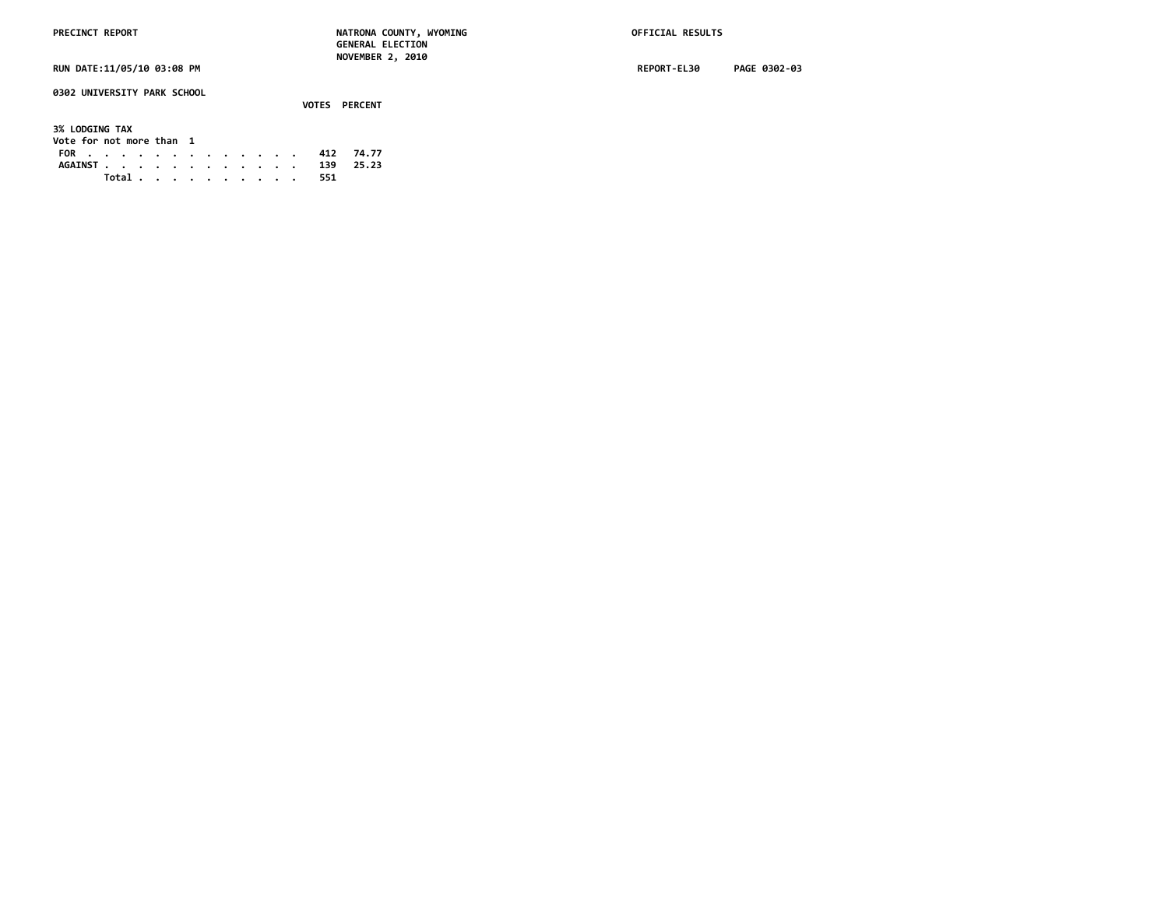**0302 UNIVERSITY PARK SCHOOL**

### **VOTES PERCENT 3% LODGING TAX Vote for not more than 1 FOR . . . . . . . . . . . . . 412 74.77 AGAINST . . . . . . . . . . . . 139 25.23 Total . . . . . . . . . . 551**

**RUN DATE:11/05/10 03:08 PM REPORT-EL30 PAGE 0302-03**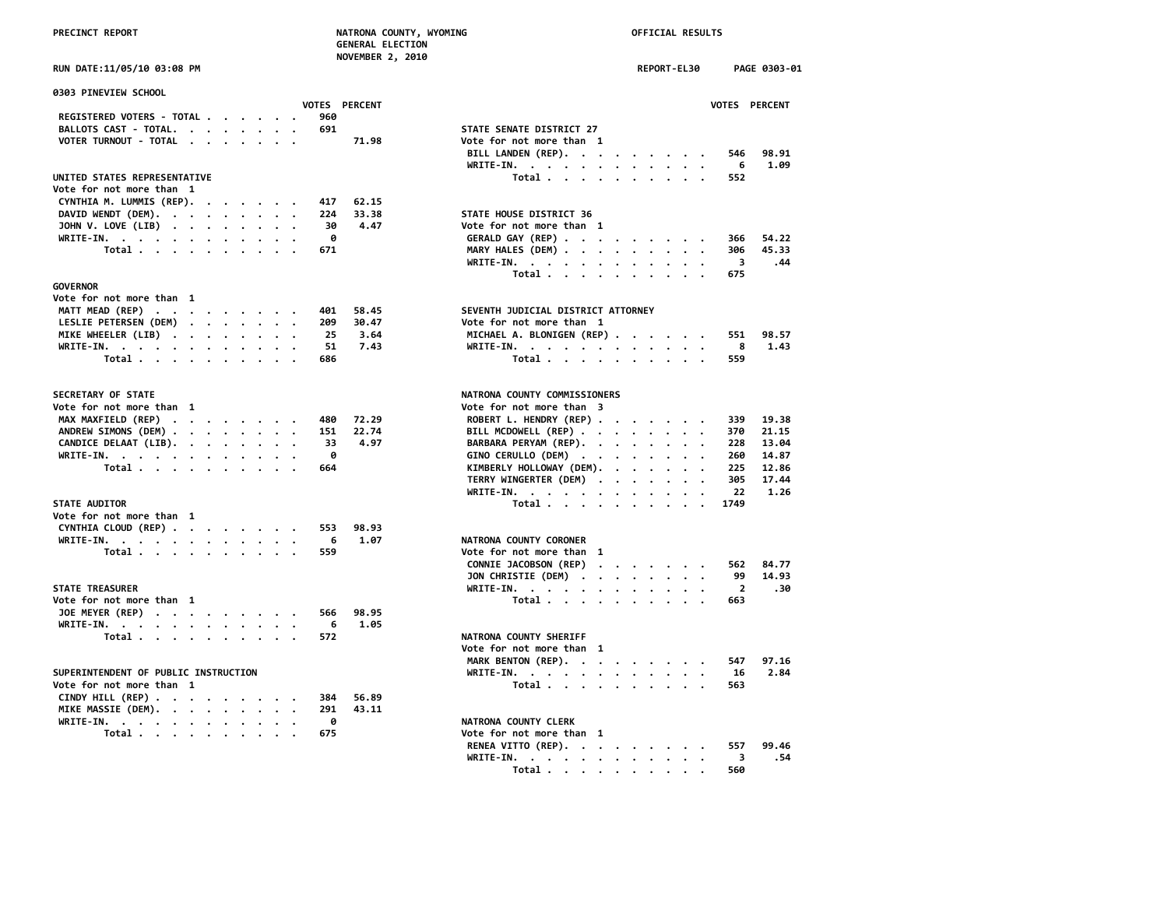| DATE . 11/AE/1A A3 . A9 DM |  |  |
|----------------------------|--|--|

| <b>0303 PINEVIEW SCHOOL</b>          |  |  |     |               |                                                                                                      |                         |
|--------------------------------------|--|--|-----|---------------|------------------------------------------------------------------------------------------------------|-------------------------|
|                                      |  |  |     | VOTES PERCENT |                                                                                                      | <b>VOTES</b>            |
| REGISTERED VOTERS - TOTAL            |  |  | 960 |               |                                                                                                      |                         |
| BALLOTS CAST - TOTAL.                |  |  | 691 |               | STATE SENATE DISTRICT 27                                                                             |                         |
| VOTER TURNOUT - TOTAL                |  |  |     | 71.98         | Vote for not more than 1                                                                             |                         |
|                                      |  |  |     |               | BILL LANDEN (REP).                                                                                   | 546                     |
|                                      |  |  |     |               | WRITE-IN.                                                                                            | 6                       |
| UNITED STATES REPRESENTATIVE         |  |  |     |               | Total                                                                                                | 552                     |
| Vote for not more than 1             |  |  |     |               |                                                                                                      |                         |
| CYNTHIA M. LUMMIS (REP).             |  |  | 417 | 62.15         |                                                                                                      |                         |
| DAVID WENDT (DEM).                   |  |  | 224 | 33.38         | STATE HOUSE DISTRICT 36                                                                              |                         |
| JOHN V. LOVE (LIB)                   |  |  | 30  | 4.47          | Vote for not more than 1                                                                             |                         |
| WRITE-IN.                            |  |  | ø   |               | GERALD GAY (REP)                                                                                     | 366                     |
| Total                                |  |  | 671 |               | MARY HALES (DEM)                                                                                     | 306                     |
|                                      |  |  |     |               | WRITE-IN.                                                                                            | - 3                     |
|                                      |  |  |     |               | Total                                                                                                | 675                     |
| <b>GOVERNOR</b>                      |  |  |     |               |                                                                                                      |                         |
| Vote for not more than 1             |  |  |     |               |                                                                                                      |                         |
| MATT MEAD (REP)                      |  |  | 401 | 58.45         | SEVENTH JUDICIAL DISTRICT ATTORNEY                                                                   |                         |
| LESLIE PETERSEN (DEM)                |  |  | 209 | 30.47         | Vote for not more than 1                                                                             |                         |
| MIKE WHEELER (LIB)                   |  |  | 25  | 3.64          | MICHAEL A. BLONIGEN (REP)                                                                            | 551                     |
| WRITE-IN.                            |  |  | 51  | 7.43          | WRITE-IN.                                                                                            | 8                       |
| Total                                |  |  | 686 |               | Total $\cdots$ $\cdots$ $\cdots$                                                                     | 559                     |
| SECRETARY OF STATE                   |  |  |     |               | NATRONA COUNTY COMMISSIONERS                                                                         |                         |
| Vote for not more than 1             |  |  |     |               | Vote for not more than 3                                                                             |                         |
| MAX MAXFIELD (REP)                   |  |  | 480 | 72.29         | ROBERT L. HENDRY (REP)                                                                               | 339                     |
| ANDREW SIMONS (DEM)                  |  |  | 151 | 22.74         | BILL MCDOWELL (REP)                                                                                  | 370                     |
| CANDICE DELAAT (LIB).                |  |  | 33  | 4.97          | BARBARA PERYAM (REP).                                                                                | 228                     |
| WRITE-IN.                            |  |  | 0   |               | GINO CERULLO (DEM)<br>$\bullet$                                                                      | 260                     |
| Total                                |  |  | 664 |               | KIMBERLY HOLLOWAY (DEM).                                                                             | 225                     |
|                                      |  |  |     |               | TERRY WINGERTER (DEM)                                                                                | 305                     |
|                                      |  |  |     |               | WRITE-IN.<br>$\bullet$<br>$\cdot$ .                                                                  | 22                      |
| <b>STATE AUDITOR</b>                 |  |  |     |               | Total                                                                                                | 1749                    |
| Vote for not more than 1             |  |  |     |               |                                                                                                      |                         |
| CYNTHIA CLOUD (REP)                  |  |  | 553 | 98.93         |                                                                                                      |                         |
| WRITE-IN.                            |  |  | 6   | 1.07          | NATRONA COUNTY CORONER                                                                               |                         |
| Total                                |  |  | 559 |               | Vote for not more than 1                                                                             |                         |
|                                      |  |  |     |               | CONNIE JACOBSON (REP)<br>$\cdot$                                                                     | 562                     |
|                                      |  |  |     |               | JON CHRISTIE (DEM)                                                                                   | 99                      |
| <b>STATE TREASURER</b>               |  |  |     |               | WRITE-IN.                                                                                            | $\overline{\mathbf{z}}$ |
| Vote for not more than 1             |  |  |     |               | Total $\cdots$ $\cdots$ $\cdots$                                                                     | 663                     |
| JOE MEYER (REP)                      |  |  | 566 | 98.95         |                                                                                                      |                         |
| WRITE-IN.                            |  |  | 6   | 1.05          |                                                                                                      |                         |
| Total                                |  |  | 572 |               | NATRONA COUNTY SHERIFF                                                                               |                         |
|                                      |  |  |     |               | Vote for not more than 1                                                                             |                         |
|                                      |  |  |     |               | MARK BENTON (REP).                                                                                   | 547                     |
| SUPERINTENDENT OF PUBLIC INSTRUCTION |  |  |     |               | WRITE-IN.<br>$\mathbf{r}$ , $\mathbf{r}$ , $\mathbf{r}$ , $\mathbf{r}$ , $\mathbf{r}$ , $\mathbf{r}$ | 16                      |
| Vote for not more than 1             |  |  |     |               | Total                                                                                                | 563                     |
| CINDY HILL (REP)                     |  |  | 384 | 56.89         |                                                                                                      |                         |
| MIKE MASSIE (DEM).                   |  |  | 291 | 43.11         |                                                                                                      |                         |
| WRITE-IN.                            |  |  | 0   |               | NATRONA COUNTY CLERK                                                                                 |                         |
| Total                                |  |  | 675 |               | Vote for not more than 1                                                                             |                         |
|                                      |  |  |     |               | BENEA VETTA (BEB)                                                                                    | $- - -$                 |

| RUN DATE:11/05/10 03:08 PM                                         |                      |       |                                                                     | REPORT-EL30 | PAGE 0303-01                   |
|--------------------------------------------------------------------|----------------------|-------|---------------------------------------------------------------------|-------------|--------------------------------|
| 0303 PINEVIEW SCHOOL                                               | <b>VOTES PERCENT</b> |       |                                                                     |             | VOTES PERCENT                  |
| REGISTERED VOTERS - TOTAL                                          | 960                  |       |                                                                     |             |                                |
| BALLOTS CAST - TOTAL.                                              | 691                  |       | STATE SENATE DISTRICT 27                                            |             |                                |
| VOTER TURNOUT - TOTAL<br>$\cdot$ .                                 |                      | 71.98 | Vote for not more than 1                                            |             |                                |
|                                                                    |                      |       | BILL LANDEN (REP).                                                  |             | 98.91<br>546                   |
|                                                                    |                      |       | WRITE-IN.                                                           |             | - 6<br>1.09                    |
| UNITED STATES REPRESENTATIVE                                       |                      |       | Total                                                               |             | 552                            |
| Vote for not more than 1                                           |                      |       |                                                                     |             |                                |
| CYNTHIA M. LUMMIS (REP).<br>$\cdots$                               | 417                  | 62.15 |                                                                     |             |                                |
| DAVID WENDT (DEM).                                                 | 224                  | 33.38 | STATE HOUSE DISTRICT 36                                             |             |                                |
| JOHN V. LOVE (LIB)                                                 | 30                   | 4.47  | Vote for not more than 1                                            |             |                                |
| WRITE-IN.                                                          | 0                    |       | GERALD GAY (REP)                                                    |             | 54.22<br>366                   |
| Total                                                              | 671                  |       | MARY HALES (DEM)                                                    |             | 45.33<br>306                   |
|                                                                    |                      |       |                                                                     |             | $\overline{\mathbf{3}}$<br>.44 |
|                                                                    |                      |       | WRITE-IN.                                                           |             | 675                            |
| <b>GOVERNOR</b>                                                    |                      |       | Total                                                               |             |                                |
|                                                                    |                      |       |                                                                     |             |                                |
| Vote for not more than 1                                           |                      |       | SEVENTH JUDICIAL DISTRICT ATTORNEY                                  |             |                                |
| MATT MEAD (REP)                                                    | 401                  | 58.45 |                                                                     |             |                                |
| LESLIE PETERSEN (DEM)                                              | 209                  | 30.47 | Vote for not more than 1                                            |             |                                |
| MIKE WHEELER (LIB)                                                 | 25                   | 3.64  | MICHAEL A. BLONIGEN (REP)                                           |             | 98.57<br>551                   |
| WRITE-IN.                                                          | 51                   | 7.43  | WRITE-IN.                                                           |             | 8<br>1.43                      |
| Total                                                              | 686                  |       | Total                                                               |             | 559                            |
| SECRETARY OF STATE                                                 |                      |       | NATRONA COUNTY COMMISSIONERS                                        |             |                                |
| Vote for not more than 1                                           |                      |       | Vote for not more than 3                                            |             |                                |
| MAX MAXFIELD (REP)                                                 | 480                  | 72.29 | ROBERT L. HENDRY (REP)                                              |             | 19.38<br>339                   |
| ANDREW SIMONS (DEM)                                                | 151                  | 22.74 | BILL MCDOWELL (REP)                                                 |             | 21.15<br>370                   |
| CANDICE DELAAT (LIB).                                              | 33                   | 4.97  | BARBARA PERYAM (REP).                                               |             | 228<br>13.04                   |
| WRITE-IN.                                                          | ø                    |       | GINO CERULLO (DEM)                                                  |             | 260<br>14.87                   |
| Total                                                              | 664                  |       | KIMBERLY HOLLOWAY (DEM).                                            |             | 225<br>12.86                   |
|                                                                    |                      |       | TERRY WINGERTER (DEM)                                               |             | 305<br>17.44                   |
|                                                                    |                      |       | WRITE-IN.                                                           |             | 22<br>1.26                     |
| <b>STATE AUDITOR</b>                                               |                      |       | Total                                                               |             | 1749                           |
| Vote for not more than 1                                           |                      |       |                                                                     |             |                                |
| CYNTHIA CLOUD (REP)                                                | 553                  | 98.93 |                                                                     |             |                                |
| WRITE-IN.                                                          | - 6                  | 1.07  | NATRONA COUNTY CORONER                                              |             |                                |
| Total                                                              | 559                  |       | Vote for not more than 1                                            |             |                                |
|                                                                    |                      |       | CONNIE JACOBSON (REP)                                               |             | 84.77<br>562                   |
|                                                                    |                      |       | JON CHRISTIE (DEM)                                                  |             | 99<br>14.93                    |
| <b>STATE TREASURER</b>                                             |                      |       | WRITE-IN, $\cdot$ , $\cdot$ , $\cdot$ , $\cdot$ , $\cdot$ , $\cdot$ | $\cdot$     | $\overline{2}$<br>.30          |
| Vote for not more than 1                                           |                      |       | Total                                                               |             | 663                            |
| JOE MEYER (REP)                                                    | 566                  | 98.95 |                                                                     |             |                                |
| WRITE-IN.                                                          | - 6                  | 1.05  |                                                                     |             |                                |
|                                                                    | 572                  |       | NATRONA COUNTY SHERIFF                                              |             |                                |
| Total                                                              |                      |       |                                                                     |             |                                |
|                                                                    |                      |       | Vote for not more than 1                                            |             |                                |
|                                                                    |                      |       | MARK BENTON (REP).                                                  |             | 547<br>97.16                   |
| SUPERINTENDENT OF PUBLIC INSTRUCTION                               |                      |       | WRITE-IN.                                                           |             | 2.84<br>16                     |
| Vote for not more than 1                                           |                      |       | Total                                                               |             | 563                            |
| CINDY HILL (REP) $\cdot \cdot \cdot \cdot \cdot \cdot \cdot \cdot$ | 384                  | 56.89 |                                                                     |             |                                |
| MIKE MASSIE (DEM).<br>$\cdot$ .                                    | 291                  | 43.11 |                                                                     |             |                                |
| WRITE-IN.                                                          | 0                    |       | NATRONA COUNTY CLERK                                                |             |                                |
| Total                                                              | 675                  |       | Vote for not more than 1                                            |             |                                |
|                                                                    |                      |       | RENEA VITTO (REP).                                                  |             | 99.46<br>557                   |
|                                                                    |                      |       | WRITE-IN.                                                           |             | .54<br>3                       |
|                                                                    |                      |       | Total .<br>$\sim$ $\sim$ $\sim$ $\sim$ $\sim$                       | $\bullet$   | 560                            |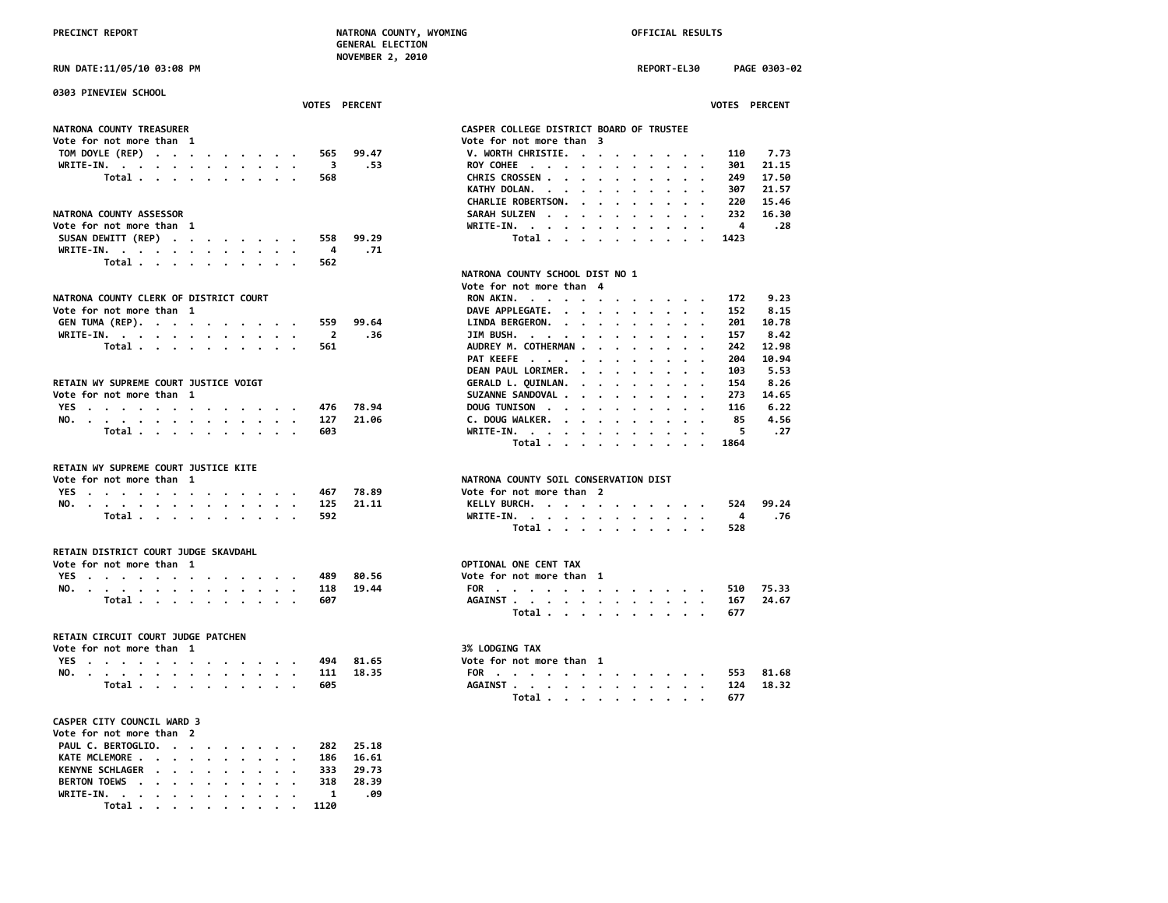| RUN DATE:11/05/10 03:08 PM                                                                                                    |               | REPORT-EL30<br>PAGE 0303-02                                     |
|-------------------------------------------------------------------------------------------------------------------------------|---------------|-----------------------------------------------------------------|
| 0303 PINEVIEW SCHOOL                                                                                                          |               |                                                                 |
|                                                                                                                               | VOTES PERCENT | <b>VOTES PERCENT</b>                                            |
| NATRONA COUNTY TREASURER                                                                                                      |               | CASPER COLLEGE DISTRICT BOARD OF TRUSTEE                        |
| Vote for not more than 1                                                                                                      |               | Vote for not more than 3                                        |
| TOM DOYLE (REP)<br>565                                                                                                        | 99.47         | V. WORTH CHRISTIE.<br>7.73<br>110                               |
| WRITE-IN.                                                                                                                     | 3<br>.53      | ROY COHEE<br>301<br>21.15                                       |
| Total $\cdots$ $\cdots$ $\cdots$<br>568                                                                                       |               | CHRIS CROSSEN<br>17.50<br>249                                   |
|                                                                                                                               |               | KATHY DOLAN.<br>21.57<br>307                                    |
|                                                                                                                               |               | CHARLIE ROBERTSON.<br>220<br>15.46                              |
| NATRONA COUNTY ASSESSOR                                                                                                       |               | SARAH SULZEN<br>232<br>16.30                                    |
| Vote for not more than 1                                                                                                      |               | .28<br>WRITE-IN.<br>4<br>$\blacksquare$<br>$\ddot{\phantom{0}}$ |
| SUSAN DEWITT (REP)<br>558                                                                                                     | 99.29         | Total<br>1423                                                   |
| WRITE-IN.                                                                                                                     | 4<br>.71      |                                                                 |
| Total<br>562                                                                                                                  |               |                                                                 |
|                                                                                                                               |               | NATRONA COUNTY SCHOOL DIST NO 1                                 |
|                                                                                                                               |               | Vote for not more than 4                                        |
| NATRONA COUNTY CLERK OF DISTRICT COURT                                                                                        |               | 9.23<br>RON AKIN.<br>172                                        |
| Vote for not more than 1                                                                                                      |               | DAVE APPLEGATE.<br>8.15<br>152                                  |
| GEN TUMA (REP).<br>559                                                                                                        | 99.64         | 10.78<br>LINDA BERGERON.<br>201                                 |
| WRITE-IN.<br>$\cdot$                                                                                                          | 2<br>.36      | JIM BUSH.<br>8.42<br>157                                        |
| Total $\cdots$ $\cdots$ $\cdots$<br>561                                                                                       |               | AUDREY M. COTHERMAN<br>12.98<br>242                             |
|                                                                                                                               |               | PAT KEEFE<br>10.94<br>204                                       |
|                                                                                                                               |               | DEAN PAUL LORIMER.<br>103<br>5.53<br>$\cdots$                   |
| RETAIN WY SUPREME COURT JUSTICE VOIGT                                                                                         |               | GERALD L. QUINLAN.<br>154<br>8.26                               |
| Vote for not more than 1                                                                                                      |               | SUZANNE SANDOVAL<br>14.65<br>273                                |
| YES<br>476                                                                                                                    | 78.94         | DOUG TUNISON<br>116<br>6.22                                     |
| NO.<br>127                                                                                                                    | 21.06         | C. DOUG WALKER.<br>85<br>4.56                                   |
| Total<br>603                                                                                                                  |               | WRITE-IN.<br>5<br>. 27                                          |
|                                                                                                                               |               | Total<br>1864                                                   |
| RETAIN WY SUPREME COURT JUSTICE KITE                                                                                          |               |                                                                 |
| Vote for not more than 1                                                                                                      |               | NATRONA COUNTY SOIL CONSERVATION DIST                           |
| YES.<br>467                                                                                                                   | 78.89         | Vote for not more than 2                                        |
| NO.<br>125                                                                                                                    | 21.11         | KELLY BURCH.<br>99.24<br>524                                    |
| Total<br>592                                                                                                                  |               | 4<br>.76<br>WRITE-IN.                                           |
|                                                                                                                               |               | Total<br>528                                                    |
|                                                                                                                               |               |                                                                 |
| RETAIN DISTRICT COURT JUDGE SKAVDAHL                                                                                          |               |                                                                 |
| Vote for not more than 1                                                                                                      |               | OPTIONAL ONE CENT TAX                                           |
| YES<br>489<br>the contract of the contract of the contract of the contract of the contract of the contract of the contract of | 80.56         | Vote for not more than 1                                        |
| NO.<br>118                                                                                                                    | 19.44         | FOR<br>75.33<br>510                                             |
| Total<br>607                                                                                                                  |               | AGAINST<br>167<br>24.67                                         |
|                                                                                                                               |               | 677<br>Total                                                    |
| RETAIN CIRCUIT COURT JUDGE PATCHEN                                                                                            |               |                                                                 |
| Vote for not more than 1                                                                                                      |               | 3% LODGING TAX                                                  |
| YES<br>494                                                                                                                    | 81.65         | Vote for not more than 1                                        |
| NO.<br>111<br>$\overline{\phantom{a}}$                                                                                        | 18.35         | FOR<br>81.68<br>553                                             |
| Total<br>605                                                                                                                  |               | AGAINST<br>124<br>18.32                                         |
|                                                                                                                               |               | 677<br>Total $\cdots$ $\cdots$ $\cdots$                         |
|                                                                                                                               |               |                                                                 |
| CASPER CITY COUNCIL WARD 3                                                                                                    |               |                                                                 |

| Vote for not more than 2     |  |  |  |  |  |
|------------------------------|--|--|--|--|--|
| PAUL C. BERTOGLIO. 282 25.18 |  |  |  |  |  |
| KATE MCLEMORE 186 16.61      |  |  |  |  |  |
| KENYNE SCHLAGER 333 29.73    |  |  |  |  |  |
| BERTON TOEWS 318 28.39       |  |  |  |  |  |
| WRITE-IN. 1 .09              |  |  |  |  |  |
| Total 1120                   |  |  |  |  |  |

| STEE |  |  |  |
|------|--|--|--|

| PER COLLEGE DISTRICT BOARD OF TRUSTEE |  |  |  |  |               |           |
|---------------------------------------|--|--|--|--|---------------|-----------|
| e for not more than  3                |  |  |  |  |               |           |
| WORTH CHRISTIE.                       |  |  |  |  | 110           | 7.73      |
| Y COHEE                               |  |  |  |  |               | 301 21.15 |
| RIS CROSSEN                           |  |  |  |  | 249           | 17.50     |
| THY DOLAN.                            |  |  |  |  | 307           | 21.57     |
| ARLIE ROBERTSON.                      |  |  |  |  | 220           | 15.46     |
| RAH SULZEN 232                        |  |  |  |  |               | 16.30     |
| ITE-IN.                               |  |  |  |  | $4 \quad .28$ |           |
| Total                                 |  |  |  |  | 1423          |           |

### **NATRONA COUNTY SCHOOL DIST NO 1**

| ote for not more than 4 |  |  |  |  |  |                                           |       |       |  |
|-------------------------|--|--|--|--|--|-------------------------------------------|-------|-------|--|
| RON AKIN.               |  |  |  |  |  |                                           | 172   | 9.23  |  |
| DAVE APPLEGATE.         |  |  |  |  |  |                                           | 152   | 8.15  |  |
| LINDA BERGERON.         |  |  |  |  |  |                                           | 201   | 10.78 |  |
| JIM BUSH.               |  |  |  |  |  |                                           | 157   | 8.42  |  |
| AUDREY M. COTHERMAN     |  |  |  |  |  |                                           | 242   | 12.98 |  |
| PAT KEEFE               |  |  |  |  |  |                                           | 204   | 10.94 |  |
| DEAN PAUL LORIMER.      |  |  |  |  |  |                                           | 103   | 5.53  |  |
| GERALD L. QUINLAN.      |  |  |  |  |  |                                           | 154   | 8.26  |  |
| SUZANNE SANDOVAL        |  |  |  |  |  |                                           | 273   | 14.65 |  |
| DOUG TUNISON            |  |  |  |  |  |                                           | 116   | 6.22  |  |
| C. DOUG WALKER.         |  |  |  |  |  |                                           | 85    | 4.56  |  |
| WRITE-IN.               |  |  |  |  |  |                                           | 5 .27 |       |  |
|                         |  |  |  |  |  | Total $\ldots$ $\ldots$ $\ldots$ $\ldots$ | 1864  |       |  |
|                         |  |  |  |  |  |                                           |       |       |  |

### **NTY SOIL CONSERVATION DIST**

| ote for not more than  2 |  |  |  |  |     |           |
|--------------------------|--|--|--|--|-----|-----------|
| KELLY BURCH.             |  |  |  |  |     | 524 99.24 |
| WRITE-IN. 4 .76          |  |  |  |  |     |           |
| Total                    |  |  |  |  | 528 |           |

| ote <del>l</del> or not more than 1 |  |  |  |  |  |                                           |                   |  |
|-------------------------------------|--|--|--|--|--|-------------------------------------------|-------------------|--|
|                                     |  |  |  |  |  |                                           | FOR 510 75.33     |  |
|                                     |  |  |  |  |  |                                           | AGAINST 167 24.67 |  |
|                                     |  |  |  |  |  | Total $\ldots$ $\ldots$ $\ldots$ $\ldots$ | 677               |  |

|  |  | ote for not more than |  |  |  |  |
|--|--|-----------------------|--|--|--|--|
|--|--|-----------------------|--|--|--|--|

|  |  |  |  |  |  |       |      | FOR 553 81.68     |
|--|--|--|--|--|--|-------|------|-------------------|
|  |  |  |  |  |  |       |      | AGAINST 124 18.32 |
|  |  |  |  |  |  | Total | -677 |                   |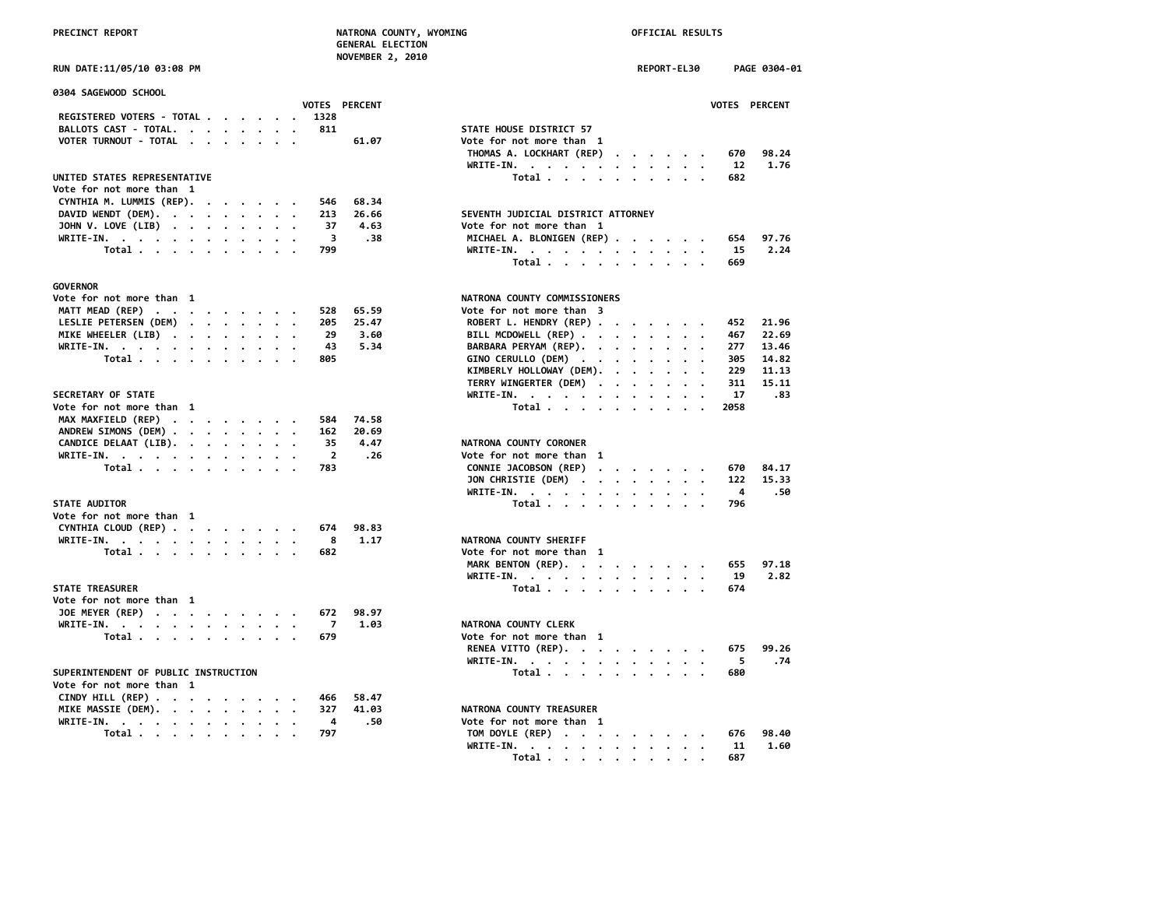**NOVEMBER 2, 2010**

**RUN DATE:11/05/10 03:08 PM** 

| 0304 SAGEWOOD SCHOOL                                               |           | <b>VOTES PERCENT</b>    |       |                                                          | <b>VOTES</b> |
|--------------------------------------------------------------------|-----------|-------------------------|-------|----------------------------------------------------------|--------------|
| REGISTERED VOTERS - TOTAL                                          |           | 1328                    |       |                                                          |              |
| BALLOTS CAST - TOTAL.                                              |           | 811                     |       | STATE HOUSE DISTRICT 57                                  |              |
| VOTER TURNOUT - TOTAL                                              |           |                         | 61.07 | Vote for not more than 1                                 |              |
|                                                                    |           |                         |       | THOMAS A. LOCKHART (REP)<br>$\cdots$                     | 670          |
|                                                                    |           |                         |       | $WRITE-IN.$                                              | 12           |
| UNITED STATES REPRESENTATIVE                                       |           |                         |       | $\sim$ $\sim$                                            |              |
|                                                                    |           |                         |       | Total<br>$\sim$ $\sim$ $\sim$ $\sim$ $\sim$              | 682          |
| Vote for not more than 1                                           |           |                         |       |                                                          |              |
| CYNTHIA M. LUMMIS (REP).                                           |           | 546                     | 68.34 |                                                          |              |
| DAVID WENDT (DEM).                                                 |           | 213                     | 26.66 | SEVENTH JUDICIAL DISTRICT ATTORNEY                       |              |
| JOHN V. LOVE (LIB)                                                 |           | 37                      | 4.63  | Vote for not more than 1                                 |              |
| WRITE-IN.                                                          |           | -3                      | .38   | MICHAEL A. BLONIGEN (REP)                                | 654          |
| Total                                                              |           | 799                     |       | WRITE-IN.                                                | -15          |
|                                                                    |           |                         |       | Total                                                    | 669          |
| <b>GOVERNOR</b>                                                    |           |                         |       |                                                          |              |
| Vote for not more than 1                                           |           |                         |       | NATRONA COUNTY COMMISSIONERS                             |              |
| MATT MEAD (REP)                                                    |           | 528                     | 65.59 | Vote for not more than 3                                 |              |
|                                                                    |           |                         |       |                                                          | 452          |
| LESLIE PETERSEN (DEM)                                              |           | 205                     | 25.47 | ROBERT L. HENDRY (REP)                                   |              |
| MIKE WHEELER (LIB)                                                 |           | 29                      | 3.60  | BILL MCDOWELL (REP)                                      | 467          |
| WRITE-IN.                                                          |           | 43                      | 5.34  | BARBARA PERYAM (REP).<br>$\sim$                          | 277          |
| Total                                                              |           | 805                     |       | GINO CERULLO (DEM)                                       | 305          |
|                                                                    |           |                         |       | KIMBERLY HOLLOWAY (DEM).                                 | 229          |
|                                                                    |           |                         |       | TERRY WINGERTER (DEM)                                    | 311          |
| SECRETARY OF STATE                                                 |           |                         |       | WRITE-IN.                                                | 17           |
| Vote for not more than 1                                           |           |                         |       | Total $\cdots$ $\cdots$ $\cdots$<br>$\sim$ $\sim$ $\sim$ | 2058         |
| MAX MAXFIELD (REP)                                                 |           | 584                     | 74.58 |                                                          |              |
| ANDREW SIMONS (DEM)                                                |           | 162                     | 20.69 |                                                          |              |
| CANDICE DELAAT (LIB).                                              | $\cdot$ . | 35                      | 4.47  | NATRONA COUNTY CORONER                                   |              |
|                                                                    |           | $\overline{\mathbf{2}}$ | .26   | Vote for not more than 1                                 |              |
| WRITE-IN.                                                          |           |                         |       |                                                          |              |
| Total                                                              |           | 783                     |       | CONNIE JACOBSON (REP)                                    | 670          |
|                                                                    |           |                         |       | JON CHRISTIE (DEM)<br>$\cdot$ $\cdot$                    | 122          |
|                                                                    |           |                         |       | WRITE-IN.                                                | 4            |
| <b>STATE AUDITOR</b>                                               |           |                         |       | Total                                                    | 796          |
| Vote for not more than 1                                           |           |                         |       |                                                          |              |
| CYNTHIA CLOUD (REP)                                                |           | 674                     | 98.83 |                                                          |              |
| WRITE-IN.                                                          |           | 8                       | 1.17  | NATRONA COUNTY SHERIFF                                   |              |
| Total                                                              |           | 682                     |       | Vote for not more than 1                                 |              |
|                                                                    |           |                         |       | MARK BENTON (REP).                                       | 655          |
|                                                                    |           |                         |       | WRITE-IN.                                                | 19           |
| <b>STATE TREASURER</b>                                             |           |                         |       | Total                                                    | 674          |
| Vote for not more than 1                                           |           |                         |       |                                                          |              |
|                                                                    |           |                         |       |                                                          |              |
| JOE MEYER (REP)                                                    |           | 672                     | 98.97 |                                                          |              |
| WRITE-IN.                                                          |           | $\overline{7}$          | 1.03  | NATRONA COUNTY CLERK                                     |              |
| Total                                                              |           | 679                     |       | Vote for not more than 1                                 |              |
|                                                                    |           |                         |       | RENEA VITTO (REP).                                       | 675          |
|                                                                    |           |                         |       | WRITE-IN.                                                | 5            |
| SUPERINTENDENT OF PUBLIC INSTRUCTION                               |           |                         |       | Total                                                    | 680          |
| Vote for not more than 1                                           |           |                         |       |                                                          |              |
| CINDY HILL (REP) $\cdot \cdot \cdot \cdot \cdot \cdot \cdot \cdot$ |           | 466                     | 58.47 |                                                          |              |
| MIKE MASSIE (DEM).                                                 |           | 327                     | 41.03 | NATRONA COUNTY TREASURER                                 |              |
|                                                                    |           |                         |       |                                                          |              |
| WRITE-IN.                                                          |           | 4                       | .50   | Vote for not more than 1                                 |              |
| Total                                                              |           | 797                     |       | TOM DOYLE (REP)                                          | 676          |

| RUN DATE:11/05/10 03:08 PM                                           | REPORT-EL30                                                                                               | PAGE 0304-01  |
|----------------------------------------------------------------------|-----------------------------------------------------------------------------------------------------------|---------------|
| <b>0304 SAGEWOOD SCHOOL</b>                                          |                                                                                                           |               |
| <b>VOTES PERCENT</b><br>REGISTERED VOTERS - TOTAL<br>1328            |                                                                                                           | VOTES PERCENT |
| BALLOTS CAST - TOTAL.<br>811                                         | STATE HOUSE DISTRICT 57                                                                                   |               |
| VOTER TURNOUT - TOTAL<br>61.07                                       | Vote for not more than 1                                                                                  |               |
|                                                                      | THOMAS A. LOCKHART (REP)<br>670                                                                           | 98.24         |
|                                                                      | WRITE-IN.                                                                                                 | 1.76<br>12    |
| UNITED STATES REPRESENTATIVE                                         | Total<br>682                                                                                              |               |
| Vote for not more than 1                                             |                                                                                                           |               |
| CYNTHIA M. LUMMIS (REP).<br>546<br>68.34                             |                                                                                                           |               |
| DAVID WENDT (DEM).<br>26.66<br>213                                   | SEVENTH JUDICIAL DISTRICT ATTORNEY                                                                        |               |
| JOHN V. LOVE (LIB)<br>37<br>4.63                                     | Vote for not more than 1                                                                                  |               |
| WRITE-IN.<br>$\overline{\mathbf{3}}$<br>.38                          | MICHAEL A. BLONIGEN (REP)<br>654                                                                          | 97.76         |
| 799                                                                  | WRITE-IN.                                                                                                 | 15<br>2.24    |
| Total                                                                | 669                                                                                                       |               |
|                                                                      | Total                                                                                                     |               |
| <b>GOVERNOR</b>                                                      |                                                                                                           |               |
| Vote for not more than 1                                             | NATRONA COUNTY COMMISSIONERS                                                                              |               |
| MATT MEAD (REP)<br>65.59<br>528                                      | Vote for not more than 3                                                                                  |               |
| LESLIE PETERSEN (DEM)<br>205<br>25.47                                | ROBERT L. HENDRY (REP)<br>452                                                                             | 21.96         |
| MIKE WHEELER (LIB)<br>29<br>3.60                                     | BILL MCDOWELL (REP)<br>467                                                                                | 22.69         |
| WRITE-IN.<br>43<br>5.34                                              | BARBARA PERYAM (REP).<br>277                                                                              | 13.46         |
| Total<br>805                                                         | GINO CERULLO (DEM)<br>305                                                                                 | 14.82         |
|                                                                      | KIMBERLY HOLLOWAY (DEM).<br>229                                                                           | 11.13         |
|                                                                      | TERRY WINGERTER (DEM)<br>311                                                                              | 15.11         |
| <b>SECRETARY OF STATE</b>                                            | WRITE-IN.                                                                                                 | 17<br>.83     |
| Vote for not more than 1                                             | Total<br>2058                                                                                             |               |
| MAX MAXFIELD (REP)<br>74.58<br>584                                   |                                                                                                           |               |
| ANDREW SIMONS (DEM)<br>20.69<br>162                                  |                                                                                                           |               |
| CANDICE DELAAT (LIB).<br>35<br>4.47                                  | NATRONA COUNTY CORONER                                                                                    |               |
| WRITE-IN.<br>$\overline{2}$<br>.26                                   | Vote for not more than 1                                                                                  |               |
| Total<br>783                                                         | CONNIE JACOBSON (REP)<br>$\mathcal{A}$ , and $\mathcal{A}$ , and $\mathcal{A}$ , and $\mathcal{A}$<br>670 | 84.17         |
|                                                                      | JON CHRISTIE (DEM)<br>122                                                                                 | 15.33         |
|                                                                      | WRITE-IN.                                                                                                 | 4<br>.50      |
| <b>STATE AUDITOR</b>                                                 | Total<br>796                                                                                              |               |
| Vote for not more than 1                                             |                                                                                                           |               |
| CYNTHIA CLOUD (REP)<br>674<br>98.83                                  |                                                                                                           |               |
| WRITE-IN.<br>8<br>1.17                                               | NATRONA COUNTY SHERIFF                                                                                    |               |
| Total<br>682                                                         | Vote for not more than 1                                                                                  |               |
|                                                                      | MARK BENTON (REP).<br>655                                                                                 | 97.18         |
|                                                                      | WRITE-IN.                                                                                                 | 2.82<br>19    |
| <b>STATE TREASURER</b>                                               | Total<br>674                                                                                              |               |
| Vote for not more than 1                                             |                                                                                                           |               |
| JOE MEYER (REP)<br>98.97<br>672                                      |                                                                                                           |               |
| WRITE-IN.<br>7<br>1.03                                               | NATRONA COUNTY CLERK                                                                                      |               |
| Total<br>679                                                         | Vote for not more than 1                                                                                  |               |
|                                                                      | RENEA VITTO (REP).<br>675                                                                                 | 99.26         |
|                                                                      | WRITE-IN.                                                                                                 | 5<br>.74      |
| SUPERINTENDENT OF PUBLIC INSTRUCTION                                 | Total<br>680                                                                                              |               |
| Vote for not more than 1                                             |                                                                                                           |               |
| CINDY HILL (REP) $\cdots$ $\cdots$ $\cdots$ $\cdots$<br>58.47<br>466 |                                                                                                           |               |
| 41.03<br>MIKE MASSIE (DEM).<br>327                                   | NATRONA COUNTY TREASURER                                                                                  |               |
| 4<br>.50                                                             | Vote for not more than 1                                                                                  |               |
| WRITE-IN.                                                            |                                                                                                           |               |
| Total<br>797                                                         | TOM DOYLE (REP)<br>676                                                                                    | 98.40         |
|                                                                      | WRITE-IN.                                                                                                 | 1.60<br>11    |
|                                                                      | Total<br>687                                                                                              |               |
|                                                                      |                                                                                                           |               |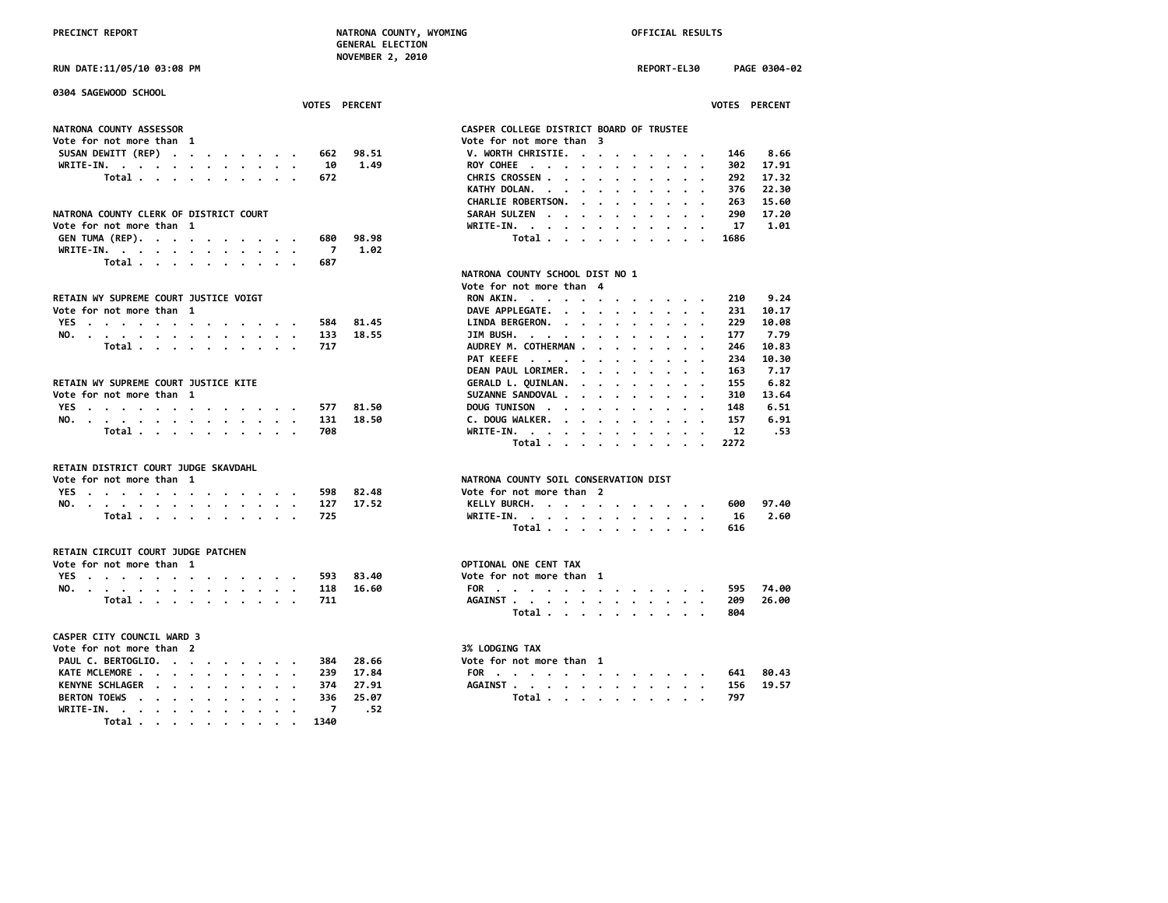PRECINCT REPORT **NATRONA COUNTY, WYOMING NATRONA COUNTY, WYOMING OFFICIAL RESULTS GENERAL ELECTION NOVEMBER 2, 2010**

**RUN DATE:11/05/10 03:08 PM REPORT-EL30 PAGE 0304-02**

**0304 SAGEWOOD SCHOOL VOTES PERCENT VOTES PERCENT NATRONA COUNTY ASSESSOR CASPER COLLEGE DISTRICT BOARD OF TRUSTEE Vote for not more than 3**<br>**V. WORTH CHRISTIE. . . . . . . . . SUSAN DEWITT (REP) . . . . . . . . 662 98.51 V. WORTH CHRISTIE. . . . . . . . . 146 8.66 WRITE-IN. . . . . . . . . . . . 10 1.49 ROY COHEE . . . . . . . . . . . 302 17.91 Total . . . . . . . . . . 672 CHRIS CROSSEN . . . . . . . . . . 292 17.32 KATHY DOLAN. . . . . . . . . . . CHARLIE ROBERTSON. . . . . . . . . 263 15.60** NATRONA COUNTY CLERK OF DISTRICT COURT<br>Vote for not more than 1 and 100 million of the SARAH SULZEN . . . . . . . . . . . . . . . 17 a.01 **Vote for not more than 1 WRITE-IN. . . . . . . . . . . . 17 1.01 GEN TUMA (REP). . . . . . . . . . 680 98.98 Total . . . . . . . . . . 1686 WRITE-IN. . . . . . . . . . . . 7 1.02 Total . . . . . . . . . . 687 NATRONA COUNTY SCHOOL DIST NO 1 PETAIN WY SUPREME COURT JUSTICE VOIGT**<br>RETAIN WY SUPREME COURT JUSTICE VOIGT AND MANUAL RON AKIN. . . . . . . . RETAIN WY SUPREME COURT JUSTICE VOIGT<br>
Vote for not more than 1 and 10.17<br>
Vote for not more than 1 and 10.17 **DAVE APPLEGATE.** . . . . . . . . . 231 10.17<br>81.45 LINDA BERGERON. . . . . . . . . . 229 10.08 **YES . . . . . . . . . . . . . 584 81.45 LINDA BERGERON. . . . . . . . . . 229 10.08 NO. . . . . . . . . . . . . . 133 18.55 JIM BUSH. . . . . . . . . . . . 177 7.79 Total . . . . . . . . . . . 717**<br> **PAT KEEFE** . . . . . . . . . . . . . 234 10.30 **PAT KEEFE** . . . . . . . . . . .  **DEAN PAUL LORIMER. . . . . . . . . 163 7.17 RETAIN WY SUPREME COURT JUSTICE KITE GERALD L. QUINLAN. . . . . . . . . 155 6.82 Vote for not more than 1 SUZANNE SANDOVAL . . . . . . . . . 310 13.64 YES . . . . . . . . . . . . . 577 81.50 DOUG TUNISON . . . . . . . . . . 148 6.51 NO.** . . . . . . . . . . . . . . . 131 18.50<br> **Total** . . . . . . . . . . . 708  **Total . . . . . . . . . . 708 WRITE-IN. . . . . . . . . . . . 12 .53 Total . . . . . . . . . . 2272 RETAIN DISTRICT COURT JUDGE SKAVDAHL NATRONA COUNTY SOIL CONSERVATION DIST**<br>Vote for not more than 2 **YES . . . . . . . . . . . . . 598 82.48 Vote for not more than 2 NO. . . . . . . . . . . . . . 127 17.52 KELLY BURCH. . . . . . . . . . . 600 97.40 Total . . . . . . . . . . 725 WRITE-IN. . . . . . . . . . . . 16 2.60 Total . . . . . . . . . . 616 RETAIN CIRCUIT COURT JUDGE PATCHEN Vote for not more than 1** OPTIONAL ONE CENT TAX<br>
YES . . . . . . . . . . . . . . . 593 83.40 Vote for not more than 1 **YES** . . . . . . . . . . . . . . 593 83.40<br>NO<sub>t</sub> more than 10 and 10 and 10 and 118 16.60 **NO. . . . . . . . . . . . . . 118 16.60 FOR . . . . . . . . . . . . . 595 74.00 Total . . . . . . . . . . 711 AGAINST . . . . . . . . . . . . 209 26.00 Total . . . . . . . . . . 804 CASPER CITY COUNCIL WARD 3 Vote for not more than 2** 3% LODGING TAX **PAUL C. BERTOGLIO. . . . . . . . . 384 28.66 Vote for not more than 1 KATE MCLEMORE . . . . . . . . . . 239 17.84 FOR . . . . . . . . . . . . . 641 80.43 KENYNE SCHLAGER . . . . . . . . . 374 27.91 AGAINST . . . . . . . . . . . . 156 19.57 BERTON TOEWS . . . . . . . . . . WRITE-IN. . . . . . . . . . . . 7 .52 Total . . . . . . . . . . 1340**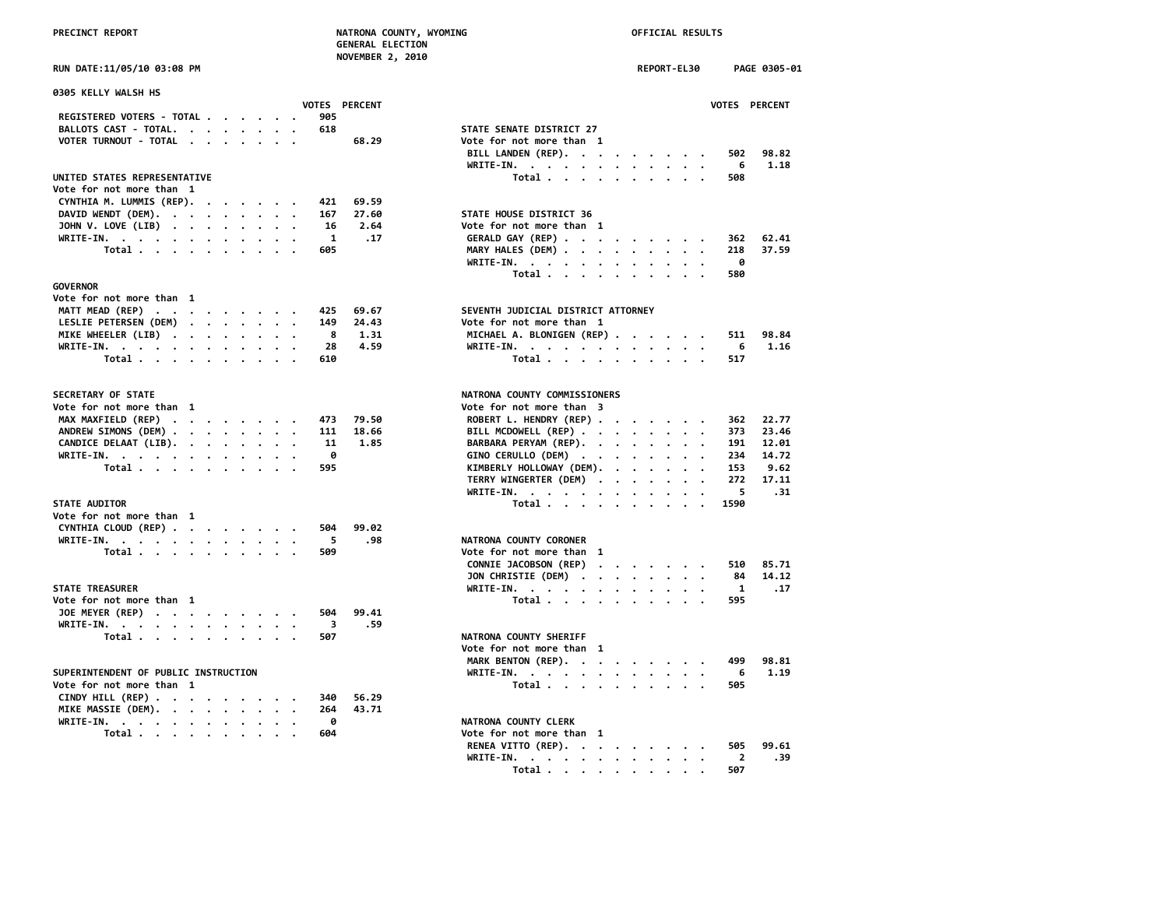**NOVEMBER 2, 2010**

| RUN DATE:11/05/10 03:08 PM |  |  |
|----------------------------|--|--|
|----------------------------|--|--|

| 0305 KELLY WALSH HS                                                                                                                                                                                                                         |  |                                                        |           |                      |                                              |              |
|---------------------------------------------------------------------------------------------------------------------------------------------------------------------------------------------------------------------------------------------|--|--------------------------------------------------------|-----------|----------------------|----------------------------------------------|--------------|
|                                                                                                                                                                                                                                             |  |                                                        |           | <b>VOTES PERCENT</b> |                                              | <b>VOTES</b> |
| REGISTERED VOTERS - TOTAL                                                                                                                                                                                                                   |  |                                                        | 905       |                      |                                              |              |
| BALLOTS CAST - TOTAL.<br>$\cdots$                                                                                                                                                                                                           |  |                                                        | 618       |                      | STATE SENATE DISTRICT 27                     |              |
| VOTER TURNOUT - TOTAL                                                                                                                                                                                                                       |  |                                                        |           | 68.29                | Vote for not more than 1                     |              |
|                                                                                                                                                                                                                                             |  |                                                        |           |                      | BILL LANDEN (REP).                           | 502          |
|                                                                                                                                                                                                                                             |  |                                                        |           |                      | WRITE-IN.                                    | 6            |
| UNITED STATES REPRESENTATIVE                                                                                                                                                                                                                |  |                                                        |           |                      | Total                                        | 508          |
| Vote for not more than 1                                                                                                                                                                                                                    |  |                                                        |           |                      |                                              |              |
| CYNTHIA M. LUMMIS (REP).                                                                                                                                                                                                                    |  |                                                        | 421       | 69.59                |                                              |              |
| DAVID WENDT (DEM).                                                                                                                                                                                                                          |  |                                                        | 167       | 27.60                | STATE HOUSE DISTRICT 36                      |              |
| JOHN V. LOVE (LIB)                                                                                                                                                                                                                          |  |                                                        | 16        | 2.64                 | Vote for not more than 1                     |              |
| WRITE-IN.                                                                                                                                                                                                                                   |  |                                                        | 1         | .17                  | GERALD GAY (REP)                             | 362          |
| Total                                                                                                                                                                                                                                       |  | $\bullet \qquad \bullet \qquad \bullet \qquad \bullet$ | 605       |                      | MARY HALES (DEM)                             | 218          |
|                                                                                                                                                                                                                                             |  |                                                        |           |                      | WRITE-IN.                                    | 0            |
|                                                                                                                                                                                                                                             |  |                                                        |           |                      | Total                                        | 580          |
| <b>GOVERNOR</b>                                                                                                                                                                                                                             |  |                                                        |           |                      |                                              |              |
| Vote for not more than 1                                                                                                                                                                                                                    |  |                                                        |           |                      |                                              |              |
| MATT MEAD (REP)                                                                                                                                                                                                                             |  |                                                        | 425       | 69.67                | SEVENTH JUDICIAL DISTRICT ATTORNEY           |              |
| LESLIE PETERSEN (DEM)                                                                                                                                                                                                                       |  |                                                        | 149       | 24.43                | Vote for not more than 1                     |              |
| MIKE WHEELER (LIB)                                                                                                                                                                                                                          |  |                                                        | 8         | 1.31                 | MICHAEL A. BLONIGEN (REP)                    | 511          |
| WRITE-IN.                                                                                                                                                                                                                                   |  |                                                        | 28        | 4.59                 | WRITE-IN.                                    | 6            |
| Total                                                                                                                                                                                                                                       |  |                                                        | 610       |                      | Total                                        | 517          |
| SECRETARY OF STATE                                                                                                                                                                                                                          |  |                                                        |           |                      | NATRONA COUNTY COMMISSIONERS                 |              |
| Vote for not more than 1                                                                                                                                                                                                                    |  |                                                        |           |                      | Vote for not more than 3                     |              |
| MAX MAXFIELD (REP)                                                                                                                                                                                                                          |  |                                                        |           | 79.50                | ROBERT L. HENDRY (REP)                       | 362          |
| ANDREW SIMONS (DEM)                                                                                                                                                                                                                         |  |                                                        | 473       | 18.66                |                                              | 373          |
|                                                                                                                                                                                                                                             |  |                                                        | 111<br>11 |                      | BILL MCDOWELL (REP)<br>BARBARA PERYAM (REP). | 191          |
| CANDICE DELAAT (LIB).                                                                                                                                                                                                                       |  |                                                        | 0         | 1.85                 |                                              |              |
| WRITE-IN.                                                                                                                                                                                                                                   |  |                                                        |           |                      | GINO CERULLO (DEM)<br>$\bullet$              | 234          |
| Total                                                                                                                                                                                                                                       |  |                                                        | 595       |                      | KIMBERLY HOLLOWAY (DEM).                     | 153          |
|                                                                                                                                                                                                                                             |  |                                                        |           |                      | TERRY WINGERTER (DEM)                        | 272          |
|                                                                                                                                                                                                                                             |  |                                                        |           |                      | WRITE-IN.                                    | 5            |
| <b>STATE AUDITOR</b>                                                                                                                                                                                                                        |  |                                                        |           |                      | Total                                        | 1590         |
| Vote for not more than 1                                                                                                                                                                                                                    |  |                                                        |           |                      |                                              |              |
| CYNTHIA CLOUD (REP)                                                                                                                                                                                                                         |  |                                                        | 504       | 99.02                |                                              |              |
| WRITE-IN.                                                                                                                                                                                                                                   |  |                                                        | 5         | .98                  | NATRONA COUNTY CORONER                       |              |
| Total                                                                                                                                                                                                                                       |  |                                                        | 509       |                      | Vote for not more than 1                     |              |
|                                                                                                                                                                                                                                             |  |                                                        |           |                      | CONNIE JACOBSON (REP)                        | 510          |
|                                                                                                                                                                                                                                             |  |                                                        |           |                      | JON CHRISTIE (DEM)                           | 84           |
| <b>STATE TREASURER</b>                                                                                                                                                                                                                      |  |                                                        |           |                      | WRITE-IN.                                    | 1            |
| Vote for not more than 1                                                                                                                                                                                                                    |  |                                                        |           |                      | Total $\ldots$ $\ldots$ $\ldots$             | 595          |
| JOE MEYER (REP)                                                                                                                                                                                                                             |  |                                                        | 504       | 99.41                |                                              |              |
| WRITE-IN.                                                                                                                                                                                                                                   |  |                                                        | 3         | .59                  |                                              |              |
| Total                                                                                                                                                                                                                                       |  |                                                        | 507       |                      | NATRONA COUNTY SHERIFF                       |              |
|                                                                                                                                                                                                                                             |  |                                                        |           |                      | Vote for not more than 1                     |              |
|                                                                                                                                                                                                                                             |  |                                                        |           |                      | MARK BENTON (REP).                           | 499          |
| SUPERINTENDENT OF PUBLIC INSTRUCTION                                                                                                                                                                                                        |  |                                                        |           |                      | WRITE-IN.                                    | 6            |
| Vote for not more than 1                                                                                                                                                                                                                    |  |                                                        |           |                      | Total $\cdots$ $\cdots$ $\cdots$             | 505          |
| CINDY HILL (REP) $\cdot \cdot \cdot \cdot \cdot \cdot \cdot \cdot$                                                                                                                                                                          |  |                                                        | 340       | 56.29                |                                              |              |
| MIKE MASSIE (DEM).                                                                                                                                                                                                                          |  |                                                        | 264       | 43.71                |                                              |              |
| WRITE-IN.<br>the contract of the contract of the contract of the contract of the contract of the contract of the contract of the contract of the contract of the contract of the contract of the contract of the contract of the contract o |  |                                                        | 0         |                      | NATRONA COUNTY CLERK                         |              |
| Total                                                                                                                                                                                                                                       |  |                                                        | 604       |                      | Vote for not more than 1                     |              |
|                                                                                                                                                                                                                                             |  |                                                        |           |                      |                                              |              |

|                                                                                    | NOVEMBER 2, 2010                          |
|------------------------------------------------------------------------------------|-------------------------------------------|
| RUN DATE:11/05/10 03:08 PM                                                         | REPORT-EL30<br>PAGE 0305-01               |
| 0305 KELLY WALSH HS                                                                |                                           |
| <b>VOTES PERCENT</b><br>REGISTERED VOTERS - TOTAL<br>905                           | VOTES PERCENT                             |
|                                                                                    |                                           |
| BALLOTS CAST - TOTAL.<br>618                                                       | STATE SENATE DISTRICT 27                  |
| VOTER TURNOUT - TOTAL<br>68.29                                                     | Vote for not more than 1                  |
|                                                                                    | BILL LANDEN (REP).<br>502<br>98.82        |
|                                                                                    | 1.18<br>WRITE-IN.<br>6                    |
| UNITED STATES REPRESENTATIVE                                                       | Total<br>508                              |
| Vote for not more than 1                                                           |                                           |
| CYNTHIA M. LUMMIS (REP).<br>69.59<br>421                                           |                                           |
| DAVID WENDT (DEM).<br>27.60<br>167                                                 | STATE HOUSE DISTRICT 36                   |
| JOHN V. LOVE (LIB)<br>16<br>2.64                                                   | Vote for not more than 1                  |
| WRITE-IN.<br>1<br>.17                                                              | GERALD GAY (REP)<br>62.41<br>362          |
| Total<br>605                                                                       | MARY HALES (DEM)<br>37.59<br>218          |
|                                                                                    | 0<br>WRITE-IN.                            |
|                                                                                    | Total<br>580                              |
| <b>GOVERNOR</b>                                                                    |                                           |
| Vote for not more than 1                                                           |                                           |
| MATT MEAD (REP)<br>69.67<br>425                                                    | SEVENTH JUDICIAL DISTRICT ATTORNEY        |
| LESLIE PETERSEN (DEM)<br>24.43<br>149                                              | Vote for not more than 1                  |
| 8<br>MIKE WHEELER (LIB)<br>1.31                                                    | MICHAEL A. BLONIGEN (REP)<br>98.84<br>511 |
| WRITE-IN.<br>28<br>4.59                                                            | WRITE-IN.<br>1.16<br>6                    |
| Total<br>610                                                                       | Total<br>517                              |
|                                                                                    |                                           |
| <b>SECRETARY OF STATE</b>                                                          | NATRONA COUNTY COMMISSIONERS              |
| Vote for not more than 1                                                           | Vote for not more than 3                  |
| MAX MAXFIELD (REP)<br>473<br>79.50                                                 | ROBERT L. HENDRY (REP)<br>22.77<br>362    |
| ANDREW SIMONS (DEM)<br>111<br>18.66                                                | BILL MCDOWELL (REP)<br>23.46<br>373       |
| CANDICE DELAAT (LIB).<br>1.85<br>11                                                | BARBARA PERYAM (REP).<br>191<br>12.01     |
| WRITE-IN.<br>0                                                                     | GINO CERULLO (DEM)<br>234<br>14.72        |
| Total<br>595                                                                       | KIMBERLY HOLLOWAY (DEM).<br>153<br>9.62   |
|                                                                                    | TERRY WINGERTER (DEM)<br>272<br>17.11     |
|                                                                                    | 5<br>.31                                  |
| <b>STATE AUDITOR</b>                                                               | WRITE-IN.<br>1590                         |
|                                                                                    | Total                                     |
| Vote for not more than 1                                                           |                                           |
| CYNTHIA CLOUD (REP)<br>504<br>99.02                                                |                                           |
| WRITE-IN.<br>5<br>.98                                                              | NATRONA COUNTY CORONER                    |
| Total<br>509                                                                       | Vote for not more than 1                  |
|                                                                                    | CONNIE JACOBSON (REP)<br>85.71<br>510     |
|                                                                                    | JON CHRISTIE (DEM)<br>14.12<br>84         |
| <b>STATE TREASURER</b>                                                             | WRITE-IN.<br>1<br>.17                     |
| Vote for not more than 1                                                           | Total<br>595                              |
| JOE MEYER (REP)<br>99.41<br>504                                                    |                                           |
| WRITE-IN.<br>$\overline{\mathbf{3}}$<br>.59                                        |                                           |
| Total<br>507                                                                       | NATRONA COUNTY SHERIFF                    |
|                                                                                    | Vote for not more than 1                  |
|                                                                                    | MARK BENTON (REP).<br>499<br>98.81        |
| SUPERINTENDENT OF PUBLIC INSTRUCTION                                               | WRITE-IN.<br>1.19<br>6                    |
| Vote for not more than 1                                                           | Total<br>505                              |
| CINDY HILL (REP) $\cdot \cdot \cdot \cdot \cdot \cdot \cdot \cdot$<br>340<br>56.29 |                                           |
| MIKE MASSIE (DEM).<br>264<br>43.71                                                 |                                           |
| WRITE-IN.<br>0                                                                     | NATRONA COUNTY CLERK                      |
| 604                                                                                |                                           |
| Total                                                                              | Vote for not more than 1                  |
|                                                                                    | RENEA VITTO (REP).<br>505<br>99.61        |
|                                                                                    | WRITE-IN.<br>.39<br>$\overline{2}$        |
|                                                                                    | 507<br>Total .<br>$\sim$ $\sim$           |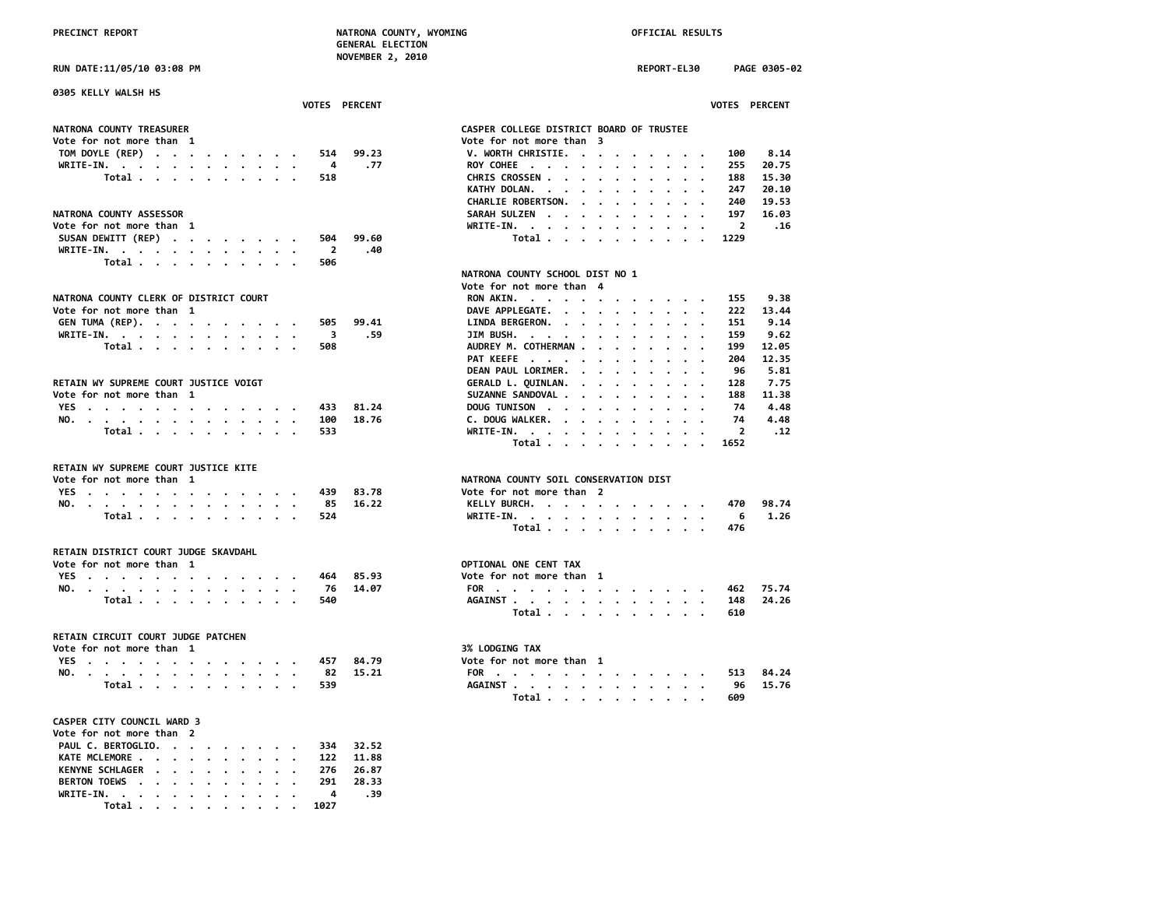**RUN DATE:11/05/10 03:08 PM REPORT-EL30 PAGE 0305-02**

| 0305 KELLY WALSH HS                                                          |                                                                            |
|------------------------------------------------------------------------------|----------------------------------------------------------------------------|
| VOTES PERCENT                                                                | VOTES PERCENT                                                              |
| NATRONA COUNTY TREASURER                                                     | CASPER COLLEGE DISTRICT BOARD OF TRUSTEE                                   |
| Vote for not more than 1                                                     | Vote for not more than 3                                                   |
| TOM DOYLE (REP)<br>99.23<br>514                                              | V. WORTH CHRISTIE.<br>8.14<br>100<br>$\cdots$                              |
| $\overline{4}$<br>.77<br>WRITE-IN.<br>$\cdot$                                | 255<br>20.75<br>ROY COHEE<br>$\cdot$<br>$\cdot$                            |
| Total<br>518                                                                 | CHRIS CROSSEN<br>188<br>15.30                                              |
|                                                                              | KATHY DOLAN.<br>247<br>20.10                                               |
|                                                                              | CHARLIE ROBERTSON.<br>19.53<br>240<br>$\cdot$ $\cdot$ $\cdot$              |
| NATRONA COUNTY ASSESSOR                                                      | 197<br>16.03<br>SARAH SULZEN<br>$\cdot$<br>$\cdot$<br>$\cdot$<br>$\cdot$   |
| Vote for not more than 1                                                     | WRITE-IN.<br>$\overline{2}$<br>.16                                         |
| SUSAN DEWITT (REP)<br>504<br>99.60                                           | Total<br>1229<br>$\sim$ $\sim$<br>$\overline{\phantom{a}}$                 |
| WRITE-IN.<br>$\overline{2}$<br>.40                                           |                                                                            |
| Total $\cdots$ $\cdots$ $\cdots$<br>506                                      |                                                                            |
|                                                                              |                                                                            |
|                                                                              | NATRONA COUNTY SCHOOL DIST NO 1                                            |
|                                                                              | Vote for not more than 4                                                   |
| NATRONA COUNTY CLERK OF DISTRICT COURT                                       | RON AKIN.<br>9.38<br>155                                                   |
| Vote for not more than 1                                                     | DAVE APPLEGATE.<br>222<br>13.44<br>$\sim$<br>$\cdot$                       |
| GEN TUMA (REP).<br>505<br>99.41                                              | 9.14<br>LINDA BERGERON.<br>151                                             |
| .59<br>WRITE-IN.<br>3                                                        | JIM BUSH.<br>9.62<br>159<br>$\cdot$ .                                      |
| Total<br>508<br>$\cdot$ $\cdot$ $\cdot$                                      | AUDREY M. COTHERMAN<br>199<br>12.05                                        |
|                                                                              | PAT KEEFE<br>204<br>12.35<br>$\cdot$                                       |
|                                                                              | DEAN PAUL LORIMER.<br>96<br>5.81<br>$\cdots$                               |
| RETAIN WY SUPREME COURT JUSTICE VOIGT                                        | 7.75<br>GERALD L. QUINLAN.<br>128<br>$\cdot$ $\cdot$<br>$\cdot$<br>$\cdot$ |
| Vote for not more than 1                                                     | SUZANNE SANDOVAL .<br>188<br>11.38<br>$\cdots$                             |
| YES<br>81.24<br>433                                                          | 74<br>4.48<br>DOUG TUNISON<br>$\sim$<br>$\overline{\phantom{a}}$           |
| NO.<br>18.76<br>100                                                          | 4.48<br>C. DOUG WALKER.<br>74                                              |
| Total<br>533                                                                 | $\overline{2}$<br>$WRITE-IN.$<br>.12                                       |
|                                                                              | Total<br>1652<br>$\overline{\phantom{a}}$                                  |
| RETAIN WY SUPREME COURT JUSTICE KITE                                         |                                                                            |
|                                                                              | NATRONA COUNTY SOIL CONSERVATION DIST                                      |
| Vote for not more than 1                                                     |                                                                            |
| YES<br>83.78<br>439                                                          | Vote for not more than 2                                                   |
| 85<br>16.22<br>NO.<br>$\cdot$                                                | 98.74<br>KELLY BURCH.<br>470                                               |
| Total<br>524                                                                 | WRITE-IN.<br>6<br>1.26                                                     |
|                                                                              | Total<br>476                                                               |
| RETAIN DISTRICT COURT JUDGE SKAVDAHL                                         |                                                                            |
| Vote for not more than 1                                                     | OPTIONAL ONE CENT TAX                                                      |
| YES<br>464<br>85.93<br>$\cdot$ $\cdot$ $\cdot$                               | Vote for not more than 1                                                   |
| NO.<br>76<br>14.07                                                           | 75.74<br>FOR<br>462                                                        |
| Total<br>540<br>$\cdot$<br>$\cdot$ $\cdot$                                   | AGAINST<br>148<br>24.26                                                    |
|                                                                              | Total<br>610                                                               |
|                                                                              |                                                                            |
| RETAIN CIRCUIT COURT JUDGE PATCHEN                                           |                                                                            |
| Vote for not more than 1                                                     | 3% LODGING TAX                                                             |
| YES<br>457<br>84.79                                                          | Vote for not more than 1                                                   |
| NO.<br>82<br>15.21                                                           | 84.24<br>FOR<br>513                                                        |
| Total<br>539                                                                 | 15.76<br>AGAINST<br>96                                                     |
|                                                                              | Total<br>609<br>$\cdot$<br>$\cdot$                                         |
| CASPER CITY COUNCIL WARD 3                                                   |                                                                            |
| Vote for not more than 2                                                     |                                                                            |
| PAUL C. BERTOGLIO.<br>334<br>32.52                                           |                                                                            |
| KATE MCLEMORE<br>11.88<br>122                                                |                                                                            |
| <b>KENYNE SCHLAGER .</b><br>276<br>26.87<br>$\sim$                           |                                                                            |
| <b>BERTON TOEWS</b><br>291<br>28.33                                          |                                                                            |
| $\sim$ $\sim$<br>$\cdot$ $\cdot$ $\cdot$<br>$\ddot{\phantom{a}}$<br>4<br>.39 |                                                                            |
| WRITE-IN. .                                                                  |                                                                            |

 **Total . . . . . . . . . . 1027**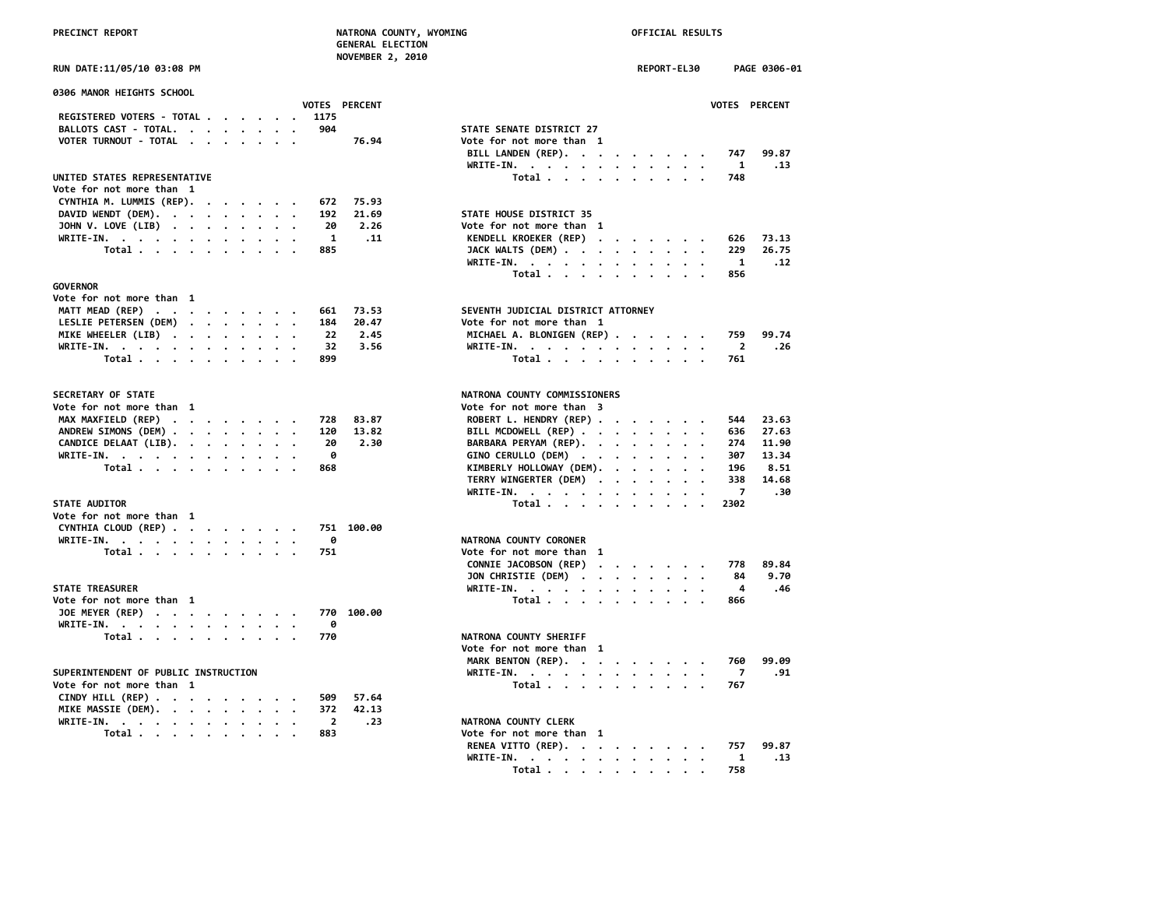| PRECINCT REPORT                                                                                                                                                                                                                             | NATRONA COUNTY, WYOMING<br><b>GENERAL ELECTION</b> |                                                     | OFFICIAL RESULTS             |
|---------------------------------------------------------------------------------------------------------------------------------------------------------------------------------------------------------------------------------------------|----------------------------------------------------|-----------------------------------------------------|------------------------------|
| RUN DATE:11/05/10 03:08 PM                                                                                                                                                                                                                  | <b>NOVEMBER 2, 2010</b>                            |                                                     | REPORT-EL30<br>PAGE 0306-01  |
| 0306 MANOR HEIGHTS SCHOOL                                                                                                                                                                                                                   |                                                    |                                                     |                              |
|                                                                                                                                                                                                                                             | VOTES PERCENT                                      |                                                     | VOTES PERCENT                |
| REGISTERED VOTERS - TOTAL<br>BALLOTS CAST - TOTAL.                                                                                                                                                                                          | 1175<br>904                                        | STATE SENATE DISTRICT 27                            |                              |
| VOTER TURNOUT - TOTAL                                                                                                                                                                                                                       | 76.94                                              | Vote for not more than 1                            |                              |
|                                                                                                                                                                                                                                             |                                                    | BILL LANDEN (REP).<br>WRITE-IN.                     | 99.87<br>747<br>1<br>.13     |
| UNITED STATES REPRESENTATIVE                                                                                                                                                                                                                |                                                    | Total                                               | 748                          |
| Vote for not more than 1                                                                                                                                                                                                                    |                                                    |                                                     |                              |
| CYNTHIA M. LUMMIS (REP).                                                                                                                                                                                                                    | 75.93<br>672                                       |                                                     |                              |
| DAVID WENDT (DEM). $\cdot \cdot \cdot \cdot \cdot \cdot \cdot \cdot$<br>JOHN V. LOVE (LIB)                                                                                                                                                  | 192<br>21.69<br>2.26<br>20                         | STATE HOUSE DISTRICT 35<br>Vote for not more than 1 |                              |
| WRITE-IN.                                                                                                                                                                                                                                   | 1<br>.11                                           | KENDELL KROEKER (REP)                               | 73.13<br>626                 |
| Total                                                                                                                                                                                                                                       | 885                                                | JACK WALTS (DEM)                                    | 229<br>26.75                 |
|                                                                                                                                                                                                                                             |                                                    | WRITE-IN.                                           | 1<br>.12                     |
|                                                                                                                                                                                                                                             |                                                    | Total                                               | 856                          |
| <b>GOVERNOR</b>                                                                                                                                                                                                                             |                                                    |                                                     |                              |
| Vote for not more than 1<br>MATT MEAD (REP)                                                                                                                                                                                                 | 661<br>73.53                                       | SEVENTH JUDICIAL DISTRICT ATTORNEY                  |                              |
| LESLIE PETERSEN (DEM)                                                                                                                                                                                                                       | 184<br>20.47                                       | Vote for not more than 1                            |                              |
| MIKE WHEELER (LIB)                                                                                                                                                                                                                          | 22<br>2.45                                         | MICHAEL A. BLONIGEN (REP)                           | 99.74<br>759                 |
| WRITE-IN.                                                                                                                                                                                                                                   | 32<br>3.56                                         | WRITE-IN.                                           | $\overline{2}$<br>.26        |
| Total                                                                                                                                                                                                                                       | 899                                                | Total                                               | 761                          |
| SECRETARY OF STATE                                                                                                                                                                                                                          |                                                    | NATRONA COUNTY COMMISSIONERS                        |                              |
| Vote for not more than 1                                                                                                                                                                                                                    |                                                    | Vote for not more than 3                            |                              |
| MAX MAXFIELD (REP)                                                                                                                                                                                                                          | 728<br>83.87                                       | ROBERT L. HENDRY (REP)                              | 544<br>23.63                 |
| ANDREW SIMONS (DEM)                                                                                                                                                                                                                         | 120<br>13.82                                       | BILL MCDOWELL (REP)                                 | 636<br>27.63                 |
| CANDICE DELAAT (LIB).<br>WRITE-IN, $\cdots$ , $\cdots$ , $\cdots$                                                                                                                                                                           | 20<br>2.30<br>ø                                    | BARBARA PERYAM (REP).<br>GINO CERULLO (DEM)         | 11.90<br>274<br>13.34<br>307 |
| Total                                                                                                                                                                                                                                       | 868                                                | KIMBERLY HOLLOWAY (DEM).                            | 196<br>8.51                  |
|                                                                                                                                                                                                                                             |                                                    | TERRY WINGERTER (DEM)                               | 14.68<br>338                 |
|                                                                                                                                                                                                                                             |                                                    | WRITE-IN.                                           | $\overline{7}$<br>.30        |
| <b>STATE AUDITOR</b>                                                                                                                                                                                                                        |                                                    | Total                                               | 2302                         |
| Vote for not more than 1                                                                                                                                                                                                                    |                                                    |                                                     |                              |
| CYNTHIA CLOUD (REP)                                                                                                                                                                                                                         | 751 100.00<br>0                                    | NATRONA COUNTY CORONER                              |                              |
| WRITE-IN.<br>Total                                                                                                                                                                                                                          | 751                                                | Vote for not more than 1                            |                              |
|                                                                                                                                                                                                                                             |                                                    | CONNIE JACOBSON (REP)                               | 89.84<br>778                 |
|                                                                                                                                                                                                                                             |                                                    | JON CHRISTIE (DEM)                                  | 9.70<br>84                   |
| <b>STATE TREASURER</b>                                                                                                                                                                                                                      |                                                    | WRITE-IN.                                           | 4<br>.46                     |
| Vote for not more than 1                                                                                                                                                                                                                    |                                                    | Total                                               | 866                          |
| JOE MEYER (REP)                                                                                                                                                                                                                             | 770 100.00                                         |                                                     |                              |
| WRITE-IN.<br>and a series of the series of the series of the series of the series of the series of the series of the series of the series of the series of the series of the series of the series of the series of the series of the series | 0<br>770                                           | NATRONA COUNTY SHERIFF                              |                              |
| Total $\cdots$ $\cdots$ $\cdots$ $\cdots$                                                                                                                                                                                                   |                                                    | Vote for not more than 1                            |                              |
|                                                                                                                                                                                                                                             |                                                    | MARK BENTON (REP).                                  | 99.09<br>760                 |
| SUPERINTENDENT OF PUBLIC INSTRUCTION                                                                                                                                                                                                        |                                                    | WRITE-IN.                                           | $\overline{7}$<br>.91        |
| Vote for not more than 1                                                                                                                                                                                                                    |                                                    | Total                                               | 767                          |
| CINDY HILL (REP)                                                                                                                                                                                                                            | 57.64<br>509                                       |                                                     |                              |
| MIKE MASSIE (DEM).                                                                                                                                                                                                                          | 372<br>42.13                                       |                                                     |                              |
| WRITE-IN.<br>Total                                                                                                                                                                                                                          | $\mathbf{2}$<br>.23<br>883                         | NATRONA COUNTY CLERK<br>Vote for not more than 1    |                              |
|                                                                                                                                                                                                                                             |                                                    |                                                     |                              |

| <b>0306 MANOR HEIGHTS SCHOOL</b>          |                              |                                                         |       |
|-------------------------------------------|------------------------------|---------------------------------------------------------|-------|
| REGISTERED VOTERS - TOTAL                 | <b>VOTES PERCENT</b><br>1175 | VOTES PERCENT                                           |       |
| BALLOTS CAST - TOTAL.                     | 904                          | STATE SENATE DISTRICT 27                                |       |
| VOTER TURNOUT - TOTAL                     | 76.94                        | Vote for not more than 1                                |       |
|                                           |                              | BILL LANDEN (REP).<br>747                               | 99.87 |
|                                           |                              | WRITE-IN.<br>$\mathbf{1}$                               | .13   |
| UNITED STATES REPRESENTATIVE              |                              | Total<br>748                                            |       |
| Vote for not more than 1                  |                              |                                                         |       |
| CYNTHIA M. LUMMIS (REP).                  | 75.93<br>672                 |                                                         |       |
| DAVID WENDT (DEM).                        | 192<br>21.69                 | STATE HOUSE DISTRICT 35                                 |       |
| JOHN V. LOVE (LIB)                        | 20<br>2.26                   | Vote for not more than 1                                |       |
| WRITE-IN.                                 | 1<br>.11                     | KENDELL KROEKER (REP)<br>626                            | 73.13 |
| Total $\cdots$ $\cdots$ $\cdots$ $\cdots$ | 885                          | JACK WALTS (DEM)<br>229                                 | 26.75 |
|                                           |                              | WRITE-IN.<br>$\mathbf{1}$                               | .12   |
|                                           |                              | 856                                                     |       |
| GOVERNOR                                  |                              | Total $\ldots$ $\ldots$ $\ldots$ $\ldots$               |       |
| Vote for not more than 1                  |                              |                                                         |       |
| MATT MEAD (REP)                           | 661<br>73.53                 | SEVENTH JUDICIAL DISTRICT ATTORNEY                      |       |
|                                           | 20.47<br>184                 | Vote for not more than 1                                |       |
| LESLIE PETERSEN (DEM)                     | 22<br>2.45                   | 759                                                     | 99.74 |
| MIKE WHEELER (LIB)<br>WRITE-IN.           | 32<br>3.56                   | MICHAEL A. BLONIGEN (REP)<br>$\overline{2}$             | .26   |
| Total                                     | 899                          | WRITE-IN.<br>761                                        |       |
|                                           |                              | Total                                                   |       |
| <b>SECRETARY OF STATE</b>                 |                              | NATRONA COUNTY COMMISSIONERS                            |       |
| Vote for not more than 1                  |                              | Vote for not more than 3                                |       |
| MAX MAXFIELD (REP)                        | 83.87<br>728                 | ROBERT L. HENDRY (REP)<br>544                           | 23.63 |
| ANDREW SIMONS (DEM)                       | 120<br>13.82                 | BILL MCDOWELL (REP)<br>636                              | 27.63 |
| CANDICE DELAAT (LIB).                     | 20<br>2.30                   | BARBARA PERYAM (REP).<br>274                            | 11.90 |
| WRITE-IN.                                 | 0                            | GINO CERULLO (DEM)<br>307                               | 13.34 |
| Total                                     | 868                          | KIMBERLY HOLLOWAY (DEM).<br>196                         | 8.51  |
|                                           |                              | TERRY WINGERTER (DEM)<br>338                            | 14.68 |
|                                           |                              | $\overline{7}$<br>WRITE-IN.<br>$\overline{\phantom{a}}$ | .30   |
| <b>STATE AUDITOR</b>                      |                              | Total<br>2302                                           |       |
| Vote for not more than 1                  |                              |                                                         |       |
| CYNTHIA CLOUD (REP)                       | 751 100.00                   |                                                         |       |
| WRITE-IN.                                 | 0                            | NATRONA COUNTY CORONER                                  |       |
| Total                                     | 751                          | Vote for not more than 1                                |       |
|                                           |                              | CONNIE JACOBSON (REP)<br>778                            | 89.84 |
|                                           |                              | JON CHRISTIE (DEM)<br>84                                | 9.70  |
| <b>STATE TREASURER</b>                    |                              | WRITE-IN.<br>4                                          | .46   |
| Vote for not more than 1                  |                              | Total<br>866                                            |       |
| JOE MEYER (REP)                           | 770 100.00                   |                                                         |       |
| WRITE-IN.                                 | 0                            |                                                         |       |
| Total                                     | 770                          | NATRONA COUNTY SHERIFF                                  |       |
|                                           |                              | Vote for not more than 1                                |       |
|                                           |                              | MARK BENTON (REP).<br>760                               | 99.09 |
| SUPERINTENDENT OF PUBLIC INSTRUCTION      |                              | WRITE-IN.<br>7                                          | .91   |
| Vote for not more than 1                  |                              | Total<br>767                                            |       |
| CINDY HILL (REP)                          | 57.64<br>509                 |                                                         |       |
| MIKE MASSIE (DEM).                        | 372<br>42.13                 |                                                         |       |
| WRITE-IN.                                 | $\overline{2}$<br>.23        | NATRONA COUNTY CLERK                                    |       |
| Total $\cdots$ $\cdots$ $\cdots$          | 883                          | Vote for not more than 1                                |       |
|                                           |                              | RENEA VITTO (REP).<br>757                               | 99.87 |
|                                           |                              | WRITE-IN.<br>1                                          | .13   |
|                                           |                              | Total<br>758                                            |       |
|                                           |                              |                                                         |       |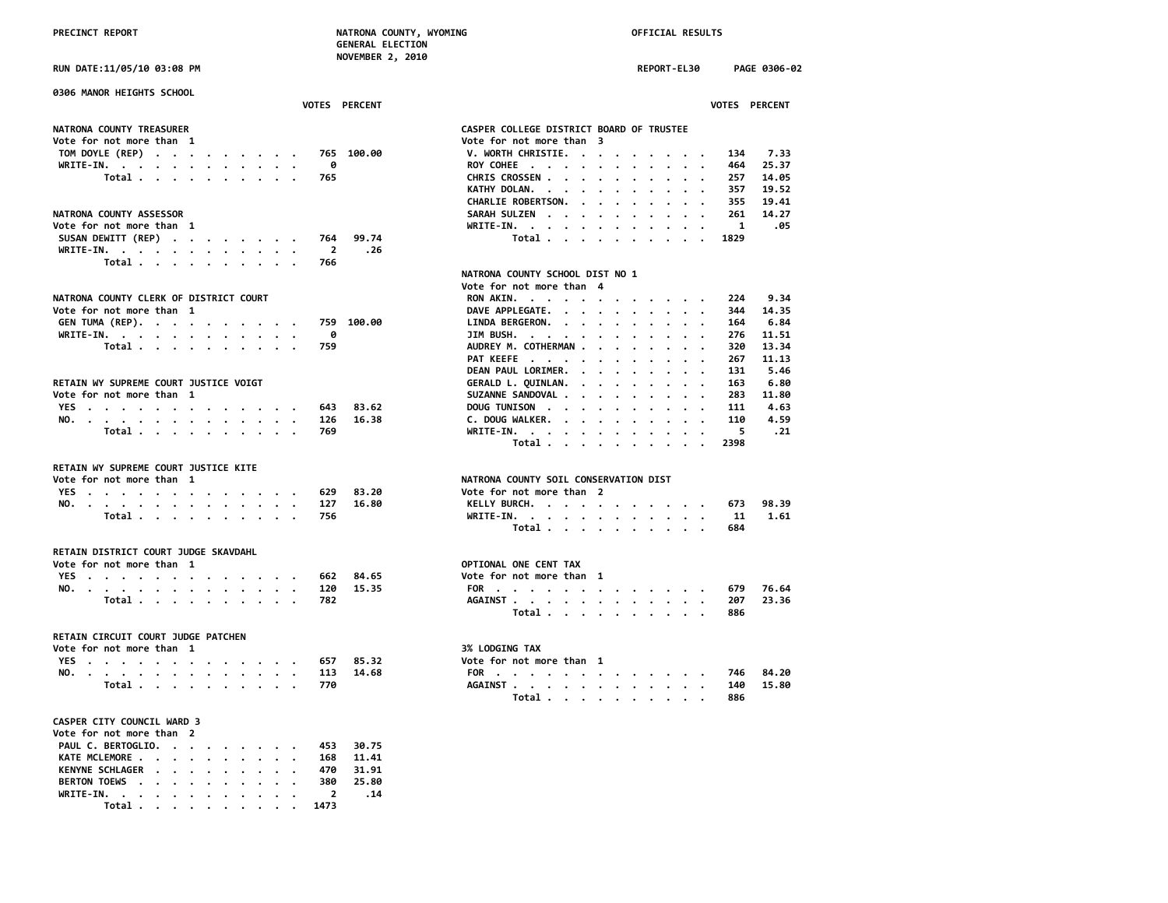| RUN DATE:11/05/10 03:08 PM                                                                                                                                                                                | REPORT-EL30<br>PAGE 0306-02                                                                                        |
|-----------------------------------------------------------------------------------------------------------------------------------------------------------------------------------------------------------|--------------------------------------------------------------------------------------------------------------------|
| 0306 MANOR HEIGHTS SCHOOL<br><b>VOTES PERCENT</b>                                                                                                                                                         | VOTES PERCENT                                                                                                      |
|                                                                                                                                                                                                           |                                                                                                                    |
| NATRONA COUNTY TREASURER                                                                                                                                                                                  | CASPER COLLEGE DISTRICT BOARD OF TRUSTEE                                                                           |
| Vote for not more than 1                                                                                                                                                                                  | Vote for not more than 3                                                                                           |
| TOM DOYLE (REP)<br>765 100.00                                                                                                                                                                             | V. WORTH CHRISTIE.<br>134<br>7.33                                                                                  |
| 0<br>WRITE-IN.                                                                                                                                                                                            | 464<br>25.37<br>ROY COHEE<br>$\overline{\phantom{a}}$                                                              |
| Total<br>765                                                                                                                                                                                              | CHRIS CROSSEN<br>257<br>14.05                                                                                      |
|                                                                                                                                                                                                           | 19.52<br>KATHY DOLAN.<br>357                                                                                       |
|                                                                                                                                                                                                           | <b>CHARLIE ROBERTSON.</b><br>355<br>19.41<br>$\sim$ $\sim$ $\sim$ $\sim$<br>$\cdot$ $\cdot$<br>$\sim$<br>$\cdot$ . |
| NATRONA COUNTY ASSESSOR                                                                                                                                                                                   | SARAH SULZEN<br>261<br>14.27                                                                                       |
| Vote for not more than 1                                                                                                                                                                                  | $\mathbf{1}$<br>.05<br>WRITE-IN.<br>$\cdots$<br>.                                                                  |
| SUSAN DEWITT (REP)<br>99.74<br>764                                                                                                                                                                        | Total<br>1829<br>$\cdots$                                                                                          |
| WRITE-IN.<br>$\overline{2}$<br>.26                                                                                                                                                                        |                                                                                                                    |
| Total<br>766                                                                                                                                                                                              |                                                                                                                    |
|                                                                                                                                                                                                           | NATRONA COUNTY SCHOOL DIST NO 1                                                                                    |
|                                                                                                                                                                                                           | Vote for not more than 4                                                                                           |
| NATRONA COUNTY CLERK OF DISTRICT COURT                                                                                                                                                                    | 9.34<br>RON AKIN.<br>224                                                                                           |
| Vote for not more than 1                                                                                                                                                                                  | DAVE APPLEGATE.<br>344<br>14.35                                                                                    |
| GEN TUMA (REP).<br>759 100.00                                                                                                                                                                             | LINDA BERGERON.<br>6.84<br>164                                                                                     |
| WRITE-IN.<br>ø<br>$\cdot$ $\cdot$                                                                                                                                                                         | JIM BUSH.<br>276<br>11.51<br>$\sim$<br>$\cdot$ .                                                                   |
| 759<br>Total                                                                                                                                                                                              | AUDREY M. COTHERMAN<br>13.34<br>320<br>$\sim$ $\sim$                                                               |
|                                                                                                                                                                                                           | PAT KEEFE<br>267<br>11.13<br>$\cdot$ $\cdot$                                                                       |
|                                                                                                                                                                                                           | DEAN PAUL LORIMER.<br>131<br>5.46<br>$\sim$ $\sim$ $\sim$                                                          |
| RETAIN WY SUPREME COURT JUSTICE VOIGT                                                                                                                                                                     | GERALD L. QUINLAN.<br>163<br>6.80<br>$\cdots$<br>$\sim$<br>$\cdot$ .                                               |
| Vote for not more than 1                                                                                                                                                                                  | SUZANNE SANDOVAL<br>283<br>11.80<br>$\ddot{\phantom{a}}$                                                           |
| 83.62<br>YES.<br>643                                                                                                                                                                                      | DOUG TUNISON<br>111<br>4.63<br>$\sim$                                                                              |
| NO.<br>126<br>16.38                                                                                                                                                                                       | C. DOUG WALKER.<br>4.59<br>110<br>$\sim$<br>$\sim$ $\sim$                                                          |
| 769<br>Total                                                                                                                                                                                              | 5<br>WRITE-IN.<br>. 21                                                                                             |
|                                                                                                                                                                                                           | Total<br>2398                                                                                                      |
| RETAIN WY SUPREME COURT JUSTICE KITE                                                                                                                                                                      |                                                                                                                    |
| Vote for not more than 1                                                                                                                                                                                  | NATRONA COUNTY SOIL CONSERVATION DIST                                                                              |
| YES<br>629<br>83.20                                                                                                                                                                                       | Vote for not more than 2                                                                                           |
| 127<br>16.80<br>NO.                                                                                                                                                                                       | 98.39<br>KELLY BURCH.<br>673                                                                                       |
| 756<br>Total                                                                                                                                                                                              | 1.61<br>WRITE-IN.<br>11                                                                                            |
|                                                                                                                                                                                                           | Total<br>684                                                                                                       |
| RETAIN DISTRICT COURT JUDGE SKAVDAHL                                                                                                                                                                      |                                                                                                                    |
| Vote for not more than 1                                                                                                                                                                                  | OPTIONAL ONE CENT TAX                                                                                              |
| YES<br>662<br>84.65                                                                                                                                                                                       | Vote for not more than 1                                                                                           |
| NO.<br>120<br>15.35                                                                                                                                                                                       | 679<br>76.64<br>FOR                                                                                                |
| Total<br>782                                                                                                                                                                                              | AGAINST<br>207<br>23.36                                                                                            |
|                                                                                                                                                                                                           | Total<br>886                                                                                                       |
| RETAIN CIRCUIT COURT JUDGE PATCHEN                                                                                                                                                                        |                                                                                                                    |
| Vote for not more than 1                                                                                                                                                                                  | 3% LODGING TAX                                                                                                     |
| YES<br>657<br>85.32                                                                                                                                                                                       | Vote for not more than 1                                                                                           |
| 113<br>14.68<br>NO.                                                                                                                                                                                       | 746<br>84.20<br>FOR                                                                                                |
| 770<br>Total                                                                                                                                                                                              | AGAINST<br>140<br>15.80                                                                                            |
|                                                                                                                                                                                                           | 886<br>Total                                                                                                       |
| CASPER CITY COUNCIL WARD 3                                                                                                                                                                                |                                                                                                                    |
| Vote for not more than 2                                                                                                                                                                                  |                                                                                                                    |
| PAUL C. BERTOGLIO.<br>30.75<br>453                                                                                                                                                                        |                                                                                                                    |
| 11.41<br>KATE MCLEMORE<br>168                                                                                                                                                                             |                                                                                                                    |
| 31.91<br><b>KENYNE SCHLAGER</b><br>470<br>$\begin{array}{cccccccccccccc} \bullet & \bullet & \bullet & \bullet & \bullet & \bullet & \bullet & \bullet & \bullet & \bullet \end{array}$<br>$\blacksquare$ |                                                                                                                    |

**BERTON TOEWS . . . . . . . . . . 380 25.80 WRITE-IN. . . . . . . . . . . . 2 .14 Total . . . . . . . . . . 1473**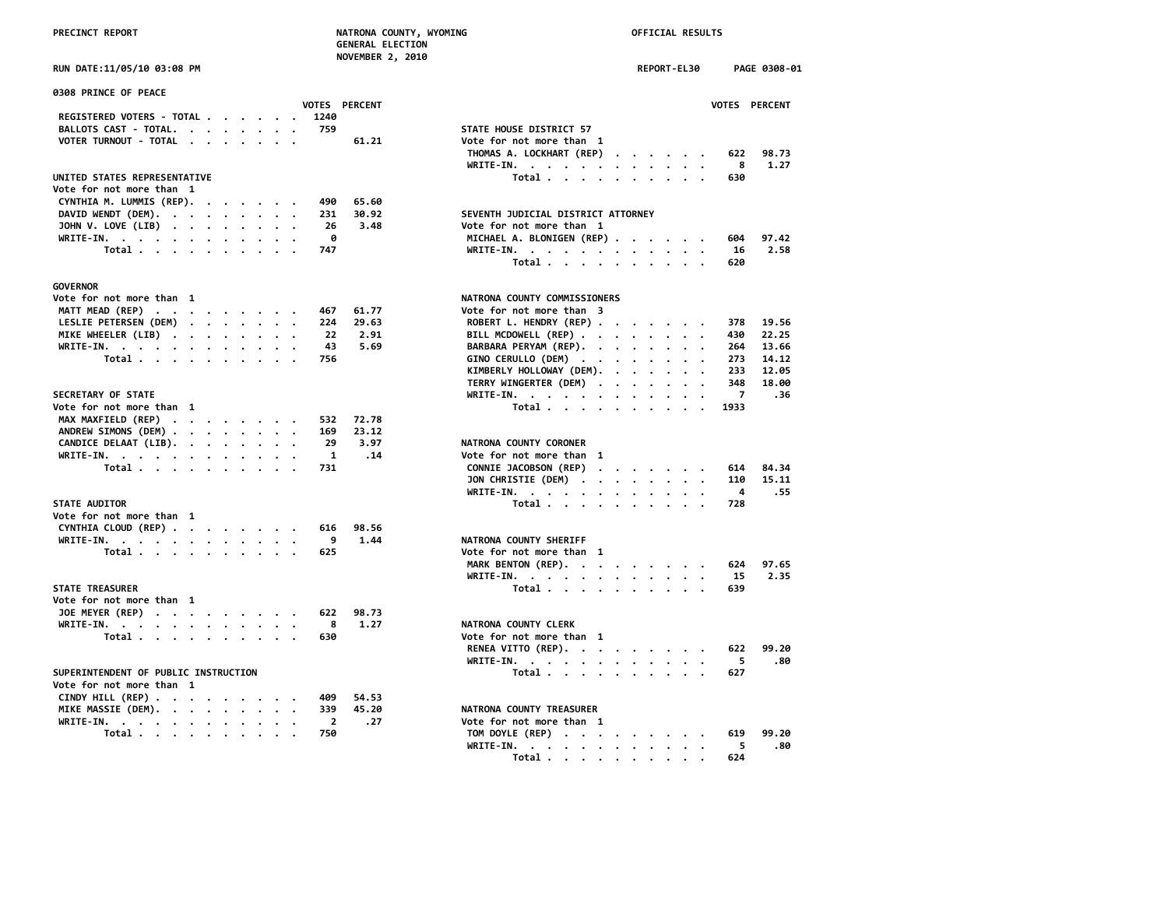| PRECINCT REPORT                                                                                                                                                     |  |  |         |              |               | NATRONA COUNTY, WYOMING<br><b>GENERAL ELECTION</b>                |  | OFFICIAL RESULTS                                                      |           |                |               |
|---------------------------------------------------------------------------------------------------------------------------------------------------------------------|--|--|---------|--------------|---------------|-------------------------------------------------------------------|--|-----------------------------------------------------------------------|-----------|----------------|---------------|
| RUN DATE:11/05/10 03:08 PM                                                                                                                                          |  |  |         |              |               | <b>NOVEMBER 2, 2010</b>                                           |  | REPORT-EL30                                                           |           |                | PAGE 0308-01  |
| 0308 PRINCE OF PEACE                                                                                                                                                |  |  |         |              |               |                                                                   |  |                                                                       |           |                |               |
|                                                                                                                                                                     |  |  |         |              | VOTES PERCENT |                                                                   |  |                                                                       |           |                | VOTES PERCENT |
| REGISTERED VOTERS - TOTAL                                                                                                                                           |  |  |         | 1240         |               |                                                                   |  |                                                                       |           |                |               |
| BALLOTS CAST - TOTAL.                                                                                                                                               |  |  |         | 759          |               | STATE HOUSE DISTRICT 57                                           |  |                                                                       |           |                |               |
| VOTER TURNOUT - TOTAL                                                                                                                                               |  |  |         |              | 61.21         | Vote for not more than 1<br>THOMAS A. LOCKHART (REP)<br>WRITE-IN. |  |                                                                       |           | 622<br>8       | 98.73<br>1.27 |
| UNITED STATES REPRESENTATIVE                                                                                                                                        |  |  |         |              |               | Total $\cdots$ $\cdots$ $\cdots$ $\cdots$                         |  |                                                                       |           | 630            |               |
| Vote for not more than 1                                                                                                                                            |  |  |         |              |               |                                                                   |  |                                                                       |           |                |               |
| CYNTHIA M. LUMMIS (REP).                                                                                                                                            |  |  |         | 490          | 65.60         |                                                                   |  |                                                                       |           |                |               |
| DAVID WENDT (DEM).                                                                                                                                                  |  |  |         | 231          | 30.92         | SEVENTH JUDICIAL DISTRICT ATTORNEY                                |  |                                                                       |           |                |               |
| JOHN V. LOVE (LIB)                                                                                                                                                  |  |  | $\cdot$ | 26           | 3.48          | Vote for not more than 1                                          |  |                                                                       |           |                |               |
| WRITE-IN.                                                                                                                                                           |  |  |         | - 0          |               | MICHAEL A. BLONIGEN (REP)                                         |  |                                                                       |           | 604            | 97.42         |
| Total                                                                                                                                                               |  |  |         | 747          |               | WRITE-IN.                                                         |  |                                                                       |           | 16             | 2.58          |
|                                                                                                                                                                     |  |  |         |              |               | Total                                                             |  |                                                                       |           | 620            |               |
| <b>GOVERNOR</b>                                                                                                                                                     |  |  |         |              |               |                                                                   |  |                                                                       |           |                |               |
| Vote for not more than 1                                                                                                                                            |  |  |         |              |               | NATRONA COUNTY COMMISSIONERS                                      |  |                                                                       |           |                |               |
| MATT MEAD (REP)                                                                                                                                                     |  |  |         | 467          | 61.77         | Vote for not more than 3                                          |  |                                                                       |           |                |               |
| LESLIE PETERSEN (DEM)                                                                                                                                               |  |  |         | 224          | 29.63         | ROBERT L. HENDRY (REP)                                            |  |                                                                       |           | 378            | 19.56         |
| MIKE WHEELER (LIB)                                                                                                                                                  |  |  |         | 22           | 2.91          | BILL MCDOWELL (REP)                                               |  |                                                                       |           | 430            | 22.25         |
| WRITE-IN.                                                                                                                                                           |  |  | $\cdot$ | 43           | 5.69          | BARBARA PERYAM (REP). .                                           |  | $\mathbf{r}$ , and $\mathbf{r}$ , and $\mathbf{r}$ , and $\mathbf{r}$ |           | 264            | 13.66         |
| Total                                                                                                                                                               |  |  |         | 756          |               | GINO CERULLO (DEM)                                                |  |                                                                       |           | 273            | 14.12         |
|                                                                                                                                                                     |  |  |         |              |               | KIMBERLY HOLLOWAY (DEM).                                          |  |                                                                       |           | 233            | 12.05         |
|                                                                                                                                                                     |  |  |         |              |               | TERRY WINGERTER (DEM)                                             |  |                                                                       |           | 348            | 18.00         |
| SECRETARY OF STATE                                                                                                                                                  |  |  |         |              |               | WRITE-IN.                                                         |  |                                                                       |           | $\overline{7}$ | .36           |
| Vote for not more than 1                                                                                                                                            |  |  |         |              |               | Total $\cdots$ $\cdots$ $\cdots$                                  |  | $\cdot$                                                               | $\cdot$ . | 1933           |               |
| MAX MAXFIELD (REP)                                                                                                                                                  |  |  |         | 532          | 72.78         |                                                                   |  |                                                                       |           |                |               |
| ANDREW SIMONS (DEM)<br>CANDICE DELAAT (LIB).                                                                                                                        |  |  |         | 169<br>29    | 23.12<br>3.97 | NATRONA COUNTY CORONER                                            |  |                                                                       |           |                |               |
| WRITE-IN, , , , , , , , , , , , ,                                                                                                                                   |  |  |         | $\mathbf{1}$ | .14           | Vote for not more than 1                                          |  |                                                                       |           |                |               |
| Total $\cdots$ $\cdots$ $\cdots$                                                                                                                                    |  |  |         | 731          |               | CONNIE JACOBSON (REP)                                             |  |                                                                       |           | 614            | 84.34         |
|                                                                                                                                                                     |  |  |         |              |               | JON CHRISTIE (DEM)                                                |  |                                                                       |           | 110            | 15.11         |
|                                                                                                                                                                     |  |  |         |              |               | WRITE-IN.                                                         |  |                                                                       |           | 4              | .55           |
| <b>STATE AUDITOR</b>                                                                                                                                                |  |  |         |              |               | Total                                                             |  |                                                                       |           | 728            |               |
| Vote for not more than 1                                                                                                                                            |  |  |         |              |               |                                                                   |  |                                                                       |           |                |               |
| CYNTHIA CLOUD (REP)                                                                                                                                                 |  |  |         | 616          | 98.56         |                                                                   |  |                                                                       |           |                |               |
| WRITE-IN.                                                                                                                                                           |  |  |         | 9            | 1.44          | NATRONA COUNTY SHERIFF                                            |  |                                                                       |           |                |               |
| Total                                                                                                                                                               |  |  |         | 625          |               | Vote for not more than 1                                          |  |                                                                       |           |                |               |
|                                                                                                                                                                     |  |  |         |              |               | MARK BENTON (REP).                                                |  |                                                                       |           | 624            | 97.65         |
|                                                                                                                                                                     |  |  |         |              |               | WRITE-IN.                                                         |  |                                                                       |           | 15             | 2.35          |
| <b>STATE TREASURER</b>                                                                                                                                              |  |  |         |              |               | Total $\cdots$ $\cdots$ $\cdots$ $\cdots$                         |  |                                                                       |           | 639            |               |
| Vote for not more than 1                                                                                                                                            |  |  |         |              |               |                                                                   |  |                                                                       |           |                |               |
| JOE MEYER (REP)                                                                                                                                                     |  |  |         | 622<br>8     | 98.73<br>1.27 | NATRONA COUNTY CLERK                                              |  |                                                                       |           |                |               |
| WRITE-IN.                                                                                                                                                           |  |  |         | 630          |               | Vote for not more than 1                                          |  |                                                                       |           |                |               |
| Total                                                                                                                                                               |  |  |         |              |               | RENEA VITTO (REP).                                                |  |                                                                       |           | 622            | 99.20         |
|                                                                                                                                                                     |  |  |         |              |               | WRITE-IN.                                                         |  |                                                                       |           | 5              | .80           |
| SUPERINTENDENT OF PUBLIC INSTRUCTION                                                                                                                                |  |  |         |              |               | Total                                                             |  |                                                                       |           | 627            |               |
| Vote for not more than 1                                                                                                                                            |  |  |         |              |               |                                                                   |  |                                                                       |           |                |               |
| CINDY HILL (REP) $\cdot \cdot \cdot \cdot \cdot \cdot \cdot \cdot$                                                                                                  |  |  |         | 409          | 54.53         |                                                                   |  |                                                                       |           |                |               |
| MIKE MASSIE (DEM).<br>$\begin{array}{cccccccccccccc} \bullet & \bullet & \bullet & \bullet & \bullet & \bullet & \bullet & \bullet & \bullet & \bullet \end{array}$ |  |  |         | 339          | 45.20         | NATRONA COUNTY TREASURER                                          |  |                                                                       |           |                |               |

| RUN DATE:11/05/10 03:08 PM                                               |                                  |          | REPORT-EL30 |  |                          | PAGE 0308-0   |
|--------------------------------------------------------------------------|----------------------------------|----------|-------------|--|--------------------------|---------------|
| <b>0308 PRINCE OF PEACE</b>                                              |                                  |          |             |  |                          |               |
| VOTES PERCENT<br>REGISTERED VOTERS - TOTAL<br>1240                       |                                  |          |             |  |                          | VOTES PERCENT |
| BALLOTS CAST - TOTAL.<br>759<br>STATE HOUSE DISTRICT 57                  |                                  |          |             |  |                          |               |
| VOTER TURNOUT - TOTAL<br>61.21<br>Vote for not more than 1               |                                  |          |             |  |                          |               |
| THOMAS A. LOCKHART (REP)                                                 |                                  | $\cdots$ |             |  | 622                      | 98.73         |
| WRITE-IN.                                                                |                                  |          |             |  | 8                        | 1.27          |
| UNITED STATES REPRESENTATIVE                                             |                                  |          |             |  | 630                      |               |
| Vote for not more than 1                                                 | Total                            |          |             |  |                          |               |
| CYNTHIA M. LUMMIS (REP).<br>490<br>65.60                                 |                                  |          |             |  |                          |               |
| DAVID WENDT (DEM).<br>SEVENTH JUDICIAL DISTRICT ATTORNEY<br>30.92<br>231 |                                  |          |             |  |                          |               |
| Vote for not more than 1<br>26<br>3.48                                   |                                  |          |             |  |                          |               |
| JOHN V. LOVE (LIB)<br>ø                                                  |                                  |          |             |  | 604                      | 97.42         |
| MICHAEL A. BLONIGEN (REP)<br>WRITE-IN.<br>747                            |                                  |          |             |  | 16                       | 2.58          |
| Total<br>WRITE-IN.                                                       |                                  |          |             |  |                          |               |
|                                                                          | Total                            |          |             |  | 620                      |               |
| GOVERNOR                                                                 |                                  |          |             |  |                          |               |
| Vote for not more than 1<br>NATRONA COUNTY COMMISSIONERS                 |                                  |          |             |  |                          |               |
| Vote for not more than 3<br>MATT MEAD (REP)<br>61.77<br>467              |                                  |          |             |  |                          |               |
| LESLIE PETERSEN (DEM)<br>ROBERT L. HENDRY (REP)<br>224<br>29.63          |                                  |          |             |  | 378                      | 19.56         |
| 22<br>2.91<br>BILL MCDOWELL (REP)<br>MIKE WHEELER (LIB)                  |                                  |          |             |  | 430                      | 22.25         |
| BARBARA PERYAM (REP).<br>WRITE-IN.<br>43<br>5.69                         |                                  |          |             |  | 264                      | 13.66         |
| GINO CERULLO (DEM)<br>Total<br>756                                       |                                  |          |             |  | 273                      | 14.12         |
| KIMBERLY HOLLOWAY (DEM).                                                 |                                  |          |             |  | 233                      | 12.05         |
| TERRY WINGERTER (DEM)                                                    |                                  |          |             |  | 348                      | 18.00         |
| <b>SECRETARY OF STATE</b><br>WRITE-IN.                                   |                                  |          |             |  | $\overline{\phantom{a}}$ | .36           |
| Vote for not more than 1                                                 | Total                            |          |             |  | 1933                     |               |
| MAX MAXFIELD (REP)<br>72.78<br>532                                       |                                  |          |             |  |                          |               |
| ANDREW SIMONS (DEM)<br>169<br>23.12                                      |                                  |          |             |  |                          |               |
| CANDICE DELAAT (LIB).<br>29<br>NATRONA COUNTY CORONER<br>3.97            |                                  |          |             |  |                          |               |
| WRITE-IN.<br>Vote for not more than 1<br>1<br>.14                        |                                  |          |             |  |                          |               |
| Total<br>CONNIE JACOBSON (REP)<br>731                                    |                                  |          |             |  | 614                      | 84.34         |
| JON CHRISTIE (DEM)                                                       |                                  |          |             |  | 110                      | 15.11         |
| WRITE-IN.                                                                |                                  |          |             |  | 4                        | . 55          |
| <b>STATE AUDITOR</b>                                                     | Total                            |          |             |  | 728                      |               |
| Vote for not more than 1                                                 |                                  |          |             |  |                          |               |
| CYNTHIA CLOUD (REP)<br>98.56<br>616                                      |                                  |          |             |  |                          |               |
| NATRONA COUNTY SHERIFF<br>WRITE-IN.<br>9<br>1.44                         |                                  |          |             |  |                          |               |
| Total<br>Vote for not more than 1<br>625                                 |                                  |          |             |  |                          |               |
| MARK BENTON (REP).                                                       |                                  |          |             |  | 624                      | 97.65         |
| WRITE-IN.                                                                |                                  |          |             |  | 15                       | 2.35          |
| <b>STATE TREASURER</b>                                                   | Total                            |          |             |  | 639                      |               |
| Vote for not more than 1                                                 |                                  |          |             |  |                          |               |
| JOE MEYER (REP)<br>98.73<br>622                                          |                                  |          |             |  |                          |               |
| NATRONA COUNTY CLERK<br>8<br>1.27                                        |                                  |          |             |  |                          |               |
| WRITE-IN.<br>Vote for not more than 1<br>630                             |                                  |          |             |  |                          |               |
| Total                                                                    |                                  |          |             |  |                          | 99.20         |
| RENEA VITTO (REP).                                                       |                                  |          |             |  | 622                      |               |
| WRITE-IN.                                                                |                                  |          |             |  | 5                        | .80           |
| SUPERINTENDENT OF PUBLIC INSTRUCTION                                     | Total                            |          |             |  | 627                      |               |
| Vote for not more than 1                                                 |                                  |          |             |  |                          |               |
| CINDY HILL (REP) $\cdots$ $\cdots$ $\cdots$ $\cdots$<br>409<br>54.53     |                                  |          |             |  |                          |               |
| MIKE MASSIE (DEM).<br>NATRONA COUNTY TREASURER<br>339<br>45.20           |                                  |          |             |  |                          |               |
| .27<br>Vote for not more than 1<br>WRITE-IN.<br>$\overline{2}$           |                                  |          |             |  |                          |               |
| TOM DOYLE (REP)<br>Total<br>750                                          |                                  |          |             |  | 619                      | 99.20         |
| WRITE-IN.                                                                |                                  |          |             |  | 5                        | .80           |
|                                                                          | Total $\cdots$ $\cdots$ $\cdots$ |          |             |  | 624                      |               |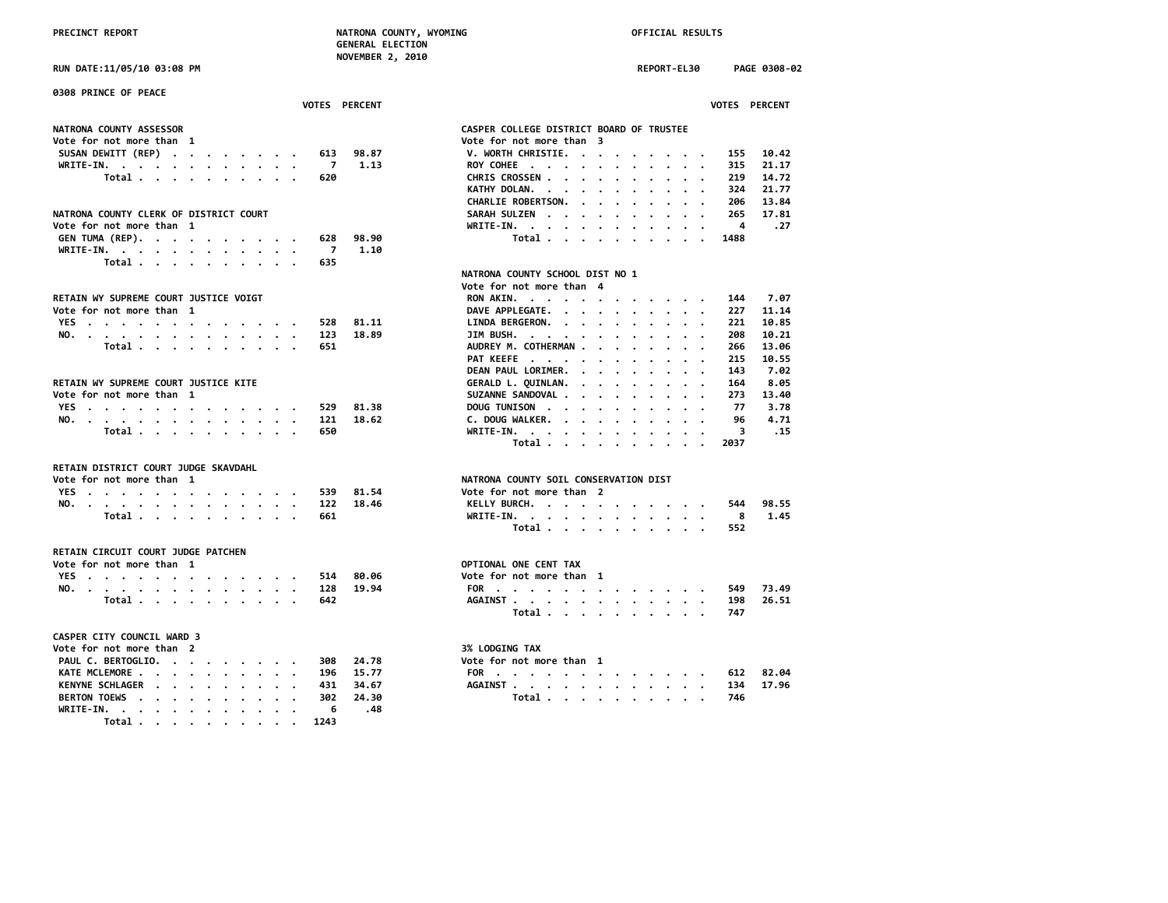PRECINCT REPORT **NATRONA COUNTY, WYOMING NATRONA COUNTY, WYOMING OFFICIAL RESULTS GENERAL ELECTION NOVEMBER 2, 2010**

**RUN DATE:11/05/10 03:08 PM REPORT-EL30 PAGE 0308-02 0308 PRINCE OF PEACE VOTES PERCENT VOTES PERCENT** NATRONA COUNTY ASSESSOR<br>
Vote for not more than 1 **Vote for not more than 3**<br>**V. WORTH CHRISTIE. . . . . . . . . SUSAN DEWITT (REP) . . . . . . . . 613 98.87 V. WORTH CHRISTIE. . . . . . . . . 155 10.42 WRITE-IN. . . . . . . . . . . . 7 1.13 ROY COHEE . . . . . . . . . . . 315 21.17 Total . . . . . . . . . . 620 CHRIS CROSSEN . . . . . . . . . . 219 14.72 KATHY DOLAN. . . . . . . . . . . CHARLIE ROBERTSON. . . . . . . . . 206 13.84** NATRONA COUNTY CLERK OF DISTRICT COURT<br>Vote for not more than 1 and 27 and 28 and 28 and 28 and 28 and 28 and 28 and 28 and 28 and 27 and 27 and 27 and 27 **Vote for not more than 1 WRITE-IN. . . . . . . . . . . . 4 .27 GEN TUMA (REP). . . . . . . . . . . 628**<br>WRITE-IN. . . . . . . . . . . . . 7 **WRITE-IN. . . . . . . . . . . . 7 1.10 Total . . . . . . . . . . 635 NATRONA COUNTY SCHOOL DIST NO 1 Vote for not more than 4** RETAIN WY SUPREME COURT JUSTICE VOIGT<br>
Vote for not more than 1 and 1,14 set of the country of the country of the country of the country of the coun<br>
DAVE APPLEGATE. . . . . . . . . . . 227 11.14 **DAVE APPLEGATE.** . . . . . . . . . 227 11.14<br>**81.11** LINDA BERGERON. . . . . . . . . . 221 10.85 **YES . . . . . . . . . . . . . 528 81.11 LINDA BERGERON. . . . . . . . . . 221 10.85 NO. . . . . . . . . . . . . . 123 18.89 JIM BUSH. . . . . . . . . . . . 208 10.21 Total . . . . . . . . . . . 651** AUDREY M. COTHERMAN . . . . . . . . . 266 13.06<br>PAT KEEFE . . . . . . . . . . . . . . . 215 10.55 **PAT KEEFE** . . . . . . . . . . . **DEAN PAUL LORIMER. . . . . . . . . 143 7.02** RETAIN WY SUPREME COURT JUSTICE KITE<br>Vote for not more than 1 and 10 and 10 and 10 and 10 and 10 and 10 and 10 and 10 and 10 and 11.40 **SUZANNE SANDOVAL . . . . . . . . 273 13.40**<br>**81.38 DOUG TUNISON** . . . . . . . . . . . . 77 3.78 **YES . . . . . . . . . . . . . 529 81.38 DOUG TUNISON . . . . . . . . . . 77 3.78 NO. . . . . . . . . . . . . . 121 18.62 C. DOUG WALKER. . . . . . . . . . 96 4.71 Total . . . . . . . . . . 650 WRITE-IN. . . . . . . . . . . . 3 .15 Total . . . . . . . . . . 2037 RETAIN DISTRICT COURT JUDGE SKAVDAHL NATRONA COUNTY SOIL CONSERVATION DIST**<br>Vote for not more than 2 **YES** . . . . . . . . . . . . . . 539 81.54<br>NO. . . . . . . . . . . . . . 122 18.46 **NO. . . . . . . . . . . . . . 122 18.46 KELLY BURCH. . . . . . . . . . . 544 98.55 Total . . . . . . . . . . 661 WRITE-IN. . . . . . . . . . . . 8 1.45 Total . . . . . . . . . . 552 RETAIN CIRCUIT COURT JUDGE PATCHEN Vote for not more than 1 Vote for not more than 1 OPTIONAL ONE CENT TAX**<br> **YES** , , , , , , , , , , , , , , , , , , 514 80.06 **1 Vote for not more than 1 YES . . . . . . . . . . . . . 514 80.06 Vote for not more than 1 NO. . . . . . . . . . . . . . 128 19.94 FOR . . . . . . . . . . . . . 549 73.49 Total . . . . . . . . . . 642 AGAINST . . . . . . . . . . . . 198 26.51 Total . . . . . . . . . . 747 CASPER CITY COUNCIL WARD 3 Vote for not more than 2** 3% LODGING TAX **PAUL C. BERTOGLIO. . . . . . . . . 308 24.78 Vote for not more than 1 KATE MCLEMORE . . . . . . . . . . 196 15.77 FOR . . . . . . . . . . . . . 612 82.04 KENYNE SCHLAGER . . . . . . . . . 431 34.67 AGAINST . . . . . . . . . . . . 134 17.96 BERTON TOEWS . . . . . . . . . . 302 24.30 Total . . . . . . . . . . 746 WRITE-IN. . . . . . . . . . . . 6 .48 Total . . . . . . . . . . 1243**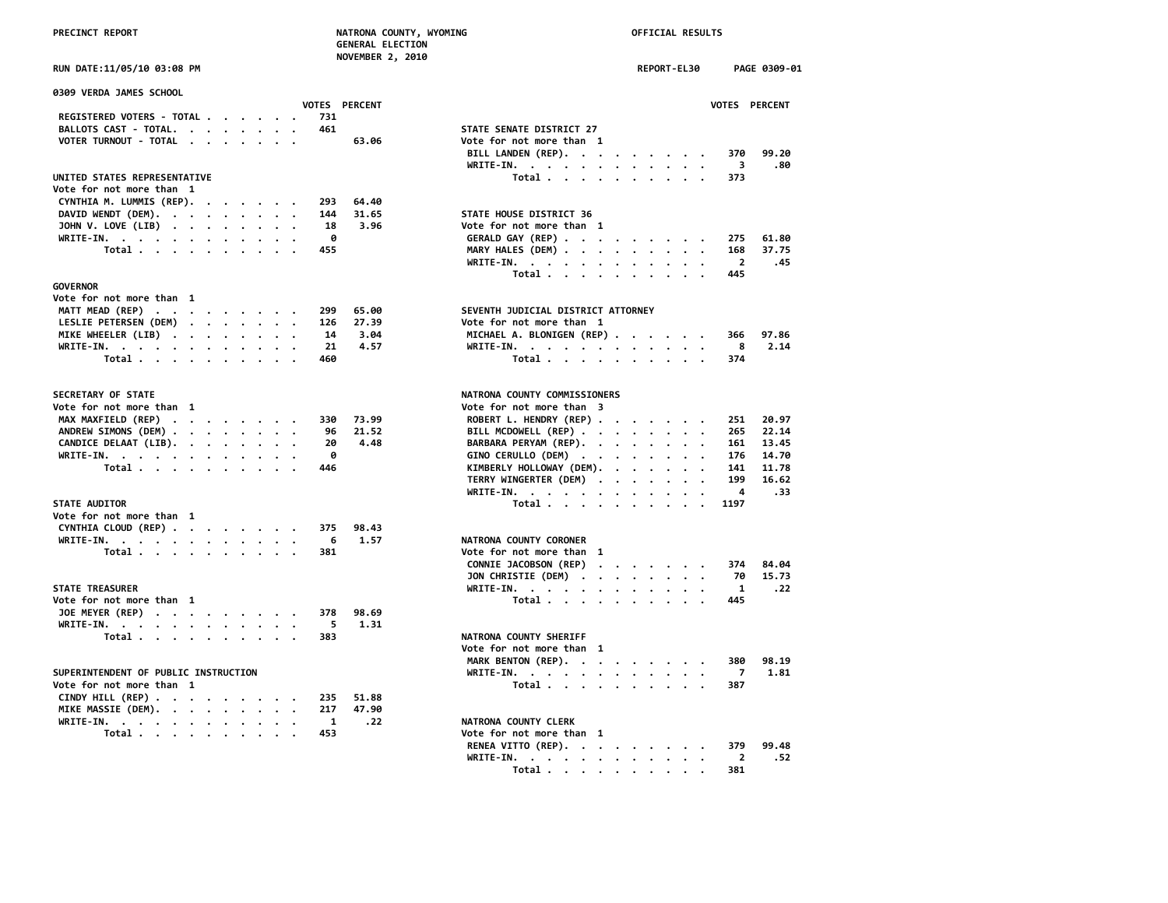| UN DATE:11/05/10 03:08 PM |  |  |
|---------------------------|--|--|
|                           |  |  |

| 0309 VERDA JAMES SCHOOL                            | VOTES PERCENT | <b>VOTES</b>                                                                    |
|----------------------------------------------------|---------------|---------------------------------------------------------------------------------|
| REGISTERED VOTERS - TOTAL                          | 731           |                                                                                 |
| BALLOTS CAST - TOTAL.                              | 461           | STATE SENATE DISTRICT 27                                                        |
| VOTER TURNOUT - TOTAL                              | 63.06         | Vote for not more than 1                                                        |
|                                                    |               | BILL LANDEN (REP).<br>370                                                       |
|                                                    |               | 3                                                                               |
|                                                    |               | WRITE-IN.                                                                       |
| UNITED STATES REPRESENTATIVE                       |               | Total<br>373                                                                    |
| Vote for not more than 1                           |               |                                                                                 |
| CYNTHIA M. LUMMIS (REP).                           | 293<br>64.40  |                                                                                 |
| DAVID WENDT (DEM).                                 | 31.65<br>144  | STATE HOUSE DISTRICT 36                                                         |
| JOHN V. LOVE (LIB) $\cdot \cdot \cdot \cdot \cdot$ | 3.96<br>18    | Vote for not more than 1                                                        |
| WRITE-IN.                                          | 0             | 275<br>GERALD GAY (REP)                                                         |
| Total                                              | 455           | MARY HALES (DEM)<br>168                                                         |
|                                                    |               | WRITE-IN.<br>2                                                                  |
|                                                    |               | Total<br>445                                                                    |
| <b>GOVERNOR</b>                                    |               |                                                                                 |
| Vote for not more than 1                           |               |                                                                                 |
| MATT MEAD (REP)                                    | 299<br>65.00  | SEVENTH JUDICIAL DISTRICT ATTORNEY                                              |
| LESLIE PETERSEN (DEM)                              | 27.39<br>126  | Vote for not more than 1                                                        |
| MIKE WHEELER (LIB)                                 | 3.04<br>14    | MICHAEL A. BLONIGEN (REP)<br>366                                                |
|                                                    | 21<br>4.57    | 8                                                                               |
| WRITE-IN.                                          |               | WRITE-IN.<br>$\cdot$ .                                                          |
| Total                                              | 460           | Total $\cdots$ $\cdots$ $\cdots$<br>374                                         |
| SECRETARY OF STATE                                 |               | NATRONA COUNTY COMMISSIONERS                                                    |
| Vote for not more than 1                           |               | Vote for not more than 3                                                        |
| MAX MAXFIELD (REP)                                 | 73.99<br>330  | ROBERT L. HENDRY (REP)<br>251                                                   |
| ANDREW SIMONS (DEM)                                | 96<br>21.52   | BILL MCDOWELL (REP)<br>265                                                      |
|                                                    | 4.48          | 161                                                                             |
| CANDICE DELAAT (LIB).<br>$\cdot$                   | 20            | BARBARA PERYAM (REP).<br>$\cdot$                                                |
| WRITE-IN.                                          | 0             | GINO CERULLO (DEM)<br>176                                                       |
| Total $\cdots$ $\cdots$ $\cdots$                   | 446           | KIMBERLY HOLLOWAY (DEM).<br>141                                                 |
|                                                    |               | TERRY WINGERTER (DEM)<br>199                                                    |
|                                                    |               | 4<br>WRITE-IN.                                                                  |
| <b>STATE AUDITOR</b>                               |               | 1197<br>Total $\cdots$ $\cdots$<br>$\sim$                                       |
| Vote for not more than 1                           |               |                                                                                 |
| CYNTHIA CLOUD (REP)                                | 375<br>98.43  |                                                                                 |
| WRITE-IN.                                          | 1.57<br>6     | NATRONA COUNTY CORONER                                                          |
| Total                                              | 381           | Vote for not more than 1                                                        |
|                                                    |               | CONNIE JACOBSON (REP)<br>374<br>$\cdot$ $\cdot$ $\cdot$ $\cdot$ $\cdot$ $\cdot$ |
|                                                    |               | 70<br>JON CHRISTIE (DEM)<br>$\cdot$                                             |
| STATE TREASURER                                    |               | 1<br>$WRITE-IN.$<br>$\cdot$ $\cdot$ $\cdot$ $\cdot$ $\cdot$                     |
| Vote for not more than 1                           |               | Total $\cdots$ $\cdots$ $\cdots$<br>445                                         |
| JOE MEYER (REP)                                    | 98.69<br>378  |                                                                                 |
| WRITE-IN.                                          | 5<br>1.31     |                                                                                 |
|                                                    | 383           | NATRONA COUNTY SHERIFF                                                          |
| Total                                              |               |                                                                                 |
|                                                    |               | Vote for not more than 1                                                        |
|                                                    |               | MARK BENTON (REP).<br>380                                                       |
| SUPERINTENDENT OF PUBLIC INSTRUCTION               |               | 7<br>WRITE-IN.<br>$\cdot$                                                       |
| Vote for not more than 1                           |               | Total $\cdots$ $\cdots$ $\cdots$<br>387                                         |
| CINDY HILL (REP)                                   | 51.88<br>235  |                                                                                 |
| MIKE MASSIE (DEM).<br>$\cdot$ $\cdot$              | 47.90<br>217  |                                                                                 |
| WRITE-IN.                                          | 1<br>.22      | NATRONA COUNTY CLERK                                                            |
| Total                                              | 453           | Vote for not more than 1                                                        |

 **NOVEMBER 2, 2010**

| RUN DATE:11/05/10 03:08 PM                                           | REPORT-EL30<br>PAGE 0309-01                                                                       |
|----------------------------------------------------------------------|---------------------------------------------------------------------------------------------------|
| 0309 VERDA JAMES SCHOOL                                              |                                                                                                   |
| VOTES PERCENT<br>REGISTERED VOTERS - TOTAL<br>731                    | VOTES PERCENT                                                                                     |
| BALLOTS CAST - TOTAL.<br>461                                         | STATE SENATE DISTRICT 27                                                                          |
|                                                                      | Vote for not more than 1                                                                          |
| VOTER TURNOUT - TOTAL<br>63.06                                       | BILL LANDEN (REP).<br>99.20<br>370                                                                |
|                                                                      | WRITE-IN.<br>3<br>.80                                                                             |
| UNITED STATES REPRESENTATIVE                                         | Total<br>373                                                                                      |
| Vote for not more than 1                                             |                                                                                                   |
| CYNTHIA M. LUMMIS (REP).<br>293<br>64.40                             |                                                                                                   |
| DAVID WENDT (DEM).<br>144<br>31.65                                   | STATE HOUSE DISTRICT 36                                                                           |
| JOHN V. LOVE (LIB)<br>3.96<br>18                                     | Vote for not more than 1                                                                          |
| 0<br>WRITE-IN.                                                       | GERALD GAY (REP)<br>275<br>61.80                                                                  |
| Total $\ldots$ $\ldots$ $\ldots$ $\ldots$<br>455                     | MARY HALES (DEM)<br>168<br>37.75                                                                  |
|                                                                      | $\overline{2}$<br>WRITE-IN.<br>.45                                                                |
|                                                                      | Total<br>445                                                                                      |
| GOVERNOR                                                             |                                                                                                   |
| Vote for not more than 1                                             |                                                                                                   |
| MATT MEAD (REP)<br>65.00<br>299                                      | SEVENTH JUDICIAL DISTRICT ATTORNEY                                                                |
| LESLIE PETERSEN (DEM)<br>27.39<br>126                                | Vote for not more than 1                                                                          |
| MIKE WHEELER (LIB)<br>14<br>3.04                                     | MICHAEL A. BLONIGEN (REP)<br>97.86<br>366                                                         |
| 21<br>4.57<br>WRITE-IN.                                              | 2.14<br>WRITE-IN.<br>8                                                                            |
| Total<br>460                                                         | Total<br>374                                                                                      |
| <b>SECRETARY OF STATE</b>                                            | NATRONA COUNTY COMMISSIONERS                                                                      |
| Vote for not more than 1                                             | Vote for not more than 3                                                                          |
| MAX MAXFIELD (REP)<br>73.99<br>330                                   | ROBERT L. HENDRY (REP)<br>251<br>20.97                                                            |
| ANDREW SIMONS (DEM)<br>21.52<br>96                                   | BILL MCDOWELL (REP)<br>22.14<br>265                                                               |
| CANDICE DELAAT (LIB).<br>20<br>4.48                                  | BARBARA PERYAM (REP).<br>13.45<br>161                                                             |
| WRITE-IN.<br>0                                                       | GINO CERULLO (DEM)<br>176<br>14.70                                                                |
| Total<br>446                                                         | KIMBERLY HOLLOWAY (DEM).<br>141<br>11.78                                                          |
|                                                                      | TERRY WINGERTER (DEM)<br>199<br>16.62                                                             |
|                                                                      | 4<br>.33<br>WRITE-IN.                                                                             |
| <b>STATE AUDITOR</b>                                                 | Total<br>1197                                                                                     |
| Vote for not more than 1                                             |                                                                                                   |
| CYNTHIA CLOUD (REP)<br>98.43<br>375                                  |                                                                                                   |
| WRITE-IN.<br>6<br>1.57                                               | NATRONA COUNTY CORONER                                                                            |
| 381<br>Total $\cdots$ $\cdots$ $\cdots$                              | Vote for not more than 1                                                                          |
|                                                                      | CONNIE JACOBSON (REP)<br>84.04<br>374                                                             |
|                                                                      | JON CHRISTIE (DEM)<br>70<br>15.73                                                                 |
| <b>STATE TREASURER</b>                                               | WRITE-IN.<br>-1<br>. 22                                                                           |
| Vote for not more than 1                                             | Total<br>445                                                                                      |
| JOE MEYER (REP)<br>378<br>98.69                                      |                                                                                                   |
| WRITE-IN.<br>-5<br>1.31                                              |                                                                                                   |
| 383                                                                  | NATRONA COUNTY SHERIFF                                                                            |
| Total                                                                | Vote for not more than 1                                                                          |
|                                                                      |                                                                                                   |
|                                                                      | MARK BENTON (REP).<br>380<br>98.19                                                                |
| SUPERINTENDENT OF PUBLIC INSTRUCTION                                 | 1.81<br>WRITE-IN.<br>7                                                                            |
| Vote for not more than 1                                             | 387<br>Total                                                                                      |
| CINDY HILL (REP) $\cdots$ $\cdots$ $\cdots$ $\cdots$<br>51.88<br>235 |                                                                                                   |
| MIKE MASSIE (DEM).<br>217<br>47.90                                   |                                                                                                   |
| WRITE-IN.<br>$\mathbf{1}$<br>.22                                     | NATRONA COUNTY CLERK                                                                              |
| 453<br>Total                                                         | Vote for not more than 1                                                                          |
|                                                                      | RENEA VITTO (REP).<br>379<br>99.48                                                                |
|                                                                      | WRITE-IN.<br>$\overline{2}$<br>.52                                                                |
|                                                                      | 381<br>Total .<br>$\sim$ $\sim$ $\sim$<br>$\sim$ $\sim$ $\sim$ $\sim$ $\sim$ $\sim$ $\sim$ $\sim$ |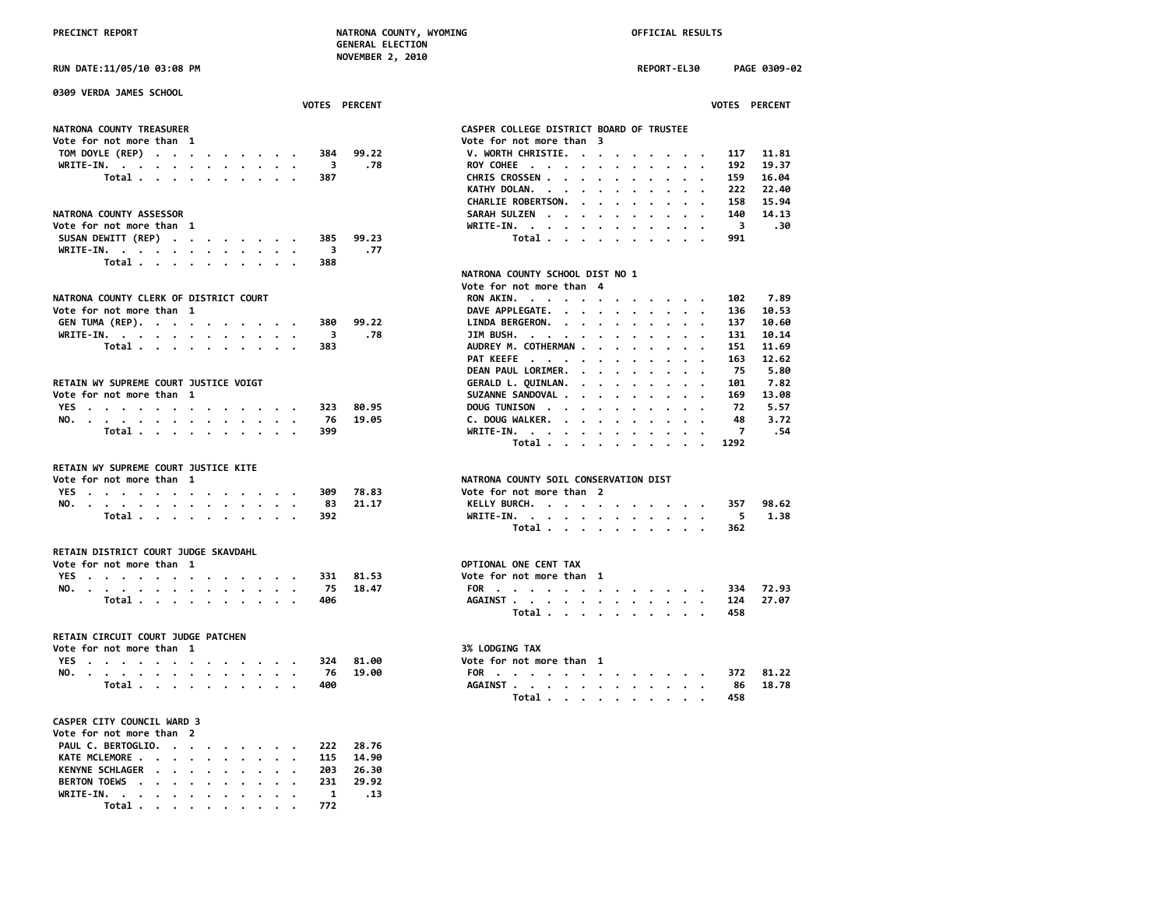**NOVEMBER 2, 2010**

**RUN DATE:11/05/10 03:08 PM REPORT-EL30 PAGE 0309-02**

| 0309 VERDA JAMES SCHOOL                                                                                                                                                                                                                                                  |                      |                                                                                                             |
|--------------------------------------------------------------------------------------------------------------------------------------------------------------------------------------------------------------------------------------------------------------------------|----------------------|-------------------------------------------------------------------------------------------------------------|
|                                                                                                                                                                                                                                                                          | <b>VOTES PERCENT</b> | <b>VOTES PERCENT</b>                                                                                        |
| <b>NATRONA COUNTY TREASURER</b>                                                                                                                                                                                                                                          |                      | CASPER COLLEGE DISTRICT BOARD OF TRUSTEE                                                                    |
| Vote for not more than 1                                                                                                                                                                                                                                                 |                      | Vote for not more than 3                                                                                    |
| TOM DOYLE (REP)<br>384                                                                                                                                                                                                                                                   | 99.22                | V. WORTH CHRISTIE.<br>11.81<br>117                                                                          |
| WRITE-IN.<br>$\overline{\phantom{a}}$                                                                                                                                                                                                                                    | .78                  | ROY COHEE<br>192<br>19.37<br>$\mathbf{a}$ . The second contribution of the second contribution $\mathbf{a}$ |
| Total $\cdots$ $\cdots$ $\cdots$<br>387                                                                                                                                                                                                                                  |                      | CHRIS CROSSEN<br>159<br>16.04                                                                               |
|                                                                                                                                                                                                                                                                          |                      | KATHY DOLAN.<br>222<br>22.40                                                                                |
|                                                                                                                                                                                                                                                                          |                      | 15.94<br>CHARLIE ROBERTSON.<br>158                                                                          |
| <b>NATRONA COUNTY ASSESSOR</b>                                                                                                                                                                                                                                           |                      | SARAH SULZEN<br>140<br>14.13                                                                                |
| Vote for not more than 1                                                                                                                                                                                                                                                 |                      | WRITE-IN.<br>$\overline{\mathbf{3}}$<br>30.                                                                 |
| SUSAN DEWITT (REP)<br>385                                                                                                                                                                                                                                                | 99.23                | Total<br>991                                                                                                |
| WRITE-IN.<br>$\overline{\mathbf{3}}$                                                                                                                                                                                                                                     | .77                  |                                                                                                             |
| Total<br>388                                                                                                                                                                                                                                                             |                      |                                                                                                             |
|                                                                                                                                                                                                                                                                          |                      | NATRONA COUNTY SCHOOL DIST NO 1                                                                             |
|                                                                                                                                                                                                                                                                          |                      | Vote for not more than 4                                                                                    |
| NATRONA COUNTY CLERK OF DISTRICT COURT                                                                                                                                                                                                                                   |                      | 7.89<br>RON AKIN.<br>102                                                                                    |
| Vote for not more than 1                                                                                                                                                                                                                                                 |                      | DAVE APPLEGATE.<br>136<br>10.53                                                                             |
| GEN TUMA (REP).<br>380                                                                                                                                                                                                                                                   | 99.22                | LINDA BERGERON.<br>10.60<br>137                                                                             |
| WRITE-IN.<br>$\overline{\mathbf{3}}$                                                                                                                                                                                                                                     | .78                  | JIM BUSH. $\cdots$ $\cdots$ $\cdots$<br>131<br>10.14                                                        |
| Total<br>383                                                                                                                                                                                                                                                             |                      | AUDREY M. COTHERMAN<br>151<br>11.69                                                                         |
|                                                                                                                                                                                                                                                                          |                      | 12.62<br>PAT KEEFE<br>163<br>.                                                                              |
|                                                                                                                                                                                                                                                                          |                      | DEAN PAUL LORIMER.<br>5.80<br>75                                                                            |
| RETAIN WY SUPREME COURT JUSTICE VOIGT                                                                                                                                                                                                                                    |                      | GERALD L. QUINLAN.<br>7.82<br>101<br>$\cdot$                                                                |
| Vote for not more than 1                                                                                                                                                                                                                                                 |                      | 13.08<br>SUZANNE SANDOVAL<br>169                                                                            |
| YES<br>323                                                                                                                                                                                                                                                               | 80.95                | DOUG TUNISON<br>72<br>5.57                                                                                  |
| NO.<br>- 76                                                                                                                                                                                                                                                              | 19.05                | C. DOUG WALKER.<br>48<br>3.72                                                                               |
| Total<br>399                                                                                                                                                                                                                                                             |                      | $WRITE-IN.$<br>7<br>.54                                                                                     |
|                                                                                                                                                                                                                                                                          |                      | Total<br>1292<br>$\sim$ $\sim$ $\sim$ $\sim$                                                                |
| RETAIN WY SUPREME COURT JUSTICE KITE                                                                                                                                                                                                                                     |                      |                                                                                                             |
| Vote for not more than 1                                                                                                                                                                                                                                                 |                      | NATRONA COUNTY SOIL CONSERVATION DIST                                                                       |
| YES<br>309                                                                                                                                                                                                                                                               | 78.83                | Vote for not more than 2                                                                                    |
| NO.<br>83                                                                                                                                                                                                                                                                | 21.17                | 98.62<br>KELLY BURCH.<br>357                                                                                |
| . The contract of the contract of the contract of the contract of the contract of the contract of the contract of the contract of the contract of the contract of the contract of the contract of the contract of the contrac<br>Total $\cdots$ $\cdots$ $\cdots$<br>392 |                      | WRITE-IN.<br>- 5<br>1.38                                                                                    |
|                                                                                                                                                                                                                                                                          |                      | Total<br>362                                                                                                |
|                                                                                                                                                                                                                                                                          |                      |                                                                                                             |
| RETAIN DISTRICT COURT JUDGE SKAVDAHL                                                                                                                                                                                                                                     |                      |                                                                                                             |
| Vote for not more than 1                                                                                                                                                                                                                                                 |                      | OPTIONAL ONE CENT TAX                                                                                       |
| <b>YES</b><br>331<br>the contract of the contract of the contract of the contract of the contract of the contract of the contract of                                                                                                                                     | 81.53                | Vote for not more than 1                                                                                    |
| NO.<br>- 75                                                                                                                                                                                                                                                              | 18.47                | 72.93<br>FOR<br>334                                                                                         |
| Total<br>406                                                                                                                                                                                                                                                             |                      | AGAINST<br>27.07<br>124                                                                                     |
|                                                                                                                                                                                                                                                                          |                      | Total<br>458                                                                                                |
|                                                                                                                                                                                                                                                                          |                      |                                                                                                             |
| RETAIN CIRCUIT COURT JUDGE PATCHEN                                                                                                                                                                                                                                       |                      |                                                                                                             |
| Vote for not more than 1                                                                                                                                                                                                                                                 |                      | 3% LODGING TAX                                                                                              |
| YES<br>324                                                                                                                                                                                                                                                               | 81.00                | Vote for not more than 1                                                                                    |
| NO. .<br>-76                                                                                                                                                                                                                                                             | 19.00                | 81.22<br>FOR<br>372                                                                                         |
| Total<br>400                                                                                                                                                                                                                                                             |                      | AGAINST<br>86<br>18.78                                                                                      |
|                                                                                                                                                                                                                                                                          |                      | Total<br>458                                                                                                |
|                                                                                                                                                                                                                                                                          |                      |                                                                                                             |
| <b>CASPER CITY COUNCIL WARD 3</b>                                                                                                                                                                                                                                        |                      |                                                                                                             |
| Vote for not more than 2                                                                                                                                                                                                                                                 |                      |                                                                                                             |
| PAUL C. BERTOGLIO.<br>222                                                                                                                                                                                                                                                | 28.76                |                                                                                                             |
| KATE MCLEMORE .<br>115<br>$\mathbf{r}$ . The contribution of the contribution of the contribution of the contribution of the contribution of the contribution of the contribution of the contribution of the contribution of the contribution of the contri              | 14.90                |                                                                                                             |
| KENYNE SCHLAGER<br>203                                                                                                                                                                                                                                                   | 26.30                |                                                                                                             |
| BERTON TOEWS<br>231<br>$\cdot$ $\cdot$ $\cdot$ $\cdot$ $\cdot$                                                                                                                                                                                                           | 29.92                |                                                                                                             |
| WRITE-IN. .                                                                                                                                                                                                                                                              | .13<br>$\mathbf{1}$  |                                                                                                             |

|                                                                       |                                                                                                                                                                                                                                                                                                                                                                                                                              |                                                                |                      |                      |                      |             |                                                                                                 |           |                                                                                                                                                                                                                                                                                                                                                                                                                        |                      |                      |                                                                                                    | VOTES PERCENT                 |  |
|-----------------------------------------------------------------------|------------------------------------------------------------------------------------------------------------------------------------------------------------------------------------------------------------------------------------------------------------------------------------------------------------------------------------------------------------------------------------------------------------------------------|----------------------------------------------------------------|----------------------|----------------------|----------------------|-------------|-------------------------------------------------------------------------------------------------|-----------|------------------------------------------------------------------------------------------------------------------------------------------------------------------------------------------------------------------------------------------------------------------------------------------------------------------------------------------------------------------------------------------------------------------------|----------------------|----------------------|----------------------------------------------------------------------------------------------------|-------------------------------|--|
|                                                                       |                                                                                                                                                                                                                                                                                                                                                                                                                              |                                                                |                      |                      |                      |             |                                                                                                 |           |                                                                                                                                                                                                                                                                                                                                                                                                                        |                      |                      |                                                                                                    |                               |  |
| SPER COLLEGE DISTRICT BOARD OF TRUSTEE                                |                                                                                                                                                                                                                                                                                                                                                                                                                              |                                                                |                      |                      |                      |             |                                                                                                 |           |                                                                                                                                                                                                                                                                                                                                                                                                                        |                      |                      |                                                                                                    |                               |  |
| te for not more than 3                                                |                                                                                                                                                                                                                                                                                                                                                                                                                              |                                                                |                      |                      |                      |             |                                                                                                 |           |                                                                                                                                                                                                                                                                                                                                                                                                                        |                      |                      |                                                                                                    |                               |  |
| . WORTH CHRISTIE.                                                     |                                                                                                                                                                                                                                                                                                                                                                                                                              |                                                                |                      |                      |                      |             |                                                                                                 |           | $\mathcal{A}=\mathcal{A}=\mathcal{A}=\mathcal{A}=\mathcal{A}=\mathcal{A}$ .                                                                                                                                                                                                                                                                                                                                            |                      |                      |                                                                                                    | 117 11.81                     |  |
|                                                                       |                                                                                                                                                                                                                                                                                                                                                                                                                              |                                                                |                      |                      |                      |             | $\mathcal{A}^{\mathcal{A}}$ , and $\mathcal{A}^{\mathcal{A}}$ , and $\mathcal{A}^{\mathcal{A}}$ |           | $\mathbf{1} \times \mathbf{1} \times \mathbf{1} \times \mathbf{1}$                                                                                                                                                                                                                                                                                                                                                     |                      |                      | 192                                                                                                | 19.37                         |  |
| OY COHEE<br>HRIS CROSSEN                                              |                                                                                                                                                                                                                                                                                                                                                                                                                              |                                                                |                      |                      |                      |             | $\sim$                                                                                          | $\bullet$ | $\bullet$ .                                                                                                                                                                                                                                                                                                                                                                                                            | $\bullet$            | $\bullet$            | 159<br>222                                                                                         | 16.04                         |  |
| ATHY DOLAN.<br>HARLIE ROBERTSON.                                      |                                                                                                                                                                                                                                                                                                                                                                                                                              |                                                                |                      |                      |                      |             |                                                                                                 |           |                                                                                                                                                                                                                                                                                                                                                                                                                        |                      |                      |                                                                                                    | 22.40                         |  |
|                                                                       |                                                                                                                                                                                                                                                                                                                                                                                                                              |                                                                |                      |                      |                      |             |                                                                                                 |           |                                                                                                                                                                                                                                                                                                                                                                                                                        |                      |                      | 158                                                                                                | 15.94                         |  |
| ARAH SULZEN                                                           |                                                                                                                                                                                                                                                                                                                                                                                                                              |                                                                |                      |                      | $\sim$               | $\bullet$ . | $\bullet$                                                                                       | $\bullet$ |                                                                                                                                                                                                                                                                                                                                                                                                                        |                      |                      | $\cdot \cdot \cdot$ 140 14.13                                                                      |                               |  |
| RITE-IN. .                                                            |                                                                                                                                                                                                                                                                                                                                                                                                                              | $\epsilon$ , $\epsilon$ , $\epsilon$ , $\epsilon$ , $\epsilon$ |                      |                      |                      |             |                                                                                                 |           |                                                                                                                                                                                                                                                                                                                                                                                                                        |                      |                      |                                                                                                    | .30                           |  |
|                                                                       | Total                                                                                                                                                                                                                                                                                                                                                                                                                        |                                                                |                      |                      | $\sim$               |             |                                                                                                 |           |                                                                                                                                                                                                                                                                                                                                                                                                                        |                      |                      | $\begin{array}{cccccccccccccc} .&.&.&.&.&.&.&3 \\ .&.&.&.&.&.&.&.&.&991 \end{array}$               |                               |  |
|                                                                       |                                                                                                                                                                                                                                                                                                                                                                                                                              |                                                                |                      |                      |                      |             |                                                                                                 |           |                                                                                                                                                                                                                                                                                                                                                                                                                        |                      |                      |                                                                                                    |                               |  |
| TRONA COUNTY SCHOOL DIST NO 1                                         |                                                                                                                                                                                                                                                                                                                                                                                                                              |                                                                |                      |                      |                      |             |                                                                                                 |           |                                                                                                                                                                                                                                                                                                                                                                                                                        |                      |                      |                                                                                                    |                               |  |
| te for not more than 4                                                |                                                                                                                                                                                                                                                                                                                                                                                                                              |                                                                |                      |                      |                      |             |                                                                                                 |           |                                                                                                                                                                                                                                                                                                                                                                                                                        |                      |                      |                                                                                                    |                               |  |
| ON AKIN.                                                              |                                                                                                                                                                                                                                                                                                                                                                                                                              |                                                                |                      |                      | $\ddot{\phantom{0}}$ | $\cdot$     |                                                                                                 |           | $\mathcal{A}=\mathcal{A}=\mathcal{A}=\mathcal{A}=\mathcal{A}=\mathcal{A}$                                                                                                                                                                                                                                                                                                                                              |                      |                      |                                                                                                    | 102 7.89                      |  |
| AVE APPLEGATE.                                                        |                                                                                                                                                                                                                                                                                                                                                                                                                              |                                                                |                      |                      |                      |             |                                                                                                 |           | $\sim$ $\sim$ $\sim$                                                                                                                                                                                                                                                                                                                                                                                                   |                      | $\ddot{\phantom{0}}$ |                                                                                                    | 136 10.53                     |  |
| INDA BERGERON.                                                        |                                                                                                                                                                                                                                                                                                                                                                                                                              |                                                                |                      |                      |                      | $\bullet$ . | $\bullet$                                                                                       | $\bullet$ | $\bullet$                                                                                                                                                                                                                                                                                                                                                                                                              | $\bullet$ .          | $\bullet$            |                                                                                                    | 137 10.60                     |  |
| IM BUSH.<br>UDREY M. COTHERMAN                                        |                                                                                                                                                                                                                                                                                                                                                                                                                              |                                                                |                      |                      |                      |             |                                                                                                 |           |                                                                                                                                                                                                                                                                                                                                                                                                                        |                      | $\bullet$            | 131                                                                                                | 10.14                         |  |
|                                                                       |                                                                                                                                                                                                                                                                                                                                                                                                                              |                                                                |                      |                      |                      |             |                                                                                                 |           |                                                                                                                                                                                                                                                                                                                                                                                                                        |                      | $\ddot{\phantom{0}}$ | 151                                                                                                | 11.69                         |  |
| AT KEEFE                                                              |                                                                                                                                                                                                                                                                                                                                                                                                                              |                                                                |                      |                      |                      | $\bullet$   | $\bullet$ .                                                                                     | $\sim$    | $\mathbf{r}=\mathbf{r}+\mathbf{r}$ .                                                                                                                                                                                                                                                                                                                                                                                   |                      |                      |                                                                                                    | 163 12.62                     |  |
| EAN PAUL LORIMER.                                                     |                                                                                                                                                                                                                                                                                                                                                                                                                              |                                                                |                      |                      |                      |             |                                                                                                 |           | $\mathcal{A}=\mathcal{A}=\mathcal{A}=\mathcal{A}=\mathcal{A}$                                                                                                                                                                                                                                                                                                                                                          |                      | $\ddot{\phantom{0}}$ | 75                                                                                                 | 5.80                          |  |
| ERALD L. QUINLAN.<br>UZANNE SANDOVAL<br>OUG TUNISON<br>. DOUG WALKER. |                                                                                                                                                                                                                                                                                                                                                                                                                              |                                                                |                      |                      |                      |             |                                                                                                 |           |                                                                                                                                                                                                                                                                                                                                                                                                                        |                      |                      |                                                                                                    | 101 7.82<br>169 13.08<br>7.82 |  |
|                                                                       |                                                                                                                                                                                                                                                                                                                                                                                                                              |                                                                |                      |                      |                      |             |                                                                                                 |           |                                                                                                                                                                                                                                                                                                                                                                                                                        |                      |                      |                                                                                                    |                               |  |
|                                                                       |                                                                                                                                                                                                                                                                                                                                                                                                                              |                                                                |                      |                      |                      |             |                                                                                                 |           |                                                                                                                                                                                                                                                                                                                                                                                                                        |                      |                      | 72                                                                                                 | 5.57                          |  |
|                                                                       |                                                                                                                                                                                                                                                                                                                                                                                                                              |                                                                |                      |                      |                      |             |                                                                                                 |           |                                                                                                                                                                                                                                                                                                                                                                                                                        |                      |                      | 48                                                                                                 | 3.72                          |  |
| RITE-IN.                                                              |                                                                                                                                                                                                                                                                                                                                                                                                                              |                                                                | $\sim$ $\sim$ $\sim$ |                      |                      |             |                                                                                                 |           |                                                                                                                                                                                                                                                                                                                                                                                                                        |                      |                      | $\overline{7}$                                                                                     | .54                           |  |
|                                                                       | Total                                                                                                                                                                                                                                                                                                                                                                                                                        |                                                                |                      |                      |                      |             |                                                                                                 |           |                                                                                                                                                                                                                                                                                                                                                                                                                        |                      |                      |                                                                                                    |                               |  |
|                                                                       |                                                                                                                                                                                                                                                                                                                                                                                                                              |                                                                |                      |                      |                      |             |                                                                                                 |           |                                                                                                                                                                                                                                                                                                                                                                                                                        |                      |                      |                                                                                                    |                               |  |
| TRONA COUNTY SOIL CONSERVATION DIST                                   |                                                                                                                                                                                                                                                                                                                                                                                                                              |                                                                |                      |                      |                      |             |                                                                                                 |           |                                                                                                                                                                                                                                                                                                                                                                                                                        |                      |                      |                                                                                                    |                               |  |
| te for not more than 2                                                |                                                                                                                                                                                                                                                                                                                                                                                                                              |                                                                |                      |                      |                      |             |                                                                                                 |           |                                                                                                                                                                                                                                                                                                                                                                                                                        |                      |                      |                                                                                                    |                               |  |
| ELLY BURCH.                                                           |                                                                                                                                                                                                                                                                                                                                                                                                                              |                                                                |                      |                      | $\ddot{\phantom{0}}$ |             |                                                                                                 |           |                                                                                                                                                                                                                                                                                                                                                                                                                        |                      |                      |                                                                                                    |                               |  |
| RITE-IN. .                                                            |                                                                                                                                                                                                                                                                                                                                                                                                                              |                                                                |                      |                      |                      |             |                                                                                                 |           | $\mathbf{u}=\mathbf{u}+\mathbf{u}+\mathbf{u}+\mathbf{u}+\mathbf{u}+\mathbf{u}+\mathbf{u}+\mathbf{u}+\mathbf{u}+\mathbf{u}+\mathbf{u}+\mathbf{u}+\mathbf{u}+\mathbf{u}+\mathbf{u}+\mathbf{u}+\mathbf{u}+\mathbf{u}+\mathbf{u}+\mathbf{u}+\mathbf{u}+\mathbf{u}+\mathbf{u}+\mathbf{u}+\mathbf{u}+\mathbf{u}+\mathbf{u}+\mathbf{u}+\mathbf{u}+\mathbf{u}+\mathbf{u}+\mathbf{u}+\mathbf{u}+\mathbf{u}+\mathbf{u}+\mathbf{$ |                      |                      | $\begin{array}{cccc} . & . & . & . & 357 & 98.62 \\ . & . & . & . & . & . & . & . & . \end{array}$ |                               |  |
|                                                                       | Total                                                                                                                                                                                                                                                                                                                                                                                                                        |                                                                |                      |                      |                      |             |                                                                                                 |           | $\sim$                                                                                                                                                                                                                                                                                                                                                                                                                 | $\ddot{\phantom{0}}$ | $\ddot{\phantom{a}}$ | 362                                                                                                |                               |  |
|                                                                       |                                                                                                                                                                                                                                                                                                                                                                                                                              |                                                                |                      |                      |                      |             |                                                                                                 |           |                                                                                                                                                                                                                                                                                                                                                                                                                        |                      |                      |                                                                                                    |                               |  |
|                                                                       |                                                                                                                                                                                                                                                                                                                                                                                                                              |                                                                |                      |                      |                      |             |                                                                                                 |           |                                                                                                                                                                                                                                                                                                                                                                                                                        |                      |                      |                                                                                                    |                               |  |
| <b>TIONAL ONE CENT TAX</b>                                            |                                                                                                                                                                                                                                                                                                                                                                                                                              |                                                                |                      |                      |                      |             |                                                                                                 |           |                                                                                                                                                                                                                                                                                                                                                                                                                        |                      |                      |                                                                                                    |                               |  |
| te for not more than 1                                                |                                                                                                                                                                                                                                                                                                                                                                                                                              |                                                                |                      |                      |                      |             |                                                                                                 |           |                                                                                                                                                                                                                                                                                                                                                                                                                        |                      |                      |                                                                                                    |                               |  |
| OR                                                                    | $\mathbf{u} = \mathbf{u} + \mathbf{u} + \mathbf{u} + \mathbf{u} + \mathbf{u} + \mathbf{u} + \mathbf{u} + \mathbf{u} + \mathbf{u} + \mathbf{u} + \mathbf{u} + \mathbf{u} + \mathbf{u} + \mathbf{u} + \mathbf{u} + \mathbf{u} + \mathbf{u} + \mathbf{u} + \mathbf{u} + \mathbf{u} + \mathbf{u} + \mathbf{u} + \mathbf{u} + \mathbf{u} + \mathbf{u} + \mathbf{u} + \mathbf{u} + \mathbf{u} + \mathbf{u} + \mathbf{u} + \mathbf$ |                                                                |                      |                      |                      |             |                                                                                                 |           |                                                                                                                                                                                                                                                                                                                                                                                                                        |                      |                      | $\cdot$ 334 72.93<br>$\cdot$ 124 27.07                                                             |                               |  |
| GAINST                                                                |                                                                                                                                                                                                                                                                                                                                                                                                                              |                                                                |                      |                      |                      |             |                                                                                                 |           |                                                                                                                                                                                                                                                                                                                                                                                                                        |                      |                      |                                                                                                    |                               |  |
|                                                                       | Total                                                                                                                                                                                                                                                                                                                                                                                                                        |                                                                |                      | $\ddot{\phantom{a}}$ | $\ddot{\phantom{a}}$ | $\sim$      | $\sim$                                                                                          | $\sim$    | $\ddot{\phantom{0}}$                                                                                                                                                                                                                                                                                                                                                                                                   | $\ddot{\phantom{a}}$ | $\ddot{\phantom{a}}$ | 458                                                                                                |                               |  |
|                                                                       |                                                                                                                                                                                                                                                                                                                                                                                                                              |                                                                |                      |                      |                      |             |                                                                                                 |           |                                                                                                                                                                                                                                                                                                                                                                                                                        |                      |                      |                                                                                                    |                               |  |
| <b>LODGING TAX</b>                                                    |                                                                                                                                                                                                                                                                                                                                                                                                                              |                                                                |                      |                      |                      |             |                                                                                                 |           |                                                                                                                                                                                                                                                                                                                                                                                                                        |                      |                      |                                                                                                    |                               |  |
| te for not more than 1                                                |                                                                                                                                                                                                                                                                                                                                                                                                                              |                                                                |                      |                      |                      |             |                                                                                                 |           |                                                                                                                                                                                                                                                                                                                                                                                                                        |                      |                      |                                                                                                    |                               |  |
|                                                                       |                                                                                                                                                                                                                                                                                                                                                                                                                              |                                                                |                      |                      |                      |             |                                                                                                 |           |                                                                                                                                                                                                                                                                                                                                                                                                                        |                      |                      |                                                                                                    |                               |  |
|                                                                       |                                                                                                                                                                                                                                                                                                                                                                                                                              |                                                                |                      |                      |                      |             |                                                                                                 |           |                                                                                                                                                                                                                                                                                                                                                                                                                        |                      |                      |                                                                                                    |                               |  |
|                                                                       |                                                                                                                                                                                                                                                                                                                                                                                                                              |                                                                |                      |                      |                      |             |                                                                                                 |           |                                                                                                                                                                                                                                                                                                                                                                                                                        |                      |                      | UK 372 81.22<br>GAINST 86 18.78<br>Total 458                                                       |                               |  |
|                                                                       |                                                                                                                                                                                                                                                                                                                                                                                                                              |                                                                |                      |                      |                      |             |                                                                                                 |           |                                                                                                                                                                                                                                                                                                                                                                                                                        |                      |                      |                                                                                                    |                               |  |
|                                                                       |                                                                                                                                                                                                                                                                                                                                                                                                                              |                                                                |                      |                      |                      |             |                                                                                                 |           |                                                                                                                                                                                                                                                                                                                                                                                                                        |                      |                      |                                                                                                    |                               |  |
|                                                                       |                                                                                                                                                                                                                                                                                                                                                                                                                              |                                                                |                      |                      |                      |             |                                                                                                 |           |                                                                                                                                                                                                                                                                                                                                                                                                                        |                      |                      |                                                                                                    |                               |  |
|                                                                       |                                                                                                                                                                                                                                                                                                                                                                                                                              |                                                                |                      |                      |                      |             |                                                                                                 |           |                                                                                                                                                                                                                                                                                                                                                                                                                        |                      |                      |                                                                                                    |                               |  |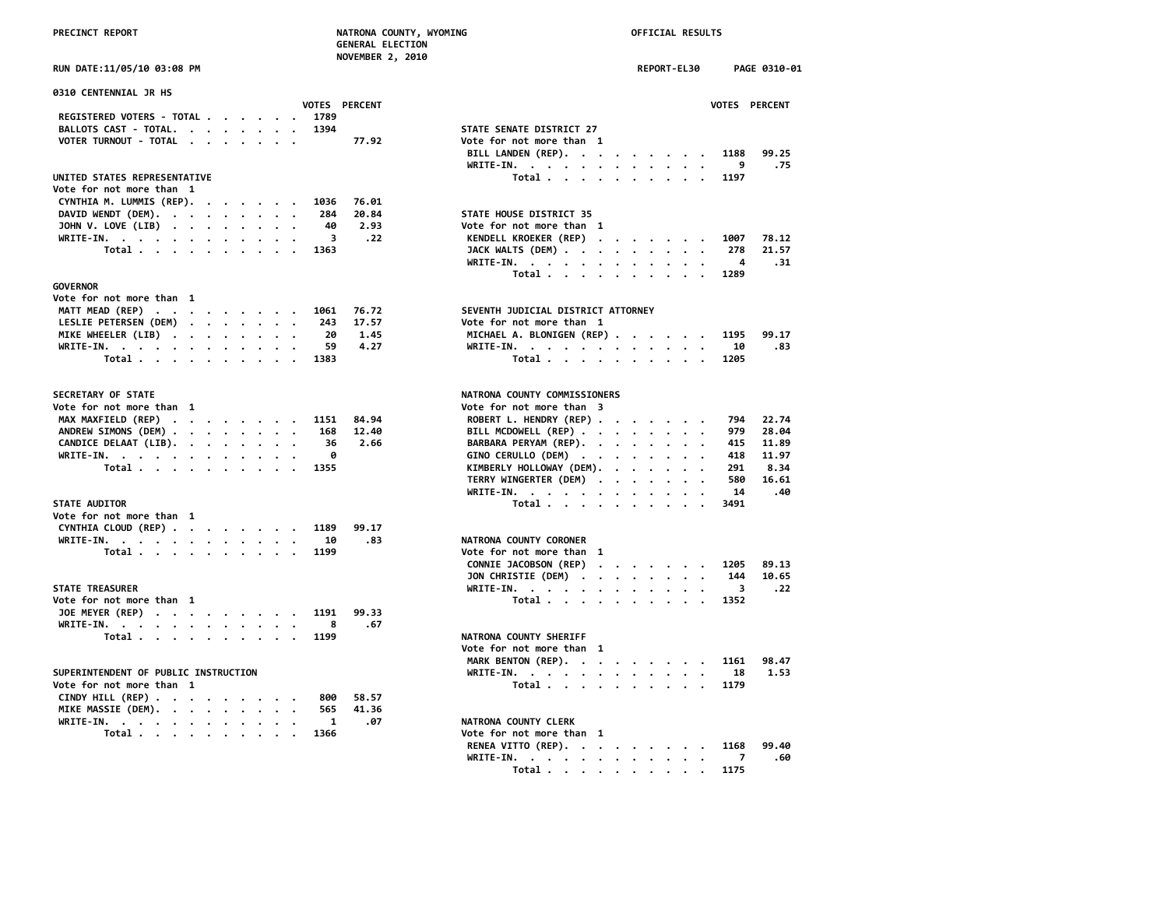### **PRECINCT REPORT NATRONA COUNTY, WYOMING OFFICIAL RESULTS GENERAL ELECTION NOVEMBER 2, 2010**

|                            |  |  |  |                      | <b>NOVEMBER</b> |  |
|----------------------------|--|--|--|----------------------|-----------------|--|
| RUN DATE:11/05/10 03:08 PM |  |  |  |                      |                 |  |
| 0310 CENTENNIAL JR HS      |  |  |  |                      |                 |  |
|                            |  |  |  | <b>VOTES PERCENT</b> |                 |  |
| REGISTERED VOTERS - TOTAL  |  |  |  | 1789                 |                 |  |
| BALLOTS CAST - TOTAL.      |  |  |  | 1394                 |                 |  |
| VOTER TURNOUT - TOTAL      |  |  |  |                      | 77.92           |  |

### UNITED STATES REPRESENTATIVE

| Vote for not more than 1            |  |  |  |  |                          |
|-------------------------------------|--|--|--|--|--------------------------|
| CYNTHIA M. LUMMIS (REP). 1036 76.01 |  |  |  |  |                          |
| DAVID WENDT (DEM). 284 20.84        |  |  |  |  | STATE HOUSE DISTRICT 35  |
| JOHN V. LOVE (LIB) 40 2.93          |  |  |  |  | Vote for not more than 1 |
| WRITE-IN. 3 .22                     |  |  |  |  | KENDELL KROEKER (REP).   |
| Total 1363                          |  |  |  |  | JACK WALTS (DEM)         |

### **GOVERNOR**

| Vote for not more than  1       |  |  |  |  |                                    |
|---------------------------------|--|--|--|--|------------------------------------|
| MATT MEAD (REP) 1061 76.72      |  |  |  |  | SEVENTH JUDICIAL DISTRICT ATTORNEY |
| LESLIE PETERSEN (DEM) 243 17.57 |  |  |  |  | Vote for not more than 1           |
| MIKE WHEELER (LIB) 20 1.45      |  |  |  |  | MICHAEL A. BLONIGEN (REP)          |
| WRITE-IN. 59 4.27               |  |  |  |  | WRITE-IN.                          |
| Total 1383                      |  |  |  |  | Total                              |

### **SECRETARY OF STATE**

| Vote for not more than 1      |  |  |  |  | Vote for not more than 3 |
|-------------------------------|--|--|--|--|--------------------------|
| MAX MAXFIELD (REP) 1151 84.94 |  |  |  |  | ROBERT L. HENDRY (REP).  |
| ANDREW SIMONS (DEM) 168 12.40 |  |  |  |  | BILL MCDOWELL (REP)      |
| CANDICE DELAAT (LIB). 36 2.66 |  |  |  |  | BARBARA PERYAM (REP). .  |
| WRITE-IN. 0                   |  |  |  |  | GINO CERULLO (DEM)       |
| Total 1355                    |  |  |  |  | KIMBERLY HOLLOWAY (DEM). |

### **STATE AUDITOR**

| Vote for not more than 1       |  |  |  |  |      |                          |  |
|--------------------------------|--|--|--|--|------|--------------------------|--|
| CYNTHIA CLOUD (REP) 1189 99.17 |  |  |  |  |      |                          |  |
| WRITE-IN. 10                   |  |  |  |  | - 83 | NATRONA COUNTY CORONER   |  |
| Total 1199                     |  |  |  |  |      | Vote for not more than 1 |  |

### **STATE TREASURER**

| Vote for not more than 1   |  |  |  |  |  | Total 1352             |  |
|----------------------------|--|--|--|--|--|------------------------|--|
| JOE MEYER (REP) 1191 99.33 |  |  |  |  |  |                        |  |
| WRITE-IN. 8 .67            |  |  |  |  |  |                        |  |
| Total 1199                 |  |  |  |  |  | NATRONA COUNTY SHERIFF |  |

## **SUPERINTENDENT OF PUBLIC INSTRUCTION**<br>Vote for not more than 1

| Vote for not more than 1     |  |  |  |  | $10t$ al                 |  |
|------------------------------|--|--|--|--|--------------------------|--|
| CINDY HILL (REP) 800 58.57   |  |  |  |  |                          |  |
| MIKE MASSIE (DEM). 565 41.36 |  |  |  |  |                          |  |
| WRITE-IN. 1 .07              |  |  |  |  | NATRONA COUNTY CLERK     |  |
| Total 1366                   |  |  |  |  | Vote for not more than 1 |  |

|                                                | NUVEMBER 2, 2010     |                                                                                                                                            |  |
|------------------------------------------------|----------------------|--------------------------------------------------------------------------------------------------------------------------------------------|--|
| RUN DATE:11/05/10 03:08 PM                     |                      | <b>REPORT-EL30</b><br>PAGE 0310-01                                                                                                         |  |
| 0310 CENTENNIAL JR HS                          |                      |                                                                                                                                            |  |
|                                                | <b>VOTES PERCENT</b> | VOTES PERCENT                                                                                                                              |  |
| REGISTERED VOTERS - TOTAL<br>1789              |                      |                                                                                                                                            |  |
| BALLOTS CAST - TOTAL.<br>1394                  |                      | STATE SENATE DISTRICT 27                                                                                                                   |  |
| VOTER TURNOUT - TOTAL                          | 77.92                | Vote for not more than 1                                                                                                                   |  |
|                                                |                      | BILL LANDEN (REP).<br>1188<br>99.25                                                                                                        |  |
|                                                |                      | 9<br>.75<br>WRITE-IN.<br>the contract of the contract of the contract of the contract of the contract of the contract of the contract of   |  |
| UNITED STATES REPRESENTATIVE                   |                      | Total<br>1197                                                                                                                              |  |
| Vote for not more than 1                       |                      |                                                                                                                                            |  |
| CYNTHIA M. LUMMIS (REP).<br>1036               | 76.01                |                                                                                                                                            |  |
| DAVID WENDT (DEM).<br>284                      | 20.84                | STATE HOUSE DISTRICT 35                                                                                                                    |  |
| JOHN V. LOVE (LIB)<br>40                       | 2.93                 | Vote for not more than 1                                                                                                                   |  |
| WRITE-IN.                                      | 3<br>.22             | KENDELL KROEKER (REP)<br>78.12<br>1007                                                                                                     |  |
| Total<br>1363                                  |                      | 21.57<br>JACK WALTS (DEM)<br>278                                                                                                           |  |
|                                                |                      | WRITE-IN.<br>4<br>. 31                                                                                                                     |  |
|                                                |                      | Total<br>1289                                                                                                                              |  |
| <b>GOVERNOR</b>                                |                      |                                                                                                                                            |  |
| Vote for not more than 1                       |                      |                                                                                                                                            |  |
| MATT MEAD (REP)<br>1061                        | 76.72                | SEVENTH JUDICIAL DISTRICT ATTORNEY                                                                                                         |  |
| LESLIE PETERSEN (DEM)<br>243                   | 17.57                | Vote for not more than 1                                                                                                                   |  |
| 20<br>MIKE WHEELER (LIB)                       | 1.45                 | MICHAEL A. BLONIGEN (REP)<br>99.17<br>1195                                                                                                 |  |
| 59<br>WRITE-IN.                                | 4.27                 | WRITE-IN.<br>10<br>.83                                                                                                                     |  |
| Total<br>1383                                  |                      | Total<br>1205                                                                                                                              |  |
|                                                |                      |                                                                                                                                            |  |
| SECRETARY OF STATE                             |                      | NATRONA COUNTY COMMISSIONERS                                                                                                               |  |
| Vote for not more than 1                       |                      | Vote for not more than 3                                                                                                                   |  |
| MAX MAXFIELD (REP)<br>1151                     | 84.94                | ROBERT L. HENDRY (REP)<br>22.74<br>794                                                                                                     |  |
| ANDREW SIMONS (DEM)<br>168                     | 12.40                | BILL MCDOWELL (REP)<br>28.04<br>979                                                                                                        |  |
| CANDICE DELAAT (LIB).<br>36                    | 2.66                 | BARBARA PERYAM (REP).<br>11.89<br>415<br>$\,$ .                                                                                            |  |
| WRITE-IN.                                      | 0                    | GINO CERULLO (DEM)<br>418<br>11.97                                                                                                         |  |
| Total<br>1355                                  |                      | KIMBERLY HOLLOWAY (DEM).<br>8.34<br>291                                                                                                    |  |
|                                                |                      | TERRY WINGERTER (DEM)<br>580<br>16.61                                                                                                      |  |
|                                                |                      | 14<br>.40<br>WRITE-IN.                                                                                                                     |  |
| <b>STATE AUDITOR</b>                           |                      | Total<br>3491                                                                                                                              |  |
| Vote for not more than 1                       |                      |                                                                                                                                            |  |
| CYNTHIA CLOUD (REP)<br>1189                    | 99.17                |                                                                                                                                            |  |
| 10<br>WRITE-IN, $\cdots$ , $\cdots$ , $\cdots$ | .83                  | NATRONA COUNTY CORONER                                                                                                                     |  |
| Total<br>1199                                  |                      | Vote for not more than 1                                                                                                                   |  |
|                                                |                      | CONNIE JACOBSON (REP)<br>1205<br>89.13                                                                                                     |  |
|                                                |                      | JON CHRISTIE (DEM)<br>10.65<br>144                                                                                                         |  |
| <b>STATE TREASURER</b>                         |                      | .22<br>3                                                                                                                                   |  |
| Vote for not more than 1                       |                      | WRITE-IN.<br>Total<br>1352                                                                                                                 |  |
| JOE MEYER (REP)<br>1191                        | 99.33                |                                                                                                                                            |  |
|                                                |                      |                                                                                                                                            |  |
| WRITE-IN.<br>$\cdot$ $\cdot$                   | 8<br>.67             |                                                                                                                                            |  |
| Total<br>1199                                  |                      | NATRONA COUNTY SHERIFF                                                                                                                     |  |
|                                                |                      | Vote for not more than 1                                                                                                                   |  |
|                                                |                      | MARK BENTON (REP).<br>98.47<br>1161                                                                                                        |  |
| SUPERINTENDENT OF PUBLIC INSTRUCTION           |                      | WRITE-IN.<br>1.53<br>the contract of the contract of the contract of the contract of the contract of the contract of the contract of<br>18 |  |
| Vote for not more than 1                       | 0.0000000000000      | Total<br>1179                                                                                                                              |  |

### **NATRONA COUNTY CLERK**

| Total 1366 |  |  | Vote for not more than 1      |  |
|------------|--|--|-------------------------------|--|
|            |  |  | RENEA VITTO (REP). 1168 99.40 |  |
|            |  |  | WRITE-IN. 7 $.60$             |  |
|            |  |  | Total 1175                    |  |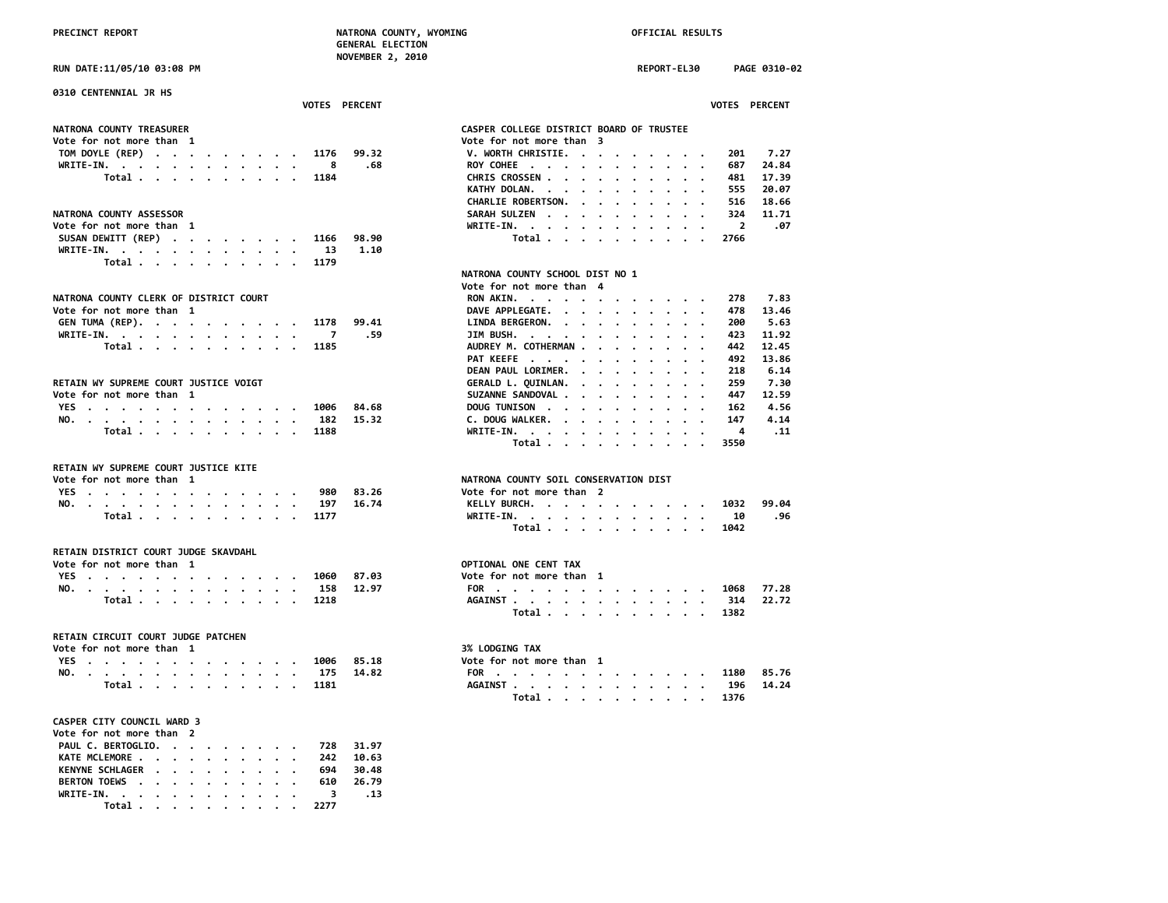**RUN DATE:11/05/10 03:08 PM REPORT-EL30 PAGE 0310-02**

| 0310 CENTENNIAL JR HS                     | <b>VOTES PERCENT</b> |                                          | <b>VOTES PERCENT</b>           |
|-------------------------------------------|----------------------|------------------------------------------|--------------------------------|
| NATRONA COUNTY TREASURER                  |                      | CASPER COLLEGE DISTRICT BOARD OF TRUSTEE |                                |
| Vote for not more than 1                  |                      | Vote for not more than 3                 |                                |
| TOM DOYLE (REP) 1176 99.32                |                      | V. WORTH CHRISTIE.                       | 7.27<br>201                    |
| WRITE-IN.                                 | .68<br>8             | ROY COHEE                                | 24.84<br>687                   |
| Total 1184                                |                      | CHRIS CROSSEN                            | 17.39<br>481                   |
|                                           |                      | KATHY DOLAN.                             | 20.07<br>555                   |
|                                           |                      | CHARLIE ROBERTSON.                       | 18.66<br>516                   |
| NATRONA COUNTY ASSESSOR                   |                      | SARAH SULZEN                             | 11.71<br>324                   |
| Vote for not more than 1                  |                      | WRITE-IN.                                | .07<br>$\overline{\mathbf{2}}$ |
| SUSAN DEWITT (REP) 1166                   | 98.90                | Total                                    | 2766                           |
| WRITE-IN.                                 | 1.10<br>-13          |                                          |                                |
| Total                                     | 1179                 |                                          |                                |
|                                           |                      | NATRONA COUNTY SCHOOL DIST NO 1          |                                |
|                                           |                      | Vote for not more than 4                 |                                |
| NATRONA COUNTY CLERK OF DISTRICT COURT    |                      | RON AKIN.                                | 7.83<br>278                    |
| Vote for not more than 1                  |                      | DAVE APPLEGATE.                          | 13.46<br>478                   |
| GEN TUMA (REP). 1178                      | 99.41                | LINDA BERGERON.                          | 5.63<br>200                    |
| WRITE-IN.                                 | . 59                 | JIM BUSH.                                | 11.92<br>423                   |
| Total 1185                                |                      | AUDREY M. COTHERMAN                      | 12.45<br>442                   |
|                                           |                      | PAT KEEFE                                | 13.86<br>492                   |
|                                           |                      | DEAN PAUL LORIMER.                       | 6.14<br>218                    |
| RETAIN WY SUPREME COURT JUSTICE VOIGT     |                      | GERALD L. QUINLAN.                       | 7.30<br>259                    |
| Vote for not more than 1                  |                      | SUZANNE SANDOVAL                         | 447<br>12.59                   |
| YES 1006 84.68                            |                      | DOUG TUNISON                             | 4.56<br>162                    |
| NO.                                       | 15.32<br>182         | C. DOUG WALKER.                          | 4.14<br>147                    |
| Total $\cdots$ $\cdots$ $\cdots$ $\cdots$ | 1188                 | WRITE-IN.                                | .11                            |
|                                           |                      | Total                                    | 3550                           |

### **RETAIN WY SUPREME COURT JUSTICE KITE**

| Vote for not more than |  |  |  |  |  |  |               |        | NATRONA COUNTY SOTL CONSERVATION DIST |       |
|------------------------|--|--|--|--|--|--|---------------|--------|---------------------------------------|-------|
|                        |  |  |  |  |  |  | YES. 980      | -83.26 | Vote for not more than 2              |       |
|                        |  |  |  |  |  |  | NO. 197 16.74 |        | KELLY BURCH. 1032                     | 99.04 |
|                        |  |  |  |  |  |  | Total 1177    |        | WRITE-IN. 10                          | . 96  |

### **RETAIN DISTRICT COURT JUDGE SKAVDAHL**

| Vote for not more than |  |         |  |  |  |  |               | OPTIONAL ONE CENT TAX  |  |  |  |  |  |  |      |       |
|------------------------|--|---------|--|--|--|--|---------------|------------------------|--|--|--|--|--|--|------|-------|
| YES.                   |  |         |  |  |  |  | 1060          | Vote for not more than |  |  |  |  |  |  |      |       |
|                        |  |         |  |  |  |  | NO. 158 12.97 | FOR                    |  |  |  |  |  |  | 1068 | 77.28 |
|                        |  | Total 7 |  |  |  |  | 1218          | AGAINST                |  |  |  |  |  |  | 314  |       |

### **RETAIN CIRCUIT COURT JUDGE PATCHEN**

| Vote for not more than 1 |  |  |  |  |  |  |  |               |                | <b>3% LODGING TAX</b>    |       |
|--------------------------|--|--|--|--|--|--|--|---------------|----------------|--------------------------|-------|
|                          |  |  |  |  |  |  |  |               | YES 1006 85.18 | Vote for not more than 1 |       |
|                          |  |  |  |  |  |  |  | NO. 175 14.82 |                | FOR 1180                 | 85.76 |
|                          |  |  |  |  |  |  |  | Total 1181    |                | AGAINST 196 14.24        |       |

### **CASPER CITY COUNCIL WARD 3**

| Vote for not more than 2     |  |  |  |  |  |
|------------------------------|--|--|--|--|--|
| PAUL C. BERTOGLIO. 728 31.97 |  |  |  |  |  |
| KATE MCLEMORE 242 10.63      |  |  |  |  |  |
| KENYNE SCHLAGER 694 30.48    |  |  |  |  |  |
| BERTON TOEWS 610 26.79       |  |  |  |  |  |
| WRITE-IN. 3 .13              |  |  |  |  |  |
| Total 2277                   |  |  |  |  |  |

| ote for not more than 3           |                          |  |  |  |  |      |       |  |
|-----------------------------------|--------------------------|--|--|--|--|------|-------|--|
| V. WORTH CHRISTIE.                |                          |  |  |  |  | 201  | 7.27  |  |
| <b>ROY COHEE</b>                  |                          |  |  |  |  | 687  | 24.84 |  |
| <b>CHRIS CROSSEN .</b>            |                          |  |  |  |  | 481  | 17.39 |  |
| KATHY DOLAN.                      | $\overline{\phantom{a}}$ |  |  |  |  | 555  | 20.07 |  |
| <b>CHARLIE ROBERTSON.</b>         |                          |  |  |  |  | 516  | 18.66 |  |
| SARAH SULZEN                      |                          |  |  |  |  | 324  | 11.71 |  |
| WRITE-IN.<br>$\ddot{\phantom{a}}$ |                          |  |  |  |  | 2    | . 07  |  |
| Total .                           |                          |  |  |  |  | 2766 |       |  |
|                                   |                          |  |  |  |  |      |       |  |
| ATRONA COUNTY SCHOOL DIST NO 1    |                          |  |  |  |  |      |       |  |
| ote for not more than 4           |                          |  |  |  |  |      |       |  |
| <b>RON AKIN.</b>                  |                          |  |  |  |  | 278  | 7.83  |  |
| <b>DAVE APPLEGATE.</b>            |                          |  |  |  |  | 478  | 13.46 |  |

| AVE APPLEGATE.     |  |  |  |  | 478 | 13.46 |
|--------------------|--|--|--|--|-----|-------|
| INDA BERGERON.     |  |  |  |  | 200 | 5.63  |
| IM BUSH.           |  |  |  |  | 423 | 11.92 |
| UDREY M. COTHERMAN |  |  |  |  | 442 | 12.45 |
| AT KEEFE           |  |  |  |  | 492 | 13.86 |
| EAN PAUL LORIMER.  |  |  |  |  | 218 | 6.14  |
| ERALD L. QUINLAN.  |  |  |  |  | 259 | 7.30  |
| UZANNE SANDOVAL    |  |  |  |  | 447 | 12.59 |
| OUGTUNISON         |  |  |  |  | 162 | 4.56  |
| . DOUG WALKER.     |  |  |  |  | 147 | 4.14  |
| RITE-IN. 4 .11     |  |  |  |  |     |       |
| Total 3550         |  |  |  |  |     |       |
|                    |  |  |  |  |     |       |

# **NATRONA COUNTY SOIL CONSERVATION DIST**<br>Vote for not more than 2

|  |  |  |  |  |  | YES 980 83.26 | Vote for not more than 2 |  |  |  |  |  |
|--|--|--|--|--|--|---------------|--------------------------|--|--|--|--|--|
|  |  |  |  |  |  | NO. 197 16.74 | KELLY BURCH. 1032 99.04  |  |  |  |  |  |
|  |  |  |  |  |  | Total 1177    | WRITE-IN. 10 .96         |  |  |  |  |  |
|  |  |  |  |  |  |               | Total 1042               |  |  |  |  |  |

### **OPTIONAL ONE CENT TAX YES . . . . . . . . . . . . . 1060 87.03 Vote for not more than 1**

|  |  |  |  |  |  |  |            |               | VOLE TO THOL MOTE LIGHT 1 |  |
|--|--|--|--|--|--|--|------------|---------------|---------------------------|--|
|  |  |  |  |  |  |  |            | NO. 158 12.97 | FOR 1068 77.28            |  |
|  |  |  |  |  |  |  | Total 1218 |               | AGAINST 314 22.72         |  |
|  |  |  |  |  |  |  |            |               | Total 1382                |  |

# **Vote for not more than 1 3% LODGING TAX**

| NO. | . 175 |  |  |  |  |  |        | 14.82 | <b>FOR</b><br>$\mathbf{1}$ , and $\mathbf{1}$ , and $\mathbf{1}$ , and $\mathbf{1}$ , and $\mathbf{1}$ , and $\mathbf{1}$ |  |  |  |  |  |                                                                                          | 1180      | 85.76 |
|-----|-------|--|--|--|--|--|--------|-------|---------------------------------------------------------------------------------------------------------------------------|--|--|--|--|--|------------------------------------------------------------------------------------------|-----------|-------|
|     | Total |  |  |  |  |  | . 1181 |       | <b>AGAINST</b>                                                                                                            |  |  |  |  |  |                                                                                          | 196 14.24 |       |
|     |       |  |  |  |  |  |        |       |                                                                                                                           |  |  |  |  |  | $\mathbf{r}$ , and $\mathbf{r}$ , and $\mathbf{r}$ , and $\mathbf{r}$ , and $\mathbf{r}$ | 1376      |       |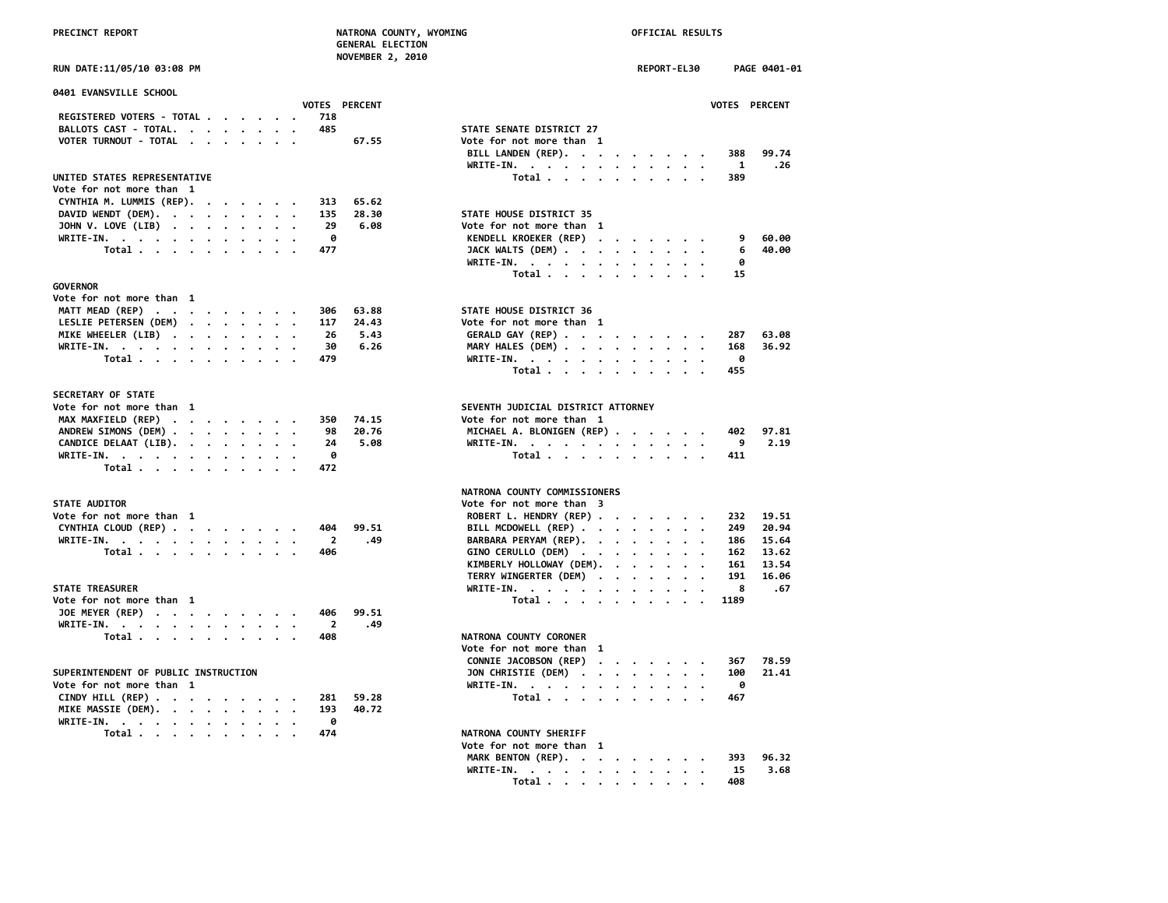|                            | --------------------- |             |              |
|----------------------------|-----------------------|-------------|--------------|
|                            | 2010<br>NOVEMBER 2    |             |              |
| RUN DATE:11/05/10 03:08 PM |                       | REPORT-EL30 | PAGE 0401-01 |

| 0401 EVANSVILLE SCHOOL                                   |                                                      |
|----------------------------------------------------------|------------------------------------------------------|
| <b>VOTES PERCENT</b><br>REGISTERED VOTERS - TOTAL<br>718 | <b>VOTES</b>                                         |
| BALLOTS CAST - TOTAL.<br>485                             | STATE SENATE DISTRICT 27                             |
| VOTER TURNOUT - TOTAL<br>67.55                           | Vote for not more than 1                             |
|                                                          | BILL LANDEN (REP).<br>388                            |
|                                                          | WRITE-IN.<br>1                                       |
| UNITED STATES REPRESENTATIVE                             | Total<br>389<br>$\sim$ $\sim$                        |
| Vote for not more than 1                                 |                                                      |
| CYNTHIA M. LUMMIS (REP).<br>65.62<br>313                 |                                                      |
| DAVID WENDT (DEM).<br>28.30<br>135                       | STATE HOUSE DISTRICT 35                              |
| 29<br>6.08                                               | Vote for not more than 1                             |
| JOHN V. LOVE (LIB)<br>0                                  | 9                                                    |
| WRITE-IN.<br>477                                         | KENDELL KROEKER (REP)<br>6                           |
| Total                                                    | JACK WALTS (DEM)<br>ø                                |
|                                                          | WRITE-IN.                                            |
| <b>GOVERNOR</b>                                          | Total<br>15                                          |
| Vote for not more than 1                                 |                                                      |
| MATT MEAD (REP)<br>306<br>63.88                          | STATE HOUSE DISTRICT 36                              |
| LESLIE PETERSEN (DEM)<br>24.43<br>117                    | Vote for not more than 1                             |
| 26<br>5.43                                               | 287                                                  |
| MIKE WHEELER (LIB)<br>30<br>6.26                         | GERALD GAY (REP)<br>168                              |
| WRITE-IN.<br>479                                         | MARY HALES (DEM)<br>- 0                              |
| Total                                                    | WRITE-IN.                                            |
|                                                          | 455<br>Total                                         |
| SECRETARY OF STATE                                       |                                                      |
| Vote for not more than 1                                 | SEVENTH JUDICIAL DISTRICT ATTORNEY                   |
| MAX MAXFIELD (REP)<br>74.15<br>350                       | Vote for not more than 1                             |
| ANDREW SIMONS (DEM)<br>20.76<br>98                       | MICHAEL A. BLONIGEN (REP)<br>402                     |
| CANDICE DELAAT (LIB).<br>24<br>5.08                      | 9<br>WRITE-IN.                                       |
| WRITE-IN.<br>ø                                           | Total $\cdots$ $\cdots$ $\cdots$<br>411              |
| Total<br>472                                             |                                                      |
|                                                          |                                                      |
|                                                          | NATRONA COUNTY COMMISSIONERS                         |
| <b>STATE AUDITOR</b>                                     | Vote for not more than 3                             |
| Vote for not more than 1                                 | ROBERT L. HENDRY (REP)<br>232                        |
| CYNTHIA CLOUD (REP)<br>99.51<br>404                      | BILL MCDOWELL (REP)<br>249                           |
| $\overline{2}$<br>WRITE-IN.<br>.49                       | BARBARA PERYAM (REP).<br>186<br>$\cdot$<br>$\bullet$ |
| Total<br>406                                             | GINO CERULLO (DEM)<br>162                            |
|                                                          | KIMBERLY HOLLOWAY (DEM).<br>161                      |
|                                                          | TERRY WINGERTER (DEM)<br>191                         |
| <b>STATE TREASURER</b>                                   | 8<br>WRITE-IN.                                       |
| Vote for not more than 1                                 | Total<br>1189                                        |
| JOE MEYER (REP)<br>406<br>99.51                          |                                                      |
| .49<br>WRITE-IN.<br>$\overline{2}$                       |                                                      |
| Total<br>408                                             | NATRONA COUNTY CORONER                               |
|                                                          | Vote for not more than 1                             |
|                                                          | CONNIE JACOBSON (REP)<br>367                         |
| SUPERINTENDENT OF PUBLIC INSTRUCTION                     | JON CHRISTIE (DEM)<br>100                            |
| Vote for not more than 1                                 | 0                                                    |
| 59.28<br>281                                             | WRITE-IN.<br>Total $\cdots$ $\cdots$ $\cdots$<br>467 |
| CINDY HILL $(REP)$                                       |                                                      |
| MIKE MASSIE (DEM).<br>193<br>40.72                       |                                                      |
| WRITE-IN.<br>0                                           |                                                      |
| Total $\cdots$ $\cdots$ $\cdots$<br>474                  | NATRONA COUNTY SHERIFF                               |
|                                                          | Vote for not more than 1                             |

| 0401 EVANSVILLE SCHOOL                                                    |                       |                                                                    |
|---------------------------------------------------------------------------|-----------------------|--------------------------------------------------------------------|
|                                                                           | <b>VOTES PERCENT</b>  | <b>VOTES PERCENT</b>                                               |
| REGISTERED VOTERS - TOTAL<br>718                                          |                       |                                                                    |
| 485<br>BALLOTS CAST - TOTAL.                                              |                       | STATE SENATE DISTRICT 27                                           |
| VOTER TURNOUT - TOTAL                                                     | 67.55                 | Vote for not more than 1                                           |
|                                                                           |                       | BILL LANDEN (REP).<br>388<br>99.74                                 |
| UNITED STATES REPRESENTATIVE                                              |                       | WRITE-IN.<br>1<br>.26<br>Total $\cdots$ $\cdots$ $\cdots$          |
| Vote for not more than 1                                                  |                       | 389                                                                |
| CYNTHIA M. LUMMIS (REP).<br>313                                           | 65.62                 |                                                                    |
| DAVID WENDT (DEM).<br>135                                                 | 28.30                 | STATE HOUSE DISTRICT 35                                            |
| JOHN V. LOVE (LIB)                                                        | 29<br>6.08            | Vote for not more than 1                                           |
| WRITE-IN.                                                                 | ø                     | KENDELL KROEKER (REP)<br>60.00<br>9                                |
| Total<br>477                                                              |                       | JACK WALTS (DEM)<br>40.00<br>6                                     |
|                                                                           |                       | WRITE-IN.<br>ø                                                     |
|                                                                           |                       | Total<br>15                                                        |
| GOVERNOR                                                                  |                       |                                                                    |
| Vote for not more than 1                                                  |                       |                                                                    |
| MATT MEAD (REP)<br>306                                                    | 63.88                 | STATE HOUSE DISTRICT 36                                            |
| LESLIE PETERSEN (DEM)<br>117                                              | 24.43                 | Vote for not more than 1                                           |
| MIKE WHEELER (LIB)                                                        | 26<br>5.43            | GERALD GAY (REP)<br>287<br>63.08                                   |
| WRITE-IN.                                                                 | 30<br>6.26            | MARY HALES (DEM)<br>168<br>36.92                                   |
| Total<br>479                                                              |                       | WRITE-IN.<br>0                                                     |
|                                                                           |                       | Total<br>455                                                       |
| <b>SECRETARY OF STATE</b>                                                 |                       |                                                                    |
| Vote for not more than 1                                                  |                       | SEVENTH JUDICIAL DISTRICT ATTORNEY                                 |
| MAX MAXFIELD (REP)<br>350                                                 | 74.15                 | Vote for not more than 1                                           |
| ANDREW SIMONS (DEM)                                                       | 98<br>20.76           | MICHAEL A. BLONIGEN (REP)<br>97.81<br>402                          |
| CANDICE DELAAT (LIB).                                                     | 24<br>5.08            | 9<br>2.19<br>WRITE-IN.                                             |
| WRITE-IN.                                                                 | 0                     | Total<br>411                                                       |
| Total<br>472                                                              |                       |                                                                    |
|                                                                           |                       |                                                                    |
|                                                                           |                       | NATRONA COUNTY COMMISSIONERS                                       |
| <b>STATE AUDITOR</b><br>Vote for not more than 1                          |                       | Vote for not more than 3<br>ROBERT L. HENDRY (REP)<br>19.51<br>232 |
| CYNTHIA CLOUD (REP)<br>404                                                | 99.51                 | BILL MCDOWELL (REP)<br>249<br>20.94                                |
| WRITE-IN.                                                                 | $\overline{2}$<br>.49 | BARBARA PERYAM (REP).<br>15.64<br>186                              |
| 406<br>Total                                                              |                       | GINO CERULLO (DEM)<br>162<br>13.62                                 |
|                                                                           |                       | KIMBERLY HOLLOWAY (DEM).<br>13.54<br>161                           |
|                                                                           |                       | TERRY WINGERTER (DEM)<br>191<br>16.06                              |
| <b>STATE TREASURER</b>                                                    |                       | WRITE-IN.<br>8<br>.67                                              |
| Vote for not more than 1                                                  |                       | Total<br>1189                                                      |
| JOE MEYER (REP) $\cdot \cdot \cdot \cdot \cdot \cdot \cdot \cdot$<br>406  | 99.51                 |                                                                    |
| WRITE-IN.                                                                 | $\overline{2}$<br>.49 |                                                                    |
| 408<br>Total                                                              |                       | NATRONA COUNTY CORONER                                             |
|                                                                           |                       | Vote for not more than 1                                           |
|                                                                           |                       | CONNIE JACOBSON (REP)<br>78.59<br>367                              |
| SUPERINTENDENT OF PUBLIC INSTRUCTION                                      |                       | 21.41<br>JON CHRISTIE (DEM)<br>100                                 |
| Vote for not more than 1                                                  | 59.28                 | 0<br>WRITE-IN.                                                     |
| CINDY HILL (REP) $\cdot \cdot \cdot \cdot \cdot \cdot \cdot \cdot$<br>281 |                       | Total<br>467                                                       |
| MIKE MASSIE (DEM).<br>193                                                 | 40.72<br>0            |                                                                    |
| WRITE-IN.<br>Total<br>474                                                 |                       | NATRONA COUNTY SHERIFF                                             |
|                                                                           |                       | Vote for not more than 1                                           |
|                                                                           |                       | MARK BENTON (REP).<br>393<br>96.32                                 |
|                                                                           |                       | WRITE-IN.<br>3.68<br>15                                            |
|                                                                           |                       | Total<br>408                                                       |
|                                                                           |                       |                                                                    |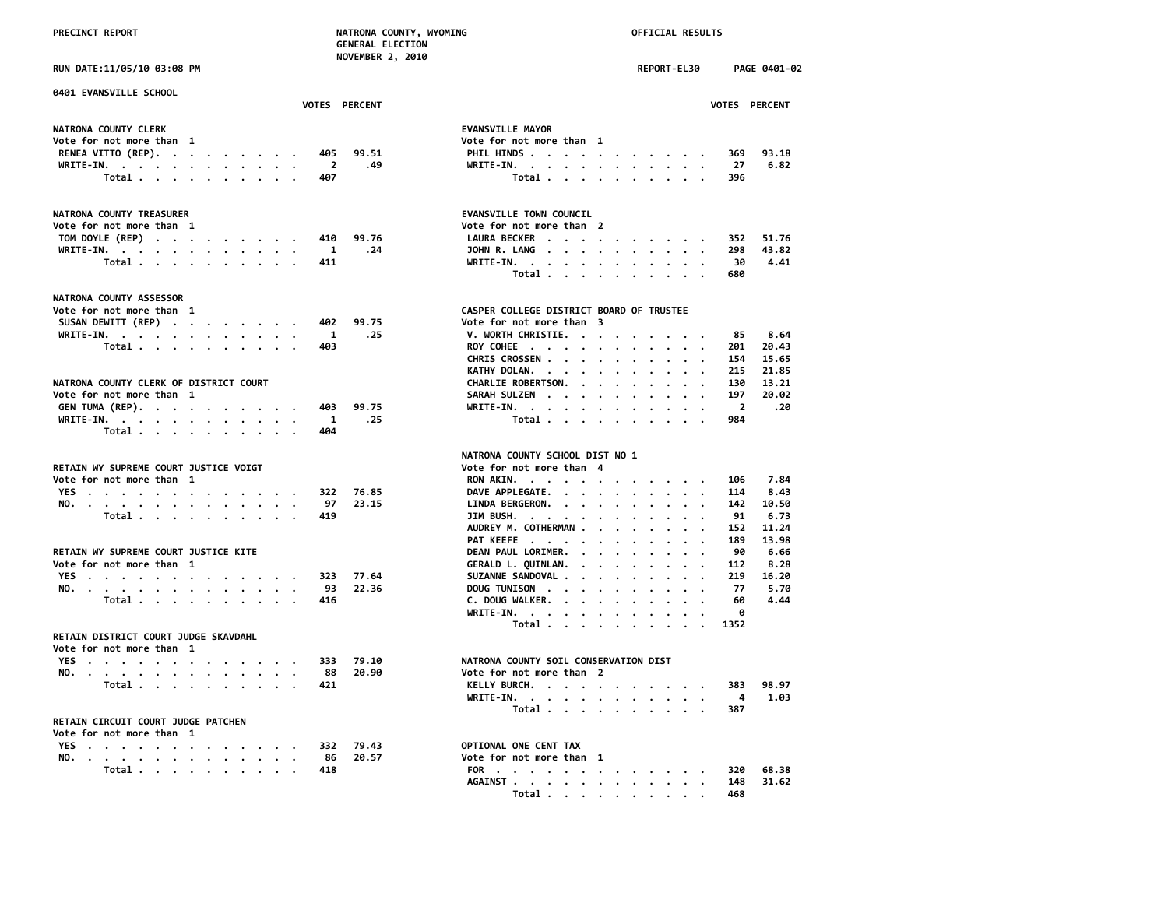|  | <b>PRECINCT REPORT</b> |
|--|------------------------|
|  |                        |

| <b>KEPUKI</b> | <b>NAIRUNA COUNTY, N</b> |
|---------------|--------------------------|
|               | <b>GENERAL ELECTION</b>  |
|               | <b>NOVEMBER 2, 2010</b>  |
|               |                          |

**0401 EVANSVILLE SCHOOL**

| <b>VOTES</b>                 | <b>PERCENT</b> |                          |  |  |  | <b>VOTES</b> | <b>PERCENT</b> |
|------------------------------|----------------|--------------------------|--|--|--|--------------|----------------|
| NATRONA COUNTY CLERK         |                | <b>EVANSVILLE MAYOR</b>  |  |  |  |              |                |
| Vote for not more than 1     |                | Vote for not more than 1 |  |  |  |              |                |
| RENEA VITTO (REP). 405 99.51 |                | PHIL HINDS 369           |  |  |  |              | 93.18          |
| WRITE-IN. 2 .49              |                | WRITE-IN. 27             |  |  |  |              | 6.82           |
| Total. 407                   |                | Total 396                |  |  |  |              |                |

| NATRONA COUNTY TREASURER  | EVANSVILLE TOWN COUNCIL   |
|---------------------------|---------------------------|
| Vote for not more than 1  | Vote for not more than 2  |
| TOM DOYLE (REP) 410 99.76 | 51.76<br>LAURA BECKER 352 |
| WRITE-IN. 1 .24           | 298 43.82<br>JOHN R. LANG |
| Total 411                 | 4.41<br>WRITE-IN. 30      |

### **NATRONA COUNTY ASSESSOR**

| Vote for not more than 1     |  |  |  |  | CASPER COLLEGE DISTRICT BOARD OF TRUSTEE |         |
|------------------------------|--|--|--|--|------------------------------------------|---------|
| SUSAN DEWITT (REP) 402 99.75 |  |  |  |  | Vote for not more than 3                 |         |
| WRITE-IN. 1 .25              |  |  |  |  | V. WORTH CHRISTIE. 85 8.64               |         |
| Total. 403                   |  |  |  |  | ROY COHEE 201                            | - 20.43 |

## **NATRONA COUNTY CLERK OF DISTRICT COURT<br>Vote for not more than 1**

| Vote for not more than    |  |  |  |     | SARAH SULZEN 197 20.02 |  |
|---------------------------|--|--|--|-----|------------------------|--|
| GEN TUMA (REP). 403 99.75 |  |  |  |     | WRITE-IN. 2 .20        |  |
| WRITE-IN. 1 .25           |  |  |  |     | Total 984              |  |
| Total                     |  |  |  | 404 |                        |  |

### **RETAIN WY SUPREME COURT JUSTICE VOIGT**

| Vote for not more than 1 |  |  |  |  |  |  |           |               | RON AKIN. 106 7.84        |  |  |  |  |  |  |
|--------------------------|--|--|--|--|--|--|-----------|---------------|---------------------------|--|--|--|--|--|--|
|                          |  |  |  |  |  |  |           | YES 322 76.85 | DAVE APPLEGATE. 114 8.43  |  |  |  |  |  |  |
|                          |  |  |  |  |  |  |           | NO. 97 23.15  | LINDA BERGERON. 142 10.50 |  |  |  |  |  |  |
|                          |  |  |  |  |  |  | Total 419 |               | JIM BUSH. 91 6.73         |  |  |  |  |  |  |

### **RETAIN WY SUPREME COURT JUSTICE KITE DEAN PAUL LORIMER. . . . . . . . . 90 6.66**

| Vote for not more than 1 |  |                  |  |  |  |  |         |              | GERALD L. OUINLAN. 112 8.28 |  |  |  |  |  |      |
|--------------------------|--|------------------|--|--|--|--|---------|--------------|-----------------------------|--|--|--|--|--|------|
|                          |  |                  |  |  |  |  | YES 323 | 77. KA       | SUZANNE SANDOVAL 219 16.20  |  |  |  |  |  |      |
|                          |  |                  |  |  |  |  |         | NO. 93 22.36 | DOUG TUNISON 77 5.70        |  |  |  |  |  |      |
|                          |  | Total <i>. .</i> |  |  |  |  |         |              | DOUGWALKER. 60              |  |  |  |  |  | 4.44 |

### **RETAIN DISTRICT COURT JUDGE SKAVDAHL**

| Vote for not more than 1 |  |  |  |  |  |  |           |               |                           |
|--------------------------|--|--|--|--|--|--|-----------|---------------|---------------------------|
|                          |  |  |  |  |  |  |           | YES 333 79.10 | NATRONA COUNTY SOIL CONSE |
|                          |  |  |  |  |  |  |           | NO. 88 20.90  | Vote for not more than 2  |
|                          |  |  |  |  |  |  | Total 421 |               | KELLY BURCH.              |

### **RETAIN CIRCUIT COURT JUDGE PATCHEN**

### **Vote for not more than 1**

| <b>YES</b> |  |       |  |  |  |                                                  |  |                                                                                                                        | 332 | 79.43 | OPTIONAL ONE CENT TAX    |       |
|------------|--|-------|--|--|--|--------------------------------------------------|--|------------------------------------------------------------------------------------------------------------------------|-----|-------|--------------------------|-------|
| NO.        |  |       |  |  |  |                                                  |  | <u>a serie de la carra de la carra de la carra de la carra de la carra de la carra de la carra de la carra de la c</u> | 86  | 20.57 | Vote for not more than 1 |       |
|            |  | Total |  |  |  | $\sim$ $\sim$ $\sim$ $\sim$ $\sim$ $\sim$ $\sim$ |  |                                                                                                                        | 418 |       | 320                      | 68.38 |

# **PRECIAL RESULTS**

**RUN DATE:11/05/10 03:08 PM REPORT-EL30 PAGE 0401-02**

|  | <b>VOTES PERCEI</b> |
|--|---------------------|
|  |                     |

### **EVANSVILLE MAYOR** Vote for not more than 1<br>FILL HINDS . . . . . **RENEA VITTO (REP). . . . . . . . . 405 99.51 PHIL HINDS . . . . . . . . . . . 369 93.18 WRITE-IN.** . . . . . . . . . . . . 27<br>Total . . . . . . . . . . 396  **Total . . . . . . . . . . 407 Total . . . . . . . . . . 396**

| Vote for not more than  1 |  |  |  | TOM DOYLE (REP) 410 99.76<br>WRITE-IN. 1 .24<br>Total 411 | Vote for not more than 2 |  |  |  | LAURA BECKER 352 51.76<br>30HN R. LANG 298 43.82<br>WRITE-IN. 30 4.41<br>Total 680 |
|---------------------------|--|--|--|-----------------------------------------------------------|--------------------------|--|--|--|------------------------------------------------------------------------------------|

# CASPER COLLEGE DISTRICT BOARD OF TRUSTEE<br>Vote for not more than 3

| SUSAN DEWITT (REP) 402 99.75           |  |  |  |  |  |           | Vote for not more than 3     |  |  |  |  |  |  |
|----------------------------------------|--|--|--|--|--|-----------|------------------------------|--|--|--|--|--|--|
| WRITE-IN. 1 .25                        |  |  |  |  |  |           | V. WORTH CHRISTIE. 85 8.64   |  |  |  |  |  |  |
|                                        |  |  |  |  |  | Total 403 | ROY COHEE 201 20.43          |  |  |  |  |  |  |
|                                        |  |  |  |  |  |           | CHRIS CROSSEN 154 15.65      |  |  |  |  |  |  |
|                                        |  |  |  |  |  |           | KATHY DOLAN. 215 21.85       |  |  |  |  |  |  |
| NATRONA COUNTY CLERK OF DISTRICT COURT |  |  |  |  |  |           | CHARLIE ROBERTSON. 130 13.21 |  |  |  |  |  |  |
| Vote for not more than  1              |  |  |  |  |  |           | SARAH SULZEN 197 20.02       |  |  |  |  |  |  |
| GEN TUMA (REP). 403 99.75              |  |  |  |  |  |           | WRITE-IN. 2 .20              |  |  |  |  |  |  |
| WRITE-IN. 1 .25                        |  |  |  |  |  |           | Total 984                    |  |  |  |  |  |  |
|                                        |  |  |  |  |  |           |                              |  |  |  |  |  |  |

# **NATRONA COUNTY SCHOOL DIST NO 1**

|  | RETAIN WY SUPREME COURT JUSTICE VOIGT |  |  |  |  |  |      |              | Vote for not more than 4   |       |
|--|---------------------------------------|--|--|--|--|--|------|--------------|----------------------------|-------|
|  | Vote for not more than  1             |  |  |  |  |  |      |              | RON AKIN.<br>106           | 7.84  |
|  | YES.                                  |  |  |  |  |  |      | 322 76.85    | DAVE APPLEGATE.<br>114     | 8.43  |
|  |                                       |  |  |  |  |  |      | NO. 97 23.15 | LINDA BERGERON.<br>142     | 10.50 |
|  | Total 419                             |  |  |  |  |  |      |              | $JIM$ BUSH.<br>91          | 6.73  |
|  |                                       |  |  |  |  |  |      |              | AUDREY M. COTHERMAN<br>152 | 11.24 |
|  |                                       |  |  |  |  |  |      |              | PAT KEEFE<br>189           | 13.98 |
|  | RETAIN WY SUPREME COURT JUSTICE KITE  |  |  |  |  |  |      |              | DEAN PAUL LORIMER.<br>90   | 6.66  |
|  | Vote for not more than  1             |  |  |  |  |  |      |              | GERALD L. QUINLAN.<br>112  | 8.28  |
|  | YES.                                  |  |  |  |  |  | -323 | 77.64        | SUZANNE SANDOVAL<br>219    | 16.20 |
|  |                                       |  |  |  |  |  |      | NO. 93 22.36 | DOUG TUNISON 77            | 5.70  |
|  | Total                                 |  |  |  |  |  | 416  |              | C. DOUG WALKER. 60         | 4.44  |
|  |                                       |  |  |  |  |  |      |              | WRITE-IN.<br>A             |       |
|  |                                       |  |  |  |  |  |      |              | Total 1352                 |       |
|  |                                       |  |  |  |  |  |      |              |                            |       |

### **NATRONA COUNTY SOIL CONSERVATION DIST**

|  |  |  |  |  |  |           | NO. 88 20.90 | Vote for not more than 2 |       |
|--|--|--|--|--|--|-----------|--------------|--------------------------|-------|
|  |  |  |  |  |  | Total 421 |              | KELLY BURCH. 383         | 98.97 |
|  |  |  |  |  |  |           |              | WRITE-IN. 4 1.03         |       |
|  |  |  |  |  |  |           |              | Total 387                |       |

## **OPTIONAL ONE CENT TAX**

| NO. | $\mathbf{r}$ , and $\mathbf{r}$ , and $\mathbf{r}$ , and $\mathbf{r}$ , and $\mathbf{r}$ , and $\mathbf{r}$ |  |  |  |  |  | 86 | 20.57 | Vote for not more than |  |  |  |  |  |  |       |                   |       |  |
|-----|-------------------------------------------------------------------------------------------------------------|--|--|--|--|--|----|-------|------------------------|--|--|--|--|--|--|-------|-------------------|-------|--|
|     | Total                                                                                                       |  |  |  |  |  |    |       |                        |  |  |  |  |  |  |       | FOR 320           | 68.38 |  |
|     |                                                                                                             |  |  |  |  |  |    |       |                        |  |  |  |  |  |  |       | AGAINST 148 31.62 |       |  |
|     |                                                                                                             |  |  |  |  |  |    |       |                        |  |  |  |  |  |  | Total | 468               |       |  |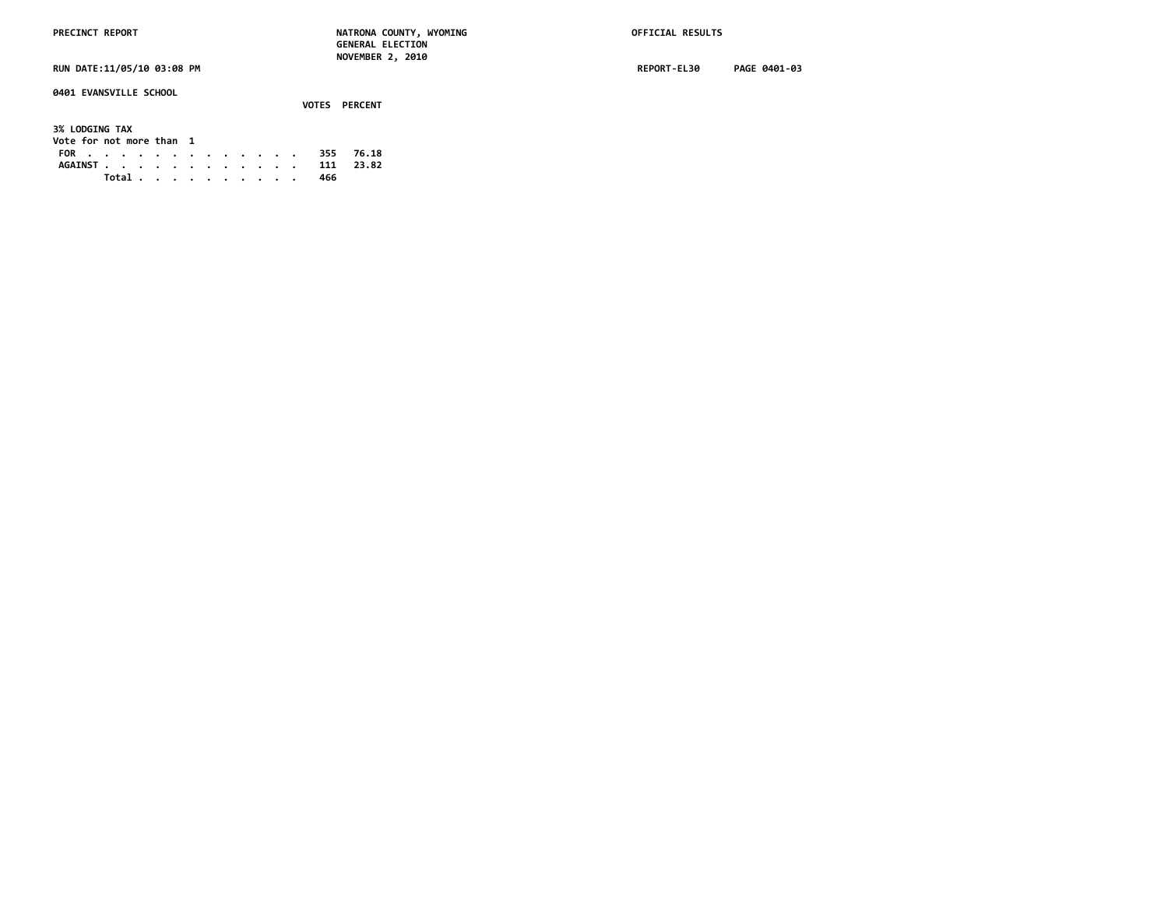**0401 EVANSVILLE SCHOOL**

 **VOTES PERCENT 3% LODGING TAX Vote for not more than 1 FOR . . . . . . . . . . . . . 355 76.18 AGAINST . . . . . . . . . . . . 111 23.82 Total . . . . . . . . . . 466**

**RUN DATE:11/05/10 03:08 PM REPORT-EL30 PAGE 0401-03**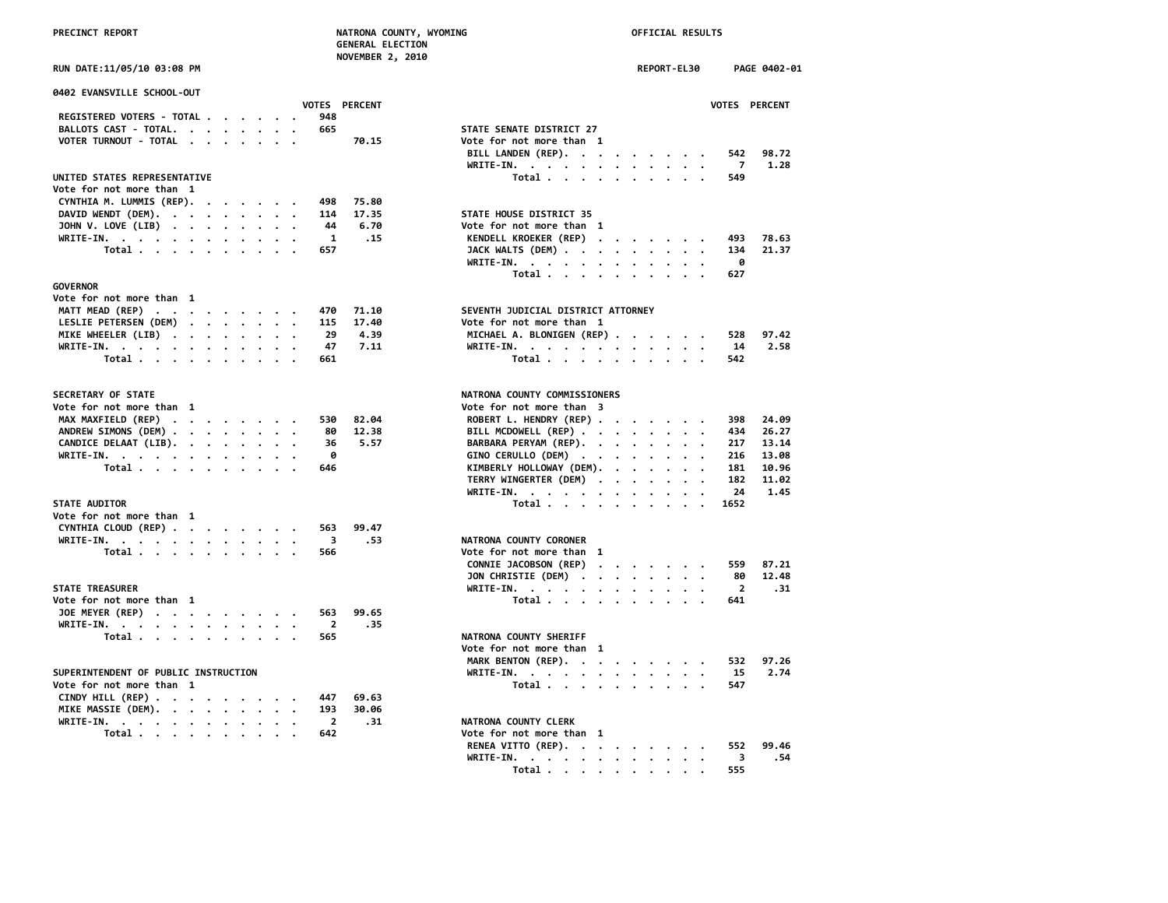|  | <b>PRECINCT REPORT</b> |  |
|--|------------------------|--|
|  |                        |  |

| <b>ULINLINAL LLLLCTION</b><br>NOVEMBER 2, 2010            |                                                  |
|-----------------------------------------------------------|--------------------------------------------------|
| RUN DATE:11/05/10 03:08 PM                                | REPORT-EL30<br>PAGE 0402-01                      |
| <b>0402 EVANSVILLE SCHOOL-OUT</b>                         |                                                  |
| VOTES PERCENT<br>948                                      | VOTES PERCENT                                    |
| REGISTERED VOTERS - TOTAL<br>BALLOTS CAST - TOTAL.<br>665 | STATE SENATE DISTRICT 27                         |
| VOTER TURNOUT - TOTAL<br>70.15                            | Vote for not more than 1                         |
|                                                           | 98.72<br>BILL LANDEN (REP).<br>542               |
|                                                           | WRITE-IN.<br>1.28<br>7                           |
| UNITED STATES REPRESENTATIVE                              | Total<br>549                                     |
| Vote for not more than 1                                  |                                                  |
| CYNTHIA M. LUMMIS (REP).<br>498<br>75.80                  |                                                  |
| DAVID WENDT (DEM).<br>17.35<br>114                        | STATE HOUSE DISTRICT 35                          |
| JOHN V. LOVE (LIB)<br>44<br>6.70                          | Vote for not more than 1                         |
| WRITE-IN.<br>1<br>.15                                     | KENDELL KROEKER (REP)<br>493<br>78.63            |
| Total<br>657                                              | JACK WALTS (DEM)<br>21.37<br>134                 |
|                                                           | WRITE-IN.<br>0                                   |
|                                                           | 627<br>Total                                     |
| GOVERNOR                                                  |                                                  |
| Vote for not more than 1                                  |                                                  |
| MATT MEAD (REP)<br>71.10<br>470                           | SEVENTH JUDICIAL DISTRICT ATTORNEY               |
| LESLIE PETERSEN (DEM)<br>115<br>17.40                     | Vote for not more than 1                         |
| MIKE WHEELER (LIB)<br>29<br>4.39                          | MICHAEL A. BLONIGEN (REP)<br>97.42<br>528        |
| 7.11<br>WRITE-IN.<br>47                                   | 2.58<br>WRITE-IN.<br>14                          |
| Total<br>661                                              | Total $\ldots$ $\ldots$ $\ldots$ $\ldots$<br>542 |
|                                                           |                                                  |
| <b>SECRETARY OF STATE</b>                                 | NATRONA COUNTY COMMISSIONERS                     |
| Vote for not more than  1                                 | Vote for not more than 3                         |
| MAX MAXFIELD (REP)<br>530<br>82.04                        | ROBERT L. HENDRY (REP)<br>24.09<br>398           |
| ANDREW SIMONS (DEM)<br>12.38<br>80                        | BILL MCDOWELL (REP)<br>434<br>26.27              |
| CANDICE DELAAT (LIB).<br>5.57<br>36                       | BARBARA PERYAM (REP).<br>217<br>13.14            |
| WRITE-IN.<br>0                                            | GINO CERULLO (DEM)<br>216<br>13.08               |
| Total<br>646                                              | KIMBERLY HOLLOWAY (DEM).<br>181<br>10.96         |
|                                                           | TERRY WINGERTER (DEM)<br>182<br>11.02            |
|                                                           | 1.45<br>WRITE-IN.<br>24                          |
| <b>STATE AUDITOR</b>                                      | Total<br>1652                                    |
| Vote for not more than 1                                  |                                                  |
| CYNTHIA CLOUD (REP)<br>99.47<br>563                       |                                                  |
| WRITE-IN.<br>3<br>.53                                     | NATRONA COUNTY CORONER                           |
| Total<br>566                                              | Vote for not more than 1                         |
|                                                           | CONNIE JACOBSON (REP)<br>87.21<br>559            |
|                                                           | JON CHRISTIE (DEM)<br>12.48<br>80                |
| <b>STATE TREASURER</b>                                    | $\overline{2}$<br>WRITE-IN.<br>.31               |
| Vote for not more than 1                                  | Total<br>641                                     |
| JOE MEYER (REP)<br>563<br>99.65                           |                                                  |
| WRITE-IN.<br>$\overline{2}$<br>.35                        |                                                  |
| Total<br>565                                              | NATRONA COUNTY SHERIFF                           |
|                                                           | Vote for not more than 1                         |
|                                                           | MARK BENTON (REP).<br>532<br>97.26               |
| SUPERINTENDENT OF PUBLIC INSTRUCTION                      | 2.74<br>WRITE-IN.<br>15                          |
| Vote for not more than 1                                  | Total<br>547                                     |
| CINDY HILL (REP)<br>447<br>69.63                          |                                                  |
| MIKE MASSIE (DEM).<br>193<br>30.06                        |                                                  |
| WRITE-IN.<br>$\overline{2}$<br>.31                        | NATRONA COUNTY CLERK                             |
| Total<br>642                                              | Vote for not more than 1                         |
|                                                           | RENEA VITTO (REP).<br>99.46<br>552               |
|                                                           | .54<br>WRITE-IN.<br>3                            |
|                                                           | 555<br>Total                                     |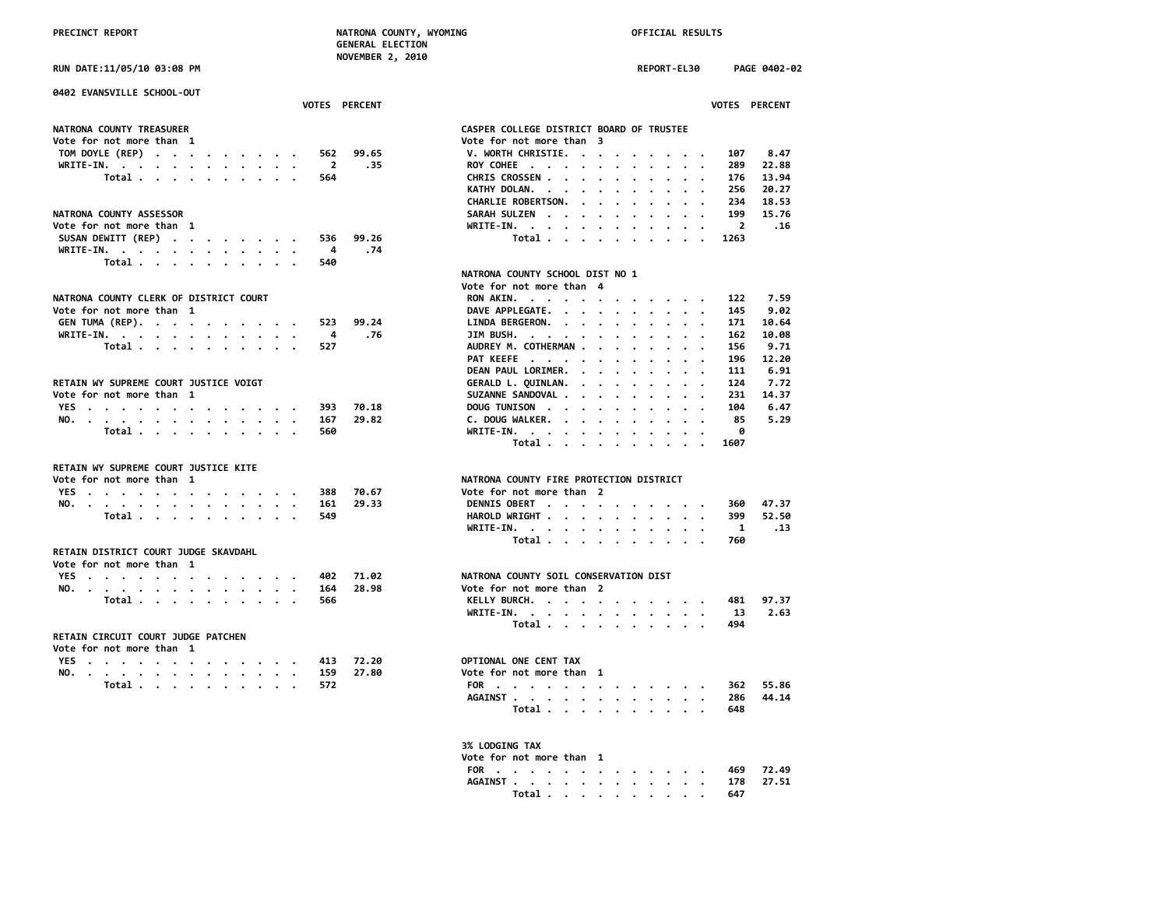**NOVEMBER 2, 2010 RUN DATE:11/05/10 03:08 PM REPORT-EL30 PAGE 0402-02 0402 EVANSVILLE SCHOOL-OUT VOTES PERCENT VOTES PERCENT NATRONA COUNTY TREASURER CASPER COLLEGE DISTRICT BOARD OF TRUSTEE Vote for not more than 1 Vote for not more than 3 TOM DOYLE (REP) . . . . . . . . . 562 99.65 V. WORTH CHRISTIE. . . . . . . . . 107 8.47 WRITE-IN. . . . . . . . . . . . 2 .35 ROY COHEE . . . . . . . . . . . 289 22.88 Total . . . . . . . . . . 564 CHRIS CROSSEN . . . . . . . . . . 176 13.94 KATHY DOLAN. . . . . . . . . . . 256 20.27** NATRONA COUNTY ASSESSOR<br>
Vote for not more than 1 **Vote for not more than 1**<br>SUSAN DEWITT (REP) . . . . . . . . . . 536 99.26 **SUSAN DEWITT (REP) . . . . . . . . . 536 WRITE-IN. . . . . . . . . . . . 4 .74 Total . . . . . . . . . . 540 NATRONA COUNTY SCHOOL DIST NO 1** *Vote for not more than* 4 NATRONA COUNTY CLERK OF DISTRICT COURT<br>Vote for not more than 1 **Vote for not more than 1**<br>GEN TUMA (REP). . . . . . . . . . . . 523 99.24 LI **GEN TUMA (REP). . . . . . . . . . 523 99.24 LINDA BERGERON. . . . . . . . . . 171 10.64 WRITE-IN.** . . . . . . . . . . . . . . 4 .76 JI<br>Total . . . . . . . . . . 527 AU  **Total .** . . . . . . . . . . . 527 AU AU  **PAT KEEFE . . . . . . . . . . . 196 12.20** RETAIN WY SUPREME COURT JUSTICE VOIGT<br>Vote for not more than 1 **Vote for not more than 1** SU<br> **YES** . . . . . . . . . . . . . . . . . 393 70.18 **DO YES** . . . . . . . . . . . . . . 393 70.18 DO<br>NO. . . . . . . . . . . . . . . 167 29.82 C. **NO.** . . . . . . . . . . . . . . . . 167 29.82 C.<br>Total . . . . . . . . . . 560 MR  **Total . . . . . . . . . . . 560 Total . . . . . . . . . . 1607 RETAIN WY SUPREME COURT JUSTICE KITE Vote for not more than 1 NATRONA COUNTY FIRE PROTECTION DISTRICT YES** . . . . . . . . . . . . . 388 70.67 **NO.** . . . . . . . . . . . . . . . 161 29.33 DE  **Total .** . . . . . . . . . . . 549 **HA**<br>WR  **WRITE-IN. . . . . . . . . . . . 1 .13 Total . . . . . . . . . . 760 RETAIN DISTRICT COURT JUDGE SKAVDAHL Vote for not more than 1 YES** . . . . . . . . . . . . . . 402 71.02 NAT<br>NO. . . . . . . . . . . . . . 164 28.98 Vot **NO. . . . . . . . . . . . . . 164 28.98 Vote for not more than 2 Total . . . . . . . . . . . 566 WRITE-IN. . . . . . . . . . . . 13 2.63 Total . . . . . . . . . . 494 RETAIN CIRCUIT COURT JUDGE PATCHEN Vote for not more than 1 YES** . . . . . . . . . . . . . 413 72.20 **OPT NO. . . . . . . . . . . . . . 159 27.80 Vote for not more than 1 Total .** . . . . . . . . . . . 572 **FO**<br>AG  **AGAINST . . . . . . . . . . . . 286 44.14 Total . . . . . . . . . . 648**

| CHARLIE ROBERTSON. 236 20.27                              |       |         |                      |  |  |  |                                                                                                                                                                                            |                                                                                                                                        |                                        |
|-----------------------------------------------------------|-------|---------|----------------------|--|--|--|--------------------------------------------------------------------------------------------------------------------------------------------------------------------------------------------|----------------------------------------------------------------------------------------------------------------------------------------|----------------------------------------|
| SARAH SULZEN                                              |       |         |                      |  |  |  |                                                                                                                                                                                            |                                                                                                                                        |                                        |
| WRITE-IN. .                                               |       |         |                      |  |  |  |                                                                                                                                                                                            |                                                                                                                                        |                                        |
|                                                           | Total |         |                      |  |  |  |                                                                                                                                                                                            |                                                                                                                                        |                                        |
|                                                           |       |         |                      |  |  |  |                                                                                                                                                                                            |                                                                                                                                        |                                        |
|                                                           |       |         |                      |  |  |  |                                                                                                                                                                                            |                                                                                                                                        |                                        |
| NATRONA COUNTY SCHOOL DIST NO 1                           |       |         |                      |  |  |  |                                                                                                                                                                                            |                                                                                                                                        |                                        |
|                                                           |       |         |                      |  |  |  |                                                                                                                                                                                            |                                                                                                                                        |                                        |
| Vote for not more than 4                                  |       |         |                      |  |  |  |                                                                                                                                                                                            |                                                                                                                                        |                                        |
| RON AKIN.                                                 |       |         |                      |  |  |  |                                                                                                                                                                                            | $\cdot$ 122 7.59                                                                                                                       |                                        |
| DAVE APPLEGATE. .                                         |       |         | $\sim$               |  |  |  |                                                                                                                                                                                            | $\cdot$ 145 9.02<br>. 171 10.64                                                                                                        |                                        |
| LINDA BERGERON.                                           |       |         |                      |  |  |  |                                                                                                                                                                                            |                                                                                                                                        |                                        |
| JIM BUSH.                                                 |       |         | $\ddot{\phantom{0}}$ |  |  |  |                                                                                                                                                                                            | $\cdot$ 162 10.08                                                                                                                      |                                        |
| AUDREY M. COTHERMAN.                                      |       |         |                      |  |  |  | the contract of the contract of the                                                                                                                                                        |                                                                                                                                        | 156           9.71<br>196        12.20 |
| PAT KEEFE                                                 |       |         |                      |  |  |  | $\mathcal{L}^{\mathcal{A}}(\mathcal{A}^{\mathcal{A}}(\mathcal{A}^{\mathcal{A}}(\mathcal{A}^{\mathcal{A}}(\mathcal{A}^{\mathcal{A}}(\mathcal{A}^{\mathcal{A}}(\mathcal{A}^{\mathcal{A}})))$ |                                                                                                                                        |                                        |
| DEAN PAUL LORIMER. .                                      |       |         |                      |  |  |  |                                                                                                                                                                                            |                                                                                                                                        |                                        |
|                                                           |       |         |                      |  |  |  |                                                                                                                                                                                            | $\begin{array}{cccccccccccc} . & . & . & . & . & . & . & . & 111 & & 6.91 \\ . & . & . & . & . & . & . & . & 124 & & 7.72 \end{array}$ |                                        |
| GERALD L. QUINLAN. 124 7.72<br>SUZANNE SANDOVAL 231 14.37 |       |         |                      |  |  |  |                                                                                                                                                                                            |                                                                                                                                        |                                        |
| DOUG TUNISON                                              |       |         |                      |  |  |  |                                                                                                                                                                                            |                                                                                                                                        |                                        |
| C. DOUG WALKER.                                           |       |         |                      |  |  |  | $\mathbf{u} = \mathbf{u} + \mathbf{u} + \mathbf{u} + \mathbf{u} + \mathbf{u} + \mathbf{u} + \mathbf{u}$                                                                                    | $\cdot$ 104 6.47<br>. 85 5.29                                                                                                          |                                        |
| WRITE-IN.                                                 |       |         |                      |  |  |  |                                                                                                                                                                                            | $\bullet$                                                                                                                              |                                        |
|                                                           |       |         |                      |  |  |  |                                                                                                                                                                                            | Total 1607                                                                                                                             |                                        |
|                                                           |       |         |                      |  |  |  |                                                                                                                                                                                            |                                                                                                                                        |                                        |
|                                                           |       |         |                      |  |  |  |                                                                                                                                                                                            |                                                                                                                                        |                                        |
| NATRONA COUNTY FIRE PROTECTION DISTRICT                   |       |         |                      |  |  |  |                                                                                                                                                                                            |                                                                                                                                        |                                        |
|                                                           |       |         |                      |  |  |  |                                                                                                                                                                                            |                                                                                                                                        |                                        |
| Vote for not more than 2                                  |       |         |                      |  |  |  |                                                                                                                                                                                            |                                                                                                                                        |                                        |
| DENNIS OBERT .                                            |       | $\cdot$ |                      |  |  |  |                                                                                                                                                                                            | $\cdot$ 360 47.37<br>$\cdot$ 399 52.50                                                                                                 |                                        |
| HAROLD WRIGHT                                             |       |         |                      |  |  |  |                                                                                                                                                                                            |                                                                                                                                        |                                        |
| WRITE-IN.                                                 |       |         |                      |  |  |  | and a series of the series                                                                                                                                                                 | $\mathbf{1}$                                                                                                                           | $\ldots$ 13                            |
|                                                           | Total |         |                      |  |  |  |                                                                                                                                                                                            | 760                                                                                                                                    |                                        |
|                                                           |       |         |                      |  |  |  |                                                                                                                                                                                            |                                                                                                                                        |                                        |
|                                                           |       |         |                      |  |  |  |                                                                                                                                                                                            |                                                                                                                                        |                                        |
| NATRONA COUNTY SOIL CONSERVATION DIST                     |       |         |                      |  |  |  |                                                                                                                                                                                            |                                                                                                                                        |                                        |
| Vote for not more than 2                                  |       |         |                      |  |  |  |                                                                                                                                                                                            |                                                                                                                                        |                                        |
|                                                           |       |         |                      |  |  |  |                                                                                                                                                                                            |                                                                                                                                        |                                        |
|                                                           |       |         |                      |  |  |  |                                                                                                                                                                                            |                                                                                                                                        |                                        |
|                                                           |       |         |                      |  |  |  |                                                                                                                                                                                            | Total 494                                                                                                                              |                                        |
|                                                           |       |         |                      |  |  |  |                                                                                                                                                                                            |                                                                                                                                        |                                        |
|                                                           |       |         |                      |  |  |  |                                                                                                                                                                                            |                                                                                                                                        |                                        |
| OPTIONAL ONE CENT TAX                                     |       |         |                      |  |  |  |                                                                                                                                                                                            |                                                                                                                                        |                                        |
| Vote for not more than 1                                  |       |         |                      |  |  |  |                                                                                                                                                                                            |                                                                                                                                        |                                        |
|                                                           |       |         |                      |  |  |  |                                                                                                                                                                                            |                                                                                                                                        |                                        |
| FOR 362 55.86                                             |       |         |                      |  |  |  |                                                                                                                                                                                            |                                                                                                                                        |                                        |
| AGAINST<br>Total                                          |       |         |                      |  |  |  |                                                                                                                                                                                            |                                                                                                                                        | 286  44.14<br>648                      |
|                                                           |       |         |                      |  |  |  |                                                                                                                                                                                            |                                                                                                                                        |                                        |
|                                                           |       |         |                      |  |  |  |                                                                                                                                                                                            |                                                                                                                                        |                                        |
|                                                           |       |         |                      |  |  |  |                                                                                                                                                                                            |                                                                                                                                        |                                        |
| 3% LODGING TAX                                            |       |         |                      |  |  |  |                                                                                                                                                                                            |                                                                                                                                        |                                        |

### **Vote for not more than 1**

| <b>FOR</b>     |       |  |  |  |  |  | $\mathbf{r}$ , and the state of the state $\mathbf{r}$ , and $\mathbf{r}$ | 469 |             |
|----------------|-------|--|--|--|--|--|---------------------------------------------------------------------------|-----|-------------|
| <b>AGAINST</b> |       |  |  |  |  |  |                                                                           |     | . 178 27.51 |
|                | Total |  |  |  |  |  |                                                                           | 647 |             |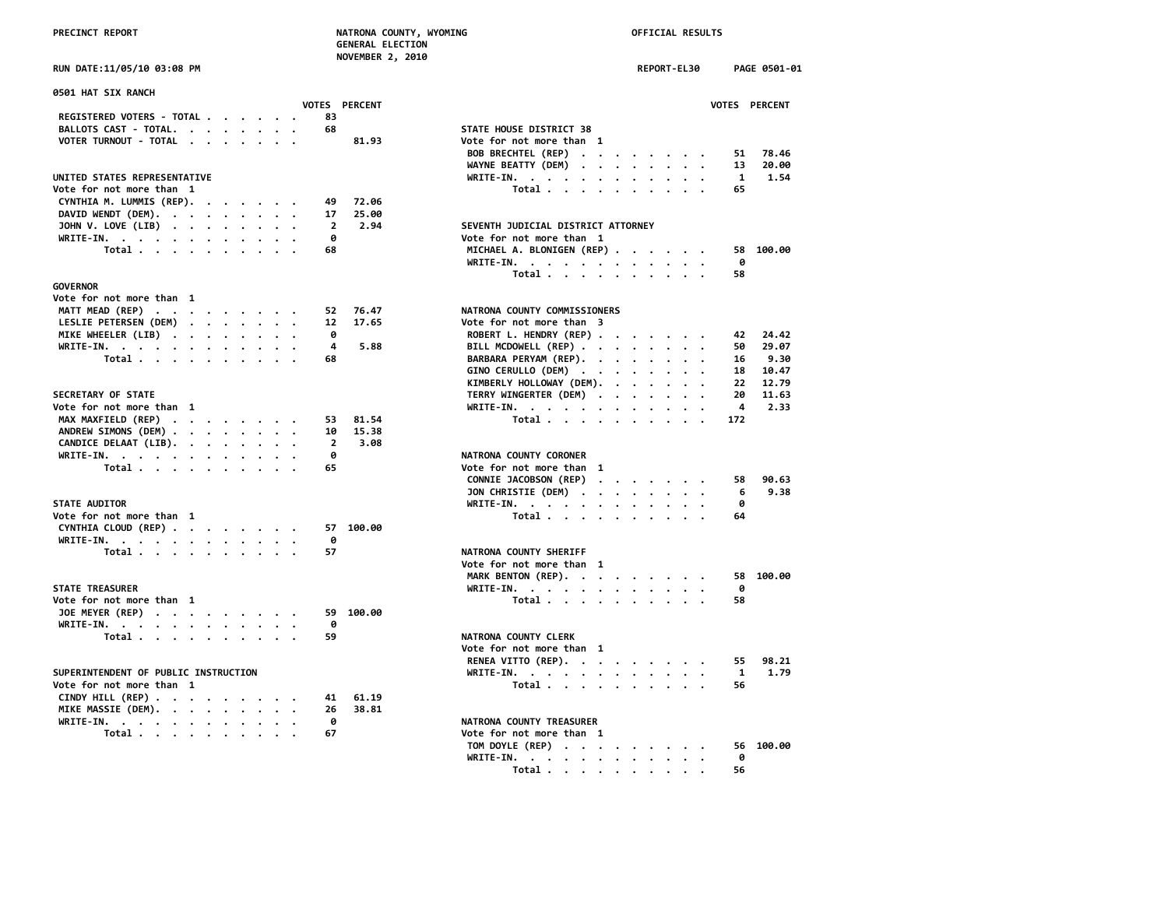**NOVEMBER 2, 2010**

### **RUN DATE:11/05/10 03:08 PM**

| 0501 HAT SIX RANCH                          |  |  |                |               |                                                                                                                     |              |
|---------------------------------------------|--|--|----------------|---------------|---------------------------------------------------------------------------------------------------------------------|--------------|
|                                             |  |  |                | VOTES PERCENT |                                                                                                                     | <b>VOTES</b> |
| REGISTERED VOTERS - TOTAL                   |  |  | 83             |               |                                                                                                                     |              |
| BALLOTS CAST - TOTAL.                       |  |  | 68             |               | STATE HOUSE DISTRICT 38                                                                                             |              |
| VOTER TURNOUT - TOTAL                       |  |  |                | 81.93         | Vote for not more than 1                                                                                            |              |
|                                             |  |  |                |               | BOB BRECHTEL (REP)<br>$\sim$ $\sim$ $\sim$ $\sim$ $\sim$                                                            | 51           |
|                                             |  |  |                |               | WAYNE BEATTY (DEM)<br>$\cdots$                                                                                      | 13           |
| UNITED STATES REPRESENTATIVE                |  |  |                |               | WRITE-IN.                                                                                                           | $\mathbf{1}$ |
| Vote for not more than 1                    |  |  |                |               | Total                                                                                                               | 65           |
| CYNTHIA M. LUMMIS (REP).                    |  |  | 49             | 72.06         |                                                                                                                     |              |
| DAVID WENDT (DEM).                          |  |  | 17             | 25.00         |                                                                                                                     |              |
| JOHN V. LOVE (LIB)                          |  |  | $\overline{2}$ | 2.94          | SEVENTH JUDICIAL DISTRICT ATTORNEY                                                                                  |              |
| WRITE-IN.                                   |  |  | ø              |               | Vote for not more than 1                                                                                            |              |
| Total                                       |  |  | 68             |               | MICHAEL A. BLONIGEN (REP)                                                                                           | 58           |
|                                             |  |  |                |               | WRITE-IN.                                                                                                           | 0            |
|                                             |  |  |                |               | Total                                                                                                               | 58           |
| <b>GOVERNOR</b>                             |  |  |                |               |                                                                                                                     |              |
| Vote for not more than 1                    |  |  |                |               |                                                                                                                     |              |
| MATT MEAD (REP)                             |  |  | 52             | 76.47         | NATRONA COUNTY COMMISSIONERS                                                                                        |              |
| LESLIE PETERSEN (DEM)                       |  |  | 12             | 17.65         | Vote for not more than 3                                                                                            |              |
| MIKE WHEELER (LIB)                          |  |  | ø              |               | ROBERT L. HENDRY (REP)                                                                                              | 42           |
| WRITE-IN.                                   |  |  | 4              | 5.88          | BILL MCDOWELL (REP)                                                                                                 | 50           |
| Total                                       |  |  | 68             |               | BARBARA PERYAM (REP).                                                                                               | 16           |
|                                             |  |  |                |               | GINO CERULLO (DEM)                                                                                                  | 18           |
|                                             |  |  |                |               |                                                                                                                     | 22           |
| <b>SECRETARY OF STATE</b>                   |  |  |                |               | KIMBERLY HOLLOWAY (DEM).                                                                                            | 20           |
|                                             |  |  |                |               | TERRY WINGERTER (DEM)<br>$\cdot$                                                                                    |              |
| Vote for not more than 1                    |  |  |                |               | WRITE-IN.                                                                                                           | 4            |
| MAX MAXFIELD (REP)                          |  |  | 53             | 81.54         | Total                                                                                                               | 172          |
| ANDREW SIMONS (DEM)                         |  |  | 10             | 15.38         |                                                                                                                     |              |
| CANDICE DELAAT (LIB).                       |  |  | $\overline{2}$ | 3.08          |                                                                                                                     |              |
| WRITE-IN.                                   |  |  | 0              |               | NATRONA COUNTY CORONER                                                                                              |              |
| Total                                       |  |  | 65             |               | Vote for not more than 1                                                                                            |              |
|                                             |  |  |                |               | CONNIE JACOBSON (REP)<br>$\mathbf{u} = \mathbf{u} + \mathbf{u} + \mathbf{u} + \mathbf{u} + \mathbf{u} + \mathbf{u}$ | 58           |
|                                             |  |  |                |               | JON CHRISTIE (DEM)                                                                                                  | 6            |
| <b>STATE AUDITOR</b>                        |  |  |                |               | WRITE-IN.                                                                                                           | 0            |
| Vote for not more than 1                    |  |  |                |               | Total                                                                                                               | 64           |
| CYNTHIA CLOUD (REP)                         |  |  |                | 57 100.00     |                                                                                                                     |              |
| WRITE-IN.                                   |  |  | ø              |               |                                                                                                                     |              |
| Total                                       |  |  | 57             |               | NATRONA COUNTY SHERIFF                                                                                              |              |
|                                             |  |  |                |               | Vote for not more than 1                                                                                            |              |
|                                             |  |  |                |               | MARK BENTON (REP).                                                                                                  | 58           |
| <b>STATE TREASURER</b>                      |  |  |                |               | WRITE-IN, $\cdots$ , $\cdots$ , $\cdots$                                                                            | 0            |
| Vote for not more than 1                    |  |  |                |               | Total                                                                                                               | 58           |
| JOE MEYER (REP)                             |  |  | 59             | 100.00        |                                                                                                                     |              |
| WRITE-IN.                                   |  |  | 0              |               |                                                                                                                     |              |
| Total $\cdots$ $\cdots$                     |  |  | 59             |               | NATRONA COUNTY CLERK                                                                                                |              |
|                                             |  |  |                |               | Vote for not more than 1                                                                                            |              |
|                                             |  |  |                |               | RENEA VITTO (REP).                                                                                                  | 55           |
| SUPERINTENDENT OF PUBLIC INSTRUCTION        |  |  |                |               | WRITE-IN.                                                                                                           | 1            |
| Vote for not more than 1                    |  |  |                |               | Total.                                                                                                              | 56           |
| CINDY HILL (REP) $\cdots$ $\cdots$ $\cdots$ |  |  | 41             | 61.19         |                                                                                                                     |              |
| MIKE MASSIE (DEM).                          |  |  | 26             | 38.81         |                                                                                                                     |              |
|                                             |  |  | 0              |               | NATRONA COUNTY TREASURER                                                                                            |              |
| WRITE-IN.<br>Total                          |  |  | 67             |               | Vote for not more than 1                                                                                            |              |
|                                             |  |  |                |               |                                                                                                                     |              |

| RUN DATE:11/05/10 03:08 PM                                                        | NOVEMBER 4, 2010<br>REPORT-EL30<br>PAGE 0501-01 |  |
|-----------------------------------------------------------------------------------|-------------------------------------------------|--|
|                                                                                   |                                                 |  |
| 0501 HAT SIX RANCH                                                                |                                                 |  |
| VOTES PERCENT<br>REGISTERED VOTERS - TOTAL<br>83                                  | VOTES PERCENT                                   |  |
| 68                                                                                |                                                 |  |
| BALLOTS CAST - TOTAL.                                                             | STATE HOUSE DISTRICT 38                         |  |
| VOTER TURNOUT - TOTAL<br>81.93                                                    | Vote for not more than 1                        |  |
|                                                                                   | BOB BRECHTEL (REP)<br>51<br>78.46               |  |
|                                                                                   | WAYNE BEATTY (DEM)<br>20.00<br>13               |  |
| UNITED STATES REPRESENTATIVE                                                      | 1.54<br>WRITE-IN.<br>1                          |  |
| Vote for not more than 1                                                          | Total<br>65                                     |  |
| CYNTHIA M. LUMMIS (REP).<br>72.06<br>49                                           |                                                 |  |
| DAVID WENDT (DEM).<br>25.00<br>17                                                 |                                                 |  |
| JOHN V. LOVE (LIB)<br>$\overline{2}$<br>2.94                                      | SEVENTH JUDICIAL DISTRICT ATTORNEY              |  |
| WRITE-IN.<br>0                                                                    | Vote for not more than 1                        |  |
| Total<br>68                                                                       | MICHAEL A. BLONIGEN (REP)<br>58 100.00          |  |
|                                                                                   | WRITE-IN.<br>0                                  |  |
|                                                                                   |                                                 |  |
|                                                                                   | Total<br>58                                     |  |
| <b>GOVERNOR</b>                                                                   |                                                 |  |
| Vote for not more than 1                                                          |                                                 |  |
| MATT MEAD (REP)<br>76.47<br>52                                                    | NATRONA COUNTY COMMISSIONERS                    |  |
| LESLIE PETERSEN (DEM)<br>17.65<br>12                                              | Vote for not more than 3                        |  |
| MIKE WHEELER (LIB)<br>0                                                           | ROBERT L. HENDRY (REP)<br>24.42<br>42           |  |
| 4<br>5.88<br>WRITE-IN.                                                            | BILL MCDOWELL (REP)<br>50<br>29.07              |  |
| Total<br>68                                                                       | BARBARA PERYAM (REP).<br>9.30<br>16             |  |
|                                                                                   | GINO CERULLO (DEM)<br>10.47<br>18               |  |
|                                                                                   | KIMBERLY HOLLOWAY (DEM).<br>22<br>12.79         |  |
| <b>SECRETARY OF STATE</b>                                                         | TERRY WINGERTER (DEM)<br>20<br>11.63            |  |
| Vote for not more than 1                                                          | 4<br>2.33                                       |  |
| 81.54<br>53                                                                       | WRITE-IN.<br>172                                |  |
| MAX MAXFIELD (REP)<br>10<br>15.38                                                 | Total                                           |  |
| ANDREW SIMONS (DEM)                                                               |                                                 |  |
| CANDICE DELAAT (LIB).<br>$\overline{2}$<br>3.08                                   |                                                 |  |
| WRITE-IN.<br>0                                                                    | NATRONA COUNTY CORONER                          |  |
| Total<br>65                                                                       | Vote for not more than 1                        |  |
|                                                                                   | CONNIE JACOBSON (REP)<br>90.63<br>58            |  |
|                                                                                   | 9.38<br>JON CHRISTIE (DEM)<br>6                 |  |
| <b>STATE AUDITOR</b>                                                              | WRITE-IN.<br>ø                                  |  |
| Vote for not more than 1                                                          | Total<br>64                                     |  |
| CYNTHIA CLOUD (REP)<br>57 100.00                                                  |                                                 |  |
| WRITE-IN.<br>0                                                                    |                                                 |  |
| 57<br>Total $\cdots$ $\cdots$ $\cdots$ $\cdots$                                   | NATRONA COUNTY SHERIFF                          |  |
|                                                                                   | Vote for not more than 1                        |  |
|                                                                                   | MARK BENTON (REP).<br>58 100.00                 |  |
| <b>STATE TREASURER</b>                                                            | 0                                               |  |
| Vote for not more than 1                                                          | WRITE-IN.<br>Total<br>58                        |  |
|                                                                                   |                                                 |  |
| JOE MEYER (REP)<br>59 100.00                                                      |                                                 |  |
| WRITE-IN.<br>0                                                                    |                                                 |  |
| Total<br>59                                                                       | NATRONA COUNTY CLERK                            |  |
|                                                                                   | Vote for not more than 1                        |  |
|                                                                                   | 98.21<br>RENEA VITTO (REP).<br>55               |  |
| SUPERINTENDENT OF PUBLIC INSTRUCTION                                              | WRITE-IN.<br>$\mathbf{1}$<br>1.79               |  |
| Vote for not more than 1                                                          | Total $\cdots$ $\cdots$ $\cdots$ $\cdots$<br>56 |  |
| CINDY HILL (REP) $\cdot \cdot \cdot \cdot \cdot \cdot \cdot \cdot$<br>41<br>61.19 |                                                 |  |
| MIKE MASSIE (DEM).<br>26<br>38.81                                                 |                                                 |  |
| WRITE-IN.<br>0                                                                    | NATRONA COUNTY TREASURER                        |  |
| Total<br>67                                                                       | Vote for not more than 1                        |  |
|                                                                                   | 56 100.00                                       |  |
|                                                                                   | TOM DOYLE (REP)                                 |  |
|                                                                                   | WRITE-IN.<br>ø                                  |  |
|                                                                                   | Total<br>56                                     |  |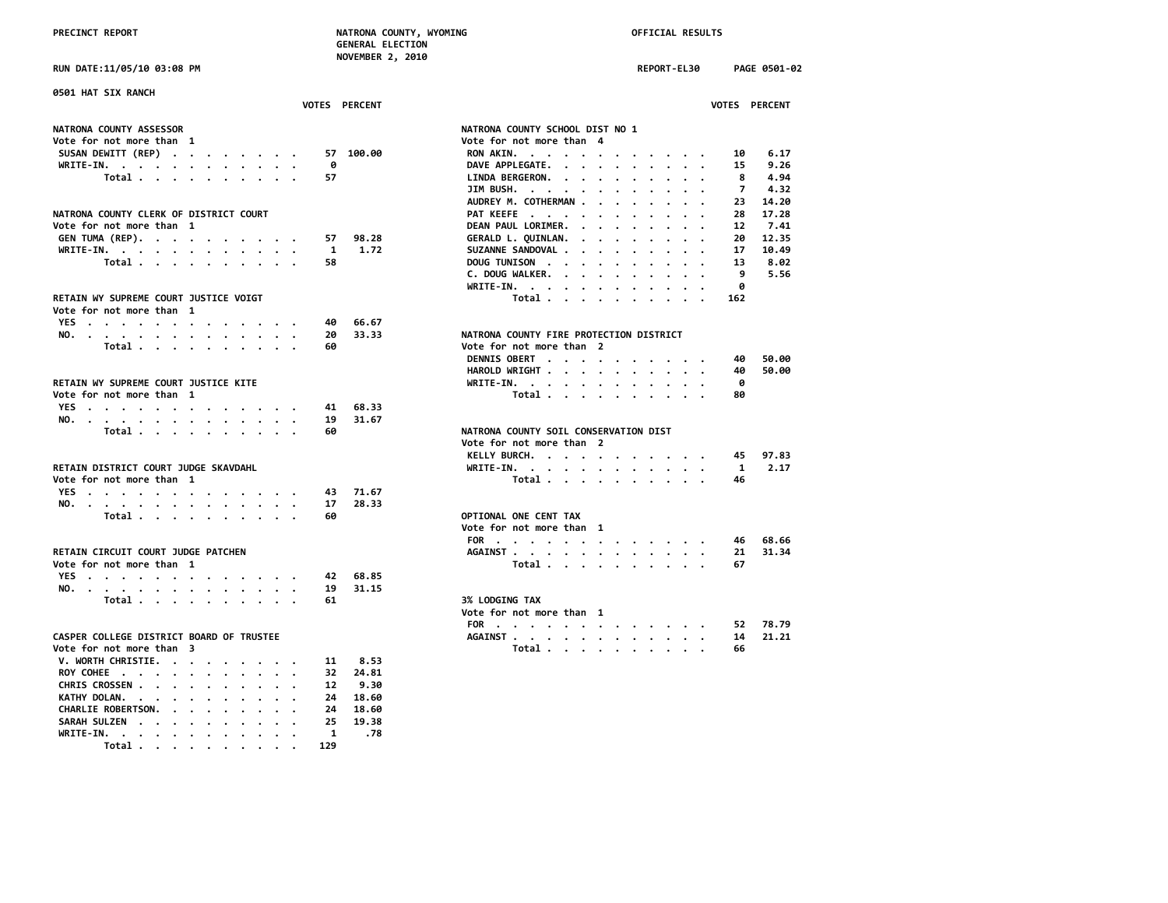**RUN DATE:11/05/10 03:08 PM REPORT-EL30 PAGE 0501-02**

| 0501 HAT SIX RANCH<br>VOTES PERCENT                                       | <b>VOTES PERCENT</b>                                                                                                                                                                                                                                                 |
|---------------------------------------------------------------------------|----------------------------------------------------------------------------------------------------------------------------------------------------------------------------------------------------------------------------------------------------------------------|
|                                                                           |                                                                                                                                                                                                                                                                      |
| <b>NATRONA COUNTY ASSESSOR</b>                                            | NATRONA COUNTY SCHOOL DIST NO 1                                                                                                                                                                                                                                      |
| Vote for not more than  1                                                 | Vote for not more than 4                                                                                                                                                                                                                                             |
| SUSAN DEWITT (REP)<br>57 100.00                                           | 6.17<br>RON AKIN.<br>10                                                                                                                                                                                                                                              |
| WRITE-IN.<br>0                                                            | 9.26<br>DAVE APPLEGATE.<br>15                                                                                                                                                                                                                                        |
| Total<br>57                                                               | 4.94<br>LINDA BERGERON.<br>8<br><u>in a serie series de la provincia de la provincia de la provincia de la provincia de la provincia de la provincia de la provincia de la provincia de la provincia de la provincia de la provincia de la provincia de la provi</u> |
|                                                                           | 4.32<br>JIM BUSH.<br>7<br>$\cdots$<br>$\cdots$                                                                                                                                                                                                                       |
|                                                                           | AUDREY M. COTHERMAN<br>14.20<br>23                                                                                                                                                                                                                                   |
| NATRONA COUNTY CLERK OF DISTRICT COURT                                    | PAT KEEFE<br>17.28<br>28<br>$\sim$<br>$\cdots$                                                                                                                                                                                                                       |
| Vote for not more than  1                                                 | 7.41<br>DEAN PAUL LORIMER.<br>12<br>$\mathbf{r}$ , $\mathbf{r}$ , $\mathbf{r}$ , $\mathbf{r}$ , $\mathbf{r}$ , $\mathbf{r}$                                                                                                                                          |
| GEN TUMA (REP).<br>98.28<br>57                                            | GERALD L. QUINLAN.<br>12.35<br>20                                                                                                                                                                                                                                    |
| WRITE-IN.<br>1.72<br>1                                                    | SUZANNE SANDOVAL .<br>10.49<br>17<br>$\cdot$ $\cdot$ $\cdot$ $\cdot$                                                                                                                                                                                                 |
| Total<br>58                                                               | 8.02<br>DOUG TUNISON<br>13                                                                                                                                                                                                                                           |
|                                                                           | C. DOUG WALKER.<br>9<br>5.56                                                                                                                                                                                                                                         |
|                                                                           | WRITE-IN.<br>0                                                                                                                                                                                                                                                       |
| RETAIN WY SUPREME COURT JUSTICE VOIGT                                     | Total<br>162                                                                                                                                                                                                                                                         |
| Vote for not more than 1                                                  |                                                                                                                                                                                                                                                                      |
| YES<br>66.67<br>40                                                        |                                                                                                                                                                                                                                                                      |
| 33.33<br>NO.<br>20                                                        | NATRONA COUNTY FIRE PROTECTION DISTRICT                                                                                                                                                                                                                              |
| Total<br>60                                                               | Vote for not more than 2                                                                                                                                                                                                                                             |
|                                                                           | DENNIS OBERT<br>50.00<br>40                                                                                                                                                                                                                                          |
|                                                                           | HAROLD WRIGHT<br>50.00<br>40                                                                                                                                                                                                                                         |
| RETAIN WY SUPREME COURT JUSTICE KITE                                      | ø<br>WRITE-IN.                                                                                                                                                                                                                                                       |
| Vote for not more than 1                                                  | Total<br>80                                                                                                                                                                                                                                                          |
| YES<br>68.33<br>41                                                        |                                                                                                                                                                                                                                                                      |
| 31.67<br>NO.<br>19                                                        |                                                                                                                                                                                                                                                                      |
| Total<br>60                                                               | NATRONA COUNTY SOIL CONSERVATION DIST                                                                                                                                                                                                                                |
|                                                                           | Vote for not more than 2                                                                                                                                                                                                                                             |
|                                                                           | KELLY BURCH.<br>97.83<br>45                                                                                                                                                                                                                                          |
| RETAIN DISTRICT COURT JUDGE SKAVDAHL                                      | -1<br>2.17<br>WRITE-IN.                                                                                                                                                                                                                                              |
| Vote for not more than 1                                                  | Total<br>46                                                                                                                                                                                                                                                          |
| 71.67<br>YES<br>the contract of the contract of the contract of the<br>43 |                                                                                                                                                                                                                                                                      |
| 28.33<br>NO.<br>17                                                        |                                                                                                                                                                                                                                                                      |
| 60<br>Total $\cdots$ $\cdots$ $\cdots$                                    | OPTIONAL ONE CENT TAX                                                                                                                                                                                                                                                |
|                                                                           | Vote for not more than 1                                                                                                                                                                                                                                             |
|                                                                           | FOR<br>68.66<br>46                                                                                                                                                                                                                                                   |
| RETAIN CIRCUIT COURT JUDGE PATCHEN                                        | 31.34<br>21<br>AGAINST                                                                                                                                                                                                                                               |
| Vote for not more than 1                                                  | Total<br>67                                                                                                                                                                                                                                                          |
| YES<br>68.85<br>42                                                        |                                                                                                                                                                                                                                                                      |
| NO.<br>19<br>31.15                                                        |                                                                                                                                                                                                                                                                      |
| Total $\ldots$ $\ldots$ $\ldots$ $\ldots$<br>61                           | 3% LODGING TAX                                                                                                                                                                                                                                                       |
|                                                                           | Vote for not more than 1                                                                                                                                                                                                                                             |
|                                                                           | 78.79<br>FOR<br>52                                                                                                                                                                                                                                                   |
| CASPER COLLEGE DISTRICT BOARD OF TRUSTEE                                  | 21.21<br>AGAINST<br>14                                                                                                                                                                                                                                               |
| Vote for not more than 3                                                  | Total<br>66                                                                                                                                                                                                                                                          |
| V. WORTH CHRISTIE.<br>8.53<br>11                                          |                                                                                                                                                                                                                                                                      |
| ROY COHEE<br>32<br>24.81                                                  |                                                                                                                                                                                                                                                                      |
| CHRIS CROSSEN<br>9.30<br>12                                               |                                                                                                                                                                                                                                                                      |
| KATHY DOLAN.<br>18.60<br>24                                               |                                                                                                                                                                                                                                                                      |
| CHARLIE ROBERTSON.<br>24<br>18.60                                         |                                                                                                                                                                                                                                                                      |
| SARAH SULZEN<br>19.38<br>25                                               |                                                                                                                                                                                                                                                                      |
| WRITE-IN.<br>1<br>.78                                                     |                                                                                                                                                                                                                                                                      |
| Total<br>129                                                              |                                                                                                                                                                                                                                                                      |

| NATRONA COUNTY SCHOOL DIST NO 1         |                                      |                      |                      |                      |                      |                          |                      |                      |                                   |                      |                          |                |       |
|-----------------------------------------|--------------------------------------|----------------------|----------------------|----------------------|----------------------|--------------------------|----------------------|----------------------|-----------------------------------|----------------------|--------------------------|----------------|-------|
| Vote for not more than                  |                                      |                      |                      |                      | 4                    |                          |                      |                      |                                   |                      |                          |                |       |
| <b>RON AKIN.</b>                        | $\cdot$ $\cdot$                      |                      |                      |                      | $\bullet$            |                          |                      |                      |                                   |                      |                          | 10             | 6.17  |
| DAVE APPLEGATE.                         |                                      |                      | $\ddot{\phantom{0}}$ | $\cdot$              | $\ddot{\phantom{0}}$ | $\bullet$                | $\bullet$            | $\ddot{\phantom{0}}$ | $\ddot{\phantom{0}}$              | $\bullet$            |                          | 15             | 9.26  |
| LINDA BERGERON. .                       |                                      |                      |                      | $\ddot{\phantom{0}}$ | $\ddot{\phantom{0}}$ | $\bullet$                | $\cdot$              | $\bullet$            | $\bullet$                         | $\bullet$            | $\bullet$                | - 8            | 4.94  |
| JIM BUSH. .                             |                                      |                      |                      |                      | $\bullet$            | $\bullet$                |                      | $\ddot{\phantom{0}}$ |                                   |                      |                          | $\overline{7}$ | 4.32  |
| AUDREY M. COTHERMAN .                   |                                      |                      |                      |                      | $\cdot$              | $\ddot{\phantom{a}}$     | $\cdot$              | $\cdot$              | $\cdot$                           |                      |                          | 23             | 14.20 |
| PAT KEEFE.                              |                                      | $\cdot$              |                      | $\ddot{\phantom{0}}$ | $\cdot$              | $\sim$                   | $\ddot{\phantom{0}}$ | $\bullet$            | $\bullet$                         | $\bullet$            | $\bullet$                | 28             | 17.28 |
| DEAN PAUL LORIMER.                      |                                      |                      |                      | $\ddot{\phantom{0}}$ | $\ddot{\phantom{0}}$ | $\ddot{\phantom{a}}$     | $\cdot$              | $\ddot{\phantom{a}}$ | $\ddot{\phantom{a}}$              | $\bullet$            | $\cdot$                  | 12             | 7.41  |
| GERALD L. QUINLAN.                      |                                      |                      |                      | $\ddot{\phantom{0}}$ | $\ddot{\phantom{a}}$ | $\ddot{\phantom{0}}$     | $\bullet$            |                      | $\bullet$                         | $\bullet$            | $\bullet$                | 20             | 12.35 |
| SUZANNE SANDOVAL .                      |                                      |                      |                      |                      | $\cdot$ $\cdot$      | $\ddot{\phantom{0}}$     | $\cdot$              | $\ddot{\phantom{0}}$ | $\ddot{\phantom{0}}$              | $\bullet$            | $\bullet$                | 17             | 10.49 |
| <b>DOUG TUNISON</b>                     |                                      | $\sim$ $\sim$        |                      | $\ddot{\phantom{0}}$ | $\ddot{\phantom{a}}$ | $\ddot{\phantom{0}}$     | $\ddot{\phantom{0}}$ | $\ddot{\phantom{0}}$ | $\ddot{\phantom{0}}$              | $\bullet$            | $\bullet$                | 13             | 8.02  |
| C. DOUG WALKER. .                       |                                      |                      |                      | $\ddot{\phantom{0}}$ | $\ddot{\phantom{0}}$ | $\sim$                   | $\ddot{\phantom{0}}$ | $\bullet$            | $\ddot{\phantom{0}}$              | $\ddot{\phantom{0}}$ | $\bullet$                | 9              | 5.56  |
| <b>WRITE-IN.</b>                        |                                      |                      | $\bullet$            | $\ddot{\phantom{0}}$ | $\bullet$            | $\bullet$                | $\bullet$            |                      | $\bullet$                         |                      | $\bullet$                | 0              |       |
|                                         | Total                                |                      |                      | $\ddotsc$            |                      | $\overline{\phantom{a}}$ | $\overline{a}$       | $\ddot{\phantom{0}}$ | $\overline{a}$                    |                      | $\overline{\phantom{a}}$ | 162            |       |
|                                         |                                      |                      |                      |                      |                      |                          |                      |                      |                                   |                      |                          |                |       |
|                                         |                                      |                      |                      |                      |                      |                          |                      |                      |                                   |                      |                          |                |       |
| NATRONA COUNTY FIRE PROTECTION DISTRICT |                                      |                      |                      |                      |                      |                          |                      |                      |                                   |                      |                          |                |       |
| Vote for not more than                  |                                      |                      |                      |                      | $\overline{2}$       |                          |                      |                      |                                   |                      |                          |                |       |
| <b>DENNIS OBERT</b>                     |                                      | $\ddot{\phantom{a}}$ |                      |                      | $\bullet$            |                          |                      |                      |                                   |                      |                          | 40             | 50.00 |
| HAROLD WRIGHT.                          |                                      |                      | $\cdot$              | $\cdot$              | $\ddot{\phantom{0}}$ | $\ddot{\phantom{a}}$     | $\ddot{\phantom{0}}$ |                      | $\ddot{\phantom{a}}$              | $\ddot{\phantom{0}}$ |                          | -40            | 50.00 |
| WRITE-IN.                               | $\cdot$                              |                      |                      | $\bullet$ .          | $\ddot{\phantom{0}}$ | $\cdot$                  | $\ddot{\phantom{0}}$ | $\bullet$            |                                   |                      |                          | - 0            |       |
|                                         | Total .                              |                      | $\cdot$              | $\ddot{\phantom{0}}$ | $\ddot{\phantom{0}}$ | $\ddot{\phantom{a}}$     | $\cdot$              |                      | $\bullet$                         | $\bullet$            | $\bullet$                | 80             |       |
|                                         |                                      |                      |                      |                      |                      |                          |                      |                      |                                   |                      |                          |                |       |
|                                         |                                      |                      |                      |                      |                      |                          |                      |                      |                                   |                      |                          |                |       |
| NATRONA COUNTY SOIL CONSERVATION DIST   |                                      |                      |                      |                      |                      |                          |                      |                      |                                   |                      |                          |                |       |
| Vote for not more than                  |                                      |                      |                      |                      | $\overline{2}$       |                          |                      |                      |                                   |                      |                          |                |       |
| KELLY BURCH.                            |                                      |                      |                      |                      | $\bullet$            |                          |                      |                      |                                   |                      |                          | 45             | 97.83 |
| WRITE-IN. .                             |                                      |                      |                      |                      | $\ddot{\phantom{0}}$ | $\ddot{\phantom{0}}$     | $\ddot{\phantom{0}}$ | $\bullet$            |                                   |                      | $\bullet$                | $\mathbf{1}$   | 2.17  |
|                                         | Total                                |                      |                      | $\bullet$            | $\ddot{\phantom{0}}$ | $\ddot{\phantom{a}}$     | $\cdot$              | $\ddot{\phantom{a}}$ | $\bullet$<br>$\ddot{\phantom{a}}$ | $\cdot$<br>$\bullet$ | $\bullet$                | -46            |       |
|                                         |                                      |                      |                      |                      |                      |                          |                      |                      |                                   |                      |                          |                |       |
|                                         |                                      |                      |                      |                      |                      |                          |                      |                      |                                   |                      |                          |                |       |
| OPTIONAL ONE CENT TAX                   |                                      |                      |                      |                      |                      |                          |                      |                      |                                   |                      |                          |                |       |
| Vote for not more than                  |                                      |                      |                      |                      | 1                    |                          |                      |                      |                                   |                      |                          |                |       |
| FOR .                                   |                                      |                      |                      |                      |                      |                          |                      |                      |                                   |                      |                          | 46             | 68.66 |
|                                         | $\ddot{\phantom{0}}$                 | $\cdot$              | $\cdot$              | $\cdot$              | $\ddot{\phantom{0}}$ |                          | $\sim$ $\sim$        | $\cdot$              |                                   | $\cdot$ $\cdot$      | $\bullet$                | 21             | 31.34 |
| AGAINST                                 | Total .                              |                      | $\bullet$            | $\bullet$            | $\bullet$            | $\bullet$                | $\ddot{\phantom{0}}$ | $\bullet$            | $\bullet$                         | $\ddot{\phantom{0}}$ | $\bullet$                | 67             |       |
|                                         |                                      |                      | $\ddot{\phantom{a}}$ | $\cdot$              |                      | $\overline{a}$           |                      |                      |                                   |                      |                          |                |       |
|                                         |                                      |                      |                      |                      |                      |                          |                      |                      |                                   |                      |                          |                |       |
| 3% LODGING TAX                          |                                      |                      |                      |                      |                      |                          |                      |                      |                                   |                      |                          |                |       |
|                                         |                                      |                      |                      |                      |                      |                          |                      |                      |                                   |                      |                          |                |       |
| Vote for not more than                  |                                      |                      |                      |                      | 1                    |                          |                      |                      |                                   |                      |                          |                |       |
| FOR .                                   |                                      |                      |                      |                      | $\bullet$            |                          |                      |                      |                                   |                      |                          | 52             | 78.79 |
| <b>AGAINST</b>                          | $\cdot$<br>$\overline{a}$<br>Total . |                      |                      | $\cdot$              | $\ddot{\phantom{0}}$ | $\ddot{\phantom{0}}$     | $\ddot{\phantom{0}}$ | $\ddot{\phantom{0}}$ |                                   |                      | $\bullet$                | 14             | 21.21 |
|                                         |                                      |                      | $\bullet$            | $\cdot$              | $\ddot{\phantom{0}}$ | $\bullet$                | $\ddot{\phantom{0}}$ | $\ddot{\phantom{0}}$ | $\ddot{\phantom{0}}$              | $\ddot{\phantom{0}}$ | $\bullet$                | 66             |       |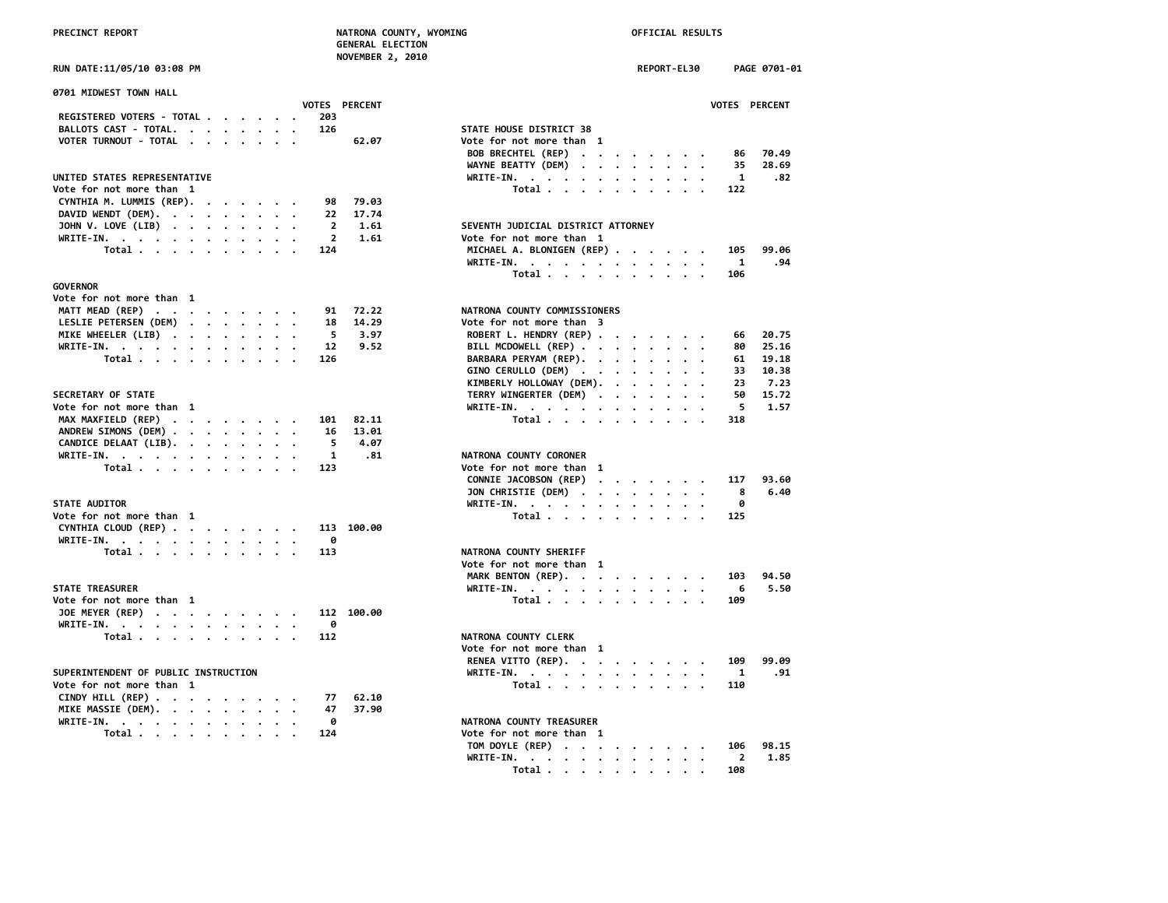**NOVEMBER 2, 2010**

| 0701 MIDWEST TOWN HALL                                             |          |  |  |                |                      |                                                                                                        |                         |
|--------------------------------------------------------------------|----------|--|--|----------------|----------------------|--------------------------------------------------------------------------------------------------------|-------------------------|
|                                                                    |          |  |  |                | <b>VOTES PERCENT</b> |                                                                                                        | <b>VOTES</b>            |
| REGISTERED VOTERS - TOTAL                                          |          |  |  | 203            |                      |                                                                                                        |                         |
| BALLOTS CAST - TOTAL.                                              |          |  |  | 126            |                      | STATE HOUSE DISTRICT 38                                                                                |                         |
| VOTER TURNOUT - TOTAL                                              |          |  |  |                | 62.07                | Vote for not more than 1                                                                               |                         |
|                                                                    |          |  |  |                |                      | <b>BOB BRECHTEL (REP)</b><br>$\mathcal{A}=\mathcal{A}=\mathcal{A}=\mathcal{A}=\mathcal{A}=\mathcal{A}$ | 86                      |
|                                                                    |          |  |  |                |                      | WAYNE BEATTY (DEM)<br>$\mathbf{r}$ , $\mathbf{r}$ , $\mathbf{r}$ , $\mathbf{r}$                        | 35                      |
| UNITED STATES REPRESENTATIVE                                       |          |  |  |                |                      | WRITE-IN.                                                                                              | $\overline{\mathbf{1}}$ |
| Vote for not more than 1                                           |          |  |  |                |                      | Total                                                                                                  | 122                     |
| CYNTHIA M. LUMMIS (REP).                                           | $\cdots$ |  |  | 98             | 79.03                |                                                                                                        |                         |
| DAVID WENDT (DEM).                                                 |          |  |  | 22             | 17.74                |                                                                                                        |                         |
| JOHN V. LOVE (LIB) $\cdot \cdot \cdot \cdot \cdot \cdot \cdot$     |          |  |  | $\overline{2}$ | 1.61                 | SEVENTH JUDICIAL DISTRICT ATTORNEY                                                                     |                         |
| WRITE-IN.                                                          |          |  |  | $\overline{2}$ | 1.61                 | Vote for not more than 1                                                                               |                         |
| Total                                                              |          |  |  | 124            |                      | MICHAEL A. BLONIGEN (REP)                                                                              | 105                     |
|                                                                    |          |  |  |                |                      |                                                                                                        | $\mathbf{1}$            |
|                                                                    |          |  |  |                |                      | WRITE-IN.                                                                                              |                         |
|                                                                    |          |  |  |                |                      | Total                                                                                                  | 106                     |
| <b>GOVERNOR</b>                                                    |          |  |  |                |                      |                                                                                                        |                         |
| Vote for not more than 1                                           |          |  |  |                |                      |                                                                                                        |                         |
| MATT MEAD (REP)                                                    |          |  |  | 91             | 72.22                | NATRONA COUNTY COMMISSIONERS                                                                           |                         |
| LESLIE PETERSEN (DEM)                                              |          |  |  | 18             | 14.29                | Vote for not more than 3                                                                               |                         |
| MIKE WHEELER (LIB)                                                 |          |  |  | 5              | 3.97                 | ROBERT L. HENDRY (REP)                                                                                 | 66                      |
| WRITE-IN.                                                          |          |  |  | 12             | 9.52                 | BILL MCDOWELL (REP)                                                                                    | 80                      |
| Total                                                              |          |  |  | 126            |                      | BARBARA PERYAM (REP).                                                                                  | 61                      |
|                                                                    |          |  |  |                |                      | GINO CERULLO (DEM)                                                                                     | 33                      |
|                                                                    |          |  |  |                |                      | KIMBERLY HOLLOWAY (DEM).                                                                               | 23                      |
| SECRETARY OF STATE                                                 |          |  |  |                |                      | TERRY WINGERTER (DEM)                                                                                  | 50                      |
| Vote for not more than 1                                           |          |  |  |                |                      | WRITE-IN.                                                                                              | 5                       |
| MAX MAXFIELD (REP)                                                 |          |  |  | 101            | 82.11                | Total $\cdots$ $\cdots$ $\cdots$                                                                       | 318                     |
| ANDREW SIMONS (DEM)                                                |          |  |  | 16             | 13.01                |                                                                                                        |                         |
| CANDICE DELAAT (LIB).                                              |          |  |  | 5              | 4.07                 |                                                                                                        |                         |
|                                                                    |          |  |  | $\mathbf{1}$   | .81                  | NATRONA COUNTY CORONER                                                                                 |                         |
| WRITE-IN.                                                          |          |  |  |                |                      |                                                                                                        |                         |
| Total                                                              |          |  |  | 123            |                      | Vote for not more than 1                                                                               |                         |
|                                                                    |          |  |  |                |                      | CONNIE JACOBSON (REP)<br>$\mathbf{a}$ . The second contribution of $\mathbf{a}$                        | 117                     |
|                                                                    |          |  |  |                |                      | JON CHRISTIE (DEM)<br>$\cdot$<br>$\bullet$                                                             | 8                       |
| <b>STATE AUDITOR</b>                                               |          |  |  |                |                      | WRITE-IN.                                                                                              | ø                       |
| Vote for not more than 1                                           |          |  |  |                |                      | Total                                                                                                  | 125                     |
| CYNTHIA CLOUD (REP)                                                |          |  |  |                | 113 100.00           |                                                                                                        |                         |
| WRITE-IN.                                                          |          |  |  | 0              |                      |                                                                                                        |                         |
| Total                                                              |          |  |  | 113            |                      | NATRONA COUNTY SHERIFF                                                                                 |                         |
|                                                                    |          |  |  |                |                      | Vote for not more than 1                                                                               |                         |
|                                                                    |          |  |  |                |                      | MARK BENTON (REP).                                                                                     | 103                     |
| <b>STATE TREASURER</b>                                             |          |  |  |                |                      | WRITE-IN.                                                                                              | 6                       |
| Vote for not more than 1                                           |          |  |  |                |                      | Total $\cdots$ $\cdots$ $\cdots$                                                                       | 109                     |
| JOE MEYER (REP)                                                    |          |  |  |                | 112 100.00           |                                                                                                        |                         |
| WRITE-IN.                                                          |          |  |  | 0              |                      |                                                                                                        |                         |
| Total                                                              |          |  |  | 112            |                      | NATRONA COUNTY CLERK                                                                                   |                         |
|                                                                    |          |  |  |                |                      | Vote for not more than 1                                                                               |                         |
|                                                                    |          |  |  |                |                      |                                                                                                        | 109                     |
|                                                                    |          |  |  |                |                      | RENEA VITTO (REP).                                                                                     |                         |
| SUPERINTENDENT OF PUBLIC INSTRUCTION                               |          |  |  |                |                      | WRITE-IN.                                                                                              | 1                       |
| Vote for not more than 1                                           |          |  |  |                |                      | Total                                                                                                  | 110                     |
| CINDY HILL (REP) $\cdot \cdot \cdot \cdot \cdot \cdot \cdot \cdot$ |          |  |  | 77             | 62.10                |                                                                                                        |                         |
| MIKE MASSIE (DEM).                                                 |          |  |  | 47             | 37.90                |                                                                                                        |                         |
| WRITE-IN.                                                          |          |  |  | 0              |                      | NATRONA COUNTY TREASURER                                                                               |                         |
| Total                                                              |          |  |  | 124            |                      | Vote for not more than 1                                                                               |                         |

|                                                   | <b>NOVEMBER 2, 2010</b>                         |
|---------------------------------------------------|-------------------------------------------------|
| RUN DATE:11/05/10 03:08 PM                        | REPORT-EL30<br>PAGE 0701-01                     |
| 0701 MIDWEST TOWN HALL                            |                                                 |
| <b>VOTES PERCENT</b>                              | VOTES PERCENT                                   |
| REGISTERED VOTERS - TOTAL<br>203                  |                                                 |
| BALLOTS CAST - TOTAL.<br>126                      | STATE HOUSE DISTRICT 38                         |
| VOTER TURNOUT - TOTAL                             | 62.07<br>Vote for not more than 1               |
|                                                   | BOB BRECHTEL (REP)<br>70.49<br>86               |
|                                                   | WAYNE BEATTY (DEM)<br>35<br>28.69               |
| UNITED STATES REPRESENTATIVE                      | WRITE-IN.<br>1<br>.82                           |
| Vote for not more than 1                          | Total<br>122                                    |
| CYNTHIA M. LUMMIS (REP).<br>98                    | 79.03                                           |
| DAVID WENDT (DEM).<br>22                          | 17.74                                           |
| $\overline{2}$                                    | 1.61<br>SEVENTH JUDICIAL DISTRICT ATTORNEY      |
| JOHN V. LOVE (LIB)<br>$\overline{2}$              | 1.61<br>Vote for not more than 1                |
| WRITE-IN.<br>124                                  | 99.06                                           |
| Total $\cdots$ $\cdots$ $\cdots$ $\cdots$         | MICHAEL A. BLONIGEN (REP)<br>105                |
|                                                   | WRITE-IN.<br>1<br>.94                           |
|                                                   | Total<br>106                                    |
| <b>GOVERNOR</b>                                   |                                                 |
| Vote for not more than 1                          |                                                 |
| MATT MEAD (REP)<br>91                             | NATRONA COUNTY COMMISSIONERS<br>72.22           |
| LESLIE PETERSEN (DEM)<br>18                       | 14.29<br>Vote for not more than 3               |
| 5<br>MIKE WHEELER (LIB)                           | 3.97<br>ROBERT L. HENDRY (REP)<br>20.75<br>66   |
| WRITE-IN.<br>12                                   | 25.16<br>9.52<br>BILL MCDOWELL (REP)<br>80      |
| Total<br>126                                      | BARBARA PERYAM (REP).<br>61<br>19.18            |
|                                                   | GINO CERULLO (DEM)<br>10.38<br>33               |
|                                                   | KIMBERLY HOLLOWAY (DEM).<br>23<br>7.23          |
| SECRETARY OF STATE                                | TERRY WINGERTER (DEM)<br>15.72<br>50<br>$\cdot$ |
| Vote for not more than 1                          | WRITE-IN.<br>5.<br>1.57                         |
|                                                   | 82.11<br>318                                    |
| MAX MAXFIELD (REP)<br>101                         | Total<br>13.01                                  |
| ANDREW SIMONS (DEM)<br>16                         |                                                 |
| 5<br>CANDICE DELAAT (LIB).                        | 4.07                                            |
| WRITE-IN.<br>1                                    | .81<br>NATRONA COUNTY CORONER                   |
| 123<br>Total                                      | Vote for not more than 1                        |
|                                                   | CONNIE JACOBSON (REP)<br>93.60<br>117           |
|                                                   | JON CHRISTIE (DEM)<br>8<br>6.40                 |
| <b>STATE AUDITOR</b>                              | ø<br>WRITE-IN.                                  |
| Vote for not more than 1                          | Total<br>125                                    |
| CYNTHIA CLOUD (REP)<br>113 100.00                 |                                                 |
| WRITE-IN.<br>0                                    |                                                 |
| 113<br>Total $\ldots$ $\ldots$ $\ldots$ $\ldots$  | NATRONA COUNTY SHERIFF                          |
|                                                   | Vote for not more than 1                        |
|                                                   | MARK BENTON (REP).<br>94.50<br>103              |
| <b>STATE TREASURER</b>                            | 5.50<br>WRITE-IN.<br>- 6                        |
| Vote for not more than 1                          | Total<br>109                                    |
| JOE MEYER (REP)<br>112 100.00                     |                                                 |
| ø                                                 |                                                 |
| WRITE-IN.                                         |                                                 |
| Total<br>112                                      | NATRONA COUNTY CLERK                            |
|                                                   | Vote for not more than 1                        |
|                                                   | RENEA VITTO (REP).<br>99.09<br>109              |
| SUPERINTENDENT OF PUBLIC INSTRUCTION              | .91<br>WRITE-IN.<br>-1                          |
| Vote for not more than 1                          | Total<br>110                                    |
| CINDY HILL (REP) $\cdots$ $\cdots$ $\cdots$<br>77 | 62.10                                           |
| MIKE MASSIE (DEM).<br>47                          | 37.90                                           |
| ø<br>WRITE-IN.<br>$\overline{\phantom{a}}$        | NATRONA COUNTY TREASURER                        |
| Total<br>124                                      | Vote for not more than 1                        |
|                                                   | TOM DOYLE (REP)<br>98.15<br>106                 |
|                                                   | $\overline{2}$<br>WRITE-IN.<br>1.85             |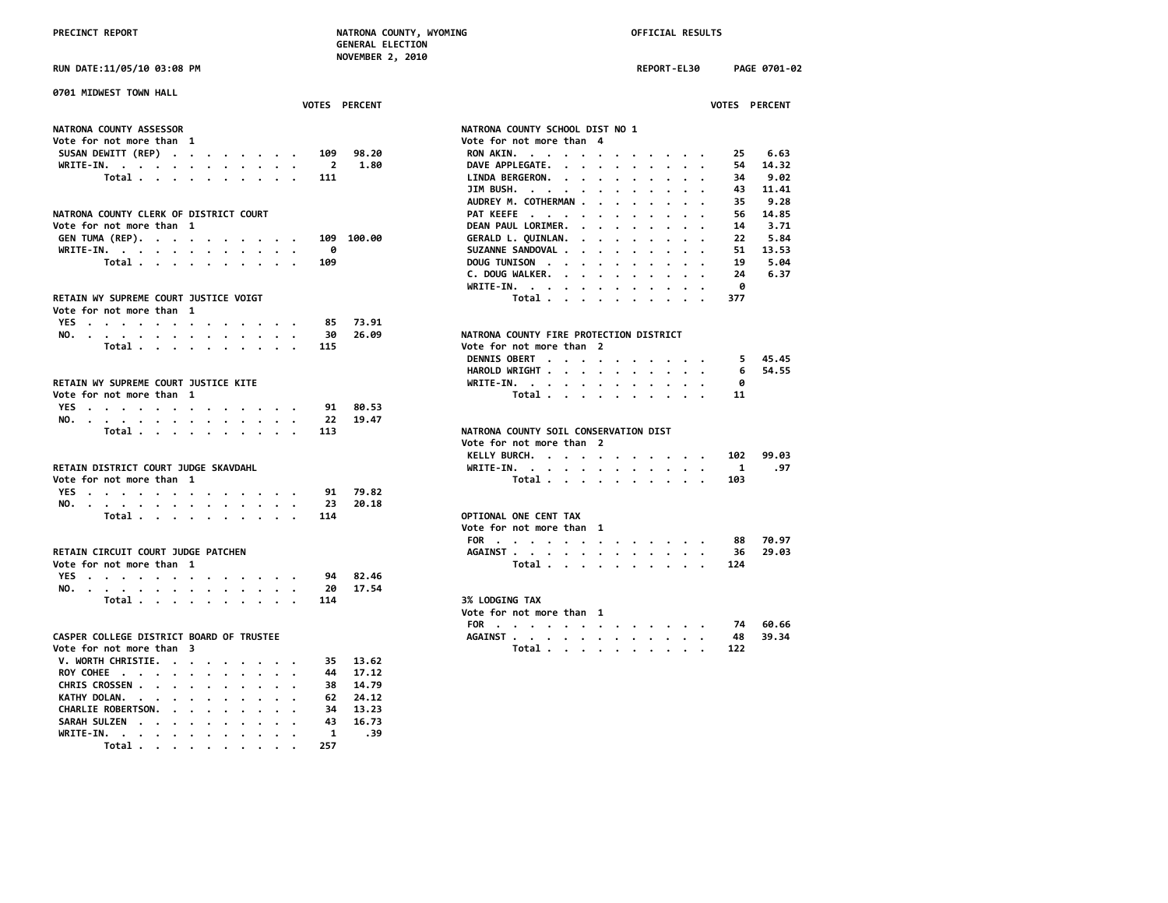**GENERAL ELECTION NOVEMBER 2, 2010**

**PRECINCT REPORT NATRONA COUNTY, WYOMING OFFICIAL RESULTS RUN DATE:11/05/10 03:08 PM REPORT-EL30 PAGE 0701-02 0701 MIDWEST TOWN HALL NATRONA COUNTY ASSESSOR Vote for not more than 1 Vote for not more than 4 SUSAN DEWITT (REP) . . . . . . . . 109 98.20 WRITE-IN.** . . . . . . . . . . . . 2 1.80  **Total . . . . . . . . . . . 111 NATRONA COUNTY CLERK OF DISTRICT COURT** Vote for not more than 1 **GEN TUMA (REP). . . . . . . . . . 109 100.00**<br>WRITE-IN. . . . . . . . . . . . . 0 **WRITE-IN.** . . . . . . . . . . .  **Total . . . . . . . . . . . 109** RETAIN WY SUPREME COURT JUSTICE VOIGT **Vote for not more than 1 YES . . . . . . . . . . . . . 85 73.91 NO.** . . . . . . . . . . . . . . 30 26.09  **Total . . . . . . . . . . 115** RETAIN WY SUPREME COURT JUSTICE KITE Vote for not more than 1 **YES . . . . . . . . . . . . . 91 80.53 NO. . . . . . . . . . . . . . 22 19.47 Total . . . . . . . . . . 113 1992 The Vote for not more than 2 Vote for not more than** 2 **RETAIN DISTRICT COURT JUDGE SKAVDAHL Vote for not more than 1**<br>**YES** . . . . . . . . . . . . . . 91 79.82 **YES . . . . . . . . . . . . . 91 79.82 NO. . . . . . . . . . . . . . 23 20.18 Total** . . . . . . . . . . . 114 *Vote for not more than* 1 **RETAIN CIRCUIT COURT JUDGE PATCHEN Vote for not more than 1**<br>**YES** . . . . . . . . . . . . . . . . . 94 82.46 **YES** . . . . . . . . . . . . . . **NO. . . . . . . . . . . . . . 20 17.54 Total . . . . . . . . . . 114 1** Vote for not more than 1 **CASPER COLLEGE DISTRICT BOARD OF TRUSTEE** Vote for not more than 3 **V. WORTH CHRISTIE. . . . . . . . . 35 13.62 ROY COHEE . . . . . . . . . . . 44 17.12 CHRIS CROSSEN . . . . . . . . . . 38 14.79 KATHY DOLAN. . . . . . . . . . . 62 24.12** CHARLIE ROBERTSON. . . . . . . . . **SARAH SULZEN . . . . . . . . . . 43 16.73 WRITE-IN. . . . . . . . . . . . 1 .39 Total . . . . . . . . . . 257**

| VOTES PERCENT                            | VOTES PERCENT                                                                                                                                                                                                                                                      |
|------------------------------------------|--------------------------------------------------------------------------------------------------------------------------------------------------------------------------------------------------------------------------------------------------------------------|
| <b>NATRONA COUNTY ASSESSOR</b>           | NATRONA COUNTY SCHOOL DIST NO 1                                                                                                                                                                                                                                    |
| Vote for not more than 1                 | Vote for not more than 4                                                                                                                                                                                                                                           |
| SUSAN DEWITT (REP)<br>98.20<br>109       | RON AKIN.<br>6.63<br>25                                                                                                                                                                                                                                            |
| 1.80<br>WRITE-IN.<br>$\overline{2}$      | DAVE APPLEGATE.<br>14.32<br>54                                                                                                                                                                                                                                     |
| Total<br>111                             | LINDA BERGERON.<br>9.02<br>34<br>$\mathbf{r}$ . The set of the set of the set of the set of the set of the set of the set of the set of the set of the set of the set of the set of the set of the set of the set of the set of the set of the set of the set of t |
|                                          | JIM BUSH.<br>43<br>11.41                                                                                                                                                                                                                                           |
|                                          | AUDREY M. COTHERMAN<br>9.28<br>35                                                                                                                                                                                                                                  |
| NATRONA COUNTY CLERK OF DISTRICT COURT   | PAT KEEFE<br>14.85<br>56                                                                                                                                                                                                                                           |
| Vote for not more than 1                 | DEAN PAUL LORIMER.<br>3.71<br>14<br>$\mathbf{r}$ , $\mathbf{r}$ , $\mathbf{r}$ , $\mathbf{r}$ , $\mathbf{r}$                                                                                                                                                       |
| GEN TUMA (REP).<br>109 100.00            | GERALD L. QUINLAN.<br>5.84<br>22<br>$\mathbf{r}$ , $\mathbf{r}$ , $\mathbf{r}$ , $\mathbf{r}$ , $\mathbf{r}$<br>$\cdot$                                                                                                                                            |
| 0<br>WRITE-IN.                           | SUZANNE SANDOVAL<br>51<br>13.53                                                                                                                                                                                                                                    |
| Total<br>109                             | DOUG TUNISON<br>19<br>5.04                                                                                                                                                                                                                                         |
|                                          | C. DOUG WALKER.<br>24<br>6.37                                                                                                                                                                                                                                      |
|                                          | WRITE-IN.<br>ø                                                                                                                                                                                                                                                     |
| RETAIN WY SUPREME COURT JUSTICE VOIGT    | Total<br>377                                                                                                                                                                                                                                                       |
| Vote for not more than 1                 |                                                                                                                                                                                                                                                                    |
| YES<br>85<br>73.91                       |                                                                                                                                                                                                                                                                    |
| 26.09<br>NO.<br>30                       | NATRONA COUNTY FIRE PROTECTION DISTRICT                                                                                                                                                                                                                            |
| Total<br>115                             | Vote for not more than 2                                                                                                                                                                                                                                           |
|                                          | DENNIS OBERT<br>45.45<br>5                                                                                                                                                                                                                                         |
|                                          | HAROLD WRIGHT<br>54.55<br>6                                                                                                                                                                                                                                        |
| RETAIN WY SUPREME COURT JUSTICE KITE     | WRITE-IN.<br>0                                                                                                                                                                                                                                                     |
| Vote for not more than 1                 | Total<br>11                                                                                                                                                                                                                                                        |
| 80.53<br>YES.<br>91                      |                                                                                                                                                                                                                                                                    |
| 19.47<br>22<br>NO.                       |                                                                                                                                                                                                                                                                    |
| Total<br>113                             | NATRONA COUNTY SOIL CONSERVATION DIST                                                                                                                                                                                                                              |
|                                          | Vote for not more than 2                                                                                                                                                                                                                                           |
|                                          | KELLY BURCH.<br>99.03<br>102                                                                                                                                                                                                                                       |
| RETAIN DISTRICT COURT JUDGE SKAVDAHL     | WRITE-IN.<br>1<br>.97                                                                                                                                                                                                                                              |
| Vote for not more than 1                 | Total<br>103                                                                                                                                                                                                                                                       |
| 79.82<br>YES.<br>91                      |                                                                                                                                                                                                                                                                    |
| 20.18<br>NO.<br>23                       |                                                                                                                                                                                                                                                                    |
| Total<br>114                             | OPTIONAL ONE CENT TAX                                                                                                                                                                                                                                              |
|                                          | Vote for not more than 1                                                                                                                                                                                                                                           |
|                                          | 70.97<br>FOR<br>88                                                                                                                                                                                                                                                 |
| RETAIN CIRCUIT COURT JUDGE PATCHEN       | AGAINST<br>29.03<br>36                                                                                                                                                                                                                                             |
| Vote for not more than 1                 | Total<br>124                                                                                                                                                                                                                                                       |
| YES<br>82.46<br>94                       |                                                                                                                                                                                                                                                                    |
| 17.54<br>NO.<br>20                       |                                                                                                                                                                                                                                                                    |
| 114<br>Total                             | 3% LODGING TAX                                                                                                                                                                                                                                                     |
|                                          | Vote for not more than 1                                                                                                                                                                                                                                           |
|                                          | 60.66<br>FOR<br>74                                                                                                                                                                                                                                                 |
| CASPER COLLEGE DISTRICT BOARD OF TRUSTEE | AGAINST<br>39.34<br>48                                                                                                                                                                                                                                             |
| Vote for not more than 3                 | Total $\cdots$ $\cdots$ $\cdots$<br>122                                                                                                                                                                                                                            |
| V. WORTH CHRISTIE.<br>35.<br>13.62       |                                                                                                                                                                                                                                                                    |
|                                          |                                                                                                                                                                                                                                                                    |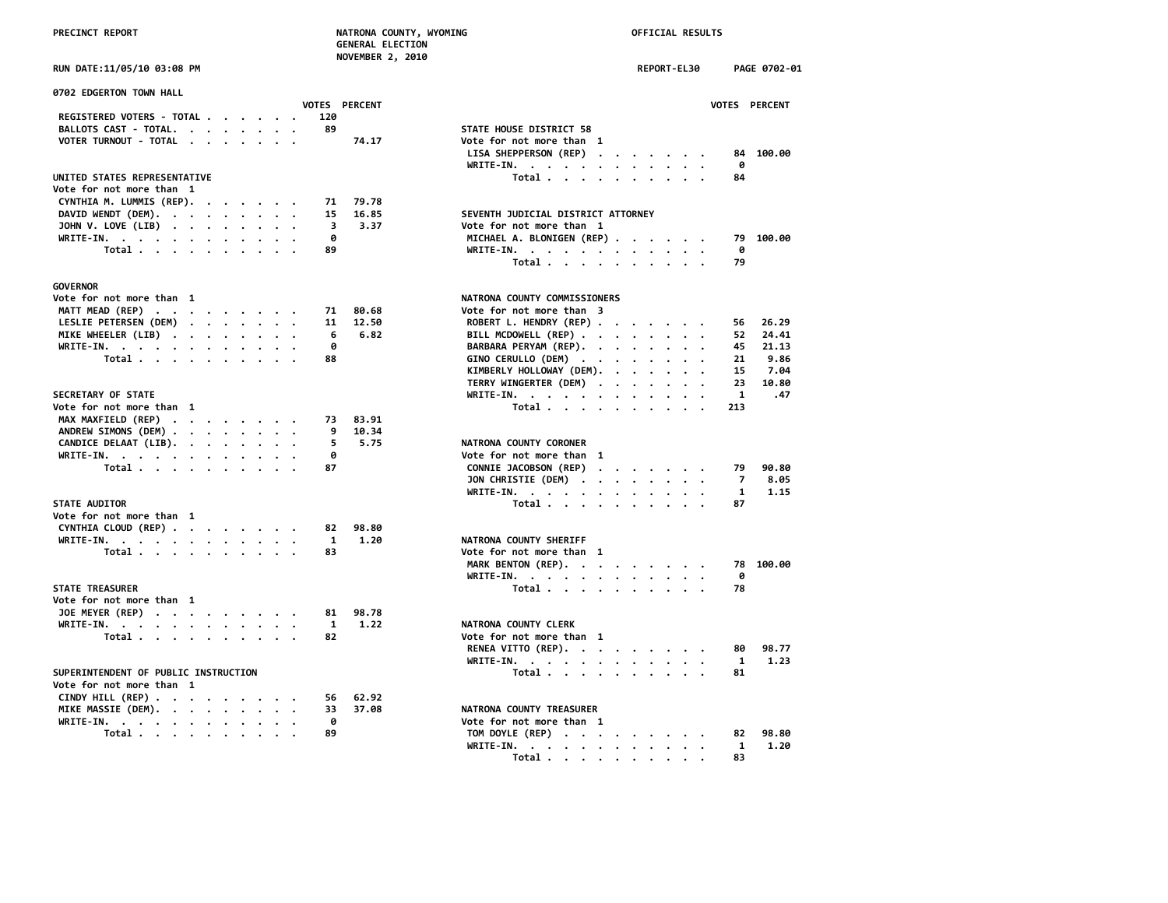|  | <b>PRECINCT REPORT</b> |  |
|--|------------------------|--|

| PRECINCT REPORT                                                          |                             | NATRONA COUNTY, WYOMING<br><b>GENERAL ELECTION</b><br><b>NOVEMBER 2, 2010</b> | OFFICIAL RESULTS                                                                        |                      |
|--------------------------------------------------------------------------|-----------------------------|-------------------------------------------------------------------------------|-----------------------------------------------------------------------------------------|----------------------|
| RUN DATE:11/05/10 03:08 PM                                               |                             |                                                                               | <b>REPORT-EL30</b>                                                                      | PAGE 0702-01         |
| 0702 EDGERTON TOWN HALL                                                  |                             |                                                                               |                                                                                         |                      |
|                                                                          | <b>VOTES PERCENT</b><br>120 |                                                                               |                                                                                         | VOTES PERCENT        |
| REGISTERED VOTERS - TOTAL<br>BALLOTS CAST - TOTAL.                       | 89                          | STATE HOUSE DISTRICT 58                                                       |                                                                                         |                      |
| VOTER TURNOUT - TOTAL                                                    | 74.17                       | Vote for not more than 1                                                      |                                                                                         |                      |
|                                                                          |                             | LISA SHEPPERSON (REP)                                                         | $\mathbf{r}$ , $\mathbf{r}$ , $\mathbf{r}$ , $\mathbf{r}$ , $\mathbf{r}$ , $\mathbf{r}$ | 84 100.00            |
|                                                                          |                             | WRITE-IN.                                                                     |                                                                                         | 0                    |
| UNITED STATES REPRESENTATIVE                                             |                             | Total                                                                         |                                                                                         | 84                   |
| Vote for not more than 1                                                 |                             |                                                                               |                                                                                         |                      |
| CYNTHIA M. LUMMIS (REP).                                                 | 79.78<br>71                 |                                                                               |                                                                                         |                      |
| DAVID WENDT (DEM).                                                       | 15<br>16.85                 | SEVENTH JUDICIAL DISTRICT ATTORNEY                                            |                                                                                         |                      |
| JOHN V. LOVE (LIB)                                                       | 3<br>3.37                   | Vote for not more than 1                                                      |                                                                                         |                      |
| WRITE-IN.                                                                | ø                           | MICHAEL A. BLONIGEN (REP)                                                     |                                                                                         | 79 100.00            |
| Total                                                                    | 89                          | WRITE-IN.                                                                     |                                                                                         | 0                    |
|                                                                          |                             | Total                                                                         |                                                                                         | 79                   |
| <b>GOVERNOR</b>                                                          |                             |                                                                               |                                                                                         |                      |
| Vote for not more than 1                                                 |                             | NATRONA COUNTY COMMISSIONERS                                                  |                                                                                         |                      |
| MATT MEAD (REP)                                                          | 80.68<br>71                 | Vote for not more than 3                                                      |                                                                                         |                      |
| LESLIE PETERSEN (DEM)                                                    | 11<br>12.50                 | ROBERT L. HENDRY (REP)                                                        |                                                                                         | 26.29<br>56          |
| MIKE WHEELER (LIB)                                                       | 6.82<br>6                   | BILL MCDOWELL (REP)                                                           |                                                                                         | 24.41<br>52          |
| WRITE-IN.                                                                | ø                           | BARBARA PERYAM (REP).                                                         |                                                                                         | 45<br>21.13          |
| Total                                                                    | 88                          | GINO CERULLO (DEM)                                                            |                                                                                         | 21<br>9.86           |
|                                                                          |                             | KIMBERLY HOLLOWAY (DEM).                                                      |                                                                                         | 15<br>7.04           |
|                                                                          |                             |                                                                               |                                                                                         | 23<br>10.80          |
|                                                                          |                             | TERRY WINGERTER (DEM)                                                         |                                                                                         | $\mathbf{1}$         |
| SECRETARY OF STATE                                                       |                             | WRITE-IN.                                                                     |                                                                                         | .47                  |
| Vote for not more than 1                                                 |                             | Total                                                                         |                                                                                         | 213                  |
| MAX MAXFIELD (REP)                                                       | 83.91<br>73                 |                                                                               |                                                                                         |                      |
| ANDREW SIMONS (DEM)                                                      | 9<br>10.34                  |                                                                               |                                                                                         |                      |
| CANDICE DELAAT (LIB).                                                    | 5<br>5.75                   | NATRONA COUNTY CORONER                                                        |                                                                                         |                      |
| WRITE-IN.                                                                | 0                           | Vote for not more than 1                                                      |                                                                                         |                      |
| Total                                                                    | 87                          | CONNIE JACOBSON (REP)                                                         |                                                                                         | 79<br>90.80          |
|                                                                          |                             | JON CHRISTIE (DEM)                                                            |                                                                                         | 7<br>8.05            |
|                                                                          |                             | WRITE-IN.                                                                     |                                                                                         | 1.15<br>$\mathbf{1}$ |
| STATE AUDITOR                                                            |                             | Total                                                                         |                                                                                         | 87                   |
| Vote for not more than 1                                                 |                             |                                                                               |                                                                                         |                      |
| CYNTHIA CLOUD (REP)                                                      | 82<br>98.80                 |                                                                               |                                                                                         |                      |
| WRITE-IN.                                                                | $\mathbf{1}$<br>1.20        | NATRONA COUNTY SHERIFF                                                        |                                                                                         |                      |
| Total                                                                    | 83                          | Vote for not more than 1                                                      |                                                                                         |                      |
|                                                                          |                             | MARK BENTON (REP).                                                            |                                                                                         | 78 100.00            |
|                                                                          |                             | WRITE-IN.                                                                     |                                                                                         | ø                    |
| STATE TREASURER                                                          |                             | Total                                                                         |                                                                                         | 78                   |
| Vote for not more than 1                                                 |                             |                                                                               |                                                                                         |                      |
| JOE MEYER (REP)                                                          | 98.78<br>81                 |                                                                               |                                                                                         |                      |
| WRITE-IN.                                                                | $\mathbf{1}$<br>1.22        | NATRONA COUNTY CLERK                                                          |                                                                                         |                      |
| Total                                                                    | 82                          | Vote for not more than 1                                                      |                                                                                         |                      |
|                                                                          |                             | RENEA VITTO (REP).                                                            |                                                                                         | 98.77<br>80          |
|                                                                          |                             | WRITE-IN.                                                                     |                                                                                         | 1.23<br>1            |
| SUPERINTENDENT OF PUBLIC INSTRUCTION                                     |                             | Total                                                                         |                                                                                         | 81                   |
| Vote for not more than 1                                                 |                             |                                                                               |                                                                                         |                      |
| CINDY HILL (REP) $\cdot \cdot \cdot \cdot \cdot \cdot \cdot \cdot \cdot$ | 62.92<br>56                 |                                                                               |                                                                                         |                      |
| MIKE MASSIE (DEM).                                                       | 37.08<br>33                 | NATRONA COUNTY TREASURER                                                      |                                                                                         |                      |
| WRITE-IN.                                                                | 0                           | Vote for not more than 1                                                      |                                                                                         |                      |
| Total $\cdots$ $\cdots$                                                  | 89                          | TOM DOYLE (REP)                                                               |                                                                                         | 98.80<br>82          |
|                                                                          |                             | WRITE-IN.                                                                     |                                                                                         | 1.20<br>$\mathbf{1}$ |
|                                                                          |                             | Total                                                                         |                                                                                         | 83                   |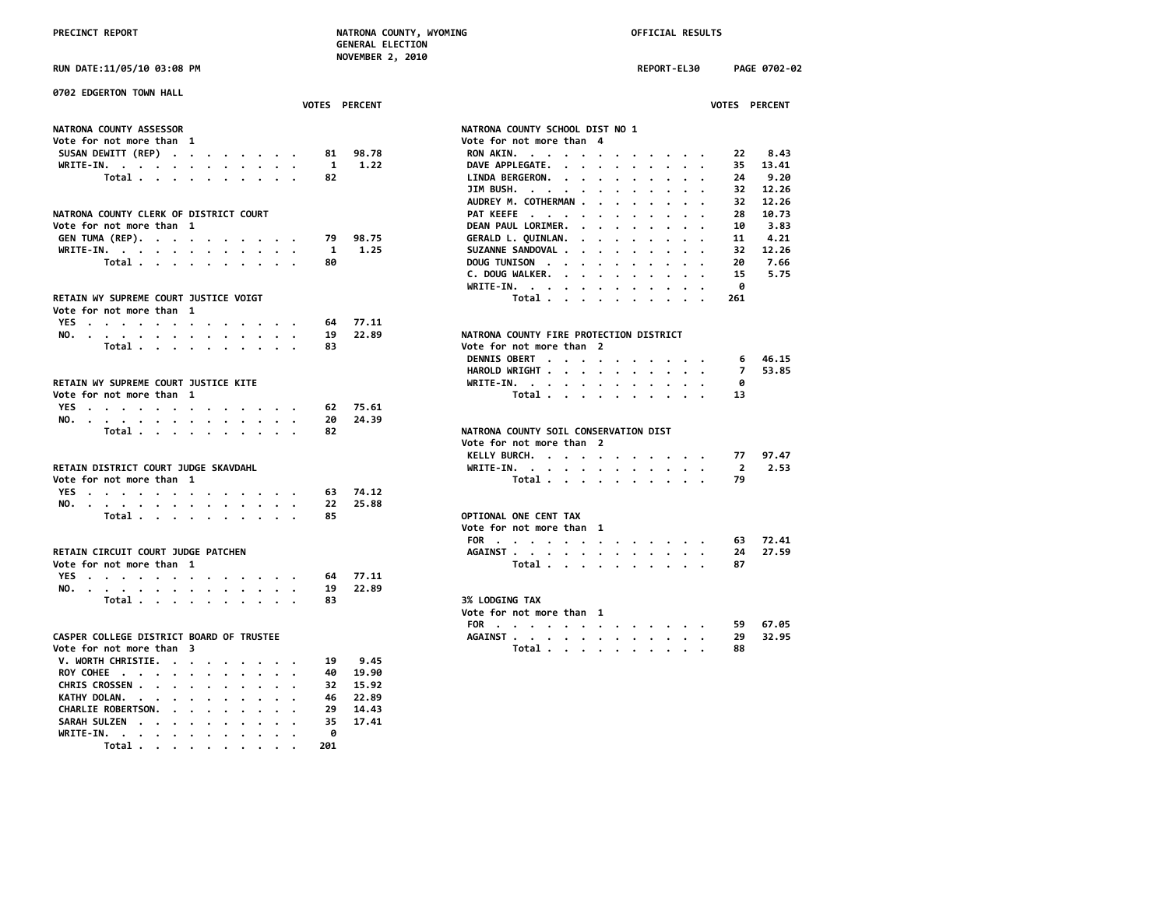**RUN DATE:11/05/10 03:08 PM REPORT-EL30 PAGE 0702-02**

| 0702 EDGERTON TOWN HALL                                                              |                                                                                                  |
|--------------------------------------------------------------------------------------|--------------------------------------------------------------------------------------------------|
| VOTES PERCENT                                                                        | VOTES PERCENT                                                                                    |
| NATRONA COUNTY ASSESSOR                                                              | NATRONA COUNTY SCHOOL DIST NO 1                                                                  |
| Vote for not more than 1                                                             | Vote for not more than 4                                                                         |
| SUSAN DEWITT (REP)<br>81<br>98.78                                                    | 8.43<br>22<br>RON AKIN.                                                                          |
| WRITE-IN, $\cdots$ , $\cdots$ , $\cdots$ , $\cdots$<br>1<br>1.22                     | 13.41<br>DAVE APPLEGATE.<br>35                                                                   |
| Total<br>82                                                                          | LINDA BERGERON.<br>24<br>9.20                                                                    |
|                                                                                      | JIM BUSH. $\cdot \cdot \cdot \cdot \cdot \cdot \cdot$<br>12.26<br>32<br>$\overline{\phantom{a}}$ |
|                                                                                      | AUDREY M. COTHERMAN.<br>32<br>12.26<br>$\cdot$ $\cdot$ $\cdot$                                   |
| NATRONA COUNTY CLERK OF DISTRICT COURT                                               | PAT KEEFE<br>28<br>10.73                                                                         |
| Vote for not more than 1                                                             | DEAN PAUL LORIMER.<br>10<br>3.83<br>$\cdots$                                                     |
| GEN TUMA (REP).<br>98.75<br>79                                                       | 4.21<br>GERALD L. QUINLAN.<br>11<br>$\sim$ $\sim$ $\sim$ $\sim$                                  |
| WRITE-IN.<br>1.25<br>1                                                               | SUZANNE SANDOVAL<br>32<br>12.26                                                                  |
| Total $\cdots$ $\cdots$ $\cdots$ $\cdots$<br>80                                      | DOUG TUNISON<br>20<br>7.66                                                                       |
|                                                                                      | C. DOUG WALKER.<br>15<br>5.75                                                                    |
|                                                                                      | 0<br>WRITE-IN.                                                                                   |
| RETAIN WY SUPREME COURT JUSTICE VOIGT                                                | Total<br>261                                                                                     |
| Vote for not more than 1                                                             |                                                                                                  |
| 77.11<br>YES<br>64                                                                   |                                                                                                  |
| NO.<br>19<br>22.89                                                                   | NATRONA COUNTY FIRE PROTECTION DISTRICT                                                          |
| Total $\cdots$ $\cdots$ $\cdots$<br>83                                               | Vote for not more than 2                                                                         |
|                                                                                      | DENNIS OBERT<br>46.15<br>6                                                                       |
|                                                                                      | $\overline{7}$<br>53.85<br>HAROLD WRIGHT                                                         |
| RETAIN WY SUPREME COURT JUSTICE KITE                                                 | ø<br>WRITE-IN.                                                                                   |
| Vote for not more than 1                                                             | Total<br>13                                                                                      |
| 75.61<br>62                                                                          |                                                                                                  |
| YES<br>24.39<br>20                                                                   |                                                                                                  |
| NO.<br>Total<br>82                                                                   | NATRONA COUNTY SOIL CONSERVATION DIST                                                            |
|                                                                                      | Vote for not more than 2                                                                         |
|                                                                                      | 97.47<br>77                                                                                      |
|                                                                                      | KELLY BURCH.                                                                                     |
| RETAIN DISTRICT COURT JUDGE SKAVDAHL                                                 | 2.53<br>WRITE-IN.<br>$\overline{2}$                                                              |
| Vote for not more than 1                                                             | 79<br>Total                                                                                      |
| YES<br>74.12<br>63                                                                   |                                                                                                  |
| 22<br>25.88<br>NO.                                                                   |                                                                                                  |
| Total $\cdots$ $\cdots$ $\cdots$<br>85                                               | OPTIONAL ONE CENT TAX                                                                            |
|                                                                                      | Vote for not more than 1                                                                         |
|                                                                                      | FOR<br>72.41<br>63                                                                               |
| RETAIN CIRCUIT COURT JUDGE PATCHEN                                                   | 27.59<br>AGAINST<br>24                                                                           |
| Vote for not more than 1                                                             | Total<br>87                                                                                      |
| YES<br>77.11<br>64                                                                   |                                                                                                  |
| 22.89<br>19<br>NO.                                                                   |                                                                                                  |
| Total<br>83                                                                          | <b>3% LODGING TAX</b>                                                                            |
|                                                                                      | Vote for not more than 1                                                                         |
|                                                                                      | 67.05<br>FOR<br>59                                                                               |
| CASPER COLLEGE DISTRICT BOARD OF TRUSTEE                                             | AGAINST<br>29<br>32.95                                                                           |
| Vote for not more than 3                                                             | Total<br>88                                                                                      |
| V. WORTH CHRISTIE.<br>9.45<br>19                                                     |                                                                                                  |
| 19.90<br>ROY COHEE<br>40                                                             |                                                                                                  |
| CHRIS CROSSEN<br>15.92<br>32                                                         |                                                                                                  |
| KATHY DOLAN.<br>22.89<br>46<br>$\cdot$ .<br>.                                        |                                                                                                  |
| CHARLIE ROBERTSON.<br>14.43<br>29<br>$\cdot$ $\cdot$ $\cdot$ $\cdot$ $\cdot$ $\cdot$ |                                                                                                  |
| SARAH SULZEN<br>35<br>17.41<br>$\sim$                                                |                                                                                                  |
| WRITE-IN.<br>ø                                                                       |                                                                                                  |
| Total $\cdots$ $\cdots$ $\cdots$<br>201                                              |                                                                                                  |
|                                                                                      |                                                                                                  |

|                                                                           |                            |                      |                         |                                                           |                      |                      |                                 |                      |                                                                                            |                 |                | <b>VOTES PERCENT</b>                     |  |
|---------------------------------------------------------------------------|----------------------------|----------------------|-------------------------|-----------------------------------------------------------|----------------------|----------------------|---------------------------------|----------------------|--------------------------------------------------------------------------------------------|-----------------|----------------|------------------------------------------|--|
| <b>IATRONA COUNTY SCHOOL DIST NO 1</b>                                    |                            |                      |                         |                                                           |                      |                      |                                 |                      |                                                                                            |                 |                |                                          |  |
| ote for not more than 4                                                   |                            |                      |                         |                                                           |                      |                      |                                 |                      |                                                                                            |                 |                |                                          |  |
| <b>RON AKIN.</b>                                                          | $\cdot$ $\cdot$            |                      |                         | $\cdots$                                                  |                      |                      |                                 |                      |                                                                                            |                 |                | 22 8.43                                  |  |
| DAVE APPLEGATE. .                                                         |                            |                      | $\ddot{\phantom{0}}$    | $\ddot{\phantom{0}}$                                      | $\sim$               | $\cdot$              | $\cdot$                         | $\bullet$            |                                                                                            |                 | 35             | 13.41                                    |  |
| LINDA BERGERON.                                                           |                            |                      |                         | $\ddot{\phantom{0}}$                                      | $\ddot{\phantom{0}}$ | $\bullet$            | $\ddot{\phantom{0}}$            | $\cdot$              |                                                                                            | $\bullet$       | 24             | 9.20                                     |  |
| JIM BUSH.                                                                 |                            | $\cdot$              | $\sim$                  | $\bullet$                                                 | $\ddot{\phantom{0}}$ | $\bullet$ .          |                                 | $\ddot{\phantom{0}}$ |                                                                                            |                 |                |                                          |  |
| AUDREY M. COTHERMAN.                                                      |                            |                      |                         |                                                           | $\ddot{\phantom{0}}$ | $\bullet$            | $\bullet$                       |                      |                                                                                            |                 |                | 32 12.26<br>32 12.26                     |  |
| PAT KEEFE                                                                 |                            |                      |                         | $\bullet$                                                 | $\ddot{\phantom{0}}$ | $\bullet$            | $\bullet$                       | $\ddot{\phantom{0}}$ | $\ddot{\phantom{0}}$                                                                       | $\bullet$       | 28             | 10.73                                    |  |
| DEAN PAUL LORIMER. .                                                      |                            |                      |                         | $\ddot{\phantom{0}}$                                      | $\ddot{\phantom{0}}$ | $\bullet$            | $\bullet$                       | $\ddot{\phantom{0}}$ | $\ddot{\phantom{0}}$                                                                       |                 | 10             | 3.83                                     |  |
| GERALD L. QUINLAN. .                                                      |                            |                      |                         | $\ddot{\phantom{0}}$                                      | $\ddot{\phantom{0}}$ | $\bullet$            | $\bullet$                       | $\cdot$              | $\cdot$                                                                                    | $\bullet$       | 11             | 4.21                                     |  |
| SUZANNE SANDOVAL                                                          |                            |                      |                         | $\ddot{\phantom{0}}$                                      |                      | $\cdot$ $\cdot$      | $\bullet$                       |                      |                                                                                            | $\bullet$       |                | 32 12.26                                 |  |
| DOUG TUNISON                                                              |                            |                      | $\ddot{\phantom{0}}$    | $\ddot{\phantom{0}}$                                      | $\ddot{\phantom{0}}$ | $\ddot{\phantom{0}}$ | $\cdot$                         | $\ddot{\phantom{0}}$ |                                                                                            | $\cdot$ $\cdot$ | 20             | 7.66                                     |  |
| C. DOUG WALKER.                                                           |                            |                      |                         | $\ddot{\phantom{0}}$                                      |                      | $\cdot$ $\cdot$      | $\sim$                          |                      | $\cdot$ $\cdot$ $\cdot$                                                                    |                 | 15             | 5.75                                     |  |
| WRITE-IN.                                                                 |                            | $\cdot$ $\cdot$      |                         | $\sim$                                                    |                      | $\cdot$ $\cdot$      | $\sim$                          | $\cdot$              | $\sim$                                                                                     |                 | - 0            |                                          |  |
|                                                                           | Total                      |                      |                         | $\ddot{\phantom{0}}$                                      |                      |                      | $\cdot$ $\cdot$ $\cdot$ $\cdot$ | $\ddot{\phantom{0}}$ | $\ddot{\phantom{0}}$                                                                       |                 | 261            |                                          |  |
|                                                                           |                            |                      |                         |                                                           |                      |                      |                                 |                      |                                                                                            |                 |                |                                          |  |
| <b>IATRONA COUNTY FIRE PROTECTION DISTRICT</b><br>ote for not more than 2 |                            |                      |                         |                                                           |                      |                      |                                 |                      |                                                                                            |                 |                |                                          |  |
| <b>DENNIS OBERT.</b>                                                      |                            |                      |                         |                                                           |                      |                      |                                 |                      |                                                                                            |                 |                | 6 46.15                                  |  |
| HAROLD WRIGHT                                                             |                            |                      |                         | $\bullet$<br>$\ddot{\phantom{0}}$                         |                      |                      |                                 | $\cdot$ .            |                                                                                            |                 | 7 <sup>7</sup> | 53.85                                    |  |
|                                                                           |                            |                      |                         |                                                           |                      |                      |                                 |                      | $\mathbf{z} = \mathbf{z} + \mathbf{z} + \mathbf{z} + \mathbf{z} + \mathbf{z} + \mathbf{z}$ |                 | െ              |                                          |  |
| WRITE-IN.                                                                 | Total                      |                      |                         | $\bullet$<br>$\sim$                                       | $\sim$ $\sim$        |                      |                                 |                      | $\cdot$ $\cdot$ $\cdot$ $\cdot$ $\cdot$ $\cdot$                                            |                 | 13             |                                          |  |
|                                                                           |                            |                      |                         |                                                           |                      |                      |                                 | $\cdot$ $\cdot$      |                                                                                            |                 |                |                                          |  |
| <b>IATRONA COUNTY SOIL CONSERVATION DIST</b>                              |                            |                      |                         |                                                           |                      |                      |                                 |                      |                                                                                            |                 |                |                                          |  |
| ote for not more than 2                                                   |                            |                      |                         |                                                           |                      |                      |                                 |                      |                                                                                            |                 |                |                                          |  |
| KELLY BURCH.                                                              |                            |                      |                         | $\cdots$                                                  |                      |                      |                                 |                      |                                                                                            |                 |                | $\cdot$ $\cdot$ $\cdot$ $\cdot$ 77 97.47 |  |
| WRITE-IN. .                                                               |                            |                      | $\cdot$ $\cdot$ $\cdot$ |                                                           |                      |                      |                                 |                      |                                                                                            |                 | $\overline{2}$ | 2.53                                     |  |
|                                                                           | Total                      |                      |                         | $\ddot{\phantom{a}}$                                      | $\sim$ $\sim$        | $\sim$               |                                 | $\sim$ $\sim$        |                                                                                            |                 | 79             |                                          |  |
| <b>PTIONAL ONE CENT TAX</b>                                               |                            |                      |                         |                                                           |                      |                      |                                 |                      |                                                                                            |                 |                |                                          |  |
| ote for not more than                                                     |                            |                      |                         | 1                                                         |                      |                      |                                 |                      |                                                                                            |                 |                |                                          |  |
| FOR $\cdots$ $\cdots$                                                     |                            |                      |                         |                                                           |                      |                      |                                 |                      |                                                                                            |                 |                | 63 72.41                                 |  |
| AGAINST                                                                   |                            | $\cdot$              | $\ddot{\phantom{0}}$    | $\bullet$ , $\bullet$ , $\bullet$ , $\bullet$ , $\bullet$ |                      |                      |                                 |                      | $\cdot$ $\cdot$ $\cdot$ $\cdot$                                                            |                 | 24             | 27.59                                    |  |
|                                                                           | Total                      |                      |                         | $\mathbf{r}$ , $\mathbf{r}$ , $\mathbf{r}$                |                      |                      |                                 | $\cdot$ $\cdot$      | $\cdot$ $\cdot$                                                                            |                 | 87             |                                          |  |
|                                                                           |                            |                      |                         |                                                           |                      |                      |                                 |                      |                                                                                            |                 |                |                                          |  |
| <b>3% LODGING TAX</b>                                                     |                            |                      |                         |                                                           |                      |                      |                                 |                      |                                                                                            |                 |                |                                          |  |
| ote for not more than 1                                                   |                            |                      |                         |                                                           |                      |                      |                                 |                      |                                                                                            |                 |                |                                          |  |
| FOR .                                                                     | $\sim$ $\sim$<br>$\bullet$ | $\ddot{\phantom{0}}$ |                         | $\bullet$                                                 |                      |                      |                                 |                      |                                                                                            |                 |                | 59 67.05                                 |  |
| <b>AGAINST</b> .                                                          |                            |                      |                         |                                                           |                      |                      |                                 |                      |                                                                                            |                 | 29             | 32.95                                    |  |
|                                                                           | Total                      |                      |                         | $\ddot{\phantom{0}}$                                      |                      | $\ddot{\phantom{0}}$ | $\ddot{\phantom{a}}$            |                      |                                                                                            |                 | 88             |                                          |  |
|                                                                           |                            |                      |                         |                                                           |                      |                      |                                 |                      |                                                                                            |                 |                |                                          |  |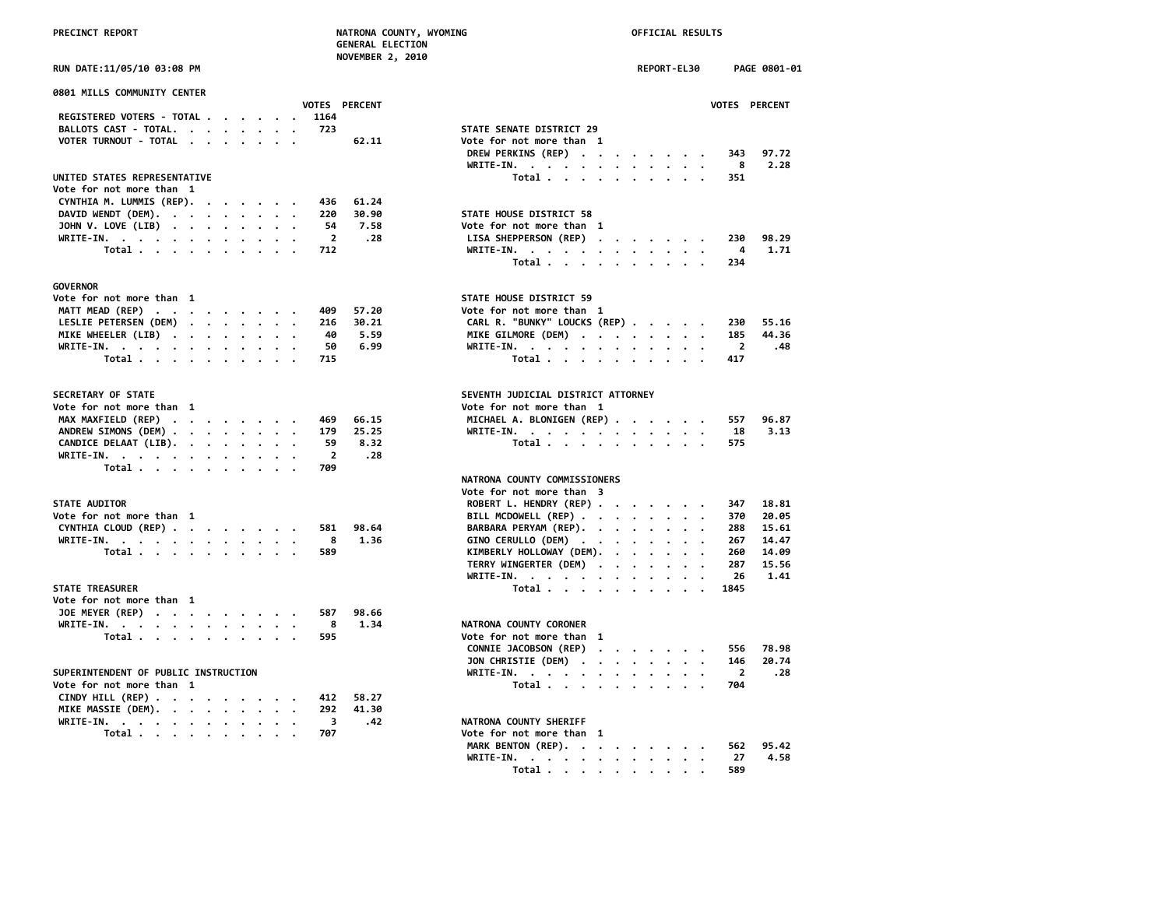|  | <b>PRECTNCT REPORT</b> |  |
|--|------------------------|--|

# **PRECINCT REPORT NATRONA COUNTY, WYOMING OFFICIAL RESULTS**

|                                                                    |                      | <b>GENERAL ELECTION</b> |                                                                                                                                    |             |  |                |                      |
|--------------------------------------------------------------------|----------------------|-------------------------|------------------------------------------------------------------------------------------------------------------------------------|-------------|--|----------------|----------------------|
|                                                                    |                      | <b>NOVEMBER 2, 2010</b> |                                                                                                                                    |             |  |                |                      |
| RUN DATE:11/05/10 03:08 PM                                         |                      |                         |                                                                                                                                    | REPORT-EL30 |  |                | PAGE 0801-01         |
| 0801 MILLS COMMUNITY CENTER                                        |                      |                         |                                                                                                                                    |             |  |                |                      |
|                                                                    | <b>VOTES PERCENT</b> |                         |                                                                                                                                    |             |  |                | <b>VOTES PERCENT</b> |
| REGISTERED VOTERS - TOTAL                                          | 1164                 |                         |                                                                                                                                    |             |  |                |                      |
| BALLOTS CAST - TOTAL.                                              | 723                  |                         | STATE SENATE DISTRICT 29                                                                                                           |             |  |                |                      |
| VOTER TURNOUT - TOTAL                                              |                      | 62.11                   | Vote for not more than 1                                                                                                           |             |  |                |                      |
|                                                                    |                      |                         | DREW PERKINS (REP)                                                                                                                 |             |  | 343            | 97.72                |
|                                                                    |                      |                         | WRITE-IN.                                                                                                                          |             |  | 8              | 2.28                 |
| UNITED STATES REPRESENTATIVE                                       |                      |                         | Total                                                                                                                              |             |  | 351            |                      |
| Vote for not more than 1                                           |                      |                         |                                                                                                                                    |             |  |                |                      |
| CYNTHIA M. LUMMIS (REP).                                           | 436                  | 61.24                   |                                                                                                                                    |             |  |                |                      |
| DAVID WENDT (DEM).                                                 | 220                  | 30.90                   | STATE HOUSE DISTRICT 58                                                                                                            |             |  |                |                      |
| JOHN V. LOVE (LIB)                                                 | 54                   | 7.58                    | Vote for not more than 1                                                                                                           |             |  |                |                      |
|                                                                    | $\overline{2}$       | .28                     | LISA SHEPPERSON (REP)                                                                                                              |             |  | 230            | 98.29                |
| WRITE-IN.<br>Total                                                 | 712                  |                         | WRITE-IN.                                                                                                                          |             |  | 4              | 1.71                 |
|                                                                    |                      |                         |                                                                                                                                    |             |  |                |                      |
|                                                                    |                      |                         | Total                                                                                                                              |             |  | 234            |                      |
| <b>GOVERNOR</b>                                                    |                      |                         |                                                                                                                                    |             |  |                |                      |
| Vote for not more than 1                                           |                      |                         | STATE HOUSE DISTRICT 59                                                                                                            |             |  |                |                      |
| MATT MEAD (REP)                                                    | 409                  | 57.20                   | Vote for not more than 1                                                                                                           |             |  |                |                      |
| LESLIE PETERSEN (DEM)                                              | 216                  | 30.21                   | CARL R. "BUNKY" LOUCKS (REP)                                                                                                       |             |  | 230            | 55.16                |
| MIKE WHEELER (LIB)                                                 | 40                   | 5.59                    | MIKE GILMORE (DEM)                                                                                                                 |             |  | 185            | 44.36                |
| WRITE-IN.                                                          | 50                   | 6.99                    | WRITE-IN.                                                                                                                          |             |  | $\overline{2}$ | .48                  |
| Total                                                              | 715                  |                         | Total                                                                                                                              |             |  | 417            |                      |
|                                                                    |                      |                         |                                                                                                                                    |             |  |                |                      |
| SECRETARY OF STATE                                                 |                      |                         | SEVENTH JUDICIAL DISTRICT ATTORNEY                                                                                                 |             |  |                |                      |
|                                                                    |                      |                         |                                                                                                                                    |             |  |                |                      |
| Vote for not more than 1                                           |                      |                         | Vote for not more than 1                                                                                                           |             |  |                |                      |
| MAX MAXFIELD (REP)                                                 | 469                  | 66.15                   | MICHAEL A. BLONIGEN (REP)                                                                                                          |             |  | 557            | 96.87                |
| ANDREW SIMONS (DEM)                                                | 179                  | 25.25                   | WRITE-IN.                                                                                                                          |             |  | 18             | 3.13                 |
| CANDICE DELAAT (LIB).                                              | 59                   | 8.32                    | Total                                                                                                                              |             |  | 575            |                      |
| WRITE-IN.                                                          | $\overline{2}$       | .28                     |                                                                                                                                    |             |  |                |                      |
| Total                                                              | 709                  |                         |                                                                                                                                    |             |  |                |                      |
|                                                                    |                      |                         | NATRONA COUNTY COMMISSIONERS                                                                                                       |             |  |                |                      |
|                                                                    |                      |                         | Vote for not more than 3                                                                                                           |             |  |                |                      |
| <b>STATE AUDITOR</b>                                               |                      |                         | ROBERT L. HENDRY (REP)                                                                                                             |             |  | 347            | 18.81                |
| Vote for not more than 1                                           |                      |                         | BILL MCDOWELL (REP)                                                                                                                |             |  | 370            | 20.05                |
| CYNTHIA CLOUD (REP)                                                | 581                  | 98.64                   | BARBARA PERYAM (REP).                                                                                                              |             |  | 288            | 15.61                |
| WRITE-IN.                                                          | 8                    | 1.36                    | GINO CERULLO (DEM)                                                                                                                 |             |  | 267            | 14,47                |
| Total                                                              | 589                  |                         | KIMBERLY HOLLOWAY (DEM).                                                                                                           |             |  | 260            | 14.09                |
|                                                                    |                      |                         | TERRY WINGERTER (DEM)                                                                                                              |             |  | 287            | 15.56                |
|                                                                    |                      |                         | WRITE-IN.                                                                                                                          |             |  | 26             | 1.41                 |
| <b>STATE TREASURER</b>                                             |                      |                         | Total                                                                                                                              |             |  | 1845           |                      |
| Vote for not more than 1                                           |                      |                         |                                                                                                                                    |             |  |                |                      |
|                                                                    | 587                  | 98.66                   |                                                                                                                                    |             |  |                |                      |
| JOE MEYER (REP)                                                    |                      |                         |                                                                                                                                    |             |  |                |                      |
| WRITE-IN.                                                          | 8                    | 1.34                    | NATRONA COUNTY CORONER                                                                                                             |             |  |                |                      |
| Total                                                              | 595                  |                         | Vote for not more than 1                                                                                                           |             |  |                |                      |
|                                                                    |                      |                         | CONNIE JACOBSON (REP)                                                                                                              |             |  | 556            | 78.98                |
|                                                                    |                      |                         | JON CHRISTIE (DEM)                                                                                                                 |             |  | 146            | 20.74                |
| SUPERINTENDENT OF PUBLIC INSTRUCTION                               |                      |                         | WRITE-IN.                                                                                                                          |             |  | $\overline{2}$ | .28                  |
| Vote for not more than 1                                           |                      |                         | Total                                                                                                                              |             |  | 704            |                      |
| CINDY HILL (REP) $\cdot \cdot \cdot \cdot \cdot \cdot \cdot \cdot$ | 412                  | 58.27                   |                                                                                                                                    |             |  |                |                      |
| MIKE MASSIE (DEM).                                                 | 292                  | 41.30                   |                                                                                                                                    |             |  |                |                      |
| WRITE-IN.<br>$\cdot$                                               | 3                    | .42                     | NATRONA COUNTY SHERIFF                                                                                                             |             |  |                |                      |
| Total $\cdots$ $\cdots$                                            | 707                  |                         | Vote for not more than 1                                                                                                           |             |  |                |                      |
|                                                                    |                      |                         | MARK BENTON (REP).                                                                                                                 |             |  | 562            | 95.42                |
|                                                                    |                      |                         | <b>WRTTF-TN</b><br>the contract of the contract of the contract of the contract of the contract of the contract of the contract of |             |  |                | 27 4.58              |
|                                                                    |                      |                         |                                                                                                                                    |             |  |                |                      |

**WRITE-IN. . . . . . . . . . . . 27 4.58 Total . . . . . . . . . . 589**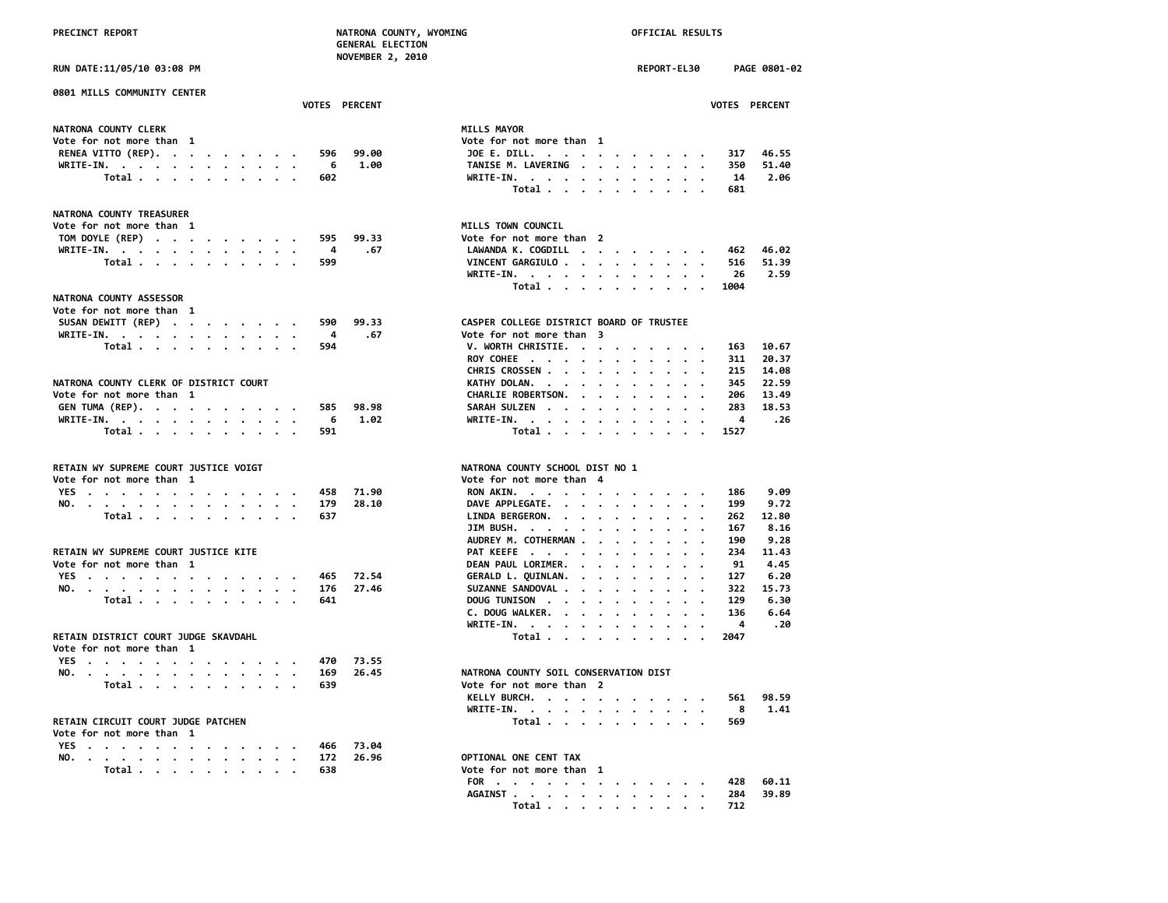### **PRECINCT REPORT NATRONA COUNTY, WYOMING OFFICIAL RESULTS**

### **0801 MILLS COMMUNITY CENTER**

| NATRONA COUNTY CLERK<br>Vote for not more than 1<br>RENEA VITTO (REP). 596 99.00<br>WRITE-IN. 6 1.00<br>Total 602 |  |  |  |  |  |                    |
|-------------------------------------------------------------------------------------------------------------------|--|--|--|--|--|--------------------|
|                                                                                                                   |  |  |  |  |  | <b>MILLS MAYOR</b> |
|                                                                                                                   |  |  |  |  |  | Vote for not       |
|                                                                                                                   |  |  |  |  |  | JOE E. DILI        |
|                                                                                                                   |  |  |  |  |  | TANISE M. I        |
|                                                                                                                   |  |  |  |  |  | WRITE-IN.          |

 **GENERAL ELECTION NOVEMBER 2, 2010**

### **NATRONA COUNTY TREASURER**

| Vote for not more than  1 |  |  |  |  |  |      | MILLS TOWN COUNCIL      |
|---------------------------|--|--|--|--|--|------|-------------------------|
| TOM DOYLE (REP) 595 99.33 |  |  |  |  |  |      | Vote for not more       |
| WRITE-IN. 4               |  |  |  |  |  | . 67 | LAWANDA K. COGDIL       |
| Total 599                 |  |  |  |  |  |      | <b>VINCENT GARGIULO</b> |

### **NATRONA COUNTY ASSESSOR**

| Vote for not more than 1     |  |  |  |  |                           |  |
|------------------------------|--|--|--|--|---------------------------|--|
| SUSAN DEWITT (REP) 590 99.33 |  |  |  |  | CASPER COLLEGE DISTRICT B |  |
| WRITE-IN. 4 .67              |  |  |  |  | Vote for not more than 3  |  |
| Total 594                    |  |  |  |  | V. WORTH CHRISTIE.        |  |

| NATRONA COUNTY CLERK OF DISTRICT COURT | KATHY DOLAN. 345 22.59          |
|----------------------------------------|---------------------------------|
| Vote for not more than 1               | CHARLIE ROBERTSON.<br>206 13.49 |
| GEN TUMA (REP). 585 98.98              | SARAH SULZEN 283 18.53          |
| WRITE-IN. 6 1.02                       | WRITE-IN. 4 .26                 |
| Total 591                              | Total 1527                      |

| RETAIN WY SUPREME COURT JUSTICE VOIGT |  |  |  |  |  |  |           |                | NATRONA COUNTY SCHOOL DIST NO 1 |  |
|---------------------------------------|--|--|--|--|--|--|-----------|----------------|---------------------------------|--|
| Vote for not more than 1              |  |  |  |  |  |  |           |                | Vote for not more than 4        |  |
|                                       |  |  |  |  |  |  |           | YES. 458 71.90 | RON AKIN. 186 9.09              |  |
|                                       |  |  |  |  |  |  |           | NO. 179 28.10  | DAVE APPLEGATE. 199 9.72        |  |
|                                       |  |  |  |  |  |  | Total 637 |                | LINDA BERGERON. 262 12.80       |  |

### RETAIN WY SUPREME COURT JUSTICE KITE

| Vote for not more than 1 |  |  |  |  |  |  |           |               | DEAN PAUL LORIMER. 91 4.45  |  |  |  |  |  |
|--------------------------|--|--|--|--|--|--|-----------|---------------|-----------------------------|--|--|--|--|--|
|                          |  |  |  |  |  |  |           | YES 465 72.54 | GERALD L. OUINLAN. 127 6.20 |  |  |  |  |  |
|                          |  |  |  |  |  |  |           | NO. 176 27.46 | SUZANNE SANDOVAL 322 15.73  |  |  |  |  |  |
|                          |  |  |  |  |  |  | Total 641 |               | DOUG TUNISON 129 6.30       |  |  |  |  |  |

### RETAIN DISTRICT COURT JUDGE SKAVDAHL

| Vote for not more than 1 |  |  |  |  |  |  |  |
|--------------------------|--|--|--|--|--|--|--|
|--------------------------|--|--|--|--|--|--|--|

|  |  |  |  |  |  |  |           | YES 470 73.55 |                           |
|--|--|--|--|--|--|--|-----------|---------------|---------------------------|
|  |  |  |  |  |  |  |           | NO. 169 26.45 | NATRONA COUNTY SOIL CONSE |
|  |  |  |  |  |  |  | Total 639 |               | Vote for not more than 2  |

### **RETAIN CIRCUIT COURT JUDGE PATCHEN**

### **Vote for not more than 1**

|  |  |  |  |  |  |  | YES 466 73.04 |  |
|--|--|--|--|--|--|--|---------------|--|
|  |  |  |  |  |  |  | NO. 172 26.96 |  |
|  |  |  |  |  |  |  | Total 638     |  |

# **RUN DATE:11/05/10 03:08 PM REPORT-EL30 PAGE 0801-02 VOTES PERCENT VOTES PERCENT**

| Vote for not more than  1                                    |  |  |  |  | Vote for not more than 1     |  |  |  |  |  |
|--------------------------------------------------------------|--|--|--|--|------------------------------|--|--|--|--|--|
| RENEA VITTO (REP). 596 99.00                                 |  |  |  |  | JOE E. DILL. 317 46.55       |  |  |  |  |  |
| WRITE-IN. 6 1.00                                             |  |  |  |  | TANISE M. LAVERING 350 51.40 |  |  |  |  |  |
| Total 602                                                    |  |  |  |  | WRITE-IN. 14 2.06            |  |  |  |  |  |
|                                                              |  |  |  |  | Total 681                    |  |  |  |  |  |
| <b>NATRONA COUNTY TREASURER</b><br>Vote for not more than  1 |  |  |  |  | MILLS TOWN COUNCIL           |  |  |  |  |  |
|                                                              |  |  |  |  |                              |  |  |  |  |  |

### Vote for not more than 2 **WARITER: 1999 LAWANDA K. COGDILL . . . . . . . . . . . 462 46.02**<br>**VINCENT GARGIULO . . . . . . . . . . . 516 51.3**9  **TORGENT GARGIULO .** . . . . . . . . . 516 51.39<br>WRITE-IN. . . . . . . . . . . . . 26 2.59  **WRITE-IN. . . . . . . . . . . . 26 2.59 Total . . . . . . . . . . 1004**

# CASPER COLLEGE DISTRICT BOARD OF TRUSTEE<br>Vote for not more than 3

| WRITE-IN. 4 .67                        |  |  |  |  |  | Vote for not more than 3     |  |  |  |  |  |
|----------------------------------------|--|--|--|--|--|------------------------------|--|--|--|--|--|
| Total 594                              |  |  |  |  |  | V. WORTH CHRISTIE. 163 10.67 |  |  |  |  |  |
|                                        |  |  |  |  |  | ROY COHEE 311 20.37          |  |  |  |  |  |
|                                        |  |  |  |  |  | CHRIS CROSSEN 215 14.08      |  |  |  |  |  |
| NATRONA COUNTY CLERK OF DISTRICT COURT |  |  |  |  |  | KATHY DOLAN. 345 22.59       |  |  |  |  |  |
| Vote for not more than  1              |  |  |  |  |  | CHARLIE ROBERTSON. 206 13.49 |  |  |  |  |  |
| GEN TUMA (REP). 585 98.98              |  |  |  |  |  | SARAH SULZEN 283 18.53       |  |  |  |  |  |
| WRITE-IN. 6 1.02                       |  |  |  |  |  | WRITE-IN. 4 .26              |  |  |  |  |  |
| Total 591                              |  |  |  |  |  | Total 1527                   |  |  |  |  |  |
|                                        |  |  |  |  |  |                              |  |  |  |  |  |

| Vote for not more than 1             |  |               |  |  |  |  |           |       | Vote for not more than 4                                                 |       |
|--------------------------------------|--|---------------|--|--|--|--|-----------|-------|--------------------------------------------------------------------------|-------|
| YES                                  |  | $\frac{1}{2}$ |  |  |  |  | 458       | 71.90 | RON AKIN.<br>186                                                         | 9.09  |
|                                      |  |               |  |  |  |  | NO. 179   | 28.10 | DAVE APPLEGATE.<br>199                                                   | 9.72  |
|                                      |  |               |  |  |  |  | Total 637 |       | LINDA BERGERON.<br>262                                                   | 12.80 |
|                                      |  |               |  |  |  |  |           |       | JIM BUSH. $\cdot \cdot \cdot \cdot \cdot \cdot \cdot \cdot \cdot$<br>167 | 8.16  |
|                                      |  |               |  |  |  |  |           |       | AUDREY M. COTHERMAN<br>190                                               | 9.28  |
| RETAIN WY SUPREME COURT JUSTICE KITE |  |               |  |  |  |  |           |       | PAT KEEFE<br>234                                                         | 11.43 |
| Vote for not more than  1            |  |               |  |  |  |  |           |       | DEAN PAUL LORIMER,<br>91                                                 | 4.45  |
|                                      |  | YES.          |  |  |  |  | 465       | 72.54 | GERALD L. QUINLAN.<br>127                                                | 6.20  |
|                                      |  | NO.           |  |  |  |  | 176       | 27.46 | SUZANNE SANDOVAL<br>322                                                  | 15.73 |
|                                      |  | Total         |  |  |  |  | 641       |       | DOUG TUNISON<br>129                                                      | 6.30  |
|                                      |  |               |  |  |  |  |           |       | C. DOUG WALKER.<br>136                                                   | 6.64  |
|                                      |  |               |  |  |  |  |           |       | WRITE-IN.<br>4                                                           | .20   |
| RETAIN DISTRICT COURT JUDGE SKAVDAHL |  |               |  |  |  |  |           |       | Total $\cdots$<br>2047                                                   |       |

# **NATRONA COUNTY SOIL CONSERVATION DIST**<br>Vote for not more than 2

| fot a i<br>$\mathbf{r}$ , $\mathbf{r}$ , $\mathbf{r}$ , $\mathbf{r}$ , $\mathbf{r}$ , $\mathbf{r}$ | than<br>Vote for not<br>more                                                                                  |      |
|----------------------------------------------------------------------------------------------------|---------------------------------------------------------------------------------------------------------------|------|
|                                                                                                    | KELLY BURCH.<br>-561                                                                                          | 98.  |
|                                                                                                    | WRITE-IN. 8                                                                                                   | 1.41 |
| RETAIN CIRCUIT COURT<br><b>JUDGE PATCHEN</b>                                                       | 569<br>$\mathbf{r}$ , $\mathbf{r}$ , $\mathbf{r}$ , $\mathbf{r}$ , $\mathbf{r}$ , $\mathbf{r}$ , $\mathbf{r}$ |      |

### **NO. . . . . . . . . . . . . . 172 26.96 OPTIONAL ONE CENT TAX Total . . . . . . . . . . 638 Vote for not more than 1**

| 10Ld 1 |  |  |  |  | . | - מכס | VOLE TOI NOL MORE LIIAN |       |
|--------|--|--|--|--|---|-------|-------------------------|-------|
|        |  |  |  |  |   |       | FOR 428                 | 60.11 |
|        |  |  |  |  |   |       | AGAINST 284             | 39.89 |
|        |  |  |  |  |   |       | Total 712               |       |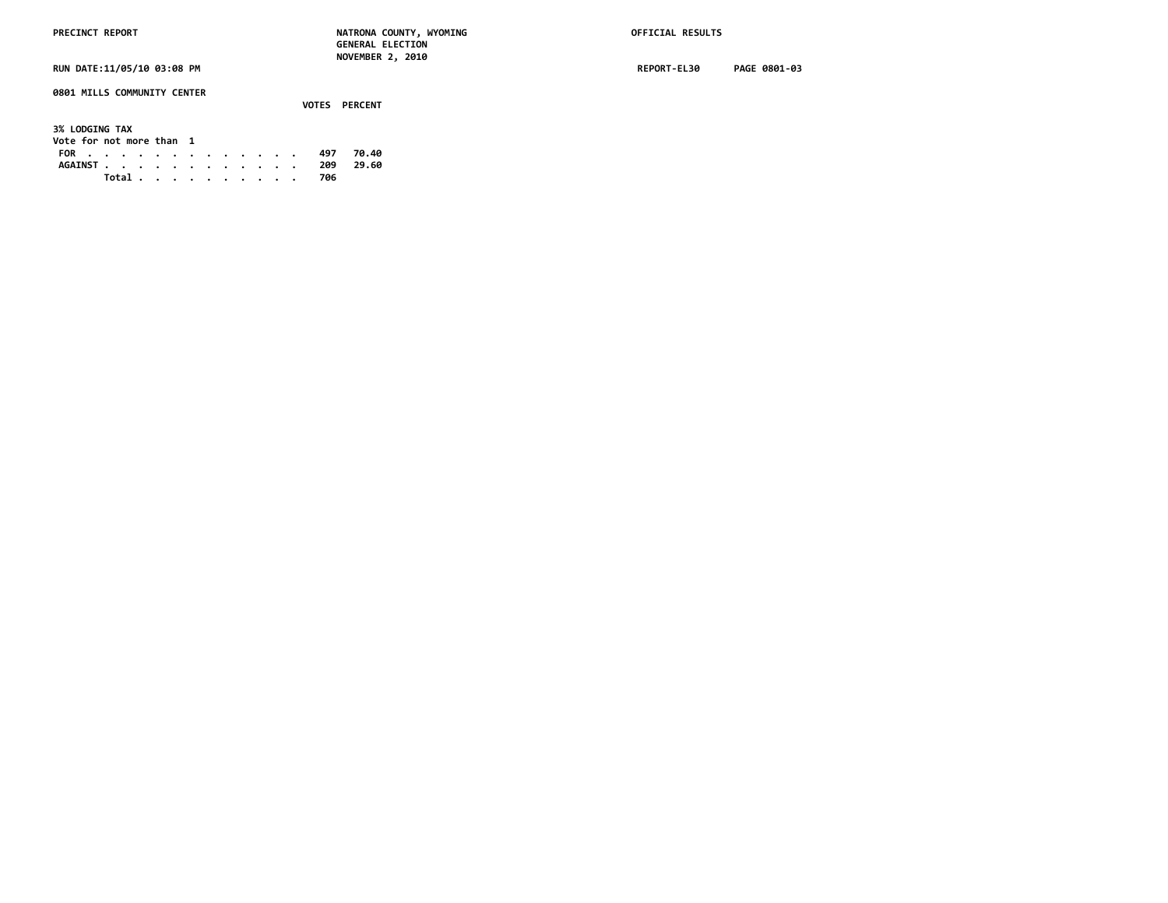**0801 MILLS COMMUNITY CENTER**

 **VOTES PERCENT 3% LODGING TAX Vote for not more than 1 FOR . . . . . . . . . . . . . 497 70.40 AGAINST . . . . . . . . . . . . 209 29.60 Total . . . . . . . . . . 706**

**RUN DATE:11/05/10 03:08 PM REPORT-EL30 PAGE 0801-03**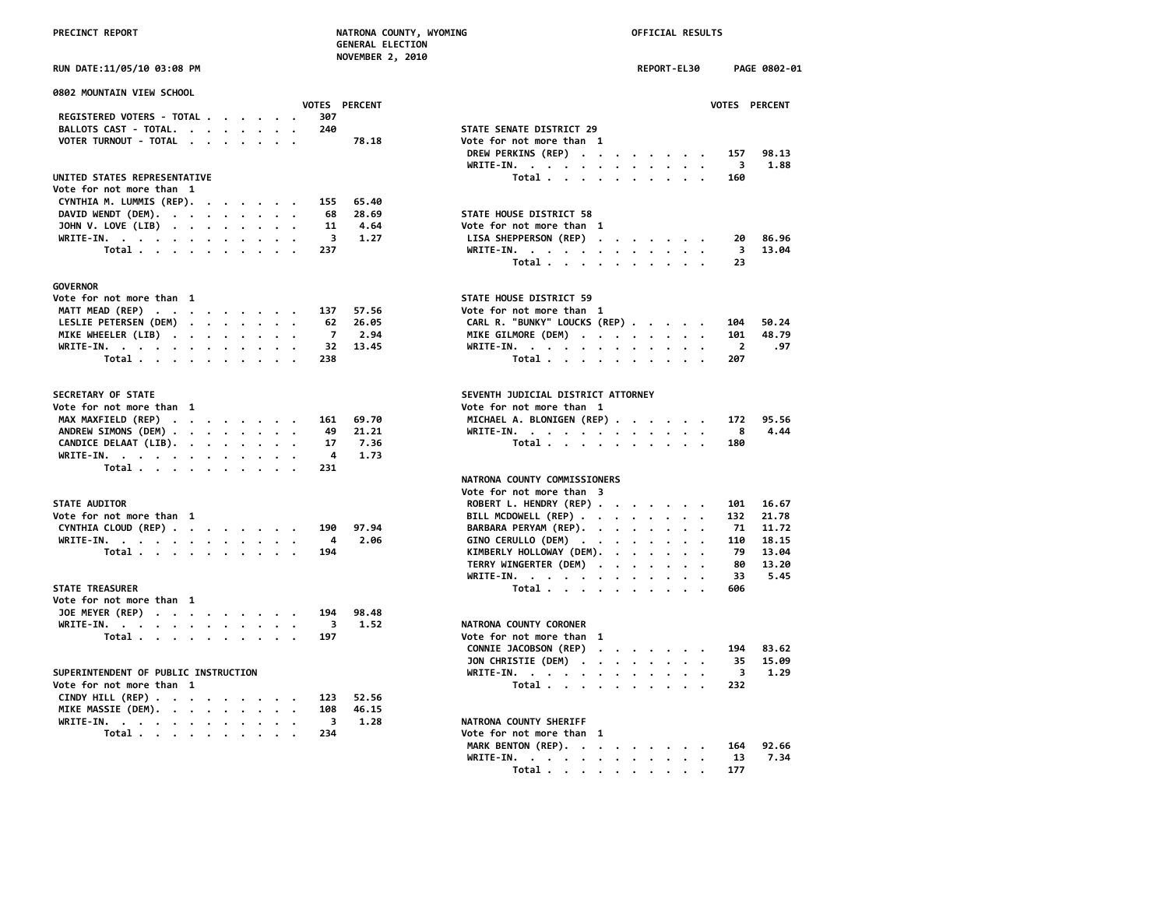| <b>RECINCT REPORT</b> |  |
|-----------------------|--|
|                       |  |

# **PRECINCT REPORT NATRONA COUNTY, WYOMING OFFICIAL RESULTS**

 **GENERAL ELECTION NOVEMBER 2, 2010**

**RUN DATE:11/05/10 03:08 PM REPORT-EL30 PAGE 0802-01**

| 0802 MOUNTAIN VIEW SCHOOL                    |                                       |
|----------------------------------------------|---------------------------------------|
| VOTES PERCENT                                | <b>VOTES</b>                          |
| REGISTERED VOTERS - TOTAL<br>307             |                                       |
| 240<br>BALLOTS CAST - TOTAL.                 | STATE SENATE DISTRICT 29              |
| VOTER TURNOUT - TOTAL<br>78.18               | Vote for not more than 1              |
|                                              | DREW PERKINS (REP)<br>157             |
|                                              | WRITE-IN.<br>3                        |
| UNITED STATES REPRESENTATIVE                 | Total<br>160                          |
| Vote for not more than 1                     |                                       |
| CYNTHIA M. LUMMIS (REP).<br>65.40<br>155     |                                       |
| DAVID WENDT (DEM).<br>28.69<br>68            | STATE HOUSE DISTRICT 58               |
| JOHN V. LOVE (LIB)<br>11<br>4.64             | Vote for not more than 1              |
| WRITE-IN.<br>$\overline{\mathbf{3}}$<br>1.27 | LISA SHEPPERSON (REP)<br>20           |
| Total $\cdots$ $\cdots$ $\cdots$<br>237      | WRITE-IN.<br>з                        |
|                                              | Total<br>23                           |
| <b>GOVERNOR</b>                              |                                       |
| Vote for not more than 1                     | STATE HOUSE DISTRICT 59               |
| MATT MEAD (REP)<br>57.56<br>137              | Vote for not more than 1              |
| LESLIE PETERSEN (DEM)<br>26.05<br>62         | CARL R. "BUNKY" LOUCKS (REP)<br>104   |
| MIKE WHEELER (LIB)<br>$\overline{7}$<br>2.94 | MIKE GILMORE (DEM)<br>101             |
| 13.45<br>WRITE-IN.<br>32                     | WRITE-IN.<br>$\overline{\phantom{a}}$ |
| Total<br>238                                 | Total<br>207                          |
|                                              |                                       |
| <b>SECRETARY OF STATE</b>                    | SEVENTH JUDICIAL DISTRICT ATTORNEY    |
| Vote for not more than 1                     | Vote for not more than 1              |
| MAX MAXFIELD (REP)<br>69.70<br>161           | MICHAEL A. BLONIGEN (REP)<br>172      |
| ANDREW SIMONS (DEM)<br>21,21<br>49           | WRITE-IN.<br>- 8                      |
| CANDICE DELAAT (LIB).<br>7.36<br>17          | Total<br>180                          |
| WRITE-IN.<br>1.73<br>4                       |                                       |
| Total<br>231                                 |                                       |
|                                              | NATRONA COUNTY COMMISSIONERS          |
|                                              | Vote for not more than 3              |
| <b>STATE AUDITOR</b>                         | ROBERT L. HENDRY (REP)<br>101         |
| Vote for not more than 1                     | BILL MCDOWELL (REP)<br>132            |
| CYNTHIA CLOUD (REP)<br>190<br>97.94          | BARBARA PERYAM (REP).<br>-71          |
| WRITE-IN.<br>2.06<br>$\overline{4}$          | GINO CERULLO (DEM)<br>110             |
| 194<br>Total                                 | KIMBERLY HOLLOWAY (DEM).<br>-79       |
|                                              | TERRY WINGERTER (DEM)<br>80           |
|                                              | WRITE-IN.<br>33                       |
| <b>STATE TREASURER</b>                       | Total<br>606                          |
| Vote for not more than  1                    |                                       |
| JOE MEYER (REP)<br>194<br>98.48              |                                       |
| WRITE-IN.<br>1.52<br>3                       | NATRONA COUNTY CORONER                |
| Total<br>197                                 | Vote for not more than 1              |
|                                              | CONNIE JACOBSON (REP)<br>194          |
|                                              | JON CHRISTIE (DEM)<br>-35             |
| SUPERINTENDENT OF PUBLIC INSTRUCTION         | WRITE-IN.<br>- 3                      |
| Vote for not more than 1                     | Total<br>232                          |
| CINDY HILL (REP)<br>123<br>52.56             |                                       |
| MIKE MASSIE (DEM).<br>108<br>46.15           |                                       |
| WRITE-IN.<br>1.28<br>- 3                     | NATRONA COUNTY SHERIFF                |
| Total<br>234                                 | Vote for not more than 1              |
|                                              | MARK BENTON (REP).<br>164             |

| 0802 MOUNTAIN VIEW SCHOOL            | VOTES PERCENT | VOTES PERCENT                                       |
|--------------------------------------|---------------|-----------------------------------------------------|
| 307<br>REGISTERED VOTERS - TOTAL     |               |                                                     |
| BALLOTS CAST - TOTAL.<br>240         |               | STATE SENATE DISTRICT 29                            |
| VOTER TURNOUT - TOTAL                | 78.18         | Vote for not more than 1                            |
|                                      |               | DREW PERKINS (REP)<br>98.13<br>157<br>$\cdot$       |
|                                      |               | 1.88<br>WRITE-IN.<br>3                              |
| UNITED STATES REPRESENTATIVE         |               | Total<br>160                                        |
| Vote for not more than 1             |               |                                                     |
| CYNTHIA M. LUMMIS (REP).<br>155      | 65.40         |                                                     |
| DAVID WENDT (DEM).<br>68             | 28.69         | STATE HOUSE DISTRICT 58                             |
| JOHN V. LOVE (LIB)<br>11             | 4.64          | Vote for not more than 1                            |
| WRITE-IN.                            | 3<br>1.27     | LISA SHEPPERSON (REP)<br>86.96<br>20                |
| 237<br>Total                         |               | 3<br>13.04<br>WRITE-IN.                             |
|                                      |               | Total<br>23                                         |
|                                      |               |                                                     |
| GOVERNOR<br>Vote for not more than 1 |               | STATE HOUSE DISTRICT 59                             |
|                                      |               |                                                     |
| MATT MEAD (REP)<br>137               | 57.56         | Vote for not more than 1                            |
| LESLIE PETERSEN (DEM)<br>62          | 26.05         | CARL R. "BUNKY" LOUCKS (REP)<br>50.24<br>104        |
| MIKE WHEELER (LIB)<br>$\overline{7}$ | 2.94          | MIKE GILMORE (DEM)<br>48.79<br>101                  |
| WRITE-IN.<br>32                      | 13.45         | WRITE-IN.<br>$\overline{2}$<br>.97                  |
| Total<br>238                         |               | Total<br>207                                        |
| <b>SECRETARY OF STATE</b>            |               | SEVENTH JUDICIAL DISTRICT ATTORNEY                  |
|                                      |               | Vote for not more than 1                            |
| Vote for not more than 1             |               |                                                     |
| MAX MAXFIELD (REP)<br>161            | 69.70         | MICHAEL A. BLONIGEN (REP)<br>95.56<br>172           |
| ANDREW SIMONS (DEM)<br>49            | 21.21         | 4.44<br>WRITE-IN.<br>8                              |
| CANDICE DELAAT (LIB).<br>17          | 7.36          | Total $\cdots$ $\cdots$ $\cdots$ $\cdots$<br>180    |
| 4<br>WRITE-IN.                       | 1.73          |                                                     |
| Total<br>231                         |               |                                                     |
|                                      |               | NATRONA COUNTY COMMISSIONERS                        |
|                                      |               | Vote for not more than 3                            |
| <b>STATE AUDITOR</b>                 |               | ROBERT L. HENDRY (REP)<br>16.67<br>101              |
| Vote for not more than 1             |               | BILL MCDOWELL (REP)<br>132<br>21.78                 |
| CYNTHIA CLOUD (REP)<br>190           | 97.94         | BARBARA PERYAM (REP).<br>71<br>11.72                |
| 4<br>WRITE-IN.                       | 2.06          | GINO CERULLO (DEM)<br>110<br>18.15                  |
| 194<br>Total                         |               | KIMBERLY HOLLOWAY (DEM).<br>79<br>13.04<br>$\cdots$ |
|                                      |               | TERRY WINGERTER (DEM)<br>13.20<br>80                |
|                                      |               | WRITE-IN.<br>33<br>5.45                             |
| <b>STATE TREASURER</b>               |               | Total<br>606                                        |
| Vote for not more than 1             |               |                                                     |
| JOE MEYER (REP)<br>194               | 98.48         |                                                     |
|                                      |               |                                                     |
| WRITE-IN.                            | 3<br>1.52     | NATRONA COUNTY CORONER                              |
| Total<br>197                         |               | Vote for not more than 1                            |
|                                      |               | CONNIE JACOBSON (REP)<br>83.62<br>194               |
|                                      |               | JON CHRISTIE (DEM)<br>35<br>15.09                   |
| SUPERINTENDENT OF PUBLIC INSTRUCTION |               | 1.29<br>WRITE-IN.<br>3                              |
| Vote for not more than 1             |               | Total<br>232                                        |
| CINDY HILL (REP)<br>123              | 52.56         |                                                     |
| MIKE MASSIE (DEM).<br>108            | 46.15         |                                                     |
| $\overline{\mathbf{3}}$<br>WRITE-IN. | 1.28          | NATRONA COUNTY SHERIFF                              |
| Total<br>234                         |               | Vote for not more than 1                            |
|                                      |               |                                                     |

| Total 234 |  |  |  |  | Vote for not more than 1     |  |
|-----------|--|--|--|--|------------------------------|--|
|           |  |  |  |  | MARK BENTON (REP). 164 92.66 |  |
|           |  |  |  |  | WRITE-IN. 13 7.34            |  |
|           |  |  |  |  | Total 177                    |  |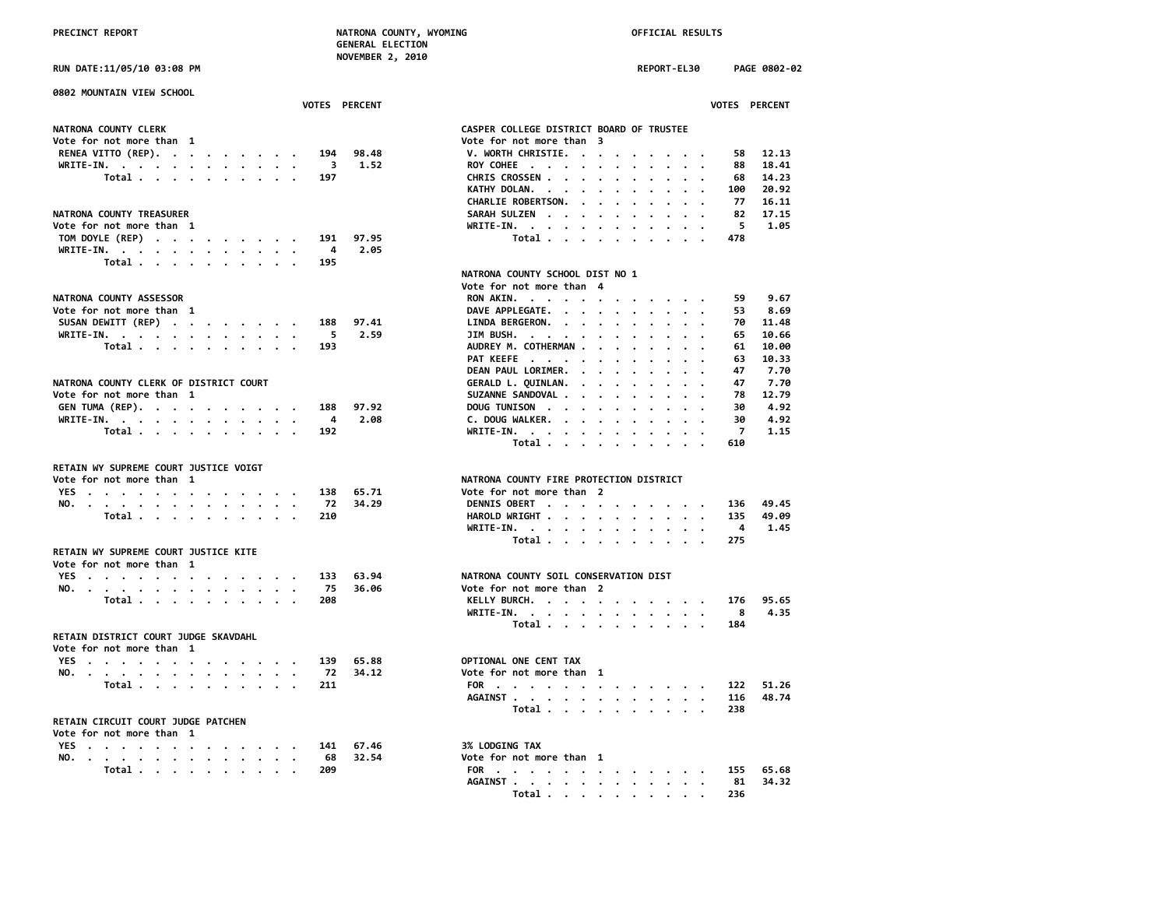**AGAINST . . . . . . . . . . . . 81 34.32 Total . . . . . . . . . . 236**

**RUN DATE:11/05/10 03:08 PM REPORT-EL30 PAGE 0802-02**

| 0802 MOUNTAIN VIEW SCHOOL                                                                                       |                      |                                                         |
|-----------------------------------------------------------------------------------------------------------------|----------------------|---------------------------------------------------------|
|                                                                                                                 | <b>VOTES PERCENT</b> | <b>VOTES PERCENT</b>                                    |
| NATRONA COUNTY CLERK                                                                                            |                      | CASPER COLLEGE DISTRICT BOARD OF TRUSTEE                |
| Vote for not more than 1                                                                                        |                      | Vote for not more than 3                                |
| RENEA VITTO (REP).                                                                                              | 194<br>98.48         | V. WORTH CHRISTIE.<br>12.13<br>58                       |
| WRITE-IN.                                                                                                       | 3<br>1.52            | ROY COHEE<br>88<br>18.41                                |
| Total                                                                                                           | 197                  | 14.23<br>CHRIS CROSSEN<br>68                            |
|                                                                                                                 |                      | 20.92<br>KATHY DOLAN.<br>100<br>$\cdot$ $\cdot$ $\cdot$ |
|                                                                                                                 |                      | CHARLIE ROBERTSON.<br>77<br>16.11                       |
| NATRONA COUNTY TREASURER                                                                                        |                      | SARAH SULZEN<br>17.15<br>82                             |
| Vote for not more than 1                                                                                        |                      | 5<br>1.05<br>WRITE-IN.                                  |
| TOM DOYLE (REP)                                                                                                 | 97.95<br>191         | Total<br>478                                            |
| WRITE-IN.                                                                                                       | 4<br>2.05            |                                                         |
| Total                                                                                                           | 195                  |                                                         |
|                                                                                                                 |                      | NATRONA COUNTY SCHOOL DIST NO 1                         |
|                                                                                                                 |                      | Vote for not more than 4                                |
| NATRONA COUNTY ASSESSOR                                                                                         |                      | 9.67<br>59.                                             |
|                                                                                                                 |                      | RON AKIN.                                               |
| Vote for not more than 1                                                                                        |                      | DAVE APPLEGATE.<br>8.69<br>53                           |
| SUSAN DEWITT (REP)                                                                                              | 97.41<br>188         | LINDA BERGERON.<br>11.48<br>70                          |
| WRITE-IN.                                                                                                       | 2.59<br>5            | 10.66<br>JIM BUSH.<br>65                                |
| Total $\cdots$ $\cdots$ $\cdots$ $\cdots$                                                                       | 193                  | AUDREY M. COTHERMAN<br>61<br>10.00                      |
|                                                                                                                 |                      | PAT KEEFE<br>63<br>10.33                                |
|                                                                                                                 |                      | DEAN PAUL LORIMER.<br>7.70<br>47                        |
| NATRONA COUNTY CLERK OF DISTRICT COURT                                                                          |                      | 7.70<br>GERALD L. QUINLAN.<br>47<br>$\sim$              |
| Vote for not more than 1                                                                                        |                      | SUZANNE SANDOVAL<br>78<br>12.79                         |
| GEN TUMA (REP).                                                                                                 | 97.92<br>188         | 4.92<br>DOUG TUNISON<br>30                              |
| WRITE-IN.                                                                                                       | 2.08<br>4            | 4.92<br>C. DOUG WALKER.<br>30                           |
| Total                                                                                                           | 192                  | $\overline{7}$<br>1.15<br>WRITE-IN.                     |
|                                                                                                                 |                      | Total<br>610                                            |
| RETAIN WY SUPREME COURT JUSTICE VOIGT                                                                           |                      |                                                         |
| Vote for not more than 1                                                                                        |                      | NATRONA COUNTY FIRE PROTECTION DISTRICT                 |
| YES                                                                                                             | 65.71<br>138         | Vote for not more than 2                                |
| NO.                                                                                                             | 34.29<br>72          | DENNIS OBERT<br>49.45<br>136                            |
| Total                                                                                                           | 210                  | HAROLD WRIGHT<br>135<br>49.09                           |
|                                                                                                                 |                      | 1.45<br>WRITE-IN.<br>4                                  |
|                                                                                                                 |                      | Total<br>275                                            |
| RETAIN WY SUPREME COURT JUSTICE KITE                                                                            |                      |                                                         |
| Vote for not more than 1                                                                                        |                      |                                                         |
| YES                                                                                                             | 63.94<br>133         | NATRONA COUNTY SOIL CONSERVATION DIST                   |
| NO.                                                                                                             | 75<br>36.06          | Vote for not more than 2                                |
| Total                                                                                                           | 208                  | KELLY BURCH.<br>95.65<br>176                            |
|                                                                                                                 |                      | WRITE-IN.<br>4.35<br>8                                  |
|                                                                                                                 |                      | Total<br>184                                            |
| RETAIN DISTRICT COURT JUDGE SKAVDAHL                                                                            |                      |                                                         |
| Vote for not more than 1                                                                                        |                      |                                                         |
| YES                                                                                                             | 139<br>65.88         | OPTIONAL ONE CENT TAX                                   |
| NO.                                                                                                             | 72<br>34.12          | Vote for not more than 1                                |
| Total                                                                                                           | 211                  | 51.26<br>FOR<br>122                                     |
|                                                                                                                 |                      | AGAINST<br>48.74<br>116                                 |
|                                                                                                                 |                      | Total<br>238                                            |
| RETAIN CIRCUIT COURT JUDGE PATCHEN                                                                              |                      |                                                         |
| Vote for not more than 1                                                                                        |                      |                                                         |
| YES                                                                                                             | 67.46<br>141         | 3% LODGING TAX                                          |
| NO.                                                                                                             | 32.54<br>68          | Vote for not more than 1                                |
| Total .                                                                                                         | 209                  | 155<br>65.68<br>FOR                                     |
| the contract of the contract of the contract of the contract of the contract of the contract of the contract of |                      |                                                         |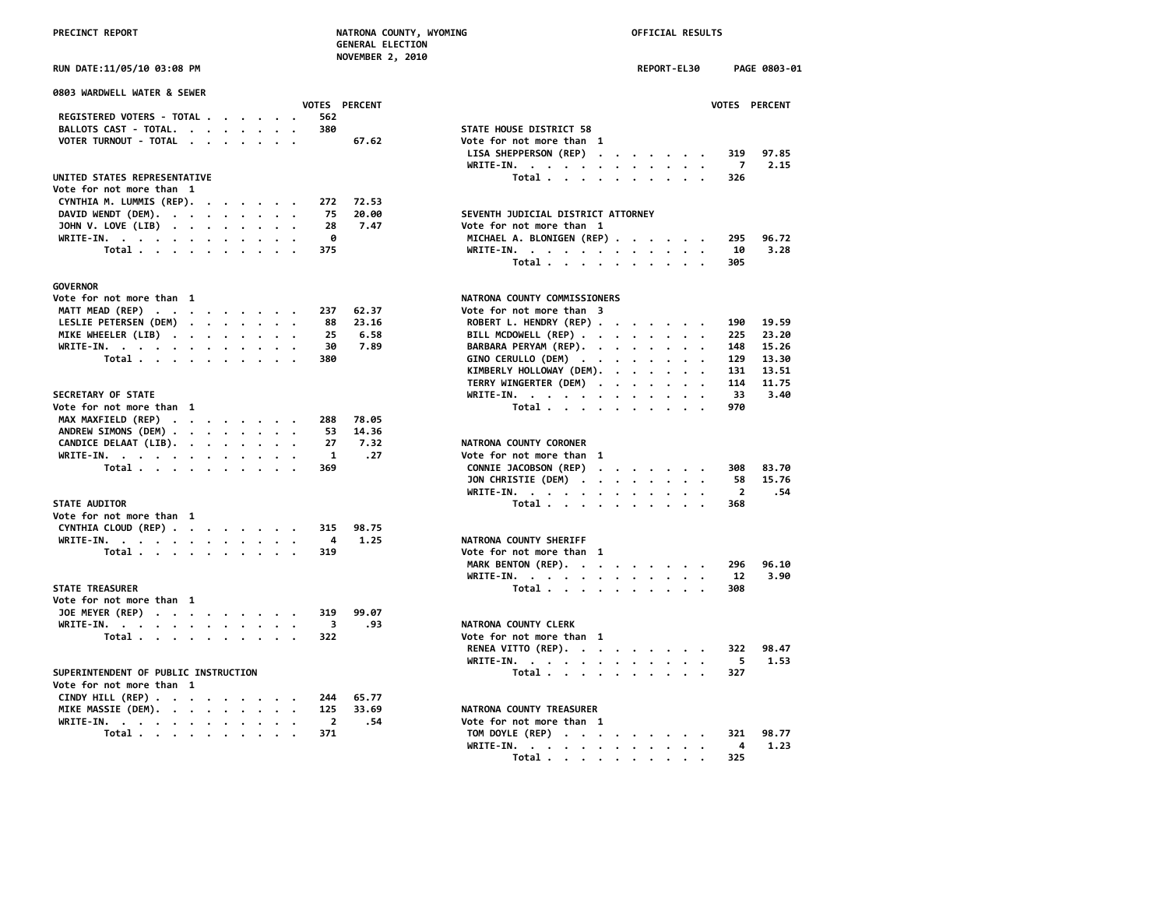| PRECINCT REPORT                                                               | NATRONA COUNTY, WYOMING<br><b>GENERAL ELECTION</b> | OFFICIAL RESULTS                                                                                                                                                |
|-------------------------------------------------------------------------------|----------------------------------------------------|-----------------------------------------------------------------------------------------------------------------------------------------------------------------|
| RUN DATE:11/05/10 03:08 PM                                                    | NOVEMBER 2, 2010                                   | REPORT-EL30<br>PAGE 0803-01                                                                                                                                     |
| 0803 WARDWELL WATER & SEWER                                                   | VOTES PERCENT                                      | VOTES PERCENT                                                                                                                                                   |
| <b>REGISTERED VOTERS - TOTAL .</b><br>$\cdot$ $\cdot$ $\cdot$ $\cdot$ $\cdot$ | 562                                                |                                                                                                                                                                 |
| BALLOTS CAST - TOTAL.<br>$\cdot$ $\cdot$ $\cdot$ $\cdot$                      | 380                                                | STATE HOUSE DISTRICT 58                                                                                                                                         |
| VOTER TURNOUT - TOTAL                                                         | 67.62                                              | Vote for not more than 1                                                                                                                                        |
|                                                                               |                                                    | LISA SHEPPERSON (REP)<br>319<br>97.85<br>$\mathbf{u} = \mathbf{u} + \mathbf{u} + \mathbf{u} + \mathbf{u} + \mathbf{u} + \mathbf{u}$<br>$WRITE-IN.$<br>7<br>2.15 |
| UNITED STATES REPRESENTATIVE                                                  |                                                    | $\mathcal{A}$ . The set of the set of $\mathcal{A}$<br>$\bullet$<br>Total<br>326                                                                                |
| Vote for not more than 1                                                      |                                                    |                                                                                                                                                                 |
| CYNTHIA M. LUMMIS (REP).                                                      | 72.53<br>272                                       |                                                                                                                                                                 |
|                                                                               | 75<br>20.00                                        | SEVENTH JUDICIAL DISTRICT ATTORNEY                                                                                                                              |
| DAVID WENDT (DEM).                                                            |                                                    |                                                                                                                                                                 |
| JOHN V. LOVE (LIB)<br>$\cdot$                                                 | 28<br>7.47                                         | Vote for not more than 1                                                                                                                                        |
| WRITE-IN.                                                                     | 0                                                  | MICHAEL A. BLONIGEN (REP)<br>295<br>96.72                                                                                                                       |
| Total                                                                         | 375                                                | 3.28<br>WRITE-IN.<br>10<br>$\cdot$<br>$\sim$                                                                                                                    |
|                                                                               |                                                    | Total<br>305                                                                                                                                                    |
| <b>GOVERNOR</b>                                                               |                                                    |                                                                                                                                                                 |
| Vote for not more than 1                                                      |                                                    | NATRONA COUNTY COMMISSIONERS                                                                                                                                    |
| MATT MEAD (REP)                                                               | 62.37<br>237                                       | Vote for not more than 3                                                                                                                                        |
| LESLIE PETERSEN (DEM)                                                         | 88<br>23.16                                        | ROBERT L. HENDRY (REP)<br>190<br>19.59                                                                                                                          |
| MIKE WHEELER (LIB)                                                            | 25<br>6.58                                         | BILL MCDOWELL (REP)<br>225<br>23.20                                                                                                                             |
| WRITE-IN.                                                                     | 30<br>7.89                                         | BARBARA PERYAM (REP).<br>148<br>15.26                                                                                                                           |
| Total<br>$\cdot$ $\cdot$ $\cdot$                                              | 380                                                | GINO CERULLO (DEM)<br>129<br>13.30<br>$\cdot$ .<br>$\sim$                                                                                                       |
|                                                                               |                                                    | KIMBERLY HOLLOWAY (DEM).<br>131<br>13.51<br>$\cdot$ $\cdot$ $\cdot$                                                                                             |
|                                                                               |                                                    | TERRY WINGERTER (DEM)<br>114<br>11.75<br>$\sim$<br>$\ddot{\phantom{a}}$<br>$\cdot$<br>$\ddot{\phantom{a}}$<br>$\cdot$<br>$\cdot$ .                              |
| SECRETARY OF STATE                                                            |                                                    | WRITE-IN.<br>33<br>3.40                                                                                                                                         |
| Vote for not more than 1                                                      |                                                    | Total<br>970                                                                                                                                                    |
| MAX MAXFIELD (REP)                                                            | 78.05<br>288                                       |                                                                                                                                                                 |
| ANDREW SIMONS (DEM)                                                           | 14.36<br>53                                        |                                                                                                                                                                 |
| CANDICE DELAAT (LIB).                                                         | 27<br>7.32                                         | NATRONA COUNTY CORONER                                                                                                                                          |
| WRITE-IN.                                                                     | $\mathbf{1}$<br>.27                                | Vote for not more than 1                                                                                                                                        |
|                                                                               | 369                                                | CONNIE JACOBSON (REP)<br>83.70<br>308                                                                                                                           |
| Total                                                                         |                                                    | $\mathcal{A}$ , and $\mathcal{A}$ , and $\mathcal{A}$ , and $\mathcal{A}$<br>58<br>15.76                                                                        |
|                                                                               |                                                    | JON CHRISTIE (DEM)<br>$\overline{2}$<br>.54                                                                                                                     |
|                                                                               |                                                    | WRITE-IN.<br>$\sim$<br>$\cdot$ .                                                                                                                                |
| STATE AUDITOR<br>Vote for not more than 1                                     |                                                    | Total<br>368                                                                                                                                                    |
|                                                                               |                                                    |                                                                                                                                                                 |
| CYNTHIA CLOUD (REP)                                                           | 315<br>98.75                                       |                                                                                                                                                                 |
| WRITE-IN.                                                                     | 1.25<br>- 4                                        | NATRONA COUNTY SHERIFF                                                                                                                                          |
| Total                                                                         | 319                                                | Vote for not more than 1                                                                                                                                        |
|                                                                               |                                                    | MARK BENTON (REP).<br>96.10<br>296                                                                                                                              |
|                                                                               |                                                    | 12<br>3.90<br>WRITE-IN.                                                                                                                                         |
| <b>STATE TREASURER</b>                                                        |                                                    | Total<br>308                                                                                                                                                    |
| Vote for not more than 1                                                      |                                                    |                                                                                                                                                                 |
| JOE MEYER (REP)                                                               | 319<br>99.07                                       |                                                                                                                                                                 |
| WRITE-IN.                                                                     | $\overline{\mathbf{3}}$<br>.93                     | NATRONA COUNTY CLERK                                                                                                                                            |
| Total $\cdots$ $\cdots$ $\cdots$                                              | 322                                                | Vote for not more than 1                                                                                                                                        |
|                                                                               |                                                    | RENEA VITTO (REP).<br>322<br>98.47                                                                                                                              |
|                                                                               |                                                    | WRITE-IN.<br>5<br>1.53<br>$\mathbf{r}$ , and $\mathbf{r}$ , and $\mathbf{r}$ , and $\mathbf{r}$ , and $\mathbf{r}$                                              |
| SUPERINTENDENT OF PUBLIC INSTRUCTION                                          |                                                    | Total $\cdots$ $\cdots$ $\cdots$<br>327                                                                                                                         |
| Vote for not more than 1                                                      |                                                    |                                                                                                                                                                 |
| CINDY HILL (REP)                                                              | 244<br>65.77                                       |                                                                                                                                                                 |
| MIKE MASSIE (DEM).<br>$\ddot{\phantom{0}}$<br>$\cdot$ $\cdot$<br>$\cdot$ .    | 125<br>33.69                                       | NATRONA COUNTY TREASURER                                                                                                                                        |
| WRITE-IN.                                                                     | $\overline{2}$<br>.54                              | Vote for not more than 1                                                                                                                                        |
| Total                                                                         | 371                                                | TOM DOYLE (REP)<br>321<br>98.77                                                                                                                                 |
|                                                                               |                                                    |                                                                                                                                                                 |

| MARK BENTON (REP). 296 96.10 |  |  |  |  |  |
|------------------------------|--|--|--|--|--|
| WRITE-IN. 12 3.90            |  |  |  |  |  |
| Total 308                    |  |  |  |  |  |
|                              |  |  |  |  |  |

| Vote for not more than 1     |  |  |  |  |  |
|------------------------------|--|--|--|--|--|
| RENEA VITTO (REP). 322 98.47 |  |  |  |  |  |
| WRITE-IN. 5 1.53             |  |  |  |  |  |
| Total 327                    |  |  |  |  |  |

| WRITE-IN. 2 . |  |  |  |  |  |           | Vote for not more than |       |
|---------------|--|--|--|--|--|-----------|------------------------|-------|
|               |  |  |  |  |  | Total 371 | TOM DOYLE (REP) 321    | 98.77 |
|               |  |  |  |  |  |           | WRITE-IN. 4 1.23       |       |
|               |  |  |  |  |  |           | Total 325              |       |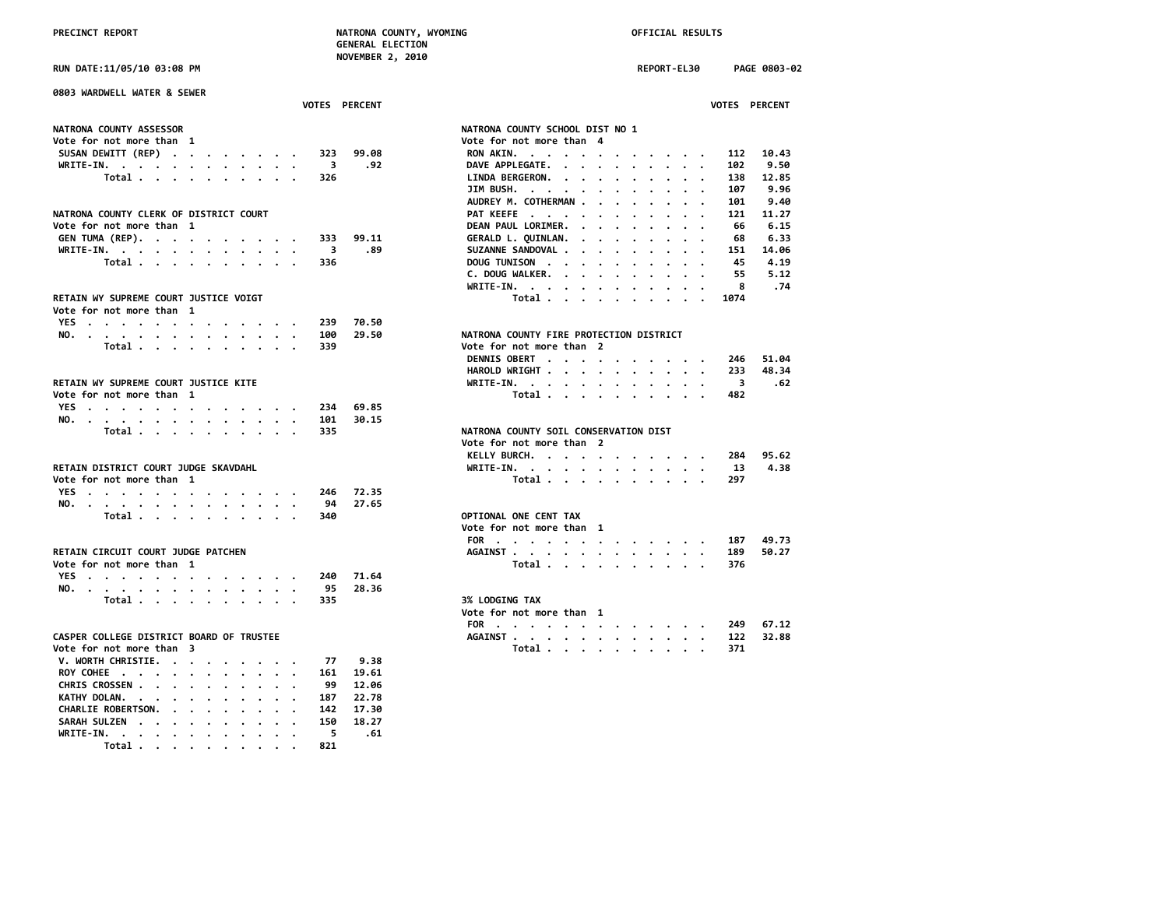**RUN DATE:11/05/10 03:08 PM REPORT-EL30 PAGE 0803-02**

| 0803 WARDWELL WATER & SEWER                                 |                                                                                                                                                                                                                                                                       |
|-------------------------------------------------------------|-----------------------------------------------------------------------------------------------------------------------------------------------------------------------------------------------------------------------------------------------------------------------|
| VOTES PERCENT                                               | VOTES PERCENT                                                                                                                                                                                                                                                         |
| NATRONA COUNTY ASSESSOR                                     | NATRONA COUNTY SCHOOL DIST NO 1                                                                                                                                                                                                                                       |
| Vote for not more than 1                                    | Vote for not more than 4                                                                                                                                                                                                                                              |
| SUSAN DEWITT (REP)<br>99.08<br>323                          | 10.43<br>112                                                                                                                                                                                                                                                          |
| WRITE-IN.<br>$\overline{\mathbf{3}}$<br>.92                 | RON AKIN.<br>9.50<br>DAVE APPLEGATE.<br>102<br>$\cdot$ $\cdot$ $\cdot$                                                                                                                                                                                                |
| Total<br>326                                                | 12.85<br>138<br>LINDA BERGERON.                                                                                                                                                                                                                                       |
|                                                             | 9.96<br>107                                                                                                                                                                                                                                                           |
|                                                             | JIM BUSH.                                                                                                                                                                                                                                                             |
|                                                             | AUDREY M. COTHERMAN<br>9.40<br>101                                                                                                                                                                                                                                    |
| NATRONA COUNTY CLERK OF DISTRICT COURT                      | PAT KEEFE<br>11.27<br>121                                                                                                                                                                                                                                             |
| Vote for not more than 1                                    | 6.15<br>DEAN PAUL LORIMER.<br>66                                                                                                                                                                                                                                      |
| GEN TUMA (REP).<br>99.11<br>333                             | GERALD L. QUINLAN.<br>6.33<br>68<br>$\mathbf{r}$ . The set of the set of the set of the set of the set of the set of the set of the set of the set of the set of the set of the set of the set of the set of the set of the set of the set of the set of the set of t |
| WRITE-IN.<br>$\overline{\mathbf{3}}$<br>.89                 | SUZANNE SANDOVAL<br>14.06<br>151                                                                                                                                                                                                                                      |
| Total<br>336                                                | DOUG TUNISON<br>45<br>4.19<br>$\ddot{\phantom{0}}$                                                                                                                                                                                                                    |
|                                                             | C. DOUG WALKER.<br>55<br>5.12                                                                                                                                                                                                                                         |
|                                                             | WRITE-IN.<br>8<br>.74                                                                                                                                                                                                                                                 |
| RETAIN WY SUPREME COURT JUSTICE VOIGT                       | Total $\cdots$ $\cdots$ $\cdots$<br>1074<br>$\cdot$ .                                                                                                                                                                                                                 |
| Vote for not more than 1                                    |                                                                                                                                                                                                                                                                       |
| 70.50<br>YES<br>239                                         |                                                                                                                                                                                                                                                                       |
| NO.<br>100<br>29.50                                         | NATRONA COUNTY FIRE PROTECTION DISTRICT                                                                                                                                                                                                                               |
| Total<br>339                                                | Vote for not more than 2                                                                                                                                                                                                                                              |
|                                                             | DENNIS OBERT<br>51.04<br>246                                                                                                                                                                                                                                          |
|                                                             | 48.34<br>HAROLD WRIGHT<br>233                                                                                                                                                                                                                                         |
| RETAIN WY SUPREME COURT JUSTICE KITE                        | WRITE-IN.<br>$\overline{\mathbf{3}}$<br>.62                                                                                                                                                                                                                           |
| Vote for not more than 1                                    | Total<br>482                                                                                                                                                                                                                                                          |
| YES<br>69.85<br>234                                         |                                                                                                                                                                                                                                                                       |
| NO.<br>101<br>30.15                                         |                                                                                                                                                                                                                                                                       |
| Total<br>335                                                | NATRONA COUNTY SOIL CONSERVATION DIST                                                                                                                                                                                                                                 |
|                                                             | Vote for not more than 2                                                                                                                                                                                                                                              |
|                                                             | 95.62                                                                                                                                                                                                                                                                 |
|                                                             | KELLY BURCH.<br>284                                                                                                                                                                                                                                                   |
| RETAIN DISTRICT COURT JUDGE SKAVDAHL                        | 4.38<br>WRITE-IN.<br>13                                                                                                                                                                                                                                               |
| Vote for not more than 1                                    | Total<br>297                                                                                                                                                                                                                                                          |
| YES<br>72.35<br>246                                         |                                                                                                                                                                                                                                                                       |
| 27.65<br>NO.<br>94                                          |                                                                                                                                                                                                                                                                       |
| Total<br>340                                                | OPTIONAL ONE CENT TAX                                                                                                                                                                                                                                                 |
|                                                             | Vote for not more than 1                                                                                                                                                                                                                                              |
|                                                             | 49.73<br>FOR<br>187                                                                                                                                                                                                                                                   |
| RETAIN CIRCUIT COURT JUDGE PATCHEN                          | 50.27<br>AGAINST<br>189                                                                                                                                                                                                                                               |
| Vote for not more than 1                                    | 376<br>Total                                                                                                                                                                                                                                                          |
| YES<br>71.64<br>240                                         |                                                                                                                                                                                                                                                                       |
| NO.<br>95<br>28.36                                          |                                                                                                                                                                                                                                                                       |
| Total<br>335                                                | 3% LODGING TAX                                                                                                                                                                                                                                                        |
|                                                             | Vote for not more than 1                                                                                                                                                                                                                                              |
|                                                             | 67.12<br>FOR<br>249                                                                                                                                                                                                                                                   |
| CASPER COLLEGE DISTRICT BOARD OF TRUSTEE                    | AGAINST<br>32.88<br>122                                                                                                                                                                                                                                               |
| Vote for not more than 3                                    | Total<br>371                                                                                                                                                                                                                                                          |
| 9.38<br>V. WORTH CHRISTIE.<br>77                            |                                                                                                                                                                                                                                                                       |
| ROY COHEE<br>161<br>19.61                                   |                                                                                                                                                                                                                                                                       |
| CHRIS CROSSEN<br>99<br>12.06<br>$\cdot$ .                   |                                                                                                                                                                                                                                                                       |
| KATHY DOLAN.<br>22.78<br>187                                |                                                                                                                                                                                                                                                                       |
| CHARLIE ROBERTSON.<br>142<br>17.30<br>$\cdots$<br>$\cdot$ . |                                                                                                                                                                                                                                                                       |
| SARAH SULZEN<br>18.27<br>150                                |                                                                                                                                                                                                                                                                       |
| 5<br>.61                                                    |                                                                                                                                                                                                                                                                       |
| WRITE-IN.<br>Total<br>821                                   |                                                                                                                                                                                                                                                                       |
|                                                             |                                                                                                                                                                                                                                                                       |

| 803 WARDWELL WATER & SEWER              |                                                                                                                                                                                                                                                                            |
|-----------------------------------------|----------------------------------------------------------------------------------------------------------------------------------------------------------------------------------------------------------------------------------------------------------------------------|
| VOTES PERCENT                           | VOTES PERCENT                                                                                                                                                                                                                                                              |
| <b>ATRONA COUNTY ASSESSOR</b>           | NATRONA COUNTY SCHOOL DIST NO 1                                                                                                                                                                                                                                            |
| ote for not more than 1                 | Vote for not more than 4                                                                                                                                                                                                                                                   |
| SUSAN DEWITT (REP)<br>323               | RON AKIN.<br>99.08<br>112<br>10.43                                                                                                                                                                                                                                         |
| WRITE-IN.<br>3<br>$\ddot{\phantom{a}}$  | DAVE APPLEGATE.<br>9.50<br>.92<br>102<br>$\mathbf{r}$ . The contract of the contract of the contract of the contract of the contract of the contract of the contract of the contract of the contract of the contract of the contract of the contract of the contract of th |
| Total<br>326                            | LINDA BERGERON.<br>138<br>12.85<br>$\mathbf{r}$ . The set of the set of the set of the set of the set of the set of the set of the set of the set of the set of the set of the set of the set of the set of the set of the set of the set of the set of the set of t       |
|                                         | JIM BUSH.<br>9.96<br>107<br>$\cdots$                                                                                                                                                                                                                                       |
|                                         | AUDREY M. COTHERMAN<br>9.40<br>101                                                                                                                                                                                                                                         |
| ATRONA COUNTY CLERK OF DISTRICT COURT   | PAT KEEFE<br>11.27<br>121                                                                                                                                                                                                                                                  |
| ote for not more than 1                 | DEAN PAUL LORIMER.<br>6.15<br>66<br>$\mathbf{r}$ , $\mathbf{r}$ , $\mathbf{r}$ , $\mathbf{r}$ , $\mathbf{r}$                                                                                                                                                               |
|                                         | 6.33                                                                                                                                                                                                                                                                       |
| GEN TUMA (REP).<br>333                  | GERALD L. QUINLAN.<br>99.11<br>68<br>.89<br>14.06                                                                                                                                                                                                                          |
| WRITE-IN.<br>3                          | SUZANNE SANDOVAL .<br>151<br>$\cdots$                                                                                                                                                                                                                                      |
| Total<br>336                            | DOUG TUNISON<br>4.19<br>45                                                                                                                                                                                                                                                 |
|                                         | C. DOUG WALKER.<br>5.12<br>55                                                                                                                                                                                                                                              |
|                                         | .74<br>WRITE-IN.<br>8                                                                                                                                                                                                                                                      |
| ETAIN WY SUPREME COURT JUSTICE VOIGT    | Total<br>1074                                                                                                                                                                                                                                                              |
| ote for not more than  1                |                                                                                                                                                                                                                                                                            |
| YES<br>239                              | 70.50                                                                                                                                                                                                                                                                      |
| NO.<br>100                              | NATRONA COUNTY FIRE PROTECTION DISTRICT<br>29.50                                                                                                                                                                                                                           |
| 339<br>Total $\cdots$ $\cdots$ $\cdots$ | Vote for not more than 2                                                                                                                                                                                                                                                   |
|                                         | DENNIS OBERT<br>51.04<br>246                                                                                                                                                                                                                                               |
|                                         | HAROLD WRIGHT<br>48.34<br>233                                                                                                                                                                                                                                              |
| ETAIN WY SUPREME COURT JUSTICE KITE     | WRITE-IN.<br>3<br>.62                                                                                                                                                                                                                                                      |
| ote for not more than 1                 | Total<br>482                                                                                                                                                                                                                                                               |
| YES<br>234                              | 69.85                                                                                                                                                                                                                                                                      |
| NO.<br>101                              | 30.15                                                                                                                                                                                                                                                                      |
| Total<br>335                            | NATRONA COUNTY SOIL CONSERVATION DIST                                                                                                                                                                                                                                      |
|                                         | Vote for not more than 2                                                                                                                                                                                                                                                   |
|                                         | KELLY BURCH.<br>95.62<br>284                                                                                                                                                                                                                                               |
|                                         |                                                                                                                                                                                                                                                                            |
| ETAIN DISTRICT COURT JUDGE SKAVDAHL     | 4.38<br>WRITE-IN.<br>13                                                                                                                                                                                                                                                    |
| ote for not more than  1                | Total<br>297                                                                                                                                                                                                                                                               |
| YES<br>246                              | 72.35                                                                                                                                                                                                                                                                      |
| NO.<br>94                               | 27.65                                                                                                                                                                                                                                                                      |
| Total $\cdots$ $\cdots$ $\cdots$<br>340 | OPTIONAL ONE CENT TAX                                                                                                                                                                                                                                                      |
|                                         | Vote for not more than 1                                                                                                                                                                                                                                                   |
|                                         | FOR<br>49.73<br>187                                                                                                                                                                                                                                                        |
| ETAIN CIRCUIT COURT JUDGE PATCHEN       | AGAINST<br>50.27<br>189                                                                                                                                                                                                                                                    |
| ote for not more than  1                | Total<br>376                                                                                                                                                                                                                                                               |
| YES<br>240                              | 71.64                                                                                                                                                                                                                                                                      |
| NO.<br>95                               | 28.36                                                                                                                                                                                                                                                                      |
| Total $\cdots$ $\cdots$ $\cdots$<br>335 | <b>3% LODGING TAX</b>                                                                                                                                                                                                                                                      |
|                                         | Vote for not more than 1                                                                                                                                                                                                                                                   |
|                                         | FOR<br>67.12<br>249                                                                                                                                                                                                                                                        |
| ASPER COLLEGE DISTRICT BOARD OF TRUSTEE | 32.88<br>AGAINST.<br>122                                                                                                                                                                                                                                                   |
| ote for not more than 3                 | Total<br>371                                                                                                                                                                                                                                                               |
| V. WORTH CHRISTIE.                      | 9.38                                                                                                                                                                                                                                                                       |
| 77                                      |                                                                                                                                                                                                                                                                            |
| ROY COHEE<br>161<br>$\sim$              | 19.61                                                                                                                                                                                                                                                                      |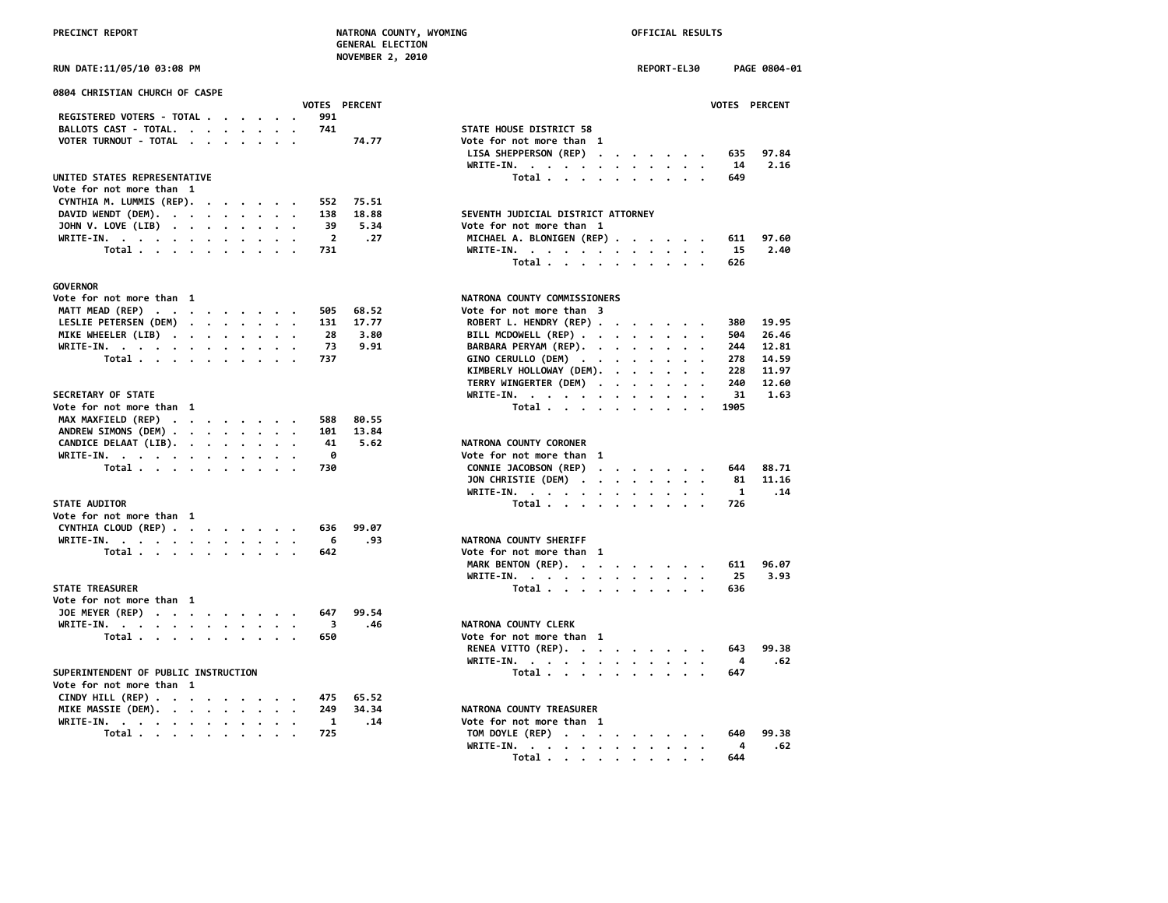| PRECINCT REPORT                                |                                | NATRONA COUNTY, WYOMING<br><b>GENERAL ELECTION</b> | OFFICIAL RESULTS     |                      |
|------------------------------------------------|--------------------------------|----------------------------------------------------|----------------------|----------------------|
| RUN DATE:11/05/10 03:08 PM                     |                                | NOVEMBER 2, 2010                                   | REPORT-EL30          | PAGE 0804-01         |
| 0804 CHRISTIAN CHURCH OF CASPE                 |                                |                                                    |                      |                      |
|                                                | <b>VOTES PERCENT</b>           |                                                    |                      | <b>VOTES PERCENT</b> |
| REGISTERED VOTERS - TOTAL                      | 991                            |                                                    |                      |                      |
| BALLOTS CAST - TOTAL.                          | 741                            | STATE HOUSE DISTRICT 58                            |                      |                      |
| VOTER TURNOUT - TOTAL                          | 74.77                          | Vote for not more than 1                           |                      |                      |
|                                                |                                | LISA SHEPPERSON (REP)                              |                      | 635<br>97.84         |
| UNITED STATES REPRESENTATIVE                   |                                | WRITE-IN.                                          |                      | 2.16<br>14           |
| Vote for not more than 1                       |                                | Total                                              |                      | 649                  |
|                                                |                                |                                                    |                      |                      |
| CYNTHIA M. LUMMIS (REP).                       | 75.51<br>552                   | SEVENTH JUDICIAL DISTRICT ATTORNEY                 |                      |                      |
| DAVID WENDT (DEM).<br>$\overline{\phantom{a}}$ | 138<br>18.88<br>39<br>5.34     |                                                    |                      |                      |
| JOHN V. LOVE (LIB)                             | $\overline{\mathbf{2}}$<br>.27 | Vote for not more than 1                           |                      | 97.60                |
| WRITE-IN.                                      | 731                            | MICHAEL A. BLONIGEN (REP)                          |                      | 611<br>2.40          |
| Total                                          |                                | WRITE-IN.                                          |                      | 15                   |
|                                                |                                | Total                                              |                      | 626                  |
| <b>GOVERNOR</b>                                |                                |                                                    |                      |                      |
| Vote for not more than 1                       |                                | NATRONA COUNTY COMMISSIONERS                       |                      |                      |
| MATT MEAD (REP)                                | 505<br>68.52                   | Vote for not more than 3                           |                      |                      |
| LESLIE PETERSEN (DEM)                          | 131<br>17.77                   | ROBERT L. HENDRY (REP)                             |                      | 19.95<br>380         |
| MIKE WHEELER (LIB)                             | 28<br>3.80                     | BILL MCDOWELL (REP)                                |                      | 26.46<br>504         |
| WRITE-IN.                                      | 73<br>9.91                     | BARBARA PERYAM (REP).                              |                      | 244<br>12.81         |
| Total                                          | 737                            | GINO CERULLO (DEM)                                 |                      | 278<br>14.59         |
|                                                |                                | KIMBERLY HOLLOWAY (DEM).                           |                      | 228<br>11.97         |
|                                                |                                | TERRY WINGERTER (DEM)                              |                      | 240<br>12.60         |
| SECRETARY OF STATE                             |                                | WRITE-IN.                                          |                      | 31<br>1.63           |
| Vote for not more than 1                       |                                | Total                                              |                      | 1905                 |
| MAX MAXFIELD (REP)                             | 80.55<br>588                   |                                                    |                      |                      |
| ANDREW SIMONS (DEM)                            | 13.84<br>101                   |                                                    |                      |                      |
| CANDICE DELAAT (LIB).                          | 41<br>5.62                     | NATRONA COUNTY CORONER                             |                      |                      |
|                                                | 0                              | Vote for not more than 1                           |                      |                      |
| WRITE-IN.                                      |                                |                                                    |                      | 88.71                |
| Total                                          | 730                            | CONNIE JACOBSON (REP)                              |                      | 644                  |
|                                                |                                | JON CHRISTIE (DEM)                                 |                      | 11.16<br>81          |
|                                                |                                | WRITE-IN.                                          |                      | $\mathbf{1}$<br>.14  |
| <b>STATE AUDITOR</b>                           |                                | Total                                              |                      | 726                  |
| Vote for not more than 1                       |                                |                                                    |                      |                      |
| CYNTHIA CLOUD (REP)                            | 99.07<br>636                   |                                                    |                      |                      |
| WRITE-IN.                                      | - 6<br>.93                     | NATRONA COUNTY SHERIFF                             |                      |                      |
| Total                                          | 642                            | Vote for not more than 1                           |                      |                      |
|                                                |                                | MARK BENTON (REP).                                 |                      | 611<br>96.07         |
|                                                |                                | WRITE-IN, , , , , , , , , , , , ,                  |                      | 25<br>3.93           |
| <b>STATE TREASURER</b>                         |                                | Total                                              |                      | 636                  |
| Vote for not more than 1                       |                                |                                                    |                      |                      |
| JOE MEYER (REP)                                | 99.54<br>647                   |                                                    |                      |                      |
| WRITE-IN.                                      | $\overline{\mathbf{3}}$<br>.46 | NATRONA COUNTY CLERK                               |                      |                      |
| Total                                          | 650                            | Vote for not more than 1                           |                      |                      |
|                                                |                                | RENEA VITTO (REP).                                 |                      | 643<br>99.38         |
|                                                |                                | WRITE-IN.                                          |                      | 4<br>.62             |
| SUPERINTENDENT OF PUBLIC INSTRUCTION           |                                | Total                                              |                      | 647                  |
| Vote for not more than 1                       |                                |                                                    |                      |                      |
| CINDY HILL (REP)                               | 475<br>65.52                   |                                                    |                      |                      |
| MIKE MASSIE (DEM).                             | 34.34<br>249                   | NATRONA COUNTY TREASURER                           |                      |                      |
| WRITE-IN.<br>$\cdot$                           | .14<br>1                       | Vote for not more than 1                           |                      |                      |
| Total                                          | 725                            | TOM DOYLE (REP)                                    |                      | 99.38<br>640         |
|                                                |                                | WRITE-IN.                                          | $\ddot{\phantom{a}}$ | 4<br>.62             |
|                                                |                                | Total $\ldots$ $\ldots$ $\ldots$ $\ldots$          |                      | 644                  |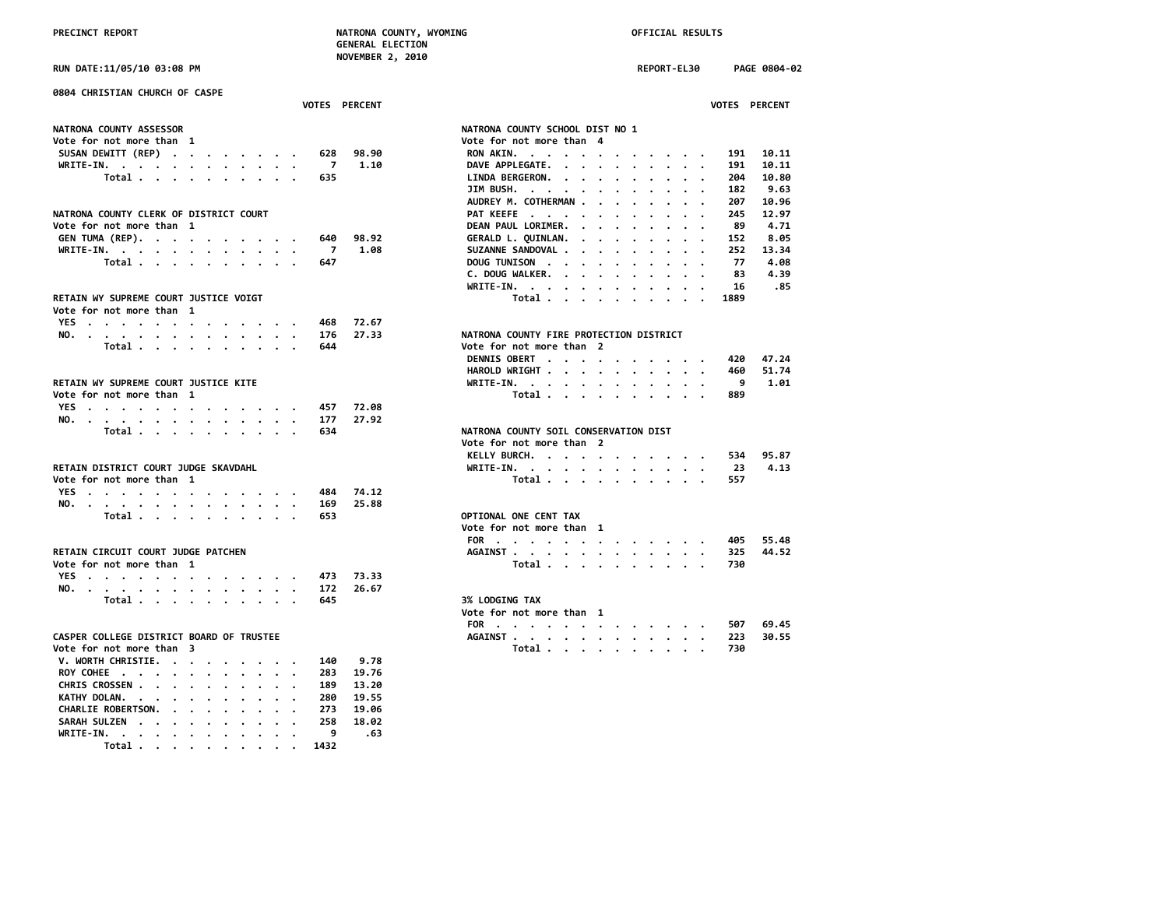**PRECINCT REPORT NATRONA COUNTY, WYOMING OFFICIAL RESULTS NOVEMBER 2, 2010**

|                                                                                                                                                                         | <b>GENERAL ELECTION</b>                                                                                        |
|-------------------------------------------------------------------------------------------------------------------------------------------------------------------------|----------------------------------------------------------------------------------------------------------------|
| <b>RUN DATE:11/05/10 03:08 PM</b>                                                                                                                                       | <b>NOVEMBER 2, 2010</b><br><b>REPORT-EL30</b><br>PAGE 0804-02                                                  |
| 0804 CHRISTIAN CHURCH OF CASPE                                                                                                                                          |                                                                                                                |
| <b>VOTES PERCENT</b>                                                                                                                                                    | VOTES PERCENT                                                                                                  |
| <b>NATRONA COUNTY ASSESSOR</b>                                                                                                                                          | NATRONA COUNTY SCHOOL DIST NO 1                                                                                |
| Vote for not more than 1                                                                                                                                                | Vote for not more than 4                                                                                       |
| SUSAN DEWITT (REP)<br>628                                                                                                                                               | RON AKIN.<br>10.11<br>98.90<br>191                                                                             |
| WRITE-IN.<br>$\overline{7}$                                                                                                                                             | DAVE APPLEGATE.<br>1.10<br>10.11<br>191                                                                        |
| Total<br>635                                                                                                                                                            | LINDA BERGERON. .<br>10.80<br>204<br>$\cdot$<br>$\cdot$<br>$\cdot$ $\cdot$ $\cdot$<br>$\sim$ $\sim$<br>$\cdot$ |
|                                                                                                                                                                         | JIM BUSH.<br>9.63<br>182                                                                                       |
|                                                                                                                                                                         | AUDREY M. COTHERMAN .<br>10.96<br>207<br>$\sim$                                                                |
| NATRONA COUNTY CLERK OF DISTRICT COURT                                                                                                                                  | PAT KEEFE<br>245<br>12.97<br>$\cdot$ $\cdot$<br>$\cdots$                                                       |
| Vote for not more than 1                                                                                                                                                | DEAN PAUL LORIMER.<br>89<br>4.71<br>$\sim$ $\sim$ $\sim$<br>$\ddotsc$                                          |
| GEN TUMA (REP).<br>640<br>$\begin{array}{cccccccccccccc} \bullet & \bullet & \bullet & \bullet & \bullet & \bullet & \bullet & \bullet & \bullet & \bullet \end{array}$ | GERALD L. QUINLAN. .<br>98.92<br>152<br>8.05                                                                   |
| WRITE-IN.<br>-7                                                                                                                                                         | 1.08<br>SUZANNE SANDOVAL .<br>252<br>13.34<br>$\cdot$ $\cdot$                                                  |
| Total<br>647                                                                                                                                                            | DOUG TUNISON<br>77<br>4.08<br>$\cdot$                                                                          |
|                                                                                                                                                                         | 4.39<br>C. DOUG WALKER.<br>83                                                                                  |
|                                                                                                                                                                         | 16<br>WRITE-IN.<br>.85                                                                                         |
| RETAIN WY SUPREME COURT JUSTICE VOIGT                                                                                                                                   | 1889                                                                                                           |
|                                                                                                                                                                         | Total                                                                                                          |
| Vote for not more than 1                                                                                                                                                |                                                                                                                |
| YES<br>468                                                                                                                                                              | 72.67                                                                                                          |
| NO.<br>176                                                                                                                                                              | NATRONA COUNTY FIRE PROTECTION DISTRICT<br>27.33                                                               |
| Total<br>644<br>$\cdots$                                                                                                                                                | Vote for not more than 2                                                                                       |
|                                                                                                                                                                         | DENNIS OBERT<br>420<br>47.24                                                                                   |
|                                                                                                                                                                         | 51.74<br>HAROLD WRIGHT<br>460                                                                                  |
| RETAIN WY SUPREME COURT JUSTICE KITE                                                                                                                                    | 9<br>1.01<br>WRITE-IN.                                                                                         |
| Vote for not more than 1                                                                                                                                                | Total<br>889                                                                                                   |
| YES<br>457                                                                                                                                                              | 72.08                                                                                                          |
| NO.<br>177                                                                                                                                                              | 27.92                                                                                                          |
| Total<br>634                                                                                                                                                            | NATRONA COUNTY SOIL CONSERVATION DIST                                                                          |
|                                                                                                                                                                         | Vote for not more than 2                                                                                       |
|                                                                                                                                                                         | KELLY BURCH.<br>95.87<br>534                                                                                   |
| RETAIN DISTRICT COURT JUDGE SKAVDAHL                                                                                                                                    | 4.13<br>WRITE-IN.<br>23                                                                                        |
| Vote for not more than 1                                                                                                                                                | Total<br>557                                                                                                   |
| YES<br>484                                                                                                                                                              | 74.12                                                                                                          |
| NO.<br>169                                                                                                                                                              | 25.88                                                                                                          |
| Total<br>653                                                                                                                                                            | OPTIONAL ONE CENT TAX                                                                                          |
|                                                                                                                                                                         | Vote for not more than 1                                                                                       |
|                                                                                                                                                                         | FOR<br>55.48<br>405                                                                                            |
| RETAIN CIRCUIT COURT JUDGE PATCHEN                                                                                                                                      | AGAINST<br>325<br>44.52                                                                                        |
| Vote for not more than 1                                                                                                                                                | Total<br>730                                                                                                   |
| 473                                                                                                                                                                     | 73.33                                                                                                          |
| YES                                                                                                                                                                     |                                                                                                                |
| NO.<br>172<br>645                                                                                                                                                       | 26.67<br><b>3% LODGING TAX</b>                                                                                 |
| Total                                                                                                                                                                   |                                                                                                                |
|                                                                                                                                                                         | Vote for not more than 1                                                                                       |
|                                                                                                                                                                         | 69.45<br>FOR<br>507                                                                                            |
| CASPER COLLEGE DISTRICT BOARD OF TRUSTEE                                                                                                                                | AGAINST<br>223<br>30.55                                                                                        |
| Vote for not more than  3                                                                                                                                               | Total<br>730                                                                                                   |
| V. WORTH CHRISTIE.<br>140                                                                                                                                               | 9.78                                                                                                           |
| ROY COHEE<br>283                                                                                                                                                        | 19.76                                                                                                          |
| CHRIS CROSSEN<br>189                                                                                                                                                    | 13.20                                                                                                          |
| KATHY DOLAN.<br>280                                                                                                                                                     | 19.55                                                                                                          |
| CHARLIE ROBERTSON.<br>273<br>$\cdot$                                                                                                                                    | 19.06                                                                                                          |
| SARAH SULZEN<br>258                                                                                                                                                     | 18.02                                                                                                          |
| WRITE-IN.<br>9                                                                                                                                                          | .63                                                                                                            |
| Total .<br>1432<br>$\sim$ $\sim$ $\sim$ $\sim$ $\sim$                                                                                                                   |                                                                                                                |

| 0804 CHRISTIAN CHURCH OF CASPE<br><b>VOTES PERCENT</b>                                                     | <b>VOTES PERCENT</b>                                                                                                                                                                                                                                                      |
|------------------------------------------------------------------------------------------------------------|---------------------------------------------------------------------------------------------------------------------------------------------------------------------------------------------------------------------------------------------------------------------------|
|                                                                                                            |                                                                                                                                                                                                                                                                           |
| <b>NATRONA COUNTY ASSESSOR</b>                                                                             | NATRONA COUNTY SCHOOL DIST NO 1                                                                                                                                                                                                                                           |
| Vote for not more than 1                                                                                   | Vote for not more than 4                                                                                                                                                                                                                                                  |
| 98.90<br>SUSAN DEWITT (REP)<br>628                                                                         | RON AKIN.<br>191<br>10.11                                                                                                                                                                                                                                                 |
| 7<br>1.10<br>WRITE-IN.<br>$\mathbf{r}$ , and $\mathbf{r}$ , and $\mathbf{r}$ , and $\mathbf{r}$<br>$\cdot$ | DAVE APPLEGATE.<br>10.11<br>191                                                                                                                                                                                                                                           |
| Total<br>635                                                                                               | 10.80<br>LINDA BERGERON.<br>204<br>$\mathbf{r}$ , $\mathbf{r}$ , $\mathbf{r}$ , $\mathbf{r}$ , $\mathbf{r}$                                                                                                                                                               |
|                                                                                                            | JIM BUSH.<br>9.63<br>182                                                                                                                                                                                                                                                  |
|                                                                                                            | AUDREY M. COTHERMAN.<br>10.96<br>207<br>$\mathbf{r}$ . The set of the set of the set of the set of the set of the set of the set of the set of the set of the set of the set of the set of the set of the set of the set of the set of the set of the set of the set of t |
| NATRONA COUNTY CLERK OF DISTRICT COURT                                                                     | PAT KEEFE<br>12.97<br>245                                                                                                                                                                                                                                                 |
| Vote for not more than 1                                                                                   | DEAN PAUL LORIMER.<br>89<br>4.71<br>$\mathbf{r}$ , $\mathbf{r}$ , $\mathbf{r}$ , $\mathbf{r}$ , $\mathbf{r}$                                                                                                                                                              |
| GEN TUMA (REP).<br>98.92<br>640                                                                            | 8.05<br>GERALD L. QUINLAN.<br>152<br>$\cdot$ $\cdot$ $\cdot$ $\cdot$ $\cdot$ $\cdot$ $\cdot$                                                                                                                                                                              |
| 7<br>1.08<br>WRITE-IN.                                                                                     | SUZANNE SANDOVAL .<br>13.34<br>252<br>$\cdots$                                                                                                                                                                                                                            |
| 647                                                                                                        | 4.08<br>77                                                                                                                                                                                                                                                                |
| Total                                                                                                      | DOUG TUNISON                                                                                                                                                                                                                                                              |
|                                                                                                            | C. DOUG WALKER.<br>83<br>4.39                                                                                                                                                                                                                                             |
|                                                                                                            | WRITE-IN.<br>.85<br>16                                                                                                                                                                                                                                                    |
| RETAIN WY SUPREME COURT JUSTICE VOIGT                                                                      | Total<br>1889                                                                                                                                                                                                                                                             |
| Vote for not more than  1                                                                                  |                                                                                                                                                                                                                                                                           |
| YES<br>468<br>72.67                                                                                        |                                                                                                                                                                                                                                                                           |
| NO.<br>176<br>27.33                                                                                        | NATRONA COUNTY FIRE PROTECTION DISTRICT                                                                                                                                                                                                                                   |
| Total $\cdots$ $\cdots$ $\cdots$<br>644                                                                    | Vote for not more than 2                                                                                                                                                                                                                                                  |
|                                                                                                            | DENNIS OBERT<br>47.24<br>420                                                                                                                                                                                                                                              |
|                                                                                                            | HAROLD WRIGHT<br>51.74<br>460                                                                                                                                                                                                                                             |
| RETAIN WY SUPREME COURT JUSTICE KITE                                                                       | 9<br>1.01<br>WRITE-IN.                                                                                                                                                                                                                                                    |
| Vote for not more than 1                                                                                   | Total<br>889                                                                                                                                                                                                                                                              |
| YES<br>72.08<br>457                                                                                        |                                                                                                                                                                                                                                                                           |
| 177<br>27.92<br>NO.                                                                                        |                                                                                                                                                                                                                                                                           |
| Total<br>634                                                                                               | NATRONA COUNTY SOIL CONSERVATION DIST                                                                                                                                                                                                                                     |
|                                                                                                            | Vote for not more than 2                                                                                                                                                                                                                                                  |
|                                                                                                            | 95.87                                                                                                                                                                                                                                                                     |
|                                                                                                            | KELLY BURCH.<br>534                                                                                                                                                                                                                                                       |
| RETAIN DISTRICT COURT JUDGE SKAVDAHL                                                                       | 4.13<br>WRITE-IN.<br>23                                                                                                                                                                                                                                                   |
| Vote for not more than 1                                                                                   | Total<br>557                                                                                                                                                                                                                                                              |
| YES<br>74.12<br>484                                                                                        |                                                                                                                                                                                                                                                                           |
| 25.88<br>NO.<br>169                                                                                        |                                                                                                                                                                                                                                                                           |
| Total<br>653                                                                                               | OPTIONAL ONE CENT TAX                                                                                                                                                                                                                                                     |
|                                                                                                            | Vote for not more than 1                                                                                                                                                                                                                                                  |
|                                                                                                            | FOR<br>55.48<br>405                                                                                                                                                                                                                                                       |
| RETAIN CIRCUIT COURT JUDGE PATCHEN                                                                         | 44.52<br>AGAINST<br>325                                                                                                                                                                                                                                                   |
| Vote for not more than 1                                                                                   | Total<br>730                                                                                                                                                                                                                                                              |
| YES<br>473<br>73.33                                                                                        |                                                                                                                                                                                                                                                                           |
| 26.67<br>NO.<br>172                                                                                        |                                                                                                                                                                                                                                                                           |
| Total<br>645                                                                                               | <b>3% LODGING TAX</b>                                                                                                                                                                                                                                                     |
|                                                                                                            | Vote for not more than 1                                                                                                                                                                                                                                                  |
|                                                                                                            |                                                                                                                                                                                                                                                                           |
|                                                                                                            | FOR<br>69.45<br>507                                                                                                                                                                                                                                                       |
| CASPER COLLEGE DISTRICT BOARD OF TRUSTEE                                                                   | 30.55<br>AGAINST<br>223                                                                                                                                                                                                                                                   |
| Vote for not more than 3                                                                                   | Total<br>730                                                                                                                                                                                                                                                              |
| V. WORTH CHRISTIE.<br>9.78<br>140                                                                          |                                                                                                                                                                                                                                                                           |
| ROY COHEE<br>19.76<br>283                                                                                  |                                                                                                                                                                                                                                                                           |
|                                                                                                            |                                                                                                                                                                                                                                                                           |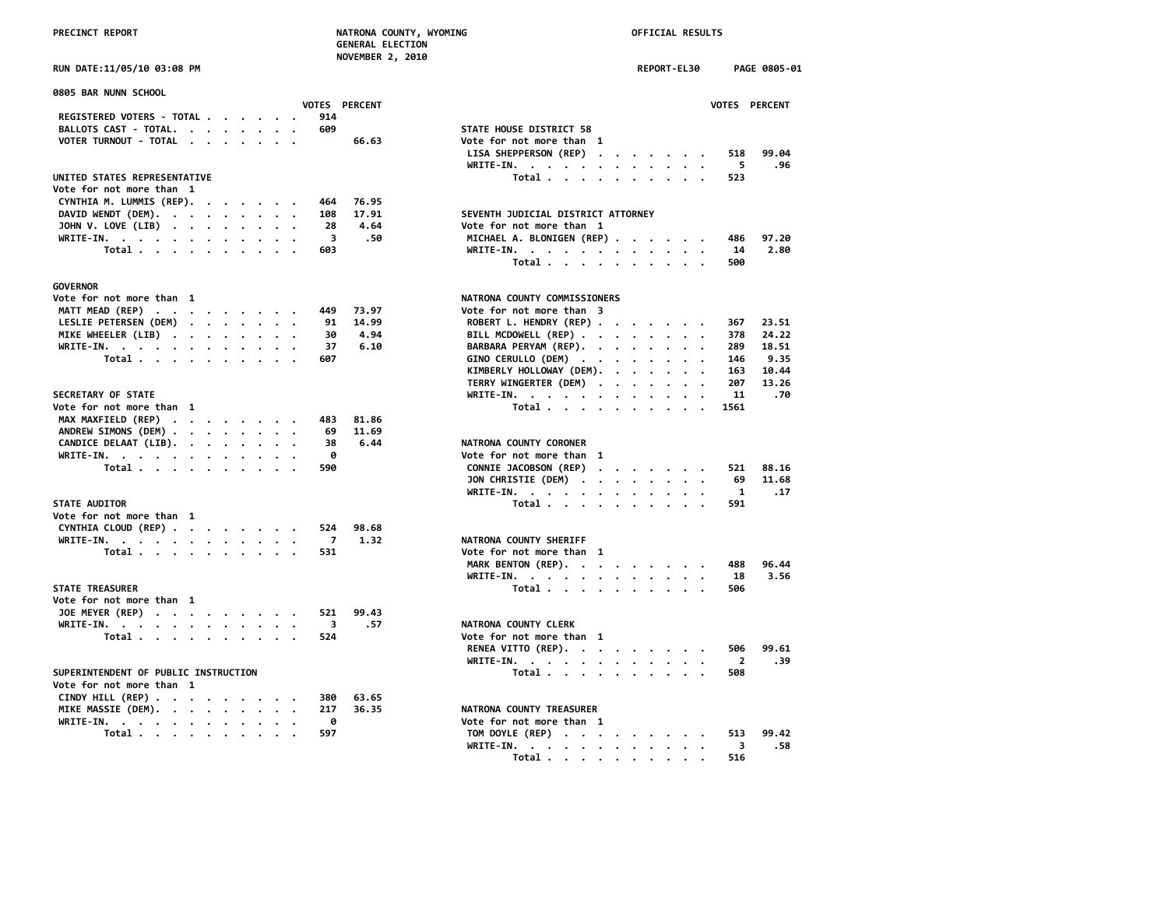| GENERAL ELECTION        |  |  |
|-------------------------|--|--|
| <b>NOVEMBER 2, 2010</b> |  |  |

| 0805 BAR NUNN SCHOOL                                               |  |  |                         |               |                                             |                |
|--------------------------------------------------------------------|--|--|-------------------------|---------------|---------------------------------------------|----------------|
|                                                                    |  |  |                         | VOTES PERCENT |                                             | <b>VOTES</b>   |
| REGISTERED VOTERS - TOTAL                                          |  |  | 914                     |               |                                             |                |
| BALLOTS CAST - TOTAL.                                              |  |  | 609                     |               | STATE HOUSE DISTRICT 58                     |                |
| VOTER TURNOUT - TOTAL                                              |  |  |                         | 66.63         | Vote for not more than 1                    |                |
|                                                                    |  |  |                         |               | LISA SHEPPERSON (REP)                       | 518            |
| UNITED STATES REPRESENTATIVE                                       |  |  |                         |               | WRITE-IN.<br>Total                          | - 5<br>523     |
| Vote for not more than 1                                           |  |  |                         |               |                                             |                |
| CYNTHIA M. LUMMIS (REP).                                           |  |  | 464                     | 76.95         |                                             |                |
| DAVID WENDT (DEM).                                                 |  |  | 108                     | 17.91         | SEVENTH JUDICIAL DISTRICT ATTORNEY          |                |
| JOHN V. LOVE (LIB)                                                 |  |  | 28                      | 4.64          | Vote for not more than 1                    |                |
|                                                                    |  |  | $\overline{\mathbf{3}}$ | .50           | MICHAEL A. BLONIGEN (REP)                   | 486            |
| WRITE-IN.<br>Total                                                 |  |  | 603                     |               | $WRITE-IN.$                                 | 14             |
|                                                                    |  |  |                         |               | $\sim$ $\sim$                               | 500            |
|                                                                    |  |  |                         |               | Total $\cdots$ $\cdots$ $\cdots$            |                |
| <b>GOVERNOR</b>                                                    |  |  |                         |               |                                             |                |
| Vote for not more than 1                                           |  |  |                         |               | NATRONA COUNTY COMMISSIONERS                |                |
| MATT MEAD (REP)                                                    |  |  | 449                     | 73.97         | Vote for not more than 3                    |                |
| LESLIE PETERSEN (DEM)                                              |  |  | 91                      | 14.99         | ROBERT L. HENDRY (REP)                      | 367            |
| MIKE WHEELER (LIB)                                                 |  |  | 30                      | 4.94          | BILL MCDOWELL (REP)<br>$\ddot{\phantom{a}}$ | 378            |
| WRITE-IN.                                                          |  |  | 37                      | 6.10          | BARBARA PERYAM (REP).                       | 289            |
| Total                                                              |  |  | 607                     |               | GINO CERULLO (DEM)                          | 146            |
|                                                                    |  |  |                         |               | KIMBERLY HOLLOWAY (DEM).                    | 163            |
|                                                                    |  |  |                         |               | TERRY WINGERTER (DEM)                       | 207            |
| <b>SECRETARY OF STATE</b>                                          |  |  |                         |               | WRITE-IN.<br>$\cdot$<br>$\cdot$ .           | 11             |
| Vote for not more than 1                                           |  |  |                         |               | Total                                       | 1561           |
| MAX MAXFIELD (REP)                                                 |  |  | 483                     | 81.86         |                                             |                |
| ANDREW SIMONS (DEM)                                                |  |  | 69                      | 11.69         |                                             |                |
|                                                                    |  |  | 38                      | 6.44          | NATRONA COUNTY CORONER                      |                |
| CANDICE DELAAT (LIB). $\cdot \cdot \cdot \cdot \cdot$              |  |  | 0                       |               | Vote for not more than 1                    |                |
| WRITE-IN.                                                          |  |  | 590                     |               |                                             | 521            |
| Total                                                              |  |  |                         |               | CONNIE JACOBSON (REP)                       | 69             |
|                                                                    |  |  |                         |               | JON CHRISTIE (DEM)                          |                |
| <b>STATE AUDITOR</b>                                               |  |  |                         |               | WRITE-IN.                                   | 1              |
| Vote for not more than 1                                           |  |  |                         |               | Total                                       | 591            |
|                                                                    |  |  |                         |               |                                             |                |
| CYNTHIA CLOUD (REP)                                                |  |  | 524                     | 98.68         |                                             |                |
| WRITE-IN.                                                          |  |  | $\overline{7}$          | 1.32          | NATRONA COUNTY SHERIFF                      |                |
| Total $\cdots$ $\cdots$ $\cdots$                                   |  |  | 531                     |               | Vote for not more than 1                    |                |
|                                                                    |  |  |                         |               | MARK BENTON (REP).                          | 488            |
|                                                                    |  |  |                         |               | WRITE-IN.                                   | -18            |
| <b>STATE TREASURER</b>                                             |  |  |                         |               | Total                                       | 506            |
| Vote for not more than 1                                           |  |  |                         |               |                                             |                |
| JOE MEYER (REP)                                                    |  |  | 521                     | 99.43         |                                             |                |
| WRITE-IN.                                                          |  |  | 3                       | .57           | NATRONA COUNTY CLERK                        |                |
| Total                                                              |  |  | 524                     |               | Vote for not more than 1                    |                |
|                                                                    |  |  |                         |               | RENEA VITTO (REP).                          | 506            |
|                                                                    |  |  |                         |               | WRITE-IN.                                   | $\overline{2}$ |
| SUPERINTENDENT OF PUBLIC INSTRUCTION                               |  |  |                         |               | Total                                       | 508            |
| Vote for not more than 1                                           |  |  |                         |               |                                             |                |
| CINDY HILL (REP) $\cdot \cdot \cdot \cdot \cdot \cdot \cdot \cdot$ |  |  | 380                     | 63.65         |                                             |                |
| MIKE MASSIE (DEM).                                                 |  |  | 217                     | 36.35         | NATRONA COUNTY TREASURER                    |                |
| WRITE-IN.                                                          |  |  | 0                       |               | Vote for not more than 1                    |                |
| Total                                                              |  |  | 597                     |               | TOM DOYLE (REP)                             | 513            |

| NOVEMBER 2, 2010                                                                   |                                    |             |                       |
|------------------------------------------------------------------------------------|------------------------------------|-------------|-----------------------|
| RUN DATE:11/05/10 03:08 PM                                                         |                                    | REPORT-EL30 | PAGE 0805-01          |
| 0805 BAR NUNN SCHOOL<br>VOTES PERCENT                                              |                                    |             | VOTES PERCENT         |
| REGISTERED VOTERS - TOTAL<br>914                                                   |                                    |             |                       |
| BALLOTS CAST - TOTAL.<br>609<br>$\ddot{\phantom{a}}$                               | STATE HOUSE DISTRICT 58            |             |                       |
| VOTER TURNOUT - TOTAL<br>66.63                                                     | Vote for not more than 1           |             |                       |
|                                                                                    | LISA SHEPPERSON (REP)              |             | 99.04<br>518          |
|                                                                                    | WRITE-IN.                          |             | 5<br>.96              |
| UNITED STATES REPRESENTATIVE                                                       | Total                              |             | 523                   |
| Vote for not more than 1                                                           |                                    |             |                       |
| CYNTHIA M. LUMMIS (REP).<br>76.95<br>464                                           |                                    |             |                       |
| DAVID WENDT (DEM).<br>17.91<br>108                                                 | SEVENTH JUDICIAL DISTRICT ATTORNEY |             |                       |
| JOHN V. LOVE (LIB)<br>28<br>4.64<br>$\cdot$                                        | Vote for not more than 1           |             |                       |
| 3<br>.50<br>WRITE-IN.                                                              | MICHAEL A. BLONIGEN (REP)          |             | 97.20<br>486          |
| Total $\cdots$ $\cdots$ $\cdots$<br>603                                            |                                    |             | 2.80<br>14            |
|                                                                                    | WRITE-IN.<br>Total                 |             | 500                   |
|                                                                                    |                                    |             |                       |
| <b>GOVERNOR</b>                                                                    |                                    |             |                       |
| Vote for not more than 1                                                           | NATRONA COUNTY COMMISSIONERS       |             |                       |
| MATT MEAD (REP)<br>449<br>73.97                                                    | Vote for not more than 3           |             |                       |
| LESLIE PETERSEN (DEM)<br>91<br>14.99                                               | ROBERT L. HENDRY (REP)             |             | 367<br>23.51          |
| MIKE WHEELER (LIB)<br>30<br>4.94                                                   | BILL MCDOWELL (REP)                |             | 378<br>24.22          |
| WRITE-IN.<br>37<br>6.10                                                            | BARBARA PERYAM (REP).              |             | 289<br>18.51          |
| Total<br>607                                                                       | GINO CERULLO (DEM)                 |             | 9.35<br>146           |
|                                                                                    | KIMBERLY HOLLOWAY (DEM).           |             | 163<br>10.44          |
|                                                                                    | TERRY WINGERTER (DEM)              |             | 207<br>13.26          |
| <b>SECRETARY OF STATE</b>                                                          | WRITE-IN.                          |             | 11<br>.70             |
| Vote for not more than 1                                                           | Total                              |             | 1561                  |
| MAX MAXFIELD (REP)<br>483<br>81.86                                                 |                                    |             |                       |
| ANDREW SIMONS (DEM)<br>69<br>11.69                                                 |                                    |             |                       |
| CANDICE DELAAT (LIB).<br>38<br>6.44                                                | NATRONA COUNTY CORONER             |             |                       |
| WRITE-IN.<br>0                                                                     | Vote for not more than 1           |             |                       |
| Total<br>590                                                                       | CONNIE JACOBSON (REP)              |             | 521<br>88.16          |
|                                                                                    | JON CHRISTIE (DEM)                 |             | 69<br>11.68           |
|                                                                                    | WRITE-IN.                          |             | 1<br>.17              |
| <b>STATE AUDITOR</b>                                                               | Total                              |             | 591                   |
| Vote for not more than 1                                                           |                                    |             |                       |
| CYNTHIA CLOUD (REP)<br>524<br>98.68                                                |                                    |             |                       |
| $\overline{7}$<br>1.32<br>WRITE-IN.                                                | NATRONA COUNTY SHERIFF             |             |                       |
| Total<br>531                                                                       | Vote for not more than 1           |             |                       |
|                                                                                    | MARK BENTON (REP).                 |             | 488<br>96.44          |
|                                                                                    | WRITE-IN.                          |             | 3.56<br>18            |
| <b>STATE TREASURER</b>                                                             | Total                              |             | 506                   |
| Vote for not more than 1                                                           |                                    |             |                       |
| JOE MEYER (REP)<br>521<br>99.43                                                    |                                    |             |                       |
| 3<br>.57<br>WRITE-IN, $\cdots$ , $\cdots$ , $\cdots$ , $\cdots$                    | NATRONA COUNTY CLERK               |             |                       |
| Total<br>524                                                                       | Vote for not more than 1           |             |                       |
|                                                                                    | RENEA VITTO (REP).                 |             | 99.61<br>506          |
|                                                                                    | WRITE-IN.                          |             | $\overline{2}$<br>.39 |
| SUPERINTENDENT OF PUBLIC INSTRUCTION                                               | Total                              |             | 508                   |
| Vote for not more than 1                                                           |                                    |             |                       |
| CINDY HILL (REP) $\cdot \cdot \cdot \cdot \cdot \cdot \cdot \cdot$<br>63.65<br>380 |                                    |             |                       |
| MIKE MASSIE (DEM).<br>217<br>36.35                                                 | <b>NATRONA COUNTY TREASURER</b>    |             |                       |
| ø<br>WRITE-IN.                                                                     | Vote for not more than 1           |             |                       |
| 597<br>Total $\cdots$ $\cdots$ $\cdots$                                            | TOM DOYLE (REP)                    |             | 99.42<br>513          |
|                                                                                    | WRITE-IN.                          |             | 3<br>.58              |
|                                                                                    | Total                              |             | 516                   |
|                                                                                    |                                    |             |                       |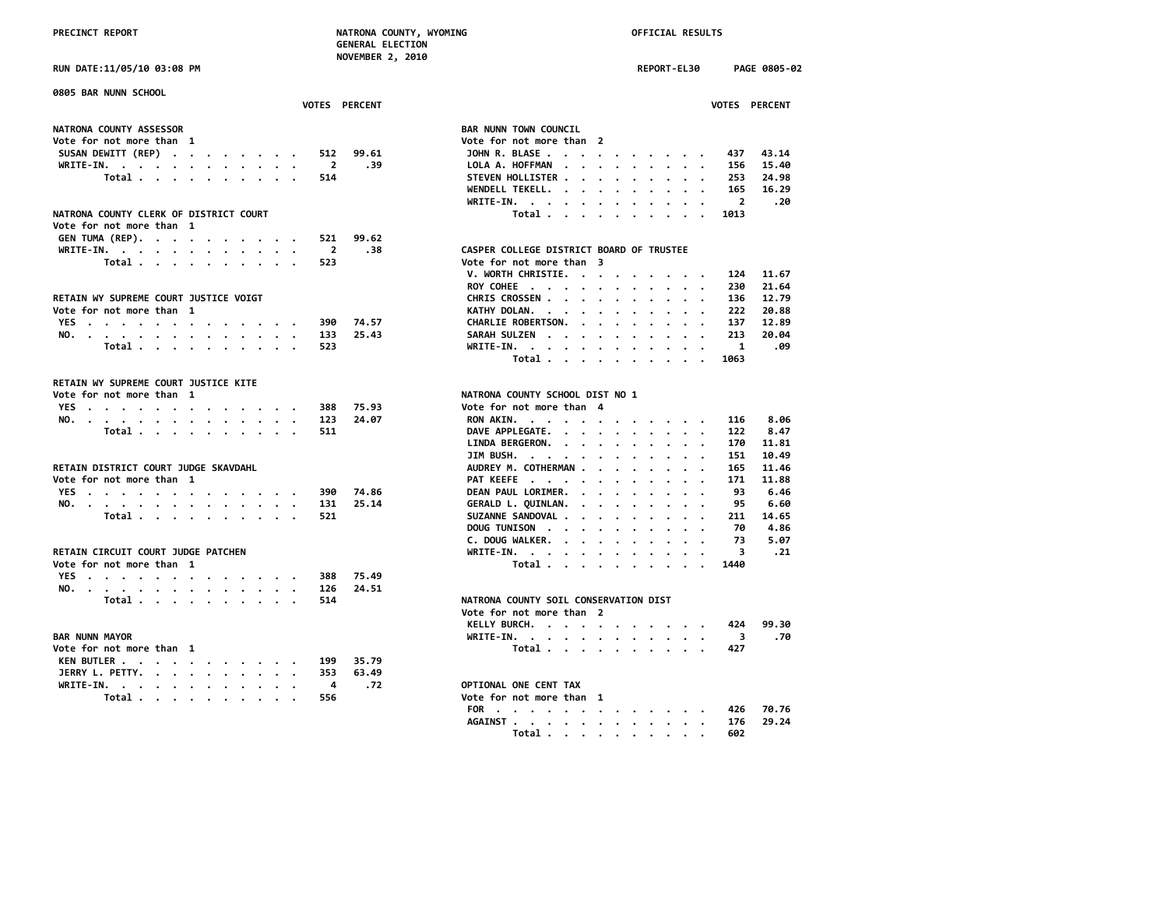**NOVEMBER 2, 2010 RUN DATE:11/05/10 03:08 PM REPORT-EL30 PAGE 0805-02 0805 BAR NUNN SCHOOL VOTES PERCENT VOTES PERCENT** NATRONA COUNTY ASSESSOR<br>
Vote for not more than 1 **Vote for not more than 1 Vote for not more than 2 SUSAN DEWITT (REP) . . . . . . . . 512 99.61 WRITE-IN.** . . . . . . . . . . . . 2 .39  **Total . . . . . . . . . . . 514 WENDELL TEKELL. . . . . . . . . . 165 16.29 WRITE-IN. . . . . . . . . . . . 2 .20 NATRONA COUNTY CLERK OF DISTRICT COURT Vote for not more than 1 GEN TUMA (REP). . . . . . . . . . 521 99.62 WRITE-IN. . . . . . . . . . . . . 2 .38 CASPER CASPER COLLEGE DISTRICT BOARD OF TRUSTEE**<br>Total . . . . . . . . . 523 Vo  **Total . . . . . . . . . . 523 V. WORTH CHRISTIE. . . . . . . . . 124 11.67 RETAIN WY SUPREME COURT JUSTICE VOIGT** Vote for not more than 1 **YES** . . . . . . . . . . . . . . 390 74.57 **NO. . . . . . . . . . . . . . 133 25.43 SARAH SULZEN . . . . . . . . . . 213 20.04 Total . . . . . . . . . . . 523 Total . . . . . . . . . . 1063 RETAIN WY SUPREME COURT JUSTICE KITE Vote for not more than 1 NATRONA COUNTY SCHOOL DIST NO 1 YES** . . . . . . . . . . . . . 388 75.93 **NO.** . . . . . . . . . . . . . . 123 24.07  **Total . . . . . . . . . . 511 LINDA BERGERON. . . . . . . . . . 170 11.81 RETAIN DISTRICT COURT JUDGE SKAVDAHL** Vote for not more than 1 **YES** . . . . . . . . . . . . . . 390 74.86 **NO.** . . . . . . . . . . . . . . 131 25.14  **Total . . . . . . . . . . . 521 DOUG TUNISON . . . . . . . . . . 70 4.86 C. DOUG WALKER. . . . . . . . . . 73 5.07 RETAIN CIRCUIT COURT JUDGE PATCHEN** Vote for not more than 1 **YES . . . . . . . . . . . . . 388 75.49 NO. . . . . . . . . . . . . . 126 24.51 Total .** . . . . . . . . . . 514 NM  **Vote for not more than 2 KELLY BURCH. . . . . . . . . . . 424 99.30 BAR NUNN MAYOR WRITE-IN. . . . . . . . . . . . 3 .70** Vote for not more than 1 **KEN BUTLER . . . . . . . . . . . 199 35.79 JERRY L. PETTY. . . . . . . . . . 353 63.49 WRITE-IN. . . . . . . . . . . . 4 .72 OPTIONAL ONE CENT TAX Total . . . . . . . . . . FOR . . . . . . . . . . . . . 426 70.76**

|                                                                                                          |                                 |                             |                      |                                                                                                                                                         |                      |                      |                      |                                                                                                                 |                      |                         | <b>VOTES PERCENT</b> |
|----------------------------------------------------------------------------------------------------------|---------------------------------|-----------------------------|----------------------|---------------------------------------------------------------------------------------------------------------------------------------------------------|----------------------|----------------------|----------------------|-----------------------------------------------------------------------------------------------------------------|----------------------|-------------------------|----------------------|
|                                                                                                          |                                 |                             |                      |                                                                                                                                                         |                      |                      |                      |                                                                                                                 |                      |                         |                      |
| AR NUNN TOWN COUNCIL                                                                                     |                                 |                             |                      |                                                                                                                                                         |                      |                      |                      |                                                                                                                 |                      |                         |                      |
| ote for not more than 2                                                                                  |                                 |                             |                      |                                                                                                                                                         |                      |                      |                      |                                                                                                                 |                      |                         |                      |
| <b>JOHN R. BLASE</b>                                                                                     |                                 |                             |                      | $\begin{array}{cccccccccccccc} \bullet & \bullet & \bullet & \bullet & \bullet & \bullet & \bullet & \bullet & \bullet & \bullet & \bullet \end{array}$ |                      |                      |                      |                                                                                                                 |                      |                         | 437 43.14            |
| LOLA A. HOFFMAN                                                                                          |                                 |                             |                      |                                                                                                                                                         | $\sim$               | $\sim$               |                      | $\begin{array}{cccccccccccccc} \bullet & \bullet & \bullet & \bullet & \bullet & \bullet \end{array}$           |                      | 156                     | 15.40                |
| STEVEN HOLLISTER                                                                                         |                                 |                             |                      |                                                                                                                                                         | $\sim$ $\sim$        |                      |                      | $\bullet$ , $\bullet$ , $\bullet$ , $\bullet$ , $\bullet$                                                       |                      | 253                     | 24.98                |
| WENDELL TEKELL.                                                                                          |                                 |                             |                      |                                                                                                                                                         | $\cdot$              | $\bullet$            |                      | $\cdots$                                                                                                        |                      | 165                     | 16.29                |
| WRITE-IN.<br>$\ddot{\phantom{0}}$<br>$\mathbf{r}=\mathbf{r}+\mathbf{r}+\mathbf{r}+\mathbf{r}+\mathbf{r}$ |                                 |                             |                      |                                                                                                                                                         | $\cdot$              | $\bullet$            |                      | $\cdot$ $\cdot$ $\cdot$                                                                                         |                      | $\overline{2}$          | .20                  |
| Total                                                                                                    |                                 | $\ddot{\phantom{a}}$        | $\sim$               |                                                                                                                                                         |                      |                      |                      | $\cdot$ $\cdot$                                                                                                 |                      | 1013                    |                      |
|                                                                                                          |                                 |                             |                      |                                                                                                                                                         |                      |                      |                      |                                                                                                                 |                      |                         |                      |
|                                                                                                          |                                 |                             |                      |                                                                                                                                                         |                      |                      |                      |                                                                                                                 |                      |                         |                      |
| <b>ASPER COLLEGE DISTRICT BOARD OF TRUSTEE</b>                                                           |                                 |                             |                      |                                                                                                                                                         |                      |                      |                      |                                                                                                                 |                      |                         |                      |
| ote for not more than                                                                                    |                                 |                             | 3                    |                                                                                                                                                         |                      |                      |                      |                                                                                                                 |                      |                         |                      |
| <b>V. WORTH CHRISTIE. .</b>                                                                              |                                 |                             | $\bullet$            | $\cdot$                                                                                                                                                 | $\bullet$            | $\cdot$              |                      | $\cdots$                                                                                                        |                      | 124                     | 11.67                |
| ROY COHEE                                                                                                |                                 |                             |                      |                                                                                                                                                         | $\sim$               | $\sim$               |                      | $\cdot$ $\cdot$ $\cdot$                                                                                         |                      | 230                     | 21.64                |
| CHRIS CROSSEN                                                                                            |                                 |                             |                      |                                                                                                                                                         | $\sim$               |                      |                      | $\begin{array}{cccccccccccccc} \bullet & \bullet & \bullet & \bullet & \bullet & \bullet & \bullet \end{array}$ |                      | 136                     | 12.79                |
| KATHY DOLAN. .                                                                                           |                                 | $\ddot{\phantom{0}}$        |                      | $\sim$ $\sim$                                                                                                                                           | $\cdot$              | $\bullet$            |                      | $\cdots$                                                                                                        |                      | 222                     | 20.88                |
| CHARLIE ROBERTSON.                                                                                       |                                 |                             |                      |                                                                                                                                                         | $\sim$               | $\bullet$            | $\ddot{\phantom{0}}$ |                                                                                                                 | $\ddotsc$            | 137                     | 12.89                |
| SARAH SULZEN                                                                                             |                                 |                             |                      | $\ddot{\phantom{0}}$                                                                                                                                    | $\ddot{\phantom{0}}$ | $\bullet$ .          |                      | $\bullet$ , $\bullet$ , $\bullet$ , $\bullet$                                                                   |                      | 213                     | 20.04                |
| WRITE-IN. .<br>$\bullet$                                                                                 |                                 | $\sim$ $\sim$ $\sim$ $\sim$ |                      | $\cdot$                                                                                                                                                 | $\sim$               | $\ddot{\phantom{0}}$ |                      | $\cdots$                                                                                                        |                      | $\mathbf{1}$            | .09                  |
| Total                                                                                                    |                                 |                             |                      |                                                                                                                                                         |                      |                      |                      |                                                                                                                 |                      | 1063                    |                      |
|                                                                                                          |                                 |                             |                      |                                                                                                                                                         |                      |                      |                      |                                                                                                                 |                      |                         |                      |
| ATRONA COUNTY SCHOOL DIST NO 1                                                                           |                                 |                             |                      |                                                                                                                                                         |                      |                      |                      |                                                                                                                 |                      |                         |                      |
| ote for not more than                                                                                    |                                 |                             | 4                    |                                                                                                                                                         |                      |                      |                      |                                                                                                                 |                      |                         |                      |
| <b>RON AKIN. .</b>                                                                                       |                                 |                             |                      |                                                                                                                                                         |                      |                      |                      |                                                                                                                 |                      | 116                     | 8.06                 |
| DAVE APPLEGATE.                                                                                          | $\ddot{\phantom{0}}$            |                             |                      | $\mathbf{r}=\mathbf{r}=\mathbf{r}=\mathbf{r}=\mathbf{r}=\mathbf{r}=\mathbf{r}=\mathbf{r}=\mathbf{r}$                                                    |                      |                      |                      |                                                                                                                 |                      | 122                     | 8.47                 |
|                                                                                                          |                                 |                             | $\ddot{\phantom{0}}$ | $\ddot{\phantom{0}}$                                                                                                                                    | $\bullet$            | $\bullet$            |                      | $\cdot$ $\cdot$                                                                                                 |                      | 170                     | 11.81                |
| LINDA BERGERON.<br>JIM BUSH.                                                                             |                                 |                             |                      | $\bullet$                                                                                                                                               | $\ddot{\phantom{0}}$ | $\bullet$            | $\bullet$            | $\bullet$ . $\bullet$                                                                                           |                      | 151                     | 10.49                |
| AUDREY M. COTHERMAN .                                                                                    | $\bullet$ .<br><br><br><br><br> | $\ddot{\phantom{0}}$        | $\bullet$            | $\bullet$                                                                                                                                               | $\sim$               | $\sim$               |                      | $\cdot$ $\cdot$ $\cdot$                                                                                         | $\ddot{\phantom{0}}$ | 165                     | 11.46                |
|                                                                                                          |                                 |                             | $\ddot{\phantom{0}}$ | $\cdot$                                                                                                                                                 | $\ddot{\phantom{a}}$ | $\ddot{\phantom{0}}$ | $\ddot{\phantom{0}}$ | $\ddot{\phantom{0}}$                                                                                            | $\cdot$              | 171                     | 11.88                |
| PAT KEEFE<br>DEAN PAUL LORIMER.                                                                          |                                 |                             |                      |                                                                                                                                                         | $\sim$               | $\bullet$            | $\bullet$ .          |                                                                                                                 | $\cdot$ $\cdot$      | 93                      | 6.46                 |
|                                                                                                          |                                 |                             |                      |                                                                                                                                                         | $\ddot{\phantom{0}}$ | $\ddot{\phantom{0}}$ | $\ddot{\phantom{0}}$ | $\ddot{\phantom{0}}$                                                                                            | $\ddot{\phantom{0}}$ | 95                      | 6.60                 |
| GERALD L. QUINLAN.<br>SUZANNE SANDOVAL                                                                   |                                 |                             |                      |                                                                                                                                                         | $\ddot{\phantom{0}}$ | $\bullet$            | $\cdot$              | $\ddot{\phantom{0}}$                                                                                            | $\,$ .               | 211                     | 14.65                |
| DOUG TUNISON                                                                                             |                                 |                             |                      |                                                                                                                                                         | $\sim$               | $\bullet$ .          |                      | $\cdot$ $\cdot$ $\cdot$                                                                                         |                      | 70                      | 4.86                 |
| C. DOUG WALKER.                                                                                          |                                 |                             |                      |                                                                                                                                                         | $\cdot$              | $\bullet$            | $\bullet$            | $\cdot$ $\cdot$                                                                                                 |                      | 73                      | 5.07                 |
|                                                                                                          |                                 |                             |                      |                                                                                                                                                         | $\cdot$              | $\sim$               |                      | $\bullet$ , $\bullet$ , $\bullet$ , $\bullet$                                                                   |                      | $\overline{\mathbf{3}}$ | .21                  |
| WRITE-IN.<br>Total                                                                                       |                                 |                             |                      |                                                                                                                                                         |                      |                      |                      |                                                                                                                 | $\bullet$            | 1440                    |                      |
|                                                                                                          |                                 |                             |                      |                                                                                                                                                         |                      |                      |                      |                                                                                                                 |                      |                         |                      |
|                                                                                                          |                                 |                             |                      |                                                                                                                                                         |                      |                      |                      |                                                                                                                 |                      |                         |                      |
| ATRONA COUNTY SOIL CONSERVATION DIST                                                                     |                                 |                             |                      |                                                                                                                                                         |                      |                      |                      |                                                                                                                 |                      |                         |                      |
| ote for not more than 2                                                                                  |                                 |                             |                      |                                                                                                                                                         |                      |                      |                      |                                                                                                                 |                      |                         |                      |
| KELLY BURCH. 424 99.30                                                                                   |                                 |                             |                      |                                                                                                                                                         |                      |                      |                      |                                                                                                                 |                      |                         |                      |
| UDITE THE                                                                                                |                                 |                             |                      |                                                                                                                                                         |                      |                      |                      |                                                                                                                 |                      |                         | $\mathbf{a}$         |

| CELLY BURCH. |  |  |  |  |  | 424 99.30 |  |
|--------------|--|--|--|--|--|-----------|--|
|              |  |  |  |  |  |           |  |
| Total        |  |  |  |  |  | 427       |  |

| 10 د 55b |  |  |  |  |  | vote for not more than |  |
|----------|--|--|--|--|--|------------------------|--|
|          |  |  |  |  |  | FOR 426 70.76          |  |
|          |  |  |  |  |  | AGAINST 176 29.24      |  |
|          |  |  |  |  |  | Total 602              |  |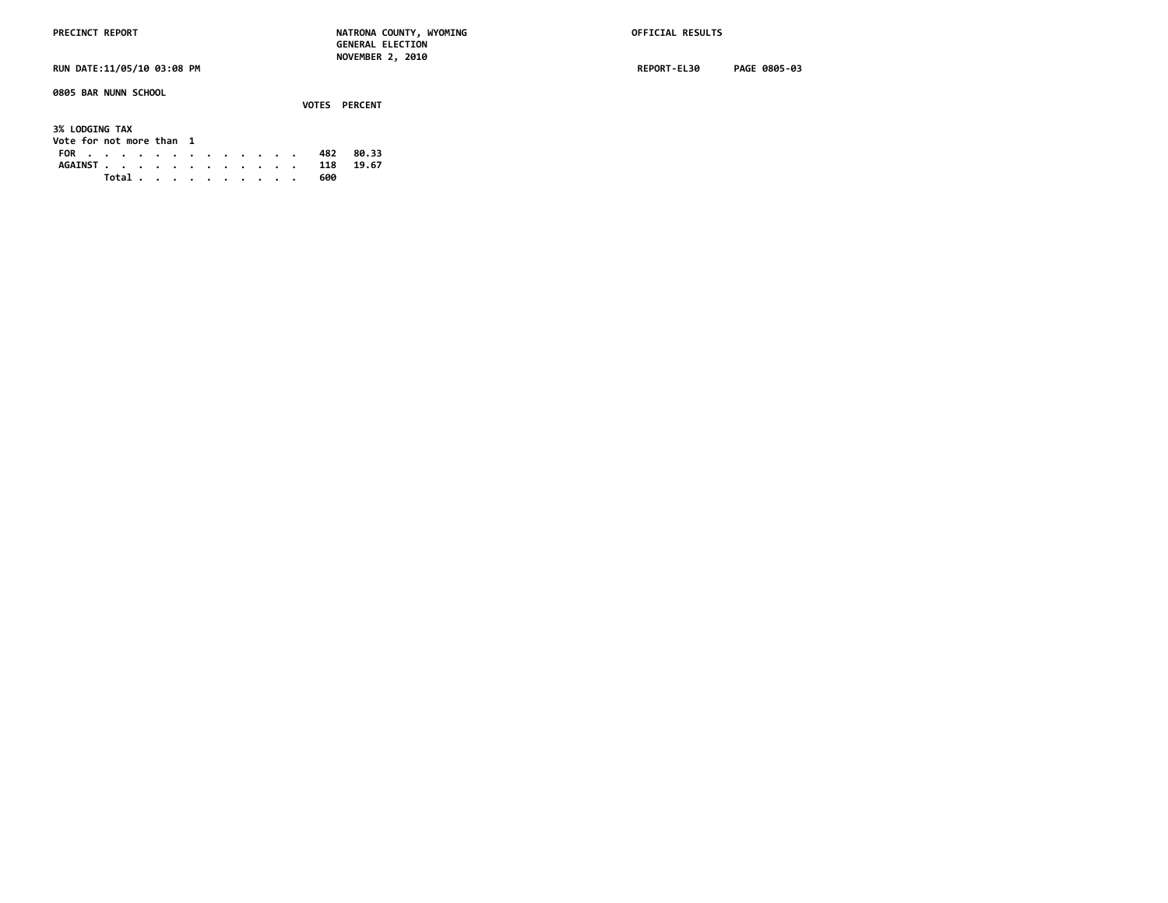**0805 BAR NUNN SCHOOL**

|                                                   |       |  |  |  |  |  |     | <b>VOTES PERCENT</b> |  |
|---------------------------------------------------|-------|--|--|--|--|--|-----|----------------------|--|
| <b>3% LODGING TAX</b><br>Vote for not more than 1 |       |  |  |  |  |  |     |                      |  |
| FOR                                               |       |  |  |  |  |  | 482 | 80.33                |  |
| AGAINST 118                                       |       |  |  |  |  |  |     | 19.67                |  |
|                                                   | Total |  |  |  |  |  | 600 |                      |  |

**RUN DATE:11/05/10 03:08 PM REPORT-EL30 PAGE 0805-03**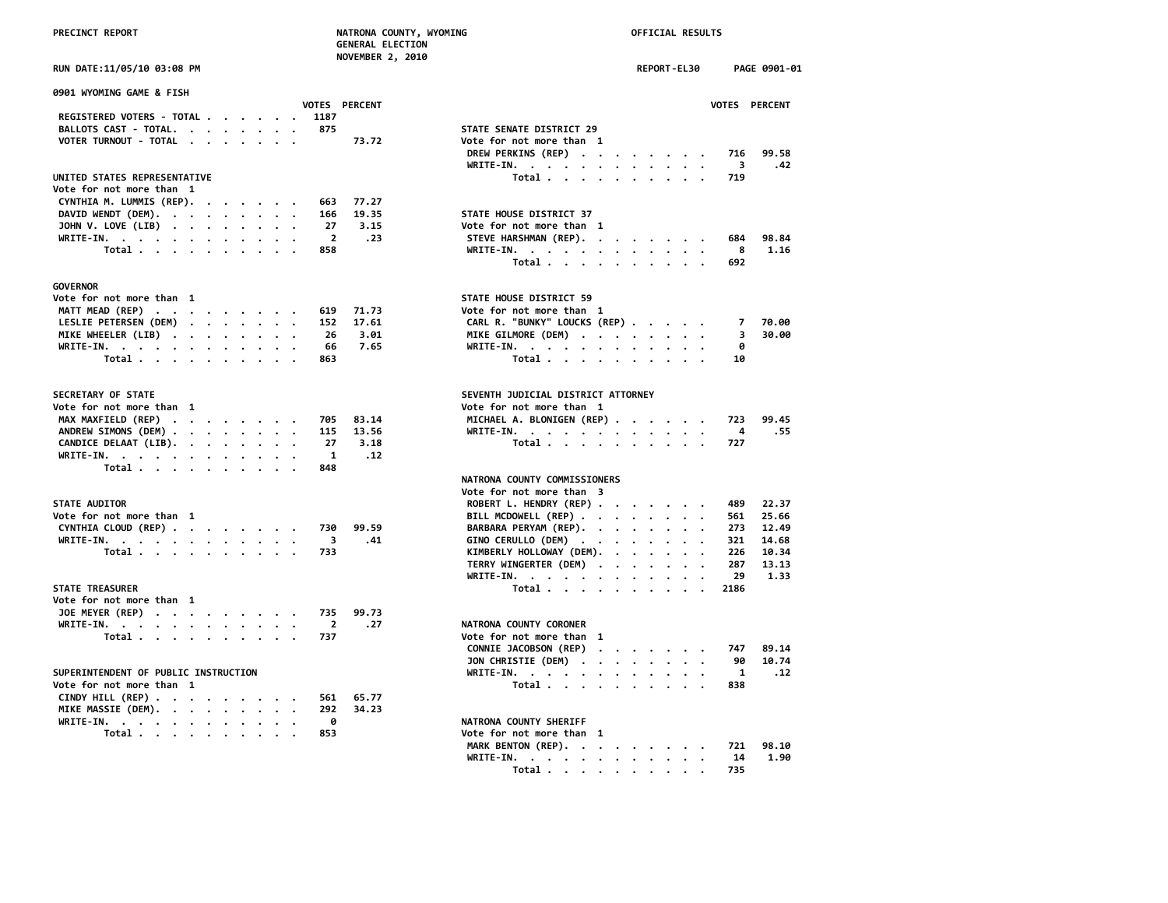|  | <b>PRECINCT REPORT</b> |  |  |
|--|------------------------|--|--|
|  |                        |  |  |

|                                                                                    | <b>NOVEMBER 2, 2010</b>                                  |     |
|------------------------------------------------------------------------------------|----------------------------------------------------------|-----|
| RUN DATE:11/05/10 03:08 PM                                                         | REPORT-EL30<br>PAGE 0901-01                              |     |
| 0901 WYOMING GAME & FISH                                                           |                                                          |     |
| VOTES PERCENT                                                                      | VOTES PERCENT                                            |     |
| REGISTERED VOTERS - TOTAL<br>1187                                                  |                                                          |     |
| BALLOTS CAST - TOTAL.<br>875                                                       | STATE SENATE DISTRICT 29                                 |     |
| VOTER TURNOUT - TOTAL<br>73.72                                                     | Vote for not more than 1                                 |     |
|                                                                                    | DREW PERKINS (REP)<br>716<br>99.58                       |     |
|                                                                                    | WRITE-IN.<br>3                                           | .42 |
| UNITED STATES REPRESENTATIVE                                                       | Total $\cdots$ $\cdots$ $\cdots$ $\cdots$<br>719         |     |
| Vote for not more than 1                                                           |                                                          |     |
| CYNTHIA M. LUMMIS (REP).<br>77.27<br>663                                           |                                                          |     |
| DAVID WENDT (DEM).<br>19.35<br>166                                                 | STATE HOUSE DISTRICT 37                                  |     |
| JOHN V. LOVE (LIB)<br>27<br>3.15                                                   | Vote for not more than 1                                 |     |
| WRITE-IN.<br>$\overline{\mathbf{2}}$<br>858                                        | .23<br>STEVE HARSHMAN (REP).<br>684<br>98.84<br>1.16     |     |
| Total                                                                              | WRITE-IN.<br>8                                           |     |
|                                                                                    | Total<br>692                                             |     |
| <b>GOVERNOR</b>                                                                    |                                                          |     |
| Vote for not more than 1                                                           | STATE HOUSE DISTRICT 59                                  |     |
| MATT MEAD (REP)<br>71.73<br>619                                                    | Vote for not more than 1                                 |     |
| LESLIE PETERSEN (DEM)<br>152<br>17.61                                              | CARL R. "BUNKY" LOUCKS (REP)<br>7<br>70.00               |     |
| MIKE WHEELER (LIB)<br>26<br>3.01                                                   | MIKE GILMORE (DEM)<br>3<br>30.00                         |     |
| WRITE-IN.<br>7.65<br>66<br>$\cdot$<br>$\overline{\phantom{a}}$                     | WRITE-IN.<br>0                                           |     |
| Total<br>863                                                                       | Total<br>10                                              |     |
|                                                                                    |                                                          |     |
| SECRETARY OF STATE                                                                 | SEVENTH JUDICIAL DISTRICT ATTORNEY                       |     |
| Vote for not more than 1                                                           | Vote for not more than 1                                 |     |
| MAX MAXFIELD (REP)<br>83.14<br>705                                                 | MICHAEL A. BLONIGEN (REP)<br>99.45<br>723                |     |
| ANDREW SIMONS (DEM)<br>115<br>13.56                                                | 4<br>.55<br>WRITE-IN.                                    |     |
| CANDICE DELAAT (LIB).<br>27<br>3.18                                                | Total<br>727                                             |     |
| WRITE-IN.<br>$\mathbf{1}$                                                          | .12                                                      |     |
| Total $\cdots$ $\cdots$ $\cdots$ $\cdots$<br>848                                   |                                                          |     |
|                                                                                    | NATRONA COUNTY COMMISSIONERS                             |     |
|                                                                                    | Vote for not more than 3                                 |     |
| <b>STATE AUDITOR</b>                                                               | ROBERT L. HENDRY (REP)<br>489<br>22.37                   |     |
| Vote for not more than 1                                                           | BILL MCDOWELL (REP)<br>561<br>25.66                      |     |
| CYNTHIA CLOUD (REP)<br>99.59<br>730                                                | BARBARA PERYAM (REP).<br>273<br>12.49                    |     |
| 3<br>WRITE-IN.                                                                     | .41<br>GINO CERULLO (DEM)<br>321<br>14.68                |     |
| Total<br>733                                                                       | KIMBERLY HOLLOWAY (DEM).<br>226<br>10.34                 |     |
|                                                                                    | TERRY WINGERTER (DEM)<br>287<br>13.13                    |     |
|                                                                                    | WRITE-IN.<br>29<br>1.33                                  |     |
| <b>STATE TREASURER</b>                                                             | Total<br>2186                                            |     |
| Vote for not more than 1                                                           |                                                          |     |
| JOE MEYER (REP)<br>735<br>99.73                                                    |                                                          |     |
| WRITE-IN, $\cdots$ , $\cdots$ , $\cdots$ , $\cdots$<br>2                           | .27<br>NATRONA COUNTY CORONER                            |     |
| Total<br>737                                                                       | Vote for not more than 1                                 |     |
|                                                                                    | CONNIE JACOBSON (REP)<br>747<br>89.14                    |     |
|                                                                                    | JON CHRISTIE (DEM)<br>90<br>10.74                        |     |
| SUPERINTENDENT OF PUBLIC INSTRUCTION                                               | WRITE-IN.<br>1                                           | .12 |
| Vote for not more than 1                                                           | Total<br>838                                             |     |
| CINDY HILL (REP) $\cdot \cdot \cdot \cdot \cdot \cdot \cdot \cdot$<br>65.77<br>561 |                                                          |     |
| 34.23<br>MIKE MASSIE (DEM).<br>292                                                 |                                                          |     |
| 0<br>WRITE-IN.                                                                     | NATRONA COUNTY SHERIFF                                   |     |
| Total $\cdots$ $\cdots$ $\cdots$<br>853                                            | Vote for not more than 1                                 |     |
|                                                                                    | MARK BENTON (REP).<br>98.10<br>721                       |     |
|                                                                                    | 14<br>1.90<br>WRITE-IN.                                  |     |
|                                                                                    | 735<br>Total $\cdots$ $\cdots$ $\cdots$<br>$\sim$ $\sim$ |     |
|                                                                                    |                                                          |     |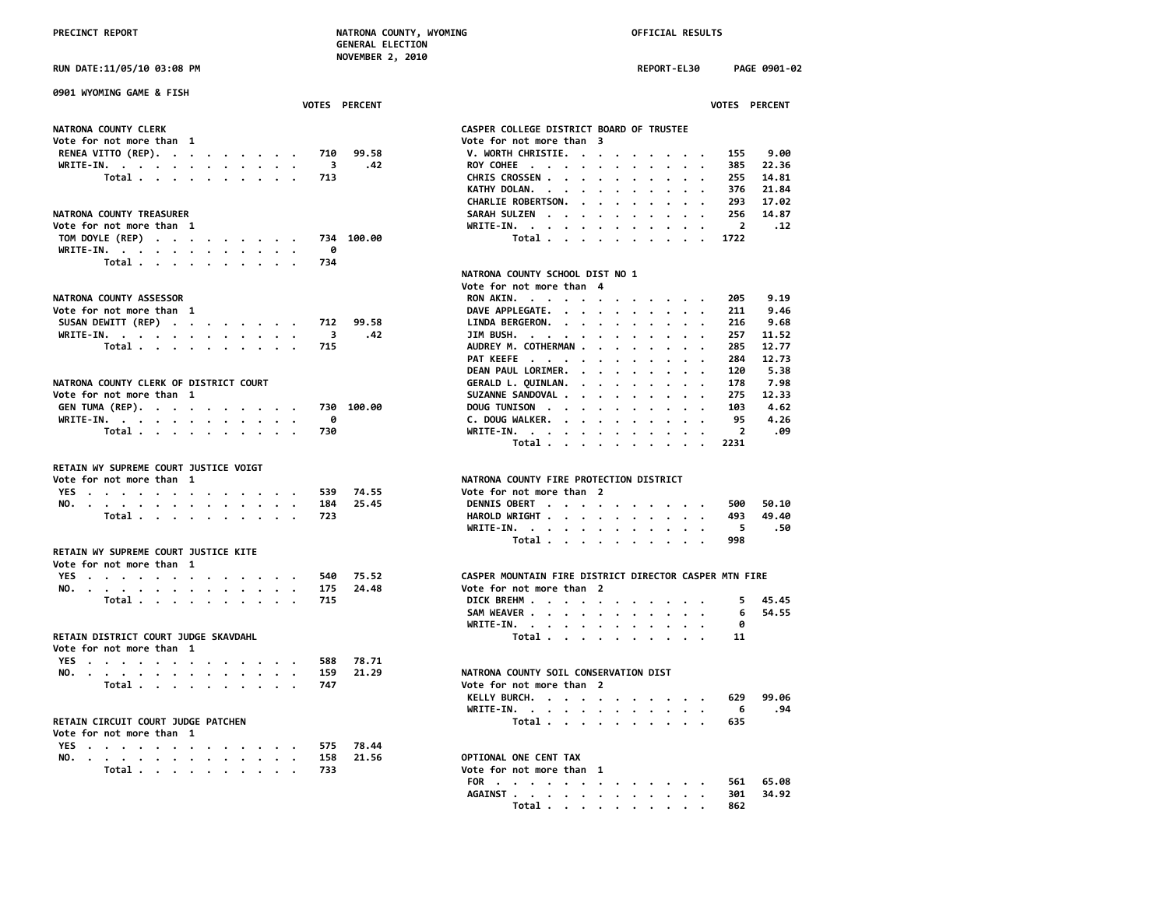|                                         | NOVEMBER 2, 2010                                                   |
|-----------------------------------------|--------------------------------------------------------------------|
| RUN DATE:11/05/10 03:08 PM              | <b>REPORT-EL30</b><br>PAGE 0901-02                                 |
| 0901 WYOMING GAME & FISH                |                                                                    |
| VOTES PERCENT                           | VOTES PERCENT                                                      |
| NATRONA COUNTY CLERK                    | CASPER COLLEGE DISTRICT BOARD OF TRUSTEE                           |
| Vote for not more than 1                | Vote for not more than 3                                           |
| RENEA VITTO (REP).<br>99.58<br>710      | V. WORTH CHRISTIE.<br>9.00<br>155<br>$\cdots$                      |
| WRITE-IN.<br>.42<br>$_{3}$              | ROY COHEE<br>385<br>22.36                                          |
| Total $\cdots$ $\cdots$ $\cdots$<br>713 | CHRIS CROSSEN<br>255<br>14.81                                      |
|                                         | KATHY DOLAN.<br>376<br>21.84                                       |
|                                         | CHARLIE ROBERTSON.<br>293<br>17.02                                 |
| NATRONA COUNTY TREASURER                | 256<br>14.87<br>SARAH SULZEN                                       |
| Vote for not more than 1                | WRITE-IN.<br>$\overline{2}$<br>.12<br>$\cdot$<br>$\cdot$           |
| TOM DOYLE (REP)<br>734 100.00           | Total<br>1722                                                      |
| WRITE-IN.<br>0                          |                                                                    |
| Total<br>734                            |                                                                    |
|                                         | NATRONA COUNTY SCHOOL DIST NO 1                                    |
|                                         | Vote for not more than 4                                           |
|                                         |                                                                    |
| NATRONA COUNTY ASSESSOR                 | 9.19<br>RON AKIN.<br>205                                           |
| Vote for not more than 1                | DAVE APPLEGATE.<br>9.46<br>211                                     |
| SUSAN DEWITT (REP)<br>99.58<br>712      | LINDA BERGERON.<br>216<br>9.68                                     |
| WRITE-IN.<br>3<br>.42                   | JIM BUSH.<br>257<br>11.52                                          |
| Total $\cdots$ $\cdots$ $\cdots$<br>715 | AUDREY M. COTHERMAN<br>285<br>12.77<br>$\ddot{\phantom{a}}$        |
|                                         | PAT KEEFE<br>284<br>12.73<br>$\sim$<br>$\cdot$ $\cdot$             |
|                                         | DEAN PAUL LORIMER.<br>120<br>5.38<br>$\cdots$                      |
| NATRONA COUNTY CLERK OF DISTRICT COURT  | GERALD L. QUINLAN.<br>178<br>7.98                                  |
| Vote for not more than 1                | SUZANNE SANDOVAL<br>275<br>12.33<br>$\cdot$                        |
| GEN TUMA (REP).<br>730 100.00           | DOUG TUNISON<br>103<br>4.62                                        |
| 0<br>WRITE-IN.                          | C. DOUG WALKER.<br>95<br>4.26<br>$\cdot$                           |
| Total<br>730                            | $\overline{2}$<br>.09<br>WRITE-IN.<br>$\bullet$<br>$\cdot$ $\cdot$ |
|                                         | Total<br>2231                                                      |
| RETAIN WY SUPREME COURT JUSTICE VOIGT   |                                                                    |
| Vote for not more than 1                | NATRONA COUNTY FIRE PROTECTION DISTRICT                            |
| 539                                     |                                                                    |
| 74.55<br>YES                            | Vote for not more than 2                                           |
| NO.<br>184<br>25.45                     | DENNIS OBERT<br>50.10<br>500                                       |
| Total<br>723                            | HAROLD WRIGHT<br>493<br>49.40                                      |
|                                         | WRITE-IN.<br>5<br>.50<br>$\cdot$ $\cdot$                           |
|                                         | Total<br>998                                                       |
| RETAIN WY SUPREME COURT JUSTICE KITE    |                                                                    |
| Vote for not more than 1                |                                                                    |
| YES<br>75.52<br>540                     | CASPER MOUNTAIN FIRE DISTRICT DIRECTOR CASPER MTN FIRE             |
| 24.48<br>NO.<br>175                     | Vote for not more than 2                                           |
| Total<br>715<br>$\sim$ $\sim$           | 45.45<br>DICK BREHM<br>5.                                          |
|                                         | SAM WEAVER<br>6<br>54.55                                           |
|                                         | WRITE-IN.<br>0<br>$\sim$ $\sim$                                    |
| RETAIN DISTRICT COURT JUDGE SKAVDAHL    | Total<br>11                                                        |
| Vote for not more than 1                |                                                                    |
| YES<br>588<br>78.71                     |                                                                    |
| 21.29<br>159                            | NATRONA COUNTY SOIL CONSERVATION DIST                              |
| NO.<br>747                              | Vote for not more than 2                                           |
| Total                                   |                                                                    |
|                                         | KELLY BURCH.<br>629<br>99.06                                       |
|                                         | .94<br>WRITE-IN.<br>6                                              |
| RETAIN CIRCUIT COURT JUDGE PATCHEN      | Total<br>635                                                       |
| Vote for not more than 1                |                                                                    |
| YES<br>78.44<br>575                     |                                                                    |
| NO.<br>21.56<br>158                     | OPTIONAL ONE CENT TAX                                              |
| Total .<br>733                          | Vote for not more than 1                                           |

| 0901 WYOMING GAME & FISH                |                                                             |
|-----------------------------------------|-------------------------------------------------------------|
| VOTES PERCENT                           | VOTES PERCENT                                               |
| <b>NATRONA COUNTY CLERK</b>             | CASPER COLLEGE DISTRICT BOARD OF TRUSTEE                    |
| Vote for not more than 1                | Vote for not more than 3                                    |
| RENEA VITTO (REP).<br>710<br>99.58      | 9.00<br>V. WORTH CHRISTIE.<br>155                           |
| WRITE-IN.<br>3<br>.42                   | ROY COHEE<br>385<br>22.36                                   |
| Total<br>713                            | CHRIS CROSSEN<br>255<br>14.81                               |
|                                         | KATHY DOLAN.<br>376<br>21.84<br>$\cdots$                    |
|                                         | CHARLIE ROBERTSON.<br>17.02<br>293                          |
| <b>NATRONA COUNTY TREASURER</b>         | 14.87<br>SARAH SULZEN<br>256                                |
| Vote for not more than 1                | WRITE-IN.<br>$\overline{2}$<br>.12                          |
| TOM DOYLE (REP)<br>734 100.00           | Total<br>1722                                               |
| WRITE-IN.<br>ø                          |                                                             |
| 734                                     |                                                             |
| Total                                   |                                                             |
|                                         | NATRONA COUNTY SCHOOL DIST NO 1<br>Vote for not more than 4 |
| <b>NATRONA COUNTY ASSESSOR</b>          | 9.19<br>RON AKIN.<br>205                                    |
| Vote for not more than 1                | DAVE APPLEGATE.<br>9.46<br>211                              |
| SUSAN DEWITT (REP)<br>99.58<br>712      | 9.68<br>LINDA BERGERON.<br>216                              |
| WRITE-IN.<br>3<br>.42                   | JIM BUSH.<br>257<br>11.52                                   |
| Total<br>715                            | AUDREY M. COTHERMAN<br>285<br>12.77                         |
|                                         | PAT KEEFE<br>12.73<br>284                                   |
|                                         | $\cdot$                                                     |
|                                         | 5.38<br>DEAN PAUL LORIMER.<br>120                           |
| NATRONA COUNTY CLERK OF DISTRICT COURT  | GERALD L. QUINLAN.<br>7.98<br>178                           |
| Vote for not more than  1               | SUZANNE SANDOVAL<br>275<br>12.33                            |
| GEN TUMA (REP).<br>730 100.00           | DOUG TUNISON<br>103<br>4.62<br>$\cdot$                      |
| WRITE-IN.<br>0                          | C. DOUG WALKER.<br>4.26<br>95                               |
| Total<br>730                            | $\overline{2}$<br>.09<br>$WRITE-IN.$                        |
|                                         | Total<br>2231                                               |
| RETAIN WY SUPREME COURT JUSTICE VOIGT   |                                                             |
| Vote for not more than 1                | NATRONA COUNTY FIRE PROTECTION DISTRICT                     |
| 74.55<br>YES<br>539                     | Vote for not more than 2                                    |
| NO.<br>184<br>25.45                     | DENNIS OBERT<br>500<br>50.10                                |
| Total<br>723                            | HAROLD WRIGHT<br>493<br>49.40                               |
|                                         | WRITE-IN.<br>5<br>.50                                       |
|                                         | 998                                                         |
| RETAIN WY SUPREME COURT JUSTICE KITE    | Total $\ldots$ $\ldots$ $\ldots$ $\ldots$                   |
| Vote for not more than 1                |                                                             |
| 75.52<br>540                            | CASPER MOUNTAIN FIRE DISTRICT DIRECTOR CASPER MTN FIRE      |
| YES                                     |                                                             |
| NO.<br>175<br>24.48                     | Vote for not more than 2                                    |
| Total<br>715                            | DICK BREHM<br>45.45<br>5.                                   |
|                                         | SAM WEAVER<br>54.55<br>6                                    |
|                                         | WRITE-IN.<br>ø                                              |
| RETAIN DISTRICT COURT JUDGE SKAVDAHL    | Total<br>11                                                 |
| Vote for not more than 1                |                                                             |
| YES<br>588<br>78.71                     |                                                             |
| NO.<br>159<br>21.29                     | NATRONA COUNTY SOIL CONSERVATION DIST                       |
| Total $\cdots$ $\cdots$ $\cdots$<br>747 | Vote for not more than 2                                    |
|                                         | KELLY BURCH.<br>629<br>99.06                                |
|                                         | WRITE-IN.<br>.94<br>6                                       |
| RETAIN CIRCUIT COURT JUDGE PATCHEN      | Total $\cdots$ $\cdots$ $\cdots$ $\cdots$<br>635            |
|                                         |                                                             |
| Vote for not more than 1                |                                                             |
| 78.44<br>YES<br>575                     |                                                             |
| 158<br>21.56<br>NO.                     | OPTIONAL ONE CENT TAX                                       |
| 733<br>Total                            | Vote for not more than 1                                    |
|                                         | 65.08<br>FOR<br>561                                         |
|                                         | AGAINST<br>301<br>34.92                                     |
|                                         | Total .<br>862                                              |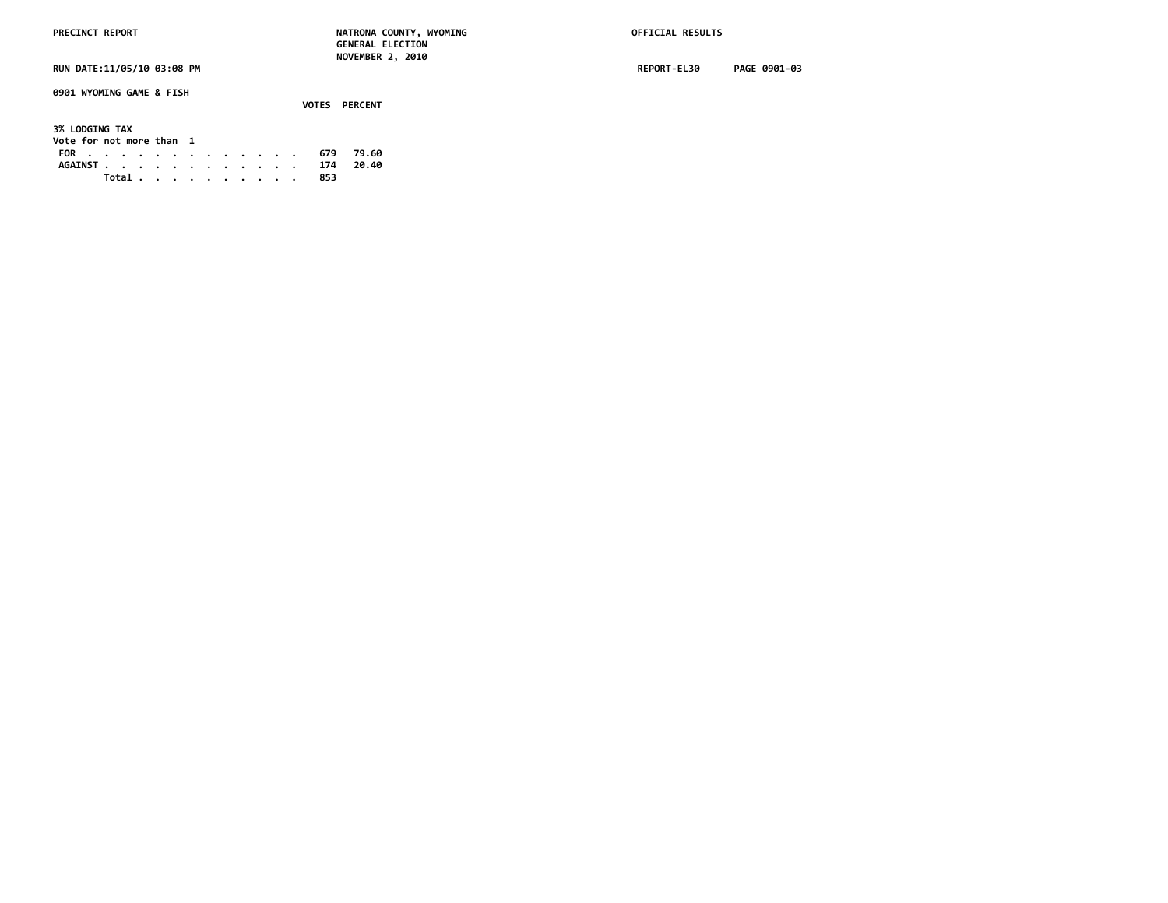**0901 WYOMING GAME & FISH**

 **VOTES PERCENT 3% LODGING TAX Vote for not more than 1 FOR . . . . . . . . . . . . . 679 79.60 AGAINST . . . . . . . . . . . . 174 20.40 Total . . . . . . . . . . 853**

**RUN DATE:11/05/10 03:08 PM REPORT-EL30 PAGE 0901-03**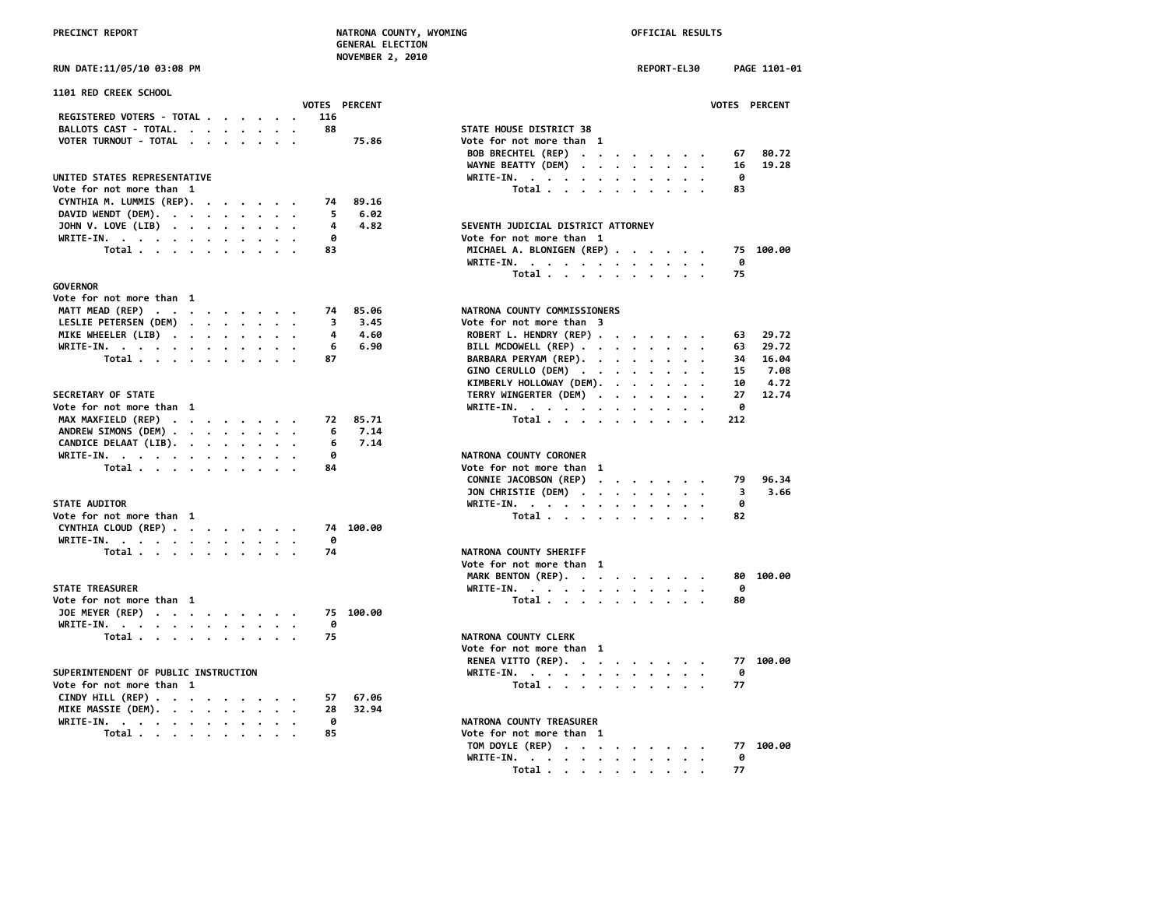|  |  | RUN DATE:11/05/10 03:08 PM |  |
|--|--|----------------------------|--|

| 1101 RED CREEK SCHOOL                                              |                      |                                                                                                                |     |
|--------------------------------------------------------------------|----------------------|----------------------------------------------------------------------------------------------------------------|-----|
|                                                                    | <b>VOTES PERCENT</b> | <b>VOTES</b>                                                                                                   |     |
| REGISTERED VOTERS - TOTAL                                          | 116                  |                                                                                                                |     |
| BALLOTS CAST - TOTAL.                                              | 88                   | STATE HOUSE DISTRICT 38                                                                                        |     |
| VOTER TURNOUT - TOTAL                                              | 75.86                | Vote for not more than 1                                                                                       |     |
|                                                                    |                      | BOB BRECHTEL (REP)                                                                                             | 67  |
|                                                                    |                      | WAYNE BEATTY (DEM)                                                                                             | 16  |
| UNITED STATES REPRESENTATIVE                                       |                      | WRITE-IN.                                                                                                      | 0   |
| Vote for not more than 1                                           |                      | Total                                                                                                          | 83  |
| CYNTHIA M. LUMMIS (REP).                                           | 89.16<br>74          |                                                                                                                |     |
| DAVID WENDT (DEM).                                                 | 6.02<br>5            |                                                                                                                |     |
| JOHN V. LOVE (LIB)                                                 | 4.82<br>4            | SEVENTH JUDICIAL DISTRICT ATTORNEY                                                                             |     |
| WRITE-IN.                                                          | 0                    | Vote for not more than 1                                                                                       |     |
| Total                                                              | 83                   | MICHAEL A. BLONIGEN (REP)                                                                                      | 75  |
|                                                                    |                      |                                                                                                                | 0   |
|                                                                    |                      | WRITE-IN.                                                                                                      |     |
|                                                                    |                      | Total                                                                                                          | 75  |
| <b>GOVERNOR</b>                                                    |                      |                                                                                                                |     |
| Vote for not more than 1                                           |                      |                                                                                                                |     |
| MATT MEAD (REP)                                                    | 85.06<br>74          | NATRONA COUNTY COMMISSIONERS                                                                                   |     |
| LESLIE PETERSEN (DEM)                                              | 3<br>3.45            | Vote for not more than 3                                                                                       |     |
| MIKE WHEELER (LIB)                                                 | 4<br>4.60            | ROBERT L. HENDRY (REP)                                                                                         | 63  |
| WRITE-IN.                                                          | 6.90<br>6            | BILL MCDOWELL (REP)                                                                                            | 63  |
| Total $\cdots$ $\cdots$ $\cdots$                                   | 87                   | BARBARA PERYAM (REP).                                                                                          | 34  |
|                                                                    |                      | GINO CERULLO (DEM)                                                                                             | 15  |
|                                                                    |                      | KIMBERLY HOLLOWAY (DEM).                                                                                       | 10  |
| SECRETARY OF STATE                                                 |                      | TERRY WINGERTER (DEM)                                                                                          | 27  |
| Vote for not more than 1                                           |                      | WRITE-IN.                                                                                                      | 0   |
| MAX MAXFIELD (REP)                                                 | 85.71<br>72          | Total                                                                                                          | 212 |
| ANDREW SIMONS (DEM)                                                | 7.14<br>6            |                                                                                                                |     |
| CANDICE DELAAT (LIB).                                              | 7.14<br>6            |                                                                                                                |     |
|                                                                    | ø                    |                                                                                                                |     |
| WRITE-IN.                                                          |                      | NATRONA COUNTY CORONER                                                                                         |     |
| Total                                                              | 84                   | Vote for not more than 1                                                                                       |     |
|                                                                    |                      | CONNIE JACOBSON (REP)<br>$\mathcal{A}=\mathcal{A}=\mathcal{A}=\mathcal{A}=\mathcal{A}=\mathcal{A}=\mathcal{A}$ | 79  |
|                                                                    |                      | JON CHRISTIE (DEM)                                                                                             | 3   |
| <b>STATE AUDITOR</b>                                               |                      | WRITE-IN.                                                                                                      | 0   |
| Vote for not more than 1                                           |                      | Total                                                                                                          | 82  |
| CYNTHIA CLOUD (REP)                                                | 74 100.00            |                                                                                                                |     |
| WRITE-IN.                                                          | 0                    |                                                                                                                |     |
| Total                                                              | 74                   | NATRONA COUNTY SHERIFF                                                                                         |     |
|                                                                    |                      | Vote for not more than 1                                                                                       |     |
|                                                                    |                      | MARK BENTON (REP).                                                                                             | 80  |
| <b>STATE TREASURER</b>                                             |                      | WRITE-IN.                                                                                                      | 0   |
| Vote for not more than 1                                           |                      | Total                                                                                                          | 80  |
| JOE MEYER (REP)                                                    | 100.00<br>75         |                                                                                                                |     |
|                                                                    | 0                    |                                                                                                                |     |
| WRITE-IN.                                                          |                      |                                                                                                                |     |
| Total                                                              | 75                   | NATRONA COUNTY CLERK                                                                                           |     |
|                                                                    |                      | Vote for not more than 1                                                                                       |     |
|                                                                    |                      | RENEA VITTO (REP).                                                                                             | 77  |
| SUPERINTENDENT OF PUBLIC INSTRUCTION                               |                      | WRITE-IN.                                                                                                      | 0   |
| Vote for not more than 1                                           |                      | Total                                                                                                          | 77  |
| CINDY HILL (REP) $\cdot \cdot \cdot \cdot \cdot \cdot \cdot \cdot$ | 67.06<br>57          |                                                                                                                |     |
| MIKE MASSIE (DEM).                                                 | 32.94<br>28          |                                                                                                                |     |
| WRITE-IN.                                                          | 0                    | NATRONA COUNTY TREASURER                                                                                       |     |
| Total $\cdots$ $\cdots$ $\cdots$                                   | 85                   | Vote for not more than 1                                                                                       |     |
|                                                                    |                      |                                                                                                                |     |

| RUN DATE:11/05/10 03:08 PM                                          | REPORT-EL30<br>PAGE 1101-01                                      |
|---------------------------------------------------------------------|------------------------------------------------------------------|
| <b>1101 RED CREEK SCHOOL</b>                                        | VOTES PERCENT                                                    |
| VOTES PERCENT<br>REGISTERED VOTERS - TOTAL<br>116                   |                                                                  |
| BALLOTS CAST - TOTAL.<br>88                                         | STATE HOUSE DISTRICT 38                                          |
| VOTER TURNOUT - TOTAL<br>75.86                                      | Vote for not more than 1                                         |
|                                                                     | BOB BRECHTEL (REP)<br>80.72<br>67                                |
|                                                                     | 19.28<br>WAYNE BEATTY (DEM)<br>16                                |
| UNITED STATES REPRESENTATIVE                                        | WRITE-IN.<br>0                                                   |
| Vote for not more than 1                                            | Total<br>83                                                      |
| CYNTHIA M. LUMMIS (REP).<br>89.16<br>74                             |                                                                  |
| DAVID WENDT (DEM).<br>6.02<br>5                                     |                                                                  |
| JOHN V. LOVE (LIB)<br>4.82<br>4                                     | SEVENTH JUDICIAL DISTRICT ATTORNEY                               |
| WRITE-IN.<br>0                                                      | Vote for not more than 1                                         |
| Total<br>83                                                         | MICHAEL A. BLONIGEN (REP)<br>75 100.00                           |
|                                                                     | WRITE-IN.<br>0                                                   |
|                                                                     | 75<br>Total                                                      |
| <b>GOVERNOR</b>                                                     |                                                                  |
| Vote for not more than 1                                            |                                                                  |
| MATT MEAD (REP)<br>74<br>85.06                                      | NATRONA COUNTY COMMISSIONERS                                     |
| LESLIE PETERSEN (DEM)<br>3.45<br>3                                  | Vote for not more than 3                                         |
| 4<br>4.60                                                           | 29.72<br>63                                                      |
| MIKE WHEELER (LIB)<br>6<br>6.90                                     | ROBERT L. HENDRY (REP)<br>BILL MCDOWELL (REP)<br>29.72<br>63     |
| WRITE-IN.<br>87                                                     | BARBARA PERYAM (REP).<br>34<br>16.04                             |
| Total                                                               | 15<br>7.08                                                       |
|                                                                     | GINO CERULLO (DEM)<br>10<br>4.72                                 |
| <b>SECRETARY OF STATE</b>                                           | KIMBERLY HOLLOWAY (DEM).<br>TERRY WINGERTER (DEM)<br>27<br>12.74 |
|                                                                     |                                                                  |
| Vote for not more than 1                                            | WRITE-IN.<br>0                                                   |
| MAX MAXFIELD (REP)<br>72<br>85.71<br>7.14<br>6                      | Total<br>212                                                     |
| ANDREW SIMONS (DEM)                                                 |                                                                  |
| CANDICE DELAAT (LIB).<br>7.14<br>6                                  |                                                                  |
| WRITE-IN.<br>0                                                      | NATRONA COUNTY CORONER                                           |
| Total<br>84                                                         | Vote for not more than 1                                         |
|                                                                     | CONNIE JACOBSON (REP)<br>96.34<br>79                             |
|                                                                     | JON CHRISTIE (DEM)<br>3<br>3.66                                  |
| <b>STATE AUDITOR</b>                                                | WRITE-IN.<br>0                                                   |
| Vote for not more than 1                                            | Total<br>82                                                      |
| CYNTHIA CLOUD (REP)<br>74 100.00                                    |                                                                  |
| WRITE-IN.<br>0                                                      |                                                                  |
| Total<br>74                                                         | NATRONA COUNTY SHERIFF                                           |
|                                                                     | Vote for not more than 1                                         |
|                                                                     | MARK BENTON (REP).<br>100.00<br>80                               |
| <b>STATE TREASURER</b>                                              | WRITE-IN.<br>0                                                   |
| Vote for not more than 1                                            | Total<br>80                                                      |
| JOE MEYER (REP)<br>75 100.00                                        |                                                                  |
| WRITE-IN.<br>0                                                      |                                                                  |
| Total<br>75                                                         | NATRONA COUNTY CLERK                                             |
|                                                                     | Vote for not more than 1                                         |
|                                                                     | RENEA VITTO (REP).<br>77 100.00                                  |
| SUPERINTENDENT OF PUBLIC INSTRUCTION                                | WRITE-IN.<br>0                                                   |
| Vote for not more than 1                                            | Total<br>77                                                      |
| CINDY HILL (REP) $\cdots$ $\cdots$ $\cdots$ $\cdots$<br>67.06<br>57 |                                                                  |
| MIKE MASSIE (DEM).<br>32.94<br>28                                   |                                                                  |
| WRITE-IN.<br>0                                                      | NATRONA COUNTY TREASURER                                         |
| Total $\cdots$ $\cdots$ $\cdots$<br>85                              | Vote for not more than 1                                         |
|                                                                     | TOM DOYLE (REP)<br>77 100.00                                     |
|                                                                     | WRITE-IN.<br>ø                                                   |
|                                                                     | Total<br>77                                                      |
|                                                                     |                                                                  |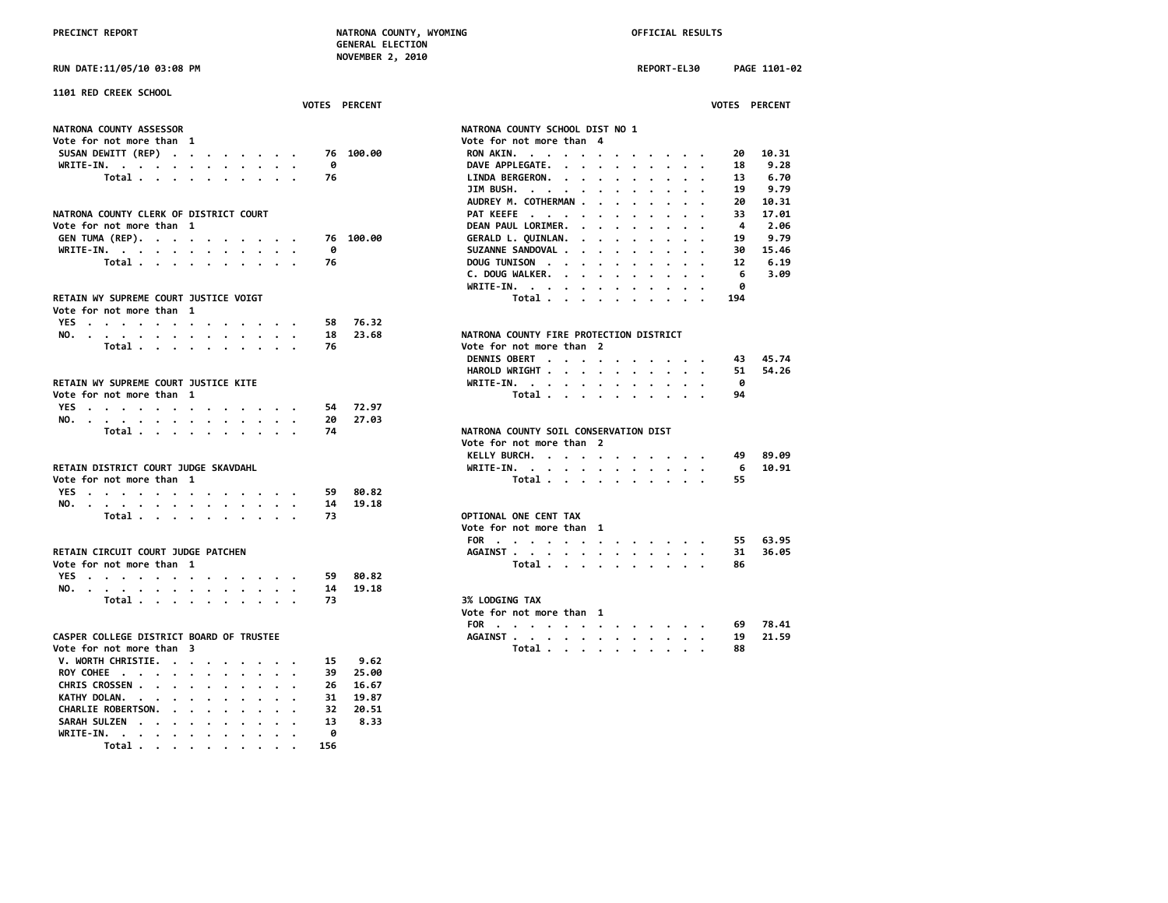**RUN DATE:11/05/10 03:08 PM REPORT-EL30 PAGE 1101-02**

**WRITE-IN. . . . . . . . . . . . 0 Total . . . . . . . . . . 156**

| 1101 RED CREEK SCHOOL                     |    | <b>VOTES PERCENT</b> | <b>VOTES PERCENT</b>                                                                                      |
|-------------------------------------------|----|----------------------|-----------------------------------------------------------------------------------------------------------|
| NATRONA COUNTY ASSESSOR                   |    |                      | NATRONA COUNTY SCHOOL DIST NO 1                                                                           |
| Vote for not more than 1                  |    |                      | Vote for not more than 4                                                                                  |
| SUSAN DEWITT (REP)                        |    | 76 100.00            | 10.31<br>RON AKIN.<br>20                                                                                  |
| WRITE-IN.                                 | ø  |                      | DAVE APPLEGATE.<br>18<br>9.28                                                                             |
| Total                                     | 76 |                      | LINDA BERGERON.<br>13<br>6.70                                                                             |
|                                           |    |                      | 9.79<br>JIM BUSH.<br>19                                                                                   |
|                                           |    |                      | AUDREY M. COTHERMAN<br>10.31<br>20                                                                        |
| NATRONA COUNTY CLERK OF DISTRICT COURT    |    |                      | PAT KEEFE<br>17.01<br>33                                                                                  |
| Vote for not more than 1                  |    |                      | DEAN PAUL LORIMER.<br>4<br>2.06                                                                           |
| GEN TUMA (REP).                           |    | 76 100.00            | 9.79<br>GERALD L. QUINLAN.<br>19<br>$\mathbf{r}$ , and $\mathbf{r}$ , and $\mathbf{r}$ , and $\mathbf{r}$ |
| WRITE-IN.                                 | 0  |                      | SUZANNE SANDOVAL<br>15.46<br>30                                                                           |
| Total                                     | 76 |                      | 6.19<br>DOUG TUNISON<br>12                                                                                |
|                                           |    |                      | 3.09<br>C. DOUG WALKER.<br>6                                                                              |
|                                           |    |                      | ø                                                                                                         |
|                                           |    |                      | WRITE-IN, , , , , , , , , , , ,                                                                           |
| RETAIN WY SUPREME COURT JUSTICE VOIGT     |    |                      | Total<br>194                                                                                              |
| Vote for not more than 1                  |    |                      |                                                                                                           |
| YES                                       | 58 | 76.32                |                                                                                                           |
| NO.                                       | 18 | 23.68                | NATRONA COUNTY FIRE PROTECTION DISTRICT                                                                   |
| Total $\cdots$ $\cdots$ $\cdots$ $\cdots$ | 76 |                      | Vote for not more than 2                                                                                  |
|                                           |    |                      | DENNIS OBERT<br>45.74<br>43                                                                               |
|                                           |    |                      | HAROLD WRIGHT<br>54.26<br>51                                                                              |
| RETAIN WY SUPREME COURT JUSTICE KITE      |    |                      | 0<br>WRITE-IN.                                                                                            |
| Vote for not more than 1                  |    |                      | Total<br>94                                                                                               |
| YES                                       | 54 | 72.97                |                                                                                                           |
| NO.                                       | 20 | 27.03                |                                                                                                           |
| Total $\cdots$ $\cdots$ $\cdots$ $\cdots$ | 74 |                      | NATRONA COUNTY SOIL CONSERVATION DIST                                                                     |
|                                           |    |                      | Vote for not more than 2                                                                                  |
|                                           |    |                      | KELLY BURCH.<br>89.09<br>49                                                                               |
| RETAIN DISTRICT COURT JUDGE SKAVDAHL      |    |                      | 10.91<br>WRITE-IN.<br>6                                                                                   |
| Vote for not more than 1                  |    |                      | Total<br>55                                                                                               |
| YES                                       | 59 | 80.82                |                                                                                                           |
| NO.                                       | 14 | 19.18                |                                                                                                           |
| Total                                     | 73 |                      | OPTIONAL ONE CENT TAX                                                                                     |
|                                           |    |                      | Vote for not more than 1                                                                                  |
|                                           |    |                      | 63.95<br>FOR<br>55                                                                                        |
| RETAIN CIRCUIT COURT JUDGE PATCHEN        |    |                      | 36.05<br>AGAINST.<br>31                                                                                   |
| Vote for not more than 1                  |    |                      | Total<br>86                                                                                               |
|                                           |    |                      |                                                                                                           |
| YES.                                      | 59 | 80.82                |                                                                                                           |
| NO.                                       | 14 | 19.18                |                                                                                                           |
| Total                                     | 73 |                      | <b>3% LODGING TAX</b>                                                                                     |
|                                           |    |                      | Vote for not more than 1                                                                                  |
|                                           |    |                      | FOR<br>78.41<br>69                                                                                        |
| CASPER COLLEGE DISTRICT BOARD OF TRUSTEE  |    |                      | AGAINST<br>21.59<br>19<br>$\ddotsc$                                                                       |
| Vote for not more than 3                  |    |                      | Total<br>88                                                                                               |
| V. WORTH CHRISTIE.                        | 15 | 9.62                 |                                                                                                           |
| ROY COHEE                                 | 39 | 25.00                |                                                                                                           |
| CHRIS CROSSEN                             | 26 | 16.67                |                                                                                                           |
| KATHY DOLAN.                              | 31 | 19.87                |                                                                                                           |
| CHARLIE ROBERTSON.                        | 32 | 20.51                |                                                                                                           |
| SARAH SULZEN                              | 13 | 8.33                 |                                                                                                           |
|                                           |    |                      |                                                                                                           |

| JIM BUSH.                              |         |         |        |        |  |                                                                               |                                                                                                | 19                      | 9.79                   |
|----------------------------------------|---------|---------|--------|--------|--|-------------------------------------------------------------------------------|------------------------------------------------------------------------------------------------|-------------------------|------------------------|
| AUDREY M. COTHERMAN                    |         |         |        |        |  |                                                                               |                                                                                                | 20                      | 10.31                  |
| PAT KEEFE                              |         |         |        |        |  |                                                                               |                                                                                                | 33                      | 17.01                  |
| DEAN PAUL LORIMER.                     |         |         |        |        |  |                                                                               |                                                                                                | $\overline{\mathbf{A}}$ | 2.06                   |
|                                        |         |         |        |        |  |                                                                               |                                                                                                | 19                      | 9.79                   |
| GERALD L. QUINLAN.<br>SUZANNE SANDOVAL |         |         |        |        |  |                                                                               |                                                                                                |                         | 30 15.46               |
|                                        |         |         |        |        |  |                                                                               |                                                                                                | 12                      | 6.19                   |
|                                        |         |         |        |        |  |                                                                               |                                                                                                | 6 <sup>6</sup>          | 3.09                   |
|                                        |         |         |        |        |  |                                                                               |                                                                                                | - 0                     |                        |
|                                        |         |         |        |        |  |                                                                               |                                                                                                | 194                     |                        |
| ATRONA COUNTY FIRE PROTECTION DISTRICT |         |         |        |        |  |                                                                               |                                                                                                |                         |                        |
| ote for not more than 2                |         |         |        |        |  |                                                                               |                                                                                                |                         |                        |
|                                        |         |         |        |        |  |                                                                               |                                                                                                |                         | DENNIS OBERT 43 45.74  |
|                                        |         |         |        |        |  |                                                                               |                                                                                                |                         | HAROLD WRIGHT 51 54.26 |
| WRITE-IN.                              |         |         |        |        |  |                                                                               |                                                                                                | ം                       |                        |
|                                        | Total   |         |        |        |  |                                                                               |                                                                                                | 94                      |                        |
| ATRONA COUNTY SOIL CONSERVATION DIST   |         |         |        |        |  |                                                                               |                                                                                                |                         |                        |
| ote for not more than 2                |         |         |        |        |  |                                                                               |                                                                                                |                         |                        |
| KELLY BURCH.                           |         |         |        |        |  |                                                                               | and a series and a series of the                                                               |                         | 49 89.09               |
| WRITE-IN. $\blacksquare$               |         | $\cdot$ | $\sim$ | $\sim$ |  | $\mathbf{1}^{\prime}$ , and $\mathbf{1}^{\prime}$ , and $\mathbf{1}^{\prime}$ | $\sim$                                                                                         | 6 <sup>1</sup>          | 10.91                  |
|                                        | Total   |         |        |        |  |                                                                               |                                                                                                | 55.                     |                        |
| <b>PTIONAL ONE CENT TAX</b>            |         |         |        |        |  |                                                                               |                                                                                                |                         |                        |
| ote for not more than 1                |         |         |        |        |  |                                                                               |                                                                                                |                         |                        |
|                                        |         |         |        |        |  |                                                                               |                                                                                                | FOR 55 63.95            |                        |
|                                        |         |         |        |        |  |                                                                               |                                                                                                | AGAINST 31              | 36.05                  |
|                                        | Total   |         |        |        |  |                                                                               |                                                                                                | 86                      |                        |
|                                        |         |         |        |        |  |                                                                               |                                                                                                |                         |                        |
| % LODGING TAX                          |         |         |        |        |  |                                                                               |                                                                                                |                         |                        |
| ote for not more than 1                |         |         |        |        |  |                                                                               |                                                                                                |                         |                        |
| FOR .                                  | $\cdot$ |         |        |        |  |                                                                               | . The contract of the contract of the contract of the contract of the contract of the $\alpha$ | 69                      | 78.41                  |
| <b>AGAINST</b>                         |         |         |        |        |  |                                                                               | $\mathbf{a}$ . The contribution of the contribution of the contribution of $\mathbf{a}$        | 19                      | 21.59                  |
|                                        | Total   |         |        |        |  |                                                                               |                                                                                                | 88                      |                        |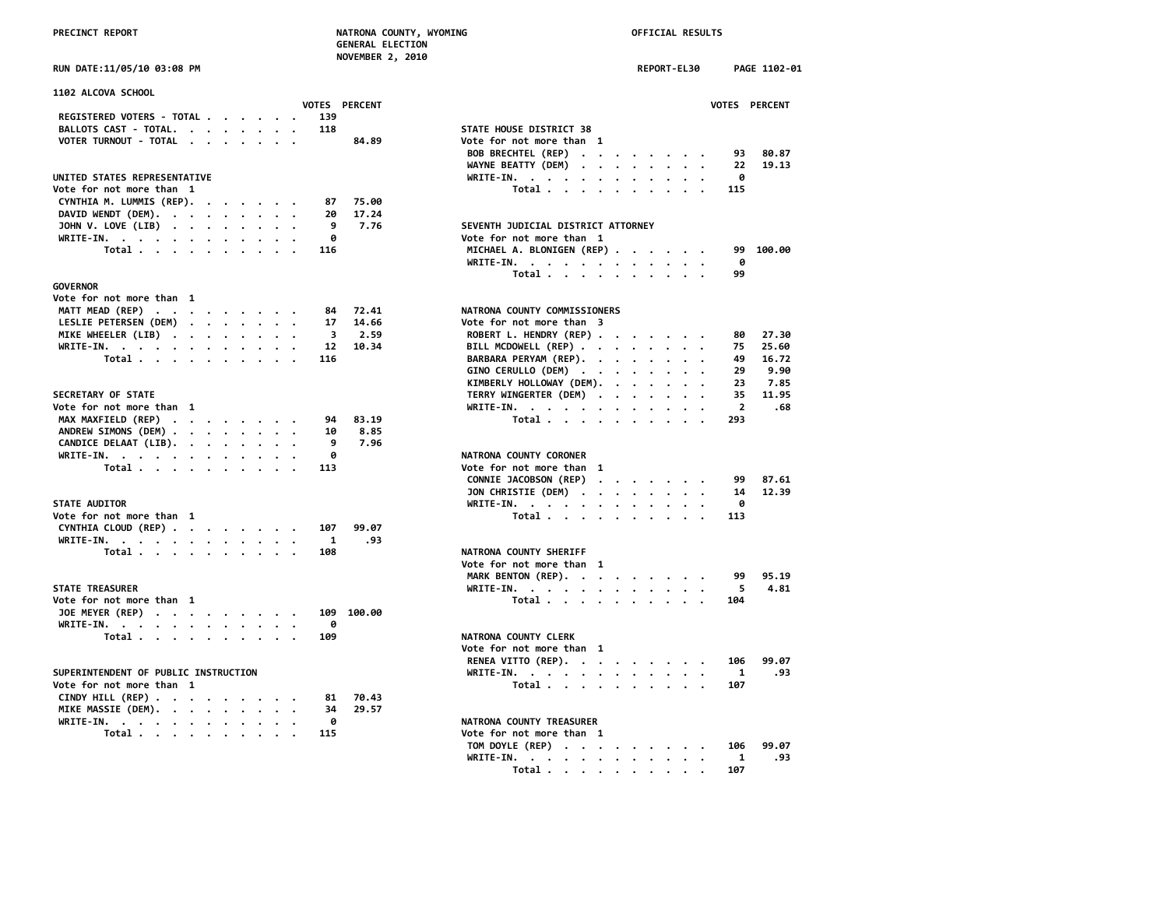| RUN DATE:11/05/10 03:08 PM |  |
|----------------------------|--|

| <b>1102 ALCOVA SCHOOL</b>                         |                                      |
|---------------------------------------------------|--------------------------------------|
| VOTES PERCENT<br>REGISTERED VOTERS - TOTAL<br>139 | <b>VOTES</b>                         |
| BALLOTS CAST - TOTAL.<br>118                      | STATE HOUSE DISTRICT 38              |
| VOTER TURNOUT - TOTAL<br>84.89                    | Vote for not more than 1             |
|                                                   | BOB BRECHTEL (REP)<br>93             |
|                                                   | WAYNE BEATTY (DEM)<br>22             |
| UNITED STATES REPRESENTATIVE                      | WRITE-IN.<br>0                       |
| Vote for not more than 1                          | Total<br>115                         |
|                                                   |                                      |
| CYNTHIA M. LUMMIS (REP).<br>75.00<br>87           |                                      |
| DAVID WENDT (DEM).<br>17.24<br>20                 |                                      |
| JOHN V. LOVE (LIB)<br>9<br>7.76                   | SEVENTH JUDICIAL DISTRICT ATTORNEY   |
| WRITE-IN.<br>0                                    | Vote for not more than 1             |
| Total<br>116                                      | MICHAEL A. BLONIGEN (REP)<br>99      |
|                                                   | WRITE-IN.<br>0                       |
|                                                   | Total<br>99                          |
| GOVERNOR                                          |                                      |
| Vote for not more than 1                          |                                      |
| MATT MEAD (REP)<br>72.41<br>84                    | NATRONA COUNTY COMMISSIONERS         |
| LESLIE PETERSEN (DEM)<br>14.66<br>17              | Vote for not more than 3             |
| MIKE WHEELER (LIB)<br>3<br>2.59                   | ROBERT L. HENDRY (REP)<br>80         |
| WRITE-IN.<br>12<br>10.34                          | BILL MCDOWELL (REP)<br>75            |
| Total<br>116                                      | BARBARA PERYAM (REP).<br>49          |
|                                                   | GINO CERULLO (DEM)<br>29             |
|                                                   | KIMBERLY HOLLOWAY (DEM).<br>23       |
| <b>SECRETARY OF STATE</b>                         | TERRY WINGERTER (DEM)<br>35          |
| Vote for not more than 1                          | WRITE-IN.<br>$\overline{\mathbf{2}}$ |
| MAX MAXFIELD (REP)<br>83.19<br>94                 | Total<br>293                         |
| ANDREW SIMONS (DEM)<br>8.85<br>10                 |                                      |
| 7.96<br>9                                         |                                      |
| CANDICE DELAAT (LIB).                             |                                      |
| WRITE-IN.<br>ø                                    | NATRONA COUNTY CORONER               |
| Total<br>113                                      | Vote for not more than 1             |
|                                                   | CONNIE JACOBSON (REP)<br>99          |
|                                                   | JON CHRISTIE (DEM)<br>14             |
| <b>STATE AUDITOR</b>                              | WRITE-IN.<br>ø                       |
| Vote for not more than 1                          | Total<br>113                         |
| CYNTHIA CLOUD (REP)<br>99.07<br>107               |                                      |
| .93<br>WRITE-IN.<br>-1                            |                                      |
| Total<br>108                                      | NATRONA COUNTY SHERIFF               |
|                                                   | Vote for not more than 1             |
|                                                   | 99<br>MARK BENTON (REP).             |
| <b>STATE TREASURER</b>                            | WRITE-IN.<br>5                       |
| Vote for not more than 1                          | Total<br>104                         |
| JOE MEYER (REP)<br>109 100.00                     |                                      |
| WRITE-IN.<br>0                                    |                                      |
| Total<br>109                                      | <b>NATRONA COUNTY CLERK</b>          |
|                                                   | Vote for not more than 1             |
|                                                   | 106                                  |
| SUPERINTENDENT OF PUBLIC INSTRUCTION              | RENEA VITTO (REP).                   |
|                                                   | WRITE-IN.<br>1                       |
| Vote for not more than 1                          | Total<br>107                         |
| CINDY HILL (REP)<br>70.43<br>81                   |                                      |
| MIKE MASSIE (DEM).<br>29.57<br>34                 |                                      |
| WRITE-IN.<br>ø                                    | NATRONA COUNTY TREASURER             |
| Total<br>115                                      | Vote for not more than 1             |
|                                                   |                                      |

| <b>RUN DATE:11/05/10 03:08 PM</b>                 | REPORT-EL30<br>PAGE 1102-01                                    |
|---------------------------------------------------|----------------------------------------------------------------|
| <b>1102 ALCOVA SCHOOL</b>                         |                                                                |
| VOTES PERCENT<br>REGISTERED VOTERS - TOTAL<br>139 | VOTES PERCENT                                                  |
| BALLOTS CAST - TOTAL.<br>118                      | STATE HOUSE DISTRICT 38                                        |
|                                                   |                                                                |
| VOTER TURNOUT - TOTAL<br>84.89                    | Vote for not more than 1                                       |
|                                                   | BOB BRECHTEL (REP)<br>80.87<br>93                              |
|                                                   | WAYNE BEATTY (DEM)<br>22<br>19.13                              |
| UNITED STATES REPRESENTATIVE                      | WRITE-IN.<br>ø                                                 |
| Vote for not more than 1                          | Total<br>115                                                   |
| CYNTHIA M. LUMMIS (REP).<br>75.00<br>87           |                                                                |
| DAVID WENDT (DEM).<br>17.24<br>20                 |                                                                |
| JOHN V. LOVE (LIB)<br>7.76<br>9                   | SEVENTH JUDICIAL DISTRICT ATTORNEY                             |
| WRITE-IN.<br>0                                    | Vote for not more than 1                                       |
| Total<br>116                                      | MICHAEL A. BLONIGEN (REP)<br>100.00<br>99                      |
|                                                   | 0<br>WRITE-IN.                                                 |
|                                                   | Total<br>99                                                    |
| <b>GOVERNOR</b>                                   |                                                                |
|                                                   |                                                                |
| Vote for not more than 1                          |                                                                |
| MATT MEAD (REP)<br>72.41<br>84                    | NATRONA COUNTY COMMISSIONERS                                   |
| LESLIE PETERSEN (DEM)<br>14.66<br>17              | Vote for not more than 3                                       |
| MIKE WHEELER (LIB)<br>2.59<br>3                   | ROBERT L. HENDRY (REP)<br>27.30<br>80                          |
| WRITE-IN.<br>12<br>10.34                          | BILL MCDOWELL (REP)<br>75<br>25.60                             |
| Total<br>116                                      | BARBARA PERYAM (REP).<br>49<br>16.72                           |
|                                                   | GINO CERULLO (DEM)<br>29<br>9.90                               |
|                                                   | KIMBERLY HOLLOWAY (DEM).<br>23<br>7.85                         |
| <b>SECRETARY OF STATE</b>                         | TERRY WINGERTER (DEM)<br>35<br>11.95                           |
| Vote for not more than 1                          | WRITE-IN.<br>$\overline{2}$<br>.68<br>$\overline{\phantom{a}}$ |
| MAX MAXFIELD (REP)<br>94<br>83.19                 | 293<br>Total                                                   |
| ANDREW SIMONS (DEM)<br>8.85<br>10                 |                                                                |
| 7.96<br>9                                         |                                                                |
| CANDICE DELAAT (LIB).                             |                                                                |
| WRITE-IN.<br>0                                    | NATRONA COUNTY CORONER                                         |
| Total<br>113                                      | Vote for not more than 1                                       |
|                                                   | CONNIE JACOBSON (REP)<br>87.61<br>99                           |
|                                                   | JON CHRISTIE (DEM)<br>14<br>12.39                              |
| <b>STATE AUDITOR</b>                              | WRITE-IN.<br>0                                                 |
| Vote for not more than 1                          | Total<br>113                                                   |
| CYNTHIA CLOUD (REP)<br>107<br>99.07               |                                                                |
| .93<br>WRITE-IN.<br>1                             |                                                                |
| 108<br>Total                                      | NATRONA COUNTY SHERIFF                                         |
|                                                   | Vote for not more than 1                                       |
|                                                   | MARK BENTON (REP).<br>95.19<br>99                              |
| STATE TREASURER                                   | 4.81<br>5                                                      |
|                                                   | WRITE-IN.                                                      |
| Vote for not more than 1                          | Total<br>104                                                   |
| JOE MEYER (REP)<br>109 100.00                     |                                                                |
| WRITE-IN.<br>0                                    |                                                                |
| Total<br>109                                      | NATRONA COUNTY CLERK                                           |
|                                                   | Vote for not more than 1                                       |
|                                                   | RENEA VITTO (REP).<br>99.07<br>106                             |
| SUPERINTENDENT OF PUBLIC INSTRUCTION              | WRITE-IN.<br>1<br>.93                                          |
| Vote for not more than 1                          | Total<br>107                                                   |
| CINDY HILL (REP)<br>70.43<br>81                   |                                                                |
| MIKE MASSIE (DEM).<br>34<br>29.57                 |                                                                |
| WRITE-IN.<br>0                                    | NATRONA COUNTY TREASURER                                       |
| 115                                               | Vote for not more than 1                                       |
| Total                                             |                                                                |
|                                                   | TOM DOYLE (REP)<br>99.07<br>106                                |
|                                                   | WRITE-IN.<br>1<br>.93                                          |
|                                                   | Total<br>107                                                   |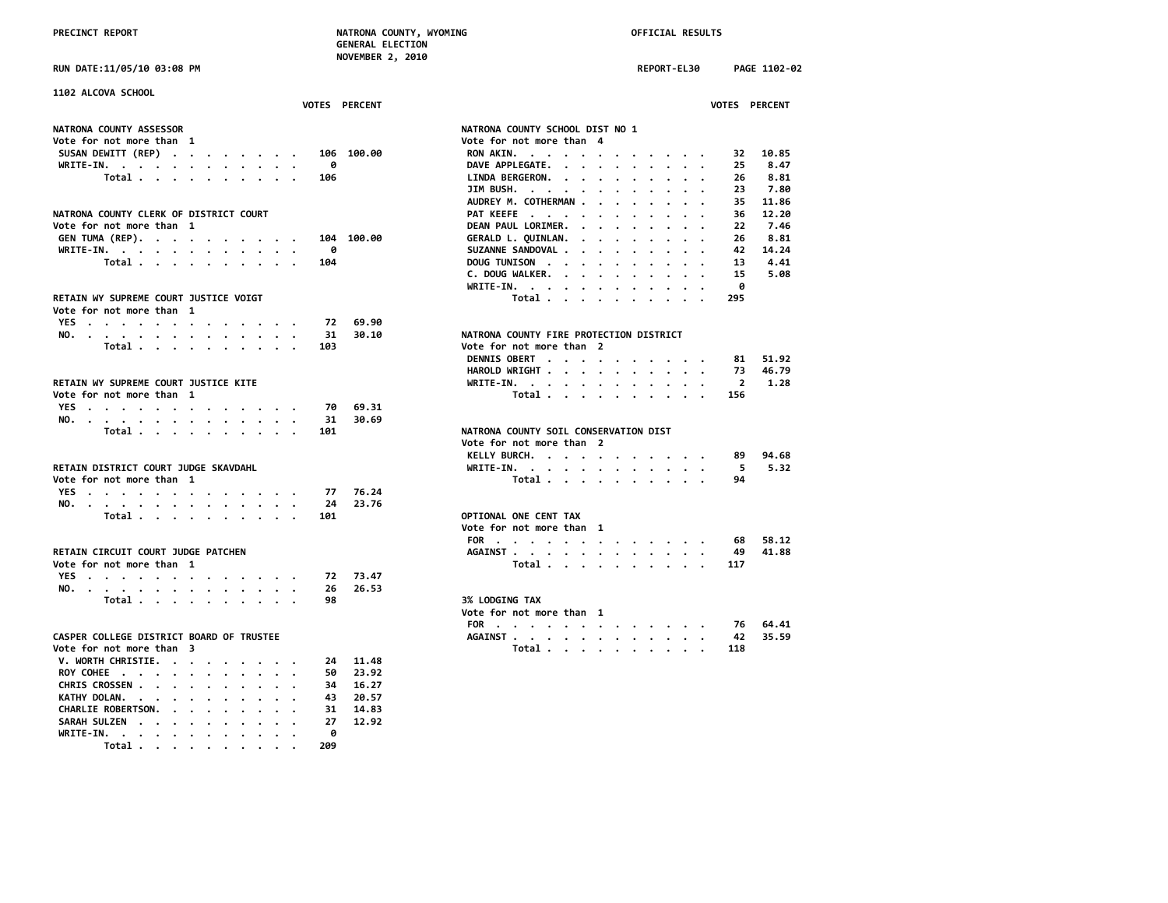**RUN DATE:11/05/10 03:08 PM REPORT-EL30 PAGE 1102-02**

| 1102 ALCOVA SCHOOL<br><b>VOTES PERCENT</b>                                                           |                                                  | <b>VOTES PERCENT</b>   |
|------------------------------------------------------------------------------------------------------|--------------------------------------------------|------------------------|
|                                                                                                      |                                                  |                        |
| NATRONA COUNTY ASSESSOR                                                                              | NATRONA COUNTY SCHOOL DIST NO 1                  |                        |
| Vote for not more than 1                                                                             | Vote for not more than 4                         |                        |
| SUSAN DEWITT (REP)<br>106 100.00                                                                     | RON AKIN.                                        | 10.85<br>32            |
| 0<br>WRITE-IN.                                                                                       | DAVE APPLEGATE.                                  | 25<br>8.47             |
| Total<br>106                                                                                         | LINDA BERGERON.                                  | 8.81<br>26             |
|                                                                                                      | JIM BUSH. $\cdots$ $\cdots$ $\cdots$<br>$\cdot$  | 7.80<br>23             |
|                                                                                                      | AUDREY M. COTHERMAN                              | 35<br>11.86            |
| NATRONA COUNTY CLERK OF DISTRICT COURT                                                               | PAT KEEFE                                        | 12.20                  |
|                                                                                                      |                                                  | 36                     |
| Vote for not more than 1                                                                             | DEAN PAUL LORIMER.<br>$\cdots$                   | 22<br>7.46             |
| GEN TUMA (REP).<br>104 100.00                                                                        | GERALD L. QUINLAN.                               | 8.81<br>26             |
| WRITE-IN.<br>0                                                                                       | SUZANNE SANDOVAL                                 | 14.24<br>42            |
| Total<br>104                                                                                         | DOUG TUNISON<br>$\sim$                           | 13<br>4.41             |
|                                                                                                      | C. DOUG WALKER.                                  | 15<br>5.08             |
|                                                                                                      | WRITE-IN.                                        | 0                      |
| RETAIN WY SUPREME COURT JUSTICE VOIGT                                                                | Total $\cdots$ $\cdots$ $\cdots$                 | 295                    |
| Vote for not more than 1                                                                             |                                                  |                        |
| YES<br>72                                                                                            | 69.90                                            |                        |
| NO.<br>31<br>$\overline{\phantom{a}}$                                                                | NATRONA COUNTY FIRE PROTECTION DISTRICT<br>30.10 |                        |
| Total<br>103                                                                                         | Vote for not more than 2                         |                        |
|                                                                                                      | DENNIS OBERT                                     | 51.92<br>81            |
|                                                                                                      |                                                  | 73<br>46.79            |
|                                                                                                      | HAROLD WRIGHT                                    |                        |
| RETAIN WY SUPREME COURT JUSTICE KITE                                                                 | WRITE-IN.                                        | $\overline{2}$<br>1.28 |
| Vote for not more than 1                                                                             | Total                                            | 156                    |
| YES<br>70                                                                                            | 69.31                                            |                        |
| NO.<br>31                                                                                            | 30.69                                            |                        |
| Total<br>101                                                                                         | NATRONA COUNTY SOIL CONSERVATION DIST            |                        |
|                                                                                                      | Vote for not more than 2                         |                        |
|                                                                                                      | KELLY BURCH.                                     | 94.68<br>89            |
| RETAIN DISTRICT COURT JUDGE SKAVDAHL                                                                 | WRITE-IN.                                        | - 5<br>5.32            |
| Vote for not more than 1                                                                             | Total                                            | 94                     |
| YES<br>77                                                                                            | 76.24                                            |                        |
| 24                                                                                                   | 23.76                                            |                        |
| NO.<br>101                                                                                           | OPTIONAL ONE CENT TAX                            |                        |
| Total                                                                                                |                                                  |                        |
|                                                                                                      | Vote for not more than 1                         |                        |
|                                                                                                      | FOR                                              | 58.12<br>68            |
| RETAIN CIRCUIT COURT JUDGE PATCHEN                                                                   | AGAINST                                          | 49<br>41.88            |
| Vote for not more than 1                                                                             | Total                                            | 117                    |
| YES<br>72                                                                                            | 73.47                                            |                        |
| NO.<br>26                                                                                            | 26.53                                            |                        |
| Total<br>98                                                                                          | <b>3% LODGING TAX</b>                            |                        |
|                                                                                                      | Vote for not more than 1                         |                        |
|                                                                                                      | FOR                                              | 64.41<br>76            |
| CASPER COLLEGE DISTRICT BOARD OF TRUSTEE                                                             | AGAINST                                          | 35.59<br>42            |
| Vote for not more than 3                                                                             | Total                                            | 118                    |
|                                                                                                      | 11.48                                            |                        |
| V. WORTH CHRISTIE.<br>24                                                                             |                                                  |                        |
| ROY COHEE<br>50                                                                                      | 23.92                                            |                        |
| CHRIS CROSSEN<br>34                                                                                  | 16.27                                            |                        |
| KATHY DOLAN.<br>43<br>$\cdots$                                                                       | 20.57                                            |                        |
| CHARLIE ROBERTSON.<br>31<br>$\mathbf{r}$ , and $\mathbf{r}$ , and $\mathbf{r}$<br>$\cdot$<br>$\cdot$ | 14.83                                            |                        |
| SARAH SULZEN<br>27                                                                                   | 12.92                                            |                        |
| WRITE-IN.<br>ø                                                                                       |                                                  |                        |
| Total<br>209                                                                                         |                                                  |                        |

|                                        |                                         |           |                                                    |                      |                                                           |                         |                      |                      |                                   |                      |                      |                | VOTES PERCENT    |  |
|----------------------------------------|-----------------------------------------|-----------|----------------------------------------------------|----------------------|-----------------------------------------------------------|-------------------------|----------------------|----------------------|-----------------------------------|----------------------|----------------------|----------------|------------------|--|
| ATRONA COUNTY SCHOOL DIST NO 1         |                                         |           |                                                    |                      |                                                           |                         |                      |                      |                                   |                      |                      |                |                  |  |
| ote for not more than                  |                                         |           |                                                    |                      |                                                           |                         |                      |                      |                                   |                      |                      |                |                  |  |
| RON AKIN.                              |                                         |           |                                                    |                      | $\bullet$ , $\bullet$ , $\bullet$ , $\bullet$ , $\bullet$ |                         | $\bullet$            |                      |                                   | $\cdots$             |                      | 32             | 10.85            |  |
| DAVE APPLEGATE.                        |                                         |           | $\ddot{\phantom{0}}$                               | $\ddot{\phantom{0}}$ | $\ddot{\phantom{0}}$                                      | $\sim$                  | $\bullet$            |                      |                                   |                      |                      | 25             | 8.47             |  |
| LINDA BERGERON.                        |                                         |           |                                                    |                      | $\sim$ $\sim$                                             |                         | $\bullet$            | $\bullet$            | $\bullet$                         | $\bullet$            | $\bullet$            | 26             | 8.81             |  |
| JIM BUSH.                              |                                         |           |                                                    |                      |                                                           | $\cdot$ $\cdot$ $\cdot$ |                      |                      |                                   |                      |                      | -23            | 7.80             |  |
| AUDREY M. COTHERMAN                    |                                         |           |                                                    |                      |                                                           |                         | $\bullet$            | $\ddot{\phantom{0}}$ | $\bullet$                         | $\bullet$ .          | $\bullet$            |                | 35 11.86         |  |
| PAT KEEFE                              |                                         |           |                                                    |                      |                                                           |                         | $\bullet$            |                      | $\ddot{\phantom{0}}$              | $\bullet$            |                      |                | 36 12.20         |  |
| DEAN PAUL LORIMER.                     |                                         |           |                                                    |                      | $\cdot$ $\cdot$ $\cdot$                                   |                         | $\ddot{\phantom{0}}$ |                      | $\cdot$                           | $\ddot{\phantom{0}}$ | $\ddot{\phantom{0}}$ | 22             | 7.46             |  |
| GERALD L. QUINLAN.                     |                                         |           |                                                    |                      |                                                           |                         | $\sim$               |                      | $\ddot{\phantom{0}}$              | $\ddot{\phantom{0}}$ | $\bullet$ .          | 26             | 8.81             |  |
| SUZANNE SANDOVAL                       |                                         |           |                                                    |                      |                                                           |                         | $\bullet$            |                      | $\cdot$                           |                      |                      |                | $42 \quad 14.24$ |  |
| DOUG TUNISON .                         |                                         |           | $\mathbf{a}$ , and $\mathbf{a}$ , and $\mathbf{a}$ |                      |                                                           |                         | $\bullet$            | $\ddot{\phantom{0}}$ | $\ddot{\phantom{0}}$              | $\ddot{\phantom{0}}$ | $\bullet$            | 13             | 4.41             |  |
| C. DOUG WALKER.                        |                                         |           | $\cdot$ $\cdot$                                    |                      | $\sim$ $\sim$                                             |                         | $\cdot$              | $\ddot{\phantom{0}}$ | $\ddot{\phantom{0}}$              |                      |                      | 15             | 5.08             |  |
| WRITE-IN.                              |                                         |           | $\cdot$                                            | $\bullet$            | $\sim$                                                    | $\ddot{\phantom{0}}$    | $\cdot$              | $\ddot{\phantom{0}}$ | $\cdot$                           | $\ddot{\phantom{0}}$ | $\bullet$            | 0              |                  |  |
|                                        | Total                                   |           |                                                    | $\ddot{\phantom{0}}$ | $\sim$                                                    | $\sim$                  |                      |                      |                                   |                      |                      | 295            |                  |  |
|                                        |                                         |           |                                                    |                      |                                                           |                         |                      |                      |                                   |                      |                      |                |                  |  |
|                                        |                                         |           |                                                    |                      |                                                           |                         |                      |                      |                                   |                      |                      |                |                  |  |
| ATRONA COUNTY FIRE PROTECTION DISTRICT |                                         |           |                                                    |                      |                                                           |                         |                      |                      |                                   |                      |                      |                |                  |  |
| ote for not more than 2                |                                         |           |                                                    |                      |                                                           |                         |                      |                      |                                   |                      |                      |                |                  |  |
| DENNIS OBERT.                          |                                         |           |                                                    |                      | $\ddot{\phantom{0}}$                                      | $\cdot$                 | $\ddot{\phantom{0}}$ |                      |                                   | $\cdots$             |                      |                | 81 51.92         |  |
| HAROLD WRIGHT                          |                                         |           |                                                    |                      | $\bullet$ , $\bullet$ , $\bullet$ , $\bullet$             |                         | $\bullet$            | $\bullet$ .          | $\bullet$                         | $\bullet$            | $\bullet$            |                | 73 46.79         |  |
| WRITE-IN.                              |                                         |           |                                                    |                      |                                                           |                         | $\ddot{\phantom{0}}$ | $\ddot{\phantom{0}}$ | $\ddot{\phantom{0}}$              | $\ddot{\phantom{0}}$ |                      | $\overline{2}$ | 1.28             |  |
|                                        | Total                                   |           |                                                    |                      |                                                           | $\cdot$ $\cdot$         | $\ddot{\phantom{0}}$ | $\ddot{\phantom{0}}$ | $\ddot{\phantom{0}}$              | $\cdot$              | $\ddot{\phantom{0}}$ | 156            |                  |  |
|                                        |                                         |           |                                                    |                      |                                                           |                         |                      |                      |                                   |                      |                      |                |                  |  |
| ATRONA COUNTY SOIL CONSERVATION DIST   |                                         |           |                                                    |                      |                                                           |                         |                      |                      |                                   |                      |                      |                |                  |  |
| ote for not more than 2                |                                         |           |                                                    |                      |                                                           |                         |                      |                      |                                   |                      |                      |                |                  |  |
| KELLY BURCH. .                         |                                         |           | $\cdot$                                            |                      | $\ddot{\phantom{0}}$                                      |                         |                      |                      |                                   | $\sim$               | $\ddot{\phantom{0}}$ |                | 89 94.68         |  |
| WRITE-IN. .                            |                                         |           | $\bullet$                                          | $\ddot{\phantom{0}}$ | $\sim$ $\sim$                                             |                         |                      |                      | $\cdot$ $\cdot$ $\cdot$ $\cdot$   | $\cdot$              |                      | 5 <sub>1</sub> | 5.32             |  |
|                                        | Total                                   |           |                                                    |                      | $\ddot{\phantom{0}}$                                      |                         | $\ddot{\phantom{0}}$ | $\ddot{\phantom{0}}$ |                                   |                      |                      | 94             |                  |  |
|                                        |                                         |           |                                                    |                      |                                                           |                         |                      |                      |                                   |                      |                      |                |                  |  |
|                                        |                                         |           |                                                    |                      |                                                           |                         |                      |                      |                                   |                      |                      |                |                  |  |
| <b>PTIONAL ONE CENT TAX</b>            |                                         |           |                                                    |                      |                                                           |                         |                      |                      |                                   |                      |                      |                |                  |  |
| ote for not more than 1                |                                         |           |                                                    |                      |                                                           |                         |                      |                      |                                   |                      |                      |                |                  |  |
| FOR .                                  | $\cdot$ $\cdot$<br>$\ddot{\phantom{0}}$ |           | $\cdot$                                            | $\bullet$            | $\bullet$ .                                               |                         |                      |                      |                                   |                      | $\cdot$              |                | 68 58.12         |  |
| <b>AGAINST</b> .                       | $\sim$                                  | $\bullet$ |                                                    |                      |                                                           |                         | $\sim$               | $\sim$ $\sim$ $\sim$ |                                   | $\bullet$            | $\bullet$            |                | 49 41.88         |  |
|                                        | Total                                   |           |                                                    | $\bullet$            |                                                           |                         |                      |                      |                                   |                      |                      | 117            |                  |  |
|                                        |                                         |           |                                                    |                      |                                                           |                         |                      |                      |                                   |                      |                      |                |                  |  |
|                                        |                                         |           |                                                    |                      |                                                           |                         |                      |                      |                                   |                      |                      |                |                  |  |
| % LODGING TAX                          |                                         |           |                                                    |                      |                                                           |                         |                      |                      |                                   |                      |                      |                |                  |  |
| ote for not more than 1                |                                         |           |                                                    |                      |                                                           |                         |                      |                      |                                   |                      |                      |                |                  |  |
| FOR                                    | $\cdot$ $\cdot$                         |           |                                                    |                      |                                                           |                         |                      |                      |                                   |                      |                      |                | 76 64.41         |  |
| AGAINST                                |                                         |           |                                                    | $\ddot{\phantom{0}}$ |                                                           | $\cdot$ $\cdot$         |                      |                      | $\bullet$ , $\bullet$ , $\bullet$ |                      |                      |                | 42 35.59         |  |
|                                        | Total .                                 |           | $\sim$                                             |                      |                                                           |                         |                      |                      |                                   |                      |                      | 118            |                  |  |
|                                        |                                         |           |                                                    |                      |                                                           |                         |                      |                      |                                   |                      |                      |                |                  |  |
|                                        |                                         |           |                                                    |                      |                                                           |                         |                      |                      |                                   |                      |                      |                |                  |  |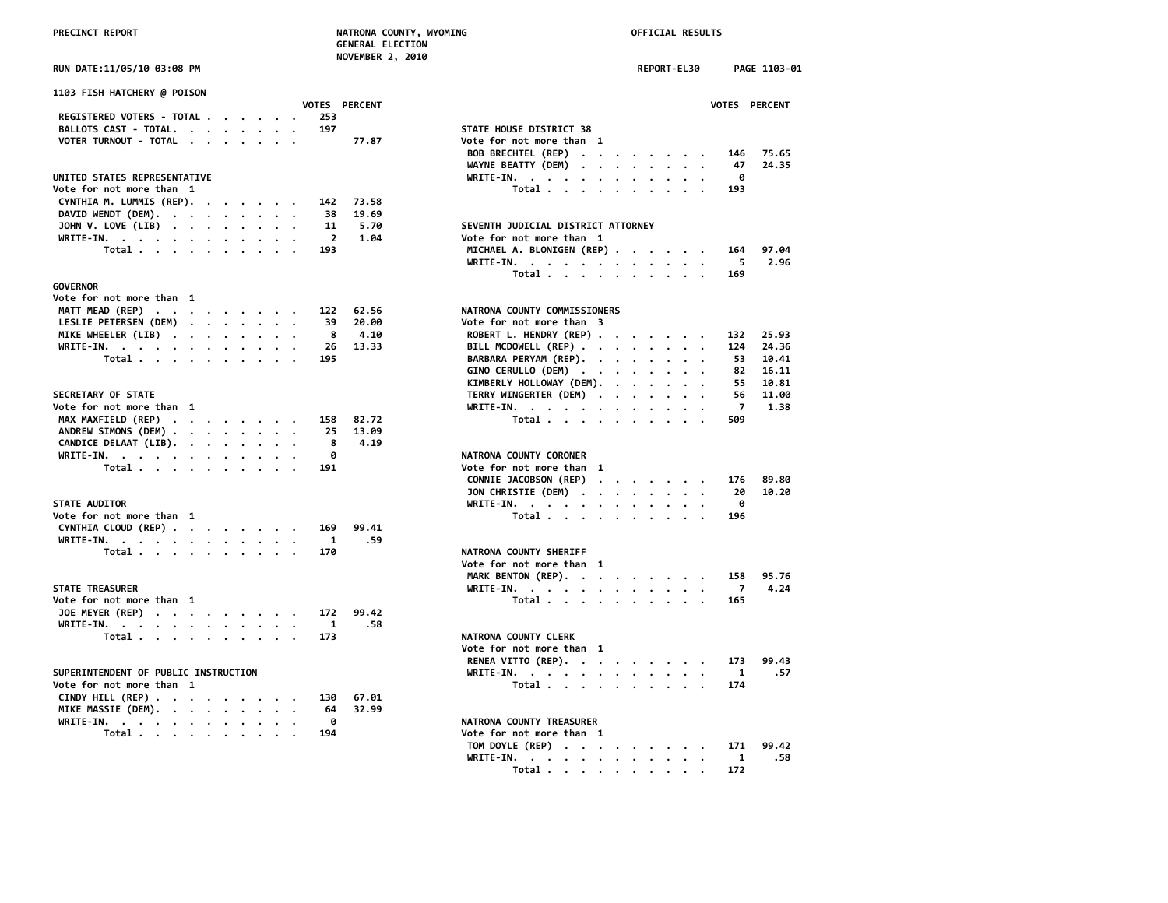**NOVEMBER 2, 2010**

| 1103 FISH HATCHERY @ POISON          |  |  |                |               |                                                                                                                |              |
|--------------------------------------|--|--|----------------|---------------|----------------------------------------------------------------------------------------------------------------|--------------|
|                                      |  |  |                | VOTES PERCENT |                                                                                                                | <b>VOTES</b> |
| REGISTERED VOTERS - TOTAL            |  |  | 253            |               |                                                                                                                |              |
| BALLOTS CAST - TOTAL.                |  |  | 197            |               | STATE HOUSE DISTRICT 38                                                                                        |              |
| VOTER TURNOUT - TOTAL                |  |  |                | 77.87         | Vote for not more than 1                                                                                       |              |
|                                      |  |  |                |               | BOB BRECHTEL (REP)                                                                                             | 146          |
|                                      |  |  |                |               | WAYNE BEATTY (DEM)<br>$\cdot$ $\cdot$                                                                          | 47           |
| UNITED STATES REPRESENTATIVE         |  |  |                |               | $WRITE-IN.$<br>$\cdot$ $\cdot$ $\cdot$ $\cdot$                                                                 | 0            |
| Vote for not more than 1             |  |  |                |               | Total                                                                                                          | 193          |
| CYNTHIA M. LUMMIS (REP).             |  |  | 142            | 73.58         |                                                                                                                |              |
| DAVID WENDT (DEM).                   |  |  | 38             | 19.69         |                                                                                                                |              |
| JOHN V. LOVE (LIB)                   |  |  | 11             | 5.70          | SEVENTH JUDICIAL DISTRICT ATTORNEY                                                                             |              |
| WRITE-IN.                            |  |  | $\overline{2}$ | 1.04          | Vote for not more than 1                                                                                       |              |
| Total                                |  |  | 193            |               | MICHAEL A. BLONIGEN (REP)                                                                                      | 164          |
|                                      |  |  |                |               |                                                                                                                | 5            |
|                                      |  |  |                |               | WRITE-IN.                                                                                                      |              |
|                                      |  |  |                |               | Total                                                                                                          | 169          |
| <b>GOVERNOR</b>                      |  |  |                |               |                                                                                                                |              |
| Vote for not more than 1             |  |  |                |               |                                                                                                                |              |
| MATT MEAD (REP)                      |  |  | 122            | 62.56         | NATRONA COUNTY COMMISSIONERS                                                                                   |              |
| LESLIE PETERSEN (DEM)                |  |  | 39             | 20.00         | Vote for not more than 3                                                                                       |              |
| MIKE WHEELER (LIB)                   |  |  | 8              | 4.10          | ROBERT L. HENDRY (REP)                                                                                         | 132          |
| WRITE-IN.                            |  |  | 26             | 13.33         | BILL MCDOWELL (REP)                                                                                            | 124          |
| Total                                |  |  | 195            |               | BARBARA PERYAM (REP).                                                                                          | 53           |
|                                      |  |  |                |               | GINO CERULLO (DEM)                                                                                             | 82           |
|                                      |  |  |                |               | KIMBERLY HOLLOWAY (DEM).                                                                                       | 55           |
| SECRETARY OF STATE                   |  |  |                |               | TERRY WINGERTER (DEM)                                                                                          | 56           |
| Vote for not more than 1             |  |  |                |               | WRITE-IN.                                                                                                      | 7            |
| MAX MAXFIELD (REP)                   |  |  | 158            | 82.72         | Total                                                                                                          | 509          |
| ANDREW SIMONS (DEM)                  |  |  | 25             | 13.09         |                                                                                                                |              |
|                                      |  |  | 8              | 4.19          |                                                                                                                |              |
| CANDICE DELAAT (LIB).                |  |  |                |               |                                                                                                                |              |
| WRITE-IN.                            |  |  | ø              |               | NATRONA COUNTY CORONER                                                                                         |              |
| Total                                |  |  | 191            |               | Vote for not more than 1                                                                                       |              |
|                                      |  |  |                |               | CONNIE JACOBSON (REP)<br>$\mathcal{A}=\mathcal{A}=\mathcal{A}=\mathcal{A}=\mathcal{A}=\mathcal{A}=\mathcal{A}$ | 176          |
|                                      |  |  |                |               | JON CHRISTIE (DEM)                                                                                             | -20          |
| <b>STATE AUDITOR</b>                 |  |  |                |               | WRITE-IN.                                                                                                      | 0            |
| Vote for not more than 1             |  |  |                |               | Total                                                                                                          | 196          |
| CYNTHIA CLOUD (REP)                  |  |  | 169            | 99.41         |                                                                                                                |              |
| WRITE-IN.                            |  |  | $\mathbf{1}$   | .59           |                                                                                                                |              |
| Total                                |  |  | 170            |               | NATRONA COUNTY SHERIFF                                                                                         |              |
|                                      |  |  |                |               | Vote for not more than 1                                                                                       |              |
|                                      |  |  |                |               | MARK BENTON (REP).                                                                                             | 158          |
| <b>STATE TREASURER</b>               |  |  |                |               | WRITE-IN.                                                                                                      | - 7          |
| Vote for not more than 1             |  |  |                |               | Total                                                                                                          | 165          |
|                                      |  |  |                | 99.42         |                                                                                                                |              |
| JOE MEYER (REP)                      |  |  | 172            |               |                                                                                                                |              |
| WRITE-IN.                            |  |  | 1              | .58           |                                                                                                                |              |
| Total                                |  |  | 173            |               | <b>NATRONA COUNTY CLERK</b>                                                                                    |              |
|                                      |  |  |                |               | Vote for not more than 1                                                                                       |              |
|                                      |  |  |                |               | RENEA VITTO (REP).                                                                                             | 173          |
| SUPERINTENDENT OF PUBLIC INSTRUCTION |  |  |                |               | WRITE-IN.                                                                                                      | 1            |
| Vote for not more than 1             |  |  |                |               | Total                                                                                                          | 174          |
| CINDY HILL $(REP)$                   |  |  | 130            | 67.01         |                                                                                                                |              |
| MIKE MASSIE (DEM).                   |  |  | 64             | 32.99         |                                                                                                                |              |
| WRITE-IN.                            |  |  | 0              |               | NATRONA COUNTY TREASURER                                                                                       |              |
| Total                                |  |  | 194            |               | Vote for not more than 1                                                                                       |              |
| $\sim$ $\sim$                        |  |  |                |               |                                                                                                                |              |

| <b>RUN DATE:11/05/10 03:08 PM</b>                                                  | REPORT-EL30<br>PAGE 1103-01                      |
|------------------------------------------------------------------------------------|--------------------------------------------------|
| <b>1103 FISH HATCHERY @ POISON</b>                                                 |                                                  |
| <b>VOTES PERCENT</b>                                                               | VOTES PERCENT                                    |
| REGISTERED VOTERS - TOTAL<br>253                                                   |                                                  |
| BALLOTS CAST - TOTAL.<br>197                                                       | STATE HOUSE DISTRICT 38                          |
| VOTER TURNOUT - TOTAL<br>77.87                                                     | Vote for not more than 1                         |
|                                                                                    | BOB BRECHTEL (REP)<br>75.65<br>146               |
|                                                                                    | WAYNE BEATTY (DEM)<br>47<br>24.35                |
| UNITED STATES REPRESENTATIVE                                                       | WRITE-IN.<br>0                                   |
| Vote for not more than 1                                                           | Total<br>193                                     |
| CYNTHIA M. LUMMIS (REP).<br>73.58<br>142                                           |                                                  |
| DAVID WENDT (DEM).<br>38<br>19.69                                                  |                                                  |
| 5.70<br>JOHN V. LOVE (LIB)<br>11                                                   | SEVENTH JUDICIAL DISTRICT ATTORNEY               |
| WRITE-IN.<br>$\overline{2}$<br>1.04                                                | Vote for not more than 1                         |
| Total<br>193                                                                       | MICHAEL A. BLONIGEN (REP)<br>97.04<br>164        |
|                                                                                    | 2.96<br>WRITE-IN.<br>5                           |
|                                                                                    | Total $\cdots$ $\cdots$ $\cdots$ $\cdots$<br>169 |
| <b>GOVERNOR</b>                                                                    |                                                  |
| Vote for not more than 1                                                           |                                                  |
| MATT MEAD (REP)<br>62.56<br>122                                                    | NATRONA COUNTY COMMISSIONERS                     |
| LESLIE PETERSEN (DEM)<br>39<br>20.00                                               | Vote for not more than 3                         |
| 4.10<br>MIKE WHEELER (LIB)<br>8                                                    | ROBERT L. HENDRY (REP)<br>25.93<br>132           |
| WRITE-IN.<br>26<br>13.33                                                           | BILL MCDOWELL (REP)<br>24.36<br>124              |
| Total<br>195                                                                       | BARBARA PERYAM (REP).<br>53<br>10.41             |
|                                                                                    | GINO CERULLO (DEM)<br>16.11<br>82                |
|                                                                                    | KIMBERLY HOLLOWAY (DEM).<br>55<br>10.81          |
| <b>SECRETARY OF STATE</b>                                                          | TERRY WINGERTER (DEM)<br>11.00<br>56             |
| Vote for not more than 1                                                           | 7<br>1.38<br>WRITE-IN.                           |
| MAX MAXFIELD (REP)<br>158<br>82.72                                                 | Total<br>509                                     |
| ANDREW SIMONS (DEM)<br>13.09<br>25                                                 |                                                  |
| CANDICE DELAAT (LIB).<br>8<br>4.19                                                 |                                                  |
| 0                                                                                  | NATRONA COUNTY CORONER                           |
| WRITE-IN.                                                                          |                                                  |
| Total $\cdots$ $\cdots$ $\cdots$ $\cdots$<br>191                                   | Vote for not more than 1                         |
|                                                                                    | CONNIE JACOBSON (REP)<br>176<br>89.80            |
|                                                                                    | JON CHRISTIE (DEM)<br>10.20<br>20                |
| <b>STATE AUDITOR</b>                                                               | WRITE-IN.<br>ø                                   |
| Vote for not more than 1                                                           | Total<br>196                                     |
| CYNTHIA CLOUD (REP)<br>99.41<br>169                                                |                                                  |
| WRITE-IN.<br>1<br>.59                                                              |                                                  |
| Total<br>170                                                                       | NATRONA COUNTY SHERIFF                           |
|                                                                                    | Vote for not more than 1                         |
|                                                                                    | MARK BENTON (REP).<br>95.76<br>158               |
| <b>STATE TREASURER</b>                                                             | WRITE-IN.<br>7<br>4.24                           |
| Vote for not more than 1                                                           | Total<br>165                                     |
| JOE MEYER (REP)<br>172<br>99.42                                                    |                                                  |
| WRITE-IN.<br>$\mathbf{1}$<br>.58                                                   |                                                  |
| Total<br>173                                                                       | NATRONA COUNTY CLERK                             |
|                                                                                    | Vote for not more than 1                         |
|                                                                                    | RENEA VITTO (REP).<br>173<br>99.43               |
| SUPERINTENDENT OF PUBLIC INSTRUCTION                                               | WRITE-IN.<br>.57<br>1                            |
| Vote for not more than 1                                                           | Total<br>174                                     |
| CINDY HILL (REP) $\cdot \cdot \cdot \cdot \cdot \cdot \cdot \cdot$<br>130<br>67.01 |                                                  |
| MIKE MASSIE (DEM).<br>64<br>32.99                                                  |                                                  |
| WRITE-IN.<br>0<br>$\cdot$ $\cdot$ $\cdot$                                          | NATRONA COUNTY TREASURER                         |
| 194                                                                                | Vote for not more than 1                         |
| Total                                                                              | 99.42                                            |
|                                                                                    | TOM DOYLE (REP)<br>171                           |
|                                                                                    | WRITE-IN.<br>.58<br>1                            |
|                                                                                    | Total<br>172                                     |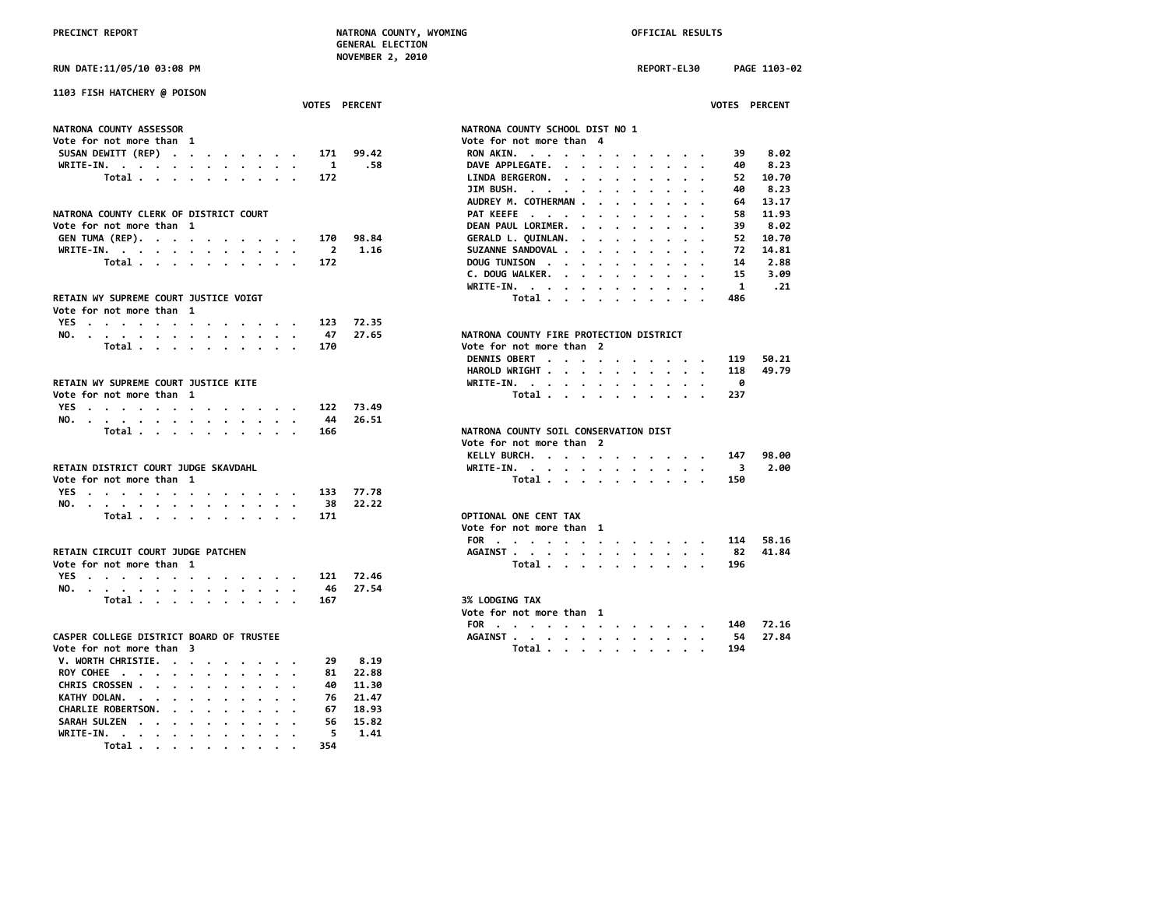**RUN DATE:11/05/10 03:08 PM REPORT-EL30 PAGE 1103-02**

| NON DAIL, 11/03/10 03.00 FM                       |         |           |                                 |               |               |         |                         |               | <b>INLEVINE LLJV</b>                                            |              |
|---------------------------------------------------|---------|-----------|---------------------------------|---------------|---------------|---------|-------------------------|---------------|-----------------------------------------------------------------|--------------|
| 1103 FISH HATCHERY @ POISON                       |         |           |                                 |               |               |         |                         |               |                                                                 |              |
|                                                   |         |           |                                 |               |               |         |                         | VOTES PERCENT |                                                                 | <b>VOTES</b> |
| NATRONA COUNTY ASSESSOR                           |         |           |                                 |               |               |         |                         |               | NATRONA COUNTY SCHOOL DIST NO 1                                 |              |
| Vote for not more than 1                          |         |           |                                 |               |               |         |                         |               | Vote for not more than 4                                        |              |
| SUSAN DEWITT (REP)                                |         |           |                                 |               |               |         | 171                     | 99.42         | RON AKIN.                                                       | 39           |
| WRITE-IN.                                         |         |           |                                 |               |               |         | $\blacksquare$          | .58           | DAVE APPLEGATE.<br>$\sim$ $\sim$ $\sim$                         | 40           |
|                                                   |         |           |                                 |               |               |         |                         |               |                                                                 |              |
| Total                                             |         |           |                                 |               |               |         | 172                     |               | LINDA BERGERON.<br>$\sim$                                       | 52           |
|                                                   |         |           |                                 |               |               |         |                         |               | JIM BUSH.<br>$\cdot$ $\cdot$<br>$\cdot$<br>$\bullet$<br>$\cdot$ | 40           |
|                                                   |         |           |                                 |               |               |         |                         |               | AUDREY M. COTHERMAN.<br>$\sim$ $\sim$                           | 64           |
| NATRONA COUNTY CLERK OF DISTRICT COURT            |         |           |                                 |               |               |         |                         |               | PAT KEEFE                                                       | 58           |
| Vote for not more than 1                          |         |           |                                 |               |               |         |                         |               | DEAN PAUL LORIMER.<br>$\cdot$ $\cdot$ $\cdot$                   | 39           |
| GEN TUMA (REP).                                   |         |           |                                 | $\sim$ $\sim$ |               |         | 170                     | 98.84         | GERALD L. QUINLAN.                                              | 52           |
| WRITE-IN.                                         |         |           |                                 |               |               |         | $\overline{\mathbf{2}}$ | 1.16          | SUZANNE SANDOVAL.                                               | 72           |
| Total                                             |         |           | $\cdot$                         |               |               |         | 172                     |               | DOUG TUNISON<br>$\bullet$                                       | 14           |
|                                                   |         |           |                                 |               |               |         |                         |               | C. DOUG WALKER.                                                 | 15           |
|                                                   |         |           |                                 |               |               |         |                         |               | WRITE-IN.                                                       | $\mathbf{1}$ |
| RETAIN WY SUPREME COURT JUSTICE VOIGT             |         |           |                                 |               |               |         |                         |               | Total                                                           | 486          |
| Vote for not more than 1                          |         |           |                                 |               |               |         |                         |               |                                                                 |              |
| YES                                               |         |           |                                 |               |               |         | 123                     | 72.35         |                                                                 |              |
|                                                   |         | .         |                                 |               |               |         |                         |               | NATRONA COUNTY FIRE PROTECTION DISTRICT                         |              |
| NO.                                               |         | $\sim$    | $\cdot$ $\cdot$ $\cdot$ $\cdot$ |               |               |         | 47                      | 27.65         | Vote for not more than 2                                        |              |
| Total                                             |         |           |                                 |               |               |         | 170                     |               |                                                                 |              |
|                                                   |         |           |                                 |               |               |         |                         |               | DENNIS OBERT                                                    | 119          |
|                                                   |         |           |                                 |               |               |         |                         |               | HAROLD WRIGHT                                                   | 118          |
| RETAIN WY SUPREME COURT JUSTICE KITE              |         |           |                                 |               |               |         |                         |               | WRITE-IN.                                                       | 0            |
| Vote for not more than 1                          |         |           |                                 |               |               |         |                         |               | Total<br>$\cdot$<br>$\cdot$<br>$\cdot$                          | 237          |
| YES                                               |         |           |                                 |               |               |         | 122                     | 73.49         |                                                                 |              |
| NO.                                               |         |           |                                 |               |               |         | 44                      | 26.51         |                                                                 |              |
| Total                                             |         |           | $\sim$                          |               | $\sim$ $\sim$ |         | 166                     |               | NATRONA COUNTY SOIL CONSERVATION DIST                           |              |
|                                                   |         |           |                                 |               |               |         |                         |               | Vote for not more than 2                                        |              |
|                                                   |         |           |                                 |               |               |         |                         |               | KELLY BURCH.                                                    | 147          |
| RETAIN DISTRICT COURT JUDGE SKAVDAHL              |         |           |                                 |               |               |         |                         |               | WRITE-IN.<br>$\cdot$ .                                          | 3            |
| Vote for not more than 1                          |         |           |                                 |               |               |         |                         |               | Total                                                           | 150          |
| YES                                               |         |           |                                 |               |               |         | 133                     | 77.78         |                                                                 |              |
| NO.                                               |         |           |                                 |               |               |         | - 38                    | 22.22         |                                                                 |              |
| Total                                             |         |           |                                 |               |               |         | 171                     |               | OPTIONAL ONE CENT TAX                                           |              |
|                                                   |         |           |                                 |               |               |         |                         |               | Vote for not more than 1                                        |              |
|                                                   |         |           |                                 |               |               |         |                         |               |                                                                 | 114          |
| RETAIN CIRCUIT COURT JUDGE PATCHEN                |         |           |                                 |               |               |         |                         |               | FOR                                                             | -82          |
|                                                   |         |           |                                 |               |               |         |                         |               | AGAINST                                                         |              |
| Vote for not more than 1                          |         |           |                                 |               |               |         |                         |               | Total<br>$\cdot$<br>$\cdot$                                     | 196          |
| YES                                               |         | $\cdot$ . |                                 | $\cdots$      |               |         | 121                     | 72.46         |                                                                 |              |
| NO.                                               |         |           |                                 |               |               |         | 46                      | 27.54         |                                                                 |              |
| Total                                             |         |           | $\cdot$ $\cdot$ $\cdot$ $\cdot$ |               |               |         | 167                     |               | <b>3% LODGING TAX</b>                                           |              |
|                                                   |         |           |                                 |               |               |         |                         |               | Vote for not more than 1                                        |              |
|                                                   |         |           |                                 |               |               |         |                         |               | FOR                                                             | 140          |
| CASPER COLLEGE DISTRICT BOARD OF TRUSTEE          |         |           |                                 |               |               |         |                         |               | AGAINST<br>$\ddotsc$                                            | -54          |
| Vote for not more than 3                          |         |           |                                 |               |               |         |                         |               | Total                                                           | 194          |
| V. WORTH CHRISTIE.                                |         |           |                                 |               |               |         | 29                      | 8.19          |                                                                 |              |
| ROY COHEE                                         |         |           |                                 |               |               | $\cdot$ | 81                      | 22.88         |                                                                 |              |
| CHRIS CROSSEN .<br>$\cdot$<br>$\cdot$ $\cdot$     |         |           |                                 |               |               |         | 40                      | 11.30         |                                                                 |              |
| KATHY DOLAN.                                      | $\cdot$ | $\cdot$   |                                 |               |               |         | 76                      | 21.47         |                                                                 |              |
| CHARLIE ROBERTSON.<br>$\ddot{\phantom{a}}$        |         |           |                                 |               |               |         | 67                      | 18.93         |                                                                 |              |
| <b>SARAH SULZEN</b><br>$\sim$ $\sim$<br>$\cdot$ . |         |           |                                 |               |               |         | 56                      | 15.82         |                                                                 |              |
| WRITE-IN. .                                       |         |           |                                 |               |               |         | 5                       | 1.41          |                                                                 |              |
|                                                   |         |           |                                 |               |               |         |                         |               |                                                                 |              |

 **Total . . . . . . . . . . 354**

| <b>1103 FISH HATCHERY @ POISON</b>                                                                                                |                        |                                                                                                            |
|-----------------------------------------------------------------------------------------------------------------------------------|------------------------|------------------------------------------------------------------------------------------------------------|
|                                                                                                                                   | VOTES PERCENT          | VOTES PERCENT                                                                                              |
| <b>NATRONA COUNTY ASSESSOR</b>                                                                                                    |                        | NATRONA COUNTY SCHOOL DIST NO 1                                                                            |
| Vote for not more than 1                                                                                                          |                        | Vote for not more than 4                                                                                   |
| SUSAN DEWITT (REP)<br>171                                                                                                         | 99.42                  | 8.02<br>RON AKIN.<br>39                                                                                    |
| WRITE-IN.<br>$\mathbf{r}$ , and $\mathbf{r}$ , and $\mathbf{r}$ , and $\mathbf{r}$ , and $\mathbf{r}$<br>$\overline{\phantom{a}}$ | 1<br>.58               | DAVE APPLEGATE.<br>40<br>8.23                                                                              |
| Total<br>172                                                                                                                      |                        | 10.70<br>LINDA BERGERON.<br>52<br>$\cdots$                                                                 |
|                                                                                                                                   |                        | 8.23<br>JIM BUSH.<br>40                                                                                    |
|                                                                                                                                   |                        | AUDREY M. COTHERMAN<br>13.17                                                                               |
|                                                                                                                                   |                        | 64                                                                                                         |
| NATRONA COUNTY CLERK OF DISTRICT COURT                                                                                            |                        | PAT KEEFE<br>11.93<br>58                                                                                   |
| Vote for not more than 1                                                                                                          |                        | DEAN PAUL LORIMER.<br>8.02<br>39<br>$\mathbf{r}$ . The set of the set of $\mathbf{r}$                      |
| GEN TUMA (REP).<br>170                                                                                                            | 98.84                  | GERALD L. QUINLAN.<br>52<br>10.70<br>$\mathbf{r}$ , and $\mathbf{r}$ , and $\mathbf{r}$ , and $\mathbf{r}$ |
| WRITE-IN.                                                                                                                         | $\overline{2}$<br>1.16 | SUZANNE SANDOVAL<br>72<br>14.81                                                                            |
| Total<br>172                                                                                                                      |                        | DOUG TUNISON<br>14<br>2.88                                                                                 |
|                                                                                                                                   |                        | C. DOUG WALKER.<br>15<br>3.09                                                                              |
|                                                                                                                                   |                        | 1<br>.21<br>WRITE-IN.                                                                                      |
| RETAIN WY SUPREME COURT JUSTICE VOIGT                                                                                             |                        | Total<br>486                                                                                               |
| Vote for not more than 1                                                                                                          |                        |                                                                                                            |
| YES<br>123<br>$\sim$                                                                                                              | 72.35                  |                                                                                                            |
| 47<br>NO.                                                                                                                         | 27.65                  | NATRONA COUNTY FIRE PROTECTION DISTRICT                                                                    |
| Total<br>170                                                                                                                      |                        | Vote for not more than 2                                                                                   |
|                                                                                                                                   |                        | DENNIS OBERT<br>119<br>50.21                                                                               |
|                                                                                                                                   |                        | 49.79<br>HAROLD WRIGHT<br>118<br>$\sim$ $\sim$                                                             |
| RETAIN WY SUPREME COURT JUSTICE KITE                                                                                              |                        | WRITE-IN.<br>ø                                                                                             |
| Vote for not more than 1                                                                                                          |                        | Total<br>237                                                                                               |
| YES<br>122                                                                                                                        | 73.49                  |                                                                                                            |
| 44<br>NO.                                                                                                                         | 26.51                  |                                                                                                            |
| Total<br>166                                                                                                                      |                        | NATRONA COUNTY SOIL CONSERVATION DIST                                                                      |
|                                                                                                                                   |                        | Vote for not more than 2                                                                                   |
|                                                                                                                                   |                        |                                                                                                            |
|                                                                                                                                   |                        | KELLY BURCH.<br>98.00<br>147                                                                               |
| RETAIN DISTRICT COURT JUDGE SKAVDAHL                                                                                              |                        | WRITE-IN.<br>2.00<br>3                                                                                     |
| Vote for not more than 1                                                                                                          |                        | Total<br>150                                                                                               |
| YES<br>133                                                                                                                        | 77.78                  |                                                                                                            |
| NO.<br>38                                                                                                                         | 22.22                  |                                                                                                            |
| Total $\cdots$ $\cdots$ $\cdots$<br>171                                                                                           |                        | OPTIONAL ONE CENT TAX                                                                                      |
|                                                                                                                                   |                        | Vote for not more than 1                                                                                   |
|                                                                                                                                   |                        | FOR<br>58.16<br>114                                                                                        |
| RETAIN CIRCUIT COURT JUDGE PATCHEN                                                                                                |                        | 41.84<br>AGAINST<br>82                                                                                     |
| Vote for not more than  1                                                                                                         |                        | Total<br>196                                                                                               |
| YES<br>121<br>$\overline{\phantom{a}}$                                                                                            | 72.46                  |                                                                                                            |
| 46<br>NO.                                                                                                                         | 27.54                  |                                                                                                            |
| Total $\cdots$ $\cdots$ $\cdots$ $\cdots$<br>167                                                                                  |                        | 3% LODGING TAX                                                                                             |
|                                                                                                                                   |                        | Vote for not more than 1                                                                                   |
|                                                                                                                                   |                        | 72.16<br>FOR<br>140                                                                                        |
| CASPER COLLEGE DISTRICT BOARD OF TRUSTEE                                                                                          |                        | 54<br>27.84<br>AGAINST                                                                                     |
| Vote for not more than  3                                                                                                         |                        | Total<br>194                                                                                               |
| V. WORTH CHRISTIE.<br>29                                                                                                          | 8.19                   |                                                                                                            |
|                                                                                                                                   |                        |                                                                                                            |
| ROY COHEE                                                                                                                         | 81<br>22.88            |                                                                                                            |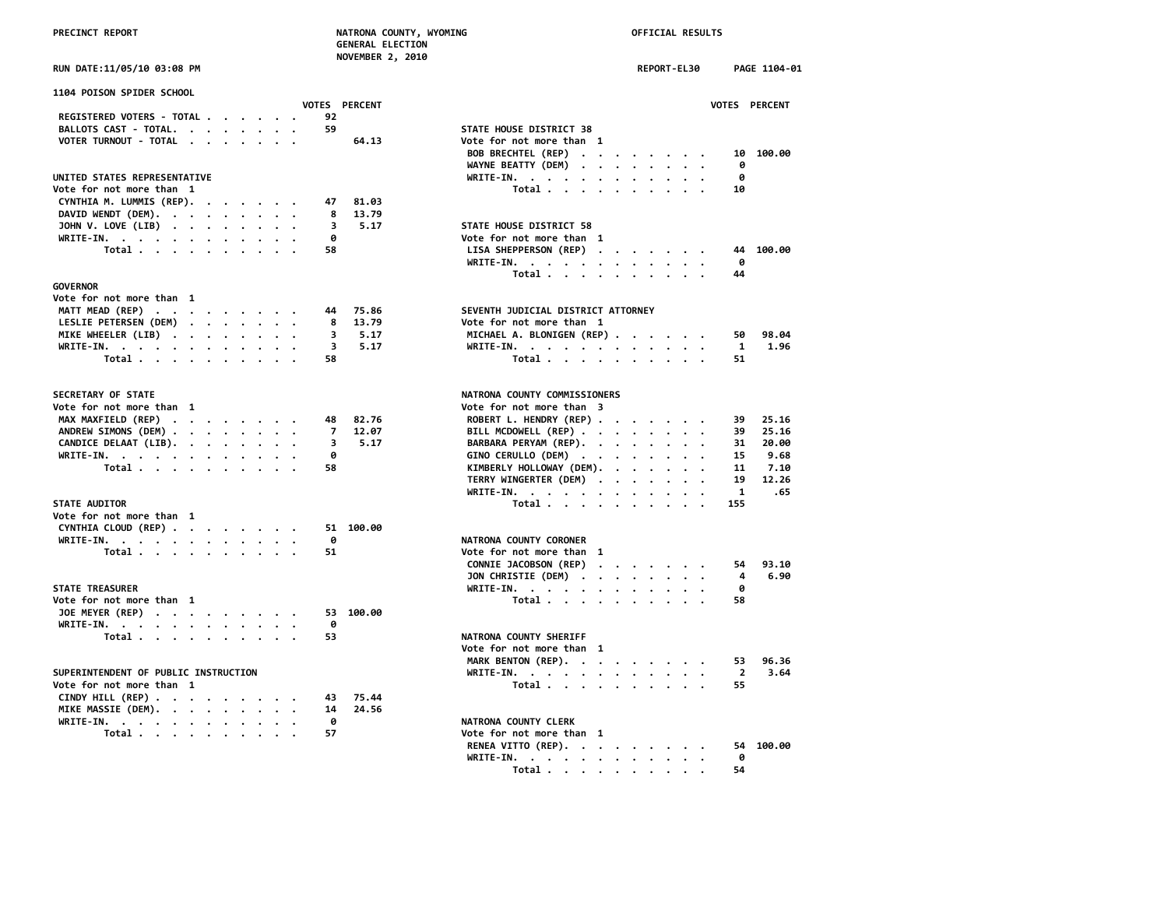**NOVEMBER 2, 2010**

|  | UN DATE:11/05/10 03:08 PM |  |
|--|---------------------------|--|
|  |                           |  |

| 1104 POISON SPIDER SCHOOL<br>VOTES PERCENT                 | <b>VOTES</b>                                                       |
|------------------------------------------------------------|--------------------------------------------------------------------|
| REGISTERED VOTERS - TOTAL<br>92                            |                                                                    |
| BALLOTS CAST - TOTAL.<br>59                                | STATE HOUSE DISTRICT 38                                            |
| VOTER TURNOUT - TOTAL                                      | 64.13<br>Vote for not more than 1                                  |
|                                                            | 10<br>BOB BRECHTEL (REP)<br>$\cdots$                               |
|                                                            | WAYNE BEATTY (DEM)<br>ø<br>$\cdot$ $\cdot$ $\cdot$ $\cdot$ $\cdot$ |
| UNITED STATES REPRESENTATIVE                               | WRITE-IN.<br>0                                                     |
| Vote for not more than 1                                   | $\cdot$<br>Total<br>10                                             |
|                                                            |                                                                    |
| CYNTHIA M. LUMMIS (REP).<br>47                             | 81.03                                                              |
| DAVID WENDT (DEM).<br>8                                    | 13.79                                                              |
| JOHN V. LOVE (LIB)<br>3                                    | STATE HOUSE DISTRICT 58<br>5.17                                    |
| WRITE-IN.<br>ø                                             | Vote for not more than 1                                           |
| Total<br>58                                                | LISA SHEPPERSON (REP)<br>44                                        |
|                                                            | 0<br>WRITE-IN.                                                     |
|                                                            | Total $\cdots$ $\cdots$ $\cdots$<br>44                             |
| <b>GOVERNOR</b>                                            |                                                                    |
| Vote for not more than 1                                   |                                                                    |
| MATT MEAD (REP)<br>44                                      | SEVENTH JUDICIAL DISTRICT ATTORNEY<br>75.86                        |
| LESLIE PETERSEN (DEM)<br>8                                 | 13.79<br>Vote for not more than 1                                  |
| MIKE WHEELER (LIB)<br>3                                    | 5.17<br>MICHAEL A. BLONIGEN (REP)<br>50                            |
| WRITE-IN.<br>3<br>$\cdot$                                  | 5.17<br>1                                                          |
| Total<br>58                                                | WRITE-IN.<br>$\cdot$ $\cdot$<br>Total<br>51                        |
|                                                            |                                                                    |
| <b>SECRETARY OF STATE</b>                                  | NATRONA COUNTY COMMISSIONERS                                       |
| Vote for not more than 1                                   | Vote for not more than 3                                           |
| MAX MAXFIELD (REP)<br>48                                   | 82.76<br>ROBERT L. HENDRY (REP)<br>39                              |
| ANDREW SIMONS (DEM)<br>7                                   | 12.07<br>BILL MCDOWELL (REP)<br>39                                 |
| CANDICE DELAAT (LIB).<br>3<br>$\cdot$                      | 5.17<br>BARBARA PERYAM (REP).<br>31<br>$\cdot$                     |
| ø                                                          | 15                                                                 |
| WRITE-IN.                                                  | GINO CERULLO (DEM)                                                 |
| Total<br>58                                                | KIMBERLY HOLLOWAY (DEM).<br>11                                     |
|                                                            | TERRY WINGERTER (DEM)<br>19                                        |
|                                                            | WRITE-IN.<br>1                                                     |
| <b>STATE AUDITOR</b>                                       | Total<br>155                                                       |
| Vote for not more than 1                                   |                                                                    |
| CYNTHIA CLOUD (REP)<br>51 100.00                           |                                                                    |
| WRITE-IN.<br>0                                             | NATRONA COUNTY CORONER                                             |
| Total<br>51                                                | Vote for not more than 1                                           |
|                                                            | CONNIE JACOBSON (REP)<br>54<br>$\cdots$                            |
|                                                            | JON CHRISTIE (DEM)<br>4<br>$\cdot$ .                               |
| STATE TREASURER                                            | WRITE-IN.<br>0                                                     |
| Vote for not more than 1                                   | Total<br>58                                                        |
| 53 100.00<br>JOE MEYER (REP)                               |                                                                    |
| 0                                                          |                                                                    |
| WRITE-IN.                                                  |                                                                    |
| Total<br>53                                                | NATRONA COUNTY SHERIFF                                             |
|                                                            | Vote for not more than 1                                           |
|                                                            | MARK BENTON (REP).<br>53                                           |
| SUPERINTENDENT OF PUBLIC INSTRUCTION                       | $\overline{\mathbf{z}}$<br>WRITE-IN.                               |
| Vote for not more than 1                                   | Total $\cdots$ $\cdots$ $\cdots$<br>55                             |
| CINDY HILL (REP) $\cdots$ $\cdots$ $\cdots$ $\cdots$<br>43 | 75.44                                                              |
| MIKE MASSIE (DEM).<br>14<br>$\cdot$                        | 24.56                                                              |
| WRITE-IN.<br>0                                             | NATRONA COUNTY CLERK                                               |
| 57<br>Total                                                | Vote for not more than 1                                           |
|                                                            |                                                                    |

| RUN DATE:11/05/10 03:08 PM                              | REPORT-EL30                                   | PAGE 1104-01 |
|---------------------------------------------------------|-----------------------------------------------|--------------|
| <b>1104 POISON SPIDER SCHOOL</b>                        |                                               |              |
| <b>VOTES PERCENT</b><br>REGISTERED VOTERS - TOTAL<br>92 | VOTES PERCENT                                 |              |
| BALLOTS CAST - TOTAL.<br>59                             | STATE HOUSE DISTRICT 38                       |              |
| VOTER TURNOUT - TOTAL<br>64.13                          | Vote for not more than 1                      |              |
|                                                         |                                               | 10 100.00    |
|                                                         | BOB BRECHTEL (REP)<br>WAYNE BEATTY (DEM)<br>ø |              |
| UNITED STATES REPRESENTATIVE                            | 0                                             |              |
|                                                         | WRITE-IN.                                     |              |
| Vote for not more than 1                                | Total<br>10                                   |              |
| CYNTHIA M. LUMMIS (REP).<br>47<br>81.03                 |                                               |              |
| DAVID WENDT (DEM).<br>13.79<br>8                        |                                               |              |
| JOHN V. LOVE (LIB)<br>5.17<br>3                         | STATE HOUSE DISTRICT 58                       |              |
| WRITE-IN.<br>0                                          | Vote for not more than 1                      |              |
| Total $\cdots$ $\cdots$ $\cdots$ $\cdots$<br>58         | LISA SHEPPERSON (REP)                         | 44 100.00    |
|                                                         | WRITE-IN.<br>0                                |              |
|                                                         | Total<br>44                                   |              |
| GOVERNOR                                                |                                               |              |
| Vote for not more than 1                                |                                               |              |
| MATT MEAD (REP)<br>75.86<br>44                          | SEVENTH JUDICIAL DISTRICT ATTORNEY            |              |
| LESLIE PETERSEN (DEM)<br>8<br>13.79                     | Vote for not more than 1                      |              |
| MIKE WHEELER (LIB)<br>3<br>5.17                         | MICHAEL A. BLONIGEN (REP)<br>50               | 98.04        |
| WRITE-IN.<br>3<br>5.17                                  | WRITE-IN.<br>1                                | 1.96         |
| Total<br>58                                             | Total<br>51                                   |              |
|                                                         |                                               |              |
| <b>SECRETARY OF STATE</b>                               | NATRONA COUNTY COMMISSIONERS                  |              |
| Vote for not more than 1                                | Vote for not more than 3                      |              |
| MAX MAXFIELD (REP)<br>82.76<br>48                       | ROBERT L. HENDRY (REP)<br>39                  | 25.16        |
| ANDREW SIMONS (DEM)<br>7<br>12.07                       | BILL MCDOWELL (REP)<br>39                     | 25.16        |
| CANDICE DELAAT (LIB).<br>5.17<br>3                      | BARBARA PERYAM (REP).<br>31                   | 20.00        |
| WRITE-IN.<br>0                                          | GINO CERULLO (DEM)<br>15                      | 9.68         |
| Total<br>58                                             | KIMBERLY HOLLOWAY (DEM).<br>11                | 7.10         |
|                                                         | TERRY WINGERTER (DEM)<br>19                   | 12.26        |
|                                                         | 1                                             | .65          |
|                                                         | WRITE-IN.                                     |              |
| <b>STATE AUDITOR</b>                                    | Total<br>155                                  |              |
| Vote for not more than 1                                |                                               |              |
| CYNTHIA CLOUD (REP)<br>51 100.00                        |                                               |              |
| 0<br>WRITE-IN.                                          | NATRONA COUNTY CORONER                        |              |
| Total<br>51                                             | Vote for not more than 1                      |              |
|                                                         | CONNIE JACOBSON (REP)<br>54                   | 93.10        |
|                                                         | JON CHRISTIE (DEM)<br>4                       | 6.90         |
| <b>STATE TREASURER</b>                                  | WRITE-IN.<br>ø                                |              |
| Vote for not more than 1                                | Total<br>58                                   |              |
| JOE MEYER (REP)<br>53 100.00                            |                                               |              |
| WRITE-IN.<br>0                                          |                                               |              |
| Total<br>53                                             | NATRONA COUNTY SHERIFF                        |              |
|                                                         | Vote for not more than 1                      |              |
|                                                         | MARK BENTON (REP).<br>53                      | 96.36        |
| SUPERINTENDENT OF PUBLIC INSTRUCTION                    | WRITE-IN.<br>2                                | 3.64         |
| Vote for not more than 1                                | Total<br>55                                   |              |
| 75.44<br>43                                             |                                               |              |
| CINDY HILL (REP) $\cdots$ $\cdots$ $\cdots$ $\cdots$    |                                               |              |
| MIKE MASSIE (DEM).<br>14<br>24.56                       |                                               |              |
| WRITE-IN.<br>ø                                          | NATRONA COUNTY CLERK                          |              |
| Total<br>57                                             | Vote for not more than 1                      |              |
|                                                         | RENEA VITTO (REP).                            | 54 100.00    |
|                                                         | WRITE-IN.<br>0                                |              |
|                                                         | Total<br>54                                   |              |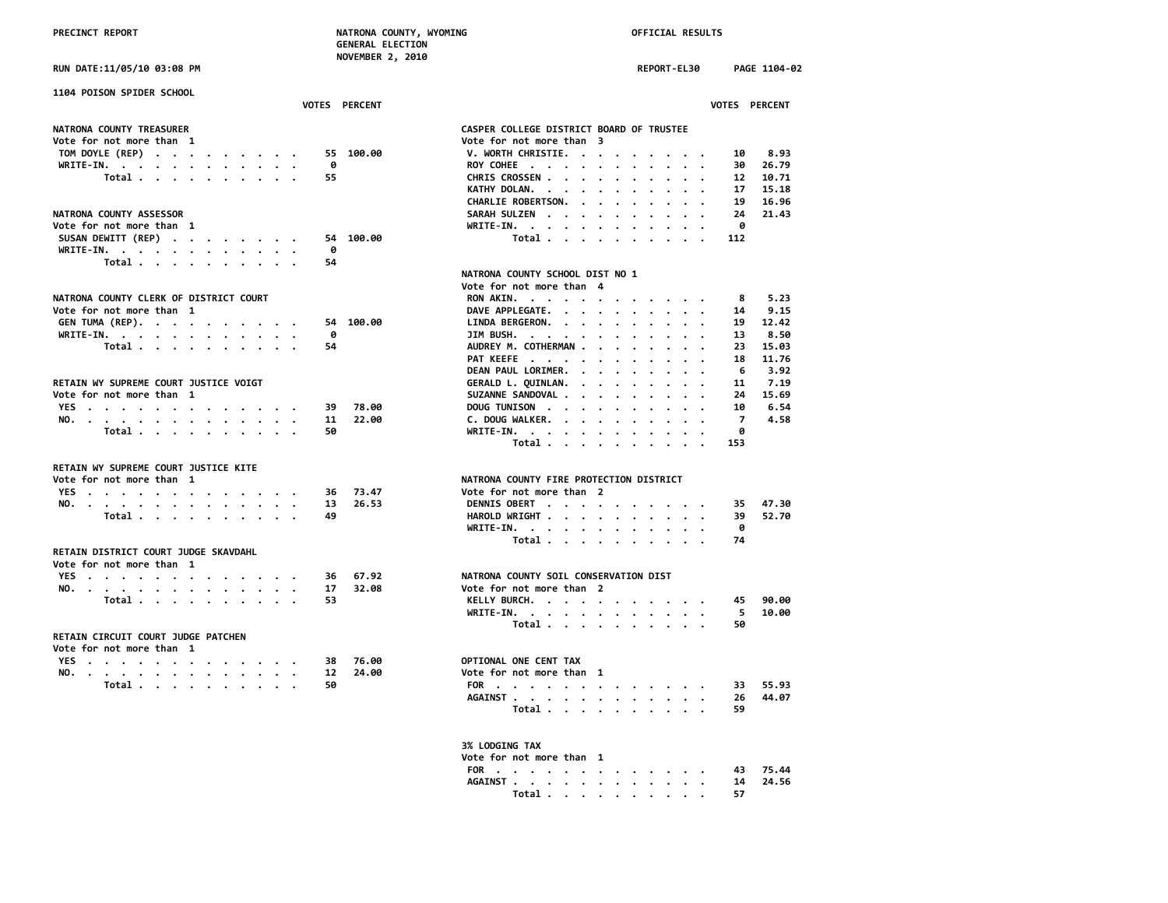**RUN DATE:11/05/10 03:08 PM REPORT-EL30 PAGE 1104-02**

| 1104 POISON SPIDER SCHOOL                                      |     |                      |                                                                                                                                                                                                                                                                        |
|----------------------------------------------------------------|-----|----------------------|------------------------------------------------------------------------------------------------------------------------------------------------------------------------------------------------------------------------------------------------------------------------|
|                                                                |     | <b>VOTES PERCENT</b> | <b>VOTES PERCENT</b>                                                                                                                                                                                                                                                   |
| NATRONA COUNTY TREASURER                                       |     |                      | CASPER COLLEGE DISTRICT BOARD OF TRUSTEE                                                                                                                                                                                                                               |
| Vote for not more than 1                                       |     |                      | Vote for not more than 3                                                                                                                                                                                                                                               |
| TOM DOYLE (REP)                                                | 55. | 100.00               | 8.93<br>V. WORTH CHRISTIE.<br>10                                                                                                                                                                                                                                       |
| WRITE-IN.                                                      | 0   |                      | 26.79<br>ROY COHEE<br>30                                                                                                                                                                                                                                               |
| Total                                                          | 55  |                      | CHRIS CROSSEN<br>12<br>10.71                                                                                                                                                                                                                                           |
|                                                                |     |                      | 15.18<br>KATHY DOLAN.<br>17                                                                                                                                                                                                                                            |
|                                                                |     |                      | 16.96<br>CHARLIE ROBERTSON.<br>19<br>$\sim$ $\sim$ $\sim$ $\sim$                                                                                                                                                                                                       |
| NATRONA COUNTY ASSESSOR                                        |     |                      | SARAH SULZEN<br>24<br>21.43                                                                                                                                                                                                                                            |
| Vote for not more than 1                                       |     |                      | WRITE-IN.<br>A                                                                                                                                                                                                                                                         |
| SUSAN DEWITT (REP)                                             | 54  | 100.00               | 112                                                                                                                                                                                                                                                                    |
| WRITE-IN.                                                      | 0   |                      | Total                                                                                                                                                                                                                                                                  |
| Total                                                          | 54  |                      |                                                                                                                                                                                                                                                                        |
|                                                                |     |                      | NATRONA COUNTY SCHOOL DIST NO 1                                                                                                                                                                                                                                        |
|                                                                |     |                      | Vote for not more than 4                                                                                                                                                                                                                                               |
| NATRONA COUNTY CLERK OF DISTRICT COURT                         |     |                      | 5.23<br>8                                                                                                                                                                                                                                                              |
| Vote for not more than 1                                       |     |                      | RON AKIN.<br>DAVE APPLEGATE.<br>9.15                                                                                                                                                                                                                                   |
|                                                                |     | 54 100.00            | 14<br>LINDA BERGERON.<br>12.42                                                                                                                                                                                                                                         |
| GEN TUMA (REP).                                                | ø   |                      | 19<br>8.50<br>JIM BUSH.<br>13                                                                                                                                                                                                                                          |
| WRITE-IN.<br>Total                                             | 54  |                      | .<br>AUDREY M. COTHERMAN<br>23<br>15.03                                                                                                                                                                                                                                |
|                                                                |     |                      | 11.76<br>18                                                                                                                                                                                                                                                            |
|                                                                |     |                      | PAT KEEFE<br>DEAN PAUL LORIMER.<br>6<br>3.92                                                                                                                                                                                                                           |
| RETAIN WY SUPREME COURT JUSTICE VOIGT                          |     |                      | 7.19                                                                                                                                                                                                                                                                   |
|                                                                |     |                      | GERALD L. QUINLAN.<br>11<br>$\cdots$                                                                                                                                                                                                                                   |
| Vote for not more than 1                                       |     |                      | 15.69<br>SUZANNE SANDOVAL .<br>24<br>$\mathbf{r}$ . The set of the set of the set of the set of the set of the set of the set of the set of the set of the set of the set of the set of the set of the set of the set of the set of the set of the set of the set of t |
| YES                                                            | 39  | 78.00                | 6.54<br>DOUG TUNISON<br>10                                                                                                                                                                                                                                             |
| NO.                                                            | 11  | 22.00                | C. DOUG WALKER.<br>$\overline{7}$<br>4.58                                                                                                                                                                                                                              |
| Total $\cdots$ $\cdots$ $\cdots$                               | 50  |                      | WRITE-IN.<br>ø                                                                                                                                                                                                                                                         |
|                                                                |     |                      | Total<br>153                                                                                                                                                                                                                                                           |
| RETAIN WY SUPREME COURT JUSTICE KITE                           |     |                      |                                                                                                                                                                                                                                                                        |
| Vote for not more than 1                                       |     |                      | NATRONA COUNTY FIRE PROTECTION DISTRICT                                                                                                                                                                                                                                |
| YES                                                            | 36  | 73.47                | Vote for not more than 2                                                                                                                                                                                                                                               |
| NO.                                                            | 13  | 26.53                | 47.30<br>DENNIS OBERT<br>35                                                                                                                                                                                                                                            |
| Total                                                          | 49  |                      | HAROLD WRIGHT<br>52.70<br>39                                                                                                                                                                                                                                           |
|                                                                |     |                      | WRITE-IN.<br>0                                                                                                                                                                                                                                                         |
|                                                                |     |                      | Total<br>74                                                                                                                                                                                                                                                            |
| RETAIN DISTRICT COURT JUDGE SKAVDAHL                           |     |                      |                                                                                                                                                                                                                                                                        |
| Vote for not more than 1                                       |     |                      |                                                                                                                                                                                                                                                                        |
| YES                                                            | 36  | 67.92                | NATRONA COUNTY SOIL CONSERVATION DIST                                                                                                                                                                                                                                  |
| NO.                                                            | 17  | 32.08                | Vote for not more than 2                                                                                                                                                                                                                                               |
| Total                                                          | 53  |                      | 90.00<br>KELLY BURCH.<br>45                                                                                                                                                                                                                                            |
|                                                                |     |                      | 5<br>10.00                                                                                                                                                                                                                                                             |
|                                                                |     |                      | WRITE-IN.<br>$\cdot$ $\cdot$                                                                                                                                                                                                                                           |
|                                                                |     |                      | Total.<br>50                                                                                                                                                                                                                                                           |
| RETAIN CIRCUIT COURT JUDGE PATCHEN<br>Vote for not more than 1 |     |                      |                                                                                                                                                                                                                                                                        |
|                                                                |     |                      |                                                                                                                                                                                                                                                                        |
| YES                                                            | 38  | 76.00                | OPTIONAL ONE CENT TAX                                                                                                                                                                                                                                                  |
| NO.                                                            | 12  | 24.00                | Vote for not more than 1                                                                                                                                                                                                                                               |
| Total $\cdots$ $\cdots$ $\cdots$                               | 50  |                      | 55.93<br>FOR<br>33                                                                                                                                                                                                                                                     |
|                                                                |     |                      | AGAINST<br>44.07<br>26                                                                                                                                                                                                                                                 |
|                                                                |     |                      | Total $\ldots$ $\ldots$ $\ldots$ $\ldots$<br>59                                                                                                                                                                                                                        |

## **IN.** . . . . . . . . . . . . 0<br>**Total** . . . . . . . . . . 112 **COUNTY SCHOOL DIST NO 1 Vote for not more than 1 DAVE APPLEGATE. . . . . . . . . . 14 9.15 M. COTHERMAN . . . . . . . . 23 15.03**<br>EFE . . . . . . . . . . . 18 11.76  **PAT KEEFE . . . . . . . . . . . 18 11.76 DEAN PAUL LORIMER. . . . . . . . . 6 3.92 FOR 1 SANDOVAL . . . . . . . . . . 24 15.69**<br>NISON . . . . . . . . . . . 10 6.54 **WALKER.** . . . . . . . . . . 7 4.58  **Total . . . . . . . . . . 50 WRITE-IN. . . . . . . . . . . . 0 Total . . . . . . . . . . 153 NO. . . . . . . . . . . . . . 13 26.53 DENNIS OBERT . . . . . . . . . . 35 47.30 Total . . . . . . . . . . 49 HAROLD WRIGHT . . . . . . . . . . 39 52.70 WRITE-IN. . . . . . . . . . . . 0** not more than 2  **Total . . . . . . . . . . 53 KELLY BURCH. . . . . . . . . . . 45 90.00 WRITE-IN. . . . . . . . . . . . 5 10.00 ONE CENT TAX Total . . . . . . . . . . 50 FOR . . . . . . . . . . . . . 33 55.93 1.** . . . . . . . . . . . . . . . 26<br>Total . . . . . . . . . . . 59  **Total . . . . . . . . . . 59 3% LODGING TAX Vote for not more than 1 FOR . . . . . . . . . . . . . 43 75.44 AGAINST . . . . . . . . . . . . 14 24.56 Total . . . . . . . . . . 57**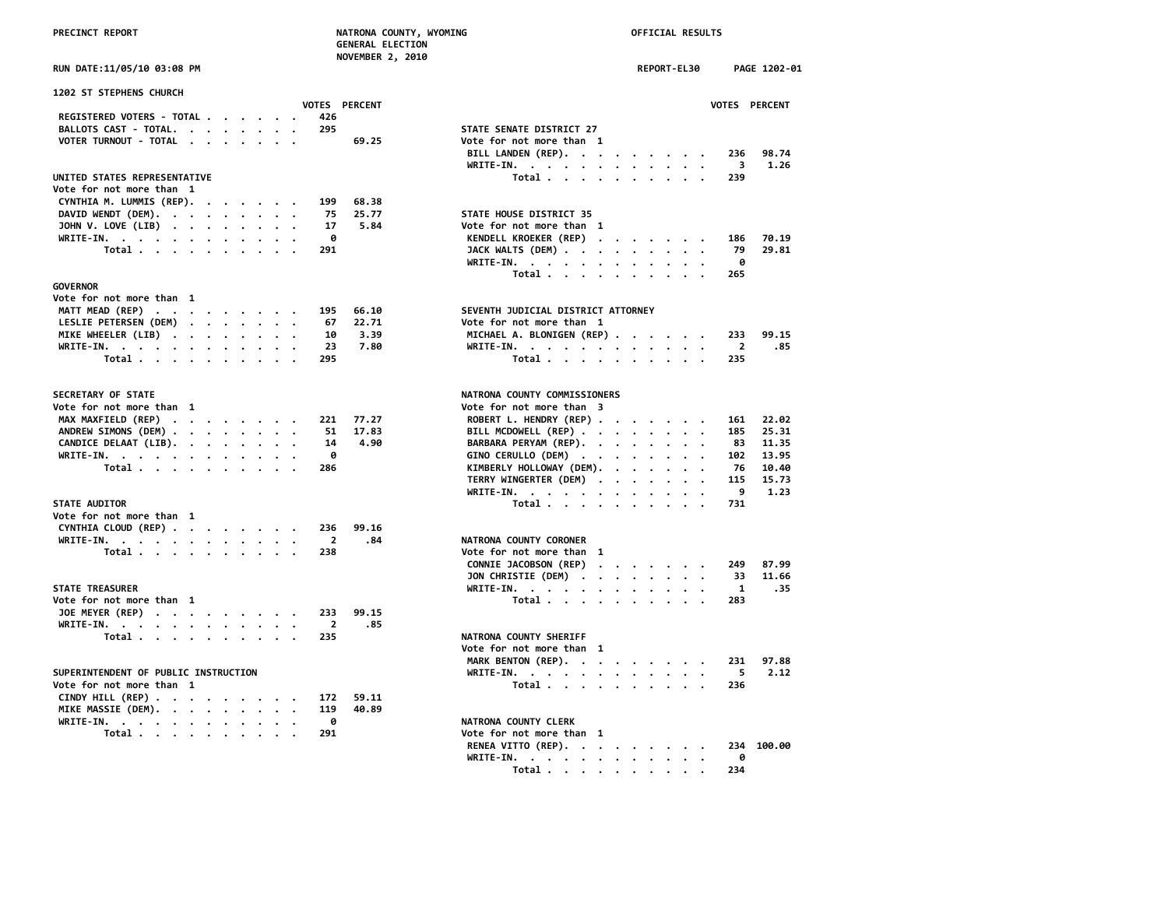### **PRECIOUNTY, WYOMING PRECIPITY PRECIPITY OFFICIAL RESULTS AL ELECTION NOVEMBER 2, 2010**

|                                  |  |  |  |                |                      | NATRONA COUNTY, WYOMING<br><b>GENERAL ELECTION</b><br><b>NOVEMBER 2, 2010</b> |                                    |  | OFFICIAL RESULTS   |  |              |
|----------------------------------|--|--|--|----------------|----------------------|-------------------------------------------------------------------------------|------------------------------------|--|--------------------|--|--------------|
| RUN DATE:11/05/10 03:08 PM       |  |  |  |                |                      |                                                                               |                                    |  | <b>REPORT-EL30</b> |  | PA           |
| 1202 ST STEPHENS CHURCH          |  |  |  |                |                      |                                                                               |                                    |  |                    |  |              |
|                                  |  |  |  |                | <b>VOTES PERCENT</b> |                                                                               |                                    |  |                    |  | <b>VOTES</b> |
| REGISTERED VOTERS - TOTAL        |  |  |  | 426            |                      |                                                                               |                                    |  |                    |  |              |
| BALLOTS CAST - TOTAL.            |  |  |  | 295            |                      |                                                                               | STATE SENATE DISTRICT 27           |  |                    |  |              |
| VOTER TURNOUT - TOTAL            |  |  |  |                | 69.25                |                                                                               | Vote for not more than 1           |  |                    |  |              |
|                                  |  |  |  |                |                      |                                                                               | BILL LANDEN (REP).                 |  |                    |  | 236          |
|                                  |  |  |  |                |                      |                                                                               | WRITE-IN.                          |  |                    |  | - 3          |
| UNITED STATES REPRESENTATIVE     |  |  |  |                |                      |                                                                               | Total                              |  |                    |  | 239          |
| Vote for not more than 1         |  |  |  |                |                      |                                                                               |                                    |  |                    |  |              |
| CYNTHIA M. LUMMIS (REP).         |  |  |  | 199            | 68.38                |                                                                               |                                    |  |                    |  |              |
| DAVID WENDT (DEM).               |  |  |  | 75             | 25.77                |                                                                               | STATE HOUSE DISTRICT 35            |  |                    |  |              |
| JOHN V. LOVE (LIB)               |  |  |  | 17             | 5.84                 |                                                                               | Vote for not more than 1           |  |                    |  |              |
| WRITE-IN.                        |  |  |  | 0              |                      |                                                                               | KENDELL KROEKER (REP)              |  |                    |  | 186          |
| Total                            |  |  |  | 291            |                      |                                                                               | JACK WALTS (DEM)                   |  |                    |  | - 79         |
|                                  |  |  |  |                |                      |                                                                               | WRITE-IN.                          |  |                    |  | 0            |
|                                  |  |  |  |                |                      |                                                                               | Total                              |  |                    |  | 265          |
| <b>GOVERNOR</b>                  |  |  |  |                |                      |                                                                               |                                    |  |                    |  |              |
| Vote for not more than 1         |  |  |  |                |                      |                                                                               |                                    |  |                    |  |              |
| MATT MEAD (REP)                  |  |  |  | 195            | 66.10                |                                                                               | SEVENTH JUDICIAL DISTRICT ATTORNEY |  |                    |  |              |
| LESLIE PETERSEN (DEM)            |  |  |  | 67             | 22.71                |                                                                               | Vote for not more than 1           |  |                    |  |              |
| MIKE WHEELER (LIB)               |  |  |  | 10             | 3.39                 |                                                                               | MICHAEL A. BLONIGEN (REP)          |  |                    |  | 233          |
| WRITE-IN.                        |  |  |  | 23             | 7.80                 |                                                                               | WRITE-IN.                          |  |                    |  | -2           |
| Total                            |  |  |  | 295            |                      |                                                                               | Total                              |  |                    |  | 235          |
|                                  |  |  |  |                |                      |                                                                               |                                    |  |                    |  |              |
| SECRETARY OF STATE               |  |  |  |                |                      |                                                                               | NATRONA COUNTY COMMISSIONERS       |  |                    |  |              |
| Vote for not more than 1         |  |  |  |                |                      |                                                                               | Vote for not more than 3           |  |                    |  |              |
| MAX MAXFIELD (REP)               |  |  |  | 221            | 77.27                |                                                                               | ROBERT L. HENDRY (REP)             |  |                    |  | 161          |
| ANDREW SIMONS (DEM)              |  |  |  | 51             | 17.83                |                                                                               | BILL MCDOWELL (REP)                |  |                    |  | 185          |
| CANDICE DELAAT (LIB).            |  |  |  | 14             | 4.90                 |                                                                               | BARBARA PERYAM (REP).              |  |                    |  | 83           |
| WRITE-IN.                        |  |  |  | ø              |                      |                                                                               | GINO CERULLO (DEM)                 |  |                    |  | 102          |
| Total $\cdots$ $\cdots$ $\cdots$ |  |  |  | 286            |                      |                                                                               | KIMBERLY HOLLOWAY (DEM).           |  |                    |  | - 76         |
|                                  |  |  |  |                |                      |                                                                               | TERRY WINGERTER (DEM)              |  |                    |  | 115          |
|                                  |  |  |  |                |                      |                                                                               | WRITE-IN.                          |  |                    |  | 9            |
| <b>STATE AUDITOR</b>             |  |  |  |                |                      |                                                                               | Total                              |  |                    |  | 731          |
| Vote for not more than 1         |  |  |  |                |                      |                                                                               |                                    |  |                    |  |              |
| CYNTHIA CLOUD (REP)              |  |  |  | 236            | 99.16                |                                                                               |                                    |  |                    |  |              |
| WRITE-IN.                        |  |  |  | $\overline{2}$ | .84                  |                                                                               | NATRONA COUNTY CORONER             |  |                    |  |              |
| Total                            |  |  |  | 238            |                      |                                                                               | Vote for not more than 1           |  |                    |  |              |

### **STATE TREASURER**

| Vote for not more than 1  |  |  |  |  |  | Total 283              |  |
|---------------------------|--|--|--|--|--|------------------------|--|
| JOE MEYER (REP) 233 99.15 |  |  |  |  |  |                        |  |
| WRITE-IN. 2 .85           |  |  |  |  |  |                        |  |
| Total 235                 |  |  |  |  |  | NATRONA COUNTY SHERIFF |  |

### SUPERINTENDENT OF PUBLIC INSTRUCTION

| Vote for not more than  1    |  |  |  |  |  | Total 236                |  |
|------------------------------|--|--|--|--|--|--------------------------|--|
| CINDY HILL (REP) 172 59.11   |  |  |  |  |  |                          |  |
| MIKE MASSIE (DEM). 119 40.89 |  |  |  |  |  |                          |  |
| WRITE-IN. 0                  |  |  |  |  |  | NATRONA COUNTY CLERK     |  |
| Total 291                    |  |  |  |  |  | Vote for not more than 1 |  |

| <b>RUN DATE:11/05/10 03:08 PM</b>                                                                                                       | REPORT-EL30<br>PAGE 1202-01                                                             |
|-----------------------------------------------------------------------------------------------------------------------------------------|-----------------------------------------------------------------------------------------|
| 1202 ST STEPHENS CHURCH                                                                                                                 |                                                                                         |
| VOTES PERCENT<br>REGISTERED VOTERS - TOTAL                                                                                              | VOTES PERCENT                                                                           |
| 426<br>295                                                                                                                              | STATE SENATE DISTRICT 27                                                                |
| BALLOTS CAST - TOTAL.<br>$\cdots$                                                                                                       |                                                                                         |
| VOTER TURNOUT - TOTAL<br>69.25                                                                                                          | Vote for not more than 1                                                                |
|                                                                                                                                         | BILL LANDEN (REP).<br>98.74<br>236                                                      |
|                                                                                                                                         | WRITE-IN.<br>3<br>1.26                                                                  |
| UNITED STATES REPRESENTATIVE                                                                                                            | Total<br>239                                                                            |
| Vote for not more than 1                                                                                                                |                                                                                         |
| CYNTHIA M. LUMMIS (REP).<br>199<br>68.38                                                                                                |                                                                                         |
| DAVID WENDT (DEM).<br>25.77<br>75                                                                                                       | STATE HOUSE DISTRICT 35                                                                 |
| JOHN V. LOVE (LIB)<br>5.84<br>17                                                                                                        | Vote for not more than 1                                                                |
| WRITE-IN.<br>0                                                                                                                          | KENDELL KROEKER (REP)<br>186<br>70.19                                                   |
| Total<br>291                                                                                                                            | 29.81<br>JACK WALTS (DEM) $\cdot \cdot \cdot \cdot \cdot \cdot \cdot \cdot \cdot$<br>79 |
|                                                                                                                                         | 0<br>WRITE-IN.                                                                          |
|                                                                                                                                         | Total<br>265                                                                            |
| <b>GOVERNOR</b>                                                                                                                         |                                                                                         |
| Vote for not more than 1                                                                                                                |                                                                                         |
| MATT MEAD (REP)<br>195<br>66.10                                                                                                         | SEVENTH JUDICIAL DISTRICT ATTORNEY                                                      |
| LESLIE PETERSEN (DEM)<br>22.71<br>67                                                                                                    | Vote for not more than 1                                                                |
| MIKE WHEELER (LIB)<br>10<br>3.39                                                                                                        | MICHAEL A. BLONIGEN (REP)<br>99.15<br>233                                               |
| 7.80<br>WRITE-IN.<br>23                                                                                                                 | 2<br>.85<br>WRITE-IN.                                                                   |
| Total<br>295                                                                                                                            | Total<br>235                                                                            |
| <b>SECRETARY OF STATE</b>                                                                                                               | NATRONA COUNTY COMMISSIONERS                                                            |
| Vote for not more than 1                                                                                                                | Vote for not more than 3                                                                |
| MAX MAXFIELD (REP)<br>77.27<br>$\mathcal{A}=\mathcal{A}=\mathcal{A}=\mathcal{A}=\mathcal{A}=\mathcal{A}=\mathcal{A}=\mathcal{A}$<br>221 | ROBERT L. HENDRY (REP)<br>22.02<br>161                                                  |
| ANDREW SIMONS (DEM)<br>51<br>17.83                                                                                                      | BILL MCDOWELL (REP)<br>185<br>25.31                                                     |
| 4.90<br>CANDICE DELAAT (LIB).<br>14                                                                                                     | BARBARA PERYAM (REP).<br>83<br>11.35                                                    |
| WRITE-IN.<br>0                                                                                                                          | GINO CERULLO (DEM)<br>102<br>13.95                                                      |
| Total<br>286                                                                                                                            | KIMBERLY HOLLOWAY (DEM).<br>76<br>10.40                                                 |
|                                                                                                                                         | TERRY WINGERTER (DEM)<br>115<br>15.73                                                   |
|                                                                                                                                         | 9<br>1.23<br>WRITE-IN.<br>$\cdots$                                                      |
| <b>STATE AUDITOR</b>                                                                                                                    | Total<br>731                                                                            |
| Vote for not more than 1                                                                                                                |                                                                                         |
| CYNTHIA CLOUD (REP)<br>236<br>99.16                                                                                                     |                                                                                         |
| WRITE-IN.<br>$\overline{2}$<br>.84                                                                                                      | NATRONA COUNTY CORONER                                                                  |
| Total<br>238                                                                                                                            | Vote for not more than 1                                                                |
|                                                                                                                                         | CONNIE JACOBSON (REP)<br>87.99<br>249                                                   |
|                                                                                                                                         | JON CHRISTIE (DEM)<br>11.66<br>33                                                       |
| <b>STATE TREASURER</b>                                                                                                                  |                                                                                         |
|                                                                                                                                         | WRITE-IN.<br>1<br>. 35<br>283                                                           |
| Vote for not more than 1                                                                                                                | Total                                                                                   |
| JOE MEYER (REP)<br>99.15<br>233                                                                                                         |                                                                                         |
| WRITE-IN.<br>$\overline{2}$<br>.85                                                                                                      |                                                                                         |
| Total<br>235                                                                                                                            | NATRONA COUNTY SHERIFF                                                                  |
|                                                                                                                                         | Vote for not more than 1                                                                |
|                                                                                                                                         | MARK BENTON (REP).<br>97.88<br>231                                                      |
| SUPERINTENDENT OF PUBLIC INSTRUCTION                                                                                                    | 5<br>2.12<br>WRITE-IN.                                                                  |
| Vote for not more than 1                                                                                                                | Total<br>236                                                                            |
| CINDY HILL (REP)<br>59.11<br>172                                                                                                        |                                                                                         |
| MIKE MASSIE (DEM).<br>119<br>40.89                                                                                                      |                                                                                         |
| 0<br>WRITE-IN.                                                                                                                          | NATRONA COUNTY CLERK                                                                    |
| 291<br>Total                                                                                                                            | Vote for not more than 1                                                                |

| . 291 |  |  |  |  |  |                               |  |
|-------|--|--|--|--|--|-------------------------------|--|
|       |  |  |  |  |  | RENEA VITTO (REP). 234 100.00 |  |
|       |  |  |  |  |  | WRITE-IN. 0                   |  |
|       |  |  |  |  |  | Total 234                     |  |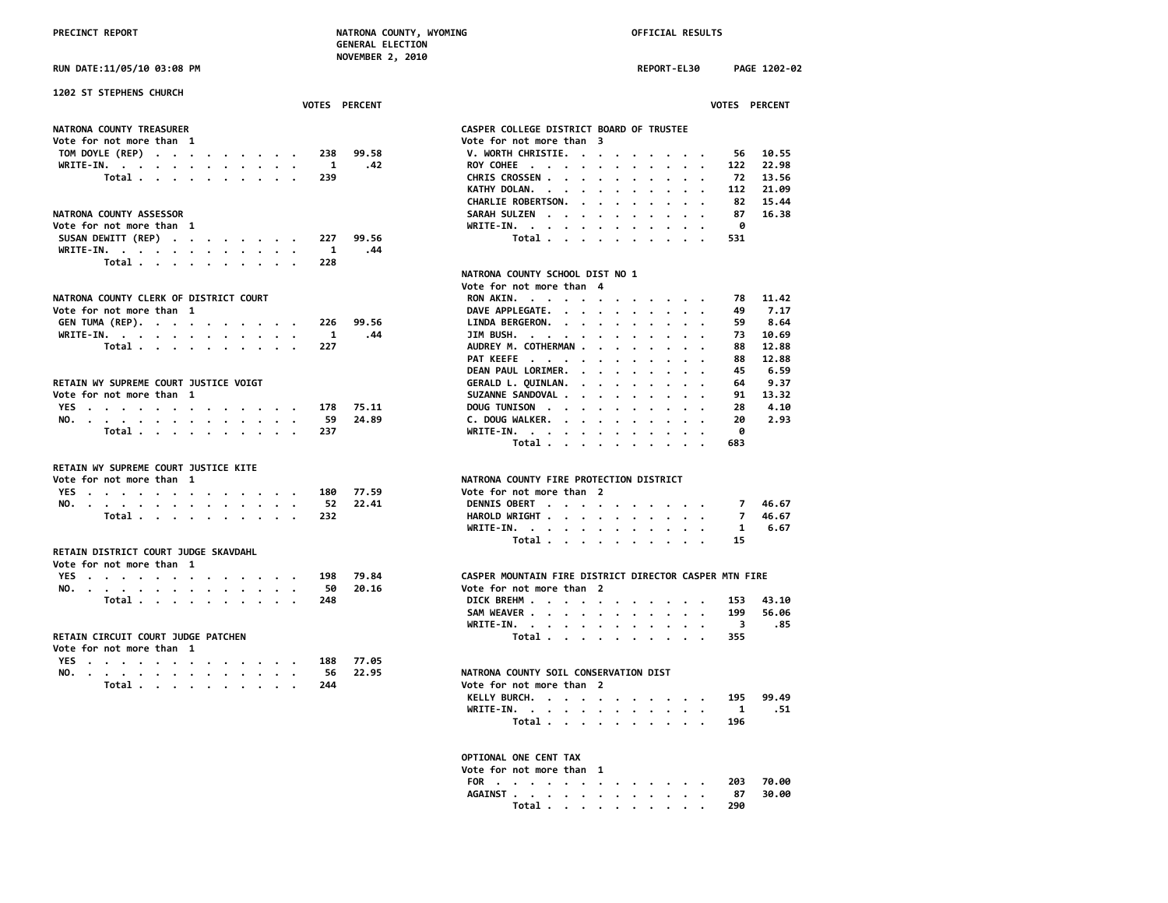**RUN DATE:11/05/10 03:08 PM REPORT-EL30 PAGE 1202-02**

| 1202 ST STEPHENS CHURCH                                          | <b>VOTES PERCENT</b> | <b>VOTES PERCENT</b>                                                                                                                         |
|------------------------------------------------------------------|----------------------|----------------------------------------------------------------------------------------------------------------------------------------------|
| NATRONA COUNTY TREASURER                                         |                      | CASPER COLLEGE DISTRICT BOARD OF TRUSTEE                                                                                                     |
| Vote for not more than 1                                         |                      | Vote for not more than 3                                                                                                                     |
| TOM DOYLE (REP)                                                  | 99.58<br>238         | V. WORTH CHRISTIE.<br>10.55<br>56                                                                                                            |
| WRITE-IN.                                                        | 1<br>.42             | 22.98<br>ROY COHEE<br>122<br>$\begin{array}{cccccccccccccc} \bullet & \bullet & \bullet & \bullet & \bullet & \bullet & \bullet \end{array}$ |
| Total.                                                           | 239                  | CHRIS CROSSEN<br>13.56<br>72                                                                                                                 |
|                                                                  |                      | 21.09<br>KATHY DOLAN.<br>112                                                                                                                 |
|                                                                  |                      | CHARLIE ROBERTSON.<br>82<br>15.44<br>$\ddot{\phantom{0}}$<br>$\cdot$ $\cdot$                                                                 |
| NATRONA COUNTY ASSESSOR                                          |                      | 16.38<br>SARAH SULZEN<br>87                                                                                                                  |
| Vote for not more than 1                                         |                      | WRITE-IN.<br>0<br>$\cdot$                                                                                                                    |
| SUSAN DEWITT (REP)                                               | 227<br>99.56         | Total<br>531                                                                                                                                 |
| WRITE-IN.                                                        | 1<br>.44             |                                                                                                                                              |
| Total                                                            | 228                  |                                                                                                                                              |
|                                                                  |                      | NATRONA COUNTY SCHOOL DIST NO 1                                                                                                              |
|                                                                  |                      | Vote for not more than 4                                                                                                                     |
| NATRONA COUNTY CLERK OF DISTRICT COURT                           |                      | 11.42<br>RON AKIN.<br>78                                                                                                                     |
| Vote for not more than 1                                         |                      | 7.17<br>DAVE APPLEGATE.<br>49                                                                                                                |
| GEN TUMA (REP).                                                  | 226<br>99.56         | 8.64<br>LINDA BERGERON.<br>59                                                                                                                |
| WRITE-IN.<br>$\sim$                                              | 1<br>.44             | JIM BUSH.<br>73<br>10.69                                                                                                                     |
| Total                                                            | 227                  | AUDREY M. COTHERMAN<br>88<br>12.88                                                                                                           |
|                                                                  |                      | PAT KEEFE<br>12.88<br>88                                                                                                                     |
|                                                                  |                      | 6.59<br>DEAN PAUL LORIMER.<br>45<br>$\sim$ $\sim$ $\sim$ $\sim$ $\sim$                                                                       |
| RETAIN WY SUPREME COURT JUSTICE VOIGT                            |                      | GERALD L. QUINLAN.<br>9.37<br>64<br>$\cdot$ $\cdot$ $\cdot$ $\cdot$ $\cdot$                                                                  |
| Vote for not more than 1                                         |                      | 13.32<br>SUZANNE SANDOVAL<br>91                                                                                                              |
| YES.                                                             | 75.11<br>178         | DOUG TUNISON<br>4.10<br>28                                                                                                                   |
| NO.                                                              | 24.89<br>59          | 2.93<br>C. DOUG WALKER.<br>20                                                                                                                |
| Total                                                            | 237                  | ø<br>WRITE-IN.                                                                                                                               |
|                                                                  |                      | Total<br>683<br>$\sim$ $\sim$ $\sim$ $\sim$                                                                                                  |
| RETAIN WY SUPREME COURT JUSTICE KITE                             |                      |                                                                                                                                              |
| Vote for not more than 1                                         |                      | NATRONA COUNTY FIRE PROTECTION DISTRICT                                                                                                      |
| YES                                                              | 77.59<br>180         | Vote for not more than 2                                                                                                                     |
| NO.                                                              | 52<br>22.41          | DENNIS OBERT<br>46.67<br>$7^{\circ}$                                                                                                         |
| Total                                                            | 232                  | HAROLD WRIGHT<br>46.67<br>7                                                                                                                  |
|                                                                  |                      | 6.67<br>WRITE-IN.<br>1                                                                                                                       |
|                                                                  |                      | Total<br>15                                                                                                                                  |
| RETAIN DISTRICT COURT JUDGE SKAVDAHL<br>Vote for not more than 1 |                      |                                                                                                                                              |
| YES                                                              | 198<br>79.84         | CASPER MOUNTAIN FIRE DISTRICT DIRECTOR CASPER MTN FIRE                                                                                       |
| NO.                                                              | 20.16<br>50          | Vote for not more than 2                                                                                                                     |
| Total                                                            | 248                  | 43.10<br>DICK BREHM<br>153                                                                                                                   |
|                                                                  |                      | 199<br>SAM WEAVER<br>56.06                                                                                                                   |
|                                                                  |                      | -3<br>.85<br>WRITE-IN.                                                                                                                       |
| RETAIN CIRCUIT COURT JUDGE PATCHEN                               |                      | $\cdot$ .<br>355                                                                                                                             |
| Vote for not more than 1                                         |                      | Total $\cdots$ $\cdots$ $\cdots$                                                                                                             |
|                                                                  |                      |                                                                                                                                              |
| YES                                                              | 77.05<br>188         |                                                                                                                                              |
| NO.                                                              | 22.95<br>56          | NATRONA COUNTY SOIL CONSERVATION DIST                                                                                                        |
| Total                                                            | 244                  | Vote for not more than 2                                                                                                                     |
|                                                                  |                      | KELLY BURCH.<br>99.49<br>195                                                                                                                 |
|                                                                  |                      | .51<br>WRITE-IN.<br>1                                                                                                                        |
|                                                                  |                      | Total<br>196<br>$\cdot$                                                                                                                      |
|                                                                  |                      |                                                                                                                                              |

# **WORTH CHRISTIE. . . . . . . . . 56 10.55**<br>/ COHEE . . . . . . . . . . . . 122 22.98 72 13.56 **RIS CROSSEN . . . . . . . . . . . . 72** 13.56<br>THY DOLAN. . . . . . . . . . . . 112 21.09  **KATHY DOLAN. . . . . . . . . . . 112 21.09 CHARLIE ROBERTSON. . . . . . . . . 82 15.44 RONA COUNTY SCHOOL DIST NO 1 M BUSH. . . . . . . . . . . . . . 73 10.69**<br>DREY M. COTHERMAN . . . . . . . . . 88 12.88  **Total . . . . . . . . . . 227 AUDREY M. COTHERMAN . . . . . . . . 88 12.88 PAT KEEFE . . . . . . . . . . . 88 12.88 DEAN PAUL LORIMER. . . . . . . . . 45 6.59 NOUG WALKER. . . . . . . . . . 20 Total . . . . . . . . . . 237 WRITE-IN. . . . . . . . . . . . 0 Total . . . . . . . . . . 683 ROLD WRIGHT . . . . . . . . . . . 7 46.67 WRITE-IN. . . . . . . . . . . . 1 6.67 e for not more than 2 Total . . . . . . . . . . 248 DICK BREHM . . . . . . . . . . . 153 43.10 SAM WEAVER . . . . . . . . . . . 199 56.06 WRITE-IN. . . . . . . . . . . . 3 .85 e for not more than 2 KELLY BURCH. . . . . . . . . . . 195 99.49 ITE-IN.** . . . . . . . . . . . .  **Total . . . . . . . . . . 196 OPTIONAL ONE CENT TAX Vote for not more than 1**

| <b>FOR</b>    |  |         |  |  |  |  |  | 203      | 70.00 |
|---------------|--|---------|--|--|--|--|--|----------|-------|
| <b>AGAINS</b> |  |         |  |  |  |  |  | 87<br>__ | 30.00 |
|               |  | $T = 1$ |  |  |  |  |  | 290      |       |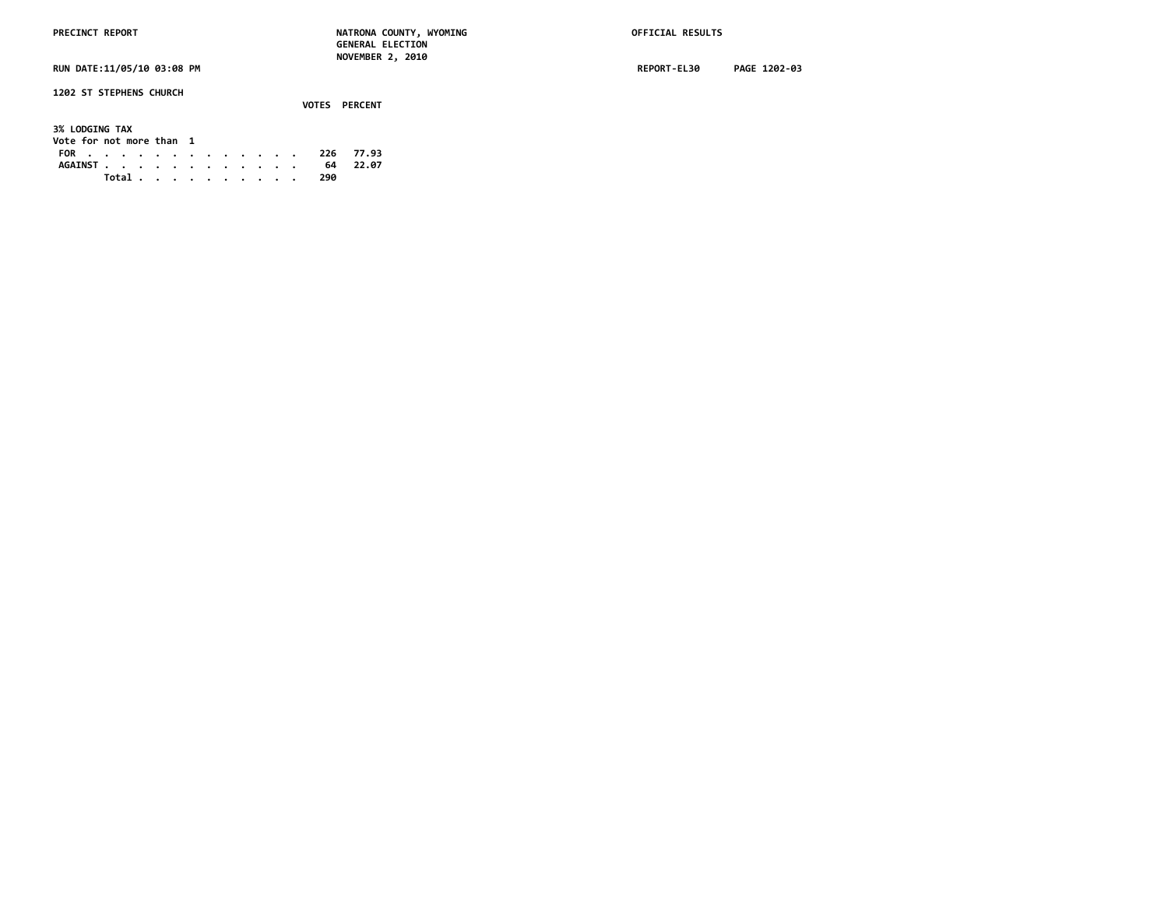**PRECINCT REPORT NATRONA COUNTY, WYOMING OFFICIAL RESULTS GENERAL ELECTION NOVEMBER 2, 2010**

**1202 ST STEPHENS CHURCH**

|                          |  |  |  |  |  |       | VOTES PERCENT |       |
|--------------------------|--|--|--|--|--|-------|---------------|-------|
| <b>3% LODGING TAX</b>    |  |  |  |  |  |       |               |       |
| Vote for not more than 1 |  |  |  |  |  |       |               |       |
| FOR 226 77.93            |  |  |  |  |  |       |               |       |
| AGAINST.                 |  |  |  |  |  |       | 64            | 22.07 |
|                          |  |  |  |  |  | Total | 290           |       |

**RUN DATE:11/05/10 03:08 PM REPORT-EL30 PAGE 1202-03**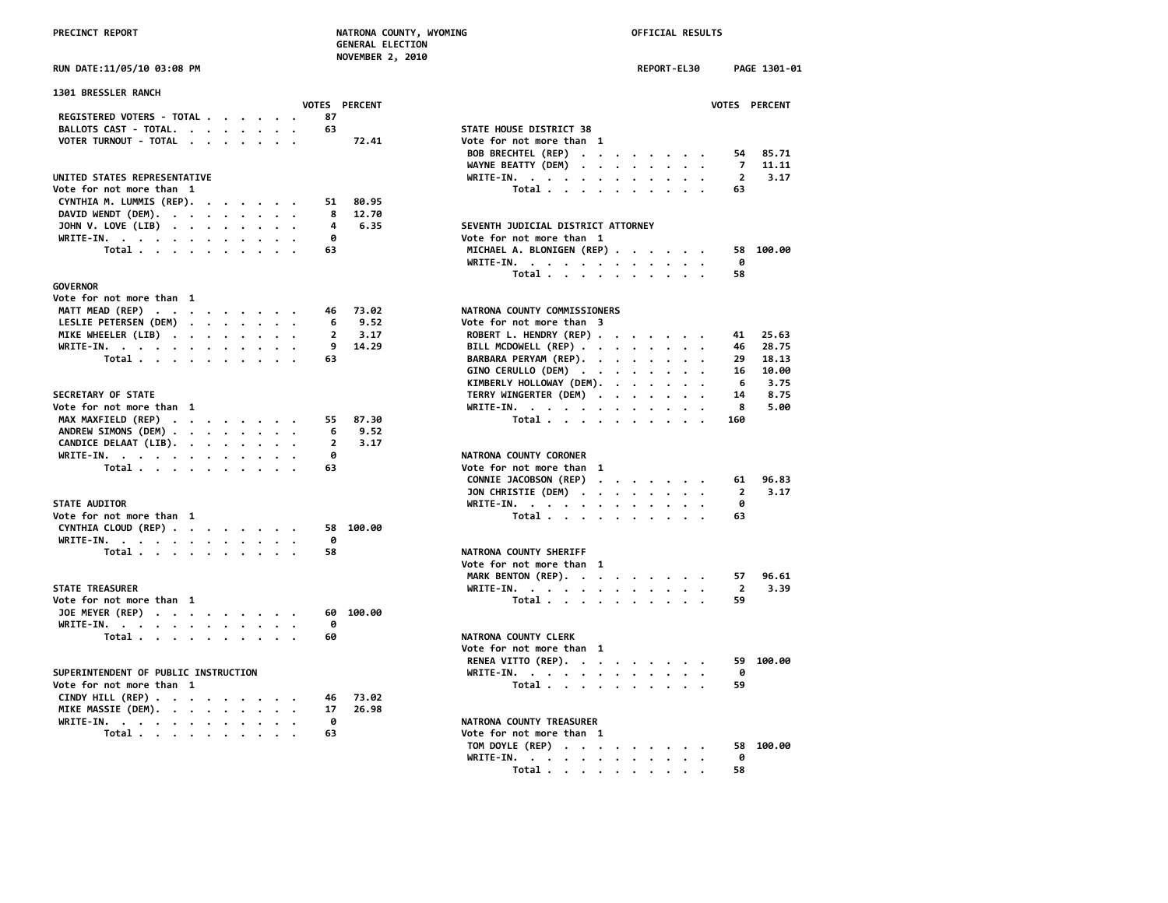|                            | <b>NOVEMBER 2, 2010</b> |  |
|----------------------------|-------------------------|--|
| RUN DATE:11/05/10 03:08 PM |                         |  |

| <b>1301 BRESSLER RANCH</b>                                         |               |           |                                                                                                    |                         |
|--------------------------------------------------------------------|---------------|-----------|----------------------------------------------------------------------------------------------------|-------------------------|
|                                                                    | VOTES PERCENT |           |                                                                                                    | <b>VOTES</b>            |
| REGISTERED VOTERS - TOTAL                                          | 87            |           |                                                                                                    |                         |
| BALLOTS CAST - TOTAL.                                              | 63            |           | STATE HOUSE DISTRICT 38                                                                            |                         |
| VOTER TURNOUT - TOTAL                                              |               | 72.41     | Vote for not more than 1                                                                           |                         |
|                                                                    |               |           | BOB BRECHTEL (REP)                                                                                 | 54                      |
|                                                                    |               |           | WAYNE BEATTY (DEM)                                                                                 | -7                      |
| UNITED STATES REPRESENTATIVE                                       |               |           | WRITE-IN.                                                                                          | $\overline{\mathbf{2}}$ |
| Vote for not more than 1                                           |               |           | Total                                                                                              | 63                      |
| CYNTHIA M. LUMMIS (REP).                                           | 51            | 80.95     |                                                                                                    |                         |
| DAVID WENDT (DEM).                                                 | 8             | 12.70     |                                                                                                    |                         |
| JOHN V. LOVE (LIB)                                                 | 4             | 6.35      | SEVENTH JUDICIAL DISTRICT ATTORNEY                                                                 |                         |
| WRITE-IN.                                                          | ø             |           | Vote for not more than 1                                                                           |                         |
| Total                                                              | 63            |           | MICHAEL A. BLONIGEN (REP)                                                                          | 58                      |
|                                                                    |               |           | WRITE-IN.                                                                                          | 0                       |
|                                                                    |               |           | Total                                                                                              | 58                      |
| GOVERNOR                                                           |               |           |                                                                                                    |                         |
| Vote for not more than 1                                           |               |           |                                                                                                    |                         |
| MATT MEAD (REP)                                                    | 46            | 73.02     | NATRONA COUNTY COMMISSIONERS                                                                       |                         |
| LESLIE PETERSEN (DEM)                                              | 6             | 9.52      | Vote for not more than 3                                                                           |                         |
| MIKE WHEELER (LIB)                                                 | $\mathbf{2}$  | 3.17      | ROBERT L. HENDRY (REP)                                                                             | 41                      |
| WRITE-IN.                                                          | 9             | 14.29     | BILL MCDOWELL (REP)                                                                                | 46                      |
| Total                                                              | 63            |           | BARBARA PERYAM (REP).                                                                              | 29                      |
|                                                                    |               |           | GINO CERULLO (DEM)                                                                                 | 16                      |
|                                                                    |               |           |                                                                                                    | 6                       |
|                                                                    |               |           | KIMBERLY HOLLOWAY (DEM).                                                                           |                         |
| <b>SECRETARY OF STATE</b>                                          |               |           | TERRY WINGERTER (DEM)                                                                              | 14                      |
| Vote for not more than 1                                           |               |           | WRITE-IN.                                                                                          | 8                       |
| MAX MAXFIELD (REP)                                                 | 55            | 87.30     | Total                                                                                              | 160                     |
| ANDREW SIMONS (DEM)                                                | 6             | 9.52      |                                                                                                    |                         |
| CANDICE DELAAT (LIB).                                              | 2             | 3.17      |                                                                                                    |                         |
| WRITE-IN.                                                          | 0             |           | NATRONA COUNTY CORONER                                                                             |                         |
| Total                                                              | 63            |           | Vote for not more than 1                                                                           |                         |
|                                                                    |               |           | CONNIE JACOBSON (REP)<br>$\mathcal{A}$ , and $\mathcal{A}$ , and $\mathcal{A}$ , and $\mathcal{A}$ | 61                      |
|                                                                    |               |           | JON CHRISTIE (DEM)                                                                                 | $\overline{\mathbf{2}}$ |
| <b>STATE AUDITOR</b>                                               |               |           | WRITE-IN.                                                                                          | 0                       |
| Vote for not more than 1                                           |               |           | Total                                                                                              | 63                      |
| CYNTHIA CLOUD (REP)                                                | 58            | 100.00    |                                                                                                    |                         |
| WRITE-IN.                                                          | 0             |           |                                                                                                    |                         |
| Total                                                              | 58            |           | NATRONA COUNTY SHERIFF                                                                             |                         |
|                                                                    |               |           | Vote for not more than 1                                                                           |                         |
|                                                                    |               |           |                                                                                                    | 57                      |
|                                                                    |               |           | MARK BENTON (REP).                                                                                 |                         |
| STATE TREASURER                                                    |               |           | WRITE-IN.                                                                                          | $\overline{2}$          |
| Vote for not more than 1                                           |               |           | Total                                                                                              | 59                      |
| JOE MEYER (REP)                                                    |               | 60 100.00 |                                                                                                    |                         |
| WRITE-IN.                                                          | 0             |           |                                                                                                    |                         |
| Total                                                              | 60            |           | NATRONA COUNTY CLERK                                                                               |                         |
|                                                                    |               |           | Vote for not more than 1                                                                           |                         |
|                                                                    |               |           | RENEA VITTO (REP).                                                                                 | 59                      |
| SUPERINTENDENT OF PUBLIC INSTRUCTION                               |               |           | WRITE-IN.                                                                                          | 0                       |
| Vote for not more than 1                                           |               |           | Total $\ldots$ $\ldots$ $\ldots$                                                                   | 59                      |
| CINDY HILL (REP) $\cdot \cdot \cdot \cdot \cdot \cdot \cdot \cdot$ | 46            | 73.02     |                                                                                                    |                         |
| MIKE MASSIE (DEM).                                                 | 17            | 26.98     |                                                                                                    |                         |
| WRITE-IN.                                                          | 0             |           | NATRONA COUNTY TREASURER                                                                           |                         |
| Total                                                              | 63            |           | Vote for not more than 1                                                                           |                         |
|                                                                    |               |           | TAH BAVLE (BEB)                                                                                    | $\sim$                  |

| <b>RUN DATE:11/05/10 03:08 PM</b>                                                 | REPORT-EL30<br>PAGE 1301-01                  |
|-----------------------------------------------------------------------------------|----------------------------------------------|
| <b>1301 BRESSLER RANCH</b><br><b>VOTES PERCENT</b>                                | <b>VOTES PERCENT</b>                         |
| REGISTERED VOTERS - TOTAL<br>87                                                   |                                              |
| BALLOTS CAST - TOTAL.<br>63                                                       | STATE HOUSE DISTRICT 38                      |
| VOTER TURNOUT - TOTAL<br>72.41                                                    | Vote for not more than 1                     |
|                                                                                   |                                              |
|                                                                                   | BOB BRECHTEL (REP)<br>85.71<br>54            |
|                                                                                   | 11.11<br>WAYNE BEATTY (DEM)<br>7             |
| UNITED STATES REPRESENTATIVE                                                      | WRITE-IN.<br>$\overline{2}$<br>3.17          |
| Vote for not more than 1                                                          | Total<br>63                                  |
| CYNTHIA M. LUMMIS (REP).<br>80.95<br>51                                           |                                              |
| DAVID WENDT (DEM).<br>8<br>12.70                                                  |                                              |
| JOHN V. LOVE (LIB)<br>4<br>6.35                                                   | SEVENTH JUDICIAL DISTRICT ATTORNEY           |
| WRITE-IN.<br>ø                                                                    | Vote for not more than 1                     |
| Total<br>63                                                                       | MICHAEL A. BLONIGEN (REP)<br>58 100.00       |
|                                                                                   | ø<br>WRITE-IN.                               |
|                                                                                   | Total<br>58                                  |
| GOVERNOR                                                                          |                                              |
| Vote for not more than 1                                                          |                                              |
|                                                                                   |                                              |
| MATT MEAD (REP)<br>73.02<br>46                                                    | NATRONA COUNTY COMMISSIONERS                 |
| LESLIE PETERSEN (DEM)<br>9.52<br>6                                                | Vote for not more than 3                     |
| MIKE WHEELER (LIB)<br>3.17<br>$\mathbf{2}$                                        | ROBERT L. HENDRY (REP)<br>25.63<br>41        |
| WRITE-IN.<br>9<br>14.29                                                           | BILL MCDOWELL (REP)<br>28.75<br>46           |
| Total<br>63                                                                       | BARBARA PERYAM (REP).<br>29<br>18.13         |
|                                                                                   | GINO CERULLO (DEM)<br>16<br>10.00            |
|                                                                                   | KIMBERLY HOLLOWAY (DEM).<br>6<br>3.75        |
| <b>SECRETARY OF STATE</b>                                                         | TERRY WINGERTER (DEM)<br>8.75<br>14          |
| Vote for not more than 1                                                          | 5.00<br>WRITE-IN.<br>8                       |
| MAX MAXFIELD (REP)<br>87.30<br>55                                                 | Total<br>160                                 |
| ANDREW SIMONS (DEM)<br>9.52<br>6                                                  |                                              |
|                                                                                   |                                              |
| CANDICE DELAAT (LIB).<br>$\overline{2}$<br>3.17                                   |                                              |
| WRITE-IN.<br>0                                                                    | NATRONA COUNTY CORONER                       |
| Total<br>63                                                                       | Vote for not more than 1                     |
|                                                                                   | CONNIE JACOBSON (REP)<br>96.83<br>61         |
|                                                                                   | JON CHRISTIE (DEM)<br>$\overline{2}$<br>3.17 |
| <b>STATE AUDITOR</b>                                                              | WRITE-IN.<br>ø                               |
| Vote for not more than 1                                                          | Total<br>63                                  |
| CYNTHIA CLOUD (REP)<br>58 100.00                                                  |                                              |
| WRITE-IN.<br>0                                                                    |                                              |
| Total<br>58                                                                       | NATRONA COUNTY SHERIFF                       |
|                                                                                   | Vote for not more than 1                     |
|                                                                                   | MARK BENTON (REP).<br>96.61<br>57            |
| <b>STATE TREASURER</b>                                                            | 3.39                                         |
|                                                                                   | WRITE-IN.<br>$\overline{2}$                  |
| Vote for not more than 1                                                          | Total<br>59                                  |
| JOE MEYER (REP)<br>60 100.00                                                      |                                              |
| WRITE-IN.<br>0                                                                    |                                              |
| Total<br>60                                                                       | NATRONA COUNTY CLERK                         |
|                                                                                   | Vote for not more than 1                     |
|                                                                                   | RENEA VITTO (REP).<br>59 100.00              |
| SUPERINTENDENT OF PUBLIC INSTRUCTION                                              | WRITE-IN.<br>0                               |
| Vote for not more than 1                                                          | Total<br>59                                  |
| CINDY HILL (REP) $\cdot \cdot \cdot \cdot \cdot \cdot \cdot \cdot$<br>73.02<br>46 |                                              |
| MIKE MASSIE (DEM).<br>17<br>26.98                                                 |                                              |
|                                                                                   |                                              |
| WRITE-IN.<br>0                                                                    | NATRONA COUNTY TREASURER                     |
| Total<br>63                                                                       | Vote for not more than 1                     |
|                                                                                   | TOM DOYLE (REP)<br>58 100.00                 |
|                                                                                   | WRITE-IN.<br>0                               |
|                                                                                   | Total<br>58                                  |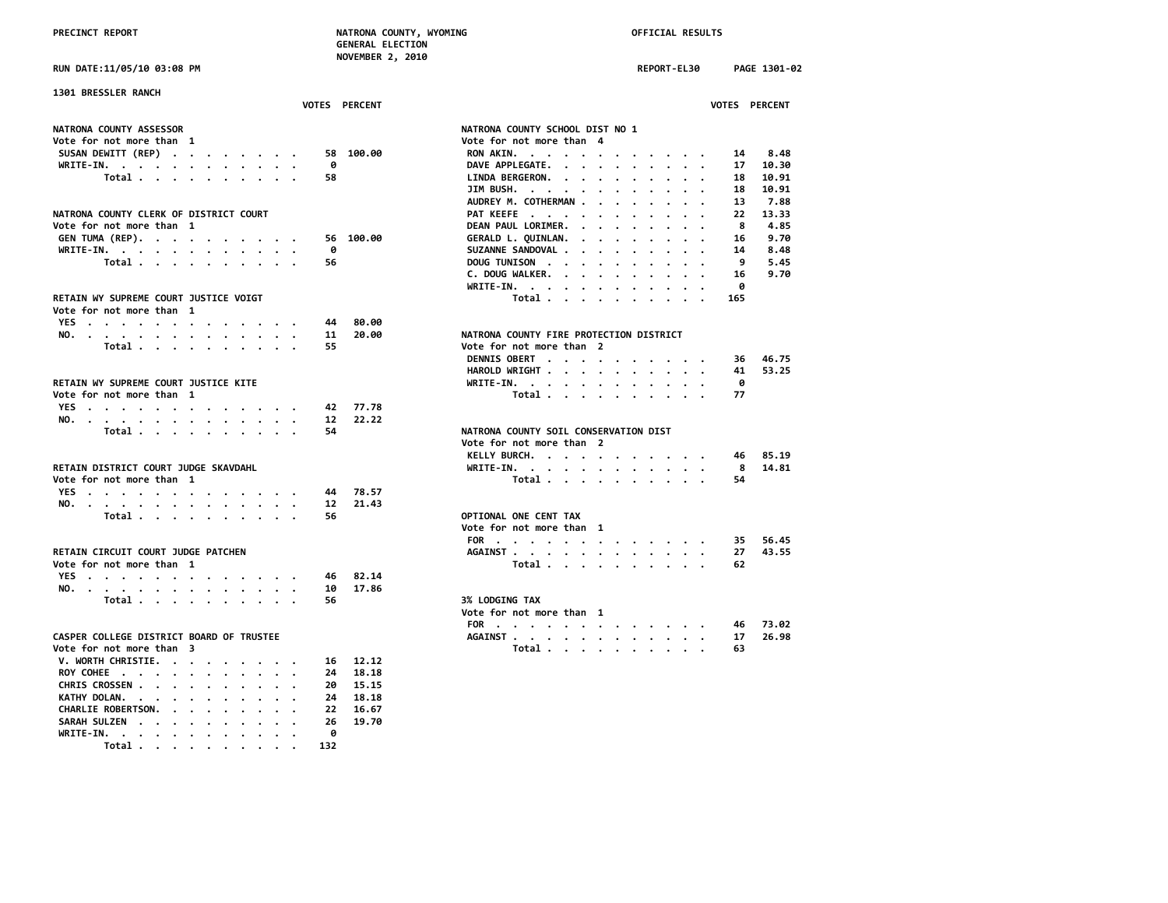|                                                                                                                        |                      | NOVEMBER 2, 2010 |                                                           |                                                  |                      |              |
|------------------------------------------------------------------------------------------------------------------------|----------------------|------------------|-----------------------------------------------------------|--------------------------------------------------|----------------------|--------------|
| <b>RUN DATE:11/05/10 03:08 PM</b>                                                                                      |                      |                  |                                                           | REPORT-EL30                                      |                      | PAGE 1301-02 |
| <b>1301 BRESSLER RANCH</b>                                                                                             |                      |                  |                                                           |                                                  |                      |              |
|                                                                                                                        | <b>VOTES PERCENT</b> |                  |                                                           |                                                  | <b>VOTES PERCENT</b> |              |
| <b>NATRONA COUNTY ASSESSOR</b>                                                                                         |                      |                  | NATRONA COUNTY SCHOOL DIST NO 1                           |                                                  |                      |              |
| Vote for not more than  1                                                                                              |                      |                  | Vote for not more than 4                                  |                                                  |                      |              |
| SUSAN DEWITT (REP)                                                                                                     |                      | 58 100.00        | RON AKIN.<br>$\cdot$ $\cdot$ $\cdot$                      |                                                  | 14                   | 8.48         |
| WRITE-IN.                                                                                                              | 0                    |                  | DAVE APPLEGATE.                                           |                                                  | 17                   | 10.30        |
| Total                                                                                                                  | 58                   |                  | LINDA BERGERON.                                           |                                                  | 18                   | 10.91        |
|                                                                                                                        |                      |                  | JIM BUSH. $\cdot \cdot \cdot \cdot \cdot$                 |                                                  | 18                   | 10.91        |
|                                                                                                                        |                      |                  | AUDREY M. COTHERMAN                                       |                                                  | 13                   | 7.88         |
| <b>NATRONA COUNTY CLERK OF DISTRICT COURT</b>                                                                          |                      |                  | PAT KEEFE                                                 |                                                  | 22                   | 13.33        |
| Vote for not more than 1                                                                                               |                      |                  | DEAN PAUL LORIMER.<br>$\cdots$                            |                                                  | 8                    | 4.85         |
|                                                                                                                        |                      | 56 100.00        |                                                           |                                                  |                      | 9.70         |
| GEN TUMA (REP).                                                                                                        |                      |                  | GERALD L. QUINLAN.<br>$\sim$<br>$\cdots$                  | $\overline{\phantom{a}}$<br>$\sim$ $\sim$ $\sim$ | 16                   |              |
| WRITE-IN.                                                                                                              | ø                    |                  | SUZANNE SANDOVAL .<br>$\sim$<br>$\sim$<br>$\cdot$ $\cdot$ |                                                  | 14                   | 8.48         |
| Total                                                                                                                  | 56                   |                  | DOUG TUNISON                                              |                                                  | 9                    | 5.45         |
|                                                                                                                        |                      |                  | C. DOUG WALKER.                                           |                                                  | 16                   | 9.70         |
|                                                                                                                        |                      |                  | WRITE-IN.                                                 |                                                  | ø                    |              |
| RETAIN WY SUPREME COURT JUSTICE VOIGT                                                                                  |                      |                  | Total                                                     |                                                  | 165                  |              |
| Vote for not more than 1                                                                                               |                      |                  |                                                           |                                                  |                      |              |
| YES                                                                                                                    | 44                   | 80.00            |                                                           |                                                  |                      |              |
| NO.                                                                                                                    | 11                   | 20.00            | NATRONA COUNTY FIRE PROTECTION DISTRICT                   |                                                  |                      |              |
| Total $\cdots$ $\cdots$ $\cdots$                                                                                       | 55                   |                  | Vote for not more than 2                                  |                                                  |                      |              |
|                                                                                                                        |                      |                  | DENNIS OBERT                                              |                                                  | 36                   | 46.75        |
|                                                                                                                        |                      |                  | HAROLD WRIGHT                                             |                                                  | 41                   | 53.25        |
| RETAIN WY SUPREME COURT JUSTICE KITE                                                                                   |                      |                  |                                                           |                                                  | ø                    |              |
|                                                                                                                        |                      |                  | WRITE-IN.                                                 |                                                  |                      |              |
| Vote for not more than 1                                                                                               |                      |                  | Total $\cdots$ $\cdots$ $\cdots$                          | $\sim$ $\sim$ $\sim$                             | 77                   |              |
| YES                                                                                                                    | 42                   | 77.78            |                                                           |                                                  |                      |              |
| NO.                                                                                                                    | 12                   | 22.22            |                                                           |                                                  |                      |              |
| Total                                                                                                                  | 54                   |                  | NATRONA COUNTY SOIL CONSERVATION DIST                     |                                                  |                      |              |
|                                                                                                                        |                      |                  | Vote for not more than 2                                  |                                                  |                      |              |
|                                                                                                                        |                      |                  | KELLY BURCH.                                              |                                                  | 46                   | 85.19        |
| RETAIN DISTRICT COURT JUDGE SKAVDAHL                                                                                   |                      |                  | WRITE-IN.                                                 |                                                  | 8                    | 14.81        |
| Vote for not more than 1                                                                                               |                      |                  | Total                                                     |                                                  | 54                   |              |
| YES<br>the contract of the contract of the contract of the contract of the contract of the contract of the contract of | 44                   | 78.57            |                                                           |                                                  |                      |              |
| NO.                                                                                                                    | 12                   | 21.43            |                                                           |                                                  |                      |              |
| Total                                                                                                                  | 56                   |                  | OPTIONAL ONE CENT TAX                                     |                                                  |                      |              |
|                                                                                                                        |                      |                  | Vote for not more than 1                                  |                                                  |                      |              |
|                                                                                                                        |                      |                  | FOR                                                       |                                                  | 35                   | 56.45        |
| RETAIN CIRCUIT COURT JUDGE PATCHEN                                                                                     |                      |                  |                                                           |                                                  |                      | 43.55        |
|                                                                                                                        |                      |                  | AGAINST                                                   |                                                  | 27                   |              |
| Vote for not more than 1                                                                                               |                      |                  | Total                                                     |                                                  | 62                   |              |
| YES                                                                                                                    | 46                   | 82.14            |                                                           |                                                  |                      |              |
| NO.<br>the contract of the contract of the contract of the contract of the contract of the contract of the contract of | 10                   | 17.86            |                                                           |                                                  |                      |              |
| Total                                                                                                                  | 56                   |                  | <b>3% LODGING TAX</b>                                     |                                                  |                      |              |
|                                                                                                                        |                      |                  | Vote for not more than 1                                  |                                                  |                      |              |
|                                                                                                                        |                      |                  | FOR                                                       |                                                  | 46                   | 73.02        |
| CASPER COLLEGE DISTRICT BOARD OF TRUSTEE                                                                               |                      |                  | AGAINST                                                   |                                                  | 17                   | 26.98        |
| Vote for not more than 3                                                                                               |                      |                  | Total                                                     |                                                  | 63                   |              |
| V. WORTH CHRISTIE.                                                                                                     | 16                   | 12,12            |                                                           |                                                  |                      |              |
| ROY COHEE                                                                                                              | 24                   | 18.18            |                                                           |                                                  |                      |              |
|                                                                                                                        | 20                   | 15.15            |                                                           |                                                  |                      |              |
| CHRIS CROSSEN                                                                                                          |                      |                  |                                                           |                                                  |                      |              |
| KATHY DOLAN.                                                                                                           | 24                   | 18.18            |                                                           |                                                  |                      |              |
| <b>CHARLIE ROBERTSON.</b><br>$\cdot$ $\cdot$ $\cdot$ $\cdot$                                                           | 22                   | 16.67            |                                                           |                                                  |                      |              |
| SARAH SULZEN<br>$\sim$ $\sim$                                                                                          | 26                   | 19.70            |                                                           |                                                  |                      |              |
| WRITE-IN. .<br>$\sim$ $\sim$ $\sim$ $\sim$ $\sim$                                                                      | A                    |                  |                                                           |                                                  |                      |              |

 **Total . . . . . . . . . . 132**

| <b>1301 BRESSLER RANCH</b>               |                                                                                                                                                                                                                                                                    |
|------------------------------------------|--------------------------------------------------------------------------------------------------------------------------------------------------------------------------------------------------------------------------------------------------------------------|
| <b>VOTES PERCENT</b>                     | <b>VOTES PERCENT</b>                                                                                                                                                                                                                                               |
| <b>NATRONA COUNTY ASSESSOR</b>           | NATRONA COUNTY SCHOOL DIST NO 1                                                                                                                                                                                                                                    |
| Vote for not more than 1                 | Vote for not more than 4                                                                                                                                                                                                                                           |
| 100.00<br>SUSAN DEWITT (REP)<br>58       | 8.48<br>RON AKIN.<br>14                                                                                                                                                                                                                                            |
| 0<br>WRITE-IN.                           | DAVE APPLEGATE.<br>10.30<br>17<br>$\mathbf{r}$                                                                                                                                                                                                                     |
| Total<br>58                              | 10.91<br><b>LINDA BERGERON.</b><br>18<br>$\mathbf{r}$ , $\mathbf{r}$ , $\mathbf{r}$ , $\mathbf{r}$ , $\mathbf{r}$                                                                                                                                                  |
|                                          | JIM BUSH.<br>18<br>10.91                                                                                                                                                                                                                                           |
|                                          |                                                                                                                                                                                                                                                                    |
|                                          | AUDREY M. COTHERMAN<br>13<br>7.88                                                                                                                                                                                                                                  |
| NATRONA COUNTY CLERK OF DISTRICT COURT   | PAT KEEFE<br>13.33<br>22                                                                                                                                                                                                                                           |
| Vote for not more than 1                 | DEAN PAUL LORIMER.<br>8<br>4.85<br>$\cdots$                                                                                                                                                                                                                        |
| GEN TUMA (REP).<br>100.00<br>56          | 9.70<br>GERALD L. QUINLAN.<br>16<br>$\mathbf{r}$ . The set of the set of $\mathbf{r}$                                                                                                                                                                              |
| WRITE-IN.<br>ø                           | SUZANNE SANDOVAL .<br>8.48<br>14<br>$\cdots$                                                                                                                                                                                                                       |
| Total<br>56                              | 5.45<br>DOUG TUNISON<br>9                                                                                                                                                                                                                                          |
|                                          | C. DOUG WALKER.<br>9.70<br>16<br>$\mathbf{r}$ . The set of the set of the set of the set of the set of the set of the set of the set of the set of the set of the set of the set of the set of the set of the set of the set of the set of the set of the set of t |
|                                          | 0<br>WRITE-IN.                                                                                                                                                                                                                                                     |
| RETAIN WY SUPREME COURT JUSTICE VOIGT    | Total<br>165                                                                                                                                                                                                                                                       |
| Vote for not more than 1                 |                                                                                                                                                                                                                                                                    |
| 80.00<br>44                              |                                                                                                                                                                                                                                                                    |
| YES                                      |                                                                                                                                                                                                                                                                    |
| 20.00<br>NO.<br>11                       | NATRONA COUNTY FIRE PROTECTION DISTRICT                                                                                                                                                                                                                            |
| Total<br>55                              | Vote for not more than 2                                                                                                                                                                                                                                           |
|                                          | DENNIS OBERT<br>46.75<br>36                                                                                                                                                                                                                                        |
|                                          | HAROLD WRIGHT<br>53.25<br>41                                                                                                                                                                                                                                       |
| RETAIN WY SUPREME COURT JUSTICE KITE     | ø<br>WRITE-IN.<br>$\mathbf{r}$ , and $\mathbf{r}$ , and $\mathbf{r}$ , and $\mathbf{r}$ , and $\mathbf{r}$                                                                                                                                                         |
| Vote for not more than 1                 | Total<br>77                                                                                                                                                                                                                                                        |
| 77.78<br>YES.<br>42                      |                                                                                                                                                                                                                                                                    |
| 12<br>22.22<br>NO.                       |                                                                                                                                                                                                                                                                    |
| Total<br>54                              | NATRONA COUNTY SOIL CONSERVATION DIST                                                                                                                                                                                                                              |
|                                          | Vote for not more than 2                                                                                                                                                                                                                                           |
|                                          | 85.19                                                                                                                                                                                                                                                              |
|                                          | KELLY BURCH.<br>46                                                                                                                                                                                                                                                 |
| RETAIN DISTRICT COURT JUDGE SKAVDAHL     | 8<br>14.81<br>WRITE-IN.<br>the contract of the contract of the contract of the contract of the contract of the contract of the contract of                                                                                                                         |
| Vote for not more than 1                 | Total<br>54                                                                                                                                                                                                                                                        |
| YES<br>78.57<br>44                       |                                                                                                                                                                                                                                                                    |
| 21.43<br>12<br>NO.                       |                                                                                                                                                                                                                                                                    |
| Total<br>56                              | OPTIONAL ONE CENT TAX                                                                                                                                                                                                                                              |
|                                          | Vote for not more than 1                                                                                                                                                                                                                                           |
|                                          | FOR<br>56.45<br>35                                                                                                                                                                                                                                                 |
| RETAIN CIRCUIT COURT JUDGE PATCHEN       | AGAINST<br>43.55<br>27                                                                                                                                                                                                                                             |
| Vote for not more than 1                 | Total<br>62                                                                                                                                                                                                                                                        |
| 82.14                                    |                                                                                                                                                                                                                                                                    |
| YES<br>46                                |                                                                                                                                                                                                                                                                    |
| 17.86<br>NO.<br>10                       |                                                                                                                                                                                                                                                                    |
| Total<br>56                              | <b>3% LODGING TAX</b>                                                                                                                                                                                                                                              |
|                                          | Vote for not more than 1                                                                                                                                                                                                                                           |
|                                          | FOR<br>73.02<br>46                                                                                                                                                                                                                                                 |
| CASPER COLLEGE DISTRICT BOARD OF TRUSTEE | 26.98<br>AGAINST<br>17                                                                                                                                                                                                                                             |
| Vote for not more than 3                 | Total<br>63                                                                                                                                                                                                                                                        |
| V. WORTH CHRISTIE.<br>16 12.12           |                                                                                                                                                                                                                                                                    |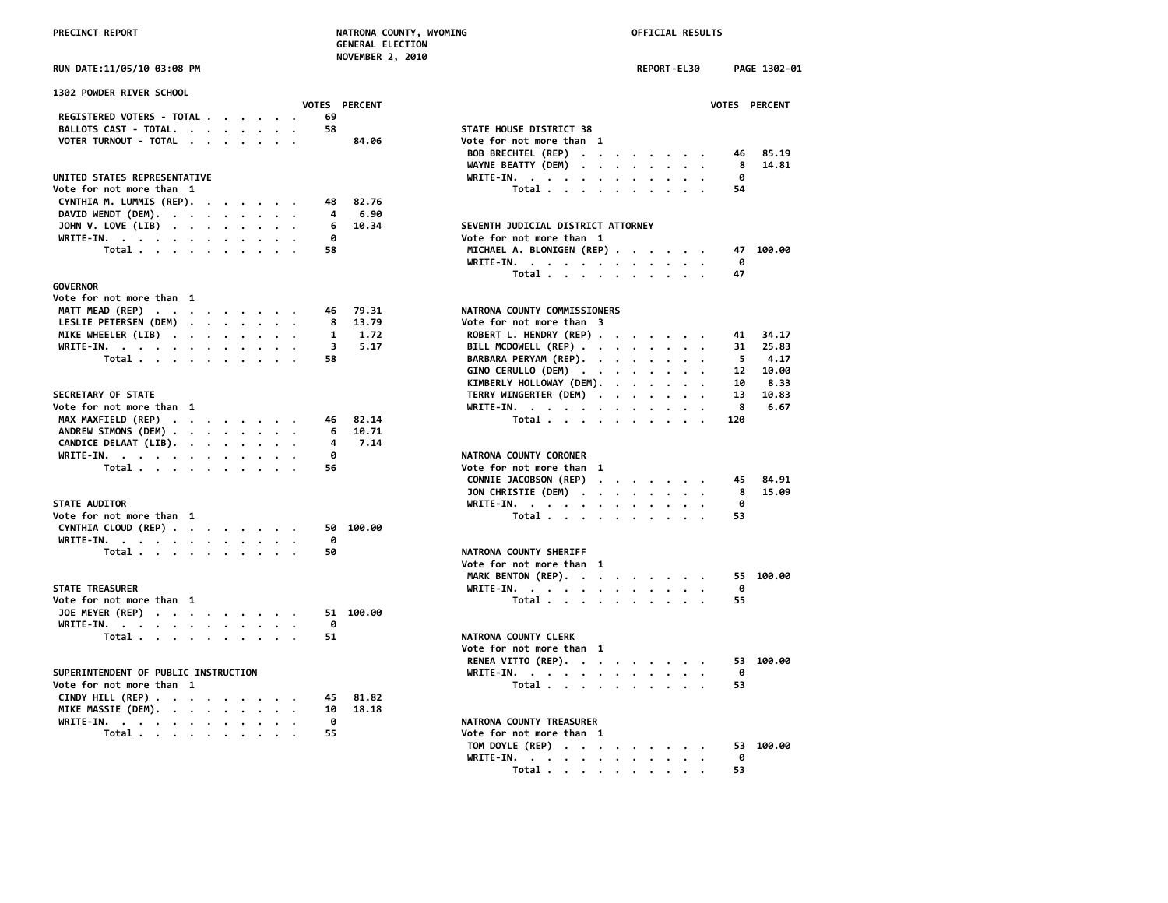**NOVEMBER 2, 2010**

|  |  |  | UN DATE:11/05/10 03:08 PM |  |  |  |
|--|--|--|---------------------------|--|--|--|
|  |  |  |                           |  |  |  |

| 1302 POWDER RIVER SCHOOL                                           |               |           |                                    |              |
|--------------------------------------------------------------------|---------------|-----------|------------------------------------|--------------|
|                                                                    | VOTES PERCENT |           |                                    | <b>VOTES</b> |
| REGISTERED VOTERS - TOTAL                                          | 69            |           |                                    |              |
| BALLOTS CAST - TOTAL.                                              | 58            |           | STATE HOUSE DISTRICT 38            |              |
| VOTER TURNOUT - TOTAL                                              |               | 84.06     | Vote for not more than 1           |              |
|                                                                    |               |           | BOB BRECHTEL (REP)                 | 46           |
|                                                                    |               |           | WAYNE BEATTY (DEM)                 | 8            |
| UNITED STATES REPRESENTATIVE                                       |               |           | WRITE-IN.                          | 0            |
| Vote for not more than 1                                           |               |           | Total                              | 54           |
| CYNTHIA M. LUMMIS (REP).                                           | 48            | 82.76     |                                    |              |
| DAVID WENDT (DEM).                                                 | 4             | 6.90      |                                    |              |
| JOHN V. LOVE (LIB)                                                 | 6             | 10.34     | SEVENTH JUDICIAL DISTRICT ATTORNEY |              |
| WRITE-IN.                                                          | ø             |           | Vote for not more than 1           |              |
| Total                                                              | 58            |           | MICHAEL A. BLONIGEN (REP)          | 47           |
|                                                                    |               |           | WRITE-IN.                          | 0            |
|                                                                    |               |           | Total                              | 47           |
| <b>GOVERNOR</b>                                                    |               |           |                                    |              |
| Vote for not more than 1                                           |               |           |                                    |              |
|                                                                    | 46            | 79.31     | NATRONA COUNTY COMMISSIONERS       |              |
| MATT MEAD (REP)                                                    |               |           |                                    |              |
| LESLIE PETERSEN (DEM)                                              | 8             | 13.79     | Vote for not more than 3           |              |
| MIKE WHEELER (LIB)                                                 | 1             | 1.72      | ROBERT L. HENDRY (REP)             | 41           |
| WRITE-IN.                                                          | 3             | 5.17      | BILL MCDOWELL (REP)                | 31           |
| Total                                                              | 58            |           | BARBARA PERYAM (REP).              | 5            |
|                                                                    |               |           | GINO CERULLO (DEM)                 | 12           |
|                                                                    |               |           | KIMBERLY HOLLOWAY (DEM).           | 10           |
| SECRETARY OF STATE                                                 |               |           | TERRY WINGERTER (DEM)              | 13           |
| Vote for not more than 1                                           |               |           | WRITE-IN.                          | 8            |
| MAX MAXFIELD (REP)                                                 | 46            | 82.14     | Total                              | 120          |
| ANDREW SIMONS (DEM)                                                | 6             | 10.71     |                                    |              |
| CANDICE DELAAT (LIB).                                              | 4             | 7.14      |                                    |              |
| WRITE-IN.                                                          | 0             |           | NATRONA COUNTY CORONER             |              |
| Total                                                              | 56            |           | Vote for not more than 1           |              |
|                                                                    |               |           |                                    | 45           |
|                                                                    |               |           | CONNIE JACOBSON (REP)              |              |
|                                                                    |               |           | JON CHRISTIE (DEM)                 | 8            |
| <b>STATE AUDITOR</b>                                               |               |           | WRITE-IN.                          | 0            |
| Vote for not more than 1                                           |               |           | Total                              | 53           |
| CYNTHIA CLOUD (REP)                                                | 50            | 100.00    |                                    |              |
| WRITE-IN.                                                          | 0             |           |                                    |              |
| Total                                                              | 50            |           | <b>NATRONA COUNTY SHERIFF</b>      |              |
|                                                                    |               |           | Vote for not more than 1           |              |
|                                                                    |               |           | MARK BENTON (REP).                 | 55           |
| <b>STATE TREASURER</b>                                             |               |           | WRITE-IN.                          | 0            |
| Vote for not more than 1                                           |               |           | Total $\cdots$ $\cdots$ $\cdots$   | 55           |
| JOE MEYER (REP)                                                    |               | 51 100.00 |                                    |              |
|                                                                    | 0             |           |                                    |              |
| WRITE-IN.                                                          | 51            |           | NATRONA COUNTY CLERK               |              |
| Total                                                              |               |           |                                    |              |
|                                                                    |               |           | Vote for not more than 1           |              |
|                                                                    |               |           | RENEA VITTO (REP).                 | 53           |
| SUPERINTENDENT OF PUBLIC INSTRUCTION                               |               |           | WRITE-IN.                          | 0            |
| Vote for not more than 1                                           |               |           | Total                              | 53           |
| CINDY HILL (REP) $\cdot \cdot \cdot \cdot \cdot \cdot \cdot \cdot$ | 45            | 81.82     |                                    |              |
| MIKE MASSIE (DEM).                                                 | 10            | 18.18     |                                    |              |
| WRITE-IN.                                                          | 0             |           | NATRONA COUNTY TREASURER           |              |
| Total                                                              | 55            |           | Vote for not more than 1           |              |
|                                                                    |               |           |                                    |              |

| RUN DATE:11/05/10 03:08 PM                                                        | REPORT-EL30<br>PAGE 1302-01                                 |
|-----------------------------------------------------------------------------------|-------------------------------------------------------------|
| <b>1302 POWDER RIVER SCHOOL</b>                                                   |                                                             |
| VOTES PERCENT<br>REGISTERED VOTERS - TOTAL<br>69                                  | VOTES PERCENT                                               |
| BALLOTS CAST - TOTAL.<br>58                                                       | STATE HOUSE DISTRICT 38                                     |
| VOTER TURNOUT - TOTAL<br>84.06                                                    | Vote for not more than 1                                    |
|                                                                                   | BOB BRECHTEL (REP)<br>85.19<br>46                           |
|                                                                                   | 14.81<br>WAYNE BEATTY (DEM) $\cdots$ $\cdots$ $\cdots$<br>8 |
| UNITED STATES REPRESENTATIVE                                                      | WRITE-IN.<br>0                                              |
| Vote for not more than 1                                                          | Total<br>54                                                 |
| 82.76<br>CYNTHIA M. LUMMIS (REP).<br>48                                           |                                                             |
| DAVID WENDT (DEM).<br>6.90<br>4                                                   |                                                             |
| JOHN V. LOVE (LIB)<br>10.34<br>6                                                  | SEVENTH JUDICIAL DISTRICT ATTORNEY                          |
| 0                                                                                 | Vote for not more than 1                                    |
| WRITE-IN.<br>58                                                                   | MICHAEL A. BLONIGEN (REP)<br>47 100.00                      |
| Total                                                                             | 0                                                           |
|                                                                                   | WRITE-IN.<br>Total<br>47                                    |
| GOVERNOR                                                                          |                                                             |
| Vote for not more than 1                                                          |                                                             |
| 79.31<br>46                                                                       | NATRONA COUNTY COMMISSIONERS                                |
| MATT MEAD (REP)<br>13.79                                                          | Vote for not more than 3                                    |
| LESLIE PETERSEN (DEM)<br>8<br>1                                                   |                                                             |
| MIKE WHEELER (LIB)<br>1.72                                                        | ROBERT L. HENDRY (REP)<br>34.17<br>41                       |
| WRITE-IN.<br>3<br>5.17                                                            | BILL MCDOWELL (REP)<br>25.83<br>31                          |
| Total<br>58                                                                       | BARBARA PERYAM (REP).<br>4.17<br>5.                         |
|                                                                                   | GINO CERULLO (DEM)<br>12 10.00                              |
|                                                                                   | KIMBERLY HOLLOWAY (DEM).<br>10<br>8.33                      |
| <b>SECRETARY OF STATE</b>                                                         | TERRY WINGERTER (DEM)<br>13<br>10.83                        |
| Vote for not more than  1                                                         | WRITE-IN.<br>8<br>6.67                                      |
| MAX MAXFIELD (REP)<br>82.14<br>46                                                 | Total<br>120                                                |
| 10.71<br>ANDREW SIMONS (DEM)<br>6                                                 |                                                             |
| 7.14<br>CANDICE DELAAT (LIB).<br>4                                                |                                                             |
| WRITE-IN.<br>ø                                                                    | NATRONA COUNTY CORONER                                      |
| Total<br>56                                                                       | Vote for not more than 1                                    |
|                                                                                   | CONNIE JACOBSON (REP)<br>84.91<br>45                        |
|                                                                                   | JON CHRISTIE (DEM)<br>15.09<br>8                            |
| <b>STATE AUDITOR</b>                                                              | WRITE-IN.<br>0                                              |
| Vote for not more than 1                                                          | Total<br>53                                                 |
| CYNTHIA CLOUD (REP)<br>50 100.00                                                  |                                                             |
| 0<br>WRITE-IN.                                                                    |                                                             |
| Total<br>50                                                                       | NATRONA COUNTY SHERIFF                                      |
|                                                                                   | Vote for not more than 1                                    |
|                                                                                   | MARK BENTON (REP).<br>55 100.00                             |
| <b>STATE TREASURER</b>                                                            | WRITE-IN.<br>0                                              |
| Vote for not more than 1                                                          | Total<br>55                                                 |
| JOE MEYER (REP)<br>51 100.00                                                      |                                                             |
| WRITE-IN.<br>ø                                                                    |                                                             |
| Total<br>51                                                                       | NATRONA COUNTY CLERK                                        |
|                                                                                   | Vote for not more than 1                                    |
|                                                                                   | RENEA VITTO (REP).<br>53 100.00                             |
| SUPERINTENDENT OF PUBLIC INSTRUCTION                                              | WRITE-IN.<br>0                                              |
| Vote for not more than 1                                                          | Total<br>53                                                 |
| 81.82<br>CINDY HILL (REP) $\cdot \cdot \cdot \cdot \cdot \cdot \cdot \cdot$<br>45 |                                                             |
| MIKE MASSIE (DEM).<br>10<br>18.18                                                 |                                                             |
| WRITE-IN.<br>0                                                                    | NATRONA COUNTY TREASURER                                    |
| Total<br>55                                                                       | Vote for not more than 1                                    |
|                                                                                   | TOM DOYLE (REP)<br>53 100.00                                |
|                                                                                   | WRITE-IN.<br>0                                              |
|                                                                                   | Total<br>53                                                 |
|                                                                                   |                                                             |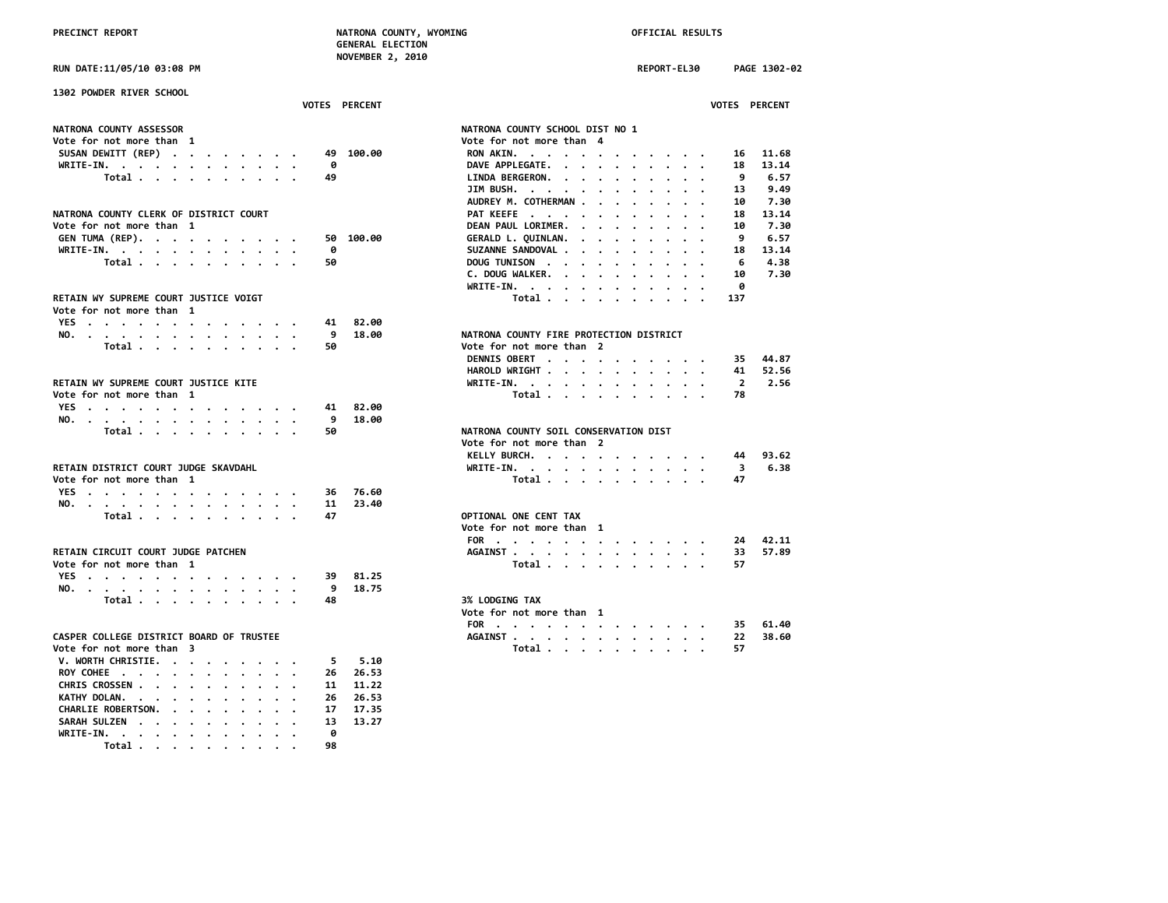| PRECINCT REPORT                                | NATRONA COUNTY, WYOMING<br><b>GENERAL ELECTION</b><br>NOVEMBER 2, 2010 | OFFICIAL RESULTS                                                                    |
|------------------------------------------------|------------------------------------------------------------------------|-------------------------------------------------------------------------------------|
| RUN DATE:11/05/10 03:08 PM                     |                                                                        | <b>REPORT-EL30</b><br>PAGE 1302-02                                                  |
| 1302 POWDER RIVER SCHOOL                       |                                                                        |                                                                                     |
|                                                | VOTES PERCENT                                                          | VOTES PERCENT                                                                       |
| NATRONA COUNTY ASSESSOR                        |                                                                        | NATRONA COUNTY SCHOOL DIST NO 1                                                     |
| Vote for not more than 1                       |                                                                        | Vote for not more than 4                                                            |
| SUSAN DEWITT (REP)                             | 49 100.00                                                              | RON AKIN.<br>11.68<br>16                                                            |
| WRITE-IN.<br>$\cdot$                           | 0                                                                      | DAVE APPLEGATE.<br>13.14<br>18                                                      |
| Total                                          | 49                                                                     | LINDA BERGERON.<br>9<br>6.57                                                        |
|                                                |                                                                        | JIM BUSH.<br>13<br>9.49                                                             |
|                                                |                                                                        | AUDREY M. COTHERMAN<br>10<br>7.30<br>$\ddot{\phantom{a}}$<br>$\sim$                 |
| NATRONA COUNTY CLERK OF DISTRICT COURT         |                                                                        | PAT KEEFE<br>18<br>13.14<br>$\cdot$ $\cdot$ $\cdot$<br>$\ddot{\phantom{a}}$         |
| Vote for not more than 1                       |                                                                        | DEAN PAUL LORIMER.<br>7.30<br>10<br>$\cdot$<br>$\cdot$                              |
| GEN TUMA (REP).                                | 50 100.00                                                              | 9<br>6.57<br>GERALD L. QUINLAN.                                                     |
| WRITE-IN.                                      | 0                                                                      | 13.14<br>SUZANNE SANDOVAL<br>18<br>$\ddot{\phantom{a}}$<br>$\cdot$<br>$\sim$ $\sim$ |
| Total                                          | 50                                                                     | DOUG TUNISON<br>6<br>4.38                                                           |
|                                                |                                                                        | C. DOUG WALKER.<br>10<br>7.30<br>$\sim$ $\sim$ $\sim$                               |
|                                                |                                                                        | WRITE-IN.<br>0<br>$\mathbf{r}=\mathbf{r}+\mathbf{r}+\mathbf{r}$<br>$\cdot$          |
| RETAIN WY SUPREME COURT JUSTICE VOIGT          |                                                                        | Total<br>137                                                                        |
| Vote for not more than 1                       |                                                                        |                                                                                     |
| YES                                            | 82.00<br>41                                                            |                                                                                     |
| NO.                                            | 9<br>18.00                                                             | NATRONA COUNTY FIRE PROTECTION DISTRICT                                             |
| Total<br>$\cdot$<br>$\cdot$ $\cdot$            | 50                                                                     | Vote for not more than 2                                                            |
|                                                |                                                                        | DENNIS OBERT<br>44.87<br>35                                                         |
|                                                |                                                                        | HAROLD WRIGHT<br>41 52.56                                                           |
| RETAIN WY SUPREME COURT JUSTICE KITE           |                                                                        | WRITE-IN.<br>$\overline{2}$<br>2.56<br>$\cdot$ $\cdot$ $\cdot$ $\cdot$              |
| Vote for not more than 1                       |                                                                        | Total<br>78                                                                         |
| YES                                            | 82.00<br>41                                                            |                                                                                     |
| NO.                                            | 9<br>18.00                                                             |                                                                                     |
| Total                                          | 50                                                                     | NATRONA COUNTY SOIL CONSERVATION DIST                                               |
|                                                |                                                                        | Vote for not more than 2                                                            |
|                                                |                                                                        | KELLY BURCH.<br>93.62<br>44                                                         |
| RETAIN DISTRICT COURT JUDGE SKAVDAHL           |                                                                        | WRITE-IN.<br>$\overline{\mathbf{3}}$<br>6.38                                        |
| Vote for not more than 1                       |                                                                        | 47<br>Total                                                                         |
| YES<br>$\cdots$                                | 76.60<br>36                                                            |                                                                                     |
| NO.<br>$\cdot$ $\cdot$ $\cdot$ $\cdot$ $\cdot$ | 11<br>23.40                                                            |                                                                                     |
| Total                                          | 47                                                                     | OPTIONAL ONE CENT TAX                                                               |
|                                                |                                                                        | Vote for not more than 1                                                            |
|                                                |                                                                        | 42.11<br>FOR<br>24                                                                  |
| RETAIN CIRCUIT COURT JUDGE PATCHEN             |                                                                        | AGAINST<br>33<br>57.89                                                              |
| Vote for not more than 1                       |                                                                        | 57<br>Total                                                                         |
| YES                                            | 39<br>81.25                                                            |                                                                                     |
| NO.                                            | 9<br>18.75                                                             |                                                                                     |
| Total                                          | 48                                                                     | <b>3% LODGING TAX</b>                                                               |
|                                                |                                                                        | Vote for not more than 1                                                            |
|                                                |                                                                        | FOR<br>61.40<br>35                                                                  |
| CASPER COLLEGE DISTRICT BOARD OF TRUSTEE       |                                                                        | 38.60<br>AGAINST<br>22                                                              |
| Vote for not more than 3                       |                                                                        | Total<br>57<br>$\cdots$<br>$\cdot$                                                  |
| V. WORTH CHRISTIE.                             | 5.10<br>5                                                              |                                                                                     |
| ROY COHEE                                      | 26.53<br>26                                                            |                                                                                     |
| CHRIS CROSSEN                                  | 11.22<br>11                                                            |                                                                                     |
| KATHY DOLAN.<br>$\sim$ $\sim$                  | 26<br>26.53                                                            |                                                                                     |
|                                                |                                                                        |                                                                                     |
| CHARLIE ROBERTSON.                             | 17<br>17.35<br>13<br>13.27                                             |                                                                                     |
| SARAH SULZEN<br>$\cdot$                        | ø                                                                      |                                                                                     |
| WRITE-IN.                                      | 98                                                                     |                                                                                     |
| Total<br>$\sim$                                |                                                                        |                                                                                     |

|                                          |    | <b>VOTES PERCENT</b> | <b>VOTES PERCENT</b>                                                                 |
|------------------------------------------|----|----------------------|--------------------------------------------------------------------------------------|
| <b>NATRONA COUNTY ASSESSOR</b>           |    |                      | NATRONA COUNTY SCHOOL DIST NO 1                                                      |
| Vote for not more than 1                 |    |                      | Vote for not more than 4                                                             |
| SUSAN DEWITT (REP)                       |    | 49 100.00            | 11.68<br>RON AKIN.<br>16                                                             |
| WRITE-IN.                                | ø  |                      | DAVE APPLEGATE.<br>18<br>13.14                                                       |
| Total                                    | 49 |                      | 6.57<br>LINDA BERGERON.<br>9                                                         |
|                                          |    |                      | 9.49<br>JIM BUSH. $\cdots$ $\cdots$ $\cdots$ $\cdots$<br>13                          |
|                                          |    |                      | AUDREY M. COTHERMAN<br>7.30<br>10                                                    |
| NATRONA COUNTY CLERK OF DISTRICT COURT   |    |                      | PAT KEEFE<br>18<br>13.14                                                             |
| Vote for not more than 1                 |    |                      | DEAN PAUL LORIMER.<br>7.30<br>10<br>$\sim$ $\sim$ $\sim$ $\sim$ $\sim$ $\sim$ $\sim$ |
| GEN TUMA (REP).                          |    | 50 100.00            | GERALD L. QUINLAN.<br>9<br>6.57                                                      |
| WRITE-IN.                                | 0  |                      | SUZANNE SANDOVAL<br>13.14<br>18                                                      |
| Total                                    | 50 |                      | DOUG TUNISON<br>4.38<br>6                                                            |
|                                          |    |                      | C. DOUG WALKER.<br>10<br>7.30                                                        |
|                                          |    |                      | ø<br>WRITE-IN.                                                                       |
| RETAIN WY SUPREME COURT JUSTICE VOIGT    |    |                      | Total<br>137                                                                         |
| Vote for not more than 1                 |    |                      |                                                                                      |
| YES                                      | 41 | 82.00                |                                                                                      |
| NO.                                      | 9  | 18.00                | NATRONA COUNTY FIRE PROTECTION DISTRICT                                              |
| Total                                    | 50 |                      | Vote for not more than 2                                                             |
|                                          |    |                      | DENNIS OBERT<br>44.87<br>35.                                                         |
|                                          |    |                      | HAROLD WRIGHT<br>52.56<br>41                                                         |
| RETAIN WY SUPREME COURT JUSTICE KITE     |    |                      | WRITE-IN.<br>$\overline{2}$<br>2.56                                                  |
| Vote for not more than 1                 |    |                      | Total<br>78                                                                          |
| YES                                      | 41 | 82.00                |                                                                                      |
| NO.                                      | 9  | 18.00                |                                                                                      |
| Total                                    | 50 |                      | NATRONA COUNTY SOIL CONSERVATION DIST                                                |
|                                          |    |                      | Vote for not more than 2                                                             |
|                                          |    |                      | KELLY BURCH.<br>93.62<br>44                                                          |
| RETAIN DISTRICT COURT JUDGE SKAVDAHL     |    |                      | WRITE-IN. $\cdot$ , $\cdot$ , $\cdot$ , $\cdot$ , $\cdot$ , $\cdot$<br>6.38<br>3     |
| Vote for not more than 1                 |    |                      | Total<br>47                                                                          |
| YES                                      | 36 | 76.60                |                                                                                      |
| NO.                                      | 11 | 23.40                |                                                                                      |
| Total                                    | 47 |                      | OPTIONAL ONE CENT TAX                                                                |
|                                          |    |                      | Vote for not more than 1                                                             |
|                                          |    |                      | FOR<br>42.11<br>24                                                                   |
| RETAIN CIRCUIT COURT JUDGE PATCHEN       |    |                      | 57.89<br>33                                                                          |
| Vote for not more than 1                 |    |                      | AGAINST<br>57                                                                        |
|                                          |    |                      | Total                                                                                |
| YES                                      | 39 | 81.25                |                                                                                      |
| NO.                                      | 9  | 18.75                |                                                                                      |
| Total                                    | 48 |                      | <b>3% LODGING TAX</b>                                                                |
|                                          |    |                      | Vote for not more than 1                                                             |
|                                          |    |                      | 61.40<br>FOR<br>35                                                                   |
| CASPER COLLEGE DISTRICT BOARD OF TRUSTEE |    |                      | 38.60<br>AGAINST<br>22                                                               |
| Vote for not more than 3                 |    |                      | Total<br>57                                                                          |
| V. WORTH CHRISTIE.                       | 5. | 5.10                 |                                                                                      |
| <b>DOV COUCE</b>                         |    | 26.26E               |                                                                                      |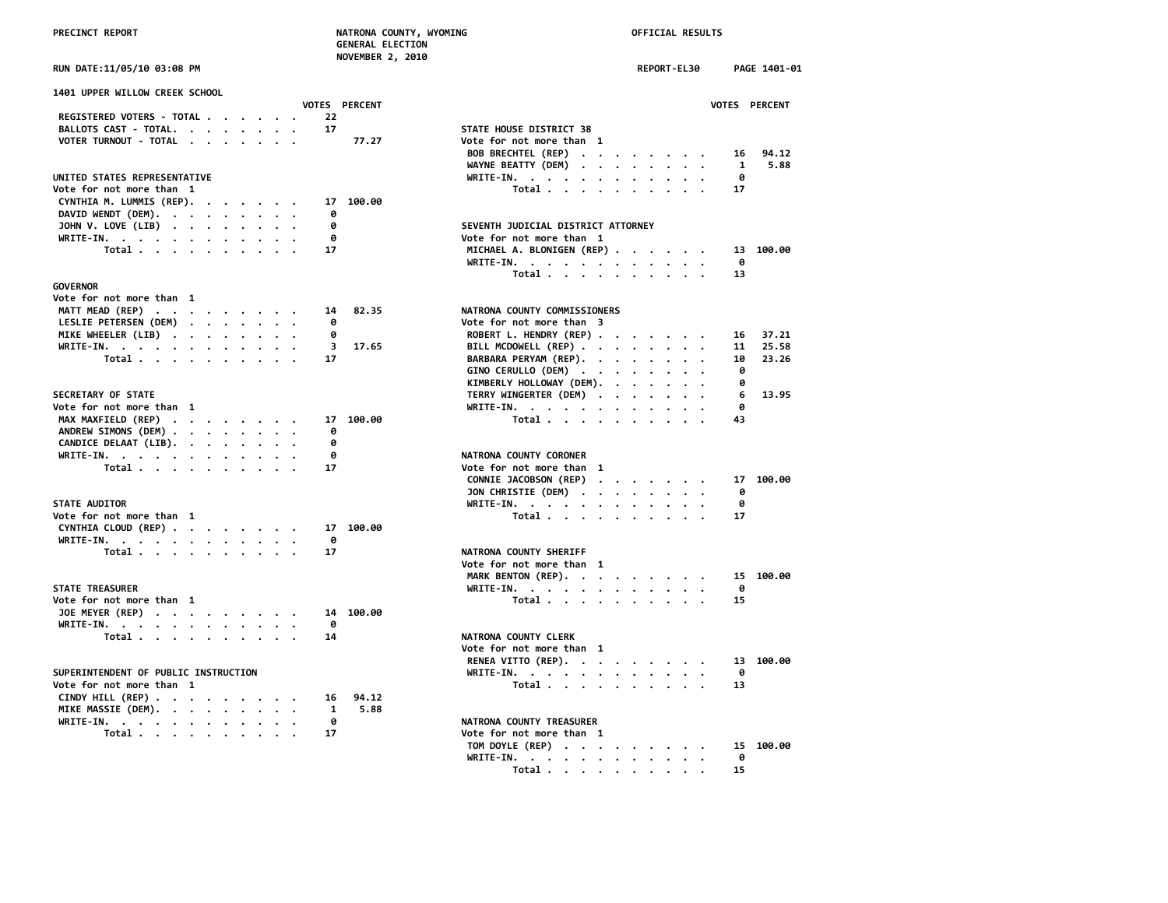|  | <b>RUN DATE:11/05/10 03:08 PM</b> |  |  |  |
|--|-----------------------------------|--|--|--|
|--|-----------------------------------|--|--|--|

| <b>1401 UPPER WILLOW CREEK SCHOOL</b>                                                   |                                    |
|-----------------------------------------------------------------------------------------|------------------------------------|
| <b>VOTES PERCENT</b>                                                                    |                                    |
| REGISTERED VOTERS - TOTAL<br>22                                                         |                                    |
| BALLOTS CAST - TOTAL.<br>17                                                             | STATE HOUSE DISTRICT 38            |
| 77.27<br>VOTER TURNOUT - TOTAL                                                          | Vote for not more than 1           |
|                                                                                         | BOB BRECHTEL (REP)                 |
|                                                                                         | WAYNE BEATTY (DEM)                 |
| UNITED STATES REPRESENTATIVE                                                            | WRITE-IN.                          |
| Vote for not more than 1                                                                | Total                              |
| CYNTHIA M. LUMMIS (REP).<br>17 100.00                                                   |                                    |
| DAVID WENDT (DEM).<br>ø                                                                 |                                    |
| JOHN V. LOVE (LIB)<br>0                                                                 | SEVENTH JUDICIAL DISTRICT ATTORNEY |
| WRITE-IN.<br>- 0                                                                        | Vote for not more than 1           |
| Total<br>17                                                                             | MICHAEL A. BLONIGEN (REP)          |
|                                                                                         | WRITE-IN.                          |
|                                                                                         | Total                              |
| <b>GOVERNOR</b>                                                                         |                                    |
| Vote for not more than 1                                                                |                                    |
| MATT MEAD (REP)<br>14 82.35                                                             | NATRONA COUNTY COMMISSIONERS       |
| $\mathbf{r}$ , $\mathbf{r}$ , $\mathbf{r}$ , $\mathbf{r}$ , $\mathbf{r}$ , $\mathbf{r}$ |                                    |
| LESLIE PETERSEN (DEM)<br>0                                                              | Vote for not more than 3           |
| MIKE WHEELER (LIB)<br>ø                                                                 | ROBERT L. HENDRY (REP)             |
| 3 17.65<br>WRITE-IN.                                                                    | BILL MCDOWELL (REP)                |
| Total<br>17                                                                             | BARBARA PERYAM (REP).              |
|                                                                                         | GINO CERULLO (DEM)                 |
|                                                                                         | KIMBERLY HOLLOWAY (DEM).           |
| <b>SECRETARY OF STATE</b>                                                               | TERRY WINGERTER (DEM)              |
| Vote for not more than 1                                                                | WRITE-IN.                          |
| MAX MAXFIELD (REP)<br>17 100.00                                                         | Total                              |
| ANDREW SIMONS (DEM)<br>0                                                                |                                    |
| CANDICE DELAAT (LIB).<br>0                                                              |                                    |
| WRITE-IN.<br>0                                                                          | NATRONA COUNTY CORONER             |
| Total $\cdots$ $\cdots$ $\cdots$<br>17                                                  | Vote for not more than 1           |
|                                                                                         | CONNIE JACOBSON (REP)              |
|                                                                                         | JON CHRISTIE (DEM)                 |
| <b>STATE AUDITOR</b>                                                                    | WRITE-IN.                          |
| Vote for not more than 1                                                                | Total                              |
| CYNTHIA CLOUD (REP)<br>17 100.00                                                        |                                    |
| WRITE-IN.<br>- 0                                                                        |                                    |
| Total $\cdots$ $\cdots$ $\cdots$<br>17                                                  | NATRONA COUNTY SHERIFF             |
|                                                                                         | Vote for not more than 1           |
|                                                                                         | MARK BENTON (REP).                 |
| <b>STATE TREASURER</b>                                                                  | WRITE-IN.                          |
| Vote for not more than 1                                                                | Total                              |
| 14 100.00<br>JOE MEYER (REP)                                                            |                                    |
| WRITE-IN.<br>0                                                                          |                                    |
| Total $\cdots$ $\cdots$ $\cdots$ $\cdots$<br>14                                         | NATRONA COUNTY CLERK               |
|                                                                                         | Vote for not more than 1           |
|                                                                                         | RENEA VITTO (REP).                 |
| SUPERINTENDENT OF PUBLIC INSTRUCTION                                                    | WRITE-IN.                          |
| Vote for not more than 1                                                                | Total                              |
| CINDY HILL (REP)<br>16 94.12                                                            |                                    |
| MIKE MASSIE (DEM).<br>1 5.88                                                            |                                    |
| WRITE-IN.<br>0                                                                          | NATRONA COUNTY TREASURER           |
| 17                                                                                      | Vote for not more than 1           |
| Total                                                                                   |                                    |

|                                                                    | <b>NUVERBER 2, 2010</b> |                                    |             |               |
|--------------------------------------------------------------------|-------------------------|------------------------------------|-------------|---------------|
| RUN DATE:11/05/10 03:08 PM                                         |                         |                                    | REPORT-EL30 | PAGE 1401-01  |
| <b>1401 UPPER WILLOW CREEK SCHOOL</b>                              |                         |                                    |             |               |
|                                                                    | VOTES PERCENT           |                                    |             | VOTES PERCENT |
| REGISTERED VOTERS - TOTAL                                          | 22                      |                                    |             |               |
| BALLOTS CAST - TOTAL.                                              | 17                      | STATE HOUSE DISTRICT 38            |             |               |
| VOTER TURNOUT - TOTAL                                              | 77.27                   | Vote for not more than 1           |             |               |
|                                                                    |                         | BOB BRECHTEL (REP)                 |             | 94.12<br>16   |
|                                                                    |                         | WAYNE BEATTY (DEM)                 |             | 5.88<br>1     |
| UNITED STATES REPRESENTATIVE                                       |                         | WRITE-IN.                          |             | 0             |
| Vote for not more than 1                                           |                         | Total                              |             | 17            |
| CYNTHIA M. LUMMIS (REP).                                           | 17 100.00               |                                    |             |               |
| DAVID WENDT (DEM).                                                 | ø                       |                                    |             |               |
| JOHN V. LOVE (LIB)                                                 | ø                       | SEVENTH JUDICIAL DISTRICT ATTORNEY |             |               |
| WRITE-IN.                                                          | 0                       | Vote for not more than 1           |             |               |
| Total                                                              | 17                      | MICHAEL A. BLONIGEN (REP)          |             | 13 100.00     |
|                                                                    |                         | WRITE-IN.                          |             | 0             |
|                                                                    |                         | Total                              |             | 13            |
| <b>GOVERNOR</b>                                                    |                         |                                    |             |               |
| Vote for not more than 1                                           |                         |                                    |             |               |
| MATT MEAD (REP)                                                    | 82.35<br>14             | NATRONA COUNTY COMMISSIONERS       |             |               |
| LESLIE PETERSEN (DEM)                                              | 0                       | Vote for not more than 3           |             |               |
| MIKE WHEELER (LIB)                                                 | 0                       | ROBERT L. HENDRY (REP)             |             | 37.21<br>16   |
|                                                                    | 3<br>17.65              | BILL MCDOWELL (REP)                |             | 25.58<br>11   |
| WRITE-IN.                                                          |                         |                                    |             |               |
| Total                                                              | 17                      | BARBARA PERYAM (REP).              |             | 23.26<br>10   |
|                                                                    |                         | GINO CERULLO (DEM)                 |             | 0             |
|                                                                    |                         | KIMBERLY HOLLOWAY (DEM).           |             | 0             |
| <b>SECRETARY OF STATE</b>                                          |                         | TERRY WINGERTER (DEM)              |             | 6<br>13.95    |
| Vote for not more than 1                                           |                         | WRITE-IN.                          |             | 0             |
| MAX MAXFIELD (REP)                                                 | 17 100.00               | Total                              |             | 43            |
| ANDREW SIMONS (DEM)                                                | 0                       |                                    |             |               |
| CANDICE DELAAT (LIB).                                              | 0                       |                                    |             |               |
| WRITE-IN.                                                          | ø                       | NATRONA COUNTY CORONER             |             |               |
| Total                                                              | 17                      | Vote for not more than 1           |             |               |
|                                                                    |                         | CONNIE JACOBSON (REP)              |             | 17 100.00     |
|                                                                    |                         | JON CHRISTIE (DEM)                 |             | 0             |
| <b>STATE AUDITOR</b>                                               |                         | WRITE-IN.                          |             | ø             |
| Vote for not more than 1                                           |                         | Total                              |             | 17            |
| CYNTHIA CLOUD (REP)                                                | 17 100.00               |                                    |             |               |
| WRITE-IN.                                                          | ø                       |                                    |             |               |
| Total                                                              | 17                      | NATRONA COUNTY SHERIFF             |             |               |
|                                                                    |                         | Vote for not more than 1           |             |               |
|                                                                    |                         |                                    |             | 15 100.00     |
|                                                                    |                         | MARK BENTON (REP).                 |             |               |
| <b>STATE TREASURER</b>                                             |                         | WRITE-IN.                          |             | 0             |
| Vote for not more than 1                                           |                         | Total                              |             | 15            |
| JOE MEYER (REP)                                                    | 14 100.00               |                                    |             |               |
| WRITE-IN.                                                          | 0                       |                                    |             |               |
| Total                                                              | 14                      | NATRONA COUNTY CLERK               |             |               |
|                                                                    |                         | Vote for not more than 1           |             |               |
|                                                                    |                         | RENEA VITTO (REP).                 |             | 13 100.00     |
| SUPERINTENDENT OF PUBLIC INSTRUCTION                               |                         | WRITE-IN.                          |             | 0             |
| Vote for not more than 1                                           |                         | Total                              |             | 13            |
| CINDY HILL (REP) $\cdot \cdot \cdot \cdot \cdot \cdot \cdot \cdot$ | 94.12<br>16             |                                    |             |               |
| MIKE MASSIE (DEM).                                                 | 5.88<br>1               |                                    |             |               |
| WRITE-IN.                                                          | 0                       | NATRONA COUNTY TREASURER           |             |               |
| Total                                                              | 17                      | Vote for not more than 1           |             |               |
|                                                                    |                         | TOM DOYLE (REP)                    |             | 15 100.00     |
|                                                                    |                         |                                    |             | ø             |
|                                                                    |                         | WRITE-IN.                          |             | 15            |
|                                                                    |                         | Total                              |             |               |